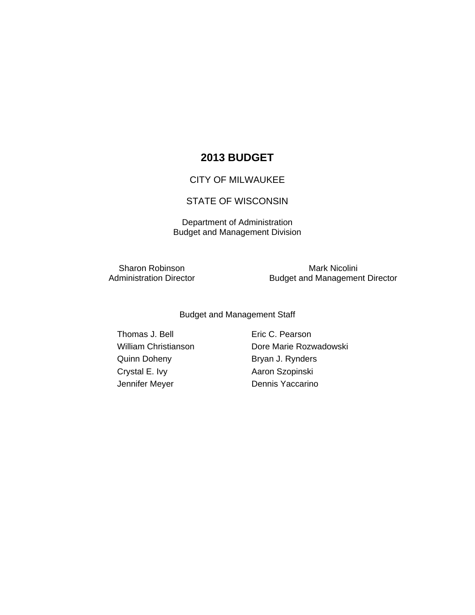# **2013 BUDGET**

### CITY OF MILWAUKEE

## STATE OF WISCONSIN

Department of Administration Budget and Management Division

Sharon Robinson<br>
Administration Director<br>
Budget and Managemer

Budget and Management Director

Budget and Management Staff

Thomas J. Bell **Eric C. Pearson** Quinn Doheny **Bryan J. Rynders** Crystal E. Ivy **Aaron Szopinski** Jennifer Meyer **Dennis Yaccarino** 

William Christianson Dore Marie Rozwadowski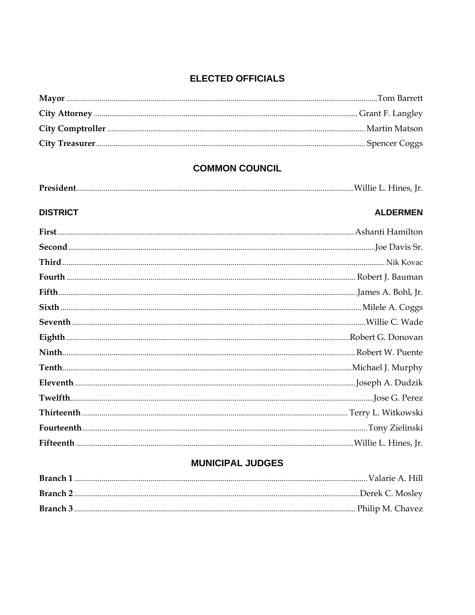## **ELECTED OFFICIALS**

## **COMMON COUNCIL**

| President. |  | Willie L. Hines, Jr. |  |
|------------|--|----------------------|--|
|------------|--|----------------------|--|

# **DISTRICT ALDERMEN**

## **MUNICIPAL JUDGES**

| Branch 1 |  |
|----------|--|
|          |  |
| Branch 3 |  |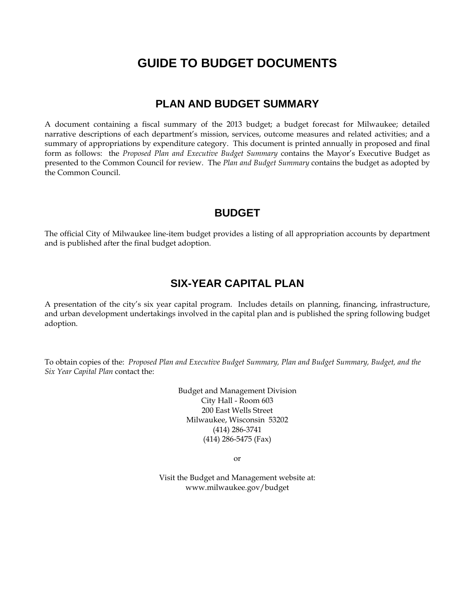# **GUIDE TO BUDGET DOCUMENTS**

## **PLAN AND BUDGET SUMMARY**

A document containing a fiscal summary of the 2013 budget; a budget forecast for Milwaukee; detailed narrative descriptions of each department's mission, services, outcome measures and related activities; and a summary of appropriations by expenditure category. This document is printed annually in proposed and final form as follows: the *Proposed Plan and Executive Budget Summary* contains the Mayor's Executive Budget as presented to the Common Council for review. The *Plan and Budget Summary* contains the budget as adopted by the Common Council.

## **BUDGET**

The official City of Milwaukee line-item budget provides a listing of all appropriation accounts by department and is published after the final budget adoption.

# **SIX-YEAR CAPITAL PLAN**

A presentation of the city's six year capital program. Includes details on planning, financing, infrastructure, and urban development undertakings involved in the capital plan and is published the spring following budget adoption.

To obtain copies of the: *Proposed Plan and Executive Budget Summary, Plan and Budget Summary, Budget, and the Six Year Capital Plan* contact the:

> Budget and Management Division City Hall - Room 603 200 East Wells Street Milwaukee, Wisconsin 53202 (414) 286-3741 (414) 286-5475 (Fax)

> > or

Visit the Budget and Management website at: www.milwaukee.gov/budget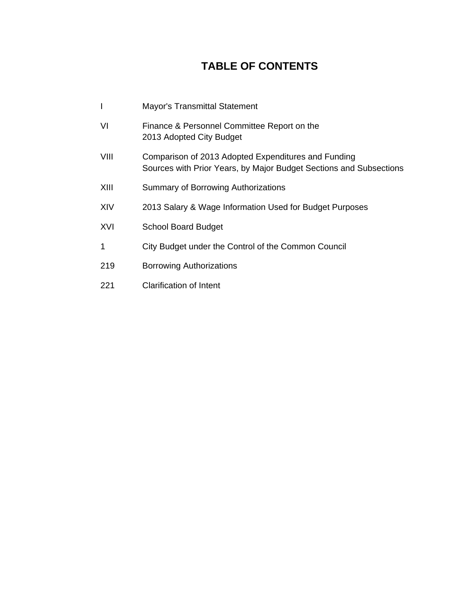# **TABLE OF CONTENTS**

|      | <b>Mayor's Transmittal Statement</b>                                                                                      |
|------|---------------------------------------------------------------------------------------------------------------------------|
| VI   | Finance & Personnel Committee Report on the<br>2013 Adopted City Budget                                                   |
| VIII | Comparison of 2013 Adopted Expenditures and Funding<br>Sources with Prior Years, by Major Budget Sections and Subsections |
| XIII | Summary of Borrowing Authorizations                                                                                       |
| XIV  | 2013 Salary & Wage Information Used for Budget Purposes                                                                   |
| XVI  | <b>School Board Budget</b>                                                                                                |
| 1    | City Budget under the Control of the Common Council                                                                       |
| 219  | <b>Borrowing Authorizations</b>                                                                                           |
| 221  | <b>Clarification of Intent</b>                                                                                            |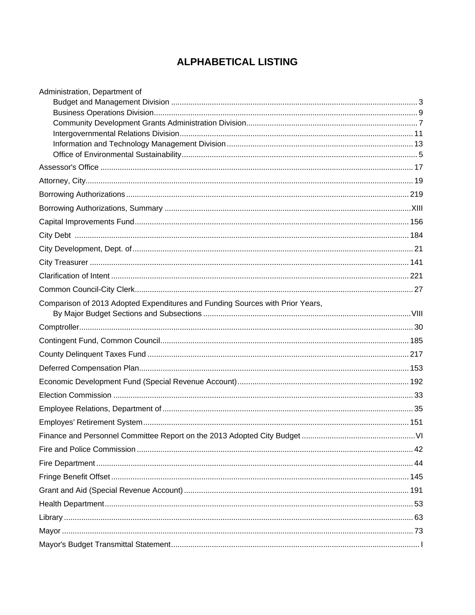# **ALPHABETICAL LISTING**

| Administration, Department of                                                 |  |
|-------------------------------------------------------------------------------|--|
|                                                                               |  |
|                                                                               |  |
|                                                                               |  |
|                                                                               |  |
|                                                                               |  |
|                                                                               |  |
|                                                                               |  |
|                                                                               |  |
|                                                                               |  |
|                                                                               |  |
|                                                                               |  |
|                                                                               |  |
|                                                                               |  |
|                                                                               |  |
|                                                                               |  |
| Comparison of 2013 Adopted Expenditures and Funding Sources with Prior Years, |  |
|                                                                               |  |
|                                                                               |  |
|                                                                               |  |
|                                                                               |  |
|                                                                               |  |
|                                                                               |  |
|                                                                               |  |
|                                                                               |  |
|                                                                               |  |
|                                                                               |  |
|                                                                               |  |
|                                                                               |  |
|                                                                               |  |
|                                                                               |  |
|                                                                               |  |
|                                                                               |  |
|                                                                               |  |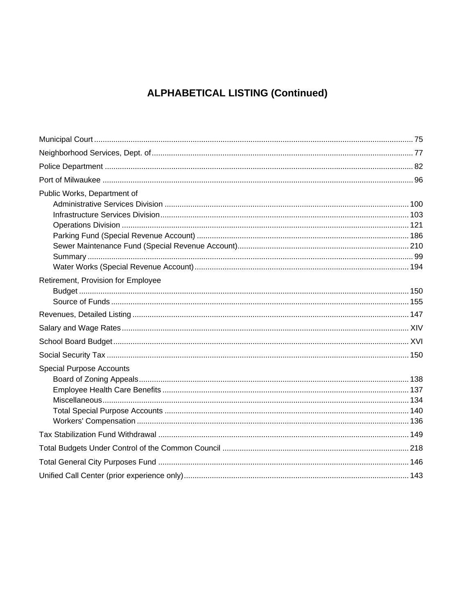# **ALPHABETICAL LISTING (Continued)**

| Public Works, Department of        |  |
|------------------------------------|--|
|                                    |  |
|                                    |  |
|                                    |  |
|                                    |  |
|                                    |  |
|                                    |  |
| Retirement, Provision for Employee |  |
|                                    |  |
|                                    |  |
|                                    |  |
|                                    |  |
|                                    |  |
|                                    |  |
| <b>Special Purpose Accounts</b>    |  |
|                                    |  |
|                                    |  |
|                                    |  |
|                                    |  |
|                                    |  |
|                                    |  |
|                                    |  |
|                                    |  |
|                                    |  |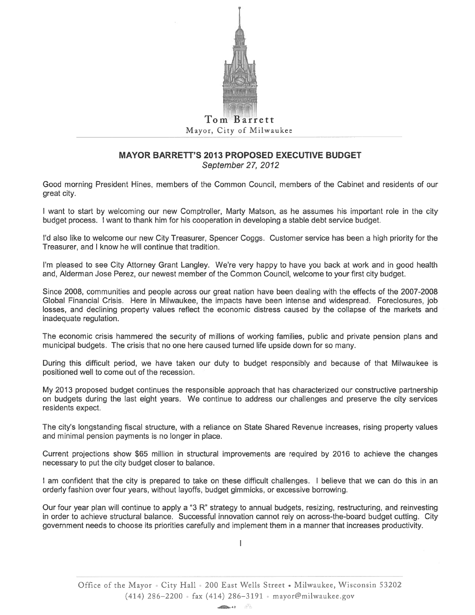

# Mayor, City of Milwaukee

### **MAYOR BARRETT'S 2013 PROPOSED EXECUTIVE BUDGET** September 27, 2012

Good morning President Hines, members of the Common Council, members of the Cabinet and residents of our great city.

I want to start by welcoming our new Comptroller, Marty Matson, as he assumes his important role in the city budget process. I want to thank him for his cooperation in developing a stable debt service budget.

I'd also like to welcome our new City Treasurer, Spencer Coggs. Customer service has been a high priority for the Treasurer, and I know he will continue that tradition.

I'm pleased to see City Attorney Grant Langley. We're very happy to have you back at work and in good health and, Alderman Jose Perez, our newest member of the Common Council, welcome to your first city budget.

Since 2008, communities and people across our great nation have been dealing with the effects of the 2007-2008 Global Financial Crisis. Here in Milwaukee, the impacts have been intense and widespread. Foreclosures, job losses, and declining property values reflect the economic distress caused by the collapse of the markets and inadequate regulation.

The economic crisis hammered the security of millions of working families, public and private pension plans and municipal budgets. The crisis that no one here caused turned life upside down for so many.

During this difficult period, we have taken our duty to budget responsibly and because of that Milwaukee is positioned well to come out of the recession.

My 2013 proposed budget continues the responsible approach that has characterized our constructive partnership on budgets during the last eight years. We continue to address our challenges and preserve the city services residents expect.

The city's longstanding fiscal structure, with a reliance on State Shared Revenue increases, rising property values and minimal pension payments is no longer in place.

Current projections show \$65 million in structural improvements are required by 2016 to achieve the changes necessary to put the city budget closer to balance.

I am confident that the city is prepared to take on these difficult challenges. I believe that we can do this in an orderly fashion over four years, without layoffs, budget gimmicks, or excessive borrowing.

Our four year plan will continue to apply a "3 R" strategy to annual budgets, resizing, restructuring, and reinvesting in order to achieve structural balance. Successful innovation cannot rely on across-the-board budget cutting. City government needs to choose its priorities carefully and implement them in a manner that increases productivity.

 $\overline{1}$ 

Office of the Mayor . City Hall . 200 East Wells Street . Milwaukee, Wisconsin 53202  $(414)$  286-2200 fax (414) 286-3191 mayor@milwaukee.gov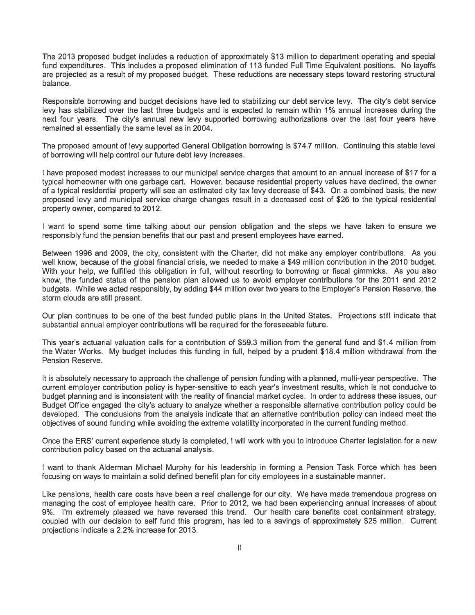The 2013 proposed budget includes a reduction of approximately \$13 million to department operating and special fund expenditures. This includes a proposed elimination of 113 funded Full Time Equivalent positions. No lavoffs are projected as a result of my proposed budget. These reductions are necessary steps toward restoring structural balance.

Responsible borrowing and budget decisions have led to stabilizing our debt service levy. The city's debt service levy has stabilized over the last three budgets and is expected to remain within 1% annual increases during the next four years. The city's annual new levy supported borrowing authorizations over the last four years have remained at essentially the same level as in 2004.

The proposed amount of levy supported General Obligation borrowing is \$74.7 million. Continuing this stable level of borrowing will help control our future debt levy increases.

I have proposed modest increases to our municipal service charges that amount to an annual increase of \$17 for a typical homeowner with one garbage cart. However, because residential property values have declined, the owner of a typical residential property will see an estimated city tax levy decrease of \$43. On a combined basis, the new proposed levy and municipal service charge changes result in a decreased cost of \$26 to the typical residential property owner, compared to 2012.

I want to spend some time talking about our pension obligation and the steps we have taken to ensure we responsibly fund the pension benefits that our past and present employees have earned.

Between 1996 and 2009, the city, consistent with the Charter, did not make any employer contributions. As you well know, because of the global financial crisis, we needed to make a \$49 million contribution in the 2010 budget. With your help, we fulfilled this obligation in full, without resorting to borrowing or fiscal gimmicks. As you also know, the funded status of the pension plan allowed us to avoid employer contributions for the 2011 and 2012 budgets. While we acted responsibly, by adding \$44 million over two years to the Employer's Pension Reserve, the storm clouds are still present.

Our plan continues to be one of the best funded public plans in the United States. Projections still indicate that substantial annual employer contributions will be required for the foreseeable future.

This year's actuarial valuation calls for a contribution of \$59.3 million from the general fund and \$1.4 million from the Water Works. My budget includes this funding in full, helped by a prudent \$18.4 million withdrawal from the Pension Reserve.

It is absolutely necessary to approach the challenge of pension funding with a planned, multi-year perspective. The current employer contribution policy is hyper-sensitive to each year's investment results, which is not conducive to budget planning and is inconsistent with the reality of financial market cycles. In order to address these issues, our Budget Office engaged the city's actuary to analyze whether a responsible alternative contribution policy could be developed. The conclusions from the analysis indicate that an alternative contribution policy can indeed meet the objectives of sound funding while avoiding the extreme volatility incorporated in the current funding method.

Once the ERS' current experience study is completed, I will work with you to introduce Charter legislation for a new contribution policy based on the actuarial analysis.

I want to thank Alderman Michael Murphy for his leadership in forming a Pension Task Force which has been focusing on ways to maintain a solid defined benefit plan for city employees in a sustainable manner.

Like pensions, health care costs have been a real challenge for our city. We have made tremendous progress on managing the cost of employee health care. Prior to 2012, we had been experiencing annual increases of about 9%. I'm extremely pleased we have reversed this trend. Our health care benefits cost containment strategy, coupled with our decision to self fund this program, has led to a savings of approximately \$25 million. Current projections indicate a 2.2% increase for 2013.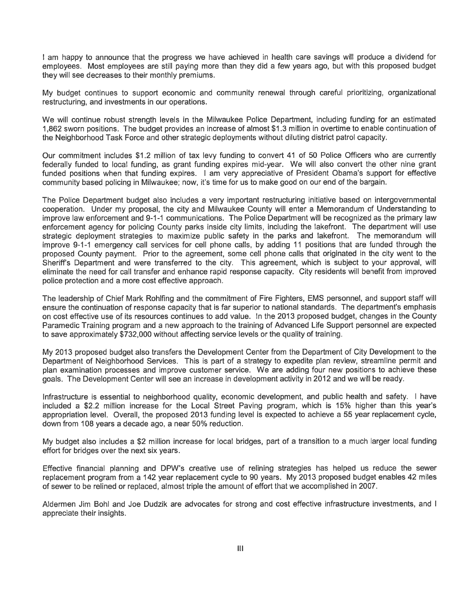I am happy to announce that the progress we have achieved in health care savings will produce a dividend for employees. Most employees are still paying more than they did a few years ago, but with this proposed budget they will see decreases to their monthly premiums.

My budget continues to support economic and community renewal through careful prioritizing, organizational restructuring, and investments in our operations.

We will continue robust strength levels in the Milwaukee Police Department, including funding for an estimated 1,862 sworn positions. The budget provides an increase of almost \$1.3 million in overtime to enable continuation of the Neighborhood Task Force and other strategic deployments without diluting district patrol capacity.

Our commitment includes \$1.2 million of tax levy funding to convert 41 of 50 Police Officers who are currently federally funded to local funding, as grant funding expires mid-year. We will also convert the other nine grant funded positions when that funding expires. I am very appreciative of President Obama's support for effective community based policing in Milwaukee; now, it's time for us to make good on our end of the bargain.

The Police Department budget also includes a very important restructuring initiative based on intergovernmental cooperation. Under my proposal, the city and Milwaukee County will enter a Memorandum of Understanding to improve law enforcement and 9-1-1 communications. The Police Department will be recognized as the primary law enforcement agency for policing County parks inside city limits, including the lakefront. The department will use strategic deployment strategies to maximize public safety in the parks and lakefront. The memorandum will improve 9-1-1 emergency call services for cell phone calls, by adding 11 positions that are funded through the proposed County payment. Prior to the agreement, some cell phone calls that originated in the city went to the Sheriff's Department and were transferred to the city. This agreement, which is subject to your approval, will eliminate the need for call transfer and enhance rapid response capacity. City residents will benefit from improved police protection and a more cost effective approach.

The leadership of Chief Mark Rohlfing and the commitment of Fire Fighters, EMS personnel, and support staff will ensure the continuation of response capacity that is far superior to national standards. The department's emphasis on cost effective use of its resources continues to add value. In the 2013 proposed budget, changes in the County Paramedic Training program and a new approach to the training of Advanced Life Support personnel are expected to save approximately \$732,000 without affecting service levels or the quality of training.

My 2013 proposed budget also transfers the Development Center from the Department of City Development to the Department of Neighborhood Services. This is part of a strategy to expedite plan review, streamline permit and plan examination processes and improve customer service. We are adding four new positions to achieve these goals. The Development Center will see an increase in development activity in 2012 and we will be ready.

Infrastructure is essential to neighborhood quality, economic development, and public health and safety. I have included a \$2.2 million increase for the Local Street Paving program, which is 15% higher than this year's appropriation level. Overall, the proposed 2013 funding level is expected to achieve a 55 year replacement cycle, down from 108 years a decade ago, a near 50% reduction.

My budget also includes a \$2 million increase for local bridges, part of a transition to a much larger local funding effort for bridges over the next six years.

Effective financial planning and DPW's creative use of relining strategies has helped us reduce the sewer replacement program from a 142 year replacement cycle to 90 years. My 2013 proposed budget enables 42 miles of sewer to be relined or replaced, almost triple the amount of effort that we accomplished in 2007.

Aldermen Jim Bohl and Joe Dudzik are advocates for strong and cost effective infrastructure investments, and I appreciate their insights.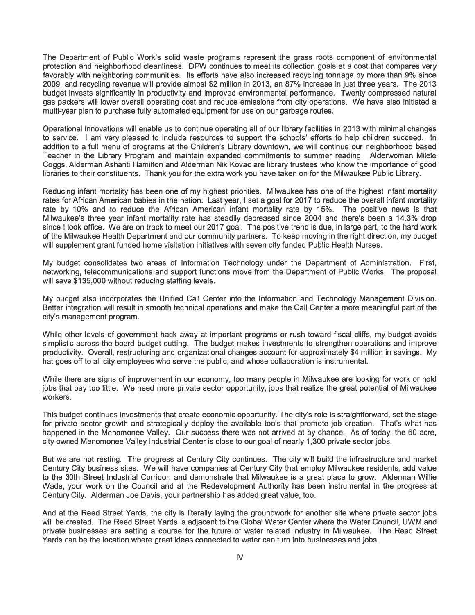The Department of Public Work's solid waste programs represent the grass roots component of environmental protection and neighborhood cleanliness. DPW continues to meet its collection goals at a cost that compares very favorably with neighboring communities. Its efforts have also increased recycling tonnage by more than 9% since 2009, and recycling revenue will provide almost \$2 million in 2013, an 87% increase in just three years. The 2013 budget invests significantly in productivity and improved environmental performance. Twenty compressed natural gas packers will lower overall operating cost and reduce emissions from city operations. We have also initiated a multi-year plan to purchase fully automated equipment for use on our garbage routes.

Operational innovations will enable us to continue operating all of our library facilities in 2013 with minimal changes to service. I am very pleased to include resources to support the schools' efforts to help children succeed. In addition to a full menu of programs at the Children's Library downtown, we will continue our neighborhood based Teacher in the Library Program and maintain expanded commitments to summer reading. Alderwoman Milele Coggs, Alderman Ashanti Hamilton and Alderman Nik Kovac are library trustees who know the importance of good libraries to their constituents. Thank you for the extra work you have taken on for the Milwaukee Public Library.

Reducing infant mortality has been one of my highest priorities. Milwaukee has one of the highest infant mortality rates for African American babies in the nation. Last year, I set a goal for 2017 to reduce the overall infant mortality rate by 10% and to reduce the African American infant mortality rate by 15%. The positive news is that Milwaukee's three year infant mortality rate has steadily decreased since 2004 and there's been a 14.3% drop since I took office. We are on track to meet our 2017 goal. The positive trend is due, in large part, to the hard work of the Milwaukee Health Department and our community partners. To keep moving in the right direction, my budget will supplement grant funded home visitation initiatives with seven city funded Public Health Nurses.

My budget consolidates two areas of Information Technology under the Department of Administration. First, networking, telecommunications and support functions move from the Department of Public Works. The proposal will save \$135,000 without reducing staffing levels.

My budget also incorporates the Unified Call Center into the Information and Technology Management Division. Better integration will result in smooth technical operations and make the Call Center a more meaningful part of the city's management program.

While other levels of government hack away at important programs or rush toward fiscal cliffs, my budget avoids simplistic across-the-board budget cutting. The budget makes investments to strengthen operations and improve productivity. Overall, restructuring and organizational changes account for approximately \$4 million in savings. My hat goes off to all city employees who serve the public, and whose collaboration is instrumental.

While there are signs of improvement in our economy, too many people in Milwaukee are looking for work or hold jobs that pay too little. We need more private sector opportunity, jobs that realize the great potential of Milwaukee workers.

This budget continues investments that create economic opportunity. The city's role is straightforward, set the stage for private sector growth and strategically deploy the available tools that promote job creation. That's what has happened in the Menomonee Valley. Our success there was not arrived at by chance. As of today, the 60 acre, city owned Menomonee Valley Industrial Center is close to our goal of nearly 1,300 private sector jobs.

But we are not resting. The progress at Century City continues. The city will build the infrastructure and market Century City business sites. We will have companies at Century City that employ Milwaukee residents, add value to the 30th Street Industrial Corridor, and demonstrate that Milwaukee is a great place to grow. Alderman Willie Wade, your work on the Council and at the Redevelopment Authority has been instrumental in the progress at Century City. Alderman Joe Davis, your partnership has added great value, too.

And at the Reed Street Yards, the city is literally laying the groundwork for another site where private sector jobs will be created. The Reed Street Yards is adjacent to the Global Water Center where the Water Council, UWM and private businesses are setting a course for the future of water related industry in Milwaukee. The Reed Street Yards can be the location where great ideas connected to water can turn into businesses and jobs.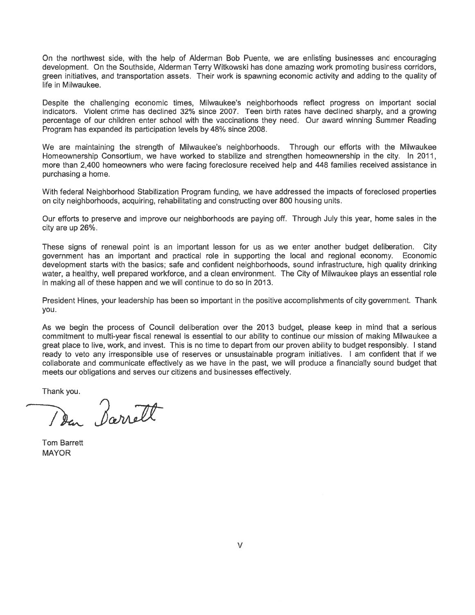On the northwest side, with the help of Alderman Bob Puente, we are enlisting businesses and encouraging development. On the Southside, Alderman Terry Witkowski has done amazing work promoting business corridors, green initiatives, and transportation assets. Their work is spawning economic activity and adding to the quality of life in Milwaukee.

Despite the challenging economic times, Milwaukee's neighborhoods reflect progress on important social indicators. Violent crime has declined 32% since 2007. Teen birth rates have declined sharply, and a growing percentage of our children enter school with the vaccinations they need. Our award winning Summer Reading Program has expanded its participation levels by 48% since 2008.

We are maintaining the strength of Milwaukee's neighborhoods. Through our efforts with the Milwaukee Homeownership Consortium, we have worked to stabilize and strengthen homeownership in the city. In 2011, more than 2,400 homeowners who were facing foreclosure received help and 448 families received assistance in purchasing a home.

With federal Neighborhood Stabilization Program funding, we have addressed the impacts of foreclosed properties on city neighborhoods, acquiring, rehabilitating and constructing over 800 housing units.

Our efforts to preserve and improve our neighborhoods are paying off. Through July this year, home sales in the city are up 26%.

These signs of renewal point is an important lesson for us as we enter another budget deliberation. City government has an important and practical role in supporting the local and regional economy. Economic development starts with the basics; safe and confident neighborhoods, sound infrastructure, high quality drinking water, a healthy, well prepared workforce, and a clean environment. The City of Milwaukee plays an essential role in making all of these happen and we will continue to do so in 2013.

President Hines, your leadership has been so important in the positive accomplishments of city government. Thank you.

As we begin the process of Council deliberation over the 2013 budget, please keep in mind that a serious commitment to multi-year fiscal renewal is essential to our ability to continue our mission of making Milwaukee a great place to live, work, and invest. This is no time to depart from our proven ability to budget responsibly. I stand ready to veto any irresponsible use of reserves or unsustainable program initiatives. I am confident that if we collaborate and communicate effectively as we have in the past, we will produce a financially sound budget that meets our obligations and serves our citizens and businesses effectively.

Thank you.

Den Barrett

**Tom Barrett MAYOR**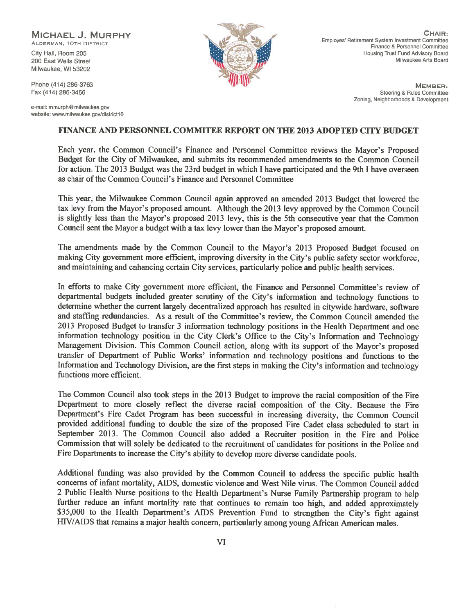MICHAEL J. MURPHY ALDERMAN, 10TH DISTRICT

City Hall, Room 205 200 East Wells Street Milwaukee, WI 53202

Phone (414) 286-3763 Fax (414) 286-3456

e-mail: mmurph@milwaukee.gov website: www.milwaukee.gov/district10



CHAIR: Employes' Retirement System Investment Committee Finance & Personnel Committee Housing Trust Fund Advisory Board Milwaukee Arts Board

> MEMBER: Steering & Rules Committee Zoning, Neighborhoods & Development

### **FINANCE AND PERSONNEL COMMITEE REPORT ON THE 2013 ADOPTED CITY BUDGET**

Each year, the Common Council's Finance and Personnel Committee reviews the Mayor's Proposed Budget for the City of Milwaukee, and submits its recommended amendments to the Common Council for action. The 2013 Budget was the 23rd budget in which I have participated and the 9th I have overseen as chair of the Common Council's Finance and Personnel Committee

This year, the Milwaukee Common Council again approved an amended 2013 Budget that lowered the tax levy from the Mayor's proposed amount. Although the 2013 levy approved by the Common Council is slightly less than the Mayor's proposed 2013 levy, this is the 5th consecutive year that the Common Council sent the Mayor a budget with a tax levy lower than the Mayor's proposed amount.

The amendments made by the Common Council to the Mayor's 2013 Proposed Budget focused on making City government more efficient, improving diversity in the City's public safety sector workforce. and maintaining and enhancing certain City services, particularly police and public health services.

In efforts to make City government more efficient, the Finance and Personnel Committee's review of departmental budgets included greater scrutiny of the City's information and technology functions to determine whether the current largely decentralized approach has resulted in citywide hardware, software and staffing redundancies. As a result of the Committee's review, the Common Council amended the 2013 Proposed Budget to transfer 3 information technology positions in the Health Department and one information technology position in the City Clerk's Office to the City's Information and Technology Management Division. This Common Council action, along with its support of the Mayor's proposed transfer of Department of Public Works' information and technology positions and functions to the Information and Technology Division, are the first steps in making the City's information and technology functions more efficient.

The Common Council also took steps in the 2013 Budget to improve the racial composition of the Fire Department to more closely reflect the diverse racial composition of the City. Because the Fire Department's Fire Cadet Program has been successful in increasing diversity, the Common Council provided additional funding to double the size of the proposed Fire Cadet class scheduled to start in September 2013. The Common Council also added a Recruiter position in the Fire and Police Commission that will solely be dedicated to the recruitment of candidates for positions in the Police and Fire Departments to increase the City's ability to develop more diverse candidate pools.

Additional funding was also provided by the Common Council to address the specific public health concerns of infant mortality, AIDS, domestic violence and West Nile virus. The Common Council added 2 Public Health Nurse positions to the Health Department's Nurse Family Partnership program to help further reduce an infant mortality rate that continues to remain too high, and added approximately \$35,000 to the Health Department's AIDS Prevention Fund to strengthen the City's fight against HIV/AIDS that remains a major health concern, particularly among young African American males.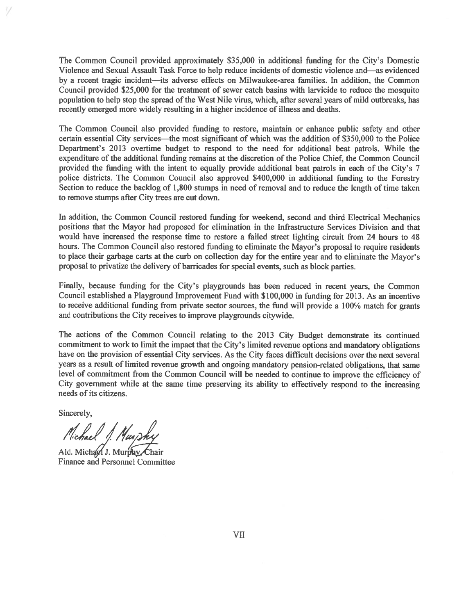The Common Council provided approximately \$35,000 in additional funding for the City's Domestic Violence and Sexual Assault Task Force to help reduce incidents of domestic violence and—as evidenced by a recent tragic incident—its adverse effects on Milwaukee-area families. In addition, the Common Council provided \$25,000 for the treatment of sewer catch basins with larvicide to reduce the mosquito population to help stop the spread of the West Nile virus, which, after several years of mild outbreaks, has recently emerged more widely resulting in a higher incidence of illness and deaths.

The Common Council also provided funding to restore, maintain or enhance public safety and other certain essential City services—the most significant of which was the addition of \$350,000 to the Police Department's 2013 overtime budget to respond to the need for additional beat patrols. While the expenditure of the additional funding remains at the discretion of the Police Chief, the Common Council provided the funding with the intent to equally provide additional beat patrols in each of the City's 7 police districts. The Common Council also approved \$400,000 in additional funding to the Forestry Section to reduce the backlog of 1,800 stumps in need of removal and to reduce the length of time taken to remove stumps after City trees are cut down.

In addition, the Common Council restored funding for weekend, second and third Electrical Mechanics positions that the Mayor had proposed for elimination in the Infrastructure Services Division and that would have increased the response time to restore a failed street lighting circuit from 24 hours to 48 hours. The Common Council also restored funding to eliminate the Mayor's proposal to require residents to place their garbage carts at the curb on collection day for the entire year and to eliminate the Mayor's proposal to privatize the delivery of barricades for special events, such as block parties.

Finally, because funding for the City's playgrounds has been reduced in recent years, the Common Council established a Playground Improvement Fund with \$100,000 in funding for 2013. As an incentive to receive additional funding from private sector sources, the fund will provide a 100% match for grants and contributions the City receives to improve playgrounds citywide.

The actions of the Common Council relating to the 2013 City Budget demonstrate its continued commitment to work to limit the impact that the City's limited revenue options and mandatory obligations have on the provision of essential City services. As the City faces difficult decisions over the next several years as a result of limited revenue growth and ongoing mandatory pension-related obligations, that same level of commitment from the Common Council will be needed to continue to improve the efficiency of City government while at the same time preserving its ability to effectively respond to the increasing needs of its citizens.

Sincerely,

Michael J. Murphy

Ald. Michael J. Murphy Chair **Finance and Personnel Committee**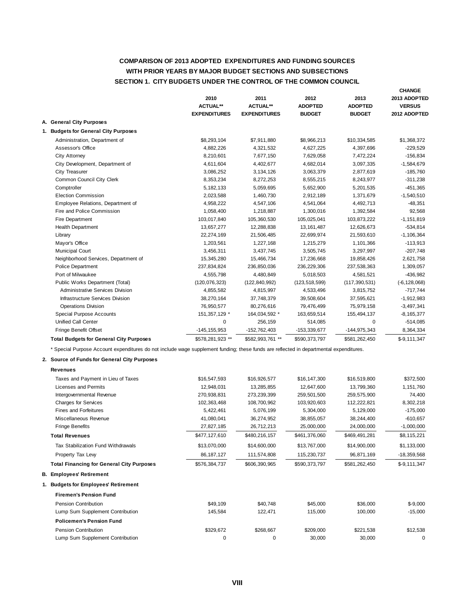### **COMPARISON OF 2013 ADOPTED EXPENDITURES AND FUNDING SOURCES SECTION 1. CITY BUDGETS UNDER THE CONTROL OF THE COMMON COUNCIL WITH PRIOR YEARS BY MAJOR BUDGET SECTIONS AND SUBSECTIONS**

|                                                | 2010<br><b>ACTUAL**</b><br><b>EXPENDITURES</b> | 2011<br><b>ACTUAL**</b><br><b>EXPENDITURES</b> | 2012<br><b>ADOPTED</b><br><b>BUDGET</b> | 2013<br><b>ADOPTED</b><br><b>BUDGET</b> | <b>CHANGE</b><br>2013 ADOPTED<br><b>VERSUS</b><br>2012 ADOPTED |
|------------------------------------------------|------------------------------------------------|------------------------------------------------|-----------------------------------------|-----------------------------------------|----------------------------------------------------------------|
| A. General City Purposes                       |                                                |                                                |                                         |                                         |                                                                |
| 1. Budgets for General City Purposes           |                                                |                                                |                                         |                                         |                                                                |
| Administration, Department of                  | \$8,293,104                                    | \$7,911,880                                    | \$8,966,213                             | \$10,334,585                            | \$1,368,372                                                    |
| Assessor's Office                              | 4,882,226                                      | 4,321,532                                      | 4,627,225                               | 4,397,696                               | $-229,529$                                                     |
| City Attorney                                  | 8,210,601                                      | 7,677,150                                      | 7,629,058                               | 7,472,224                               | $-156,834$                                                     |
| City Development, Department of                | 4,611,604                                      | 4,402,677                                      | 4,682,014                               | 3,097,335                               | $-1,584,679$                                                   |
| City Treasurer                                 | 3,086,252                                      | 3,134,126                                      | 3,063,379                               | 2,877,619                               | $-185,760$                                                     |
| Common Council City Clerk                      | 8,353,234                                      | 8,272,253                                      | 8,555,215                               | 8,243,977                               | $-311,238$                                                     |
| Comptroller                                    | 5, 182, 133                                    | 5,059,695                                      | 5,652,900                               | 5,201,535                               | $-451,365$                                                     |
| <b>Election Commission</b>                     | 2,023,588                                      | 1,460,730                                      | 2,912,189                               | 1,371,679                               | $-1,540,510$                                                   |
| Employee Relations, Department of              | 4,958,222                                      | 4,547,106                                      | 4,541,064                               | 4,492,713                               | $-48,351$                                                      |
| Fire and Police Commission                     | 1,058,400                                      | 1,218,887                                      | 1,300,016                               | 1,392,584                               | 92,568                                                         |
| Fire Department                                | 103,017,840                                    | 105,360,530                                    | 105,025,041                             | 103,873,222                             | $-1,151,819$                                                   |
| <b>Health Department</b>                       | 13,657,277                                     | 12,288,838                                     | 13, 161, 487                            | 12,626,673                              | $-534,814$                                                     |
| Library                                        | 22,274,169                                     | 21,506,485                                     | 22,699,974                              | 21,593,610                              | $-1,106,364$                                                   |
| Mayor's Office                                 | 1,203,561                                      | 1,227,168                                      | 1,215,279                               | 1,101,366                               | $-113,913$                                                     |
| Municipal Court                                | 3,456,311                                      | 3,437,745                                      | 3,505,745                               | 3,297,997                               | $-207,748$                                                     |
| Neighborhood Services, Department of           | 15,345,280                                     | 15,466,734                                     | 17,236,668                              | 19,858,426                              | 2,621,758                                                      |
| <b>Police Department</b>                       | 237,834,824                                    | 236,850,036                                    | 236,229,306                             | 237,538,363                             | 1,309,057                                                      |
| Port of Milwaukee                              | 4,555,798                                      | 4,480,849                                      | 5,018,503                               | 4,581,521                               | $-436,982$                                                     |
| Public Works Department (Total)                | (120, 076, 323)                                | (122, 840, 992)                                | (123, 518, 599)                         | (117, 390, 531)                         | $(-6, 128, 068)$                                               |
| <b>Administrative Services Division</b>        | 4,855,582                                      | 4,815,997                                      | 4,533,496                               | 3,815,752                               | $-717,744$                                                     |
| Infrastructure Services Division               | 38,270,164                                     | 37,748,379                                     | 39,508,604                              | 37,595,621                              | $-1,912,983$                                                   |
| <b>Operations Division</b>                     | 76,950,577                                     | 80,276,616                                     | 79,476,499                              | 75,979,158                              | $-3,497,341$                                                   |
| Special Purpose Accounts                       | 151, 357, 129 *                                | 164,034,592 *                                  | 163,659,514                             | 155,494,137                             | $-8, 165, 377$                                                 |
| Unified Call Center                            | 0                                              | 256,159                                        | 514,085                                 | 0                                       | $-514,085$                                                     |
| Fringe Benefit Offset                          | $-145, 155, 953$                               | $-152,762,403$                                 | -153,339,677                            | $-144,975,343$                          | 8,364,334                                                      |
| <b>Total Budgets for General City Purposes</b> | \$578,281,923 **                               | \$582,993,761 **                               | \$590,373,797                           | \$581,262,450                           | $$-9,111,347$                                                  |

\* Special Purpose Account expenditures do not include wage supplement funding; these funds are reflected in departmental expenditures.

#### **2. Source of Funds for General City Purposes**

| <b>Revenues</b>                                  |               |               |               |               |               |
|--------------------------------------------------|---------------|---------------|---------------|---------------|---------------|
| Taxes and Payment in Lieu of Taxes               | \$16,547,593  | \$16,926,577  | \$16,147,300  | \$16,519,800  | \$372,500     |
| Licenses and Permits                             | 12.948.031    | 13,285,855    | 12,647,600    | 13.799.360    | 1,151,760     |
| Intergovernmental Revenue                        | 270,938,831   | 273,239,399   | 259,501,500   | 259,575,900   | 74,400        |
| <b>Charges for Services</b>                      | 102,363,468   | 108,700,962   | 103,920,603   | 112,222,821   | 8,302,218     |
| <b>Fines and Forfeitures</b>                     | 5,422,461     | 5,076,199     | 5,304,000     | 5,129,000     | $-175,000$    |
| Miscellaneous Revenue                            | 41,080,041    | 36,274,952    | 38,855,057    | 38,244,400    | $-610,657$    |
| <b>Fringe Benefits</b>                           | 27,827,185    | 26,712,213    | 25,000,000    | 24,000,000    | $-1,000,000$  |
| <b>Total Revenues</b>                            | \$477,127,610 | \$480,216,157 | \$461,376,060 | \$469,491,281 | \$8,115,221   |
| Tax Stabilization Fund Withdrawals               | \$13,070,000  | \$14,600,000  | \$13,767,000  | \$14,900,000  | \$1,133,000   |
| Property Tax Lew                                 | 86, 187, 127  | 111,574,808   | 115,230,737   | 96,871,169    | $-18,359,568$ |
| <b>Total Financing for General City Purposes</b> | \$576,384,737 | \$606,390,965 | \$590,373,797 | \$581,262,450 | $$-9,111,347$ |
| <b>B. Employees' Retirement</b>                  |               |               |               |               |               |
| 1. Budgets for Employees' Retirement             |               |               |               |               |               |
| <b>Firemen's Pension Fund</b>                    |               |               |               |               |               |
| <b>Pension Contribution</b>                      | \$49,109      | \$40,748      | \$45,000      | \$36,000      | $$-9,000$     |
| Lump Sum Supplement Contribution                 | 145,584       | 122,471       | 115,000       | 100,000       | $-15,000$     |
| <b>Policemen's Pension Fund</b>                  |               |               |               |               |               |
| Pension Contribution                             | \$329,672     | \$268,667     | \$209,000     | \$221,538     | \$12,538      |
| Lump Sum Supplement Contribution                 | 0             | 0             | 30,000        | 30,000        | 0             |
|                                                  |               |               |               |               |               |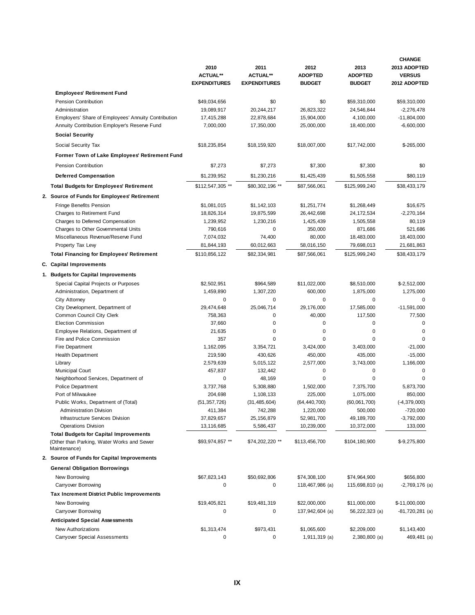|                                                            | 2010<br><b>ACTUAL**</b> | 2011<br><b>ACTUAL**</b> | 2012<br><b>ADOPTED</b>   | 2013<br><b>ADOPTED</b> | <b>CHANGE</b><br>2013 ADOPTED<br><b>VERSUS</b> |
|------------------------------------------------------------|-------------------------|-------------------------|--------------------------|------------------------|------------------------------------------------|
|                                                            | <b>EXPENDITURES</b>     | <b>EXPENDITURES</b>     | <b>BUDGET</b>            | <b>BUDGET</b>          | 2012 ADOPTED                                   |
| <b>Employees' Retirement Fund</b>                          |                         |                         |                          |                        |                                                |
| Pension Contribution                                       | \$49,034,656            | \$0                     | \$0                      | \$59,310,000           | \$59,310,000                                   |
| Administration                                             | 19,089,917              | 20,244,217              | 26,823,322               | 24,546,844             | $-2,276,478$                                   |
| Employers' Share of Employees' Annuity Contribution        | 17,415,288              | 22,878,684              | 15,904,000               | 4,100,000              | $-11,804,000$                                  |
| Annuity Contribution Employer's Reserve Fund               | 7,000,000               | 17,350,000              | 25,000,000               | 18,400,000             | $-6,600,000$                                   |
| <b>Social Security</b>                                     |                         |                         |                          |                        |                                                |
| Social Security Tax                                        | \$18,235,854            | \$18,159,920            | \$18,007,000             | \$17,742,000           | $$-265,000$                                    |
| Former Town of Lake Employees' Retirement Fund             |                         |                         |                          |                        |                                                |
| Pension Contribution                                       | \$7,273                 | \$7,273                 | \$7,300                  | \$7,300                | \$0                                            |
| <b>Deferred Compensation</b>                               | \$1,239,952             | \$1,230,216             | \$1,425,439              | \$1,505,558            | \$80,119                                       |
| <b>Total Budgets for Employees' Retirement</b>             | \$112,547,305 **        | \$80,302,196 **         | \$87,566,061             | \$125,999,240          | \$38,433,179                                   |
|                                                            |                         |                         |                          |                        |                                                |
| 2. Source of Funds for Employees' Retirement               |                         |                         |                          |                        |                                                |
| <b>Fringe Benefits Pension</b>                             | \$1,081,015             | \$1,142,103             | \$1,251,774              | \$1,268,449            | \$16,675                                       |
| Charges to Retirement Fund                                 | 18,826,314              | 19,875,599              | 26,442,698               | 24,172,534             | $-2,270,164$                                   |
| Charges to Deferred Compensation                           | 1,239,952               | 1,230,216               | 1,425,439                | 1,505,558              | 80,119                                         |
| Charges to Other Governmental Units                        | 790,616                 | 0                       | 350,000                  | 871,686                | 521,686                                        |
| Miscellaneous Revenue/Reserve Fund                         | 7,074,032               | 74,400                  | 80,000                   | 18,483,000             | 18,403,000                                     |
| Property Tax Lew                                           | 81,844,193              | 60,012,663              | 58,016,150               | 79,698,013             | 21,681,863                                     |
| <b>Total Financing for Employees' Retirement</b>           | \$110,856,122           | \$82,334,981            | \$87,566,061             | \$125,999,240          | \$38,433,179                                   |
| C. Capital Improvements                                    |                         |                         |                          |                        |                                                |
| 1. Budgets for Capital Improvements                        |                         |                         |                          |                        |                                                |
| Special Capital Projects or Purposes                       | \$2,502,951             | \$964,589               | \$11,022,000             | \$8,510,000            | $$-2,512,000$                                  |
| Administration, Department of                              | 1,459,890               | 1,307,220               | 600,000                  | 1,875,000              | 1,275,000                                      |
| City Attorney                                              | $\mathbf 0$             | 0                       | 0                        | 0                      | 0                                              |
| City Development, Department of                            | 29,474,648              | 25,046,714              | 29,176,000               | 17,585,000             | $-11,591,000$                                  |
| Common Council City Clerk                                  | 758,363                 | 0                       | 40,000                   | 117,500                | 77,500                                         |
| <b>Election Commission</b>                                 | 37,660                  | 0                       | 0                        | $\mathbf 0$            | 0                                              |
| Employee Relations, Department of                          | 21,635                  | 0                       | 0                        | $\mathbf 0$            | 0                                              |
| Fire and Police Commission                                 | 357                     | $\Omega$                | 0                        | $\Omega$               | O                                              |
| Fire Department                                            | 1,162,095               | 3,354,721               | 3,424,000                | 3,403,000              | $-21,000$                                      |
| <b>Health Department</b>                                   | 219,590                 | 430,626                 | 450,000                  | 435,000                | $-15,000$                                      |
| Library                                                    | 2,579,639               | 5,015,122               | 2,577,000                | 3,743,000              | 1,166,000                                      |
| <b>Municipal Court</b>                                     | 457,837                 | 132,442                 | 0                        | 0                      | 0                                              |
| Neighborhood Services, Department of                       | 0                       | 48,169                  | $\mathbf 0$<br>1,502,000 | $\mathbf 0$            | 0                                              |
| <b>Police Department</b><br>Port of Milwaukee              | 3,737,768<br>204,698    | 5,308,880<br>1,108,133  | 225,000                  | 7,375,700<br>1,075,000 | 5,873,700<br>850,000                           |
| Public Works, Department of (Total)                        | (51, 357, 726)          | (31, 485, 604)          | (64, 440, 700)           | (60,061,700)           | $(-4, 379, 000)$                               |
| <b>Administration Division</b>                             | 411,384                 | 742,288                 | 1,220,000                | 500,000                | $-720,000$                                     |
| Infrastructure Services Division                           | 37,829,657              | 25, 156, 879            | 52,981,700               | 49,189,700             | $-3,792,000$                                   |
| <b>Operations Division</b>                                 | 13,116,685              | 5,586,437               | 10,239,000               | 10,372,000             | 133,000                                        |
| <b>Total Budgets for Capital Improvements</b>              |                         |                         |                          |                        |                                                |
| (Other than Parking, Water Works and Sewer<br>Maintenance) | \$93,974,857 **         | \$74,202,220 **         | \$113,456,700            | \$104,180,900          | $$-9,275,800$                                  |
| 2. Source of Funds for Capital Improvements                |                         |                         |                          |                        |                                                |
| <b>General Obligation Borrowings</b>                       |                         |                         |                          |                        |                                                |
| New Borrowing                                              | \$67,823,143            | \$50,692,806            | \$74,308,100             | \$74,964,900           | \$656,800                                      |
| Carryover Borrowing                                        | 0                       | 0                       | 118,467,986 (a)          | 115,698,810 (a)        | $-2,769,176$ (a)                               |
| <b>Tax Increment District Public Improvements</b>          |                         |                         |                          |                        |                                                |
| New Borrowing                                              | \$19,405,821            | \$19,481,319            | \$22,000,000             | \$11,000,000           | \$-11,000,000                                  |
| Carryover Borrowing                                        | 0                       | 0                       | 137,942,604 (a)          | 56,222,323 (a)         | -81,720,281 (a)                                |
| <b>Anticipated Special Assessments</b>                     |                         |                         |                          |                        |                                                |
| New Authorizations                                         | \$1,313,474             | \$973,431               | \$1,065,600              | \$2,209,000            | \$1,143,400                                    |
| Carryover Special Assessments                              | 0                       | 0                       | 1,911,319 (a)            | 2,380,800 (a)          | 469,481 (a)                                    |
|                                                            |                         |                         |                          |                        |                                                |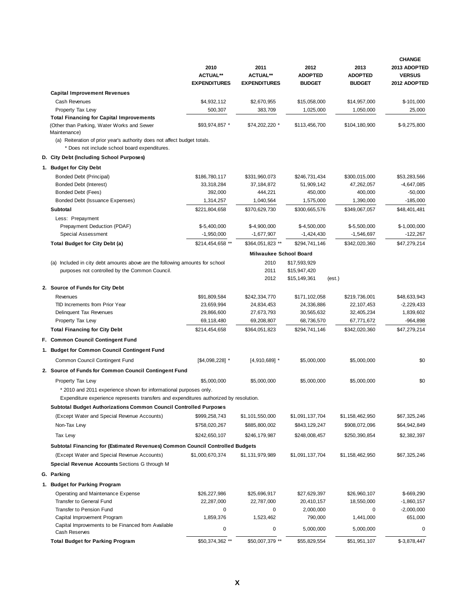|                                                                                                                           | 2010<br><b>ACTUAL**</b><br><b>EXPENDITURES</b> | 2011<br><b>ACTUAL**</b><br><b>EXPENDITURES</b> | 2012<br><b>ADOPTED</b><br><b>BUDGET</b> | 2013<br><b>ADOPTED</b><br><b>BUDGET</b> | <b>CHANGE</b><br>2013 ADOPTED<br><b>VERSUS</b><br>2012 ADOPTED |  |  |
|---------------------------------------------------------------------------------------------------------------------------|------------------------------------------------|------------------------------------------------|-----------------------------------------|-----------------------------------------|----------------------------------------------------------------|--|--|
| <b>Capital Improvement Revenues</b>                                                                                       |                                                |                                                |                                         |                                         |                                                                |  |  |
| Cash Revenues                                                                                                             | \$4,932,112                                    | \$2,670,955                                    | \$15,058,000                            | \$14,957,000                            | \$-101,000                                                     |  |  |
| Property Tax Lew                                                                                                          | 500,307                                        | 383,709                                        | 1,025,000                               | 1,050,000                               | 25,000                                                         |  |  |
| <b>Total Financing for Capital Improvements</b>                                                                           |                                                |                                                |                                         |                                         |                                                                |  |  |
| (Other than Parking, Water Works and Sewer<br>Maintenance)                                                                | \$93,974,857 *                                 | \$74,202,220 *                                 | \$113,456,700                           | \$104,180,900                           | \$-9,275,800                                                   |  |  |
| (a) Reiteration of prior year's authority does not affect budget totals.<br>* Does not include school board expenditures. |                                                |                                                |                                         |                                         |                                                                |  |  |
| D. City Debt (Including School Purposes)                                                                                  |                                                |                                                |                                         |                                         |                                                                |  |  |
| 1. Budget for City Debt                                                                                                   |                                                |                                                |                                         |                                         |                                                                |  |  |
| Bonded Debt (Principal)                                                                                                   | \$186,780,117                                  | \$331,960,073                                  | \$246,731,434                           | \$300,015,000                           | \$53,283,566                                                   |  |  |
| Bonded Debt (Interest)                                                                                                    | 33,318,284                                     | 37, 184, 872                                   | 51,909,142                              | 47,262,057                              | -4,647,085                                                     |  |  |
| Bonded Debt (Fees)                                                                                                        | 392,000                                        | 444,221                                        | 450,000                                 | 400,000                                 | $-50,000$                                                      |  |  |
| Bonded Debt (Issuance Expenses)                                                                                           | 1,314,257                                      | 1,040,564                                      | 1,575,000                               | 1,390,000                               | $-185,000$                                                     |  |  |
| Subtotal                                                                                                                  | \$221,804,658                                  | \$370,629,730                                  | \$300,665,576                           | \$349,067,057                           | \$48,401,481                                                   |  |  |
| Less: Prepayment                                                                                                          |                                                |                                                |                                         |                                         |                                                                |  |  |
| Prepayment Deduction (PDAF)                                                                                               | $$-5,400,000$                                  | \$-4,900,000                                   | $$-4,500,000$                           | $$-5,500,000$                           | $$-1,000,000$                                                  |  |  |
| Special Assessment                                                                                                        | $-1,950,000$                                   | $-1,677,907$                                   | $-1,424,430$                            | $-1,546,697$                            | $-122,267$                                                     |  |  |
| Total Budget for City Debt (a)                                                                                            | \$214,454,658 **                               | \$364,051,823 **                               | \$294,741,146                           | \$342,020,360                           | \$47,279,214                                                   |  |  |
|                                                                                                                           |                                                | <b>Milwaukee School Board</b>                  |                                         |                                         |                                                                |  |  |
| (a) Included in city debt amounts above are the following amounts for school                                              |                                                | 2010                                           | \$17,593,929                            |                                         |                                                                |  |  |
| purposes not controlled by the Common Council.                                                                            |                                                | 2011                                           | \$15,947,420                            |                                         |                                                                |  |  |
|                                                                                                                           |                                                | 2012                                           | \$15,149,361                            | (est.)                                  |                                                                |  |  |
| 2. Source of Funds for City Debt                                                                                          |                                                |                                                |                                         |                                         |                                                                |  |  |
| Revenues                                                                                                                  | \$91,809,584                                   | \$242,334,770                                  | \$171,102,058                           | \$219,736,001                           | \$48,633,943                                                   |  |  |
| TID Increments from Prior Year<br>Delinquent Tax Revenues                                                                 | 23,659,994<br>29,866,600                       | 24,834,453<br>27,673,793                       | 24,336,886<br>30,565,632                | 22, 107, 453<br>32,405,234              | $-2,229,433$<br>1,839,602                                      |  |  |
| Property Tax Levy                                                                                                         | 69,118,480                                     | 69,208,807                                     | 68,736,570                              | 67,771,672                              | $-964,898$                                                     |  |  |
| <b>Total Financing for City Debt</b>                                                                                      | \$214,454,658                                  | \$364,051,823                                  | \$294,741,146                           | \$342,020,360                           | \$47,279,214                                                   |  |  |
| F. Common Council Contingent Fund                                                                                         |                                                |                                                |                                         |                                         |                                                                |  |  |
| 1. Budget for Common Council Contingent Fund                                                                              |                                                |                                                |                                         |                                         |                                                                |  |  |
|                                                                                                                           |                                                |                                                |                                         |                                         |                                                                |  |  |
| Common Council Contingent Fund                                                                                            | $[$4,098,228]$ *                               | $[4,910,689]$ *                                | \$5,000,000                             | \$5,000,000                             | \$0                                                            |  |  |
| 2. Source of Funds for Common Council Contingent Fund                                                                     |                                                |                                                |                                         |                                         |                                                                |  |  |
| Property Tax Levy                                                                                                         | \$5,000,000                                    | \$5,000,000                                    | \$5,000,000                             | \$5,000,000                             | \$0                                                            |  |  |
| * 2010 and 2011 experience shown for informational purposes only.                                                         |                                                |                                                |                                         |                                         |                                                                |  |  |
| Expenditure experience represents transfers and expenditures authorized by resolution.                                    |                                                |                                                |                                         |                                         |                                                                |  |  |
| Subtotal Budget Authorizations Common Council Controlled Purposes                                                         |                                                |                                                |                                         |                                         |                                                                |  |  |
| (Except Water and Special Revenue Accounts)                                                                               | \$999,258,743                                  | \$1,101,550,000                                | \$1,091,137,704                         | \$1,158,462,950                         | \$67,325,246                                                   |  |  |
| Non-Tax Lew                                                                                                               | \$758,020,267                                  | \$885,800,002                                  | \$843,129,247                           | \$908,072,096                           | \$64,942,849                                                   |  |  |
| Tax Lew                                                                                                                   | \$242,650,107                                  | \$246,179,987                                  | \$248,008,457                           | \$250,390,854                           | \$2,382,397                                                    |  |  |
| Subtotal Financing for (Estimated Revenues) Common Council Controlled Budgets                                             |                                                |                                                |                                         |                                         |                                                                |  |  |
| (Except Water and Special Revenue Accounts)                                                                               | \$1,000,670,374                                | \$1,131,979,989                                | \$1,091,137,704                         | \$1,158,462,950                         | \$67,325,246                                                   |  |  |
| Special Revenue Accounts Sections G through M                                                                             |                                                |                                                |                                         |                                         |                                                                |  |  |
| G. Parking                                                                                                                |                                                |                                                |                                         |                                         |                                                                |  |  |
| 1. Budget for Parking Program                                                                                             |                                                |                                                |                                         |                                         |                                                                |  |  |
| Operating and Maintenance Expense                                                                                         | \$26,227,986                                   | \$25,696,917                                   | \$27,629,397                            | \$26,960,107                            | \$-669,290                                                     |  |  |
| Transfer to General Fund                                                                                                  | 22,287,000                                     | 22,787,000                                     | 20,410,157                              | 18,550,000                              | $-1,860,157$                                                   |  |  |
| Transfer to Pension Fund                                                                                                  | 0                                              | 0                                              | 2,000,000                               | 0                                       | $-2,000,000$                                                   |  |  |
| Capital Improvement Program                                                                                               | 1,859,376                                      | 1,523,462                                      | 790,000                                 | 1,441,000                               | 651,000                                                        |  |  |
| Capital Improvements to be Financed from Available<br>Cash Reserves                                                       | 0                                              | 0                                              | 5,000,000                               | 5,000,000                               | 0                                                              |  |  |
| <b>Total Budget for Parking Program</b>                                                                                   | \$50,374,362 **                                | \$50,007,379 **                                | \$55,829,554                            | \$51,951,107                            | \$-3,878,447                                                   |  |  |
|                                                                                                                           |                                                |                                                |                                         |                                         |                                                                |  |  |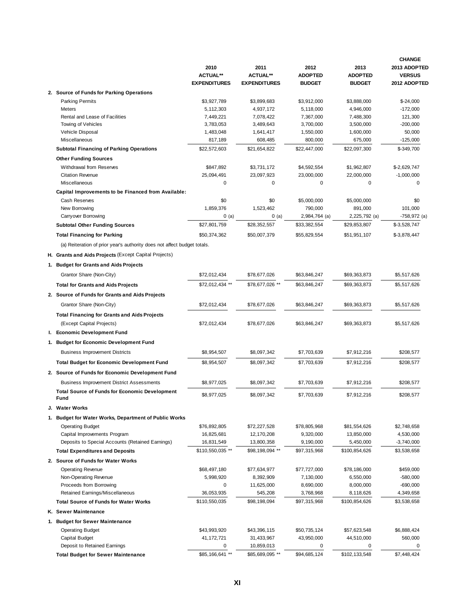|                                                                          |                         |                         |                               |                        | <b>CHANGE</b>                 |
|--------------------------------------------------------------------------|-------------------------|-------------------------|-------------------------------|------------------------|-------------------------------|
|                                                                          | 2010<br><b>ACTUAL**</b> | 2011<br><b>ACTUAL**</b> | 2012<br><b>ADOPTED</b>        | 2013<br><b>ADOPTED</b> | 2013 ADOPTED<br><b>VERSUS</b> |
|                                                                          | <b>EXPENDITURES</b>     | <b>EXPENDITURES</b>     | <b>BUDGET</b>                 | <b>BUDGET</b>          | 2012 ADOPTED                  |
| 2. Source of Funds for Parking Operations                                |                         |                         |                               |                        |                               |
| <b>Parking Permits</b>                                                   | \$3,927,789             | \$3,899,683             | \$3,912,000                   | \$3,888,000            | $$-24,000$                    |
| Meters                                                                   | 5,112,303               | 4,937,172               | 5,118,000                     | 4,946,000              | $-172,000$                    |
| Rental and Lease of Facilities                                           | 7,449,221               | 7,078,422               | 7,367,000                     | 7,488,300              | 121,300                       |
| Towing of Vehicles                                                       | 3,783,053               | 3,489,643               | 3,700,000                     | 3,500,000              | $-200,000$                    |
| Vehicle Disposal                                                         | 1,483,048               | 1,641,417               | 1,550,000                     | 1,600,000              | 50,000                        |
| Miscellaneous                                                            | 817,189                 | 608,485                 | 800,000                       | 675,000                | $-125,000$                    |
| <b>Subtotal Financing of Parking Operations</b>                          | \$22,572,603            | \$21,654,822            | \$22,447,000                  | \$22,097,300           | \$-349,700                    |
| <b>Other Funding Sources</b>                                             |                         |                         |                               |                        |                               |
| Withdrawal from Reserves                                                 | \$847,892               | \$3,731,172             | \$4,592,554                   | \$1,962,807            | \$-2,629,747                  |
| <b>Citation Revenue</b>                                                  | 25,094,491              | 23,097,923              | 23,000,000                    | 22,000,000             | $-1,000,000$                  |
| Miscellaneous                                                            | 0                       | 0                       | $\mathbf 0$                   | 0                      | $\mathbf 0$                   |
| Capital Improvements to be Financed from Available:                      |                         |                         |                               |                        |                               |
| Cash Reserves                                                            | \$0                     | \$0                     | \$5,000,000                   | \$5,000,000            | \$0                           |
| New Borrowing                                                            | 1,859,376               | 1,523,462               | 790,000                       | 891,000                | 101,000                       |
| Carryover Borrowing                                                      | 0(a)<br>\$27,801,759    | 0(a)<br>\$28,352,557    | 2,984,764 (a)<br>\$33,382,554 | 2,225,792 (a)          | -758,972 (a)                  |
| <b>Subtotal Other Funding Sources</b>                                    |                         |                         |                               | \$29,853,807           | \$-3,528,747                  |
| <b>Total Financing for Parking</b>                                       | \$50,374,362            | \$50,007,379            | \$55,829,554                  | \$51,951,107           | \$-3,878,447                  |
| (a) Reiteration of prior year's authority does not affect budget totals. |                         |                         |                               |                        |                               |
| H. Grants and Aids Projects (Except Capital Projects)                    |                         |                         |                               |                        |                               |
| 1. Budget for Grants and Aids Projects                                   |                         |                         |                               |                        |                               |
| Grantor Share (Non-City)                                                 | \$72.012.434            | \$78,677,026            | \$63,846,247                  | \$69.363.873           | \$5,517,626                   |
| <b>Total for Grants and Aids Projects</b>                                | \$72,012,434 **         | \$78,677,026 **         | \$63,846,247                  | \$69,363,873           | \$5,517,626                   |
|                                                                          |                         |                         |                               |                        |                               |
| 2. Source of Funds for Grants and Aids Projects                          |                         |                         |                               |                        |                               |
| Grantor Share (Non-City)                                                 | \$72,012,434            | \$78,677,026            | \$63,846,247                  | \$69,363,873           | \$5,517,626                   |
| <b>Total Financing for Grants and Aids Projects</b>                      |                         |                         |                               |                        |                               |
| (Except Capital Projects)                                                | \$72,012,434            | \$78,677,026            | \$63,846,247                  | \$69,363,873           | \$5,517,626                   |
| I. Economic Development Fund                                             |                         |                         |                               |                        |                               |
| 1. Budget for Economic Development Fund                                  |                         |                         |                               |                        |                               |
| <b>Business Improvement Districts</b>                                    | \$8,954,507             | \$8,097,342             | \$7,703,639                   | \$7,912,216            | \$208,577                     |
| <b>Total Budget for Economic Development Fund</b>                        | \$8,954,507             | \$8,097,342             | \$7,703,639                   | \$7,912,216            | \$208,577                     |
| 2. Source of Funds for Economic Development Fund                         |                         |                         |                               |                        |                               |
| <b>Business Improvement District Assessments</b>                         | \$8,977,025             | \$8,097,342             | \$7,703,639                   | \$7,912,216            | \$208,577                     |
| <b>Total Source of Funds for Economic Development</b>                    |                         |                         |                               |                        |                               |
| Fund                                                                     | \$8,977,025             | \$8,097,342             | \$7,703,639                   | \$7,912,216            | \$208,577                     |
| J. Water Works                                                           |                         |                         |                               |                        |                               |
| 1. Budget for Water Works, Department of Public Works                    |                         |                         |                               |                        |                               |
| <b>Operating Budget</b>                                                  | \$76,892,805            | \$72,227,528            | \$78,805,968                  | \$81,554,626           | \$2,748,658                   |
| Capital Improvements Program                                             | 16,825,681              | 12,170,208              | 9,320,000                     | 13,850,000             | 4,530,000                     |
| Deposits to Special Accounts (Retained Earnings)                         | 16,831,549              | 13,800,358              | 9,190,000                     | 5,450,000              | $-3,740,000$                  |
| <b>Total Expenditures and Deposits</b>                                   | \$110,550,035 **        | \$98,198,094 **         | \$97,315,968                  | \$100,854,626          | \$3,538,658                   |
| 2. Source of Funds for Water Works                                       |                         |                         |                               |                        |                               |
| <b>Operating Revenue</b>                                                 | \$68,497,180            | \$77,634,977            | \$77,727,000                  | \$78,186,000           | \$459,000                     |
| Non-Operating Revenue                                                    | 5,998,920               | 8,392,909               | 7,130,000                     | 6,550,000              | $-580,000$                    |
| Proceeds from Borrowing                                                  | 0                       | 11,625,000              | 8,690,000                     | 8,000,000              | $-690,000$                    |
| Retained Earnings/Miscellaneous                                          | 36,053,935              | 545,208                 | 3,768,968                     | 8,118,626              | 4,349,658                     |
| <b>Total Source of Funds for Water Works</b>                             | \$110,550,035           | \$98,198,094            | \$97,315,968                  | \$100,854,626          | \$3,538,658                   |
| K. Sewer Maintenance                                                     |                         |                         |                               |                        |                               |
| 1. Budget for Sewer Maintenance                                          |                         |                         |                               |                        |                               |
| <b>Operating Budget</b>                                                  | \$43,993,920            | \$43,396,115            | \$50,735,124                  | \$57,623,548           | \$6,888,424                   |
| Capital Budget                                                           | 41, 172, 721            | 31,433,967              | 43,950,000                    | 44,510,000             | 560,000                       |
| Deposit to Retained Earnings                                             | 0                       | 10,859,013              | 0                             | 0                      | 0                             |
| <b>Total Budget for Sewer Maintenance</b>                                | \$85,166,641 **         | \$85,689,095 **         | \$94,685,124                  | \$102,133,548          | \$7,448,424                   |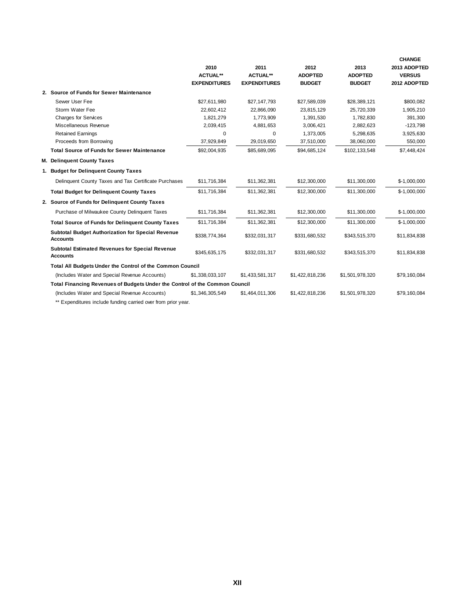|                                                                             |                     |                     |                 |                 | <b>CHANGE</b> |
|-----------------------------------------------------------------------------|---------------------|---------------------|-----------------|-----------------|---------------|
|                                                                             | 2010                | 2011                | 2012            | 2013            | 2013 ADOPTED  |
|                                                                             | <b>ACTUAL**</b>     | <b>ACTUAL**</b>     | <b>ADOPTED</b>  | <b>ADOPTED</b>  | <b>VERSUS</b> |
|                                                                             | <b>EXPENDITURES</b> | <b>EXPENDITURES</b> | <b>BUDGET</b>   | <b>BUDGET</b>   | 2012 ADOPTED  |
| 2. Source of Funds for Sewer Maintenance                                    |                     |                     |                 |                 |               |
| Sewer User Fee                                                              | \$27,611,980        | \$27,147,793        | \$27,589,039    | \$28,389,121    | \$800,082     |
| Storm Water Fee                                                             | 22,602,412          | 22,866,090          | 23,815,129      | 25,720,339      | 1,905,210     |
| <b>Charges for Services</b>                                                 | 1,821,279           | 1,773,909           | 1,391,530       | 1,782,830       | 391,300       |
| Miscellaneous Revenue                                                       | 2,039,415           | 4,881,653           | 3,006,421       | 2,882,623       | $-123,798$    |
| <b>Retained Earnings</b>                                                    | 0                   | 0                   | 1,373,005       | 5,298,635       | 3,925,630     |
| Proceeds from Borrowing                                                     | 37,929,849          | 29,019,650          | 37,510,000      | 38,060,000      | 550,000       |
| <b>Total Source of Funds for Sewer Maintenance</b>                          | \$92,004,935        | \$85,689,095        | \$94,685,124    | \$102,133,548   | \$7,448,424   |
| M. Delinquent County Taxes                                                  |                     |                     |                 |                 |               |
| 1. Budget for Delinquent County Taxes                                       |                     |                     |                 |                 |               |
| Delinquent County Taxes and Tax Certificate Purchases                       | \$11,716,384        | \$11,362,381        | \$12,300,000    | \$11,300,000    | \$-1,000,000  |
| <b>Total Budget for Delinquent County Taxes</b>                             | \$11,716,384        | \$11,362,381        | \$12,300,000    | \$11,300,000    | \$-1,000,000  |
| 2. Source of Funds for Delinguent County Taxes                              |                     |                     |                 |                 |               |
| Purchase of Milwaukee County Delinquent Taxes                               | \$11,716,384        | \$11,362,381        | \$12,300,000    | \$11,300,000    | $$-1,000,000$ |
| <b>Total Source of Funds for Delinquent County Taxes</b>                    | \$11,716,384        | \$11,362,381        | \$12,300,000    | \$11,300,000    | \$-1,000,000  |
| Subtotal Budget Authorization for Special Revenue<br><b>Accounts</b>        | \$338,774,364       | \$332,031,317       | \$331,680,532   | \$343,515,370   | \$11,834,838  |
| <b>Subtotal Estimated Revenues for Special Revenue</b><br><b>Accounts</b>   | \$345,635,175       | \$332,031,317       | \$331,680,532   | \$343,515,370   | \$11,834,838  |
| Total All Budgets Under the Control of the Common Council                   |                     |                     |                 |                 |               |
| (Includes Water and Special Revenue Accounts)                               | \$1,338,033,107     | \$1,433,581,317     | \$1,422,818,236 | \$1,501,978,320 | \$79,160,084  |
| Total Financing Revenues of Budgets Under the Control of the Common Council |                     |                     |                 |                 |               |
| (Includes Water and Special Revenue Accounts)                               | \$1,346,305,549     | \$1,464,011,306     | \$1,422,818,236 | \$1,501,978,320 | \$79,160,084  |
|                                                                             |                     |                     |                 |                 |               |

\*\* Expenditures include funding carried over from prior year.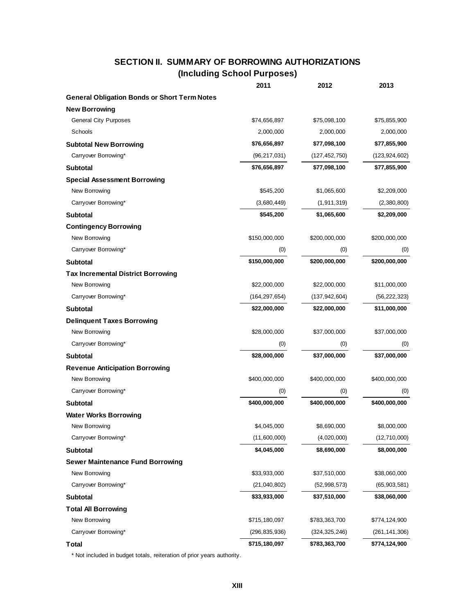## **SECTION II. SUMMARY OF BORROWING AUTHORIZATIONS (Including School Purposes)**

|                                                     | 2011            | 2012            | 2013            |
|-----------------------------------------------------|-----------------|-----------------|-----------------|
| <b>General Obligation Bonds or Short Term Notes</b> |                 |                 |                 |
| <b>New Borrowing</b>                                |                 |                 |                 |
| <b>General City Purposes</b>                        | \$74,656,897    | \$75,098,100    | \$75,855,900    |
| Schools                                             | 2,000,000       | 2,000,000       | 2,000,000       |
| <b>Subtotal New Borrowing</b>                       | \$76,656,897    | \$77,098,100    | \$77,855,900    |
| Carryover Borrowing*                                | (96, 217, 031)  | (127, 452, 750) | (123, 924, 602) |
| <b>Subtotal</b>                                     | \$76,656,897    | \$77,098,100    | \$77,855,900    |
| <b>Special Assessment Borrowing</b>                 |                 |                 |                 |
| New Borrowing                                       | \$545,200       | \$1,065,600     | \$2,209,000     |
| Carryover Borrowing*                                | (3,680,449)     | (1, 911, 319)   | (2,380,800)     |
| <b>Subtotal</b>                                     | \$545,200       | \$1,065,600     | \$2,209,000     |
| <b>Contingency Borrowing</b>                        |                 |                 |                 |
| New Borrowing                                       | \$150,000,000   | \$200,000,000   | \$200,000,000   |
| Carryover Borrowing*                                | (0)             | (0)             | (0)             |
| <b>Subtotal</b>                                     | \$150,000,000   | \$200,000,000   | \$200,000,000   |
| <b>Tax Incremental District Borrowing</b>           |                 |                 |                 |
| New Borrowing                                       | \$22,000,000    | \$22,000,000    | \$11,000,000    |
| Carryover Borrowing*                                | (164, 297, 654) | (137, 942, 604) | (56, 222, 323)  |
| <b>Subtotal</b>                                     | \$22,000,000    | \$22,000,000    | \$11,000,000    |
| <b>Delinquent Taxes Borrowing</b>                   |                 |                 |                 |
| New Borrowing                                       | \$28,000,000    | \$37,000,000    | \$37,000,000    |
| Carryover Borrowing*                                | (0)             | (0)             | (0)             |
| <b>Subtotal</b>                                     | \$28,000,000    | \$37,000,000    | \$37,000,000    |
| <b>Revenue Anticipation Borrowing</b>               |                 |                 |                 |
| New Borrowing                                       | \$400,000,000   | \$400,000,000   | \$400,000,000   |
| Carryover Borrowing*                                | (0)             | (0)             | (0)             |
| <b>Subtotal</b>                                     | \$400,000,000   | \$400,000,000   | \$400,000,000   |
| <b>Water Works Borrowing</b>                        |                 |                 |                 |
| New Borrowing                                       | \$4,045,000     | \$8,690,000     | \$8,000,000     |
| Carryover Borrowing*                                | (11,600,000)    | (4,020,000)     | (12,710,000)    |
| <b>Subtotal</b>                                     | \$4,045,000     | \$8,690,000     | \$8,000,000     |
| <b>Sewer Maintenance Fund Borrowing</b>             |                 |                 |                 |
| New Borrowing                                       | \$33,933,000    | \$37,510,000    | \$38,060,000    |
| Carryover Borrowing*                                | (21,040,802)    | (52, 998, 573)  | (65,903,581)    |
| <b>Subtotal</b>                                     | \$33,933,000    | \$37,510,000    | \$38,060,000    |
| <b>Total All Borrowing</b>                          |                 |                 |                 |
| New Borrowing                                       | \$715,180,097   | \$783,363,700   | \$774,124,900   |
| Carryover Borrowing*                                | (296, 835, 936) | (324, 325, 246) | (261, 141, 306) |
| <b>Total</b>                                        | \$715,180,097   | \$783,363,700   | \$774,124,900   |

\* Not included in budget totals, reiteration of prior years authority.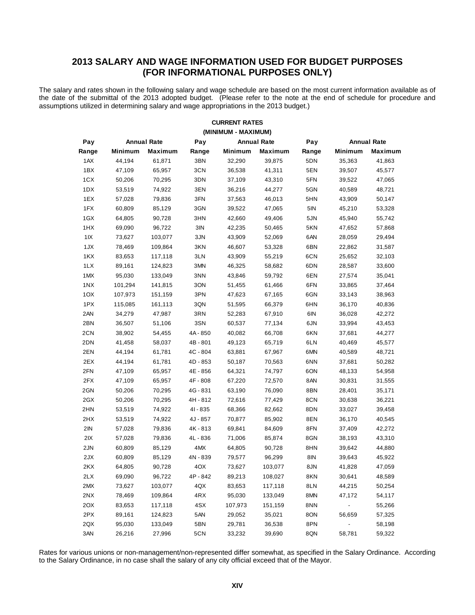## **2013 SALARY AND WAGE INFORMATION USED FOR BUDGET PURPOSES (FOR INFORMATIONAL PURPOSES ONLY)**

The salary and rates shown in the following salary and wage schedule are based on the most current information available as of the date of the submittal of the 2013 adopted budget. (Please refer to the note at the end of schedule for procedure and assumptions utilized in determining salary and wage appropriations in the 2013 budget.)

**CURRENT RATES**

|       | (MINIMUM - MAXIMUM) |                    |            |         |                    |       |         |                    |  |  |  |  |
|-------|---------------------|--------------------|------------|---------|--------------------|-------|---------|--------------------|--|--|--|--|
| Pay   |                     | <b>Annual Rate</b> | Pay        |         | <b>Annual Rate</b> | Pay   |         | <b>Annual Rate</b> |  |  |  |  |
| Range | <b>Minimum</b>      | Maximum            | Range      | Minimum | Maximum            | Range | Minimum | Maximum            |  |  |  |  |
| 1AX   | 44,194              | 61,871             | 3BN        | 32,290  | 39,875             | 5DN   | 35,363  | 41,863             |  |  |  |  |
| 1BX   | 47,109              | 65,957             | 3CN        | 36,538  | 41,311             | 5EN   | 39,507  | 45,577             |  |  |  |  |
| 1CX   | 50,206              | 70,295             | 3DN        | 37,109  | 43,310             | 5FN   | 39,522  | 47,065             |  |  |  |  |
| 1DX   | 53,519              | 74,922             | 3EN        | 36,216  | 44,277             | 5GN   | 40,589  | 48,721             |  |  |  |  |
| 1EX   | 57,028              | 79,836             | 3FN        | 37,563  | 46,013             | 5HN   | 43,909  | 50,147             |  |  |  |  |
| 1FX   | 60,809              | 85,129             | 3GN        | 39,522  | 47,065             | 5IN   | 45,210  | 53,328             |  |  |  |  |
| 1GX   | 64,805              | 90,728             | 3HN        | 42,660  | 49,406             | 5JN   | 45,940  | 55,742             |  |  |  |  |
| 1HX   | 69,090              | 96,722             | 3IN        | 42,235  | 50,465             | 5KN   | 47,652  | 57,868             |  |  |  |  |
| 11X   | 73,627              | 103,077            | 3JN        | 43,909  | 52,069             | 6AN   | 28,059  | 29,494             |  |  |  |  |
| 1JX   | 78,469              | 109,864            | 3KN        | 46,607  | 53,328             | 6BN   | 22,862  | 31,587             |  |  |  |  |
| 1KX   | 83,653              | 117,118            | 3LN        | 43,909  | 55,219             | 6CN   | 25,652  | 32,103             |  |  |  |  |
| 1LX   | 89,161              | 124,823            | 3MN        | 46,325  | 58,682             | 6DN   | 28,587  | 33,600             |  |  |  |  |
| 1MX   | 95,030              | 133,049            | 3NN        | 43,846  | 59,792             | 6EN   | 27,574  | 35,041             |  |  |  |  |
| 1NX   | 101,294             | 141,815            | 3ON        | 51,455  | 61,466             | 6FN   | 33,865  | 37,464             |  |  |  |  |
| 1OX   | 107,973             | 151,159            | 3PN        | 47,623  | 67,165             | 6GN   | 33,143  | 38,963             |  |  |  |  |
| 1PX   | 115,085             | 161,113            | 3QN        | 51,595  | 66,379             | 6HN   | 36,170  | 40,836             |  |  |  |  |
| 2AN   | 34,279              | 47,987             | 3RN        | 52,283  | 67,910             | 6IN   | 36,028  | 42,272             |  |  |  |  |
| 2BN   | 36,507              | 51,106             | 3SN        | 60,537  | 77,134             | 6JN   | 33,994  | 43,453             |  |  |  |  |
| 2CN   | 38,902              | 54,455             | 4A - 850   | 40,082  | 66,708             | 6KN   | 37,681  | 44,277             |  |  |  |  |
| 2DN   | 41,458              | 58,037             | 4B-801     | 49,123  | 65,719             | 6LN   | 40,469  | 45,577             |  |  |  |  |
| 2EN   | 44,194              | 61,781             | $4C - 804$ | 63,881  | 67,967             | 6MN   | 40,589  | 48,721             |  |  |  |  |
| 2EX   | 44,194              | 61,781             | 4D - 853   | 50,187  | 70,563             | 6NN   | 37,681  | 50,282             |  |  |  |  |
| 2FN   | 47,109              | 65,957             | 4E - 856   | 64,321  | 74,797             | 6ON   | 48,133  | 54,958             |  |  |  |  |
| 2FX   | 47,109              | 65,957             | 4F-808     | 67,220  | 72,570             | 8AN   | 30,831  | 31,555             |  |  |  |  |
| 2GN   | 50,206              | 70,295             | 4G - 831   | 63,190  | 76,090             | 8BN   | 28,401  | 35,171             |  |  |  |  |
| 2GX   | 50,206              | 70,295             | 4H - 812   | 72,616  | 77,429             | 8CN   | 30,638  | 36,221             |  |  |  |  |
| 2HN   | 53,519              | 74,922             | 41 - 835   | 68,366  | 82,662             | 8DN   | 33,027  | 39,458             |  |  |  |  |
| 2HX   | 53,519              | 74,922             | 4J - 857   | 70,877  | 85,902             | 8EN   | 36,170  | 40,545             |  |  |  |  |
| 2IN   | 57,028              | 79,836             | 4K - 813   | 69,841  | 84,609             | 8FN   | 37,409  | 42,272             |  |  |  |  |
| 2IX   | 57,028              | 79,836             | 4L - 836   | 71,006  | 85,874             | 8GN   | 38,193  | 43,310             |  |  |  |  |
| 2JN   | 60,809              | 85,129             | 4MX        | 64,805  | 90,728             | 8HN   | 39,642  | 44,880             |  |  |  |  |
| 2JX   | 60,809              | 85,129             | 4N - 839   | 79,577  | 96,299             | 8IN   | 39,643  | 45,922             |  |  |  |  |
| 2KX   | 64,805              | 90,728             | 4OX        | 73,627  | 103,077            | 8JN   | 41,828  | 47,059             |  |  |  |  |
| 2LX   | 69,090              | 96,722             | 4P-842     | 89,213  | 108,027            | 8KN   | 30,641  | 48,589             |  |  |  |  |
| 2MX   | 73,627              | 103,077            | 4QX        | 83,653  | 117,118            | 8LN   | 44,215  | 50,254             |  |  |  |  |
| 2NX   | 78,469              | 109,864            | 4RX        | 95,030  | 133,049            | 8MN   | 47,172  | 54,117             |  |  |  |  |
| 2OX   | 83,653              | 117,118            | 4SX        | 107,973 | 151,159            | 8NN   | ۰       | 55,266             |  |  |  |  |
| 2PX   | 89,161              | 124,823            | 5AN        | 29,052  | 35,021             | 8ON   | 56,659  | 57,325             |  |  |  |  |
| 2QX   | 95,030              | 133,049            | 5BN        | 29,781  | 36,538             | 8PN   | ۰       | 58,198             |  |  |  |  |
| 3AN   | 26,216              | 27,996             | 5CN        | 33,232  | 39,690             | 8QN   | 58,781  | 59,322             |  |  |  |  |

Rates for various unions or non-management/non-represented differ somewhat, as specified in the Salary Ordinance. According to the Salary Ordinance, in no case shall the salary of any city official exceed that of the Mayor.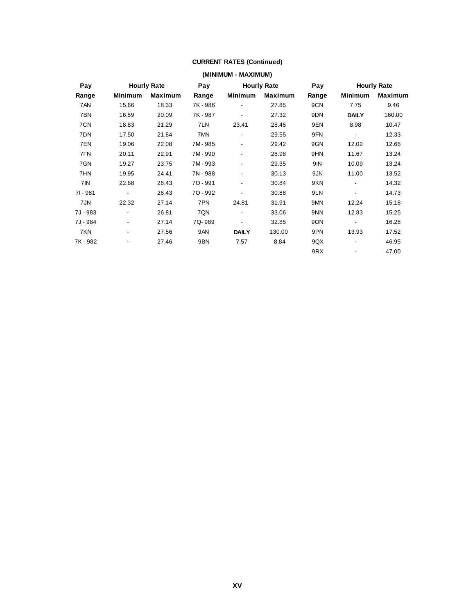#### **CURRENT RATES (Continued)**

|          | (MINIMUM - MAXIMUM)      |                    |          |                |                    |       |                          |                |  |  |  |
|----------|--------------------------|--------------------|----------|----------------|--------------------|-------|--------------------------|----------------|--|--|--|
| Pay      |                          | <b>Hourly Rate</b> | Pay      |                | <b>Hourly Rate</b> | Pay   | <b>Hourly Rate</b>       |                |  |  |  |
| Range    | Minimum                  | Maximum            | Range    | Minimum        | Maximum            | Range | <b>Minimum</b>           | <b>Maximum</b> |  |  |  |
| 7AN      | 15.66                    | 18.33              | 7K - 986 |                | 27.85              | 9CN   | 7.75                     | 9.46           |  |  |  |
| 7BN      | 16.59                    | 20.09              | 7K - 987 |                | 27.32              | 9DN   | <b>DAILY</b>             | 160.00         |  |  |  |
| 7CN      | 18.83                    | 21.29              | 7LN      | 23.41          | 28.45              | 9EN   | 8.98                     | 10.47          |  |  |  |
| 7DN      | 17.50                    | 21.84              | 7MN      | $\overline{a}$ | 29.55              | 9FN   | $\overline{\phantom{a}}$ | 12.33          |  |  |  |
| 7EN      | 19.06                    | 22.08              | 7M-985   | -              | 29.42              | 9GN   | 12.02                    | 12.68          |  |  |  |
| 7FN      | 20.11                    | 22.91              | 7M-990   |                | 28.98              | 9HN   | 11.67                    | 13.24          |  |  |  |
| 7GN      | 19.27                    | 23.75              | 7M-993   | $\overline{a}$ | 29.35              | 9IN   | 10.09                    | 13.24          |  |  |  |
| 7HN      | 19.95                    | 24.41              | 7N - 988 | $\overline{a}$ | 30.13              | 9JN   | 11.00                    | 13.52          |  |  |  |
| 7IN      | 22.68                    | 26.43              | 70 - 991 | $\overline{a}$ | 30.84              | 9KN   | $\overline{\phantom{0}}$ | 14.32          |  |  |  |
| 71 - 981 | $\overline{\phantom{a}}$ | 26.43              | 70 - 992 |                | 30.88              | 9LN   | $\overline{\phantom{0}}$ | 14.73          |  |  |  |
| 7JN      | 22.32                    | 27.14              | 7PN      | 24.81          | 31.91              | 9MN   | 12.24                    | 15.18          |  |  |  |
| 7J - 983 | $\overline{\phantom{a}}$ | 26.81              | 7QN      | -              | 33.06              | 9NN   | 12.83                    | 15.25          |  |  |  |
| 7J - 984 | $\blacksquare$           | 27.14              | 7Q-989   |                | 32.85              | 9ON   |                          | 16.28          |  |  |  |
| 7KN      | $\blacksquare$           | 27.56              | 9AN      | <b>DAILY</b>   | 130.00             | 9PN   | 13.93                    | 17.52          |  |  |  |
| 7K-982   |                          | 27.46              | 9BN      | 7.57           | 8.84               | 9QX   | -                        | 46.95          |  |  |  |
|          |                          |                    |          |                |                    | 9RX   |                          | 47.00          |  |  |  |
|          |                          |                    |          |                |                    |       |                          |                |  |  |  |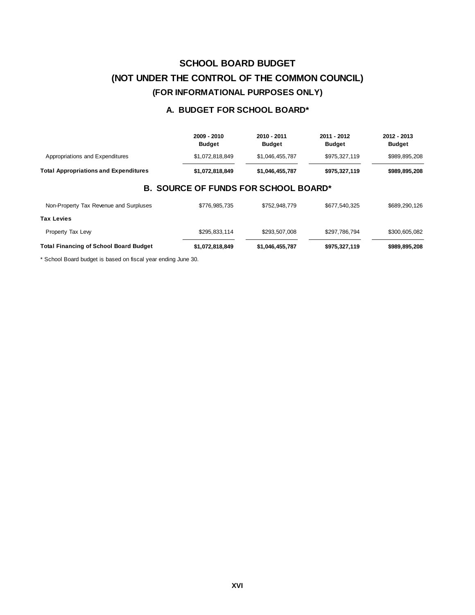# **SCHOOL BOARD BUDGET (NOT UNDER THE CONTROL OF THE COMMON COUNCIL) (FOR INFORMATIONAL PURPOSES ONLY)**

### **A. BUDGET FOR SCHOOL BOARD\***

|                                               | 2009 - 2010<br><b>Budget</b>                | 2010 - 2011<br><b>Budget</b> | 2011 - 2012<br><b>Budget</b> | 2012 - 2013<br><b>Budget</b> |
|-----------------------------------------------|---------------------------------------------|------------------------------|------------------------------|------------------------------|
| Appropriations and Expenditures               | \$1,072,818,849                             | \$1.046.455.787              | \$975,327,119                | \$989,895,208                |
| <b>Total Appropriations and Expenditures</b>  | \$1,072,818,849                             | \$1,046,455,787              | \$975,327,119                | \$989,895,208                |
|                                               | <b>B. SOURCE OF FUNDS FOR SCHOOL BOARD*</b> |                              |                              |                              |
| Non-Property Tax Revenue and Surpluses        | \$776,985,735                               | \$752,948,779                | \$677,540,325                | \$689,290,126                |
| Tax Levies                                    |                                             |                              |                              |                              |
| Property Tax Lew                              | \$295,833,114                               | \$293,507,008                | \$297,786,794                | \$300,605,082                |
| <b>Total Financing of School Board Budget</b> | \$1,072,818,849                             | \$1,046,455,787              | \$975,327,119                | \$989,895,208                |

\* School Board budget is based on fiscal year ending June 30.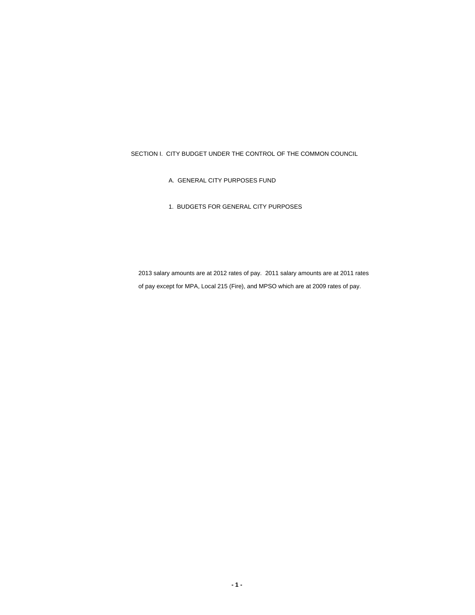SECTION I. CITY BUDGET UNDER THE CONTROL OF THE COMMON COUNCIL

- A. GENERAL CITY PURPOSES FUND
- 1. BUDGETS FOR GENERAL CITY PURPOSES

2013 salary amounts are at 2012 rates of pay. 2011 salary amounts are at 2011 rates of pay except for MPA, Local 215 (Fire), and MPSO which are at 2009 rates of pay.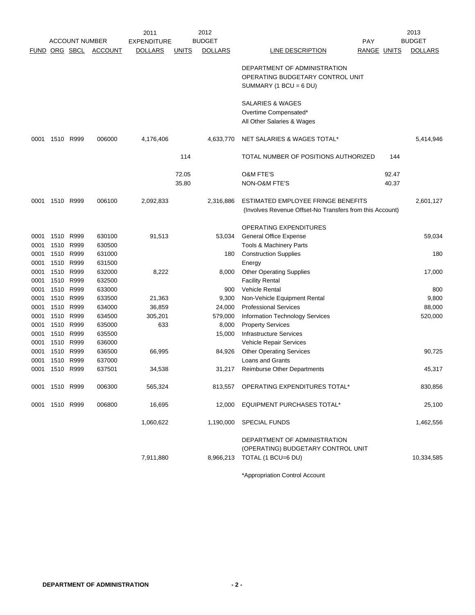|                      | 2012<br>2011      |                       |                  |                    |              |                  | 2013                                                                                               |                    |       |                |
|----------------------|-------------------|-----------------------|------------------|--------------------|--------------|------------------|----------------------------------------------------------------------------------------------------|--------------------|-------|----------------|
|                      |                   | <b>ACCOUNT NUMBER</b> |                  | <b>EXPENDITURE</b> |              | <b>BUDGET</b>    |                                                                                                    | <b>PAY</b>         |       | <b>BUDGET</b>  |
| <b>FUND ORG SBCL</b> |                   |                       | <b>ACCOUNT</b>   | <b>DOLLARS</b>     | <b>UNITS</b> | <b>DOLLARS</b>   | LINE DESCRIPTION                                                                                   | <b>RANGE UNITS</b> |       | <b>DOLLARS</b> |
|                      |                   |                       |                  |                    |              |                  | DEPARTMENT OF ADMINISTRATION<br>OPERATING BUDGETARY CONTROL UNIT<br>SUMMARY (1 BCU = 6 DU)         |                    |       |                |
|                      |                   |                       |                  |                    |              |                  | <b>SALARIES &amp; WAGES</b><br>Overtime Compensated*<br>All Other Salaries & Wages                 |                    |       |                |
| 0001                 | 1510 R999         |                       | 006000           | 4,176,406          |              | 4,633,770        | NET SALARIES & WAGES TOTAL*                                                                        |                    |       | 5,414,946      |
|                      |                   |                       |                  |                    | 114          |                  | TOTAL NUMBER OF POSITIONS AUTHORIZED                                                               |                    | 144   |                |
|                      |                   |                       |                  |                    | 72.05        |                  | <b>O&amp;M FTE'S</b>                                                                               |                    | 92.47 |                |
|                      |                   |                       |                  |                    | 35.80        |                  | NON-O&M FTE'S                                                                                      |                    | 40.37 |                |
| 0001                 | 1510 R999         |                       | 006100           | 2,092,833          |              | 2,316,886        | ESTIMATED EMPLOYEE FRINGE BENEFITS<br>(Involves Revenue Offset-No Transfers from this Account)     |                    |       | 2,601,127      |
|                      |                   |                       |                  |                    |              |                  | <b>OPERATING EXPENDITURES</b>                                                                      |                    |       |                |
| 0001                 | 1510              | R999                  | 630100           | 91,513             |              | 53,034           | <b>General Office Expense</b>                                                                      |                    |       | 59,034         |
| 0001                 | 1510              | R999                  | 630500           |                    |              |                  | Tools & Machinery Parts                                                                            |                    |       |                |
| 0001                 | 1510              | R999                  | 631000           |                    |              | 180              | <b>Construction Supplies</b>                                                                       |                    |       | 180            |
| 0001                 | 1510 R999         |                       | 631500           |                    |              |                  | Energy                                                                                             |                    |       |                |
| 0001                 | 1510 R999         |                       | 632000           | 8,222              |              | 8,000            | <b>Other Operating Supplies</b>                                                                    |                    |       | 17,000         |
| 0001                 | 1510 R999         |                       | 632500           |                    |              |                  | <b>Facility Rental</b>                                                                             |                    |       |                |
| 0001                 | 1510 R999         |                       | 633000           |                    |              | 900              | <b>Vehicle Rental</b>                                                                              |                    |       | 800            |
| 0001                 | 1510              | R999                  | 633500           | 21,363             |              | 9,300            | Non-Vehicle Equipment Rental                                                                       |                    |       | 9,800          |
| 0001                 | 1510              | R999                  | 634000           | 36,859             |              | 24,000           | <b>Professional Services</b>                                                                       |                    |       | 88,000         |
| 0001<br>0001         | 1510 R999<br>1510 | R999                  | 634500<br>635000 | 305,201<br>633     |              | 579,000<br>8,000 | <b>Information Technology Services</b><br><b>Property Services</b>                                 |                    |       | 520,000        |
| 0001                 | 1510              | R999                  | 635500           |                    |              | 15,000           | <b>Infrastructure Services</b>                                                                     |                    |       |                |
| 0001                 | 1510              | R999                  | 636000           |                    |              |                  | Vehicle Repair Services                                                                            |                    |       |                |
| 0001                 | 1510 R999         |                       | 636500           | 66,995             |              | 84,926           | <b>Other Operating Services</b>                                                                    |                    |       | 90,725         |
| 0001                 | 1510              | R999                  | 637000           |                    |              |                  | Loans and Grants                                                                                   |                    |       |                |
| 0001                 | 1510 R999         |                       | 637501           | 34,538             |              | 31,217           | <b>Reimburse Other Departments</b>                                                                 |                    |       | 45,317         |
|                      | 0001 1510 R999    |                       | 006300           | 565,324            |              |                  | 813,557 OPERATING EXPENDITURES TOTAL*                                                              |                    |       | 830,856        |
| 0001                 | 1510 R999         |                       | 006800           | 16,695             |              | 12,000           | <b>EQUIPMENT PURCHASES TOTAL*</b>                                                                  |                    |       | 25,100         |
|                      |                   |                       |                  | 1,060,622          |              | 1,190,000        | <b>SPECIAL FUNDS</b>                                                                               |                    |       | 1,462,556      |
|                      |                   |                       |                  | 7,911,880          |              |                  | DEPARTMENT OF ADMINISTRATION<br>(OPERATING) BUDGETARY CONTROL UNIT<br>8,966,213 TOTAL (1 BCU=6 DU) |                    |       | 10,334,585     |

\*Appropriation Control Account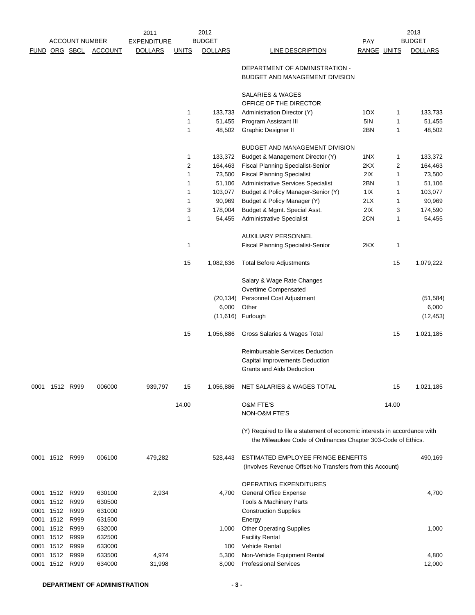|           | <b>ACCOUNT NUMBER</b> |               | 2011<br><b>EXPENDITURE</b> |                | 2012<br><b>BUDGET</b> |                | <b>PAY</b>                                                                                                                                |             | 2013<br><b>BUDGET</b> |                |
|-----------|-----------------------|---------------|----------------------------|----------------|-----------------------|----------------|-------------------------------------------------------------------------------------------------------------------------------------------|-------------|-----------------------|----------------|
|           |                       | FUND ORG SBCL | <b>ACCOUNT</b>             | <b>DOLLARS</b> | <u>UNITS</u>          | <b>DOLLARS</b> | LINE DESCRIPTION                                                                                                                          | RANGE UNITS |                       | <b>DOLLARS</b> |
|           |                       |               |                            |                |                       |                | DEPARTMENT OF ADMINISTRATION -<br>BUDGET AND MANAGEMENT DIVISION                                                                          |             |                       |                |
|           |                       |               |                            |                |                       |                | <b>SALARIES &amp; WAGES</b><br>OFFICE OF THE DIRECTOR                                                                                     |             |                       |                |
|           |                       |               |                            |                | 1                     | 133,733        | Administration Director (Y)                                                                                                               | 1OX         | 1                     | 133,733        |
|           |                       |               |                            |                | 1                     | 51,455         | Program Assistant III                                                                                                                     | 5IN         | 1                     | 51,455         |
|           |                       |               |                            |                | 1                     | 48,502         | Graphic Designer II                                                                                                                       | 2BN         | 1                     | 48,502         |
|           |                       |               |                            |                |                       |                | <b>BUDGET AND MANAGEMENT DIVISION</b>                                                                                                     |             |                       |                |
|           |                       |               |                            |                | 1                     | 133,372        | Budget & Management Director (Y)                                                                                                          | 1NX         | 1                     | 133,372        |
|           |                       |               |                            |                | 2                     | 164,463        | <b>Fiscal Planning Specialist-Senior</b>                                                                                                  | 2KX         | 2                     | 164,463        |
|           |                       |               |                            |                | 1                     | 73,500         | <b>Fiscal Planning Specialist</b>                                                                                                         | 2IX         | 1                     | 73,500         |
|           |                       |               |                            |                | 1                     | 51,106         | <b>Administrative Services Specialist</b>                                                                                                 | 2BN         | 1                     | 51,106         |
|           |                       |               |                            |                | 1                     | 103,077        | Budget & Policy Manager-Senior (Y)                                                                                                        | 11X         | 1                     | 103,077        |
|           |                       |               |                            |                | 1                     | 90,969         | Budget & Policy Manager (Y)                                                                                                               | 2LX         | 1                     | 90,969         |
|           |                       |               |                            |                | 3                     | 178,004        | Budget & Mgmt. Special Asst.                                                                                                              | 2IX         | 3                     | 174,590        |
|           |                       |               |                            |                | 1                     | 54,455         | <b>Administrative Specialist</b>                                                                                                          | 2CN         | 1                     | 54,455         |
|           |                       |               |                            |                |                       |                | AUXILIARY PERSONNEL                                                                                                                       |             |                       |                |
|           |                       |               |                            |                | 1                     |                | <b>Fiscal Planning Specialist-Senior</b>                                                                                                  | 2KX         | 1                     |                |
|           |                       |               |                            |                | 15                    | 1,082,636      | <b>Total Before Adjustments</b>                                                                                                           |             | 15                    | 1,079,222      |
|           |                       |               |                            |                |                       |                | Salary & Wage Rate Changes                                                                                                                |             |                       |                |
|           |                       |               |                            |                |                       |                | Overtime Compensated                                                                                                                      |             |                       |                |
|           |                       |               |                            |                |                       | (20, 134)      | Personnel Cost Adjustment                                                                                                                 |             |                       | (51, 584)      |
|           |                       |               |                            |                |                       | 6,000          | Other                                                                                                                                     |             |                       | 6,000          |
|           |                       |               |                            |                |                       | (11,616)       | Furlough                                                                                                                                  |             |                       | (12, 453)      |
|           |                       |               |                            |                | 15                    | 1,056,886      | Gross Salaries & Wages Total                                                                                                              |             | 15                    | 1,021,185      |
|           |                       |               |                            |                |                       |                | Reimbursable Services Deduction<br>Capital Improvements Deduction<br><b>Grants and Aids Deduction</b>                                     |             |                       |                |
| 0001      | 1512 R999             |               | 006000                     | 939,797        | 15                    | 1,056,886      | NET SALARIES & WAGES TOTAL                                                                                                                |             | 15                    | 1,021,185      |
|           |                       |               |                            |                | 14.00                 |                | <b>O&amp;M FTE'S</b><br>NON-O&M FTE'S                                                                                                     |             | 14.00                 |                |
|           |                       |               |                            |                |                       |                | (Y) Required to file a statement of economic interests in accordance with<br>the Milwaukee Code of Ordinances Chapter 303-Code of Ethics. |             |                       |                |
|           | 0001 1512 R999        |               | 006100                     | 479,282        |                       | 528,443        | ESTIMATED EMPLOYEE FRINGE BENEFITS<br>(Involves Revenue Offset-No Transfers from this Account)                                            |             |                       | 490,169        |
|           |                       |               |                            |                |                       |                | OPERATING EXPENDITURES                                                                                                                    |             |                       |                |
| 0001 1512 |                       | R999          | 630100                     | 2,934          |                       | 4,700          | <b>General Office Expense</b>                                                                                                             |             |                       | 4,700          |
| 0001      | 1512                  | R999          | 630500                     |                |                       |                | Tools & Machinery Parts                                                                                                                   |             |                       |                |
| 0001 1512 |                       | R999          | 631000                     |                |                       |                | <b>Construction Supplies</b>                                                                                                              |             |                       |                |
| 0001 1512 |                       | R999          | 631500                     |                |                       |                | Energy                                                                                                                                    |             |                       |                |
|           | 0001 1512             | R999          | 632000                     |                |                       | 1,000          | <b>Other Operating Supplies</b>                                                                                                           |             |                       | 1,000          |
| 0001      | 1512                  | R999          | 632500                     |                |                       |                | <b>Facility Rental</b>                                                                                                                    |             |                       |                |
| 0001      | 1512                  | R999          | 633000                     |                |                       | 100            | <b>Vehicle Rental</b>                                                                                                                     |             |                       |                |
| 0001      | 1512                  | R999          | 633500                     | 4,974          |                       | 5,300          | Non-Vehicle Equipment Rental                                                                                                              |             |                       | 4,800          |
|           | 0001 1512 R999        |               | 634000                     | 31,998         |                       | 8,000          | <b>Professional Services</b>                                                                                                              |             |                       | 12,000         |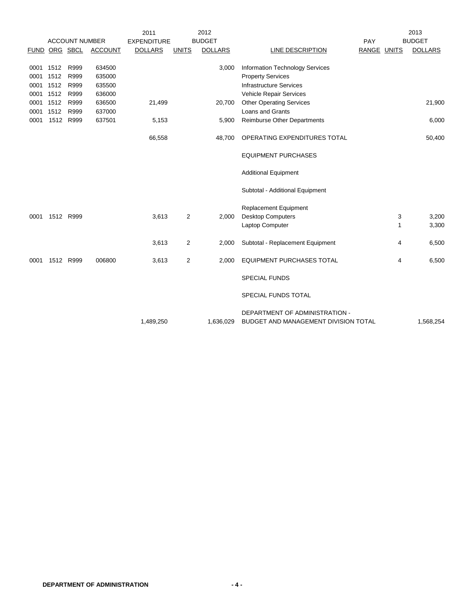|      |           |                       |                | 2011               |              | 2012           |                                                                        |             | 2013           |
|------|-----------|-----------------------|----------------|--------------------|--------------|----------------|------------------------------------------------------------------------|-------------|----------------|
|      |           | <b>ACCOUNT NUMBER</b> |                | <b>EXPENDITURE</b> |              | <b>BUDGET</b>  |                                                                        | PAY         | <b>BUDGET</b>  |
|      |           | FUND ORG SBCL         | <b>ACCOUNT</b> | <b>DOLLARS</b>     | <b>UNITS</b> | <b>DOLLARS</b> | LINE DESCRIPTION                                                       | RANGE UNITS | <b>DOLLARS</b> |
| 0001 | 1512      | R999                  | 634500         |                    |              | 3,000          | <b>Information Technology Services</b>                                 |             |                |
| 0001 | 1512      | R999                  | 635000         |                    |              |                | <b>Property Services</b>                                               |             |                |
| 0001 | 1512      | R999                  | 635500         |                    |              |                | <b>Infrastructure Services</b>                                         |             |                |
| 0001 | 1512      | R999                  | 636000         |                    |              |                | Vehicle Repair Services                                                |             |                |
| 0001 | 1512      | R999                  | 636500         | 21,499             |              | 20,700         | <b>Other Operating Services</b>                                        |             | 21,900         |
| 0001 | 1512      | R999                  | 637000         |                    |              |                | Loans and Grants                                                       |             |                |
| 0001 |           | 1512 R999             | 637501         | 5,153              |              | 5,900          | <b>Reimburse Other Departments</b>                                     |             | 6,000          |
|      |           |                       |                |                    |              |                |                                                                        |             |                |
|      |           |                       |                | 66,558             |              | 48,700         | OPERATING EXPENDITURES TOTAL                                           |             | 50,400         |
|      |           |                       |                |                    |              |                | <b>EQUIPMENT PURCHASES</b>                                             |             |                |
|      |           |                       |                |                    |              |                | <b>Additional Equipment</b>                                            |             |                |
|      |           |                       |                |                    |              |                | Subtotal - Additional Equipment                                        |             |                |
|      |           |                       |                |                    |              |                | Replacement Equipment                                                  |             |                |
| 0001 | 1512 R999 |                       |                | 3,613              | 2            | 2,000          | <b>Desktop Computers</b>                                               | 3           | 3,200          |
|      |           |                       |                |                    |              |                | Laptop Computer                                                        | 1           | 3,300          |
|      |           |                       |                | 3,613              | 2            | 2,000          | Subtotal - Replacement Equipment                                       | 4           | 6,500          |
| 0001 |           | 1512 R999             | 006800         | 3,613              | 2            | 2,000          | <b>EQUIPMENT PURCHASES TOTAL</b>                                       | 4           | 6,500          |
|      |           |                       |                |                    |              |                | <b>SPECIAL FUNDS</b>                                                   |             |                |
|      |           |                       |                |                    |              |                | SPECIAL FUNDS TOTAL                                                    |             |                |
|      |           |                       |                | 1,489,250          |              | 1,636,029      | DEPARTMENT OF ADMINISTRATION -<br>BUDGET AND MANAGEMENT DIVISION TOTAL |             | 1,568,254      |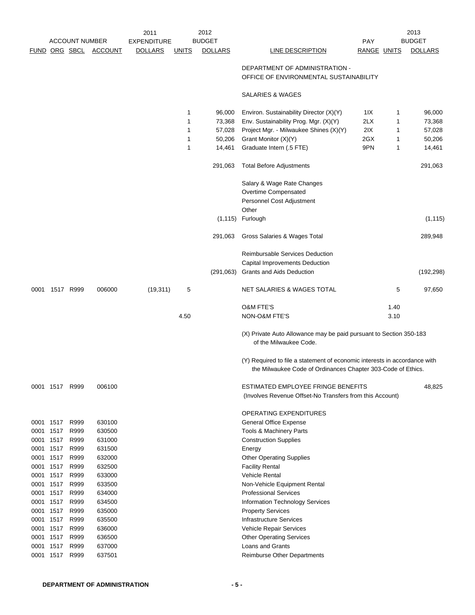|      |                |                       |                | 2011               |              | 2012           |                                                                                                                                           |                    |      | 2013           |
|------|----------------|-----------------------|----------------|--------------------|--------------|----------------|-------------------------------------------------------------------------------------------------------------------------------------------|--------------------|------|----------------|
|      |                | <b>ACCOUNT NUMBER</b> |                | <b>EXPENDITURE</b> |              | <b>BUDGET</b>  |                                                                                                                                           | <b>PAY</b>         |      | <b>BUDGET</b>  |
|      |                | FUND ORG SBCL         | <b>ACCOUNT</b> | <b>DOLLARS</b>     | <b>UNITS</b> | <b>DOLLARS</b> | <b>LINE DESCRIPTION</b>                                                                                                                   | <b>RANGE UNITS</b> |      | <b>DOLLARS</b> |
|      |                |                       |                |                    |              |                | DEPARTMENT OF ADMINISTRATION -<br>OFFICE OF ENVIRONMENTAL SUSTAINABILITY                                                                  |                    |      |                |
|      |                |                       |                |                    |              |                | <b>SALARIES &amp; WAGES</b>                                                                                                               |                    |      |                |
|      |                |                       |                |                    | 1            | 96,000         | Environ. Sustainability Director (X)(Y)                                                                                                   | 1IX                | 1    | 96,000         |
|      |                |                       |                |                    | 1            | 73,368         | Env. Sustainability Prog. Mgr. (X)(Y)                                                                                                     | 2LX                | 1    | 73,368         |
|      |                |                       |                |                    | 1            | 57,028         | Project Mgr. - Milwaukee Shines (X)(Y)                                                                                                    | 2IX                | 1    | 57,028         |
|      |                |                       |                |                    | 1            | 50,206         | Grant Monitor (X)(Y)                                                                                                                      | 2GX                | 1    | 50,206         |
|      |                |                       |                |                    | 1            | 14,461         | Graduate Intern (.5 FTE)                                                                                                                  | 9PN                | 1    | 14,461         |
|      |                |                       |                |                    |              | 291,063        | <b>Total Before Adjustments</b>                                                                                                           |                    |      | 291,063        |
|      |                |                       |                |                    |              |                | Salary & Wage Rate Changes                                                                                                                |                    |      |                |
|      |                |                       |                |                    |              |                | Overtime Compensated                                                                                                                      |                    |      |                |
|      |                |                       |                |                    |              |                | Personnel Cost Adjustment                                                                                                                 |                    |      |                |
|      |                |                       |                |                    |              |                | Other                                                                                                                                     |                    |      |                |
|      |                |                       |                |                    |              | (1, 115)       | Furlough                                                                                                                                  |                    |      | (1, 115)       |
|      |                |                       |                |                    |              | 291,063        | Gross Salaries & Wages Total                                                                                                              |                    |      | 289,948        |
|      |                |                       |                |                    |              |                | Reimbursable Services Deduction                                                                                                           |                    |      |                |
|      |                |                       |                |                    |              |                | Capital Improvements Deduction                                                                                                            |                    |      |                |
|      |                |                       |                |                    |              | (291,063)      | <b>Grants and Aids Deduction</b>                                                                                                          |                    |      | (192, 298)     |
| 0001 |                | 1517 R999             | 006000         | (19, 311)          | 5            |                | <b>NET SALARIES &amp; WAGES TOTAL</b>                                                                                                     |                    | 5    | 97,650         |
|      |                |                       |                |                    |              |                | <b>O&amp;M FTE'S</b>                                                                                                                      |                    | 1.40 |                |
|      |                |                       |                |                    | 4.50         |                | NON-O&M FTE'S                                                                                                                             |                    | 3.10 |                |
|      |                |                       |                |                    |              |                | (X) Private Auto Allowance may be paid pursuant to Section 350-183<br>of the Milwaukee Code.                                              |                    |      |                |
|      |                |                       |                |                    |              |                | (Y) Required to file a statement of economic interests in accordance with<br>the Milwaukee Code of Ordinances Chapter 303-Code of Ethics. |                    |      |                |
|      | 0001 1517 R999 |                       | 006100         |                    |              |                | ESTIMATED EMPLOYEE FRINGE BENEFITS<br>(Involves Revenue Offset-No Transfers from this Account)                                            |                    |      | 48,825         |
|      |                |                       |                |                    |              |                | OPERATING EXPENDITURES                                                                                                                    |                    |      |                |
|      | 0001 1517      | R999                  | 630100         |                    |              |                | <b>General Office Expense</b>                                                                                                             |                    |      |                |
| 0001 | 1517           | R999                  | 630500         |                    |              |                | <b>Tools &amp; Machinery Parts</b>                                                                                                        |                    |      |                |
| 0001 | 1517           | R999                  | 631000         |                    |              |                | <b>Construction Supplies</b>                                                                                                              |                    |      |                |
|      | 0001 1517      | R999                  | 631500         |                    |              |                | Energy                                                                                                                                    |                    |      |                |
| 0001 | 1517           | R999                  | 632000         |                    |              |                | <b>Other Operating Supplies</b>                                                                                                           |                    |      |                |
| 0001 | 1517           | R999                  | 632500         |                    |              |                | <b>Facility Rental</b>                                                                                                                    |                    |      |                |
| 0001 | 1517           | R999                  | 633000         |                    |              |                | <b>Vehicle Rental</b>                                                                                                                     |                    |      |                |
| 0001 | 1517           | R999                  | 633500         |                    |              |                | Non-Vehicle Equipment Rental                                                                                                              |                    |      |                |
|      | 0001 1517      | R999                  | 634000         |                    |              |                | <b>Professional Services</b>                                                                                                              |                    |      |                |
| 0001 | 1517           | R999                  | 634500         |                    |              |                | Information Technology Services                                                                                                           |                    |      |                |
| 0001 | 1517           | R999                  | 635000         |                    |              |                | <b>Property Services</b>                                                                                                                  |                    |      |                |
| 0001 | 1517           | R999                  | 635500         |                    |              |                | <b>Infrastructure Services</b>                                                                                                            |                    |      |                |
| 0001 | 1517           | R999                  | 636000         |                    |              |                | Vehicle Repair Services                                                                                                                   |                    |      |                |
|      | 0001 1517      | R999                  | 636500         |                    |              |                | <b>Other Operating Services</b>                                                                                                           |                    |      |                |
| 0001 | 1517           | R999                  | 637000         |                    |              |                | Loans and Grants                                                                                                                          |                    |      |                |
|      | 0001 1517      | R999                  | 637501         |                    |              |                | <b>Reimburse Other Departments</b>                                                                                                        |                    |      |                |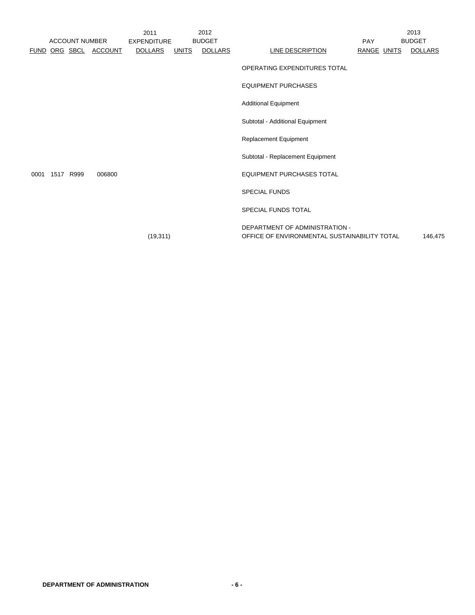|      | <b>ACCOUNT NUMBER</b> |                | 2011<br><b>EXPENDITURE</b> |              | 2012<br><b>BUDGET</b> |                                                                                | <b>PAY</b>  | 2013<br><b>BUDGET</b> |
|------|-----------------------|----------------|----------------------------|--------------|-----------------------|--------------------------------------------------------------------------------|-------------|-----------------------|
|      | FUND ORG SBCL         | <b>ACCOUNT</b> | <b>DOLLARS</b>             | <b>UNITS</b> | <b>DOLLARS</b>        | LINE DESCRIPTION                                                               | RANGE UNITS | <b>DOLLARS</b>        |
|      |                       |                |                            |              |                       | OPERATING EXPENDITURES TOTAL                                                   |             |                       |
|      |                       |                |                            |              |                       | <b>EQUIPMENT PURCHASES</b>                                                     |             |                       |
|      |                       |                |                            |              |                       | <b>Additional Equipment</b>                                                    |             |                       |
|      |                       |                |                            |              |                       | Subtotal - Additional Equipment                                                |             |                       |
|      |                       |                |                            |              |                       | Replacement Equipment                                                          |             |                       |
|      |                       |                |                            |              |                       | Subtotal - Replacement Equipment                                               |             |                       |
| 0001 | 1517 R999             | 006800         |                            |              |                       | <b>EQUIPMENT PURCHASES TOTAL</b>                                               |             |                       |
|      |                       |                |                            |              |                       | <b>SPECIAL FUNDS</b>                                                           |             |                       |
|      |                       |                |                            |              |                       | <b>SPECIAL FUNDS TOTAL</b>                                                     |             |                       |
|      |                       |                | (19, 311)                  |              |                       | DEPARTMENT OF ADMINISTRATION -<br>OFFICE OF ENVIRONMENTAL SUSTAINABILITY TOTAL |             | 146,475               |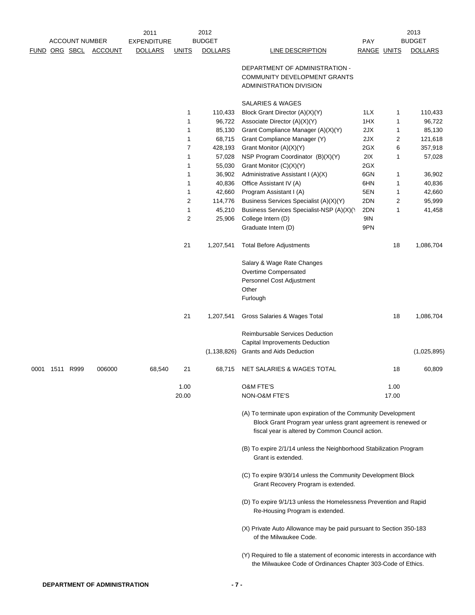|      |           |                       |                | 2011               |                | 2012           |                                                                                                                                                                                    |             |       | 2013           |
|------|-----------|-----------------------|----------------|--------------------|----------------|----------------|------------------------------------------------------------------------------------------------------------------------------------------------------------------------------------|-------------|-------|----------------|
|      |           | <b>ACCOUNT NUMBER</b> |                | <b>EXPENDITURE</b> |                | <b>BUDGET</b>  |                                                                                                                                                                                    | <b>PAY</b>  |       | <b>BUDGET</b>  |
|      |           | FUND ORG SBCL         | <b>ACCOUNT</b> | <b>DOLLARS</b>     | <b>UNITS</b>   | <b>DOLLARS</b> | LINE DESCRIPTION                                                                                                                                                                   | RANGE UNITS |       | <b>DOLLARS</b> |
|      |           |                       |                |                    |                |                | DEPARTMENT OF ADMINISTRATION -                                                                                                                                                     |             |       |                |
|      |           |                       |                |                    |                |                | COMMUNITY DEVELOPMENT GRANTS                                                                                                                                                       |             |       |                |
|      |           |                       |                |                    |                |                | ADMINISTRATION DIVISION                                                                                                                                                            |             |       |                |
|      |           |                       |                |                    |                |                | SALARIES & WAGES                                                                                                                                                                   |             |       |                |
|      |           |                       |                |                    | 1              | 110,433        | Block Grant Director (A)(X)(Y)                                                                                                                                                     | 1LX         | 1     | 110,433        |
|      |           |                       |                |                    | 1              | 96,722         | Associate Director (A)(X)(Y)                                                                                                                                                       | 1HX         | 1     | 96,722         |
|      |           |                       |                |                    | 1              | 85,130         | Grant Compliance Manager (A)(X)(Y)                                                                                                                                                 | 2JX         | 1     | 85,130         |
|      |           |                       |                |                    | 1              | 68,715         | Grant Compliance Manager (Y)                                                                                                                                                       | 2JX         | 2     | 121,618        |
|      |           |                       |                |                    | $\overline{7}$ | 428,193        | Grant Monitor (A)(X)(Y)                                                                                                                                                            | 2GX         | 6     | 357,918        |
|      |           |                       |                |                    | 1              | 57,028         | NSP Program Coordinator (B)(X)(Y)                                                                                                                                                  | 2IX         | 1     | 57,028         |
|      |           |                       |                |                    | 1              | 55,030         | Grant Monitor (C)(X)(Y)                                                                                                                                                            | 2GX         |       |                |
|      |           |                       |                |                    | -1             | 36,902         | Administrative Assistant I (A)(X)                                                                                                                                                  | 6GN         | 1     | 36,902         |
|      |           |                       |                |                    | 1              | 40,836         | Office Assistant IV (A)                                                                                                                                                            | 6HN         | 1     | 40,836         |
|      |           |                       |                |                    | 1              | 42,660         | Program Assistant I (A)                                                                                                                                                            | 5EN         | 1     | 42,660         |
|      |           |                       |                |                    | $\overline{2}$ | 114,776        | Business Services Specialist (A)(X)(Y)                                                                                                                                             | 2DN         | 2     | 95,999         |
|      |           |                       |                |                    | 1              | 45,210         | Business Services Specialist-NSP (A)(X)(\                                                                                                                                          | 2DN         | 1     | 41,458         |
|      |           |                       |                |                    | $\sqrt{2}$     | 25,906         | College Intern (D)<br>Graduate Intern (D)                                                                                                                                          | 9IN<br>9PN  |       |                |
|      |           |                       |                |                    | 21             | 1,207,541      | <b>Total Before Adjustments</b>                                                                                                                                                    |             | 18    | 1,086,704      |
|      |           |                       |                |                    |                |                |                                                                                                                                                                                    |             |       |                |
|      |           |                       |                |                    |                |                | Salary & Wage Rate Changes<br>Overtime Compensated                                                                                                                                 |             |       |                |
|      |           |                       |                |                    |                |                | Personnel Cost Adjustment                                                                                                                                                          |             |       |                |
|      |           |                       |                |                    |                |                | Other                                                                                                                                                                              |             |       |                |
|      |           |                       |                |                    |                |                | Furlough                                                                                                                                                                           |             |       |                |
|      |           |                       |                |                    | 21             | 1,207,541      | Gross Salaries & Wages Total                                                                                                                                                       |             | 18    | 1,086,704      |
|      |           |                       |                |                    |                |                | Reimbursable Services Deduction                                                                                                                                                    |             |       |                |
|      |           |                       |                |                    |                |                | Capital Improvements Deduction                                                                                                                                                     |             |       |                |
|      |           |                       |                |                    |                | (1, 138, 826)  | Grants and Aids Deduction                                                                                                                                                          |             |       | (1,025,895)    |
| 0001 | 1511 R999 |                       | 006000         | 68,540             | 21             | 68,715         | NET SALARIES & WAGES TOTAL                                                                                                                                                         |             | 18    | 60,809         |
|      |           |                       |                |                    | 1.00           |                | <b>O&amp;M FTE'S</b>                                                                                                                                                               |             | 1.00  |                |
|      |           |                       |                |                    | 20.00          |                | NON-O&M FTE'S                                                                                                                                                                      |             | 17.00 |                |
|      |           |                       |                |                    |                |                | (A) To terminate upon expiration of the Community Development<br>Block Grant Program year unless grant agreement is renewed or<br>fiscal year is altered by Common Council action. |             |       |                |
|      |           |                       |                |                    |                |                | (B) To expire 2/1/14 unless the Neighborhood Stabilization Program<br>Grant is extended.                                                                                           |             |       |                |
|      |           |                       |                |                    |                |                | (C) To expire 9/30/14 unless the Community Development Block<br>Grant Recovery Program is extended.                                                                                |             |       |                |
|      |           |                       |                |                    |                |                | (D) To expire 9/1/13 unless the Homelessness Prevention and Rapid<br>Re-Housing Program is extended.                                                                               |             |       |                |
|      |           |                       |                |                    |                |                | (X) Private Auto Allowance may be paid pursuant to Section 350-183<br>of the Milwaukee Code.                                                                                       |             |       |                |
|      |           |                       |                |                    |                |                | (Y) Required to file a statement of economic interests in accordance with<br>the Milwaukee Code of Ordinances Chapter 303-Code of Ethics.                                          |             |       |                |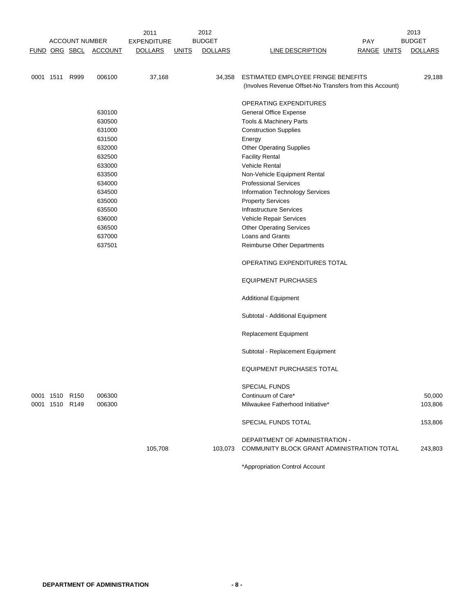|                |                       |                       | 2011               |              | 2012           |                                                           | 2013           |
|----------------|-----------------------|-----------------------|--------------------|--------------|----------------|-----------------------------------------------------------|----------------|
|                | <b>ACCOUNT NUMBER</b> |                       | <b>EXPENDITURE</b> |              | <b>BUDGET</b>  | <b>PAY</b>                                                | <b>BUDGET</b>  |
|                |                       | FUND ORG SBCL ACCOUNT | <b>DOLLARS</b>     | <b>UNITS</b> | <b>DOLLARS</b> | <b>LINE DESCRIPTION</b><br><b>RANGE UNITS</b>             | <b>DOLLARS</b> |
|                |                       |                       |                    |              |                |                                                           |                |
| 0001 1511 R999 |                       | 006100                | 37,168             |              | 34,358         | ESTIMATED EMPLOYEE FRINGE BENEFITS                        | 29,188         |
|                |                       |                       |                    |              |                | (Involves Revenue Offset-No Transfers from this Account)  |                |
|                |                       |                       |                    |              |                |                                                           |                |
|                |                       |                       |                    |              |                | OPERATING EXPENDITURES                                    |                |
|                |                       | 630100                |                    |              |                | <b>General Office Expense</b>                             |                |
|                |                       | 630500                |                    |              |                | <b>Tools &amp; Machinery Parts</b>                        |                |
|                |                       | 631000                |                    |              |                | <b>Construction Supplies</b>                              |                |
|                |                       | 631500                |                    |              |                | Energy                                                    |                |
|                |                       | 632000                |                    |              |                | <b>Other Operating Supplies</b>                           |                |
|                |                       | 632500                |                    |              |                | <b>Facility Rental</b>                                    |                |
|                |                       | 633000                |                    |              |                | <b>Vehicle Rental</b>                                     |                |
|                |                       | 633500                |                    |              |                | Non-Vehicle Equipment Rental                              |                |
|                |                       | 634000                |                    |              |                | <b>Professional Services</b>                              |                |
|                |                       | 634500<br>635000      |                    |              |                | Information Technology Services                           |                |
|                |                       |                       |                    |              |                | <b>Property Services</b>                                  |                |
|                |                       | 635500<br>636000      |                    |              |                | <b>Infrastructure Services</b><br>Vehicle Repair Services |                |
|                |                       | 636500                |                    |              |                | <b>Other Operating Services</b>                           |                |
|                |                       | 637000                |                    |              |                | Loans and Grants                                          |                |
|                |                       | 637501                |                    |              |                | <b>Reimburse Other Departments</b>                        |                |
|                |                       |                       |                    |              |                |                                                           |                |
|                |                       |                       |                    |              |                | OPERATING EXPENDITURES TOTAL                              |                |
|                |                       |                       |                    |              |                | <b>EQUIPMENT PURCHASES</b>                                |                |
|                |                       |                       |                    |              |                | <b>Additional Equipment</b>                               |                |
|                |                       |                       |                    |              |                | Subtotal - Additional Equipment                           |                |
|                |                       |                       |                    |              |                | <b>Replacement Equipment</b>                              |                |
|                |                       |                       |                    |              |                | Subtotal - Replacement Equipment                          |                |
|                |                       |                       |                    |              |                | <b>EQUIPMENT PURCHASES TOTAL</b>                          |                |
|                |                       |                       |                    |              |                | <b>SPECIAL FUNDS</b>                                      |                |
| 0001 1510 R150 |                       | 006300                |                    |              |                | Continuum of Care*                                        | 50,000         |
| 0001 1510 R149 |                       | 006300                |                    |              |                | Milwaukee Fatherhood Initiative*                          | 103,806        |
|                |                       |                       |                    |              |                | SPECIAL FUNDS TOTAL                                       | 153,806        |
|                |                       |                       |                    |              |                | DEPARTMENT OF ADMINISTRATION -                            |                |
|                |                       |                       | 105,708            |              | 103,073        | COMMUNITY BLOCK GRANT ADMINISTRATION TOTAL                | 243,803        |
|                |                       |                       |                    |              |                | *Appropriation Control Account                            |                |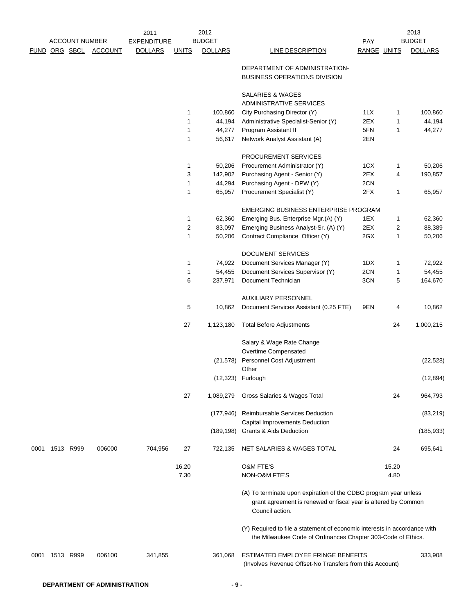|      |                |                       |                | 2011               |               | 2012           |                                                                                                                                                       |                    |               | 2013           |
|------|----------------|-----------------------|----------------|--------------------|---------------|----------------|-------------------------------------------------------------------------------------------------------------------------------------------------------|--------------------|---------------|----------------|
|      |                | <b>ACCOUNT NUMBER</b> |                | <b>EXPENDITURE</b> |               | <b>BUDGET</b>  |                                                                                                                                                       | <b>PAY</b>         |               | <b>BUDGET</b>  |
|      |                | FUND ORG SBCL         | <b>ACCOUNT</b> | <b>DOLLARS</b>     | <b>UNITS</b>  | <b>DOLLARS</b> | <b>LINE DESCRIPTION</b>                                                                                                                               | <b>RANGE UNITS</b> |               | <b>DOLLARS</b> |
|      |                |                       |                |                    |               |                | DEPARTMENT OF ADMINISTRATION-<br><b>BUSINESS OPERATIONS DIVISION</b>                                                                                  |                    |               |                |
|      |                |                       |                |                    |               |                | SALARIES & WAGES                                                                                                                                      |                    |               |                |
|      |                |                       |                |                    |               |                | ADMINISTRATIVE SERVICES                                                                                                                               |                    |               |                |
|      |                |                       |                |                    | 1             | 100,860        | City Purchasing Director (Y)                                                                                                                          | 1LX                | 1             | 100,860        |
|      |                |                       |                |                    | 1             | 44,194         | Administrative Specialist-Senior (Y)                                                                                                                  | 2EX                | 1             | 44,194         |
|      |                |                       |                |                    | 1             | 44,277         | Program Assistant II                                                                                                                                  | 5FN                | 1             | 44,277         |
|      |                |                       |                |                    | 1             | 56,617         | Network Analyst Assistant (A)                                                                                                                         | 2EN                |               |                |
|      |                |                       |                |                    |               |                | PROCUREMENT SERVICES                                                                                                                                  |                    |               |                |
|      |                |                       |                |                    | 1             | 50,206         | Procurement Administrator (Y)                                                                                                                         | 1CX                | 1             | 50,206         |
|      |                |                       |                |                    | 3             | 142,902        | Purchasing Agent - Senior (Y)                                                                                                                         | 2EX                | 4             | 190,857        |
|      |                |                       |                |                    | 1             | 44,294         | Purchasing Agent - DPW (Y)                                                                                                                            | 2CN                |               |                |
|      |                |                       |                |                    | 1             | 65,957         | Procurement Specialist (Y)                                                                                                                            | 2FX                | 1             | 65,957         |
|      |                |                       |                |                    |               |                | EMERGING BUSINESS ENTERPRISE PROGRAM                                                                                                                  |                    |               |                |
|      |                |                       |                |                    | 1             | 62,360         | Emerging Bus. Enterprise Mgr.(A) (Y)                                                                                                                  | 1EX                | 1             | 62,360         |
|      |                |                       |                |                    | 2             | 83,097         | Emerging Business Analyst-Sr. (A) (Y)                                                                                                                 | 2EX                | 2             | 88,389         |
|      |                |                       |                |                    | 1             | 50,206         | Contract Compliance Officer (Y)                                                                                                                       | 2GX                | 1             | 50,206         |
|      |                |                       |                |                    |               |                | DOCUMENT SERVICES                                                                                                                                     |                    |               |                |
|      |                |                       |                |                    | 1             | 74,922         | Document Services Manager (Y)                                                                                                                         | 1DX                | 1             | 72,922         |
|      |                |                       |                |                    | 1             | 54,455         | Document Services Supervisor (Y)                                                                                                                      | 2CN                | 1             | 54,455         |
|      |                |                       |                |                    | 6             | 237,971        | Document Technician                                                                                                                                   | 3CN                | 5             | 164,670        |
|      |                |                       |                |                    |               |                | AUXILIARY PERSONNEL                                                                                                                                   |                    |               |                |
|      |                |                       |                |                    | 5             | 10,862         | Document Services Assistant (0.25 FTE)                                                                                                                | 9EN                | 4             | 10,862         |
|      |                |                       |                |                    | 27            | 1,123,180      | <b>Total Before Adjustments</b>                                                                                                                       |                    | 24            | 1,000,215      |
|      |                |                       |                |                    |               |                | Salary & Wage Rate Change<br>Overtime Compensated                                                                                                     |                    |               |                |
|      |                |                       |                |                    |               | (21, 578)      | Personnel Cost Adjustment                                                                                                                             |                    |               | (22, 528)      |
|      |                |                       |                |                    |               |                | Other                                                                                                                                                 |                    |               |                |
|      |                |                       |                |                    |               |                | (12,323) Furlough                                                                                                                                     |                    |               | (12, 894)      |
|      |                |                       |                |                    | 27            | 1,089,279      | Gross Salaries & Wages Total                                                                                                                          |                    | 24            | 964,793        |
|      |                |                       |                |                    |               | (177, 946)     | Reimbursable Services Deduction<br><b>Capital Improvements Deduction</b>                                                                              |                    |               | (83, 219)      |
|      |                |                       |                |                    |               |                | (189,198) Grants & Aids Deduction                                                                                                                     |                    |               | (185, 933)     |
| 0001 | 1513 R999      |                       | 006000         | 704,956            | 27            | 722,135        | NET SALARIES & WAGES TOTAL                                                                                                                            |                    | 24            | 695,641        |
|      |                |                       |                |                    | 16.20<br>7.30 |                | <b>O&amp;M FTE'S</b><br>NON-O&M FTE'S                                                                                                                 |                    | 15.20<br>4.80 |                |
|      |                |                       |                |                    |               |                | (A) To terminate upon expiration of the CDBG program year unless<br>grant agreement is renewed or fiscal year is altered by Common<br>Council action. |                    |               |                |
|      |                |                       |                |                    |               |                | (Y) Required to file a statement of economic interests in accordance with<br>the Milwaukee Code of Ordinances Chapter 303-Code of Ethics.             |                    |               |                |
|      | 0001 1513 R999 |                       | 006100         | 341,855            |               | 361,068        | ESTIMATED EMPLOYEE FRINGE BENEFITS<br>(Involves Revenue Offset-No Transfers from this Account)                                                        |                    |               | 333,908        |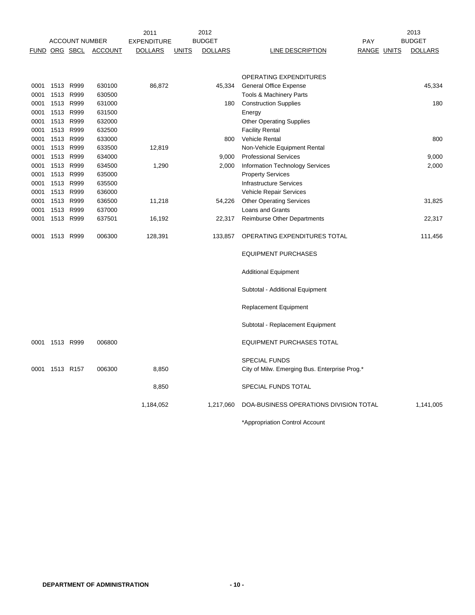|      |                       |           | 2012<br>2011       |                |               |                |                                               | 2013               |                |
|------|-----------------------|-----------|--------------------|----------------|---------------|----------------|-----------------------------------------------|--------------------|----------------|
|      | <b>ACCOUNT NUMBER</b> |           | <b>EXPENDITURE</b> |                | <b>BUDGET</b> |                | PAY                                           | <b>BUDGET</b>      |                |
|      | <b>FUND ORG SBCL</b>  |           | <b>ACCOUNT</b>     | <u>DOLLARS</u> | <b>UNITS</b>  | <b>DOLLARS</b> | <b>LINE DESCRIPTION</b>                       | <b>RANGE UNITS</b> | <b>DOLLARS</b> |
|      |                       |           |                    |                |               |                |                                               |                    |                |
|      |                       |           |                    |                |               |                | OPERATING EXPENDITURES                        |                    |                |
| 0001 | 1513                  | R999      | 630100             | 86,872         |               | 45,334         | <b>General Office Expense</b>                 |                    | 45,334         |
| 0001 |                       | 1513 R999 | 630500             |                |               |                | Tools & Machinery Parts                       |                    |                |
| 0001 |                       | 1513 R999 | 631000             |                |               | 180            | <b>Construction Supplies</b>                  |                    | 180            |
| 0001 |                       | 1513 R999 | 631500             |                |               |                | Energy                                        |                    |                |
| 0001 |                       | 1513 R999 | 632000             |                |               |                | <b>Other Operating Supplies</b>               |                    |                |
| 0001 |                       | 1513 R999 | 632500             |                |               |                | <b>Facility Rental</b>                        |                    |                |
| 0001 |                       | 1513 R999 | 633000             |                |               | 800            | Vehicle Rental                                |                    | 800            |
| 0001 |                       | 1513 R999 | 633500             | 12,819         |               |                | Non-Vehicle Equipment Rental                  |                    |                |
| 0001 |                       | 1513 R999 | 634000             |                |               | 9,000          | <b>Professional Services</b>                  |                    | 9,000          |
| 0001 | 1513                  | R999      | 634500             | 1,290          |               | 2,000          | Information Technology Services               |                    | 2,000          |
| 0001 |                       | 1513 R999 | 635000             |                |               |                | <b>Property Services</b>                      |                    |                |
| 0001 |                       | 1513 R999 | 635500             |                |               |                | <b>Infrastructure Services</b>                |                    |                |
| 0001 | 1513                  | R999      | 636000             |                |               |                | Vehicle Repair Services                       |                    |                |
| 0001 |                       | 1513 R999 | 636500             | 11,218         |               | 54,226         | <b>Other Operating Services</b>               |                    | 31,825         |
| 0001 |                       | 1513 R999 | 637000             |                |               |                | Loans and Grants                              |                    |                |
| 0001 | 1513                  | R999      | 637501             | 16,192         |               | 22,317         | <b>Reimburse Other Departments</b>            |                    | 22,317         |
|      |                       |           | 006300             |                |               |                |                                               |                    |                |
| 0001 | 1513 R999             |           |                    | 128,391        |               | 133,857        | OPERATING EXPENDITURES TOTAL                  |                    | 111,456        |
|      |                       |           |                    |                |               |                | <b>EQUIPMENT PURCHASES</b>                    |                    |                |
|      |                       |           |                    |                |               |                | <b>Additional Equipment</b>                   |                    |                |
|      |                       |           |                    |                |               |                | Subtotal - Additional Equipment               |                    |                |
|      |                       |           |                    |                |               |                | <b>Replacement Equipment</b>                  |                    |                |
|      |                       |           |                    |                |               |                | Subtotal - Replacement Equipment              |                    |                |
| 0001 | 1513 R999             |           | 006800             |                |               |                | <b>EQUIPMENT PURCHASES TOTAL</b>              |                    |                |
|      |                       |           |                    |                |               |                | <b>SPECIAL FUNDS</b>                          |                    |                |
| 0001 | 1513 R157             |           | 006300             | 8,850          |               |                | City of Milw. Emerging Bus. Enterprise Prog.* |                    |                |
|      |                       |           |                    | 8,850          |               |                | SPECIAL FUNDS TOTAL                           |                    |                |
|      |                       |           |                    | 1,184,052      |               | 1,217,060      | DOA-BUSINESS OPERATIONS DIVISION TOTAL        |                    | 1,141,005      |
|      |                       |           |                    |                |               |                | *Appropriation Control Account                |                    |                |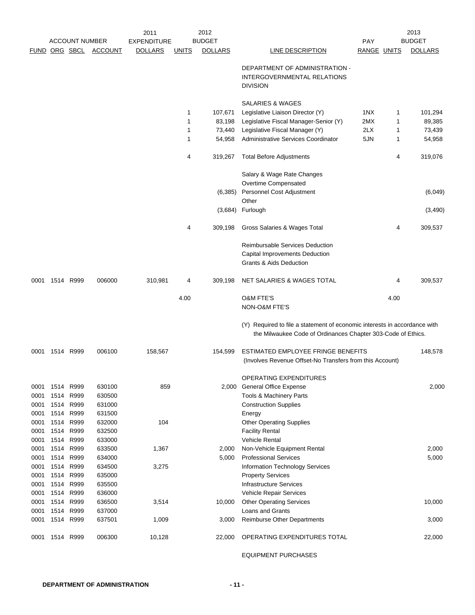|              | <b>ACCOUNT NUMBER</b> |                        | 2011<br><b>EXPENDITURE</b> | 2012<br><b>BUDGET</b> |              |                | PAY                                                                                                                                       |             | 2013<br><b>BUDGET</b> |                |
|--------------|-----------------------|------------------------|----------------------------|-----------------------|--------------|----------------|-------------------------------------------------------------------------------------------------------------------------------------------|-------------|-----------------------|----------------|
|              | FUND ORG SBCL         |                        | <b>ACCOUNT</b>             | <b>DOLLARS</b>        | <b>UNITS</b> | <b>DOLLARS</b> | LINE DESCRIPTION                                                                                                                          | RANGE UNITS |                       | <b>DOLLARS</b> |
|              |                       |                        |                            |                       |              |                | DEPARTMENT OF ADMINISTRATION -                                                                                                            |             |                       |                |
|              |                       |                        |                            |                       |              |                | <b>INTERGOVERNMENTAL RELATIONS</b><br><b>DIVISION</b>                                                                                     |             |                       |                |
|              |                       |                        |                            |                       |              |                | SALARIES & WAGES                                                                                                                          |             |                       |                |
|              |                       |                        |                            |                       | 1            | 107,671        | Legislative Liaison Director (Y)                                                                                                          | 1NX         | 1                     | 101,294        |
|              |                       |                        |                            |                       | 1            | 83,198         | Legislative Fiscal Manager-Senior (Y)                                                                                                     | 2MX         | 1                     | 89,385         |
|              |                       |                        |                            |                       | 1            | 73,440         | Legislative Fiscal Manager (Y)                                                                                                            | 2LX         | 1                     | 73,439         |
|              |                       |                        |                            |                       | 1            | 54,958         | Administrative Services Coordinator                                                                                                       | 5JN         | 1                     | 54,958         |
|              |                       |                        |                            |                       | 4            | 319,267        | <b>Total Before Adjustments</b>                                                                                                           |             | 4                     | 319,076        |
|              |                       |                        |                            |                       |              |                | Salary & Wage Rate Changes                                                                                                                |             |                       |                |
|              |                       |                        |                            |                       |              |                | Overtime Compensated                                                                                                                      |             |                       |                |
|              |                       |                        |                            |                       |              | (6,385)        | Personnel Cost Adjustment                                                                                                                 |             |                       | (6,049)        |
|              |                       |                        |                            |                       |              | (3,684)        | Other<br>Furlough                                                                                                                         |             |                       | (3,490)        |
|              |                       |                        |                            |                       | 4            | 309,198        | Gross Salaries & Wages Total                                                                                                              |             | 4                     | 309,537        |
|              |                       |                        |                            |                       |              |                | Reimbursable Services Deduction                                                                                                           |             |                       |                |
|              |                       |                        |                            |                       |              |                | Capital Improvements Deduction                                                                                                            |             |                       |                |
|              |                       |                        |                            |                       |              |                | <b>Grants &amp; Aids Deduction</b>                                                                                                        |             |                       |                |
| 0001         |                       | 1514 R999              | 006000                     | 310,981               | 4            | 309,198        | NET SALARIES & WAGES TOTAL                                                                                                                |             | 4                     | 309,537        |
|              |                       |                        |                            |                       | 4.00         |                | <b>O&amp;M FTE'S</b><br>NON-O&M FTE'S                                                                                                     |             | 4.00                  |                |
|              |                       |                        |                            |                       |              |                | (Y) Required to file a statement of economic interests in accordance with<br>the Milwaukee Code of Ordinances Chapter 303-Code of Ethics. |             |                       |                |
| 0001         |                       | 1514 R999              | 006100                     | 158,567               |              | 154,599        | ESTIMATED EMPLOYEE FRINGE BENEFITS<br>(Involves Revenue Offset-No Transfers from this Account)                                            |             |                       | 148,578        |
|              |                       |                        |                            |                       |              |                | OPERATING EXPENDITURES                                                                                                                    |             |                       |                |
| 0001         |                       | 1514 R999              | 630100                     | 859                   |              |                | 2,000 General Office Expense                                                                                                              |             |                       | 2,000          |
| 0001         | 1514                  | R999                   | 630500                     |                       |              |                | Tools & Machinery Parts                                                                                                                   |             |                       |                |
| 0001         | 1514                  | R999                   | 631000                     |                       |              |                | <b>Construction Supplies</b>                                                                                                              |             |                       |                |
| 0001         | 1514                  | 1514 R999<br>R999      | 631500<br>632000           | 104                   |              |                | Energy                                                                                                                                    |             |                       |                |
| 0001<br>0001 | 1514                  | R999                   | 632500                     |                       |              |                | <b>Other Operating Supplies</b><br><b>Facility Rental</b>                                                                                 |             |                       |                |
| 0001         | 1514                  | R999                   | 633000                     |                       |              |                | <b>Vehicle Rental</b>                                                                                                                     |             |                       |                |
| 0001         | 1514                  | R999                   | 633500                     | 1,367                 |              | 2,000          | Non-Vehicle Equipment Rental                                                                                                              |             |                       | 2,000          |
| 0001         | 1514                  | R999                   | 634000                     |                       |              | 5,000          | <b>Professional Services</b>                                                                                                              |             |                       | 5,000          |
| 0001         |                       | 1514 R999              | 634500                     | 3,275                 |              |                | <b>Information Technology Services</b>                                                                                                    |             |                       |                |
| 0001         | 1514                  | R999                   | 635000                     |                       |              |                | <b>Property Services</b>                                                                                                                  |             |                       |                |
| 0001         | 1514                  | R999                   | 635500                     |                       |              |                | <b>Infrastructure Services</b>                                                                                                            |             |                       |                |
| 0001         |                       | 1514 R999              | 636000                     |                       |              |                | Vehicle Repair Services                                                                                                                   |             |                       |                |
| 0001         |                       | 1514 R999              | 636500                     | 3,514                 |              | 10,000         | <b>Other Operating Services</b>                                                                                                           |             |                       | 10,000         |
| 0001<br>0001 |                       | 1514 R999<br>1514 R999 | 637000<br>637501           | 1,009                 |              | 3,000          | Loans and Grants<br><b>Reimburse Other Departments</b>                                                                                    |             |                       | 3,000          |
|              |                       |                        |                            |                       |              |                |                                                                                                                                           |             |                       |                |
| 0001         |                       | 1514 R999              | 006300                     | 10,128                |              | 22,000         | OPERATING EXPENDITURES TOTAL                                                                                                              |             |                       | 22,000         |

EQUIPMENT PURCHASES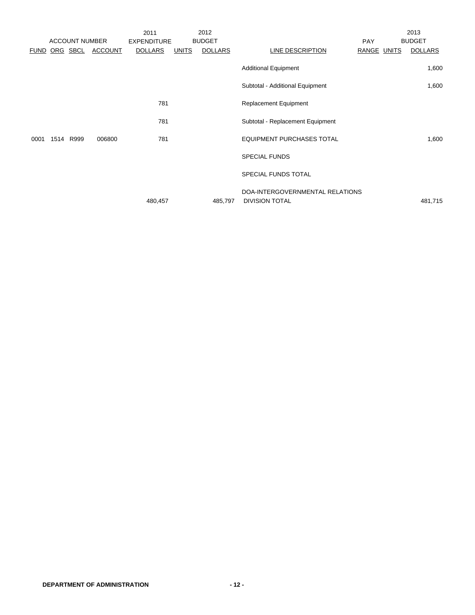|             |      |                       |                | 2011               |              | 2012           |                                                          |             | 2013           |
|-------------|------|-----------------------|----------------|--------------------|--------------|----------------|----------------------------------------------------------|-------------|----------------|
|             |      | <b>ACCOUNT NUMBER</b> |                | <b>EXPENDITURE</b> |              | <b>BUDGET</b>  |                                                          | <b>PAY</b>  | <b>BUDGET</b>  |
| <b>FUND</b> |      | ORG SBCL              | <b>ACCOUNT</b> | <b>DOLLARS</b>     | <b>UNITS</b> | <b>DOLLARS</b> | LINE DESCRIPTION                                         | RANGE UNITS | <b>DOLLARS</b> |
|             |      |                       |                |                    |              |                | <b>Additional Equipment</b>                              |             | 1,600          |
|             |      |                       |                |                    |              |                | Subtotal - Additional Equipment                          |             | 1,600          |
|             |      |                       |                | 781                |              |                | <b>Replacement Equipment</b>                             |             |                |
|             |      |                       |                | 781                |              |                | Subtotal - Replacement Equipment                         |             |                |
| 0001        | 1514 | R999                  | 006800         | 781                |              |                | <b>EQUIPMENT PURCHASES TOTAL</b>                         |             | 1,600          |
|             |      |                       |                |                    |              |                | <b>SPECIAL FUNDS</b>                                     |             |                |
|             |      |                       |                |                    |              |                | SPECIAL FUNDS TOTAL                                      |             |                |
|             |      |                       |                | 480,457            |              | 485,797        | DOA-INTERGOVERNMENTAL RELATIONS<br><b>DIVISION TOTAL</b> |             | 481,715        |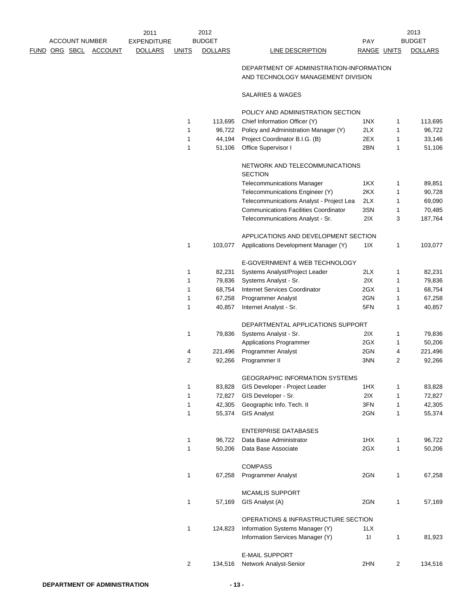|  |                              | 2011               |                | 2012           |                                                                                |             |                | 2013           |
|--|------------------------------|--------------------|----------------|----------------|--------------------------------------------------------------------------------|-------------|----------------|----------------|
|  | <b>ACCOUNT NUMBER</b>        | <b>EXPENDITURE</b> |                | <b>BUDGET</b>  |                                                                                | PAY         |                | <b>BUDGET</b>  |
|  | <u>FUND ORG SBCL ACCOUNT</u> | <b>DOLLARS</b>     | <b>UNITS</b>   | <b>DOLLARS</b> | <b>LINE DESCRIPTION</b>                                                        | RANGE UNITS |                | <b>DOLLARS</b> |
|  |                              |                    |                |                | DEPARTMENT OF ADMINISTRATION-INFORMATION<br>AND TECHNOLOGY MANAGEMENT DIVISION |             |                |                |
|  |                              |                    |                |                | SALARIES & WAGES                                                               |             |                |                |
|  |                              |                    |                |                | POLICY AND ADMINISTRATION SECTION                                              |             |                |                |
|  |                              |                    | 1              | 113,695        | Chief Information Officer (Y)                                                  | 1NX         | 1              | 113,695        |
|  |                              |                    | 1              | 96,722         | Policy and Administration Manager (Y)                                          | 2LX         | 1              | 96,722         |
|  |                              |                    | 1              | 44,194         | Project Coordinator B.I.G. (B)                                                 | 2EX         | 1              | 33,146         |
|  |                              |                    | 1              | 51,106         | Office Supervisor I                                                            | 2BN         | 1              | 51,106         |
|  |                              |                    |                |                | NETWORK AND TELECOMMUNICATIONS<br><b>SECTION</b>                               |             |                |                |
|  |                              |                    |                |                | <b>Telecommunications Manager</b>                                              | 1KX         | 1              | 89,851         |
|  |                              |                    |                |                | Telecommunications Engineer (Y)                                                | 2KX         | 1              | 90,728         |
|  |                              |                    |                |                | Telecommunications Analyst - Project Lea                                       | 2LX         | 1              | 69,090         |
|  |                              |                    |                |                | <b>Communications Facilities Coordinator</b>                                   | 3SN         | 1              | 70,485         |
|  |                              |                    |                |                | Telecommunications Analyst - Sr.                                               | 2IX         | 3              | 187,764        |
|  |                              |                    |                |                |                                                                                |             |                |                |
|  |                              |                    |                |                | APPLICATIONS AND DEVELOPMENT SECTION                                           |             |                |                |
|  |                              |                    | 1              | 103,077        | Applications Development Manager (Y)                                           | 1 I X       | 1              | 103,077        |
|  |                              |                    |                |                | E-GOVERNMENT & WEB TECHNOLOGY                                                  |             |                |                |
|  |                              |                    | 1              | 82,231         | Systems Analyst/Project Leader                                                 | 2LX         | 1              | 82,231         |
|  |                              |                    | 1              | 79,836         | Systems Analyst - Sr.                                                          | 2IX         | 1              | 79,836         |
|  |                              |                    | 1              | 68,754         | <b>Internet Services Coordinator</b>                                           | 2GX         | 1              | 68,754         |
|  |                              |                    | 1              | 67,258         | Programmer Analyst                                                             | 2GN         | 1              | 67,258         |
|  |                              |                    | 1              | 40,857         | Internet Analyst - Sr.                                                         | 5FN         | 1              | 40,857         |
|  |                              |                    |                |                |                                                                                |             |                |                |
|  |                              |                    |                |                | DEPARTMENTAL APPLICATIONS SUPPORT                                              |             |                |                |
|  |                              |                    | 1              | 79,836         | Systems Analyst - Sr.                                                          | 2IX         | 1              | 79,836         |
|  |                              |                    |                |                | <b>Applications Programmer</b>                                                 | 2GX         | 1              | 50,206         |
|  |                              |                    | 4              | 221,496        | Programmer Analyst                                                             | 2GN         | 4              | 221,496        |
|  |                              |                    | 2              | 92,266         | Programmer II                                                                  | 3NN         | $\overline{2}$ | 92,266         |
|  |                              |                    |                |                | GEOGRAPHIC INFORMATION SYSTEMS                                                 |             |                |                |
|  |                              |                    | 1              | 83,828         | GIS Developer - Project Leader                                                 | 1HX         | 1              | 83,828         |
|  |                              |                    | 1              | 72,827         | GIS Developer - Sr.                                                            | 2IX         | 1              | 72,827         |
|  |                              |                    | 1              | 42,305         | Geographic Info. Tech. II                                                      | 3FN         | 1              | 42,305         |
|  |                              |                    | 1              | 55,374         | <b>GIS Analyst</b>                                                             | 2GN         | 1              | 55,374         |
|  |                              |                    |                |                | <b>ENTERPRISE DATABASES</b>                                                    |             |                |                |
|  |                              |                    | 1              | 96,722         | Data Base Administrator                                                        | 1HX         | 1              | 96,722         |
|  |                              |                    | 1              | 50,206         | Data Base Associate                                                            | 2GX         | 1              | 50,206         |
|  |                              |                    |                |                |                                                                                |             |                |                |
|  |                              |                    |                |                | <b>COMPASS</b>                                                                 |             |                |                |
|  |                              |                    | 1              | 67,258         | Programmer Analyst                                                             | 2GN         | 1              | 67,258         |
|  |                              |                    |                |                | <b>MCAMLIS SUPPORT</b>                                                         |             |                |                |
|  |                              |                    | 1              | 57,169         | GIS Analyst (A)                                                                | 2GN         | 1              | 57,169         |
|  |                              |                    |                |                | OPERATIONS & INFRASTRUCTURE SECTION                                            |             |                |                |
|  |                              |                    | 1              | 124,823        | Information Systems Manager (Y)                                                | 1LX         |                |                |
|  |                              |                    |                |                | Information Services Manager (Y)                                               | 11          | 1              | 81,923         |
|  |                              |                    |                |                |                                                                                |             |                |                |
|  |                              |                    |                |                | <b>E-MAIL SUPPORT</b>                                                          |             |                |                |
|  |                              |                    | $\overline{2}$ | 134,516        | Network Analyst-Senior                                                         | 2HN         | $\overline{c}$ | 134,516        |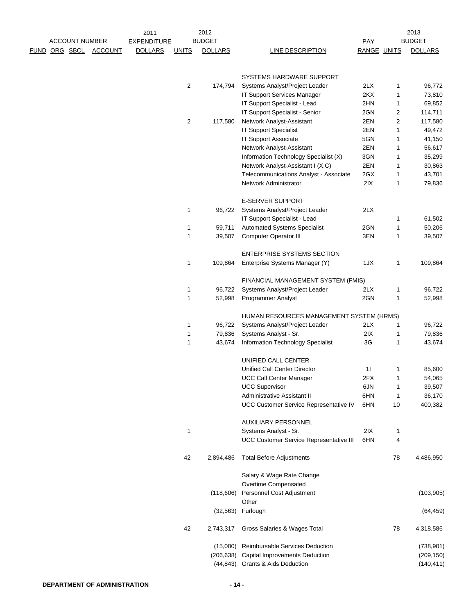|                      | <b>ACCOUNT NUMBER</b> |                | 2011<br><b>EXPENDITURE</b> |                | 2012<br><b>BUDGET</b> |                                                | PAY         |         | 2013<br><b>BUDGET</b> |
|----------------------|-----------------------|----------------|----------------------------|----------------|-----------------------|------------------------------------------------|-------------|---------|-----------------------|
| <u>FUND ORG SBCL</u> |                       | <b>ACCOUNT</b> | <b>DOLLARS</b>             | <b>UNITS</b>   | <b>DOLLARS</b>        | LINE DESCRIPTION                               | RANGE UNITS |         | <b>DOLLARS</b>        |
|                      |                       |                |                            |                |                       |                                                |             |         |                       |
|                      |                       |                |                            |                |                       | <b>SYSTEMS HARDWARE SUPPORT</b>                |             |         |                       |
|                      |                       |                |                            | $\overline{c}$ | 174,794               | Systems Analyst/Project Leader                 | 2LX         | 1       | 96,772                |
|                      |                       |                |                            |                |                       | IT Support Services Manager                    | 2KX         | 1       | 73,810                |
|                      |                       |                |                            |                |                       | IT Support Specialist - Lead                   | 2HN         | 1       | 69,852                |
|                      |                       |                |                            |                |                       | IT Support Specialist - Senior                 | 2GN         | 2       | 114,711               |
|                      |                       |                |                            | 2              | 117,580               | Network Analyst-Assistant                      | 2EN         | 2       | 117,580               |
|                      |                       |                |                            |                |                       | <b>IT Support Specialist</b>                   | 2EN         | 1       | 49,472                |
|                      |                       |                |                            |                |                       | <b>IT Support Associate</b>                    | 5GN         | 1       | 41,150                |
|                      |                       |                |                            |                |                       | Network Analyst-Assistant                      | 2EN         | 1       | 56,617                |
|                      |                       |                |                            |                |                       | Information Technology Specialist (X)          | 3GN         | 1       | 35,299                |
|                      |                       |                |                            |                |                       | Network Analyst-Assistant I (X,C)              | 2EN         | 1       | 30,863                |
|                      |                       |                |                            |                |                       | Telecommunications Analyst - Associate         | 2GX         | 1       | 43,701                |
|                      |                       |                |                            |                |                       | Network Administrator                          | 2IX         | 1       | 79,836                |
|                      |                       |                |                            |                |                       |                                                |             |         |                       |
|                      |                       |                |                            |                |                       | <b>E-SERVER SUPPORT</b>                        |             |         |                       |
|                      |                       |                |                            | 1              | 96,722                | Systems Analyst/Project Leader                 | 2LX         |         |                       |
|                      |                       |                |                            |                |                       | IT Support Specialist - Lead                   |             | 1       | 61,502                |
|                      |                       |                |                            | 1              | 59,711                | <b>Automated Systems Specialist</b>            | 2GN         | 1       | 50,206                |
|                      |                       |                |                            | 1              | 39,507                | <b>Computer Operator III</b>                   | 3EN         | 1       | 39,507                |
|                      |                       |                |                            |                |                       |                                                |             |         |                       |
|                      |                       |                |                            |                |                       | <b>ENTERPRISE SYSTEMS SECTION</b>              |             |         |                       |
|                      |                       |                |                            | 1              | 109,864               | Enterprise Systems Manager (Y)                 | 1JX         | 1       | 109,864               |
|                      |                       |                |                            |                |                       | FINANCIAL MANAGEMENT SYSTEM (FMIS)             |             |         |                       |
|                      |                       |                |                            | 1              | 96,722                | Systems Analyst/Project Leader                 | 2LX         | 1       | 96,722                |
|                      |                       |                |                            | 1              | 52,998                | <b>Programmer Analyst</b>                      | 2GN         | 1       | 52,998                |
|                      |                       |                |                            |                |                       |                                                |             |         |                       |
|                      |                       |                |                            |                |                       | HUMAN RESOURCES MANAGEMENT SYSTEM (HRMS)       |             |         |                       |
|                      |                       |                |                            | 1              | 96,722                | Systems Analyst/Project Leader                 | 2LX         | 1       | 96,722                |
|                      |                       |                |                            | 1              | 79,836                | Systems Analyst - Sr.                          | 2IX         | 1       | 79,836                |
|                      |                       |                |                            | 1              | 43,674                | Information Technology Specialist              | 3G          | 1       | 43,674                |
|                      |                       |                |                            |                |                       | UNIFIED CALL CENTER                            |             |         |                       |
|                      |                       |                |                            |                |                       | <b>Unified Call Center Director</b>            | 11          | 1       | 85,600                |
|                      |                       |                |                            |                |                       | <b>UCC Call Center Manager</b>                 | 2FX         | 1       | 54,065                |
|                      |                       |                |                            |                |                       | <b>UCC Supervisor</b>                          | 6JN         | 1       | 39,507                |
|                      |                       |                |                            |                |                       | Administrative Assistant II                    | 6HN         |         |                       |
|                      |                       |                |                            |                |                       | UCC Customer Service Representative IV         | 6HN         | 1<br>10 | 36,170<br>400,382     |
|                      |                       |                |                            |                |                       |                                                |             |         |                       |
|                      |                       |                |                            |                |                       | AUXILIARY PERSONNEL                            |             |         |                       |
|                      |                       |                |                            | 1              |                       | Systems Analyst - Sr.                          | 2IX         | 1       |                       |
|                      |                       |                |                            |                |                       | <b>UCC Customer Service Representative III</b> | 6HN         | 4       |                       |
|                      |                       |                |                            | 42             | 2,894,486             | <b>Total Before Adjustments</b>                |             | 78      | 4,486,950             |
|                      |                       |                |                            |                |                       |                                                |             |         |                       |
|                      |                       |                |                            |                |                       | Salary & Wage Rate Change                      |             |         |                       |
|                      |                       |                |                            |                |                       | Overtime Compensated                           |             |         |                       |
|                      |                       |                |                            |                | (118, 606)            | Personnel Cost Adjustment                      |             |         | (103, 905)            |
|                      |                       |                |                            |                | (32, 563)             | Other<br>Furlough                              |             |         | (64, 459)             |
|                      |                       |                |                            |                |                       |                                                |             |         |                       |
|                      |                       |                |                            | 42             | 2,743,317             | Gross Salaries & Wages Total                   |             | 78      | 4,318,586             |
|                      |                       |                |                            |                | (15,000)              | Reimbursable Services Deduction                |             |         | (738, 901)            |
|                      |                       |                |                            |                | (206, 638)            | Capital Improvements Deduction                 |             |         | (209, 150)            |
|                      |                       |                |                            |                |                       | (44,843) Grants & Aids Deduction               |             |         | (140, 411)            |
|                      |                       |                |                            |                |                       |                                                |             |         |                       |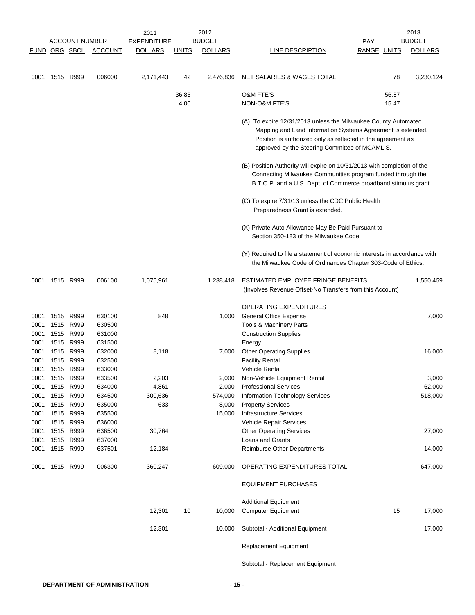|              |                        | <b>ACCOUNT NUMBER</b> |                  | 2011<br><b>EXPENDITURE</b> |              | 2012<br><b>BUDGET</b> |                                                                                                                                                                                                                                                 | <b>PAY</b>         | 2013<br><b>BUDGET</b> |
|--------------|------------------------|-----------------------|------------------|----------------------------|--------------|-----------------------|-------------------------------------------------------------------------------------------------------------------------------------------------------------------------------------------------------------------------------------------------|--------------------|-----------------------|
|              |                        | FUND ORG SBCL         | <b>ACCOUNT</b>   | <b>DOLLARS</b>             | <b>UNITS</b> | <b>DOLLARS</b>        | LINE DESCRIPTION                                                                                                                                                                                                                                | <b>RANGE UNITS</b> | <b>DOLLARS</b>        |
|              |                        |                       |                  |                            |              |                       |                                                                                                                                                                                                                                                 |                    |                       |
| 0001         | 1515 R999              |                       | 006000           | 2,171,443                  | 42           | 2,476,836             | NET SALARIES & WAGES TOTAL                                                                                                                                                                                                                      | 78                 | 3,230,124             |
|              |                        |                       |                  |                            | 36.85        |                       | <b>O&amp;M FTE'S</b>                                                                                                                                                                                                                            | 56.87              |                       |
|              |                        |                       |                  |                            | 4.00         |                       | <b>NON-O&amp;M FTE'S</b>                                                                                                                                                                                                                        | 15.47              |                       |
|              |                        |                       |                  |                            |              |                       | (A) To expire 12/31/2013 unless the Milwaukee County Automated<br>Mapping and Land Information Systems Agreement is extended.<br>Position is authorized only as reflected in the agreement as<br>approved by the Steering Committee of MCAMLIS. |                    |                       |
|              |                        |                       |                  |                            |              |                       | (B) Position Authority will expire on 10/31/2013 with completion of the<br>Connecting Milwaukee Communities program funded through the<br>B.T.O.P. and a U.S. Dept. of Commerce broadband stimulus grant.                                       |                    |                       |
|              |                        |                       |                  |                            |              |                       | (C) To expire 7/31/13 unless the CDC Public Health<br>Preparedness Grant is extended.                                                                                                                                                           |                    |                       |
|              |                        |                       |                  |                            |              |                       | (X) Private Auto Allowance May Be Paid Pursuant to<br>Section 350-183 of the Milwaukee Code.                                                                                                                                                    |                    |                       |
|              |                        |                       |                  |                            |              |                       | (Y) Required to file a statement of economic interests in accordance with<br>the Milwaukee Code of Ordinances Chapter 303-Code of Ethics.                                                                                                       |                    |                       |
| 0001         | 1515 R999              |                       | 006100           | 1,075,961                  |              | 1,238,418             | ESTIMATED EMPLOYEE FRINGE BENEFITS<br>(Involves Revenue Offset-No Transfers from this Account)                                                                                                                                                  |                    | 1,550,459             |
|              |                        |                       |                  |                            |              |                       | OPERATING EXPENDITURES                                                                                                                                                                                                                          |                    |                       |
| 0001         | 1515 R999              |                       | 630100           | 848                        |              | 1,000                 | <b>General Office Expense</b>                                                                                                                                                                                                                   |                    | 7,000                 |
| 0001         |                        | 1515 R999             | 630500           |                            |              |                       | Tools & Machinery Parts                                                                                                                                                                                                                         |                    |                       |
| 0001         | 1515 R999              |                       | 631000           |                            |              |                       | <b>Construction Supplies</b>                                                                                                                                                                                                                    |                    |                       |
| 0001         |                        | 1515 R999             | 631500           |                            |              |                       | Energy                                                                                                                                                                                                                                          |                    |                       |
| 0001         |                        | 1515 R999             | 632000           | 8,118                      |              | 7,000                 | <b>Other Operating Supplies</b>                                                                                                                                                                                                                 |                    | 16,000                |
| 0001         |                        | 1515 R999             | 632500           |                            |              |                       | <b>Facility Rental</b>                                                                                                                                                                                                                          |                    |                       |
| 0001         | 1515 R999              |                       | 633000           |                            |              |                       | <b>Vehicle Rental</b>                                                                                                                                                                                                                           |                    |                       |
| 0001         | 1515 R999<br>1515 R999 |                       | 633500           | 2,203                      |              | 2,000                 | Non-Vehicle Equipment Rental                                                                                                                                                                                                                    |                    | 3,000                 |
| 0001<br>0001 | 1515 R999              |                       | 634000<br>634500 | 4,861<br>300,636           |              | 2,000<br>574,000      | <b>Professional Services</b><br>Information Technology Services                                                                                                                                                                                 |                    | 62,000<br>518,000     |
| 0001         | 1515 R999              |                       | 635000           | 633                        |              | 8,000                 | <b>Property Services</b>                                                                                                                                                                                                                        |                    |                       |
| 0001         | 1515 R999              |                       | 635500           |                            |              | 15,000                | <b>Infrastructure Services</b>                                                                                                                                                                                                                  |                    |                       |
| 0001         | 1515 R999              |                       | 636000           |                            |              |                       | Vehicle Repair Services                                                                                                                                                                                                                         |                    |                       |
| 0001         | 1515 R999              |                       | 636500           | 30,764                     |              |                       | <b>Other Operating Services</b>                                                                                                                                                                                                                 |                    | 27,000                |
| 0001         | 1515 R999              |                       | 637000           |                            |              |                       | Loans and Grants                                                                                                                                                                                                                                |                    |                       |
| 0001         |                        | 1515 R999             | 637501           | 12,184                     |              |                       | Reimburse Other Departments                                                                                                                                                                                                                     |                    | 14,000                |
| 0001         | 1515 R999              |                       | 006300           | 360,247                    |              | 609,000               | OPERATING EXPENDITURES TOTAL                                                                                                                                                                                                                    |                    | 647,000               |
|              |                        |                       |                  |                            |              |                       | <b>EQUIPMENT PURCHASES</b>                                                                                                                                                                                                                      |                    |                       |
|              |                        |                       |                  | 12,301                     | 10           |                       | <b>Additional Equipment</b>                                                                                                                                                                                                                     | 15                 |                       |
|              |                        |                       |                  |                            |              | 10,000                | <b>Computer Equipment</b>                                                                                                                                                                                                                       |                    | 17,000                |
|              |                        |                       |                  | 12,301                     |              | 10,000                | Subtotal - Additional Equipment                                                                                                                                                                                                                 |                    | 17,000                |
|              |                        |                       |                  |                            |              |                       | <b>Replacement Equipment</b>                                                                                                                                                                                                                    |                    |                       |
|              |                        |                       |                  |                            |              |                       | Subtotal - Replacement Equipment                                                                                                                                                                                                                |                    |                       |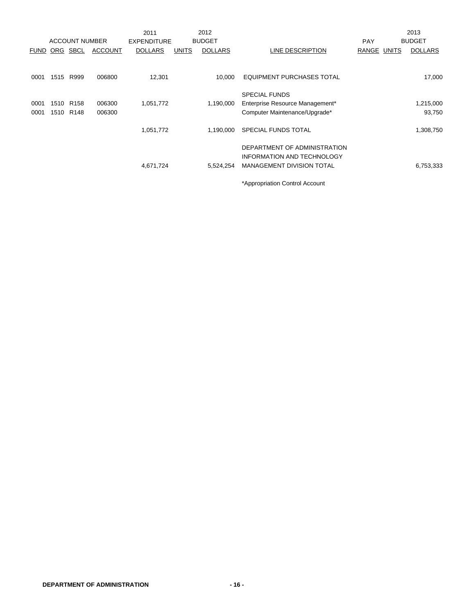|             |          |                       |                | 2011               |              | 2012           |                                   |             | 2013           |
|-------------|----------|-----------------------|----------------|--------------------|--------------|----------------|-----------------------------------|-------------|----------------|
|             |          | <b>ACCOUNT NUMBER</b> |                | <b>EXPENDITURE</b> |              | <b>BUDGET</b>  |                                   | <b>PAY</b>  | <b>BUDGET</b>  |
| <b>FUND</b> | ORG SBCL |                       | <b>ACCOUNT</b> | <b>DOLLARS</b>     | <b>UNITS</b> | <b>DOLLARS</b> | LINE DESCRIPTION                  | RANGE UNITS | <b>DOLLARS</b> |
|             |          |                       |                |                    |              |                |                                   |             |                |
| 0001        | 1515     | R999                  | 006800         | 12,301             |              | 10.000         | EQUIPMENT PURCHASES TOTAL         |             | 17,000         |
|             |          |                       |                |                    |              |                | <b>SPECIAL FUNDS</b>              |             |                |
| 0001        | 1510     | R <sub>158</sub>      | 006300         | 1,051,772          |              | 1,190,000      | Enterprise Resource Management*   |             | 1,215,000      |
| 0001        |          | 1510 R148             | 006300         |                    |              |                | Computer Maintenance/Upgrade*     |             | 93,750         |
|             |          |                       |                | 1,051,772          |              | 1,190,000      | SPECIAL FUNDS TOTAL               |             | 1,308,750      |
|             |          |                       |                |                    |              |                | DEPARTMENT OF ADMINISTRATION      |             |                |
|             |          |                       |                |                    |              |                | <b>INFORMATION AND TECHNOLOGY</b> |             |                |
|             |          |                       |                | 4,671,724          |              | 5,524,254      | <b>MANAGEMENT DIVISION TOTAL</b>  |             | 6,753,333      |
|             |          |                       |                |                    |              |                | *Appropriation Control Account    |             |                |

**DEPARTMENT OF ADMINISTRATION - 16 -**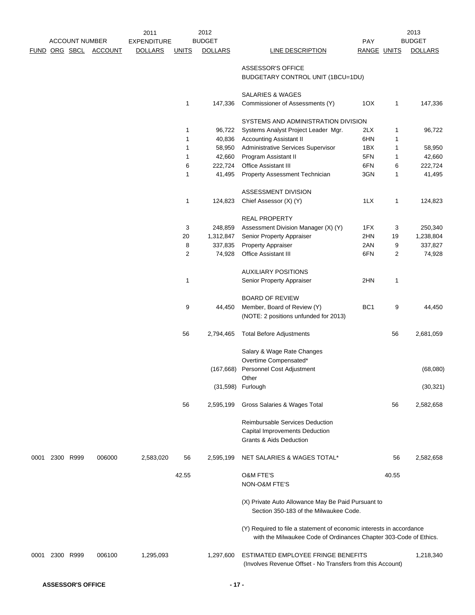|                      | <b>ACCOUNT NUMBER</b> |                | 2011                                 |              | 2012<br><b>BUDGET</b> |                                                                      |                 |       | 2013<br><b>BUDGET</b> |
|----------------------|-----------------------|----------------|--------------------------------------|--------------|-----------------------|----------------------------------------------------------------------|-----------------|-------|-----------------------|
|                      |                       |                | <b>EXPENDITURE</b><br><b>DOLLARS</b> |              |                       |                                                                      | PAY             |       |                       |
| <b>FUND ORG SBCL</b> |                       | <b>ACCOUNT</b> |                                      | <b>UNITS</b> | <b>DOLLARS</b>        | <b>LINE DESCRIPTION</b>                                              | RANGE UNITS     |       | <b>DOLLARS</b>        |
|                      |                       |                |                                      |              |                       | ASSESSOR'S OFFICE                                                    |                 |       |                       |
|                      |                       |                |                                      |              |                       | BUDGETARY CONTROL UNIT (1BCU=1DU)                                    |                 |       |                       |
|                      |                       |                |                                      |              |                       |                                                                      |                 |       |                       |
|                      |                       |                |                                      |              |                       | <b>SALARIES &amp; WAGES</b>                                          |                 |       |                       |
|                      |                       |                |                                      | 1            | 147,336               | Commissioner of Assessments (Y)                                      | 10X             | 1     | 147,336               |
|                      |                       |                |                                      |              |                       |                                                                      |                 |       |                       |
|                      |                       |                |                                      |              |                       | SYSTEMS AND ADMINISTRATION DIVISION                                  |                 |       |                       |
|                      |                       |                |                                      | 1            | 96,722                | Systems Analyst Project Leader Mgr.                                  | 2LX             | 1     | 96,722                |
|                      |                       |                |                                      | 1            | 40,836                | <b>Accounting Assistant II</b>                                       | 6HN             | 1     |                       |
|                      |                       |                |                                      | 1            | 58,950                | Administrative Services Supervisor                                   | 1BX             | 1     | 58,950                |
|                      |                       |                |                                      | 1            | 42,660                | Program Assistant II                                                 | 5FN             | 1     | 42,660                |
|                      |                       |                |                                      | 6            | 222,724               | <b>Office Assistant III</b>                                          | 6FN             | 6     | 222,724               |
|                      |                       |                |                                      | 1            | 41,495                | Property Assessment Technician                                       | 3GN             | 1     | 41,495                |
|                      |                       |                |                                      |              |                       |                                                                      |                 |       |                       |
|                      |                       |                |                                      |              |                       | ASSESSMENT DIVISION                                                  |                 |       |                       |
|                      |                       |                |                                      | 1            | 124,823               | Chief Assessor (X) (Y)                                               | 1LX             | 1     | 124,823               |
|                      |                       |                |                                      |              |                       |                                                                      |                 |       |                       |
|                      |                       |                |                                      |              |                       | <b>REAL PROPERTY</b>                                                 |                 |       |                       |
|                      |                       |                |                                      | 3            | 248,859               | Assessment Division Manager (X) (Y)                                  | 1FX             | 3     | 250,340               |
|                      |                       |                |                                      | 20           | 1,312,847             | Senior Property Appraiser                                            | 2HN             | 19    | 1,238,804             |
|                      |                       |                |                                      | 8            | 337,835               | <b>Property Appraiser</b>                                            | 2AN             | 9     | 337,827               |
|                      |                       |                |                                      | 2            | 74,928                | Office Assistant III                                                 | 6FN             | 2     | 74,928                |
|                      |                       |                |                                      |              |                       |                                                                      |                 |       |                       |
|                      |                       |                |                                      |              |                       | <b>AUXILIARY POSITIONS</b>                                           |                 |       |                       |
|                      |                       |                |                                      | 1            |                       | Senior Property Appraiser                                            | 2HN             | 1     |                       |
|                      |                       |                |                                      |              |                       |                                                                      |                 |       |                       |
|                      |                       |                |                                      |              |                       | <b>BOARD OF REVIEW</b>                                               |                 |       |                       |
|                      |                       |                |                                      | 9            | 44,450                | Member, Board of Review (Y)                                          | BC <sub>1</sub> | 9     | 44,450                |
|                      |                       |                |                                      |              |                       | (NOTE: 2 positions unfunded for 2013)                                |                 |       |                       |
|                      |                       |                |                                      |              |                       |                                                                      |                 |       |                       |
|                      |                       |                |                                      | 56           | 2,794,465             | <b>Total Before Adjustments</b>                                      |                 | 56    | 2,681,059             |
|                      |                       |                |                                      |              |                       | Salary & Wage Rate Changes                                           |                 |       |                       |
|                      |                       |                |                                      |              |                       | Overtime Compensated*                                                |                 |       |                       |
|                      |                       |                |                                      |              | (167,668)             | Personnel Cost Adjustment                                            |                 |       | (68,080)              |
|                      |                       |                |                                      |              |                       | Other                                                                |                 |       |                       |
|                      |                       |                |                                      |              | (31,598)              | Furlough                                                             |                 |       | (30, 321)             |
|                      |                       |                |                                      |              |                       |                                                                      |                 |       |                       |
|                      |                       |                |                                      | 56           | 2,595,199             | Gross Salaries & Wages Total                                         |                 | 56    | 2,582,658             |
|                      |                       |                |                                      |              |                       |                                                                      |                 |       |                       |
|                      |                       |                |                                      |              |                       | <b>Reimbursable Services Deduction</b>                               |                 |       |                       |
|                      |                       |                |                                      |              |                       | Capital Improvements Deduction                                       |                 |       |                       |
|                      |                       |                |                                      |              |                       | Grants & Aids Deduction                                              |                 |       |                       |
|                      |                       |                |                                      |              |                       |                                                                      |                 |       |                       |
| 0001                 | 2300 R999             | 006000         | 2,583,020                            | 56           | 2,595,199             | NET SALARIES & WAGES TOTAL*                                          |                 | 56    | 2,582,658             |
|                      |                       |                |                                      |              |                       |                                                                      |                 |       |                       |
|                      |                       |                |                                      | 42.55        |                       | <b>O&amp;M FTE'S</b>                                                 |                 | 40.55 |                       |
|                      |                       |                |                                      |              |                       | NON-O&M FTE'S                                                        |                 |       |                       |
|                      |                       |                |                                      |              |                       |                                                                      |                 |       |                       |
|                      |                       |                |                                      |              |                       | (X) Private Auto Allowance May Be Paid Pursuant to                   |                 |       |                       |
|                      |                       |                |                                      |              |                       | Section 350-183 of the Milwaukee Code.                               |                 |       |                       |
|                      |                       |                |                                      |              |                       |                                                                      |                 |       |                       |
|                      |                       |                |                                      |              |                       | (Y) Required to file a statement of economic interests in accordance |                 |       |                       |
|                      |                       |                |                                      |              |                       | with the Milwaukee Code of Ordinances Chapter 303-Code of Ethics.    |                 |       |                       |
|                      |                       |                |                                      |              |                       |                                                                      |                 |       |                       |
| 0001                 | 2300 R999             | 006100         | 1,295,093                            |              | 1,297,600             | ESTIMATED EMPLOYEE FRINGE BENEFITS                                   |                 |       | 1,218,340             |
|                      |                       |                |                                      |              |                       | (Involves Revenue Offset - No Transfers from this Account)           |                 |       |                       |
|                      |                       |                |                                      |              |                       |                                                                      |                 |       |                       |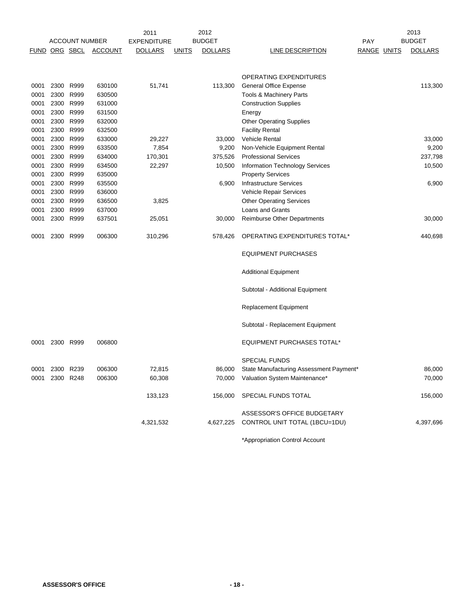|      |                      |                       |                | 2011               | 2012                           | 2013                                                         |             |  |                |
|------|----------------------|-----------------------|----------------|--------------------|--------------------------------|--------------------------------------------------------------|-------------|--|----------------|
|      |                      | <b>ACCOUNT NUMBER</b> |                | <b>EXPENDITURE</b> | <b>BUDGET</b>                  |                                                              | <b>PAY</b>  |  | <b>BUDGET</b>  |
|      | <b>FUND ORG SBCL</b> |                       | <b>ACCOUNT</b> | <b>DOLLARS</b>     | <b>UNITS</b><br><b>DOLLARS</b> | <b>LINE DESCRIPTION</b>                                      | RANGE UNITS |  | <b>DOLLARS</b> |
|      |                      |                       |                |                    |                                |                                                              |             |  |                |
|      |                      |                       |                |                    |                                | OPERATING EXPENDITURES                                       |             |  |                |
| 0001 | 2300 R999            |                       | 630100         | 51,741             | 113,300                        | <b>General Office Expense</b>                                |             |  | 113,300        |
| 0001 |                      | 2300 R999             | 630500         |                    |                                | <b>Tools &amp; Machinery Parts</b>                           |             |  |                |
| 0001 | 2300 R999            |                       | 631000         |                    |                                | <b>Construction Supplies</b>                                 |             |  |                |
| 0001 | 2300 R999            |                       | 631500         |                    |                                | Energy                                                       |             |  |                |
| 0001 | 2300 R999            |                       | 632000         |                    |                                | <b>Other Operating Supplies</b>                              |             |  |                |
| 0001 | 2300 R999            |                       | 632500         |                    |                                | <b>Facility Rental</b>                                       |             |  |                |
| 0001 |                      | 2300 R999             | 633000         | 29,227             | 33,000                         | <b>Vehicle Rental</b>                                        |             |  | 33,000         |
| 0001 |                      | 2300 R999             | 633500         | 7,854              | 9,200                          | Non-Vehicle Equipment Rental                                 |             |  | 9,200          |
| 0001 | 2300 R999            |                       | 634000         | 170,301            | 375,526                        | <b>Professional Services</b>                                 |             |  | 237,798        |
| 0001 |                      | 2300 R999             | 634500         | 22,297             | 10,500                         | <b>Information Technology Services</b>                       |             |  | 10,500         |
| 0001 |                      | 2300 R999             | 635000         |                    |                                | <b>Property Services</b>                                     |             |  |                |
| 0001 | 2300 R999            |                       | 635500         |                    | 6,900                          | <b>Infrastructure Services</b>                               |             |  | 6,900          |
| 0001 | 2300 R999            |                       | 636000         |                    |                                | Vehicle Repair Services                                      |             |  |                |
| 0001 | 2300 R999            |                       | 636500         | 3,825              |                                | <b>Other Operating Services</b>                              |             |  |                |
| 0001 |                      | 2300 R999             | 637000         |                    |                                | Loans and Grants                                             |             |  |                |
| 0001 | 2300 R999            |                       | 637501         | 25,051             | 30,000                         | <b>Reimburse Other Departments</b>                           |             |  | 30,000         |
| 0001 | 2300 R999            |                       | 006300         | 310,296            | 578,426                        | OPERATING EXPENDITURES TOTAL*                                |             |  | 440,698        |
|      |                      |                       |                |                    |                                | <b>EQUIPMENT PURCHASES</b>                                   |             |  |                |
|      |                      |                       |                |                    |                                | <b>Additional Equipment</b>                                  |             |  |                |
|      |                      |                       |                |                    |                                | Subtotal - Additional Equipment                              |             |  |                |
|      |                      |                       |                |                    |                                | <b>Replacement Equipment</b>                                 |             |  |                |
|      |                      |                       |                |                    |                                | Subtotal - Replacement Equipment                             |             |  |                |
| 0001 | 2300 R999            |                       | 006800         |                    |                                | <b>EQUIPMENT PURCHASES TOTAL*</b>                            |             |  |                |
|      |                      |                       |                |                    |                                | <b>SPECIAL FUNDS</b>                                         |             |  |                |
| 0001 | 2300 R239            |                       | 006300         | 72,815             | 86,000                         | State Manufacturing Assessment Payment*                      |             |  | 86,000         |
| 0001 | 2300 R248            |                       | 006300         | 60,308             | 70,000                         | Valuation System Maintenance*                                |             |  | 70,000         |
|      |                      |                       |                | 133,123            | 156,000                        | SPECIAL FUNDS TOTAL                                          |             |  | 156,000        |
|      |                      |                       |                | 4,321,532          | 4,627,225                      | ASSESSOR'S OFFICE BUDGETARY<br>CONTROL UNIT TOTAL (1BCU=1DU) |             |  | 4,397,696      |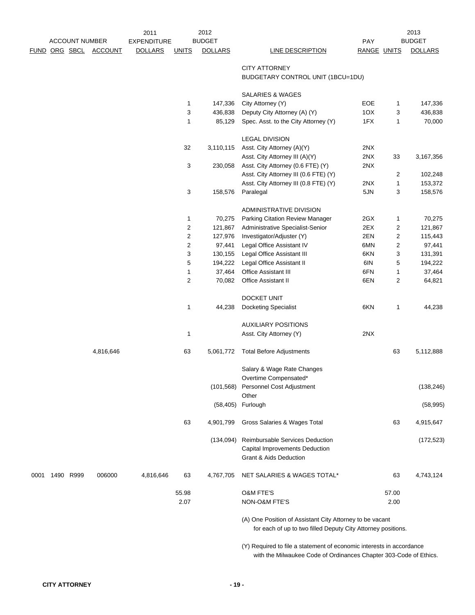|      |           | <b>ACCOUNT NUMBER</b> |                | 2011<br><b>EXPENDITURE</b> |                         | 2012<br><b>BUDGET</b> |                                                                                                                          | PAY         |                | 2013<br><b>BUDGET</b> |
|------|-----------|-----------------------|----------------|----------------------------|-------------------------|-----------------------|--------------------------------------------------------------------------------------------------------------------------|-------------|----------------|-----------------------|
|      |           | FUND ORG SBCL         | <b>ACCOUNT</b> | <b>DOLLARS</b>             | <b>UNITS</b>            | <b>DOLLARS</b>        | <b>LINE DESCRIPTION</b>                                                                                                  | RANGE UNITS |                | <b>DOLLARS</b>        |
|      |           |                       |                |                            |                         |                       | <b>CITY ATTORNEY</b>                                                                                                     |             |                |                       |
|      |           |                       |                |                            |                         |                       | BUDGETARY CONTROL UNIT (1BCU=1DU)                                                                                        |             |                |                       |
|      |           |                       |                |                            |                         |                       |                                                                                                                          |             |                |                       |
|      |           |                       |                |                            |                         |                       | <b>SALARIES &amp; WAGES</b>                                                                                              |             |                |                       |
|      |           |                       |                |                            | 1                       | 147,336               | City Attorney (Y)                                                                                                        | EOE         | $\mathbf{1}$   | 147,336               |
|      |           |                       |                |                            | 3                       | 436,838               | Deputy City Attorney (A) (Y)                                                                                             | 1OX         | 3              | 436,838               |
|      |           |                       |                |                            | $\mathbf{1}$            | 85,129                | Spec. Asst. to the City Attorney (Y)                                                                                     | 1FX         | 1              | 70,000                |
|      |           |                       |                |                            |                         |                       | <b>LEGAL DIVISION</b>                                                                                                    |             |                |                       |
|      |           |                       |                |                            | 32                      | 3,110,115             | Asst. City Attorney (A)(Y)                                                                                               | 2NX         |                |                       |
|      |           |                       |                |                            |                         |                       | Asst. City Attorney III (A)(Y)                                                                                           | 2NX         | 33             | 3,167,356             |
|      |           |                       |                |                            | 3                       | 230,058               | Asst. City Attorney (0.6 FTE) (Y)                                                                                        | 2NX         |                |                       |
|      |           |                       |                |                            |                         |                       | Asst. City Attorney III (0.6 FTE) (Y)                                                                                    |             | 2              | 102,248               |
|      |           |                       |                |                            |                         |                       | Asst. City Attorney III (0.8 FTE) (Y)                                                                                    | 2NX         | 1              | 153,372               |
|      |           |                       |                |                            | 3                       | 158,576               | Paralegal                                                                                                                | 5JN         | 3              | 158,576               |
|      |           |                       |                |                            |                         |                       | ADMINISTRATIVE DIVISION                                                                                                  |             |                |                       |
|      |           |                       |                |                            | 1                       | 70,275                | Parking Citation Review Manager                                                                                          | 2GX         | 1              | 70,275                |
|      |           |                       |                |                            | 2                       | 121,867               | Administrative Specialist-Senior                                                                                         | 2EX         | 2              | 121,867               |
|      |           |                       |                |                            | 2                       | 127,976               | Investigator/Adjuster (Y)                                                                                                | 2EN         | 2              | 115,443               |
|      |           |                       |                |                            | $\overline{\mathbf{c}}$ | 97,441                | Legal Office Assistant IV                                                                                                | 6MN         | 2              | 97,441                |
|      |           |                       |                |                            | 3                       | 130,155               | Legal Office Assistant III                                                                                               | 6KN         | 3              | 131,391               |
|      |           |                       |                |                            | 5                       | 194,222               | Legal Office Assistant II                                                                                                | 6IN         | 5              | 194,222               |
|      |           |                       |                |                            | 1                       | 37,464                | Office Assistant III                                                                                                     | 6FN         | 1              | 37,464                |
|      |           |                       |                |                            | $\overline{2}$          | 70,082                | Office Assistant II                                                                                                      | 6EN         | $\overline{2}$ | 64,821                |
|      |           |                       |                |                            |                         |                       | DOCKET UNIT                                                                                                              |             |                |                       |
|      |           |                       |                |                            | 1                       | 44,238                | <b>Docketing Specialist</b>                                                                                              | 6KN         | 1              | 44,238                |
|      |           |                       |                |                            |                         |                       |                                                                                                                          |             |                |                       |
|      |           |                       |                |                            |                         |                       | <b>AUXILIARY POSITIONS</b>                                                                                               |             |                |                       |
|      |           |                       |                |                            | 1                       |                       | Asst. City Attorney (Y)                                                                                                  | 2NX         |                |                       |
|      |           |                       | 4,816,646      |                            | 63                      | 5,061,772             | <b>Total Before Adjustments</b>                                                                                          |             | 63             | 5,112,888             |
|      |           |                       |                |                            |                         |                       | Salary & Wage Rate Changes                                                                                               |             |                |                       |
|      |           |                       |                |                            |                         |                       | Overtime Compensated*                                                                                                    |             |                |                       |
|      |           |                       |                |                            |                         | (101, 568)            | Personnel Cost Adjustment<br>Other                                                                                       |             |                | (138, 246)            |
|      |           |                       |                |                            |                         |                       | (58,405) Furlough                                                                                                        |             |                | (58, 995)             |
|      |           |                       |                |                            | 63                      | 4,901,799             | Gross Salaries & Wages Total                                                                                             |             | 63             | 4,915,647             |
|      |           |                       |                |                            |                         | (134,094)             | <b>Reimbursable Services Deduction</b>                                                                                   |             |                | (172, 523)            |
|      |           |                       |                |                            |                         |                       | Capital Improvements Deduction                                                                                           |             |                |                       |
|      |           |                       |                |                            |                         |                       | <b>Grant &amp; Aids Deduction</b>                                                                                        |             |                |                       |
| 0001 | 1490 R999 |                       | 006000         | 4,816,646                  | 63                      | 4,767,705             | NET SALARIES & WAGES TOTAL*                                                                                              |             | 63             | 4,743,124             |
|      |           |                       |                |                            |                         |                       |                                                                                                                          |             |                |                       |
|      |           |                       |                |                            | 55.98                   |                       | <b>O&amp;M FTE'S</b>                                                                                                     |             | 57.00          |                       |
|      |           |                       |                |                            | 2.07                    |                       | NON-O&M FTE'S                                                                                                            |             | 2.00           |                       |
|      |           |                       |                |                            |                         |                       | (A) One Position of Assistant City Attorney to be vacant<br>for each of up to two filled Deputy City Attorney positions. |             |                |                       |

(Y) Required to file a statement of economic interests in accordance with the Milwaukee Code of Ordinances Chapter 303-Code of Ethics.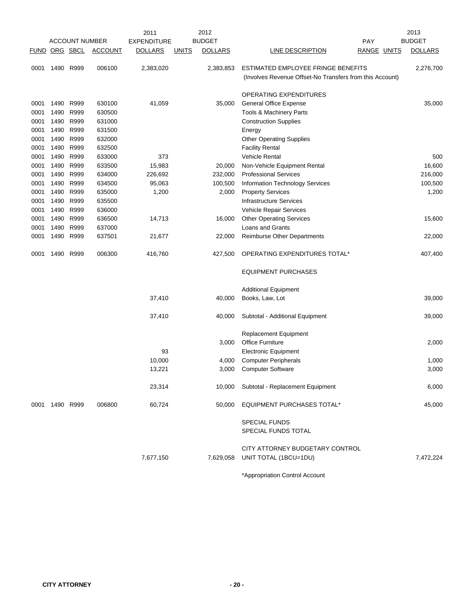|               |                |                       |                | 2011               |              | 2012           |                                                                                                |                    | 2013           |
|---------------|----------------|-----------------------|----------------|--------------------|--------------|----------------|------------------------------------------------------------------------------------------------|--------------------|----------------|
|               |                | <b>ACCOUNT NUMBER</b> |                | <b>EXPENDITURE</b> |              | <b>BUDGET</b>  |                                                                                                | <b>PAY</b>         | <b>BUDGET</b>  |
| FUND ORG SBCL |                |                       | <b>ACCOUNT</b> | <b>DOLLARS</b>     | <u>UNITS</u> | <b>DOLLARS</b> | LINE DESCRIPTION                                                                               | <b>RANGE UNITS</b> | <b>DOLLARS</b> |
| 0001          |                | 1490 R999             | 006100         | 2,383,020          |              | 2,383,853      | ESTIMATED EMPLOYEE FRINGE BENEFITS<br>(Involves Revenue Offset-No Transfers from this Account) |                    | 2,276,700      |
|               |                |                       |                |                    |              |                | OPERATING EXPENDITURES                                                                         |                    |                |
| 0001          |                | 1490 R999             | 630100         | 41,059             |              | 35,000         | <b>General Office Expense</b>                                                                  |                    | 35,000         |
| 0001          | 1490           | R999                  | 630500         |                    |              |                | <b>Tools &amp; Machinery Parts</b>                                                             |                    |                |
| 0001          | 1490           | R999                  | 631000         |                    |              |                | <b>Construction Supplies</b>                                                                   |                    |                |
| 0001          | 1490           | R999                  | 631500         |                    |              |                | Energy                                                                                         |                    |                |
| 0001          | 1490           | R999                  | 632000         |                    |              |                | <b>Other Operating Supplies</b>                                                                |                    |                |
| 0001          | 1490           | R999                  | 632500         |                    |              |                | <b>Facility Rental</b>                                                                         |                    |                |
| 0001          | 1490           | R999                  | 633000         | 373                |              |                | <b>Vehicle Rental</b>                                                                          |                    | 500            |
| 0001          | 1490           | R999                  | 633500         | 15,983             |              | 20,000         | Non-Vehicle Equipment Rental                                                                   |                    | 16,600         |
| 0001          | 1490           | R999                  | 634000         | 226,692            |              | 232,000        | <b>Professional Services</b>                                                                   |                    | 216,000        |
| 0001          | 1490           | R999                  | 634500         | 95,063             |              | 100,500        | Information Technology Services                                                                |                    | 100,500        |
| 0001          | 1490           | R999                  | 635000         | 1,200              |              | 2,000          | <b>Property Services</b>                                                                       |                    | 1,200          |
| 0001          | 1490           | R999                  | 635500         |                    |              |                | <b>Infrastructure Services</b>                                                                 |                    |                |
| 0001          | 1490           | R999                  | 636000         |                    |              |                | Vehicle Repair Services                                                                        |                    |                |
| 0001          | 1490           | R999                  | 636500         | 14,713             |              | 16,000         | <b>Other Operating Services</b>                                                                |                    | 15,600         |
| 0001          | 1490           | R999                  | 637000         |                    |              |                | Loans and Grants                                                                               |                    |                |
| 0001          | 1490           | R999                  | 637501         | 21,677             |              | 22,000         | <b>Reimburse Other Departments</b>                                                             |                    | 22,000         |
| 0001          | 1490           | R999                  | 006300         | 416,760            |              | 427,500        | OPERATING EXPENDITURES TOTAL*                                                                  |                    | 407,400        |
|               |                |                       |                |                    |              |                | <b>EQUIPMENT PURCHASES</b>                                                                     |                    |                |
|               |                |                       |                |                    |              |                | <b>Additional Equipment</b>                                                                    |                    |                |
|               |                |                       |                | 37,410             |              | 40,000         | Books, Law, Lot                                                                                |                    | 39,000         |
|               |                |                       |                | 37,410             |              | 40,000         | Subtotal - Additional Equipment                                                                |                    | 39,000         |
|               |                |                       |                |                    |              |                | <b>Replacement Equipment</b>                                                                   |                    |                |
|               |                |                       |                |                    |              | 3,000          | <b>Office Furniture</b>                                                                        |                    | 2,000          |
|               |                |                       |                | 93                 |              |                | <b>Electronic Equipment</b>                                                                    |                    |                |
|               |                |                       |                | 10,000             |              | 4,000          | <b>Computer Peripherals</b>                                                                    |                    | 1,000          |
|               |                |                       |                | 13,221             |              | 3,000          | <b>Computer Software</b>                                                                       |                    | 3,000          |
|               |                |                       |                | 23,314             |              | 10.000         | Subtotal - Replacement Equipment                                                               |                    | 6,000          |
|               | 0001 1490 R999 |                       | 006800         | 60,724             |              | 50,000         | EQUIPMENT PURCHASES TOTAL*                                                                     |                    | 45,000         |
|               |                |                       |                |                    |              |                | <b>SPECIAL FUNDS</b><br>SPECIAL FUNDS TOTAL                                                    |                    |                |
|               |                |                       |                | 7,677,150          |              | 7,629,058      | CITY ATTORNEY BUDGETARY CONTROL<br>UNIT TOTAL (1BCU=1DU)                                       |                    | 7,472,224      |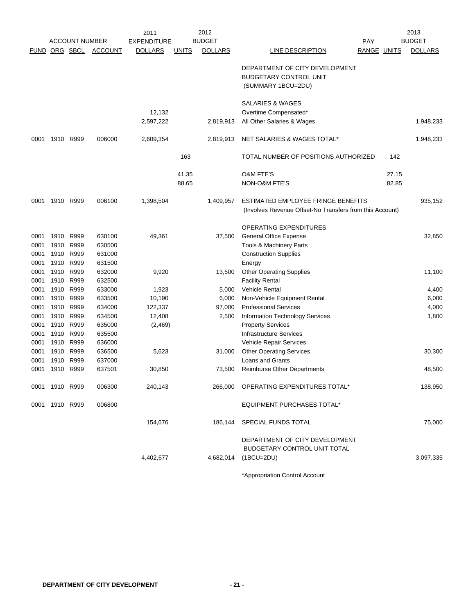|      |                      |                       |                | 2011               |              | 2012           |                                                                                                |                    |       | 2013           |
|------|----------------------|-----------------------|----------------|--------------------|--------------|----------------|------------------------------------------------------------------------------------------------|--------------------|-------|----------------|
|      |                      | <b>ACCOUNT NUMBER</b> |                | <b>EXPENDITURE</b> |              | <b>BUDGET</b>  |                                                                                                | PAY                |       | <b>BUDGET</b>  |
|      | <b>FUND ORG SBCL</b> |                       | <b>ACCOUNT</b> | <b>DOLLARS</b>     | <u>UNITS</u> | <b>DOLLARS</b> | LINE DESCRIPTION                                                                               | <b>RANGE UNITS</b> |       | <b>DOLLARS</b> |
|      |                      |                       |                |                    |              |                | DEPARTMENT OF CITY DEVELOPMENT<br><b>BUDGETARY CONTROL UNIT</b><br>(SUMMARY 1BCU=2DU)          |                    |       |                |
|      |                      |                       |                | 12,132             |              |                | <b>SALARIES &amp; WAGES</b><br>Overtime Compensated*                                           |                    |       |                |
|      |                      |                       |                | 2,597,222          |              | 2,819,913      | All Other Salaries & Wages                                                                     |                    |       | 1,948,233      |
| 0001 | 1910                 | R999                  | 006000         | 2,609,354          |              | 2,819,913      | NET SALARIES & WAGES TOTAL*                                                                    |                    |       | 1,948,233      |
|      |                      |                       |                |                    | 163          |                | TOTAL NUMBER OF POSITIONS AUTHORIZED                                                           |                    | 142   |                |
|      |                      |                       |                |                    | 41.35        |                | <b>O&amp;M FTE'S</b>                                                                           |                    | 27.15 |                |
|      |                      |                       |                |                    | 88.65        |                | <b>NON-O&amp;M FTE'S</b>                                                                       |                    | 82.85 |                |
| 0001 | 1910 R999            |                       | 006100         | 1,398,504          |              | 1,409,957      | ESTIMATED EMPLOYEE FRINGE BENEFITS<br>(Involves Revenue Offset-No Transfers from this Account) |                    |       | 935,152        |
|      |                      |                       |                |                    |              |                | OPERATING EXPENDITURES                                                                         |                    |       |                |
| 0001 | 1910                 | R999                  | 630100         | 49,361             |              | 37,500         | <b>General Office Expense</b>                                                                  |                    |       | 32.850         |
| 0001 | 1910                 | R999                  | 630500         |                    |              |                | Tools & Machinery Parts                                                                        |                    |       |                |
| 0001 | 1910                 | R999                  | 631000         |                    |              |                | <b>Construction Supplies</b>                                                                   |                    |       |                |
| 0001 |                      | 1910 R999             | 631500         |                    |              |                | Energy                                                                                         |                    |       |                |
| 0001 | 1910                 | R999                  | 632000         | 9,920              |              | 13,500         | <b>Other Operating Supplies</b>                                                                |                    |       | 11,100         |
| 0001 | 1910                 | R999                  | 632500         |                    |              |                | <b>Facility Rental</b>                                                                         |                    |       |                |
| 0001 | 1910                 | R999                  | 633000         | 1,923              |              | 5,000          | <b>Vehicle Rental</b>                                                                          |                    |       | 4,400          |
| 0001 | 1910                 | R999                  | 633500         | 10,190             |              | 6,000          | Non-Vehicle Equipment Rental                                                                   |                    |       | 6,000          |
| 0001 | 1910                 | R999                  | 634000         | 122,337            |              | 97,000         | <b>Professional Services</b>                                                                   |                    |       | 4,000          |
| 0001 | 1910                 | R999                  | 634500         | 12,408             |              | 2,500          | <b>Information Technology Services</b>                                                         |                    |       | 1,800          |
| 0001 | 1910                 | R999                  | 635000         | (2,469)            |              |                | <b>Property Services</b>                                                                       |                    |       |                |
| 0001 | 1910                 | R999                  | 635500         |                    |              |                | <b>Infrastructure Services</b>                                                                 |                    |       |                |
| 0001 | 1910                 | R999                  | 636000         |                    |              |                | Vehicle Repair Services                                                                        |                    |       |                |
| 0001 |                      | 1910 R999             | 636500         | 5,623              |              | 31,000         | <b>Other Operating Services</b>                                                                |                    |       | 30,300         |
| 0001 | 1910                 | R999                  | 637000         |                    |              |                | Loans and Grants                                                                               |                    |       |                |
| 0001 |                      | 1910 R999             | 637501         | 30,850             |              | 73,500         | <b>Reimburse Other Departments</b>                                                             |                    |       | 48,500         |
|      | 0001 1910 R999       |                       | 006300         | 240,143            |              |                | 266,000 OPERATING EXPENDITURES TOTAL*                                                          |                    |       | 138,950        |
|      | 0001 1910 R999       |                       | 006800         |                    |              |                | <b>EQUIPMENT PURCHASES TOTAL*</b>                                                              |                    |       |                |
|      |                      |                       |                | 154,676            |              |                | 186,144 SPECIAL FUNDS TOTAL                                                                    |                    |       | 75,000         |
|      |                      |                       |                | 4,402,677          |              | 4,682,014      | DEPARTMENT OF CITY DEVELOPMENT<br>BUDGETARY CONTROL UNIT TOTAL<br>$(1BCU=2DU)$                 |                    |       | 3,097,335      |
|      |                      |                       |                |                    |              |                | *Appropriation Control Account                                                                 |                    |       |                |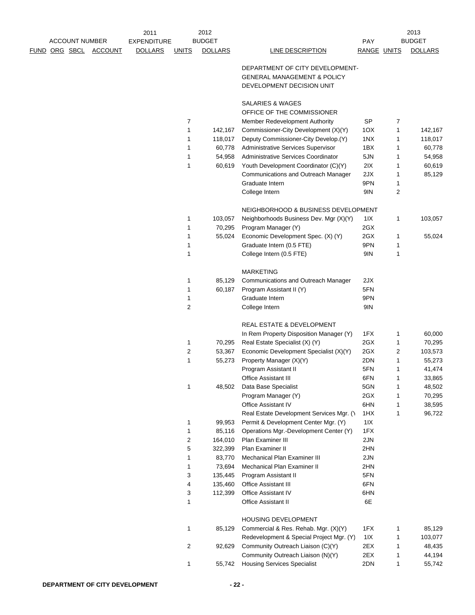|                      |                       |                | 2011               |                | 2012           |                                                                                                        |             |        | 2013             |
|----------------------|-----------------------|----------------|--------------------|----------------|----------------|--------------------------------------------------------------------------------------------------------|-------------|--------|------------------|
|                      | <b>ACCOUNT NUMBER</b> |                | <b>EXPENDITURE</b> |                | <b>BUDGET</b>  |                                                                                                        | <b>PAY</b>  |        | <b>BUDGET</b>    |
| <u>FUND ORG SBCL</u> |                       | <b>ACCOUNT</b> | <b>DOLLARS</b>     | <b>UNITS</b>   | <b>DOLLARS</b> | LINE DESCRIPTION                                                                                       | RANGE UNITS |        | <b>DOLLARS</b>   |
|                      |                       |                |                    |                |                | DEPARTMENT OF CITY DEVELOPMENT-<br><b>GENERAL MANAGEMENT &amp; POLICY</b><br>DEVELOPMENT DECISION UNIT |             |        |                  |
|                      |                       |                |                    |                |                | SALARIES & WAGES<br>OFFICE OF THE COMMISSIONER                                                         |             |        |                  |
|                      |                       |                |                    | 7              |                | Member Redevelopment Authority                                                                         | SP          | 7      |                  |
|                      |                       |                |                    | 1              | 142,167        | Commissioner-City Development (X)(Y)                                                                   | 1OX         | 1      | 142,167          |
|                      |                       |                |                    | 1              | 118,017        | Deputy Commissioner-City Develop.(Y)                                                                   | 1NX         | 1      | 118,017          |
|                      |                       |                |                    | 1              | 60,778         | Administrative Services Supervisor                                                                     | 1BX         | 1      | 60,778           |
|                      |                       |                |                    | 1              | 54,958         | Administrative Services Coordinator                                                                    | 5JN         | 1      | 54,958           |
|                      |                       |                |                    | 1              | 60,619         | Youth Development Coordinator (C)(Y)                                                                   | 2IX         | 1      | 60,619           |
|                      |                       |                |                    |                |                | Communications and Outreach Manager                                                                    | 2JX         | 1      | 85,129           |
|                      |                       |                |                    |                |                | Graduate Intern                                                                                        | 9PN         | 1      |                  |
|                      |                       |                |                    |                |                | College Intern                                                                                         | 9IN         | 2      |                  |
|                      |                       |                |                    |                |                | NEIGHBORHOOD & BUSINESS DEVELOPMENT                                                                    |             |        |                  |
|                      |                       |                |                    | 1              | 103,057        | Neighborhoods Business Dev. Mgr (X)(Y)                                                                 | 1 I X       | 1      | 103,057          |
|                      |                       |                |                    | 1              | 70,295         | Program Manager (Y)                                                                                    | 2GX         |        |                  |
|                      |                       |                |                    | 1              | 55,024         | Economic Development Spec. (X) (Y)                                                                     | 2GX         | 1      | 55,024           |
|                      |                       |                |                    | 1              |                | Graduate Intern (0.5 FTE)                                                                              | 9PN         | 1      |                  |
|                      |                       |                |                    | 1              |                | College Intern (0.5 FTE)                                                                               | 9IN         | 1      |                  |
|                      |                       |                |                    |                |                | <b>MARKETING</b>                                                                                       |             |        |                  |
|                      |                       |                |                    | $\mathbf{1}$   | 85,129         | Communications and Outreach Manager                                                                    | 2JX         |        |                  |
|                      |                       |                |                    | 1              | 60,187         | Program Assistant II (Y)                                                                               | 5FN         |        |                  |
|                      |                       |                |                    | 1              |                | Graduate Intern                                                                                        | 9PN         |        |                  |
|                      |                       |                |                    | $\overline{2}$ |                | College Intern                                                                                         | 9IN         |        |                  |
|                      |                       |                |                    |                |                | <b>REAL ESTATE &amp; DEVELOPMENT</b>                                                                   |             |        |                  |
|                      |                       |                |                    |                |                | In Rem Property Disposition Manager (Y)                                                                | 1FX         | 1      | 60,000           |
|                      |                       |                |                    | 1              | 70,295         | Real Estate Specialist (X) (Y)                                                                         | 2GX         | 1      | 70,295           |
|                      |                       |                |                    | 2              | 53,367         | Economic Development Specialist (X)(Y)                                                                 | 2GX         | 2      | 103,573          |
|                      |                       |                |                    | 1              | 55,273         | Property Manager (X)(Y)                                                                                | 2DN         | 1      | 55,273           |
|                      |                       |                |                    |                |                | Program Assistant II                                                                                   | 5FN         | 1      | 41,474           |
|                      |                       |                |                    |                |                | Office Assistant III                                                                                   | 6FN         | 1      | 33,865           |
|                      |                       |                |                    | 1              | 48,502         | Data Base Specialist                                                                                   | 5GN         | 1      | 48,502           |
|                      |                       |                |                    |                |                | Program Manager (Y)<br><b>Office Assistant IV</b>                                                      | 2GX<br>6HN  | 1      | 70,295           |
|                      |                       |                |                    |                |                | Real Estate Development Services Mgr. (1)                                                              | 1HX         | 1<br>1 | 38,595<br>96,722 |
|                      |                       |                |                    | 1              | 99,953         | Permit & Development Center Mgr. (Y)                                                                   | 11X         |        |                  |
|                      |                       |                |                    | 1              | 85,116         | Operations Mgr.-Development Center (Y)                                                                 | 1FX         |        |                  |
|                      |                       |                |                    | 2              | 164,010        | Plan Examiner III                                                                                      | 2JN         |        |                  |
|                      |                       |                |                    | 5              | 322,399        | Plan Examiner II                                                                                       | 2HN         |        |                  |
|                      |                       |                |                    | 1              | 83,770         | Mechanical Plan Examiner III                                                                           | 2JN         |        |                  |
|                      |                       |                |                    | 1              | 73,694         | Mechanical Plan Examiner II                                                                            | 2HN         |        |                  |
|                      |                       |                |                    | 3              | 135,445        | Program Assistant II                                                                                   | 5FN         |        |                  |
|                      |                       |                |                    | 4              | 135,460        | <b>Office Assistant III</b>                                                                            | 6FN         |        |                  |
|                      |                       |                |                    | 3              | 112,399        | Office Assistant IV                                                                                    | 6HN         |        |                  |
|                      |                       |                |                    | 1              |                | Office Assistant II                                                                                    | 6E          |        |                  |
|                      |                       |                |                    |                |                | HOUSING DEVELOPMENT                                                                                    |             |        |                  |
|                      |                       |                |                    | 1              | 85,129         | Commercial & Res. Rehab. Mgr. (X)(Y)                                                                   | 1FX         | 1      | 85,129           |
|                      |                       |                |                    |                |                | Redevelopment & Special Project Mgr. (Y)                                                               | 11X         | 1      | 103,077          |
|                      |                       |                |                    | $\overline{2}$ | 92,629         | Community Outreach Liaison (C)(Y)                                                                      | 2EX         | 1      | 48,435           |
|                      |                       |                |                    |                |                | Community Outreach Liaison (N)(Y)                                                                      | 2EX         | 1      | 44,194           |
|                      |                       |                |                    | 1              | 55,742         | <b>Housing Services Specialist</b>                                                                     | 2DN         | 1      | 55,742           |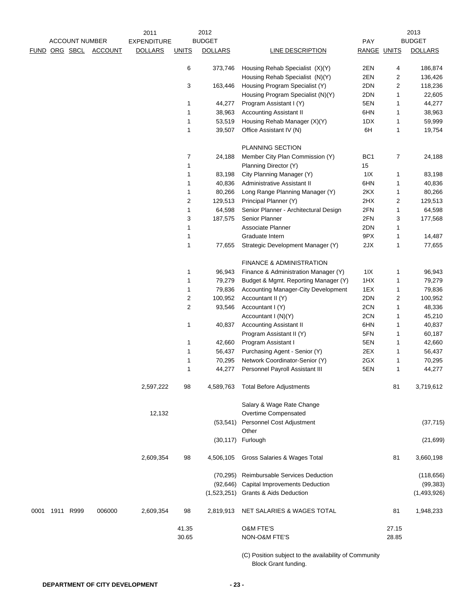|      |      |                       |                | 2011               |                         | 2012             |                                                                   |                    |              | 2013             |
|------|------|-----------------------|----------------|--------------------|-------------------------|------------------|-------------------------------------------------------------------|--------------------|--------------|------------------|
|      |      | <b>ACCOUNT NUMBER</b> |                | <b>EXPENDITURE</b> |                         | <b>BUDGET</b>    |                                                                   | <b>PAY</b>         |              | <b>BUDGET</b>    |
|      |      | FUND ORG SBCL         | <b>ACCOUNT</b> | <b>DOLLARS</b>     | <b>UNITS</b>            | <b>DOLLARS</b>   | <b>LINE DESCRIPTION</b>                                           | <b>RANGE UNITS</b> |              | <b>DOLLARS</b>   |
|      |      |                       |                |                    | 6                       | 373,746          | Housing Rehab Specialist (X)(Y)                                   | 2EN                | 4            | 186,874          |
|      |      |                       |                |                    |                         |                  | Housing Rehab Specialist (N)(Y)                                   | 2EN                | 2            | 136,426          |
|      |      |                       |                |                    | 3                       | 163,446          | Housing Program Specialist (Y)                                    | 2DN                | 2            | 118,236          |
|      |      |                       |                |                    |                         |                  | Housing Program Specialist (N)(Y)                                 | 2DN                | 1            | 22,605           |
|      |      |                       |                |                    | 1                       | 44,277           | Program Assistant I (Y)                                           | 5EN                | 1            | 44,277           |
|      |      |                       |                |                    | 1                       | 38,963           | <b>Accounting Assistant II</b>                                    | 6HN                | 1            | 38,963           |
|      |      |                       |                |                    | 1                       | 53,519           | Housing Rehab Manager (X)(Y)                                      | 1DX                | 1            | 59,999           |
|      |      |                       |                |                    | $\mathbf{1}$            | 39,507           | Office Assistant IV (N)                                           | 6H                 | 1            | 19,754           |
|      |      |                       |                |                    |                         |                  | PLANNING SECTION                                                  |                    |              |                  |
|      |      |                       |                |                    | $\overline{7}$          | 24,188           | Member City Plan Commission (Y)                                   | BC <sub>1</sub>    | 7            | 24,188           |
|      |      |                       |                |                    | 1                       |                  | Planning Director (Y)                                             | 15                 |              |                  |
|      |      |                       |                |                    | 1                       | 83,198           | City Planning Manager (Y)                                         | 11X                | 1            | 83,198           |
|      |      |                       |                |                    |                         |                  |                                                                   |                    |              |                  |
|      |      |                       |                |                    | 1                       | 40,836           | Administrative Assistant II                                       | 6HN                | 1            | 40,836           |
|      |      |                       |                |                    | 1                       | 80,266           | Long Range Planning Manager (Y)                                   | 2KX                | 1            | 80,266           |
|      |      |                       |                |                    | $\overline{c}$          | 129,513          | Principal Planner (Y)                                             | 2HX                | 2            | 129,513          |
|      |      |                       |                |                    | $\mathbf{1}$            | 64,598           | Senior Planner - Architectural Design                             | 2FN                | 1            | 64,598           |
|      |      |                       |                |                    | 3                       | 187,575          | Senior Planner                                                    | 2FN                | 3            | 177,568          |
|      |      |                       |                |                    | $\mathbf 1$             |                  | Associate Planner                                                 | 2DN                | 1            |                  |
|      |      |                       |                |                    | 1                       |                  | Graduate Intern                                                   | 9PX                | 1            | 14,487           |
|      |      |                       |                |                    | 1                       | 77,655           | Strategic Development Manager (Y)                                 | 2JX                | 1            | 77,655           |
|      |      |                       |                |                    |                         |                  | FINANCE & ADMINISTRATION                                          |                    |              |                  |
|      |      |                       |                |                    | 1                       | 96,943           | Finance & Administration Manager (Y)                              | 11X                | 1            | 96,943           |
|      |      |                       |                |                    | 1                       | 79,279           | Budget & Mgmt. Reporting Manager (Y)                              | 1HX                | 1            | 79,279           |
|      |      |                       |                |                    | 1                       | 79,836           | Accounting Manager-City Development                               | 1EX                | 1            | 79,836           |
|      |      |                       |                |                    | $\overline{\mathbf{c}}$ | 100,952          | Accountant II (Y)                                                 | 2DN                | 2            | 100,952          |
|      |      |                       |                |                    | $\overline{c}$          | 93,546           | Accountant I (Y)                                                  | 2CN                | $\mathbf{1}$ | 48,336           |
|      |      |                       |                |                    |                         |                  | Accountant I (N)(Y)                                               | 2CN                | 1            | 45,210           |
|      |      |                       |                |                    | $\mathbf{1}$            | 40,837           | <b>Accounting Assistant II</b>                                    | 6HN                | 1            | 40,837           |
|      |      |                       |                |                    |                         |                  | Program Assistant II (Y)                                          | 5FN                | 1            | 60,187           |
|      |      |                       |                |                    | 1                       | 42,660           | Program Assistant I                                               | 5EN                | 1            | 42,660           |
|      |      |                       |                |                    | 1                       | 56,437           | Purchasing Agent - Senior (Y)                                     | 2EX                | 1            | 56,437           |
|      |      |                       |                |                    |                         |                  |                                                                   |                    |              |                  |
|      |      |                       |                |                    | 1<br>$\mathbf{1}$       | 70,295<br>44,277 | Network Coordinator-Senior (Y)<br>Personnel Payroll Assistant III | 2GX<br>5EN         | 1<br>1       | 70,295<br>44,277 |
|      |      |                       |                | 2,597,222          | 98                      | 4,589,763        | <b>Total Before Adjustments</b>                                   |                    | 81           | 3,719,612        |
|      |      |                       |                |                    |                         |                  | Salary & Wage Rate Change                                         |                    |              |                  |
|      |      |                       |                | 12,132             |                         |                  | Overtime Compensated                                              |                    |              |                  |
|      |      |                       |                |                    |                         | (53, 541)        | Personnel Cost Adjustment<br>Other                                |                    |              | (37, 715)        |
|      |      |                       |                |                    |                         | (30, 117)        | Furlough                                                          |                    |              | (21, 699)        |
|      |      |                       |                | 2,609,354          | 98                      | 4,506,105        | Gross Salaries & Wages Total                                      |                    | 81           | 3,660,198        |
|      |      |                       |                |                    |                         | (70, 295)        | Reimbursable Services Deduction                                   |                    |              | (118, 656)       |
|      |      |                       |                |                    |                         | (92, 646)        | <b>Capital Improvements Deduction</b>                             |                    |              | (99, 383)        |
|      |      |                       |                |                    |                         |                  | (1,523,251) Grants & Aids Deduction                               |                    |              | (1,493,926)      |
| 0001 | 1911 | R999                  | 006000         | 2,609,354          | 98                      | 2,819,913        | NET SALARIES & WAGES TOTAL                                        |                    | 81           | 1,948,233        |
|      |      |                       |                |                    | 41.35                   |                  | <b>O&amp;M FTE'S</b>                                              |                    | 27.15        |                  |
|      |      |                       |                |                    | 30.65                   |                  | NON-O&M FTE'S                                                     |                    | 28.85        |                  |
|      |      |                       |                |                    |                         |                  | $($ $\cap$ ) Position subject to the availability of Community    |                    |              |                  |

(C) Position subject to the availability of Community Block Grant funding.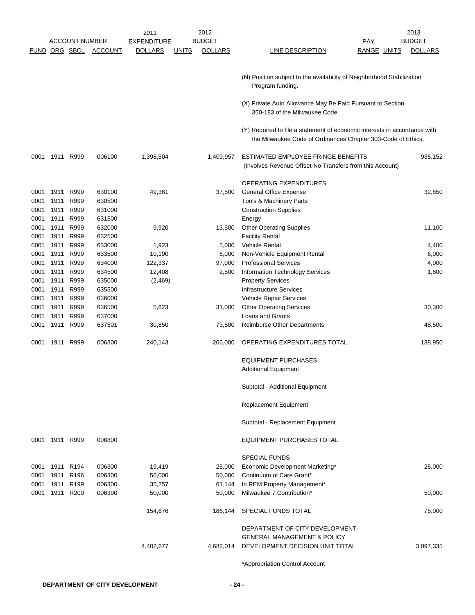|      |                |                       |                | 2011               |              | 2012           |                                                                           | 2013           |
|------|----------------|-----------------------|----------------|--------------------|--------------|----------------|---------------------------------------------------------------------------|----------------|
|      |                | <b>ACCOUNT NUMBER</b> |                | <b>EXPENDITURE</b> |              | <b>BUDGET</b>  | <b>PAY</b>                                                                | <b>BUDGET</b>  |
|      |                | <b>FUND ORG SBCL</b>  | <b>ACCOUNT</b> | <b>DOLLARS</b>     | <b>UNITS</b> | <b>DOLLARS</b> | LINE DESCRIPTION<br><b>RANGE UNITS</b>                                    | <b>DOLLARS</b> |
|      |                |                       |                |                    |              |                |                                                                           |                |
|      |                |                       |                |                    |              |                |                                                                           |                |
|      |                |                       |                |                    |              |                | (N) Position subject to the availability of Neighborhood Stabilization    |                |
|      |                |                       |                |                    |              |                | Program funding.                                                          |                |
|      |                |                       |                |                    |              |                |                                                                           |                |
|      |                |                       |                |                    |              |                | (X) Private Auto Allowance May Be Paid Pursuant to Section                |                |
|      |                |                       |                |                    |              |                | 350-183 of the Milwaukee Code.                                            |                |
|      |                |                       |                |                    |              |                |                                                                           |                |
|      |                |                       |                |                    |              |                | (Y) Required to file a statement of economic interests in accordance with |                |
|      |                |                       |                |                    |              |                | the Milwaukee Code of Ordinances Chapter 303-Code of Ethics.              |                |
| 0001 |                | 1911 R999             | 006100         | 1,398,504          |              | 1,409,957      | ESTIMATED EMPLOYEE FRINGE BENEFITS                                        | 935,152        |
|      |                |                       |                |                    |              |                | (Involves Revenue Offset-No Transfers from this Account)                  |                |
|      |                |                       |                |                    |              |                |                                                                           |                |
|      |                |                       |                |                    |              |                | OPERATING EXPENDITURES                                                    |                |
| 0001 | 1911           | R999                  | 630100         | 49,361             |              | 37,500         | <b>General Office Expense</b>                                             | 32,850         |
| 0001 | 1911           | R999                  | 630500         |                    |              |                | Tools & Machinery Parts                                                   |                |
| 0001 | 1911           | R999                  | 631000         |                    |              |                | <b>Construction Supplies</b>                                              |                |
| 0001 | 1911           | R999                  | 631500         |                    |              |                | Energy                                                                    |                |
| 0001 | 1911           | R999                  | 632000         | 9,920              |              | 13,500         | <b>Other Operating Supplies</b>                                           | 11,100         |
|      |                |                       | 632500         |                    |              |                | <b>Facility Rental</b>                                                    |                |
| 0001 | 1911           | R999                  |                |                    |              |                |                                                                           |                |
| 0001 | 1911           | R999                  | 633000         | 1,923              |              | 5,000          | Vehicle Rental                                                            | 4,400          |
| 0001 | 1911           | R999                  | 633500         | 10,190             |              | 6,000          | Non-Vehicle Equipment Rental                                              | 6,000          |
| 0001 | 1911           | R999                  | 634000         | 122,337            |              | 97,000         | <b>Professional Services</b>                                              | 4,000          |
| 0001 | 1911           | R999                  | 634500         | 12,408             |              | 2,500          | <b>Information Technology Services</b>                                    | 1,800          |
| 0001 | 1911           | R999                  | 635000         | (2, 469)           |              |                | <b>Property Services</b>                                                  |                |
| 0001 | 1911           | R999                  | 635500         |                    |              |                | <b>Infrastructure Services</b>                                            |                |
| 0001 | 1911           | R999                  | 636000         |                    |              |                | Vehicle Repair Services                                                   |                |
| 0001 | 1911           | R999                  | 636500         | 5,623              |              | 31,000         | <b>Other Operating Services</b>                                           | 30,300         |
| 0001 | 1911           | R999                  | 637000         |                    |              |                | Loans and Grants                                                          |                |
| 0001 | 1911           | R999                  | 637501         | 30,850             |              | 73,500         | <b>Reimburse Other Departments</b>                                        | 48,500         |
|      |                |                       |                |                    |              |                |                                                                           |                |
| 0001 | 1911           | R999                  | 006300         | 240,143            |              | 266,000        | OPERATING EXPENDITURES TOTAL                                              | 138,950        |
|      |                |                       |                |                    |              |                | <b>EQUIPMENT PURCHASES</b>                                                |                |
|      |                |                       |                |                    |              |                |                                                                           |                |
|      |                |                       |                |                    |              |                | <b>Additional Equipment</b>                                               |                |
|      |                |                       |                |                    |              |                | Subtotal - Additional Equipment                                           |                |
|      |                |                       |                |                    |              |                |                                                                           |                |
|      |                |                       |                |                    |              |                | Replacement Equipment                                                     |                |
|      |                |                       |                |                    |              |                | Subtotal - Replacement Equipment                                          |                |
|      | 0001 1911 R999 |                       | 006800         |                    |              |                | EQUIPMENT PURCHASES TOTAL                                                 |                |
|      |                |                       |                |                    |              |                |                                                                           |                |
|      |                |                       |                |                    |              |                | <b>SPECIAL FUNDS</b>                                                      |                |
| 0001 | 1911 R194      |                       | 006300         | 19,419             |              | 25,000         | Economic Development Marketing*                                           | 25,000         |
| 0001 | 1911           | R <sub>196</sub>      | 006300         | 50,000             |              | 50,000         | Continuum of Care Grant*                                                  |                |
| 0001 | 1911           | R <sub>199</sub>      | 006300         | 35,257             |              | 61,144         | In REM Property Management*                                               |                |
| 0001 |                | 1911 R200             | 006300         | 50,000             |              | 50,000         | Milwaukee 7 Contribution*                                                 | 50,000         |
|      |                |                       |                |                    |              |                |                                                                           |                |
|      |                |                       |                | 154,676            |              | 186,144        | SPECIAL FUNDS TOTAL                                                       | 75,000         |
|      |                |                       |                |                    |              |                |                                                                           |                |
|      |                |                       |                |                    |              |                | DEPARTMENT OF CITY DEVELOPMENT-                                           |                |
|      |                |                       |                |                    |              |                | <b>GENERAL MANAGEMENT &amp; POLICY</b>                                    |                |
|      |                |                       |                | 4,402,677          |              | 4,682,014      | DEVELOPMENT DECISION UNIT TOTAL                                           | 3,097,335      |
|      |                |                       |                |                    |              |                |                                                                           |                |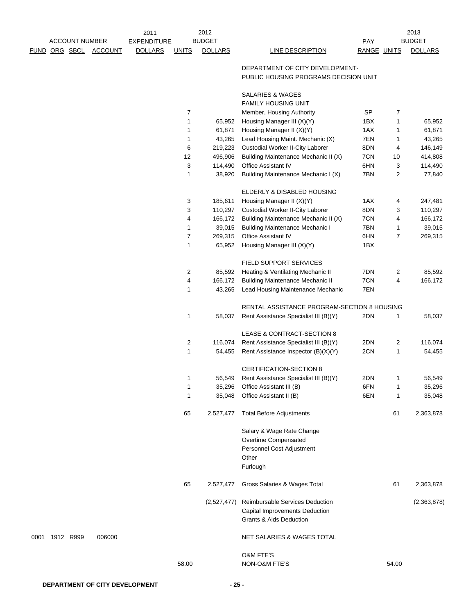|                       |                | 2011               |              | 2012           |                                                                          |             |                | 2013           |
|-----------------------|----------------|--------------------|--------------|----------------|--------------------------------------------------------------------------|-------------|----------------|----------------|
| <b>ACCOUNT NUMBER</b> |                | <b>EXPENDITURE</b> |              | <b>BUDGET</b>  |                                                                          | PAY         |                | <b>BUDGET</b>  |
| <u>FUND ORG SBCL</u>  | <b>ACCOUNT</b> | <b>DOLLARS</b>     | <b>UNITS</b> | <b>DOLLARS</b> | <b>LINE DESCRIPTION</b>                                                  | RANGE UNITS |                | <b>DOLLARS</b> |
|                       |                |                    |              |                | DEPARTMENT OF CITY DEVELOPMENT-<br>PUBLIC HOUSING PROGRAMS DECISION UNIT |             |                |                |
|                       |                |                    |              |                | <b>SALARIES &amp; WAGES</b>                                              |             |                |                |
|                       |                |                    |              |                | <b>FAMILY HOUSING UNIT</b>                                               |             |                |                |
|                       |                |                    | 7            |                | Member, Housing Authority                                                | SP          | 7              |                |
|                       |                |                    | 1            | 65,952         | Housing Manager III (X)(Y)                                               | 1BX         | 1              | 65,952         |
|                       |                |                    | 1            | 61,871         | Housing Manager II (X)(Y)                                                | 1AX         | 1              | 61,871         |
|                       |                |                    | 1            | 43,265         | Lead Housing Maint. Mechanic (X)                                         | 7EN         | 1              | 43,265         |
|                       |                |                    | 6            | 219,223        | Custodial Worker II-City Laborer                                         | 8DN         | 4              | 146,149        |
|                       |                |                    | 12           | 496,906        | Building Maintenance Mechanic II (X)                                     | 7CN         | $10$           | 414,808        |
|                       |                |                    | 3            | 114,490        | Office Assistant IV                                                      | 6HN         | 3              | 114,490        |
|                       |                |                    | 1            | 38,920         | Building Maintenance Mechanic I (X)                                      | 7BN         | $\overline{c}$ | 77,840         |
|                       |                |                    |              |                | ELDERLY & DISABLED HOUSING                                               |             |                |                |
|                       |                |                    | 3            | 185,611        | Housing Manager II (X)(Y)                                                | 1AX         | 4              | 247,481        |
|                       |                |                    | 3            | 110,297        | Custodial Worker II-City Laborer                                         | 8DN         | 3              | 110,297        |
|                       |                |                    | 4            | 166,172        | Building Maintenance Mechanic II (X)                                     | 7CN         | 4              | 166,172        |
|                       |                |                    | 1            | 39,015         | <b>Building Maintenance Mechanic I</b>                                   | 7BN         | 1              | 39,015         |
|                       |                |                    | 7            | 269,315        | Office Assistant IV                                                      | 6HN         | $\overline{7}$ | 269,315        |
|                       |                |                    | 1            | 65,952         | Housing Manager III (X)(Y)                                               | 1BX         |                |                |
|                       |                |                    |              |                | FIELD SUPPORT SERVICES                                                   |             |                |                |
|                       |                |                    | 2            | 85,592         | Heating & Ventilating Mechanic II                                        | 7DN         | 2              | 85,592         |
|                       |                |                    | 4            | 166,172        | <b>Building Maintenance Mechanic II</b>                                  | 7CN         | 4              | 166,172        |
|                       |                |                    | 1            | 43,265         | Lead Housing Maintenance Mechanic                                        | 7EN         |                |                |
|                       |                |                    |              |                | RENTAL ASSISTANCE PROGRAM-SECTION 8 HOUSING                              |             |                |                |
|                       |                |                    | 1            | 58,037         | Rent Assistance Specialist III (B)(Y)                                    | 2DN         | 1              | 58,037         |
|                       |                |                    |              |                | LEASE & CONTRACT-SECTION 8                                               |             |                |                |
|                       |                |                    | 2            | 116,074        | Rent Assistance Specialist III (B)(Y)                                    | 2DN         | 2              | 116,074        |
|                       |                |                    | 1            | 54,455         | Rent Assistance Inspector (B)(X)(Y)                                      | 2CN         | 1              | 54,455         |
|                       |                |                    |              |                | CERTIFICATION-SECTION 8                                                  |             |                |                |
|                       |                |                    | 1            | 56,549         | Rent Assistance Specialist III (B)(Y)                                    | 2DN         | 1              | 56,549         |
|                       |                |                    | 1            | 35,296         | Office Assistant III (B)                                                 | 6FN         | 1              | 35,296         |
|                       |                |                    | 1            | 35,048         | Office Assistant II (B)                                                  | 6EN         | 1              | 35,048         |
|                       |                |                    | 65           | 2,527,477      | <b>Total Before Adjustments</b>                                          |             | 61             | 2,363,878      |
|                       |                |                    |              |                | Salary & Wage Rate Change                                                |             |                |                |
|                       |                |                    |              |                | Overtime Compensated                                                     |             |                |                |
|                       |                |                    |              |                | Personnel Cost Adjustment                                                |             |                |                |
|                       |                |                    |              |                | Other                                                                    |             |                |                |
|                       |                |                    |              |                | Furlough                                                                 |             |                |                |
|                       |                |                    | 65           | 2,527,477      | Gross Salaries & Wages Total                                             |             | 61             | 2,363,878      |
|                       |                |                    |              | (2,527,477)    | Reimbursable Services Deduction                                          |             |                | (2,363,878)    |
|                       |                |                    |              |                | Capital Improvements Deduction                                           |             |                |                |
|                       |                |                    |              |                | Grants & Aids Deduction                                                  |             |                |                |
| 0001 1912 R999        | 006000         |                    |              |                | NET SALARIES & WAGES TOTAL                                               |             |                |                |
|                       |                |                    |              |                | <b>O&amp;M FTE'S</b>                                                     |             |                |                |
|                       |                |                    | 58.00        |                | NON-O&M FTE'S                                                            |             | 54.00          |                |
|                       |                |                    |              |                |                                                                          |             |                |                |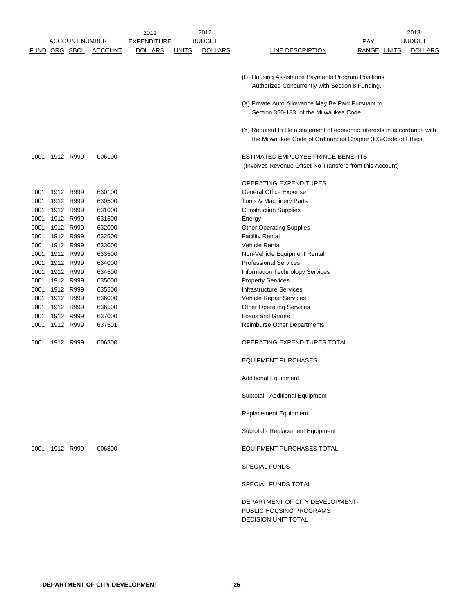|               |                |                       |                | 2011               |              | 2012           |                                                                                              |                    | 2013           |
|---------------|----------------|-----------------------|----------------|--------------------|--------------|----------------|----------------------------------------------------------------------------------------------|--------------------|----------------|
|               |                | <b>ACCOUNT NUMBER</b> |                | <b>EXPENDITURE</b> |              | <b>BUDGET</b>  |                                                                                              | PAY                | <b>BUDGET</b>  |
| FUND ORG SBCL |                |                       | <b>ACCOUNT</b> | <b>DOLLARS</b>     | <b>UNITS</b> | <b>DOLLARS</b> | LINE DESCRIPTION                                                                             | <b>RANGE UNITS</b> | <b>DOLLARS</b> |
|               |                |                       |                |                    |              |                |                                                                                              |                    |                |
|               |                |                       |                |                    |              |                |                                                                                              |                    |                |
|               |                |                       |                |                    |              |                | (B) Housing Assistance Payments Program Positions                                            |                    |                |
|               |                |                       |                |                    |              |                | Authorized Concurrently with Section 8 Funding.                                              |                    |                |
|               |                |                       |                |                    |              |                |                                                                                              |                    |                |
|               |                |                       |                |                    |              |                | (X) Private Auto Allowance May Be Paid Pursuant to<br>Section 350-183 of the Milwaukee Code. |                    |                |
|               |                |                       |                |                    |              |                |                                                                                              |                    |                |
|               |                |                       |                |                    |              |                |                                                                                              |                    |                |
|               |                |                       |                |                    |              |                | (Y) Required to file a statement of economic interests in accordance with                    |                    |                |
|               |                |                       |                |                    |              |                | the Milwaukee Code of Ordinances Chapter 303-Code of Ethics.                                 |                    |                |
| 0001          | 1912 R999      |                       | 006100         |                    |              |                | ESTIMATED EMPLOYEE FRINGE BENEFITS                                                           |                    |                |
|               |                |                       |                |                    |              |                | (Involves Revenue Offset-No Transfers from this Account)                                     |                    |                |
|               |                |                       |                |                    |              |                |                                                                                              |                    |                |
|               |                |                       |                |                    |              |                | OPERATING EXPENDITURES                                                                       |                    |                |
| 0001          | 1912 R999      |                       | 630100         |                    |              |                | <b>General Office Expense</b>                                                                |                    |                |
|               | 1912 R999      |                       |                |                    |              |                | <b>Tools &amp; Machinery Parts</b>                                                           |                    |                |
| 0001          | 1912 R999      |                       | 630500         |                    |              |                |                                                                                              |                    |                |
| 0001          |                |                       | 631000         |                    |              |                | <b>Construction Supplies</b>                                                                 |                    |                |
| 0001          | 1912 R999      |                       | 631500         |                    |              |                | Energy                                                                                       |                    |                |
| 0001          | 1912 R999      |                       | 632000         |                    |              |                | <b>Other Operating Supplies</b>                                                              |                    |                |
| 0001          | 1912 R999      |                       | 632500         |                    |              |                | <b>Facility Rental</b>                                                                       |                    |                |
| 0001          | 1912 R999      |                       | 633000         |                    |              |                | Vehicle Rental                                                                               |                    |                |
| 0001          | 1912 R999      |                       | 633500         |                    |              |                | Non-Vehicle Equipment Rental                                                                 |                    |                |
| 0001          |                | 1912 R999             | 634000         |                    |              |                | <b>Professional Services</b>                                                                 |                    |                |
| 0001          |                | 1912 R999             | 634500         |                    |              |                | Information Technology Services                                                              |                    |                |
| 0001          | 1912 R999      |                       | 635000         |                    |              |                | <b>Property Services</b>                                                                     |                    |                |
| 0001          | 1912 R999      |                       | 635500         |                    |              |                | <b>Infrastructure Services</b>                                                               |                    |                |
| 0001          |                | 1912 R999             | 636000         |                    |              |                | Vehicle Repair Services                                                                      |                    |                |
| 0001          |                | 1912 R999             | 636500         |                    |              |                | <b>Other Operating Services</b>                                                              |                    |                |
| 0001          |                | 1912 R999             | 637000         |                    |              |                | Loans and Grants                                                                             |                    |                |
| 0001          | 1912 R999      |                       | 637501         |                    |              |                | Reimburse Other Departments                                                                  |                    |                |
|               |                |                       |                |                    |              |                |                                                                                              |                    |                |
| 0001          | 1912 R999      |                       | 006300         |                    |              |                | OPERATING EXPENDITURES TOTAL                                                                 |                    |                |
|               |                |                       |                |                    |              |                |                                                                                              |                    |                |
|               |                |                       |                |                    |              |                | <b>EQUIPMENT PURCHASES</b>                                                                   |                    |                |
|               |                |                       |                |                    |              |                |                                                                                              |                    |                |
|               |                |                       |                |                    |              |                | <b>Additional Equipment</b>                                                                  |                    |                |
|               |                |                       |                |                    |              |                | Subtotal - Additional Equipment                                                              |                    |                |
|               |                |                       |                |                    |              |                |                                                                                              |                    |                |
|               |                |                       |                |                    |              |                | <b>Replacement Equipment</b>                                                                 |                    |                |
|               |                |                       |                |                    |              |                |                                                                                              |                    |                |
|               |                |                       |                |                    |              |                | Subtotal - Replacement Equipment                                                             |                    |                |
|               |                |                       |                |                    |              |                |                                                                                              |                    |                |
|               | 0001 1912 R999 |                       | 006800         |                    |              |                | EQUIPMENT PURCHASES TOTAL                                                                    |                    |                |
|               |                |                       |                |                    |              |                |                                                                                              |                    |                |
|               |                |                       |                |                    |              |                | <b>SPECIAL FUNDS</b>                                                                         |                    |                |
|               |                |                       |                |                    |              |                |                                                                                              |                    |                |
|               |                |                       |                |                    |              |                | SPECIAL FUNDS TOTAL                                                                          |                    |                |
|               |                |                       |                |                    |              |                |                                                                                              |                    |                |
|               |                |                       |                |                    |              |                | DEPARTMENT OF CITY DEVELOPMENT-                                                              |                    |                |
|               |                |                       |                |                    |              |                | PUBLIC HOUSING PROGRAMS                                                                      |                    |                |
|               |                |                       |                |                    |              |                | <b>DECISION UNIT TOTAL</b>                                                                   |                    |                |
|               |                |                       |                |                    |              |                |                                                                                              |                    |                |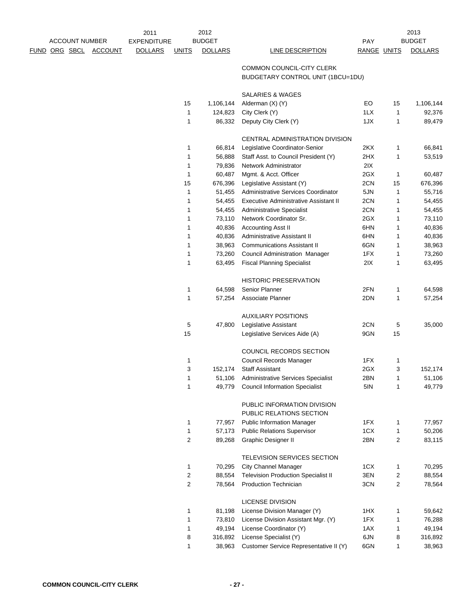|  |                       |         | 2011               |                  | 2012           |                                                                |             |    | 2013           |
|--|-----------------------|---------|--------------------|------------------|----------------|----------------------------------------------------------------|-------------|----|----------------|
|  | <b>ACCOUNT NUMBER</b> |         | <b>EXPENDITURE</b> |                  | <b>BUDGET</b>  |                                                                | <b>PAY</b>  |    | <b>BUDGET</b>  |
|  | <u>FUND ORG SBCL</u>  | ACCOUNT | <b>DOLLARS</b>     | <b>UNITS</b>     | <b>DOLLARS</b> | <b>LINE DESCRIPTION</b>                                        | RANGE UNITS |    | <b>DOLLARS</b> |
|  |                       |         |                    |                  |                | COMMON COUNCIL-CITY CLERK<br>BUDGETARY CONTROL UNIT (1BCU=1DU) |             |    |                |
|  |                       |         |                    |                  |                | <b>SALARIES &amp; WAGES</b>                                    |             |    |                |
|  |                       |         |                    | 15               | 1,106,144      | Alderman (X) (Y)                                               | EO          | 15 | 1,106,144      |
|  |                       |         |                    | 1                | 124,823        | City Clerk (Y)                                                 | 1LX         | 1  | 92,376         |
|  |                       |         |                    | 1                | 86,332         | Deputy City Clerk (Y)                                          | 1JX         | 1  | 89,479         |
|  |                       |         |                    |                  |                | CENTRAL ADMINISTRATION DIVISION                                |             |    |                |
|  |                       |         |                    | 1                | 66,814         | Legislative Coordinator-Senior                                 | 2KX         | 1  | 66,841         |
|  |                       |         |                    | 1                | 56,888         | Staff Asst. to Council President (Y)                           | 2HX         | 1  | 53,519         |
|  |                       |         |                    | 1                | 79,836         | Network Administrator                                          | 2IX         |    |                |
|  |                       |         |                    | 1                | 60,487         | Mgmt. & Acct. Officer                                          | 2GX         | 1  | 60,487         |
|  |                       |         |                    | 15               | 676,396        | Legislative Assistant (Y)                                      | 2CN         | 15 | 676,396        |
|  |                       |         |                    | 1                | 51,455         | Administrative Services Coordinator                            | 5JN         | 1  | 55,716         |
|  |                       |         |                    | 1                | 54,455         | <b>Executive Administrative Assistant II</b>                   | 2CN         | 1  | 54,455         |
|  |                       |         |                    | 1                | 54,455         | <b>Administrative Specialist</b>                               | 2CN         | 1  | 54,455         |
|  |                       |         |                    | 1                | 73,110         | Network Coordinator Sr.                                        | 2GX         | 1  | 73,110         |
|  |                       |         |                    | 1                | 40,836         | Accounting Asst II                                             | 6HN         | 1  | 40,836         |
|  |                       |         |                    | 1                | 40,836         | Administrative Assistant II                                    | 6HN         | 1  | 40,836         |
|  |                       |         |                    | 1                | 38,963         | <b>Communications Assistant II</b>                             | 6GN         | 1  | 38,963         |
|  |                       |         |                    | 1                | 73,260         | Council Administration Manager                                 | 1FX         | 1  | 73,260         |
|  |                       |         |                    | $\mathbf{1}$     | 63,495         | <b>Fiscal Planning Specialist</b>                              | 2IX         | 1  | 63,495         |
|  |                       |         |                    |                  |                | <b>HISTORIC PRESERVATION</b>                                   |             |    |                |
|  |                       |         |                    | 1                | 64,598         | Senior Planner                                                 | 2FN         | 1  | 64,598         |
|  |                       |         |                    | 1                | 57,254         | Associate Planner                                              | 2DN         | 1  | 57,254         |
|  |                       |         |                    |                  |                | <b>AUXILIARY POSITIONS</b>                                     |             |    |                |
|  |                       |         |                    | 5                | 47,800         | Legislative Assistant                                          | 2CN         | 5  | 35,000         |
|  |                       |         |                    | 15               |                | Legislative Services Aide (A)                                  | 9GN         | 15 |                |
|  |                       |         |                    |                  |                |                                                                |             |    |                |
|  |                       |         |                    |                  |                | COUNCIL RECORDS SECTION                                        |             |    |                |
|  |                       |         |                    | 1                |                | Council Records Manager                                        | 1FX         | 1  |                |
|  |                       |         |                    | 3                | 152,174        | <b>Staff Assistant</b>                                         | 2GX         | 3  | 152,174        |
|  |                       |         |                    | 1                |                | 51,106 Administrative Services Specialist                      | 2BN         | 1  | 51,106         |
|  |                       |         |                    | 1                | 49,779         | <b>Council Information Specialist</b>                          | 5IN         | 1  | 49,779         |
|  |                       |         |                    |                  |                | PUBLIC INFORMATION DIVISION                                    |             |    |                |
|  |                       |         |                    |                  |                | PUBLIC RELATIONS SECTION                                       |             |    |                |
|  |                       |         |                    | 1                | 77,957         | <b>Public Information Manager</b>                              | 1FX         | 1  | 77,957         |
|  |                       |         |                    | 1                | 57,173         | <b>Public Relations Supervisor</b>                             | 1CX         | 1  | 50,206         |
|  |                       |         |                    | $\boldsymbol{2}$ | 89,268         | Graphic Designer II                                            | 2BN         | 2  | 83,115         |
|  |                       |         |                    |                  |                | TELEVISION SERVICES SECTION                                    |             |    |                |
|  |                       |         |                    | 1                | 70,295         | <b>City Channel Manager</b>                                    | 1CX         | 1  | 70,295         |
|  |                       |         |                    | 2                | 88,554         | <b>Television Production Specialist II</b>                     | 3EN         | 2  | 88,554         |
|  |                       |         |                    | $\overline{2}$   | 78,564         | <b>Production Technician</b>                                   | 3CN         | 2  | 78,564         |
|  |                       |         |                    |                  |                | <b>LICENSE DIVISION</b>                                        |             |    |                |
|  |                       |         |                    | 1                | 81,198         | License Division Manager (Y)                                   | 1HX         | 1  | 59,642         |
|  |                       |         |                    | 1                | 73,810         | License Division Assistant Mgr. (Y)                            | 1FX         | 1  | 76,288         |
|  |                       |         |                    | 1                | 49,194         | License Coordinator (Y)                                        | 1AX         | 1  | 49,194         |
|  |                       |         |                    | 8                | 316,892        | License Specialist (Y)                                         | 6JN         | 8  | 316,892        |
|  |                       |         |                    | 1                | 38,963         | Customer Service Representative II (Y)                         | 6GN         | 1  | 38,963         |
|  |                       |         |                    |                  |                |                                                                |             |    |                |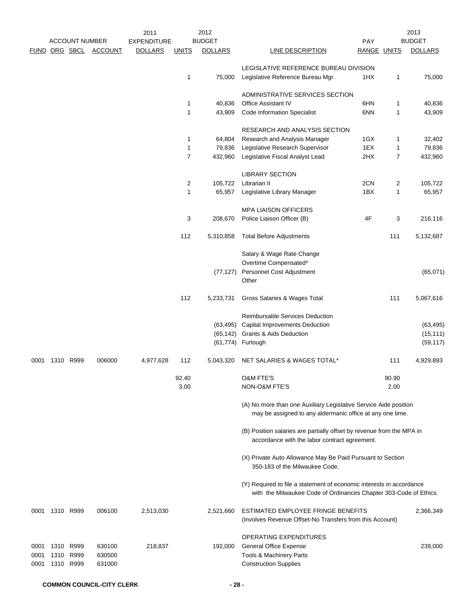|                      |           |                       |                | 2011               |                | 2012           |                                                                                                                                           |                    |       | 2013           |
|----------------------|-----------|-----------------------|----------------|--------------------|----------------|----------------|-------------------------------------------------------------------------------------------------------------------------------------------|--------------------|-------|----------------|
|                      |           | <b>ACCOUNT NUMBER</b> |                | <b>EXPENDITURE</b> |                | <b>BUDGET</b>  |                                                                                                                                           | <b>PAY</b>         |       | <b>BUDGET</b>  |
| <b>FUND ORG SBCL</b> |           |                       | <b>ACCOUNT</b> | <b>DOLLARS</b>     | <u>UNITS</u>   | <b>DOLLARS</b> | <b>LINE DESCRIPTION</b>                                                                                                                   | <b>RANGE UNITS</b> |       | <b>DOLLARS</b> |
|                      |           |                       |                |                    |                |                | LEGISLATIVE REFERENCE BUREAU DIVISION                                                                                                     |                    |       |                |
|                      |           |                       |                |                    | 1              | 75,000         | Legislative Reference Bureau Mgr.                                                                                                         | 1HX                | 1     | 75,000         |
|                      |           |                       |                |                    |                |                | ADMINISTRATIVE SERVICES SECTION                                                                                                           |                    |       |                |
|                      |           |                       |                |                    | 1              | 40,836         | Office Assistant IV                                                                                                                       | 6HN                | 1     | 40,836         |
|                      |           |                       |                |                    | $\mathbf{1}$   | 43,909         | <b>Code Information Specialist</b>                                                                                                        | 6NN                | 1     | 43,909         |
|                      |           |                       |                |                    |                |                | RESEARCH AND ANALYSIS SECTION                                                                                                             |                    |       |                |
|                      |           |                       |                |                    | 1              | 64,804         | Research and Analysis Manager                                                                                                             | 1GX                | 1     | 32,402         |
|                      |           |                       |                |                    | 1              | 79,836         | Legislative Research Supervisor                                                                                                           | 1EX                | 1     | 79,836         |
|                      |           |                       |                |                    | $\overline{7}$ | 432,960        | Legislative Fiscal Analyst Lead                                                                                                           | 2HX                | 7     | 432,960        |
|                      |           |                       |                |                    |                |                | <b>LIBRARY SECTION</b>                                                                                                                    |                    |       |                |
|                      |           |                       |                |                    | $\overline{2}$ | 105,722        | Librarian II                                                                                                                              | 2CN                | 2     | 105,722        |
|                      |           |                       |                |                    | $\mathbf{1}$   | 65,957         | Legislative Library Manager                                                                                                               | 1BX                | 1     | 65,957         |
|                      |           |                       |                |                    |                |                | <b>MPA LIAISON OFFICERS</b>                                                                                                               |                    |       |                |
|                      |           |                       |                |                    | 3              | 208,670        | Police Liaison Officer (B)                                                                                                                | 4F                 | 3     | 216,116        |
|                      |           |                       |                |                    | 112            | 5,310,858      | <b>Total Before Adjustments</b>                                                                                                           |                    | 111   | 5,132,687      |
|                      |           |                       |                |                    |                |                | Salary & Wage Rate Change                                                                                                                 |                    |       |                |
|                      |           |                       |                |                    |                |                | Overtime Compensated*                                                                                                                     |                    |       |                |
|                      |           |                       |                |                    |                | (77, 127)      | Personnel Cost Adjustment<br>Other                                                                                                        |                    |       | (65,071)       |
|                      |           |                       |                |                    | 112            | 5,233,731      | Gross Salaries & Wages Total                                                                                                              |                    | 111   | 5,067,616      |
|                      |           |                       |                |                    |                |                | Reimbursable Services Deduction                                                                                                           |                    |       |                |
|                      |           |                       |                |                    |                | (63, 495)      | Capital Improvements Deduction                                                                                                            |                    |       | (63, 495)      |
|                      |           |                       |                |                    |                |                | (65,142) Grants & Aids Deduction                                                                                                          |                    |       | (15, 111)      |
|                      |           |                       |                |                    |                |                | (61,774) Furlough                                                                                                                         |                    |       | (59, 117)      |
| 0001                 | 1310 R999 |                       | 006000         | 4,977,628          | 112            | 5,043,320      | NET SALARIES & WAGES TOTAL*                                                                                                               |                    | 111   | 4,929,893      |
|                      |           |                       |                |                    | 92.40          |                | <b>O&amp;M FTE'S</b>                                                                                                                      |                    | 90.90 |                |
|                      |           |                       |                |                    | 3.00           |                | <b>NON-O&amp;M FTE'S</b>                                                                                                                  |                    | 2.00  |                |
|                      |           |                       |                |                    |                |                | (A) No more than one Auxiliary Legislative Service Aide position<br>may be assigned to any aldermanic office at any one time.             |                    |       |                |
|                      |           |                       |                |                    |                |                | (B) Position salaries are partially offset by revenue from the MPA in<br>accordance with the labor contract agreement.                    |                    |       |                |
|                      |           |                       |                |                    |                |                | (X) Private Auto Allowance May Be Paid Pursuant to Section<br>350-183 of the Milwaukee Code.                                              |                    |       |                |
|                      |           |                       |                |                    |                |                | (Y) Required to file a statement of economic interests in accordance<br>with the Milwaukee Code of Ordinances Chapter 303-Code of Ethics. |                    |       |                |
| 0001                 | 1310 R999 |                       | 006100         | 2,513,030          |                | 2,521,660      | ESTIMATED EMPLOYEE FRINGE BENEFITS<br>(Involves Revenue Offset-No Transfers from this Account)                                            |                    |       | 2,366,349      |
|                      |           |                       |                |                    |                |                | OPERATING EXPENDITURES                                                                                                                    |                    |       |                |
| 0001                 | 1310 R999 |                       | 630100         | 218,837            |                | 192,000        | <b>General Office Expense</b>                                                                                                             |                    |       | 239,000        |
| 0001                 |           | 1310 R999             | 630500         |                    |                |                | Tools & Machinery Parts                                                                                                                   |                    |       |                |
| 0001                 |           | 1310 R999             | 631000         |                    |                |                | <b>Construction Supplies</b>                                                                                                              |                    |       |                |
|                      |           |                       |                |                    |                |                |                                                                                                                                           |                    |       |                |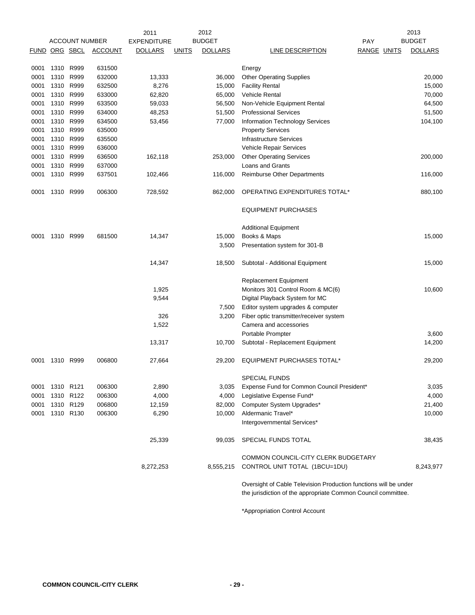|                      |           |                       |                | 2011               |              | 2012           |                                                                                                                                   |             | 2013           |
|----------------------|-----------|-----------------------|----------------|--------------------|--------------|----------------|-----------------------------------------------------------------------------------------------------------------------------------|-------------|----------------|
|                      |           | <b>ACCOUNT NUMBER</b> |                | <b>EXPENDITURE</b> |              | <b>BUDGET</b>  | <b>PAY</b>                                                                                                                        |             | <b>BUDGET</b>  |
| <b>FUND ORG SBCL</b> |           |                       | <b>ACCOUNT</b> | <b>DOLLARS</b>     | <b>UNITS</b> | <b>DOLLARS</b> | LINE DESCRIPTION                                                                                                                  | RANGE UNITS | <b>DOLLARS</b> |
| 0001                 | 1310 R999 |                       | 631500         |                    |              |                | Energy                                                                                                                            |             |                |
| 0001                 | 1310 R999 |                       | 632000         | 13,333             |              | 36,000         | <b>Other Operating Supplies</b>                                                                                                   |             | 20,000         |
| 0001                 | 1310 R999 |                       | 632500         | 8,276              |              | 15,000         | <b>Facility Rental</b>                                                                                                            |             | 15,000         |
| 0001                 | 1310 R999 |                       | 633000         | 62,820             |              | 65,000         | <b>Vehicle Rental</b>                                                                                                             |             | 70,000         |
| 0001                 | 1310      | R999                  | 633500         | 59,033             |              | 56,500         | Non-Vehicle Equipment Rental                                                                                                      |             | 64,500         |
| 0001                 |           | 1310 R999             | 634000         | 48,253             |              | 51,500         | <b>Professional Services</b>                                                                                                      |             | 51,500         |
| 0001                 | 1310 R999 |                       | 634500         | 53,456             |              | 77,000         | <b>Information Technology Services</b>                                                                                            |             | 104,100        |
| 0001                 | 1310 R999 |                       | 635000         |                    |              |                | <b>Property Services</b>                                                                                                          |             |                |
| 0001                 | 1310      | R999                  | 635500         |                    |              |                | <b>Infrastructure Services</b>                                                                                                    |             |                |
| 0001                 | 1310 R999 |                       | 636000         |                    |              |                | Vehicle Repair Services                                                                                                           |             |                |
| 0001                 |           | 1310 R999             | 636500         | 162,118            |              | 253,000        | <b>Other Operating Services</b>                                                                                                   |             | 200,000        |
| 0001                 |           | 1310 R999             | 637000         |                    |              |                | Loans and Grants                                                                                                                  |             |                |
| 0001                 | 1310 R999 |                       | 637501         | 102,466            |              | 116,000        | <b>Reimburse Other Departments</b>                                                                                                |             | 116,000        |
| 0001                 |           | 1310 R999             | 006300         | 728,592            |              | 862,000        | OPERATING EXPENDITURES TOTAL*                                                                                                     |             | 880,100        |
|                      |           |                       |                |                    |              |                | <b>EQUIPMENT PURCHASES</b>                                                                                                        |             |                |
|                      |           |                       |                |                    |              |                | <b>Additional Equipment</b>                                                                                                       |             |                |
| 0001                 | 1310      | R999                  | 681500         | 14,347             |              | 15,000         | Books & Maps                                                                                                                      |             | 15,000         |
|                      |           |                       |                |                    |              | 3,500          | Presentation system for 301-B                                                                                                     |             |                |
|                      |           |                       |                | 14,347             |              | 18,500         | Subtotal - Additional Equipment                                                                                                   |             | 15,000         |
|                      |           |                       |                |                    |              |                | Replacement Equipment                                                                                                             |             |                |
|                      |           |                       |                | 1,925              |              |                | Monitors 301 Control Room & MC(6)                                                                                                 |             | 10,600         |
|                      |           |                       |                | 9,544              |              |                | Digital Playback System for MC                                                                                                    |             |                |
|                      |           |                       |                |                    |              | 7,500          | Editor system upgrades & computer                                                                                                 |             |                |
|                      |           |                       |                | 326                |              | 3,200          | Fiber optic transmitter/receiver system                                                                                           |             |                |
|                      |           |                       |                | 1,522              |              |                | Camera and accessories                                                                                                            |             |                |
|                      |           |                       |                |                    |              |                | Portable Prompter                                                                                                                 |             | 3,600          |
|                      |           |                       |                | 13,317             |              | 10,700         | Subtotal - Replacement Equipment                                                                                                  |             | 14,200         |
| 0001                 | 1310 R999 |                       | 006800         | 27,664             |              | 29,200         | <b>EQUIPMENT PURCHASES TOTAL*</b>                                                                                                 |             | 29,200         |
|                      |           |                       |                |                    |              |                | SPECIAL FUNDS                                                                                                                     |             |                |
| 0001                 | 1310 R121 |                       | 006300         | 2,890              |              | 3,035          | Expense Fund for Common Council President*                                                                                        |             | 3,035          |
| 0001                 |           | 1310 R122             | 006300         | 4,000              |              | 4,000          | Legislative Expense Fund*                                                                                                         |             | 4,000          |
| 0001                 |           | 1310 R129             | 006800         | 12,159             |              | 82,000         | Computer System Upgrades*                                                                                                         |             | 21,400         |
| 0001                 | 1310 R130 |                       | 006300         | 6,290              |              | 10,000         | Aldermanic Travel*                                                                                                                |             | 10,000         |
|                      |           |                       |                |                    |              |                | Intergovernmental Services*                                                                                                       |             |                |
|                      |           |                       |                | 25,339             |              | 99,035         | SPECIAL FUNDS TOTAL                                                                                                               |             | 38,435         |
|                      |           |                       |                |                    |              |                | COMMON COUNCIL-CITY CLERK BUDGETARY                                                                                               |             |                |
|                      |           |                       |                | 8,272,253          |              | 8,555,215      | CONTROL UNIT TOTAL (1BCU=1DU)                                                                                                     |             | 8,243,977      |
|                      |           |                       |                |                    |              |                | Oversight of Cable Television Production functions will be under<br>the jurisdiction of the appropriate Common Council committee. |             |                |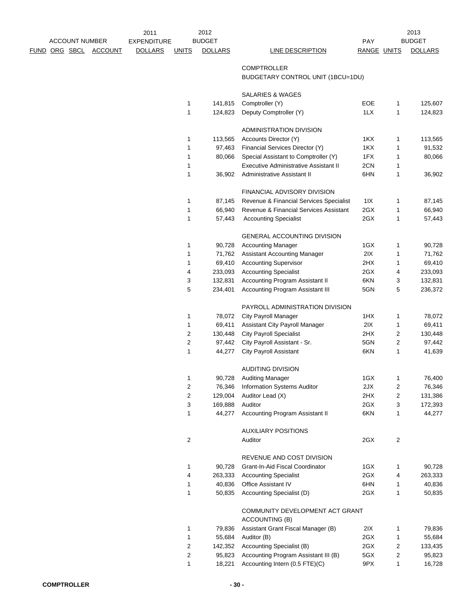|               |                       |                | 2011               |                  | 2012           |                                              |             |                | 2013           |
|---------------|-----------------------|----------------|--------------------|------------------|----------------|----------------------------------------------|-------------|----------------|----------------|
|               | <b>ACCOUNT NUMBER</b> |                | <b>EXPENDITURE</b> |                  | <b>BUDGET</b>  |                                              | <b>PAY</b>  |                | <b>BUDGET</b>  |
| FUND ORG SBCL |                       | <b>ACCOUNT</b> | <b>DOLLARS</b>     | <b>UNITS</b>     | <b>DOLLARS</b> | <b>LINE DESCRIPTION</b>                      | RANGE UNITS |                | <b>DOLLARS</b> |
|               |                       |                |                    |                  |                |                                              |             |                |                |
|               |                       |                |                    |                  |                | <b>COMPTROLLER</b>                           |             |                |                |
|               |                       |                |                    |                  |                | BUDGETARY CONTROL UNIT (1BCU=1DU)            |             |                |                |
|               |                       |                |                    |                  |                | SALARIES & WAGES                             |             |                |                |
|               |                       |                |                    | $\mathbf{1}$     | 141,815        | Comptroller (Y)                              | EOE         | 1              | 125,607        |
|               |                       |                |                    | 1                | 124,823        | Deputy Comptroller (Y)                       | 1LX         | 1              | 124,823        |
|               |                       |                |                    |                  |                |                                              |             |                |                |
|               |                       |                |                    |                  |                | ADMINISTRATION DIVISION                      |             |                |                |
|               |                       |                |                    | 1                | 113,565        | Accounts Director (Y)                        | 1KX         | 1              | 113,565        |
|               |                       |                |                    | 1                | 97,463         | Financial Services Director (Y)              | 1KX         | 1              | 91,532         |
|               |                       |                |                    | 1                | 80,066         | Special Assistant to Comptroller (Y)         | 1FX         | 1              | 80,066         |
|               |                       |                |                    | 1                |                | <b>Executive Administrative Assistant II</b> | 2CN         | 1              |                |
|               |                       |                |                    | 1                | 36,902         | Administrative Assistant II                  | 6HN         | 1              | 36,902         |
|               |                       |                |                    |                  |                | FINANCIAL ADVISORY DIVISION                  |             |                |                |
|               |                       |                |                    | 1                | 87,145         | Revenue & Financial Services Specialist      | 11X         | 1              | 87,145         |
|               |                       |                |                    | 1                | 66,940         | Revenue & Financial Services Assistant       | 2GX         | 1              | 66,940         |
|               |                       |                |                    | 1                | 57,443         | <b>Accounting Specialist</b>                 | 2GX         | 1              | 57,443         |
|               |                       |                |                    |                  |                |                                              |             |                |                |
|               |                       |                |                    |                  |                | <b>GENERAL ACCOUNTING DIVISION</b>           |             |                |                |
|               |                       |                |                    | 1                | 90,728         | <b>Accounting Manager</b>                    | 1GX         | 1              | 90,728         |
|               |                       |                |                    | 1                | 71,762         | Assistant Accounting Manager                 | 2IX         | 1              | 71,762         |
|               |                       |                |                    | 1                | 69,410         | <b>Accounting Supervisor</b>                 | 2HX         | 1              | 69,410         |
|               |                       |                |                    | 4                | 233,093        | <b>Accounting Specialist</b>                 | 2GX         | 4              | 233,093        |
|               |                       |                |                    | 3                | 132,831        | Accounting Program Assistant II              | 6KN         | 3              | 132,831        |
|               |                       |                |                    | 5                | 234,401        | Accounting Program Assistant III             | 5GN         | 5              | 236,372        |
|               |                       |                |                    |                  |                | PAYROLL ADMINISTRATION DIVISION              |             |                |                |
|               |                       |                |                    | 1                | 78,072         | <b>City Payroll Manager</b>                  | 1HX         | 1              | 78,072         |
|               |                       |                |                    | 1                | 69,411         | Assistant City Payroll Manager               | 2IX         | 1              | 69,411         |
|               |                       |                |                    | 2                | 130,448        | <b>City Payroll Specialist</b>               | 2HX         | 2              | 130,448        |
|               |                       |                |                    | $\boldsymbol{2}$ | 97,442         | City Payroll Assistant - Sr.                 | 5GN         | 2              | 97,442         |
|               |                       |                |                    | 1                | 44,277         | City Payroll Assistant                       | 6KN         | 1              | 41,639         |
|               |                       |                |                    |                  |                |                                              |             |                |                |
|               |                       |                |                    |                  |                | <b>AUDITING DIVISION</b>                     |             |                |                |
|               |                       |                |                    |                  |                | 90,728 Auditing Manager                      | 1GX         |                | 76,400         |
|               |                       |                |                    | $\overline{c}$   | 76,346         | <b>Information Systems Auditor</b>           | 2JX         | 2              | 76,346         |
|               |                       |                |                    | $\sqrt{2}$       | 129,004        | Auditor Lead (X)                             | 2HX         | 2              | 131,386        |
|               |                       |                |                    | 3                | 169,888        | Auditor                                      | 2GX         | 3              | 172,393        |
|               |                       |                |                    | 1                | 44,277         | Accounting Program Assistant II              | 6KN         | 1              | 44,277         |
|               |                       |                |                    |                  |                | <b>AUXILIARY POSITIONS</b>                   |             |                |                |
|               |                       |                |                    | $\boldsymbol{2}$ |                | Auditor                                      | 2GX         | $\overline{2}$ |                |
|               |                       |                |                    |                  |                |                                              |             |                |                |
|               |                       |                |                    |                  |                | REVENUE AND COST DIVISION                    |             |                |                |
|               |                       |                |                    | 1                | 90,728         | Grant-In-Aid Fiscal Coordinator              | 1GX         | 1              | 90,728         |
|               |                       |                |                    | 4                | 263,333        | <b>Accounting Specialist</b>                 | 2GX         | 4              | 263,333        |
|               |                       |                |                    | 1                | 40,836         | Office Assistant IV                          | 6HN         | 1              | 40,836         |
|               |                       |                |                    | 1                | 50,835         | Accounting Specialist (D)                    | 2GX         | 1              | 50,835         |
|               |                       |                |                    |                  |                | COMMUNITY DEVELOPMENT ACT GRANT              |             |                |                |
|               |                       |                |                    |                  |                | ACCOUNTING (B)                               |             |                |                |
|               |                       |                |                    | 1                | 79,836         | Assistant Grant Fiscal Manager (B)           | 2IX         | 1              | 79,836         |
|               |                       |                |                    | 1                | 55,684         | Auditor (B)                                  | 2GX         | 1              | 55,684         |
|               |                       |                |                    | $\boldsymbol{2}$ | 142,352        | Accounting Specialist (B)                    | 2GX         | 2              | 133,435        |
|               |                       |                |                    | $\boldsymbol{2}$ | 95,823         | Accounting Program Assistant III (B)         | 5GX         | 2              | 95,823         |
|               |                       |                |                    | 1                | 18,221         | Accounting Intern (0.5 FTE)(C)               | 9PX         | 1              | 16,728         |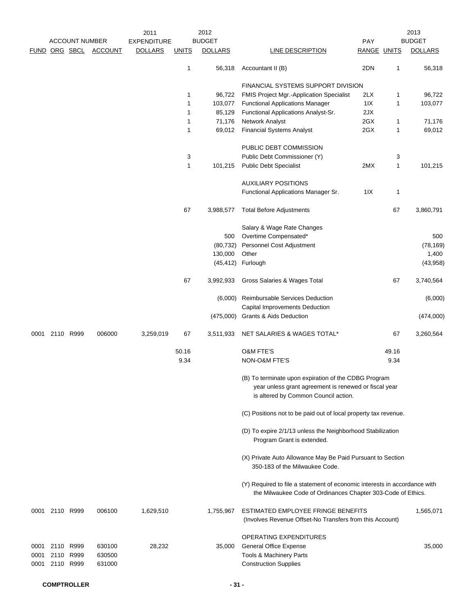|                      |                        | <b>ACCOUNT NUMBER</b> |                            | 2011<br><b>EXPENDITURE</b> |                   | 2012<br><b>BUDGET</b> |                                                                                                                                                       | PAY                |              | 2013<br><b>BUDGET</b> |
|----------------------|------------------------|-----------------------|----------------------------|----------------------------|-------------------|-----------------------|-------------------------------------------------------------------------------------------------------------------------------------------------------|--------------------|--------------|-----------------------|
|                      |                        |                       | FUND ORG SBCL ACCOUNT      | <b>DOLLARS</b>             | <b>UNITS</b>      | <b>DOLLARS</b>        | <b>LINE DESCRIPTION</b>                                                                                                                               | <b>RANGE UNITS</b> |              | <b>DOLLARS</b>        |
|                      |                        |                       |                            |                            | $\mathbf{1}$      | 56,318                | Accountant II (B)                                                                                                                                     | 2DN                | 1            | 56,318                |
|                      |                        |                       |                            |                            |                   |                       | FINANCIAL SYSTEMS SUPPORT DIVISION                                                                                                                    |                    |              |                       |
|                      |                        |                       |                            |                            | $\mathbf{1}$      | 96,722                | <b>FMIS Project Mgr.-Application Specialist</b>                                                                                                       | 2LX                | 1            | 96,722                |
|                      |                        |                       |                            |                            | $\mathbf{1}$      | 103,077               | <b>Functional Applications Manager</b>                                                                                                                | 11X                | 1            | 103,077               |
|                      |                        |                       |                            |                            | $\mathbf{1}$      | 85,129                | Functional Applications Analyst-Sr.                                                                                                                   | 2JX                |              |                       |
|                      |                        |                       |                            |                            | 1<br>$\mathbf{1}$ | 71,176<br>69,012      | Network Analyst<br><b>Financial Systems Analyst</b>                                                                                                   | 2GX<br>2GX         | 1<br>1       | 71,176<br>69,012      |
|                      |                        |                       |                            |                            |                   |                       |                                                                                                                                                       |                    |              |                       |
|                      |                        |                       |                            |                            |                   |                       | PUBLIC DEBT COMMISSION                                                                                                                                |                    |              |                       |
|                      |                        |                       |                            |                            | 3                 |                       | Public Debt Commissioner (Y)                                                                                                                          |                    | 3            |                       |
|                      |                        |                       |                            |                            | $\mathbf{1}$      | 101,215               | <b>Public Debt Specialist</b>                                                                                                                         | 2MX                | $\mathbf{1}$ | 101,215               |
|                      |                        |                       |                            |                            |                   |                       | <b>AUXILIARY POSITIONS</b>                                                                                                                            |                    |              |                       |
|                      |                        |                       |                            |                            |                   |                       | Functional Applications Manager Sr.                                                                                                                   | 11X                | 1            |                       |
|                      |                        |                       |                            |                            | 67                | 3,988,577             | <b>Total Before Adjustments</b>                                                                                                                       |                    | 67           | 3,860,791             |
|                      |                        |                       |                            |                            |                   |                       | Salary & Wage Rate Changes                                                                                                                            |                    |              |                       |
|                      |                        |                       |                            |                            |                   | 500                   | Overtime Compensated*                                                                                                                                 |                    |              | 500                   |
|                      |                        |                       |                            |                            |                   | (80, 732)             | Personnel Cost Adjustment                                                                                                                             |                    |              | (78, 169)             |
|                      |                        |                       |                            |                            |                   | 130,000               | Other                                                                                                                                                 |                    |              | 1,400                 |
|                      |                        |                       |                            |                            |                   | (45, 412)             | Furlough                                                                                                                                              |                    |              | (43, 958)             |
|                      |                        |                       |                            |                            | 67                | 3,992,933             | Gross Salaries & Wages Total                                                                                                                          |                    | 67           | 3,740,564             |
|                      |                        |                       |                            |                            |                   | (6,000)               | Reimbursable Services Deduction<br>Capital Improvements Deduction                                                                                     |                    |              | (6,000)               |
|                      |                        |                       |                            |                            |                   | (475,000)             | <b>Grants &amp; Aids Deduction</b>                                                                                                                    |                    |              | (474,000)             |
| 0001                 | 2110 R999              |                       | 006000                     | 3,259,019                  | 67                | 3,511,933             | NET SALARIES & WAGES TOTAL*                                                                                                                           |                    | 67           | 3,260,564             |
|                      |                        |                       |                            |                            | 50.16             |                       | <b>O&amp;M FTE'S</b>                                                                                                                                  |                    | 49.16        |                       |
|                      |                        |                       |                            |                            | 9.34              |                       | NON-O&M FTE'S                                                                                                                                         |                    | 9.34         |                       |
|                      |                        |                       |                            |                            |                   |                       | (B) To terminate upon expiration of the CDBG Program<br>year unless grant agreement is renewed or fiscal year<br>is altered by Common Council action. |                    |              |                       |
|                      |                        |                       |                            |                            |                   |                       | (C) Positions not to be paid out of local property tax revenue.                                                                                       |                    |              |                       |
|                      |                        |                       |                            |                            |                   |                       | (D) To expire 2/1/13 unless the Neighborhood Stabilization<br>Program Grant is extended.                                                              |                    |              |                       |
|                      |                        |                       |                            |                            |                   |                       | (X) Private Auto Allowance May Be Paid Pursuant to Section<br>350-183 of the Milwaukee Code.                                                          |                    |              |                       |
|                      |                        |                       |                            |                            |                   |                       | (Y) Required to file a statement of economic interests in accordance with<br>the Milwaukee Code of Ordinances Chapter 303-Code of Ethics.             |                    |              |                       |
|                      | 0001 2110 R999         |                       | 006100                     | 1,629,510                  |                   | 1,755,967             | ESTIMATED EMPLOYEE FRINGE BENEFITS<br>(Involves Revenue Offset-No Transfers from this Account)                                                        |                    |              | 1,565,071             |
| 0001<br>0001<br>0001 | 2110 R999<br>2110 R999 | 2110 R999             | 630100<br>630500<br>631000 | 28,232                     |                   | 35,000                | OPERATING EXPENDITURES<br><b>General Office Expense</b><br>Tools & Machinery Parts<br><b>Construction Supplies</b>                                    |                    |              | 35,000                |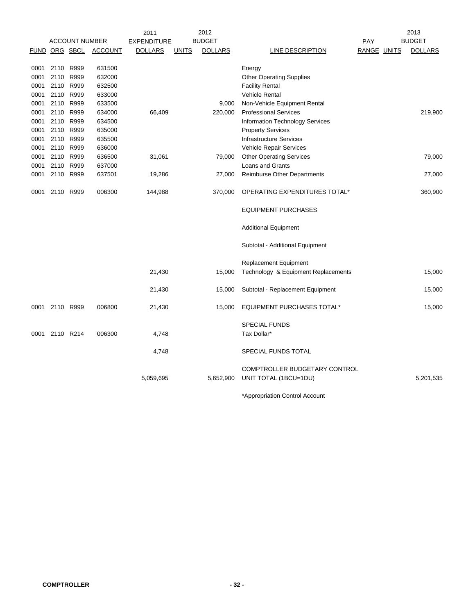|      |               |                       |                | 2011               |              | 2012           |                                        |             | 2013           |
|------|---------------|-----------------------|----------------|--------------------|--------------|----------------|----------------------------------------|-------------|----------------|
|      |               | <b>ACCOUNT NUMBER</b> |                | <b>EXPENDITURE</b> |              | <b>BUDGET</b>  |                                        | PAY         | <b>BUDGET</b>  |
|      | FUND ORG SBCL |                       | <b>ACCOUNT</b> | <b>DOLLARS</b>     | <b>UNITS</b> | <b>DOLLARS</b> | LINE DESCRIPTION                       | RANGE UNITS | <b>DOLLARS</b> |
| 0001 | 2110 R999     |                       | 631500         |                    |              |                | Energy                                 |             |                |
| 0001 | 2110          | R999                  | 632000         |                    |              |                | <b>Other Operating Supplies</b>        |             |                |
| 0001 | 2110 R999     |                       | 632500         |                    |              |                | <b>Facility Rental</b>                 |             |                |
| 0001 | 2110 R999     |                       | 633000         |                    |              |                | Vehicle Rental                         |             |                |
| 0001 | 2110 R999     |                       | 633500         |                    |              | 9,000          |                                        |             |                |
|      | 2110 R999     |                       |                |                    |              |                | Non-Vehicle Equipment Rental           |             |                |
| 0001 |               |                       | 634000         | 66,409             |              | 220,000        | <b>Professional Services</b>           |             | 219,900        |
| 0001 | 2110 R999     |                       | 634500         |                    |              |                | <b>Information Technology Services</b> |             |                |
| 0001 | 2110 R999     |                       | 635000         |                    |              |                | <b>Property Services</b>               |             |                |
| 0001 | 2110 R999     |                       | 635500         |                    |              |                | <b>Infrastructure Services</b>         |             |                |
| 0001 | 2110 R999     |                       | 636000         |                    |              |                | Vehicle Repair Services                |             |                |
| 0001 | 2110 R999     |                       | 636500         | 31,061             |              | 79,000         | <b>Other Operating Services</b>        |             | 79,000         |
| 0001 | 2110 R999     |                       | 637000         |                    |              |                | Loans and Grants                       |             |                |
| 0001 | 2110 R999     |                       | 637501         | 19,286             |              | 27,000         | <b>Reimburse Other Departments</b>     |             | 27,000         |
| 0001 | 2110 R999     |                       | 006300         | 144,988            |              | 370,000        | OPERATING EXPENDITURES TOTAL*          |             | 360,900        |
|      |               |                       |                |                    |              |                | <b>EQUIPMENT PURCHASES</b>             |             |                |
|      |               |                       |                |                    |              |                | <b>Additional Equipment</b>            |             |                |
|      |               |                       |                |                    |              |                | Subtotal - Additional Equipment        |             |                |
|      |               |                       |                |                    |              |                | <b>Replacement Equipment</b>           |             |                |
|      |               |                       |                |                    |              |                | Technology & Equipment Replacements    |             |                |
|      |               |                       |                | 21,430             |              | 15,000         |                                        |             | 15,000         |
|      |               |                       |                | 21,430             |              | 15,000         | Subtotal - Replacement Equipment       |             | 15,000         |
| 0001 | 2110 R999     |                       | 006800         | 21,430             |              | 15,000         | <b>EQUIPMENT PURCHASES TOTAL*</b>      |             | 15,000         |
|      |               |                       |                |                    |              |                | <b>SPECIAL FUNDS</b>                   |             |                |
| 0001 | 2110 R214     |                       | 006300         | 4,748              |              |                | Tax Dollar*                            |             |                |
|      |               |                       |                | 4,748              |              |                | SPECIAL FUNDS TOTAL                    |             |                |
|      |               |                       |                |                    |              |                | COMPTROLLER BUDGETARY CONTROL          |             |                |
|      |               |                       |                | 5,059,695          |              | 5,652,900      | UNIT TOTAL (1BCU=1DU)                  |             | 5,201,535      |
|      |               |                       |                |                    |              |                | *Appropriation Control Account         |             |                |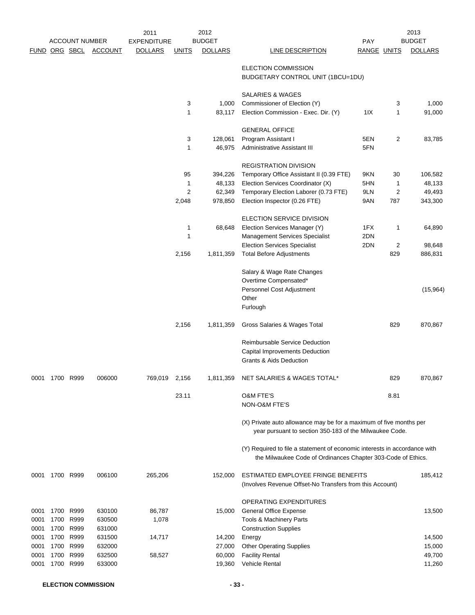|      |           | <b>ACCOUNT NUMBER</b> |                | 2011                                 |                | 2012<br><b>BUDGET</b> |                                                                                                                                           |                    |      | 2013<br><b>BUDGET</b> |
|------|-----------|-----------------------|----------------|--------------------------------------|----------------|-----------------------|-------------------------------------------------------------------------------------------------------------------------------------------|--------------------|------|-----------------------|
|      |           | FUND ORG SBCL         | <b>ACCOUNT</b> | <b>EXPENDITURE</b><br><b>DOLLARS</b> | <b>UNITS</b>   | <b>DOLLARS</b>        | <b>LINE DESCRIPTION</b>                                                                                                                   | PAY                |      | <b>DOLLARS</b>        |
|      |           |                       |                |                                      |                |                       |                                                                                                                                           | <b>RANGE UNITS</b> |      |                       |
|      |           |                       |                |                                      |                |                       | ELECTION COMMISSION<br>BUDGETARY CONTROL UNIT (1BCU=1DU)                                                                                  |                    |      |                       |
|      |           |                       |                |                                      |                |                       | SALARIES & WAGES                                                                                                                          |                    |      |                       |
|      |           |                       |                |                                      | 3              | 1,000                 | Commissioner of Election (Y)                                                                                                              |                    | 3    | 1,000                 |
|      |           |                       |                |                                      | 1              | 83,117                | Election Commission - Exec. Dir. (Y)                                                                                                      | 11X                | 1    | 91,000                |
|      |           |                       |                |                                      |                |                       | <b>GENERAL OFFICE</b>                                                                                                                     |                    |      |                       |
|      |           |                       |                |                                      | 3              | 128,061               | Program Assistant I                                                                                                                       | 5EN                | 2    | 83,785                |
|      |           |                       |                |                                      | 1              | 46,975                | Administrative Assistant III                                                                                                              | 5FN                |      |                       |
|      |           |                       |                |                                      |                |                       | <b>REGISTRATION DIVISION</b>                                                                                                              |                    |      |                       |
|      |           |                       |                |                                      | 95             | 394,226               | Temporary Office Assistant II (0.39 FTE)                                                                                                  | 9KN                | 30   | 106,582               |
|      |           |                       |                |                                      | 1              | 48,133                | Election Services Coordinator (X)                                                                                                         | 5HN                | 1    | 48,133                |
|      |           |                       |                |                                      | $\overline{2}$ | 62,349                | Temporary Election Laborer (0.73 FTE)                                                                                                     | 9LN                | 2    | 49,493                |
|      |           |                       |                |                                      | 2,048          | 978,850               | Election Inspector (0.26 FTE)                                                                                                             | 9AN                | 787  | 343,300               |
|      |           |                       |                |                                      |                |                       | ELECTION SERVICE DIVISION                                                                                                                 |                    |      |                       |
|      |           |                       |                |                                      | 1              | 68,648                | Election Services Manager (Y)                                                                                                             | 1FX                | 1    | 64,890                |
|      |           |                       |                |                                      | 1              |                       | <b>Management Services Specialist</b>                                                                                                     | 2DN                |      |                       |
|      |           |                       |                |                                      |                |                       | <b>Election Services Specialist</b>                                                                                                       | 2DN                | 2    | 98,648                |
|      |           |                       |                |                                      | 2,156          | 1,811,359             | <b>Total Before Adjustments</b>                                                                                                           |                    | 829  | 886,831               |
|      |           |                       |                |                                      |                |                       | Salary & Wage Rate Changes                                                                                                                |                    |      |                       |
|      |           |                       |                |                                      |                |                       | Overtime Compensated*                                                                                                                     |                    |      |                       |
|      |           |                       |                |                                      |                |                       | Personnel Cost Adjustment                                                                                                                 |                    |      | (15,964)              |
|      |           |                       |                |                                      |                |                       | Other                                                                                                                                     |                    |      |                       |
|      |           |                       |                |                                      |                |                       | Furlough                                                                                                                                  |                    |      |                       |
|      |           |                       |                |                                      | 2,156          | 1,811,359             | Gross Salaries & Wages Total                                                                                                              |                    | 829  | 870,867               |
|      |           |                       |                |                                      |                |                       | <b>Reimbursable Service Deduction</b>                                                                                                     |                    |      |                       |
|      |           |                       |                |                                      |                |                       | <b>Capital Improvements Deduction</b>                                                                                                     |                    |      |                       |
|      |           |                       |                |                                      |                |                       | Grants & Aids Deduction                                                                                                                   |                    |      |                       |
| 0001 | 1700 R999 |                       | 006000         | 769,019 2,156                        |                | 1,811,359             | NET SALARIES & WAGES TOTAL*                                                                                                               |                    | 829  | 870,867               |
|      |           |                       |                |                                      | 23.11          |                       | <b>O&amp;M FTE'S</b>                                                                                                                      |                    | 8.81 |                       |
|      |           |                       |                |                                      |                |                       | NON-O&M FTE'S                                                                                                                             |                    |      |                       |
|      |           |                       |                |                                      |                |                       | (X) Private auto allowance may be for a maximum of five months per<br>year pursuant to section 350-183 of the Milwaukee Code.             |                    |      |                       |
|      |           |                       |                |                                      |                |                       | (Y) Required to file a statement of economic interests in accordance with<br>the Milwaukee Code of Ordinances Chapter 303-Code of Ethics. |                    |      |                       |
| 0001 |           | 1700 R999             | 006100         | 265,206                              |                | 152,000               | ESTIMATED EMPLOYEE FRINGE BENEFITS                                                                                                        |                    |      | 185,412               |
|      |           |                       |                |                                      |                |                       | (Involves Revenue Offset-No Transfers from this Account)                                                                                  |                    |      |                       |
|      |           |                       |                |                                      |                |                       | OPERATING EXPENDITURES                                                                                                                    |                    |      |                       |
| 0001 | 1700      | R999                  | 630100         | 86,787                               |                | 15,000                | <b>General Office Expense</b>                                                                                                             |                    |      | 13,500                |
| 0001 | 1700      | R999                  | 630500         | 1,078                                |                |                       | Tools & Machinery Parts                                                                                                                   |                    |      |                       |
| 0001 | 1700      | R999                  | 631000         |                                      |                |                       | <b>Construction Supplies</b>                                                                                                              |                    |      |                       |
| 0001 | 1700      | R999                  | 631500         | 14,717                               |                | 14,200                | Energy                                                                                                                                    |                    |      | 14,500                |
| 0001 | 1700      | R999                  | 632000         |                                      |                | 27,000                | <b>Other Operating Supplies</b>                                                                                                           |                    |      | 15,000                |
| 0001 | 1700      | R999                  | 632500         | 58,527                               |                | 60,000                | <b>Facility Rental</b>                                                                                                                    |                    |      | 49,700                |
| 0001 | 1700      | R999                  | 633000         |                                      |                | 19,360                | Vehicle Rental                                                                                                                            |                    |      | 11,260                |
|      |           |                       |                |                                      |                |                       |                                                                                                                                           |                    |      |                       |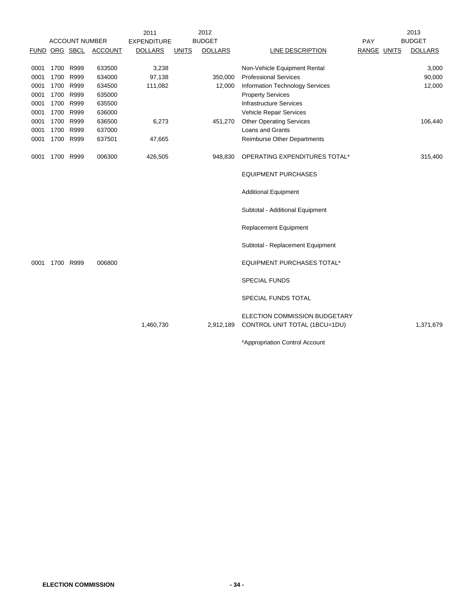|      |      |                       |                | 2011               |              | 2012           |                                                                |             | 2013           |
|------|------|-----------------------|----------------|--------------------|--------------|----------------|----------------------------------------------------------------|-------------|----------------|
|      |      | <b>ACCOUNT NUMBER</b> |                | <b>EXPENDITURE</b> |              | <b>BUDGET</b>  |                                                                | PAY         | <b>BUDGET</b>  |
|      |      | FUND ORG SBCL         | <b>ACCOUNT</b> | <b>DOLLARS</b>     | <b>UNITS</b> | <b>DOLLARS</b> | LINE DESCRIPTION                                               | RANGE UNITS | <b>DOLLARS</b> |
|      |      |                       |                |                    |              |                |                                                                |             |                |
| 0001 |      | 1700 R999             | 633500         | 3,238              |              |                | Non-Vehicle Equipment Rental                                   |             | 3,000          |
| 0001 | 1700 | R999                  | 634000         | 97,138             |              | 350,000        | <b>Professional Services</b>                                   |             | 90,000         |
| 0001 | 1700 | R999                  | 634500         | 111,082            |              | 12,000         | <b>Information Technology Services</b>                         |             | 12,000         |
| 0001 | 1700 | R999                  | 635000         |                    |              |                | <b>Property Services</b>                                       |             |                |
| 0001 |      | 1700 R999             | 635500         |                    |              |                | <b>Infrastructure Services</b>                                 |             |                |
| 0001 |      | 1700 R999             | 636000         |                    |              |                | Vehicle Repair Services                                        |             |                |
| 0001 |      | 1700 R999             | 636500         | 6,273              |              | 451,270        | <b>Other Operating Services</b>                                |             | 106,440        |
| 0001 |      | 1700 R999             | 637000         |                    |              |                | <b>Loans and Grants</b>                                        |             |                |
| 0001 |      | 1700 R999             | 637501         | 47,665             |              |                | <b>Reimburse Other Departments</b>                             |             |                |
| 0001 |      | 1700 R999             | 006300         | 426,505            |              | 948,830        | OPERATING EXPENDITURES TOTAL*                                  |             | 315,400        |
|      |      |                       |                |                    |              |                | <b>EQUIPMENT PURCHASES</b>                                     |             |                |
|      |      |                       |                |                    |              |                | <b>Additional Equipment</b>                                    |             |                |
|      |      |                       |                |                    |              |                | Subtotal - Additional Equipment                                |             |                |
|      |      |                       |                |                    |              |                | <b>Replacement Equipment</b>                                   |             |                |
|      |      |                       |                |                    |              |                | Subtotal - Replacement Equipment                               |             |                |
| 0001 |      | 1700 R999             | 006800         |                    |              |                | <b>EQUIPMENT PURCHASES TOTAL*</b>                              |             |                |
|      |      |                       |                |                    |              |                | <b>SPECIAL FUNDS</b>                                           |             |                |
|      |      |                       |                |                    |              |                | SPECIAL FUNDS TOTAL                                            |             |                |
|      |      |                       |                | 1,460,730          |              | 2,912,189      | ELECTION COMMISSION BUDGETARY<br>CONTROL UNIT TOTAL (1BCU=1DU) |             | 1,371,679      |
|      |      |                       |                |                    |              |                | *Appropriation Control Account                                 |             |                |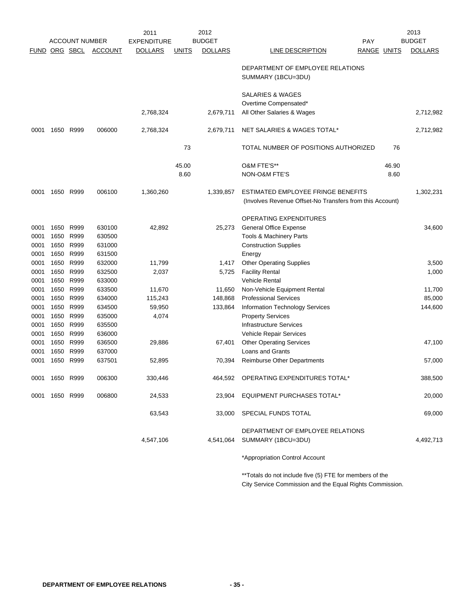|                      |                |                       |                | 2011               |              | 2012           |                                                                                                |                    |       | 2013           |
|----------------------|----------------|-----------------------|----------------|--------------------|--------------|----------------|------------------------------------------------------------------------------------------------|--------------------|-------|----------------|
|                      |                | <b>ACCOUNT NUMBER</b> |                | <b>EXPENDITURE</b> |              | <b>BUDGET</b>  |                                                                                                | PAY                |       | <b>BUDGET</b>  |
| <b>FUND ORG SBCL</b> |                |                       | <b>ACCOUNT</b> | <b>DOLLARS</b>     | <u>UNITS</u> | <b>DOLLARS</b> | LINE DESCRIPTION                                                                               | <b>RANGE UNITS</b> |       | <b>DOLLARS</b> |
|                      |                |                       |                |                    |              |                | DEPARTMENT OF EMPLOYEE RELATIONS<br>SUMMARY (1BCU=3DU)                                         |                    |       |                |
|                      |                |                       |                |                    |              |                | <b>SALARIES &amp; WAGES</b>                                                                    |                    |       |                |
|                      |                |                       |                |                    |              |                | Overtime Compensated*                                                                          |                    |       |                |
|                      |                |                       |                | 2,768,324          |              | 2,679,711      | All Other Salaries & Wages                                                                     |                    |       | 2,712,982      |
| 0001                 | 1650           | R999                  | 006000         | 2,768,324          |              | 2,679,711      | NET SALARIES & WAGES TOTAL*                                                                    |                    |       | 2,712,982      |
|                      |                |                       |                |                    | 73           |                | TOTAL NUMBER OF POSITIONS AUTHORIZED                                                           |                    | 76    |                |
|                      |                |                       |                |                    | 45.00        |                | O&M FTE'S**                                                                                    |                    | 46.90 |                |
|                      |                |                       |                |                    | 8.60         |                | NON-O&M FTE'S                                                                                  |                    | 8.60  |                |
| 0001                 |                | 1650 R999             | 006100         | 1,360,260          |              | 1,339,857      | ESTIMATED EMPLOYEE FRINGE BENEFITS<br>(Involves Revenue Offset-No Transfers from this Account) |                    |       | 1,302,231      |
|                      |                |                       |                |                    |              |                | OPERATING EXPENDITURES                                                                         |                    |       |                |
| 0001                 | 1650           | R999                  | 630100         | 42,892             |              | 25,273         | <b>General Office Expense</b>                                                                  |                    |       | 34,600         |
| 0001                 | 1650           | R999                  | 630500         |                    |              |                | Tools & Machinery Parts                                                                        |                    |       |                |
| 0001                 | 1650           | R999                  | 631000         |                    |              |                | <b>Construction Supplies</b>                                                                   |                    |       |                |
| 0001                 | 1650           | R999                  | 631500         |                    |              |                | Energy                                                                                         |                    |       |                |
| 0001                 | 1650           | R999                  | 632000         | 11,799             |              | 1,417          | <b>Other Operating Supplies</b>                                                                |                    |       | 3,500          |
| 0001                 | 1650           | R999                  | 632500         | 2,037              |              | 5,725          | <b>Facility Rental</b>                                                                         |                    |       | 1,000          |
| 0001                 | 1650           | R999                  | 633000         |                    |              |                | <b>Vehicle Rental</b>                                                                          |                    |       |                |
| 0001                 | 1650           | R999                  | 633500         | 11,670             |              | 11,650         | Non-Vehicle Equipment Rental                                                                   |                    |       | 11,700         |
| 0001                 | 1650           | R999                  | 634000         | 115,243            |              | 148,868        | <b>Professional Services</b>                                                                   |                    |       | 85,000         |
| 0001                 | 1650           | R999                  | 634500         | 59,950             |              | 133,864        | Information Technology Services                                                                |                    |       | 144,600        |
| 0001                 | 1650           | R999                  | 635000         | 4,074              |              |                | <b>Property Services</b>                                                                       |                    |       |                |
| 0001                 | 1650           | R999                  | 635500         |                    |              |                | <b>Infrastructure Services</b>                                                                 |                    |       |                |
| 0001                 | 1650           | R999                  | 636000         |                    |              |                | Vehicle Repair Services                                                                        |                    |       |                |
| 0001                 | 1650           | R999                  | 636500         | 29,886             |              | 67,401         | <b>Other Operating Services</b>                                                                |                    |       | 47,100         |
| 0001                 | 1650           | R999                  | 637000         |                    |              |                | Loans and Grants                                                                               |                    |       |                |
| 0001                 | 1650           | R999                  | 637501         | 52,895             |              | 70,394         | <b>Reimburse Other Departments</b>                                                             |                    |       | 57,000         |
|                      | 0001 1650 R999 |                       | 006300         | 330,446            |              |                | 464,592 OPERATING EXPENDITURES TOTAL*                                                          |                    |       | 388,500        |
| 0001                 | 1650 R999      |                       | 006800         | 24,533             |              |                | 23,904 EQUIPMENT PURCHASES TOTAL*                                                              |                    |       | 20,000         |
|                      |                |                       |                | 63,543             |              | 33,000         | SPECIAL FUNDS TOTAL                                                                            |                    |       | 69,000         |
|                      |                |                       |                |                    |              |                | DEPARTMENT OF EMPLOYEE RELATIONS                                                               |                    |       |                |
|                      |                |                       |                | 4,547,106          |              | 4,541,064      | SUMMARY (1BCU=3DU)                                                                             |                    |       | 4,492,713      |
|                      |                |                       |                |                    |              |                | *Appropriation Control Account                                                                 |                    |       |                |

\*\*Totals do not include five (5) FTE for members of the City Service Commission and the Equal Rights Commission.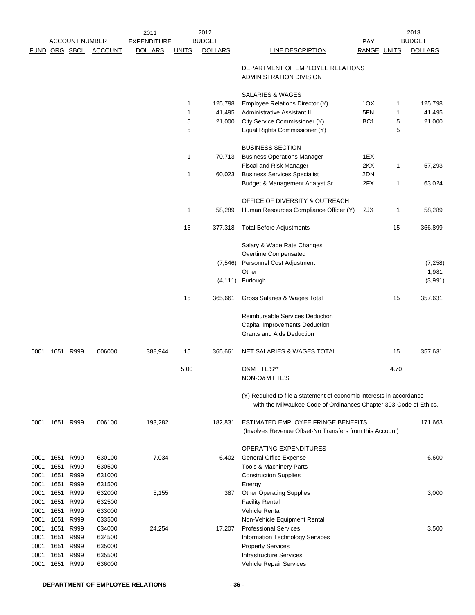|      |           |                       |                | 2011               |              | 2012           |                                                                                                                                           |                 |      | 2013           |
|------|-----------|-----------------------|----------------|--------------------|--------------|----------------|-------------------------------------------------------------------------------------------------------------------------------------------|-----------------|------|----------------|
|      |           | <b>ACCOUNT NUMBER</b> |                | <b>EXPENDITURE</b> |              | <b>BUDGET</b>  |                                                                                                                                           | PAY             |      | <b>BUDGET</b>  |
|      |           | FUND ORG SBCL         | <b>ACCOUNT</b> | <b>DOLLARS</b>     | <b>UNITS</b> | <b>DOLLARS</b> | LINE DESCRIPTION                                                                                                                          | RANGE UNITS     |      | <b>DOLLARS</b> |
|      |           |                       |                |                    |              |                | DEPARTMENT OF EMPLOYEE RELATIONS<br>ADMINISTRATION DIVISION                                                                               |                 |      |                |
|      |           |                       |                |                    |              |                | <b>SALARIES &amp; WAGES</b>                                                                                                               |                 |      |                |
|      |           |                       |                |                    | 1            | 125,798        | Employee Relations Director (Y)                                                                                                           | 1OX             | 1    | 125,798        |
|      |           |                       |                |                    | 1            | 41,495         | Administrative Assistant III                                                                                                              | 5FN             | 1    | 41,495         |
|      |           |                       |                |                    | 5            | 21,000         | City Service Commissioner (Y)                                                                                                             | BC <sub>1</sub> | 5    | 21,000         |
|      |           |                       |                |                    | 5            |                | Equal Rights Commissioner (Y)                                                                                                             |                 | 5    |                |
|      |           |                       |                |                    |              |                | <b>BUSINESS SECTION</b>                                                                                                                   |                 |      |                |
|      |           |                       |                |                    | 1            | 70,713         | <b>Business Operations Manager</b>                                                                                                        | 1EX             |      |                |
|      |           |                       |                |                    |              |                | Fiscal and Risk Manager                                                                                                                   | 2KX             | 1    | 57,293         |
|      |           |                       |                |                    | 1            | 60,023         | <b>Business Services Specialist</b>                                                                                                       | 2DN             |      |                |
|      |           |                       |                |                    |              |                | Budget & Management Analyst Sr.                                                                                                           | 2FX             | 1    | 63,024         |
|      |           |                       |                |                    |              |                | OFFICE OF DIVERSITY & OUTREACH                                                                                                            |                 |      |                |
|      |           |                       |                |                    | 1            | 58,289         | Human Resources Compliance Officer (Y)                                                                                                    | 2JX             | 1    | 58,289         |
|      |           |                       |                |                    | 15           | 377,318        | <b>Total Before Adjustments</b>                                                                                                           |                 | 15   | 366,899        |
|      |           |                       |                |                    |              |                | Salary & Wage Rate Changes                                                                                                                |                 |      |                |
|      |           |                       |                |                    |              |                | Overtime Compensated                                                                                                                      |                 |      |                |
|      |           |                       |                |                    |              | (7, 546)       | Personnel Cost Adjustment                                                                                                                 |                 |      | (7, 258)       |
|      |           |                       |                |                    |              |                | Other                                                                                                                                     |                 |      | 1,981          |
|      |           |                       |                |                    |              | (4, 111)       | Furlough                                                                                                                                  |                 |      | (3,991)        |
|      |           |                       |                |                    | 15           | 365,661        | Gross Salaries & Wages Total                                                                                                              |                 | 15   | 357,631        |
|      |           |                       |                |                    |              |                | Reimbursable Services Deduction                                                                                                           |                 |      |                |
|      |           |                       |                |                    |              |                | Capital Improvements Deduction                                                                                                            |                 |      |                |
|      |           |                       |                |                    |              |                | <b>Grants and Aids Deduction</b>                                                                                                          |                 |      |                |
| 0001 | 1651 R999 |                       | 006000         | 388,944            | 15           | 365,661        | NET SALARIES & WAGES TOTAL                                                                                                                |                 | 15   | 357,631        |
|      |           |                       |                |                    |              |                |                                                                                                                                           |                 |      |                |
|      |           |                       |                |                    | 5.00         |                | O&M FTE'S**<br>NON-O&M FTE'S                                                                                                              |                 | 4.70 |                |
|      |           |                       |                |                    |              |                |                                                                                                                                           |                 |      |                |
|      |           |                       |                |                    |              |                | (Y) Required to file a statement of economic interests in accordance<br>with the Milwaukee Code of Ordinances Chapter 303-Code of Ethics. |                 |      |                |
| 0001 | 1651 R999 |                       | 006100         | 193,282            |              | 182,831        | ESTIMATED EMPLOYEE FRINGE BENEFITS                                                                                                        |                 |      | 171,663        |
|      |           |                       |                |                    |              |                | (Involves Revenue Offset-No Transfers from this Account)                                                                                  |                 |      |                |
|      |           |                       |                |                    |              |                | OPERATING EXPENDITURES                                                                                                                    |                 |      |                |
| 0001 | 1651      | R999                  | 630100         | 7,034              |              | 6,402          | General Office Expense                                                                                                                    |                 |      | 6,600          |
| 0001 | 1651      | R999                  | 630500         |                    |              |                | Tools & Machinery Parts                                                                                                                   |                 |      |                |
| 0001 | 1651      | R999                  | 631000         |                    |              |                | <b>Construction Supplies</b>                                                                                                              |                 |      |                |
| 0001 | 1651      | R999                  | 631500         |                    |              |                | Energy                                                                                                                                    |                 |      |                |
| 0001 | 1651      | R999                  | 632000         | 5,155              |              | 387            | <b>Other Operating Supplies</b>                                                                                                           |                 |      | 3,000          |
| 0001 | 1651      | R999                  | 632500         |                    |              |                | <b>Facility Rental</b>                                                                                                                    |                 |      |                |
| 0001 | 1651      | R999                  | 633000         |                    |              |                | Vehicle Rental                                                                                                                            |                 |      |                |
| 0001 | 1651      | R999                  | 633500         |                    |              |                | Non-Vehicle Equipment Rental                                                                                                              |                 |      |                |
| 0001 | 1651      | R999                  | 634000         | 24,254             |              | 17,207         | <b>Professional Services</b>                                                                                                              |                 |      | 3,500          |
| 0001 | 1651      | R999                  | 634500         |                    |              |                | Information Technology Services                                                                                                           |                 |      |                |
| 0001 | 1651      | R999                  | 635000         |                    |              |                | <b>Property Services</b>                                                                                                                  |                 |      |                |
| 0001 | 1651      | R999                  | 635500         |                    |              |                | <b>Infrastructure Services</b>                                                                                                            |                 |      |                |
| 0001 | 1651      | R999                  | 636000         |                    |              |                | Vehicle Repair Services                                                                                                                   |                 |      |                |
|      |           |                       |                |                    |              |                |                                                                                                                                           |                 |      |                |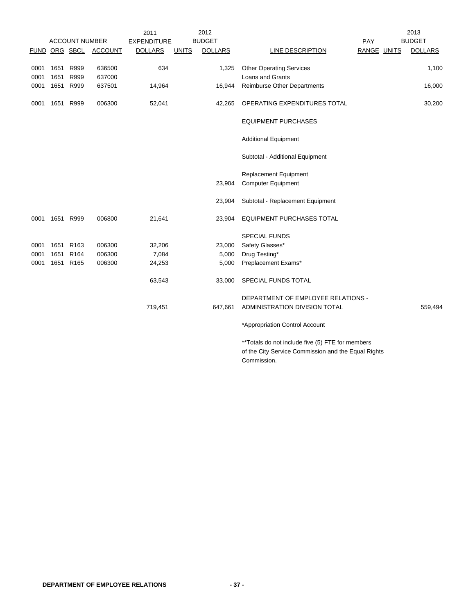|      |           |                       |                | 2011               |              | 2012           |                                                  |             | 2013           |
|------|-----------|-----------------------|----------------|--------------------|--------------|----------------|--------------------------------------------------|-------------|----------------|
|      |           | <b>ACCOUNT NUMBER</b> |                | <b>EXPENDITURE</b> |              | <b>BUDGET</b>  |                                                  | PAY         | <b>BUDGET</b>  |
|      |           | FUND ORG SBCL         | <b>ACCOUNT</b> | <b>DOLLARS</b>     | <b>UNITS</b> | <b>DOLLARS</b> | LINE DESCRIPTION                                 | RANGE UNITS | <b>DOLLARS</b> |
|      |           |                       |                |                    |              |                |                                                  |             |                |
| 0001 | 1651      | R999                  | 636500         | 634                |              | 1,325          | <b>Other Operating Services</b>                  |             | 1,100          |
| 0001 | 1651      | R999                  | 637000         |                    |              |                | <b>Loans and Grants</b>                          |             |                |
| 0001 | 1651      | R999                  | 637501         | 14,964             |              | 16,944         | <b>Reimburse Other Departments</b>               |             | 16,000         |
| 0001 |           | 1651 R999             | 006300         | 52,041             |              | 42,265         | OPERATING EXPENDITURES TOTAL                     |             | 30,200         |
|      |           |                       |                |                    |              |                |                                                  |             |                |
|      |           |                       |                |                    |              |                | <b>EQUIPMENT PURCHASES</b>                       |             |                |
|      |           |                       |                |                    |              |                | <b>Additional Equipment</b>                      |             |                |
|      |           |                       |                |                    |              |                | Subtotal - Additional Equipment                  |             |                |
|      |           |                       |                |                    |              |                | <b>Replacement Equipment</b>                     |             |                |
|      |           |                       |                |                    |              | 23,904         | <b>Computer Equipment</b>                        |             |                |
|      |           |                       |                |                    |              |                |                                                  |             |                |
|      |           |                       |                |                    |              | 23,904         | Subtotal - Replacement Equipment                 |             |                |
| 0001 | 1651 R999 |                       | 006800         | 21,641             |              | 23,904         | <b>EQUIPMENT PURCHASES TOTAL</b>                 |             |                |
|      |           |                       |                |                    |              |                | <b>SPECIAL FUNDS</b>                             |             |                |
| 0001 |           | 1651 R163             | 006300         | 32,206             |              | 23,000         | Safety Glasses*                                  |             |                |
| 0001 |           | 1651 R164             | 006300         | 7,084              |              | 5,000          | Drug Testing*                                    |             |                |
| 0001 |           | 1651 R165             | 006300         | 24,253             |              | 5,000          | Preplacement Exams*                              |             |                |
|      |           |                       |                | 63,543             |              | 33,000         | SPECIAL FUNDS TOTAL                              |             |                |
|      |           |                       |                |                    |              |                | DEPARTMENT OF EMPLOYEE RELATIONS -               |             |                |
|      |           |                       |                | 719,451            |              | 647,661        | ADMINISTRATION DIVISION TOTAL                    |             | 559,494        |
|      |           |                       |                |                    |              |                | *Appropriation Control Account                   |             |                |
|      |           |                       |                |                    |              |                | **Totals do not include five (5) FTE for members |             |                |

of the City Service Commission and the Equal Rights Commission.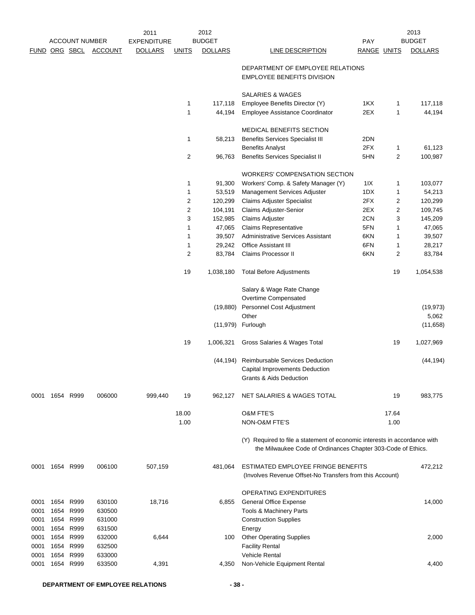|      |           | <b>ACCOUNT NUMBER</b> |                       | 2011<br><b>EXPENDITURE</b> |                   | 2012<br><b>BUDGET</b> |                                                                                                                                           | <b>PAY</b>  |                | 2013<br><b>BUDGET</b> |
|------|-----------|-----------------------|-----------------------|----------------------------|-------------------|-----------------------|-------------------------------------------------------------------------------------------------------------------------------------------|-------------|----------------|-----------------------|
|      |           |                       | FUND ORG SBCL ACCOUNT | <b>DOLLARS</b>             | <u>UNITS</u>      | <b>DOLLARS</b>        | LINE DESCRIPTION                                                                                                                          | RANGE UNITS |                | <b>DOLLARS</b>        |
|      |           |                       |                       |                            |                   |                       | DEPARTMENT OF EMPLOYEE RELATIONS<br><b>EMPLOYEE BENEFITS DIVISION</b>                                                                     |             |                |                       |
|      |           |                       |                       |                            |                   |                       | SALARIES & WAGES                                                                                                                          |             |                |                       |
|      |           |                       |                       |                            | 1                 | 117,118               | Employee Benefits Director (Y)                                                                                                            | 1KX         | 1              | 117,118               |
|      |           |                       |                       |                            | $\mathbf{1}$      | 44,194                | <b>Employee Assistance Coordinator</b>                                                                                                    | 2EX         | 1              | 44,194                |
|      |           |                       |                       |                            |                   |                       | <b>MEDICAL BENEFITS SECTION</b>                                                                                                           |             |                |                       |
|      |           |                       |                       |                            | 1                 | 58,213                | <b>Benefits Services Specialist III</b>                                                                                                   | 2DN         |                |                       |
|      |           |                       |                       |                            |                   |                       | <b>Benefits Analyst</b>                                                                                                                   | 2FX         | 1              | 61,123                |
|      |           |                       |                       |                            | $\overline{2}$    | 96,763                | <b>Benefits Services Specialist II</b>                                                                                                    | 5HN         | 2              | 100,987               |
|      |           |                       |                       |                            |                   |                       | WORKERS' COMPENSATION SECTION                                                                                                             |             |                |                       |
|      |           |                       |                       |                            | 1                 | 91,300                | Workers' Comp. & Safety Manager (Y)                                                                                                       | 11X         | 1              | 103,077               |
|      |           |                       |                       |                            | 1                 | 53,519                | Management Services Adjuster                                                                                                              | 1DX         | 1              | 54,213                |
|      |           |                       |                       |                            | 2                 | 120,299               | <b>Claims Adjuster Specialist</b>                                                                                                         | 2FX         | 2              | 120,299               |
|      |           |                       |                       |                            | $\overline{c}$    | 104,191               | Claims Adjuster-Senior                                                                                                                    | 2EX         | 2              | 109,745               |
|      |           |                       |                       |                            | 3                 | 152,985<br>47,065     | <b>Claims Adjuster</b>                                                                                                                    | 2CN<br>5FN  | 3              | 145,209               |
|      |           |                       |                       |                            | 1<br>$\mathbf{1}$ | 39,507                | <b>Claims Representative</b><br><b>Administrative Services Assistant</b>                                                                  | 6KN         | 1<br>1         | 47,065<br>39,507      |
|      |           |                       |                       |                            | 1                 | 29,242                | <b>Office Assistant III</b>                                                                                                               | 6FN         | 1              | 28,217                |
|      |           |                       |                       |                            | $\overline{2}$    | 83,784                | Claims Processor II                                                                                                                       | 6KN         | $\overline{2}$ | 83,784                |
|      |           |                       |                       |                            | 19                | 1,038,180             | <b>Total Before Adjustments</b>                                                                                                           |             | 19             | 1,054,538             |
|      |           |                       |                       |                            |                   |                       | Salary & Wage Rate Change                                                                                                                 |             |                |                       |
|      |           |                       |                       |                            |                   |                       | Overtime Compensated                                                                                                                      |             |                |                       |
|      |           |                       |                       |                            |                   | (19, 880)             | Personnel Cost Adjustment                                                                                                                 |             |                | (19, 973)             |
|      |           |                       |                       |                            |                   |                       | Other                                                                                                                                     |             |                | 5,062                 |
|      |           |                       |                       |                            |                   | (11, 979)             | Furlough                                                                                                                                  |             |                | (11, 658)             |
|      |           |                       |                       |                            | 19                | 1,006,321             | Gross Salaries & Wages Total                                                                                                              |             | 19             | 1,027,969             |
|      |           |                       |                       |                            |                   | (44, 194)             | Reimbursable Services Deduction                                                                                                           |             |                | (44, 194)             |
|      |           |                       |                       |                            |                   |                       | Capital Improvements Deduction<br><b>Grants &amp; Aids Deduction</b>                                                                      |             |                |                       |
| 0001 | 1654 R999 |                       | 006000                | 999,440                    | 19                | 962,127               | NET SALARIES & WAGES TOTAL                                                                                                                |             | 19             | 983,775               |
|      |           |                       |                       |                            | 18.00             |                       | <b>O&amp;M FTE'S</b>                                                                                                                      |             | 17.64          |                       |
|      |           |                       |                       |                            | 1.00              |                       | <b>NON-O&amp;M FTE'S</b>                                                                                                                  |             | 1.00           |                       |
|      |           |                       |                       |                            |                   |                       | (Y) Required to file a statement of economic interests in accordance with<br>the Milwaukee Code of Ordinances Chapter 303-Code of Ethics. |             |                |                       |
| 0001 |           | 1654 R999             | 006100                | 507,159                    |                   | 481,064               | ESTIMATED EMPLOYEE FRINGE BENEFITS<br>(Involves Revenue Offset-No Transfers from this Account)                                            |             |                | 472,212               |
|      |           |                       |                       |                            |                   |                       | OPERATING EXPENDITURES                                                                                                                    |             |                |                       |
| 0001 | 1654      | R999                  | 630100                | 18,716                     |                   | 6,855                 | <b>General Office Expense</b>                                                                                                             |             |                | 14,000                |
| 0001 | 1654      | R999                  | 630500                |                            |                   |                       | Tools & Machinery Parts                                                                                                                   |             |                |                       |
| 0001 | 1654      | R999                  | 631000                |                            |                   |                       | <b>Construction Supplies</b>                                                                                                              |             |                |                       |
| 0001 | 1654      | R999                  | 631500                |                            |                   |                       | Energy                                                                                                                                    |             |                |                       |
| 0001 | 1654      | R999                  | 632000                | 6,644                      |                   | 100                   | <b>Other Operating Supplies</b>                                                                                                           |             |                | 2,000                 |
| 0001 | 1654      | R999                  | 632500                |                            |                   |                       | <b>Facility Rental</b>                                                                                                                    |             |                |                       |
| 0001 | 1654      | R999                  | 633000                |                            |                   |                       | <b>Vehicle Rental</b>                                                                                                                     |             |                |                       |
| 0001 | 1654      | R999                  | 633500                | 4,391                      |                   | 4,350                 | Non-Vehicle Equipment Rental                                                                                                              |             |                | 4,400                 |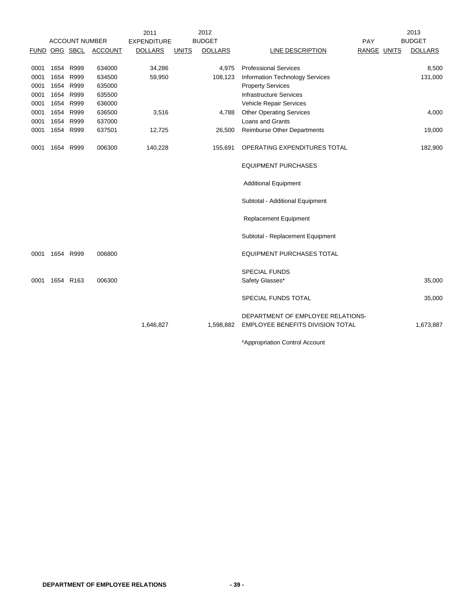|               |                       |                | 2011               |              | 2012           |                                                                       |             | 2013           |
|---------------|-----------------------|----------------|--------------------|--------------|----------------|-----------------------------------------------------------------------|-------------|----------------|
|               | <b>ACCOUNT NUMBER</b> |                | <b>EXPENDITURE</b> |              | <b>BUDGET</b>  |                                                                       | PAY         | <b>BUDGET</b>  |
| FUND ORG SBCL |                       | <b>ACCOUNT</b> | <b>DOLLARS</b>     | <b>UNITS</b> | <b>DOLLARS</b> | LINE DESCRIPTION                                                      | RANGE UNITS | <b>DOLLARS</b> |
|               |                       |                |                    |              |                |                                                                       |             |                |
| 0001          | 1654 R999             | 634000         | 34,286             |              | 4,975          | <b>Professional Services</b>                                          |             | 8,500          |
| 0001          | 1654 R999             | 634500         | 59,950             |              | 108,123        | Information Technology Services                                       |             | 131,000        |
| 0001          | 1654 R999             | 635000         |                    |              |                | <b>Property Services</b>                                              |             |                |
| 0001          | 1654 R999             | 635500         |                    |              |                | <b>Infrastructure Services</b>                                        |             |                |
| 0001          | 1654 R999             | 636000         |                    |              |                | Vehicle Repair Services                                               |             |                |
| 0001          | 1654 R999             | 636500         | 3,516              |              | 4,788          | <b>Other Operating Services</b>                                       |             | 4,000          |
| 0001          | 1654 R999             | 637000         |                    |              |                | <b>Loans and Grants</b>                                               |             |                |
| 0001          | 1654 R999             | 637501         | 12,725             |              | 26,500         | <b>Reimburse Other Departments</b>                                    |             | 19,000         |
| 0001          | 1654 R999             | 006300         | 140,228            |              | 155,691        | OPERATING EXPENDITURES TOTAL                                          |             | 182,900        |
|               |                       |                |                    |              |                | <b>EQUIPMENT PURCHASES</b>                                            |             |                |
|               |                       |                |                    |              |                | <b>Additional Equipment</b>                                           |             |                |
|               |                       |                |                    |              |                | Subtotal - Additional Equipment                                       |             |                |
|               |                       |                |                    |              |                | <b>Replacement Equipment</b>                                          |             |                |
|               |                       |                |                    |              |                | Subtotal - Replacement Equipment                                      |             |                |
| 0001          | 1654 R999             | 006800         |                    |              |                | <b>EQUIPMENT PURCHASES TOTAL</b>                                      |             |                |
| 0001          | 1654 R163             | 006300         |                    |              |                | <b>SPECIAL FUNDS</b><br>Safety Glasses*                               |             | 35,000         |
|               |                       |                |                    |              |                | SPECIAL FUNDS TOTAL                                                   |             | 35,000         |
|               |                       |                | 1,646,827          |              | 1,598,882      | DEPARTMENT OF EMPLOYEE RELATIONS-<br>EMPLOYEE BENEFITS DIVISION TOTAL |             | 1,673,887      |
|               |                       |                |                    |              |                | *Appropriation Control Account                                        |             |                |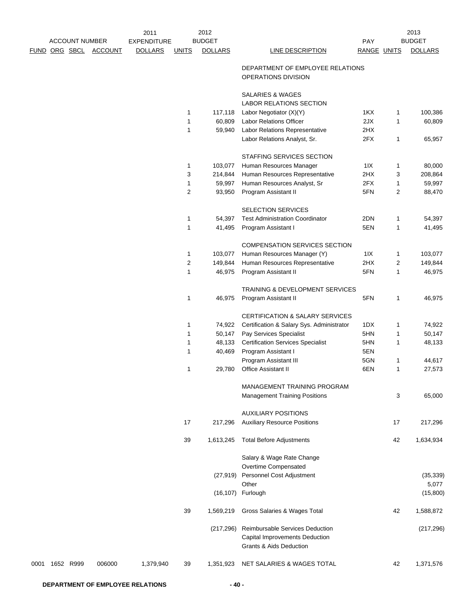|      |               |                       |                | 2011               |              | 2012           |                                                         |             |              | 2013           |
|------|---------------|-----------------------|----------------|--------------------|--------------|----------------|---------------------------------------------------------|-------------|--------------|----------------|
|      |               | <b>ACCOUNT NUMBER</b> |                | <b>EXPENDITURE</b> |              | <b>BUDGET</b>  |                                                         | PAY         |              | <b>BUDGET</b>  |
|      | FUND ORG SBCL |                       | <b>ACCOUNT</b> | <b>DOLLARS</b>     | <b>UNITS</b> | <b>DOLLARS</b> | <b>LINE DESCRIPTION</b>                                 | RANGE UNITS |              | <b>DOLLARS</b> |
|      |               |                       |                |                    |              |                | DEPARTMENT OF EMPLOYEE RELATIONS<br>OPERATIONS DIVISION |             |              |                |
|      |               |                       |                |                    |              |                | SALARIES & WAGES<br>LABOR RELATIONS SECTION             |             |              |                |
|      |               |                       |                |                    | 1            | 117,118        | Labor Negotiator (X)(Y)                                 | 1KX         | 1            | 100,386        |
|      |               |                       |                |                    | 1            | 60,809         | <b>Labor Relations Officer</b>                          | 2JX         | 1            | 60,809         |
|      |               |                       |                |                    | $\mathbf{1}$ | 59,940         | Labor Relations Representative                          | 2HX         |              |                |
|      |               |                       |                |                    |              |                | Labor Relations Analyst, Sr.                            | 2FX         | 1            | 65,957         |
|      |               |                       |                |                    |              |                | STAFFING SERVICES SECTION                               |             |              |                |
|      |               |                       |                |                    | 1            | 103,077        | Human Resources Manager                                 | 11X         | 1            | 80,000         |
|      |               |                       |                |                    | 3            | 214,844        | Human Resources Representative                          | 2HX         | 3            | 208,864        |
|      |               |                       |                |                    | 1            | 59,997         | Human Resources Analyst, Sr                             | 2FX         | 1            | 59,997         |
|      |               |                       |                |                    | 2            | 93,950         | Program Assistant II                                    | 5FN         | 2            | 88,470         |
|      |               |                       |                |                    |              |                | <b>SELECTION SERVICES</b>                               |             |              |                |
|      |               |                       |                |                    | $\mathbf{1}$ | 54,397         | <b>Test Administration Coordinator</b>                  | 2DN         | 1            | 54,397         |
|      |               |                       |                |                    | 1            | 41,495         | Program Assistant I                                     | 5EN         | 1            | 41,495         |
|      |               |                       |                |                    |              |                | <b>COMPENSATION SERVICES SECTION</b>                    |             |              |                |
|      |               |                       |                |                    | 1            | 103,077        | Human Resources Manager (Y)                             | 11X         | $\mathbf{1}$ | 103,077        |
|      |               |                       |                |                    | 2            | 149,844        | Human Resources Representative                          | 2HX         | 2            | 149,844        |
|      |               |                       |                |                    | $\mathbf{1}$ | 46,975         | Program Assistant II                                    | 5FN         | 1            | 46,975         |
|      |               |                       |                |                    |              |                | TRAINING & DEVELOPMENT SERVICES                         |             |              |                |
|      |               |                       |                |                    | 1            | 46,975         | Program Assistant II                                    | 5FN         | 1            | 46,975         |
|      |               |                       |                |                    |              |                | CERTIFICATION & SALARY SERVICES                         |             |              |                |
|      |               |                       |                |                    | 1            | 74,922         | Certification & Salary Sys. Administrator               | 1DX         | 1            | 74,922         |
|      |               |                       |                |                    | 1            | 50,147         | Pay Services Specialist                                 | 5HN         | 1            | 50,147         |
|      |               |                       |                |                    | 1            | 48,133         | <b>Certification Services Specialist</b>                | 5HN         | 1            | 48,133         |
|      |               |                       |                |                    | 1            | 40,469         | Program Assistant I                                     | 5EN         |              |                |
|      |               |                       |                |                    |              |                | Program Assistant III                                   | 5GN         | 1            | 44,617         |
|      |               |                       |                |                    | 1            | 29,780         | Office Assistant II                                     | 6EN         | 1            | 27,573         |
|      |               |                       |                |                    |              |                | MANAGEMENT TRAINING PROGRAM                             |             |              |                |
|      |               |                       |                |                    |              |                | <b>Management Training Positions</b>                    |             | 3            | 65,000         |
|      |               |                       |                |                    |              |                | <b>AUXILIARY POSITIONS</b>                              |             |              |                |
|      |               |                       |                |                    | 17           | 217,296        | <b>Auxiliary Resource Positions</b>                     |             | 17           | 217,296        |
|      |               |                       |                |                    | 39           | 1,613,245      | <b>Total Before Adjustments</b>                         |             | 42           | 1,634,934      |
|      |               |                       |                |                    |              |                | Salary & Wage Rate Change                               |             |              |                |
|      |               |                       |                |                    |              |                | Overtime Compensated                                    |             |              |                |
|      |               |                       |                |                    |              |                | (27,919) Personnel Cost Adjustment                      |             |              | (35, 339)      |
|      |               |                       |                |                    |              |                | Other                                                   |             |              | 5,077          |
|      |               |                       |                |                    |              |                | (16,107) Furlough                                       |             |              | (15,800)       |
|      |               |                       |                |                    | 39           | 1,569,219      | Gross Salaries & Wages Total                            |             | 42           | 1,588,872      |
|      |               |                       |                |                    |              | (217, 296)     | Reimbursable Services Deduction                         |             |              | (217, 296)     |
|      |               |                       |                |                    |              |                | Capital Improvements Deduction                          |             |              |                |
|      |               |                       |                |                    |              |                | <b>Grants &amp; Aids Deduction</b>                      |             |              |                |
| 0001 | 1652 R999     |                       | 006000         | 1,379,940          | 39           | 1,351,923      | NET SALARIES & WAGES TOTAL                              |             | 42           | 1,371,576      |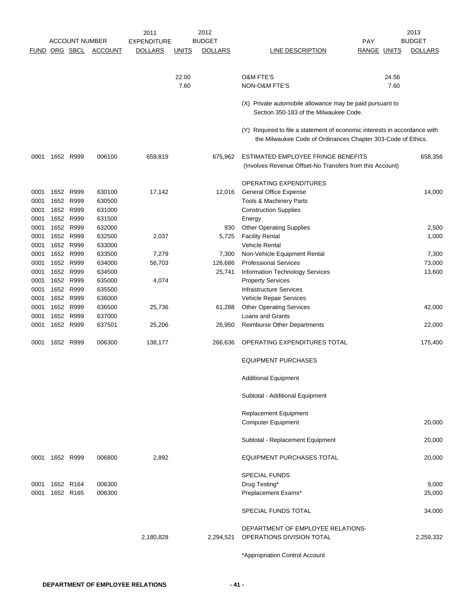|              |                | <b>ACCOUNT NUMBER</b> |                | 2011               |              | 2012<br><b>BUDGET</b> |                                                                           | <b>PAY</b>         | 2013<br><b>BUDGET</b> |
|--------------|----------------|-----------------------|----------------|--------------------|--------------|-----------------------|---------------------------------------------------------------------------|--------------------|-----------------------|
|              | FUND ORG SBCL  |                       |                | <b>EXPENDITURE</b> |              |                       |                                                                           |                    |                       |
|              |                |                       | <b>ACCOUNT</b> | <b>DOLLARS</b>     | <u>UNITS</u> | <b>DOLLARS</b>        | LINE DESCRIPTION                                                          | <b>RANGE UNITS</b> | <b>DOLLARS</b>        |
|              |                |                       |                |                    |              |                       |                                                                           |                    |                       |
|              |                |                       |                |                    | 22.00        |                       | <b>O&amp;M FTE'S</b>                                                      | 24.56              |                       |
|              |                |                       |                |                    | 7.60         |                       | NON-O&M FTE'S                                                             | 7.60               |                       |
|              |                |                       |                |                    |              |                       |                                                                           |                    |                       |
|              |                |                       |                |                    |              |                       | (X) Private automobile allowance may be paid pursuant to                  |                    |                       |
|              |                |                       |                |                    |              |                       | Section 350-183 of the Milwaukee Code.                                    |                    |                       |
|              |                |                       |                |                    |              |                       | (Y) Required to file a statement of economic interests in accordance with |                    |                       |
|              |                |                       |                |                    |              |                       | the Milwaukee Code of Ordinances Chapter 303-Code of Ethics.              |                    |                       |
|              |                |                       |                |                    |              |                       |                                                                           |                    |                       |
| 0001         | 1652 R999      |                       | 006100         | 659,819            |              | 675,962               | ESTIMATED EMPLOYEE FRINGE BENEFITS                                        |                    | 658,356               |
|              |                |                       |                |                    |              |                       | (Involves Revenue Offset-No Transfers from this Account)                  |                    |                       |
|              |                |                       |                |                    |              |                       |                                                                           |                    |                       |
|              |                |                       |                |                    |              |                       | OPERATING EXPENDITURES                                                    |                    |                       |
| 0001         | 1652 R999      |                       | 630100         | 17,142             |              | 12,016                | <b>General Office Expense</b>                                             |                    | 14,000                |
| 0001         | 1652 R999      |                       | 630500         |                    |              |                       | Tools & Machinery Parts                                                   |                    |                       |
| 0001         | 1652 R999      |                       | 631000         |                    |              |                       | <b>Construction Supplies</b>                                              |                    |                       |
| 0001         | 1652 R999      |                       | 631500         |                    |              |                       | Energy                                                                    |                    |                       |
| 0001         | 1652 R999      |                       | 632000         |                    |              | 930                   | <b>Other Operating Supplies</b>                                           |                    | 2,500                 |
| 0001         | 1652 R999      |                       | 632500         | 2,037              |              | 5,725                 | <b>Facility Rental</b>                                                    |                    | 1,000                 |
| 0001         | 1652 R999      |                       | 633000         |                    |              |                       | Vehicle Rental                                                            |                    |                       |
|              | 1652 R999      |                       | 633500         | 7,279              |              | 7,300                 | Non-Vehicle Equipment Rental                                              |                    | 7,300                 |
| 0001<br>0001 | 1652 R999      |                       | 634000         | 56,703             |              |                       |                                                                           |                    |                       |
|              |                |                       |                |                    |              | 126,686               | <b>Professional Services</b>                                              |                    | 73,000                |
| 0001         |                | 1652 R999             | 634500         |                    |              | 25,741                | Information Technology Services                                           |                    | 13,600                |
| 0001         | 1652 R999      |                       | 635000         | 4,074              |              |                       | <b>Property Services</b>                                                  |                    |                       |
| 0001         | 1652 R999      |                       | 635500         |                    |              |                       | Infrastructure Services                                                   |                    |                       |
| 0001         | 1652 R999      |                       | 636000         |                    |              |                       | Vehicle Repair Services                                                   |                    |                       |
| 0001         | 1652 R999      |                       | 636500         | 25,736             |              | 61,288                | <b>Other Operating Services</b>                                           |                    | 42,000                |
| 0001         | 1652 R999      |                       | 637000         |                    |              |                       | Loans and Grants                                                          |                    |                       |
| 0001         | 1652 R999      |                       | 637501         | 25,206             |              | 26,950                | Reimburse Other Departments                                               |                    | 22,000                |
| 0001         | 1652 R999      |                       | 006300         | 138,177            |              | 266,636               | OPERATING EXPENDITURES TOTAL                                              |                    | 175,400               |
|              |                |                       |                |                    |              |                       | <b>EQUIPMENT PURCHASES</b>                                                |                    |                       |
|              |                |                       |                |                    |              |                       | <b>Additional Equipment</b>                                               |                    |                       |
|              |                |                       |                |                    |              |                       | Subtotal - Additional Equipment                                           |                    |                       |
|              |                |                       |                |                    |              |                       | Replacement Equipment                                                     |                    |                       |
|              |                |                       |                |                    |              |                       |                                                                           |                    | 20,000                |
|              |                |                       |                |                    |              |                       | <b>Computer Equipment</b>                                                 |                    |                       |
|              |                |                       |                |                    |              |                       | Subtotal - Replacement Equipment                                          |                    | 20,000                |
|              | 0001 1652 R999 |                       | 006800         | 2,892              |              |                       | <b>EQUIPMENT PURCHASES TOTAL</b>                                          |                    | 20,000                |
|              |                |                       |                |                    |              |                       |                                                                           |                    |                       |
|              |                |                       |                |                    |              |                       | <b>SPECIAL FUNDS</b>                                                      |                    |                       |
| 0001         |                | 1652 R164             | 006300         |                    |              |                       | Drug Testing*                                                             |                    | 9,000                 |
| 0001         |                | 1652 R165             | 006300         |                    |              |                       | Preplacement Exams*                                                       |                    | 25,000                |
|              |                |                       |                |                    |              |                       |                                                                           |                    |                       |
|              |                |                       |                |                    |              |                       | SPECIAL FUNDS TOTAL                                                       |                    | 34,000                |
|              |                |                       |                |                    |              |                       |                                                                           |                    |                       |
|              |                |                       |                |                    |              |                       | DEPARTMENT OF EMPLOYEE RELATIONS-                                         |                    |                       |
|              |                |                       |                | 2,180,828          |              | 2,294,521             | OPERATIONS DIVISION TOTAL                                                 |                    | 2,259,332             |
|              |                |                       |                |                    |              |                       | *Appropriation Control Account                                            |                    |                       |
|              |                |                       |                |                    |              |                       |                                                                           |                    |                       |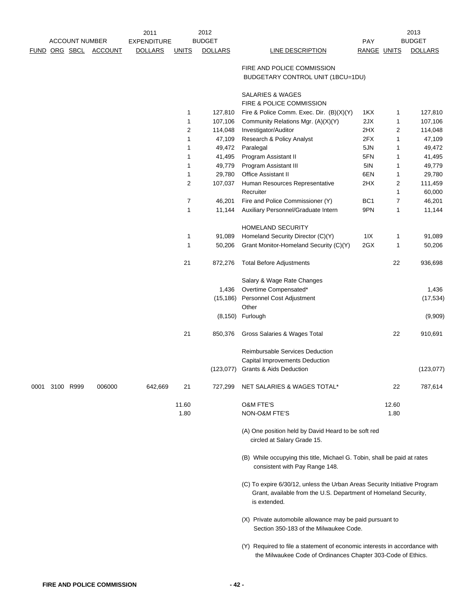|      |                      |                       | 2011               |                | 2012             |                                                                                                                                                              |                 |        | 2013             |
|------|----------------------|-----------------------|--------------------|----------------|------------------|--------------------------------------------------------------------------------------------------------------------------------------------------------------|-----------------|--------|------------------|
|      |                      | <b>ACCOUNT NUMBER</b> | <b>EXPENDITURE</b> |                | <b>BUDGET</b>    |                                                                                                                                                              | PAY             |        | <b>BUDGET</b>    |
|      | <u>FUND ORG SBCL</u> | <b>ACCOUNT</b>        | <b>DOLLARS</b>     | <b>UNITS</b>   | <b>DOLLARS</b>   | <b>LINE DESCRIPTION</b>                                                                                                                                      | RANGE UNITS     |        | <b>DOLLARS</b>   |
|      |                      |                       |                    |                |                  | FIRE AND POLICE COMMISSION<br>BUDGETARY CONTROL UNIT (1BCU=1DU)                                                                                              |                 |        |                  |
|      |                      |                       |                    |                |                  | <b>SALARIES &amp; WAGES</b>                                                                                                                                  |                 |        |                  |
|      |                      |                       |                    |                |                  | FIRE & POLICE COMMISSION                                                                                                                                     |                 |        |                  |
|      |                      |                       |                    | 1              | 127,810          | Fire & Police Comm. Exec. Dir. (B)(X)(Y)                                                                                                                     | 1KX             | 1      | 127,810          |
|      |                      |                       |                    | 1              | 107,106          | Community Relations Mgr. (A)(X)(Y)                                                                                                                           | 2JX             | 1      | 107,106          |
|      |                      |                       |                    | $\overline{c}$ | 114,048          | Investigator/Auditor                                                                                                                                         | 2HX             | 2      | 114,048          |
|      |                      |                       |                    | 1              | 47,109           | Research & Policy Analyst                                                                                                                                    | 2FX             | 1      | 47,109           |
|      |                      |                       |                    | 1<br>1         | 49,472           | Paralegal                                                                                                                                                    | 5JN<br>5FN      | 1      | 49,472           |
|      |                      |                       |                    | 1              | 41,495<br>49,779 | Program Assistant II<br>Program Assistant III                                                                                                                | 5IN             | 1<br>1 | 41,495<br>49,779 |
|      |                      |                       |                    | 1              | 29,780           | Office Assistant II                                                                                                                                          | 6EN             | 1      | 29,780           |
|      |                      |                       |                    | $\overline{2}$ | 107,037          | Human Resources Representative                                                                                                                               | 2HX             | 2      | 111,459          |
|      |                      |                       |                    |                |                  | Recruiter                                                                                                                                                    |                 | 1      | 60,000           |
|      |                      |                       |                    | 7              | 46,201           | Fire and Police Commissioner (Y)                                                                                                                             | BC <sub>1</sub> | 7      | 46,201           |
|      |                      |                       |                    | 1              | 11,144           | Auxiliary Personnel/Graduate Intern                                                                                                                          | 9PN             | 1      | 11,144           |
|      |                      |                       |                    |                |                  |                                                                                                                                                              |                 |        |                  |
|      |                      |                       |                    |                |                  | HOMELAND SECURITY                                                                                                                                            |                 |        |                  |
|      |                      |                       |                    | 1              | 91,089           | Homeland Security Director (C)(Y)                                                                                                                            | 11X             | 1      | 91,089           |
|      |                      |                       |                    | 1              | 50,206           | Grant Monitor-Homeland Security (C)(Y)                                                                                                                       | 2GX             | 1      | 50,206           |
|      |                      |                       |                    | 21             | 872,276          | <b>Total Before Adjustments</b>                                                                                                                              |                 | 22     | 936,698          |
|      |                      |                       |                    |                |                  | Salary & Wage Rate Changes                                                                                                                                   |                 |        |                  |
|      |                      |                       |                    |                | 1,436            | Overtime Compensated*                                                                                                                                        |                 |        | 1,436            |
|      |                      |                       |                    |                | (15, 186)        | Personnel Cost Adjustment                                                                                                                                    |                 |        | (17, 534)        |
|      |                      |                       |                    |                |                  | Other                                                                                                                                                        |                 |        |                  |
|      |                      |                       |                    |                |                  | (8,150) Furlough                                                                                                                                             |                 |        | (9,909)          |
|      |                      |                       |                    | 21             | 850,376          | Gross Salaries & Wages Total                                                                                                                                 |                 | 22     | 910,691          |
|      |                      |                       |                    |                |                  | Reimbursable Services Deduction                                                                                                                              |                 |        |                  |
|      |                      |                       |                    |                |                  | Capital Improvements Deduction                                                                                                                               |                 |        |                  |
|      |                      |                       |                    |                |                  | (123,077) Grants & Aids Deduction                                                                                                                            |                 |        | (123, 077)       |
| 0001 | 3100 R999            | 006000                | 642,669            | 21             | 727,299          | NET SALARIES & WAGES TOTAL*                                                                                                                                  |                 | 22     | 787,614          |
|      |                      |                       |                    | 11.60          |                  | <b>O&amp;M FTE'S</b>                                                                                                                                         |                 | 12.60  |                  |
|      |                      |                       |                    | 1.80           |                  | NON-O&M FTE'S                                                                                                                                                |                 | 1.80   |                  |
|      |                      |                       |                    |                |                  | (A) One position held by David Heard to be soft red<br>circled at Salary Grade 15.                                                                           |                 |        |                  |
|      |                      |                       |                    |                |                  | (B) While occupying this title, Michael G. Tobin, shall be paid at rates<br>consistent with Pay Range 148.                                                   |                 |        |                  |
|      |                      |                       |                    |                |                  | (C) To expire 6/30/12, unless the Urban Areas Security Initiative Program<br>Grant, available from the U.S. Department of Homeland Security,<br>is extended. |                 |        |                  |
|      |                      |                       |                    |                |                  | (X) Private automobile allowance may be paid pursuant to<br>Section 350-183 of the Milwaukee Code.                                                           |                 |        |                  |
|      |                      |                       |                    |                |                  | (Y) Required to file a statement of economic interests in accordance with<br>the Milwaukee Code of Ordinances Chapter 303-Code of Ethics.                    |                 |        |                  |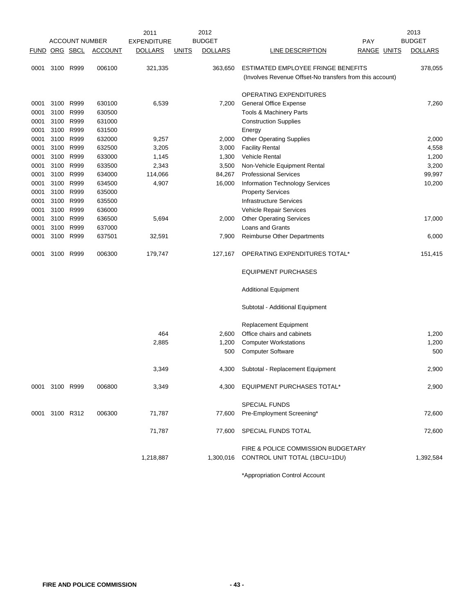|               |                |                       |                | 2011               |              | 2012           |                                                                     |                    | 2013           |
|---------------|----------------|-----------------------|----------------|--------------------|--------------|----------------|---------------------------------------------------------------------|--------------------|----------------|
|               |                | <b>ACCOUNT NUMBER</b> |                | <b>EXPENDITURE</b> |              | <b>BUDGET</b>  |                                                                     | <b>PAY</b>         | <b>BUDGET</b>  |
| FUND ORG SBCL |                |                       | <b>ACCOUNT</b> | <b>DOLLARS</b>     | <b>UNITS</b> | <b>DOLLARS</b> | LINE DESCRIPTION                                                    | <b>RANGE UNITS</b> | <b>DOLLARS</b> |
| 0001          |                | 3100 R999             | 006100         | 321,335            |              | 363,650        | ESTIMATED EMPLOYEE FRINGE BENEFITS                                  |                    | 378,055        |
|               |                |                       |                |                    |              |                | (Involves Revenue Offset-No transfers from this account)            |                    |                |
|               |                |                       |                |                    |              |                |                                                                     |                    |                |
|               |                |                       |                |                    |              |                | OPERATING EXPENDITURES                                              |                    |                |
| 0001          | 3100           | R999                  | 630100         | 6,539              |              | 7,200          | <b>General Office Expense</b>                                       |                    | 7,260          |
| 0001          | 3100           | R999                  | 630500         |                    |              |                | Tools & Machinery Parts                                             |                    |                |
| 0001          | 3100           | R999                  | 631000         |                    |              |                | <b>Construction Supplies</b>                                        |                    |                |
| 0001          |                | 3100 R999             | 631500         |                    |              |                | Energy                                                              |                    |                |
| 0001          | 3100           | R999                  | 632000         | 9,257              |              | 2,000          | <b>Other Operating Supplies</b>                                     |                    | 2,000          |
| 0001          | 3100           | R999                  | 632500         | 3,205              |              | 3,000          | <b>Facility Rental</b>                                              |                    | 4,558          |
| 0001          | 3100           | R999                  | 633000         | 1,145              |              | 1,300          | <b>Vehicle Rental</b>                                               |                    | 1,200          |
| 0001          | 3100           | R999                  | 633500         | 2,343              |              | 3,500          | Non-Vehicle Equipment Rental                                        |                    | 3,200          |
| 0001          |                | 3100 R999             | 634000         | 114,066            |              | 84,267         | <b>Professional Services</b>                                        |                    | 99,997         |
| 0001          | 3100           | R999                  | 634500         | 4,907              |              | 16,000         | <b>Information Technology Services</b>                              |                    | 10,200         |
| 0001          | 3100           | R999                  | 635000         |                    |              |                | <b>Property Services</b>                                            |                    |                |
| 0001          | 3100           | R999                  | 635500         |                    |              |                | <b>Infrastructure Services</b>                                      |                    |                |
| 0001          | 3100           | R999                  | 636000         |                    |              |                | Vehicle Repair Services                                             |                    |                |
| 0001          |                | 3100 R999             | 636500         | 5,694              |              | 2,000          | <b>Other Operating Services</b>                                     |                    | 17,000         |
| 0001          | 3100           | R999                  | 637000         |                    |              |                | Loans and Grants                                                    |                    |                |
| 0001          | 3100           | R999                  | 637501         | 32,591             |              | 7,900          | <b>Reimburse Other Departments</b>                                  |                    | 6,000          |
| 0001          | 3100           | R999                  | 006300         | 179,747            |              | 127,167        | OPERATING EXPENDITURES TOTAL*                                       |                    | 151,415        |
|               |                |                       |                |                    |              |                | <b>EQUIPMENT PURCHASES</b>                                          |                    |                |
|               |                |                       |                |                    |              |                | <b>Additional Equipment</b>                                         |                    |                |
|               |                |                       |                |                    |              |                | Subtotal - Additional Equipment                                     |                    |                |
|               |                |                       |                |                    |              |                | Replacement Equipment                                               |                    |                |
|               |                |                       |                | 464                |              | 2,600          | Office chairs and cabinets                                          |                    | 1,200          |
|               |                |                       |                | 2,885              |              | 1,200          | <b>Computer Workstations</b>                                        |                    | 1,200          |
|               |                |                       |                |                    |              | 500            | <b>Computer Software</b>                                            |                    | 500            |
|               |                |                       |                | 3,349              |              | 4,300          | Subtotal - Replacement Equipment                                    |                    | 2,900          |
|               | 0001 3100 R999 |                       | 006800         | 3,349              |              | 4,300          | EQUIPMENT PURCHASES TOTAL*                                          |                    | 2,900          |
|               |                |                       |                |                    |              |                |                                                                     |                    |                |
|               |                |                       |                |                    |              |                | <b>SPECIAL FUNDS</b>                                                |                    |                |
|               | 0001 3100 R312 |                       | 006300         | 71,787             |              | 77,600         | Pre-Employment Screening*                                           |                    | 72,600         |
|               |                |                       |                | 71,787             |              | 77,600         | SPECIAL FUNDS TOTAL                                                 |                    | 72,600         |
|               |                |                       |                | 1,218,887          |              | 1,300,016      | FIRE & POLICE COMMISSION BUDGETARY<br>CONTROL UNIT TOTAL (1BCU=1DU) |                    | 1,392,584      |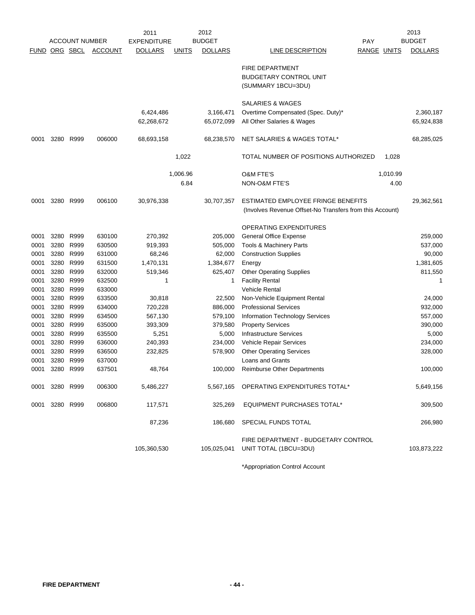|             |           |                       |                | 2011               |              | 2012           |                                                                                                |                    |          | 2013           |
|-------------|-----------|-----------------------|----------------|--------------------|--------------|----------------|------------------------------------------------------------------------------------------------|--------------------|----------|----------------|
|             |           | <b>ACCOUNT NUMBER</b> |                | <b>EXPENDITURE</b> |              | <b>BUDGET</b>  |                                                                                                | PAY                |          | <b>BUDGET</b>  |
| <b>FUND</b> | ORG SBCL  |                       | <b>ACCOUNT</b> | <b>DOLLARS</b>     | <u>UNITS</u> | <b>DOLLARS</b> | LINE DESCRIPTION                                                                               | <b>RANGE UNITS</b> |          | <b>DOLLARS</b> |
|             |           |                       |                |                    |              |                | <b>FIRE DEPARTMENT</b><br><b>BUDGETARY CONTROL UNIT</b><br>(SUMMARY 1BCU=3DU)                  |                    |          |                |
|             |           |                       |                |                    |              |                | <b>SALARIES &amp; WAGES</b>                                                                    |                    |          |                |
|             |           |                       |                | 6,424,486          |              | 3,166,471      | Overtime Compensated (Spec. Duty)*                                                             |                    |          | 2,360,187      |
|             |           |                       |                | 62,268,672         |              | 65,072,099     | All Other Salaries & Wages                                                                     |                    |          | 65,924,838     |
| 0001        | 3280      | R999                  | 006000         | 68,693,158         |              | 68,238,570     | NET SALARIES & WAGES TOTAL*                                                                    |                    |          | 68,285,025     |
|             |           |                       |                |                    | 1,022        |                | TOTAL NUMBER OF POSITIONS AUTHORIZED                                                           |                    | 1,028    |                |
|             |           |                       |                |                    | 1,006.96     |                | <b>O&amp;M FTE'S</b>                                                                           |                    | 1,010.99 |                |
|             |           |                       |                |                    | 6.84         |                | NON-O&M FTE'S                                                                                  |                    | 4.00     |                |
| 0001        |           | 3280 R999             | 006100         | 30,976,338         |              | 30.707.357     | ESTIMATED EMPLOYEE FRINGE BENEFITS<br>(Involves Revenue Offset-No Transfers from this Account) |                    |          | 29,362,561     |
|             |           |                       |                |                    |              |                | OPERATING EXPENDITURES                                                                         |                    |          |                |
| 0001        | 3280      | R999                  | 630100         | 270,392            |              | 205,000        | <b>General Office Expense</b>                                                                  |                    |          | 259,000        |
| 0001        | 3280      | R999                  | 630500         | 919,393            |              | 505,000        | Tools & Machinery Parts                                                                        |                    |          | 537,000        |
| 0001        | 3280      | R999                  | 631000         | 68,246             |              | 62,000         | <b>Construction Supplies</b>                                                                   |                    |          | 90,000         |
| 0001        | 3280      | R999                  | 631500         | 1,470,131          |              | 1,384,677      | Energy                                                                                         |                    |          | 1,381,605      |
| 0001        | 3280      | R999                  | 632000         | 519,346            |              | 625,407        | <b>Other Operating Supplies</b>                                                                |                    |          | 811,550        |
| 0001        | 3280      | R999                  | 632500         | 1                  |              | 1              | <b>Facility Rental</b>                                                                         |                    |          | 1              |
| 0001        | 3280      | R999                  | 633000         |                    |              |                | <b>Vehicle Rental</b>                                                                          |                    |          |                |
| 0001        | 3280      | R999                  | 633500         | 30,818             |              | 22,500         | Non-Vehicle Equipment Rental                                                                   |                    |          | 24,000         |
| 0001        | 3280      | R999                  | 634000         | 720,228            |              | 886,000        | <b>Professional Services</b>                                                                   |                    |          | 932,000        |
| 0001        | 3280      | R999                  | 634500         | 567,130            |              | 579,100        | <b>Information Technology Services</b>                                                         |                    |          | 557,000        |
| 0001        | 3280      | R999                  | 635000         | 393,309            |              | 379,580        | <b>Property Services</b>                                                                       |                    |          | 390,000        |
| 0001        | 3280      | R999                  | 635500         | 5,251              |              | 5,000          | <b>Infrastructure Services</b>                                                                 |                    |          | 5,000          |
| 0001        | 3280      | R999                  | 636000         | 240,393            |              | 234,000        | Vehicle Repair Services                                                                        |                    |          | 234,000        |
| 0001        | 3280      | R999                  | 636500         | 232,825            |              | 578,900        | <b>Other Operating Services</b>                                                                |                    |          | 328,000        |
| 0001        | 3280      | R999                  | 637000         |                    |              |                | <b>Loans and Grants</b>                                                                        |                    |          |                |
| 0001        | 3280 R999 |                       | 637501         | 48,764             |              | 100,000        | <b>Reimburse Other Departments</b>                                                             |                    |          | 100,000        |
| 0001        | 3280 R999 |                       | 006300         | 5,486,227          |              | 5,567,165      | OPERATING EXPENDITURES TOTAL*                                                                  |                    |          | 5,649,156      |
| 0001        | 3280 R999 |                       | 006800         | 117,571            |              | 325,269        | <b>EQUIPMENT PURCHASES TOTAL*</b>                                                              |                    |          | 309,500        |
|             |           |                       |                | 87,236             |              | 186,680        | SPECIAL FUNDS TOTAL                                                                            |                    |          | 266,980        |
|             |           |                       |                | 105,360,530        |              | 105,025,041    | FIRE DEPARTMENT - BUDGETARY CONTROL<br>UNIT TOTAL (1BCU=3DU)                                   |                    |          | 103,873,222    |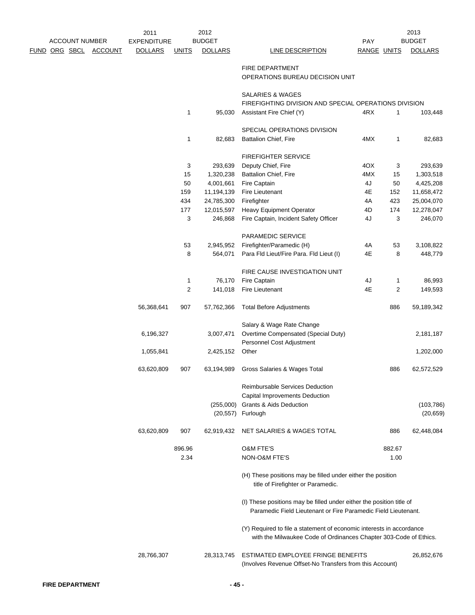|                      |                       | 2011               |              | 2012           |                                                                                                                                           |             |        | 2013           |
|----------------------|-----------------------|--------------------|--------------|----------------|-------------------------------------------------------------------------------------------------------------------------------------------|-------------|--------|----------------|
|                      | <b>ACCOUNT NUMBER</b> | <b>EXPENDITURE</b> |              | <b>BUDGET</b>  |                                                                                                                                           | <b>PAY</b>  |        | <b>BUDGET</b>  |
| <u>FUND ORG SBCL</u> | ACCOUNT               | <b>DOLLARS</b>     | <b>UNITS</b> | <b>DOLLARS</b> | <b>LINE DESCRIPTION</b>                                                                                                                   | RANGE UNITS |        | <b>DOLLARS</b> |
|                      |                       |                    |              |                | FIRE DEPARTMENT                                                                                                                           |             |        |                |
|                      |                       |                    |              |                | OPERATIONS BUREAU DECISION UNIT                                                                                                           |             |        |                |
|                      |                       |                    |              |                |                                                                                                                                           |             |        |                |
|                      |                       |                    |              |                | SALARIES & WAGES                                                                                                                          |             |        |                |
|                      |                       |                    |              |                | FIREFIGHTING DIVISION AND SPECIAL OPERATIONS DIVISION                                                                                     |             |        |                |
|                      |                       |                    | 1            | 95,030         | Assistant Fire Chief (Y)                                                                                                                  | 4RX         | 1      | 103,448        |
|                      |                       |                    |              |                | SPECIAL OPERATIONS DIVISION                                                                                                               |             |        |                |
|                      |                       |                    | 1            | 82,683         | Battalion Chief, Fire                                                                                                                     | 4MX         | 1      | 82,683         |
|                      |                       |                    |              |                | <b>FIREFIGHTER SERVICE</b>                                                                                                                |             |        |                |
|                      |                       |                    | 3            | 293,639        | Deputy Chief, Fire                                                                                                                        | 4OX         | 3      | 293,639        |
|                      |                       |                    | 15           | 1,320,238      | Battalion Chief, Fire                                                                                                                     | 4MX         | 15     | 1,303,518      |
|                      |                       |                    | 50           | 4,001,661      | Fire Captain                                                                                                                              | 4J          | 50     | 4,425,208      |
|                      |                       |                    | 159          | 11,194,139     | Fire Lieutenant                                                                                                                           | 4E          | 152    | 11,658,472     |
|                      |                       |                    | 434          | 24,785,300     | Firefighter                                                                                                                               | 4A          | 423    | 25,004,070     |
|                      |                       |                    | 177          | 12,015,597     | <b>Heavy Equipment Operator</b>                                                                                                           | 4D          | 174    | 12,278,047     |
|                      |                       |                    | 3            | 246,868        | Fire Captain, Incident Safety Officer                                                                                                     | 4J          | 3      | 246,070        |
|                      |                       |                    |              |                |                                                                                                                                           |             |        |                |
|                      |                       |                    |              |                | PARAMEDIC SERVICE                                                                                                                         |             |        |                |
|                      |                       |                    | 53           | 2,945,952      | Firefighter/Paramedic (H)                                                                                                                 | 4A          | 53     | 3,108,822      |
|                      |                       |                    | 8            | 564,071        | Para Fld Lieut/Fire Para. Fld Lieut (I)                                                                                                   | 4E          | 8      | 448,779        |
|                      |                       |                    |              |                | FIRE CAUSE INVESTIGATION UNIT                                                                                                             |             |        |                |
|                      |                       |                    | 1            | 76,170         | Fire Captain                                                                                                                              | 4J          | 1      | 86,993         |
|                      |                       |                    | 2            | 141,018        | <b>Fire Lieutenant</b>                                                                                                                    | 4E          | 2      | 149,593        |
|                      |                       | 56,368,641         | 907          | 57,762,366     | <b>Total Before Adjustments</b>                                                                                                           |             | 886    | 59,189,342     |
|                      |                       |                    |              |                | Salary & Wage Rate Change                                                                                                                 |             |        |                |
|                      |                       | 6,196,327          |              | 3,007,471      | Overtime Compensated (Special Duty)                                                                                                       |             |        | 2,181,187      |
|                      |                       |                    |              |                | Personnel Cost Adjustment                                                                                                                 |             |        |                |
|                      |                       | 1,055,841          |              | 2,425,152      | Other                                                                                                                                     |             |        | 1,202,000      |
|                      |                       | 63,620,809         | 907          | 63,194,989     | Gross Salaries & Wages Total                                                                                                              |             | 886    | 62,572,529     |
|                      |                       |                    |              |                |                                                                                                                                           |             |        |                |
|                      |                       |                    |              |                | <b>Reimbursable Services Deduction</b>                                                                                                    |             |        |                |
|                      |                       |                    |              |                | Capital Improvements Deduction                                                                                                            |             |        |                |
|                      |                       |                    |              | (255,000)      | Grants & Aids Deduction                                                                                                                   |             |        | (103, 786)     |
|                      |                       |                    |              |                | (20,557) Furlough                                                                                                                         |             |        | (20, 659)      |
|                      |                       | 63,620,809         | 907          | 62,919,432     | NET SALARIES & WAGES TOTAL                                                                                                                |             | 886    | 62,448,084     |
|                      |                       |                    | 896.96       |                | <b>O&amp;M FTE'S</b>                                                                                                                      |             | 882.67 |                |
|                      |                       |                    | 2.34         |                | NON-O&M FTE'S                                                                                                                             |             | 1.00   |                |
|                      |                       |                    |              |                | (H) These positions may be filled under either the position<br>title of Firefighter or Paramedic.                                         |             |        |                |
|                      |                       |                    |              |                |                                                                                                                                           |             |        |                |
|                      |                       |                    |              |                | (I) These positions may be filled under either the position title of<br>Paramedic Field Lieutenant or Fire Paramedic Field Lieutenant.    |             |        |                |
|                      |                       |                    |              |                | (Y) Required to file a statement of economic interests in accordance<br>with the Milwaukee Code of Ordinances Chapter 303-Code of Ethics. |             |        |                |
|                      |                       |                    |              |                |                                                                                                                                           |             |        |                |
|                      |                       | 28,766,307         |              | 28,313,745     | ESTIMATED EMPLOYEE FRINGE BENEFITS<br>(Involves Revenue Offset-No Transfers from this Account)                                            |             |        | 26,852,676     |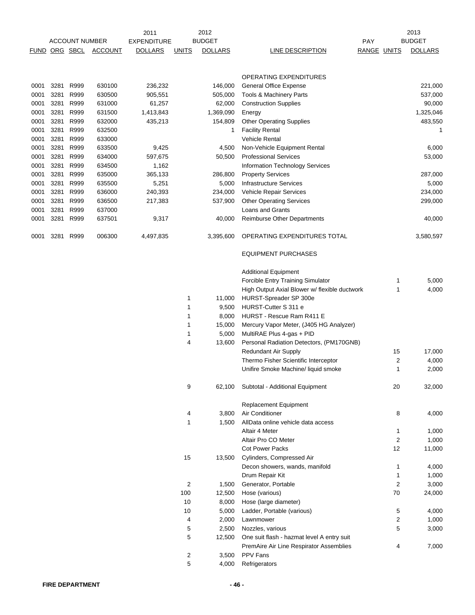|             |          | <b>ACCOUNT NUMBER</b> |                | 2011<br><b>EXPENDITURE</b> |              | 2012<br><b>BUDGET</b> |                                               | <b>PAY</b>  |                | 2013<br><b>BUDGET</b> |
|-------------|----------|-----------------------|----------------|----------------------------|--------------|-----------------------|-----------------------------------------------|-------------|----------------|-----------------------|
| <b>FUND</b> | ORG SBCL |                       | <b>ACCOUNT</b> | <b>DOLLARS</b>             | <b>UNITS</b> | <b>DOLLARS</b>        | LINE DESCRIPTION                              | RANGE UNITS |                | <b>DOLLARS</b>        |
|             |          |                       |                |                            |              |                       |                                               |             |                |                       |
|             |          |                       |                |                            |              |                       | OPERATING EXPENDITURES                        |             |                |                       |
| 0001        | 3281     | R999                  | 630100         | 236,232                    |              | 146,000               | <b>General Office Expense</b>                 |             |                | 221,000               |
| 0001        | 3281     | R999                  | 630500         | 905,551                    |              | 505,000               | Tools & Machinery Parts                       |             |                | 537,000               |
| 0001        | 3281     | R999                  | 631000         | 61,257                     |              | 62,000                | <b>Construction Supplies</b>                  |             |                | 90,000                |
| 0001        | 3281     | R999                  | 631500         | 1,413,843                  |              | 1,369,090             | Energy                                        |             |                | 1,325,046             |
| 0001        | 3281     | R999                  | 632000         | 435,213                    |              | 154,809               | <b>Other Operating Supplies</b>               |             |                | 483,550               |
| 0001        | 3281     | R999                  | 632500         |                            |              | 1                     | <b>Facility Rental</b>                        |             |                | 1                     |
| 0001        | 3281     | R999                  | 633000         |                            |              |                       | <b>Vehicle Rental</b>                         |             |                |                       |
| 0001        | 3281     | R999                  | 633500         | 9,425                      |              | 4,500                 | Non-Vehicle Equipment Rental                  |             |                | 6,000                 |
| 0001        | 3281     | R999                  | 634000         | 597,675                    |              | 50,500                | <b>Professional Services</b>                  |             |                | 53,000                |
| 0001        | 3281     | R999                  | 634500         | 1,162                      |              |                       | Information Technology Services               |             |                |                       |
| 0001        | 3281     | R999                  | 635000         | 365,133                    |              | 286,800               | <b>Property Services</b>                      |             |                | 287,000               |
| 0001        | 3281     | R999                  | 635500         | 5,251                      |              | 5,000                 | <b>Infrastructure Services</b>                |             |                | 5,000                 |
| 0001        | 3281     | R999                  | 636000         | 240,393                    |              | 234,000               | Vehicle Repair Services                       |             |                | 234,000               |
| 0001        | 3281     | R999                  | 636500         | 217,383                    |              | 537,900               | <b>Other Operating Services</b>               |             |                | 299,000               |
| 0001        | 3281     | R999                  | 637000         |                            |              |                       | <b>Loans and Grants</b>                       |             |                |                       |
| 0001        | 3281     | R999                  | 637501         | 9,317                      |              | 40,000                | <b>Reimburse Other Departments</b>            |             |                | 40,000                |
| 0001        | 3281     | R999                  | 006300         | 4,497,835                  |              | 3,395,600             | OPERATING EXPENDITURES TOTAL                  |             |                | 3,580,597             |
|             |          |                       |                |                            |              |                       | <b>EQUIPMENT PURCHASES</b>                    |             |                |                       |
|             |          |                       |                |                            |              |                       | <b>Additional Equipment</b>                   |             |                |                       |
|             |          |                       |                |                            |              |                       | Forcible Entry Training Simulator             |             | 1              | 5,000                 |
|             |          |                       |                |                            |              |                       | High Output Axial Blower w/ flexible ductwork |             | 1              | 4,000                 |
|             |          |                       |                |                            | 1            | 11,000                | HURST-Spreader SP 300e                        |             |                |                       |
|             |          |                       |                |                            | 1            | 9,500                 | HURST-Cutter S 311 e                          |             |                |                       |
|             |          |                       |                |                            | 1            | 8,000                 | HURST - Rescue Ram R411 E                     |             |                |                       |
|             |          |                       |                |                            | 1            | 15,000                | Mercury Vapor Meter, (J405 HG Analyzer)       |             |                |                       |
|             |          |                       |                |                            | 1            | 5,000                 | MultiRAE Plus 4-gas + PID                     |             |                |                       |
|             |          |                       |                |                            | 4            | 13,600                | Personal Radiation Detectors, (PM170GNB)      |             |                |                       |
|             |          |                       |                |                            |              |                       | <b>Redundant Air Supply</b>                   |             | 15             | 17,000                |
|             |          |                       |                |                            |              |                       | Thermo Fisher Scientific Interceptor          |             | $\overline{2}$ | 4,000                 |
|             |          |                       |                |                            |              |                       | Unifire Smoke Machine/ liquid smoke           |             | 1              | 2,000                 |
|             |          |                       |                |                            | 9            | 62,100                | Subtotal - Additional Equipment               |             | 20             | 32,000                |
|             |          |                       |                |                            |              |                       | <b>Replacement Equipment</b>                  |             |                |                       |
|             |          |                       |                |                            | 4            | 3,800                 | Air Conditioner                               |             | 8              | 4,000                 |
|             |          |                       |                |                            | 1            | 1,500                 | AllData online vehicle data access            |             |                |                       |
|             |          |                       |                |                            |              |                       | Altair 4 Meter                                |             | 1              | 1,000                 |
|             |          |                       |                |                            |              |                       | Altair Pro CO Meter                           |             | 2              | 1,000                 |
|             |          |                       |                |                            |              |                       | <b>Cot Power Packs</b>                        |             | 12             | 11,000                |
|             |          |                       |                |                            | 15           | 13,500                | Cylinders, Compressed Air                     |             |                |                       |
|             |          |                       |                |                            |              |                       | Decon showers, wands, manifold                |             | 1              | 4,000                 |
|             |          |                       |                |                            |              |                       | Drum Repair Kit                               |             | 1              | 1,000                 |
|             |          |                       |                |                            | 2            | 1,500                 | Generator, Portable                           |             | $\overline{2}$ | 3,000                 |
|             |          |                       |                |                            | 100          | 12,500                | Hose (various)                                |             | 70             | 24,000                |
|             |          |                       |                |                            | 10           | 8,000                 | Hose (large diameter)                         |             |                |                       |
|             |          |                       |                |                            | 10           | 5,000<br>2,000        | Ladder, Portable (various)                    |             | 5              | 4,000<br>1,000        |
|             |          |                       |                |                            | 4<br>5       | 2,500                 | Lawnmower<br>Nozzles, various                 |             | 2<br>5         | 3,000                 |
|             |          |                       |                |                            | 5            | 12,500                | One suit flash - hazmat level A entry suit    |             |                |                       |
|             |          |                       |                |                            |              |                       | PremAire Air Line Respirator Assemblies       |             | 4              | 7,000                 |
|             |          |                       |                |                            | 2            | 3,500                 | PPV Fans                                      |             |                |                       |
|             |          |                       |                |                            | 5            | 4,000                 | Refrigerators                                 |             |                |                       |
|             |          |                       |                |                            |              |                       |                                               |             |                |                       |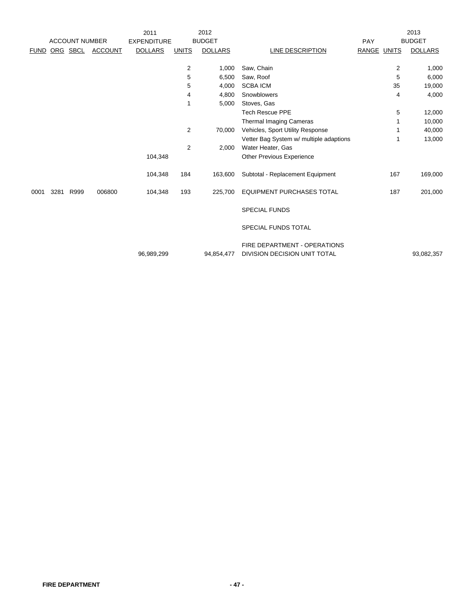|             |      |                       |                | 2011               |                | 2012           |                                                              |                | 2013           |
|-------------|------|-----------------------|----------------|--------------------|----------------|----------------|--------------------------------------------------------------|----------------|----------------|
|             |      | <b>ACCOUNT NUMBER</b> |                | <b>EXPENDITURE</b> |                | <b>BUDGET</b>  |                                                              | PAY            | <b>BUDGET</b>  |
| <b>FUND</b> |      | ORG SBCL              | <b>ACCOUNT</b> | <b>DOLLARS</b>     | <b>UNITS</b>   | <b>DOLLARS</b> | LINE DESCRIPTION                                             | RANGE UNITS    | <b>DOLLARS</b> |
|             |      |                       |                |                    |                |                |                                                              |                |                |
|             |      |                       |                |                    | 2              | 1,000          | Saw, Chain                                                   | $\overline{2}$ | 1,000          |
|             |      |                       |                |                    | 5              | 6,500          | Saw, Roof                                                    | 5              | 6,000          |
|             |      |                       |                |                    | 5              | 4,000          | <b>SCBA ICM</b>                                              | 35             | 19,000         |
|             |      |                       |                |                    | 4              | 4,800          | Snowblowers                                                  | 4              | 4,000          |
|             |      |                       |                |                    | 1              | 5,000          | Stoves, Gas                                                  |                |                |
|             |      |                       |                |                    |                |                | <b>Tech Rescue PPE</b>                                       | 5              | 12,000         |
|             |      |                       |                |                    |                |                | Thermal Imaging Cameras                                      |                | 10,000         |
|             |      |                       |                |                    | $\overline{2}$ | 70,000         | Vehicles, Sport Utility Response                             |                | 40,000         |
|             |      |                       |                |                    |                |                | Vetter Bag System w/ multiple adaptions                      | 1              | 13,000         |
|             |      |                       |                |                    | $\overline{2}$ | 2,000          | Water Heater, Gas                                            |                |                |
|             |      |                       |                | 104,348            |                |                | <b>Other Previous Experience</b>                             |                |                |
|             |      |                       |                | 104,348            | 184            | 163,600        | Subtotal - Replacement Equipment                             | 167            | 169,000        |
| 0001        | 3281 | R999                  | 006800         | 104,348            | 193            | 225,700        | <b>EQUIPMENT PURCHASES TOTAL</b>                             | 187            | 201,000        |
|             |      |                       |                |                    |                |                | <b>SPECIAL FUNDS</b>                                         |                |                |
|             |      |                       |                |                    |                |                | SPECIAL FUNDS TOTAL                                          |                |                |
|             |      |                       |                | 96,989,299         |                | 94,854,477     | FIRE DEPARTMENT - OPERATIONS<br>DIVISION DECISION UNIT TOTAL |                | 93,082,357     |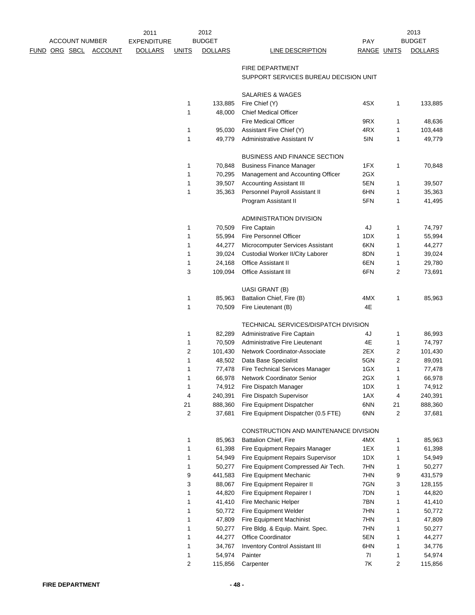|                      |                       |         | 2011               |                | 2012           |                                                                 |             |                | 2013           |
|----------------------|-----------------------|---------|--------------------|----------------|----------------|-----------------------------------------------------------------|-------------|----------------|----------------|
|                      | <b>ACCOUNT NUMBER</b> |         | <b>EXPENDITURE</b> |                | <b>BUDGET</b>  |                                                                 | PAY         |                | <b>BUDGET</b>  |
| <u>FUND ORG SBCL</u> |                       | ACCOUNT | <b>DOLLARS</b>     | <b>UNITS</b>   | <b>DOLLARS</b> | <b>LINE DESCRIPTION</b>                                         | RANGE UNITS |                | <b>DOLLARS</b> |
|                      |                       |         |                    |                |                |                                                                 |             |                |                |
|                      |                       |         |                    |                |                | <b>FIRE DEPARTMENT</b><br>SUPPORT SERVICES BUREAU DECISION UNIT |             |                |                |
|                      |                       |         |                    |                |                |                                                                 |             |                |                |
|                      |                       |         |                    |                |                | SALARIES & WAGES                                                |             |                |                |
|                      |                       |         |                    | 1              | 133,885        | Fire Chief (Y)                                                  | 4SX         | 1              | 133,885        |
|                      |                       |         |                    | 1              | 48,000         | <b>Chief Medical Officer</b>                                    |             |                |                |
|                      |                       |         |                    |                |                | <b>Fire Medical Officer</b>                                     | 9RX         | 1              | 48,636         |
|                      |                       |         |                    | 1              | 95,030         | Assistant Fire Chief (Y)                                        | 4RX         | 1              | 103,448        |
|                      |                       |         |                    | 1              | 49,779         | Administrative Assistant IV                                     | 5IN         | 1              | 49,779         |
|                      |                       |         |                    |                |                | <b>BUSINESS AND FINANCE SECTION</b>                             |             |                |                |
|                      |                       |         |                    | 1              | 70,848         | <b>Business Finance Manager</b>                                 | 1FX         | 1              | 70,848         |
|                      |                       |         |                    | 1              | 70,295         | Management and Accounting Officer                               | 2GX         |                |                |
|                      |                       |         |                    | 1              | 39,507         | <b>Accounting Assistant III</b>                                 | 5EN         | 1              | 39,507         |
|                      |                       |         |                    | 1              | 35,363         | Personnel Payroll Assistant II                                  | 6HN         | 1              | 35,363         |
|                      |                       |         |                    |                |                | Program Assistant II                                            | 5FN         | 1              | 41,495         |
|                      |                       |         |                    |                |                |                                                                 |             |                |                |
|                      |                       |         |                    |                |                | ADMINISTRATION DIVISION                                         |             |                |                |
|                      |                       |         |                    | 1              | 70,509         | Fire Captain                                                    | 4J          | 1              | 74,797         |
|                      |                       |         |                    | 1              | 55,994         | <b>Fire Personnel Officer</b>                                   | 1DX         | 1              | 55,994         |
|                      |                       |         |                    | 1              | 44,277         | Microcomputer Services Assistant                                | 6KN         | 1              | 44,277         |
|                      |                       |         |                    | 1              | 39,024         | Custodial Worker II/City Laborer                                | 8DN         | 1              | 39,024         |
|                      |                       |         |                    | 1              | 24,168         | <b>Office Assistant II</b>                                      | 6EN         | 1              | 29,780         |
|                      |                       |         |                    | 3              | 109,094        | Office Assistant III                                            | 6FN         | 2              | 73,691         |
|                      |                       |         |                    |                |                | <b>UASI GRANT (B)</b>                                           |             |                |                |
|                      |                       |         |                    | 1              | 85,963         | Battalion Chief, Fire (B)                                       | 4MX         | $\mathbf{1}$   | 85,963         |
|                      |                       |         |                    | 1              | 70,509         | Fire Lieutenant (B)                                             | 4E          |                |                |
|                      |                       |         |                    |                |                | TECHNICAL SERVICES/DISPATCH DIVISION                            |             |                |                |
|                      |                       |         |                    | 1              | 82,289         | Administrative Fire Captain                                     | 4J          | 1              | 86,993         |
|                      |                       |         |                    | 1              | 70,509         | Administrative Fire Lieutenant                                  | 4E          | 1              | 74,797         |
|                      |                       |         |                    | $\overline{2}$ | 101,430        | Network Coordinator-Associate                                   | 2EX         | $\overline{c}$ | 101,430        |
|                      |                       |         |                    | 1              | 48,502         | Data Base Specialist                                            | 5GN         | $\overline{2}$ | 89,091         |
|                      |                       |         |                    | 1              | 77,478         | Fire Technical Services Manager                                 | 1GX         | 1              | 77,478         |
|                      |                       |         |                    |                |                | 66,978 Network Coordinator Senior                               | 2GX         |                | 66,978         |
|                      |                       |         |                    | 1              | 74,912         | Fire Dispatch Manager                                           | 1DX         | 1              | 74,912         |
|                      |                       |         |                    | 4              | 240,391        | Fire Dispatch Supervisor                                        | 1AX         | 4              | 240,391        |
|                      |                       |         |                    | 21             | 888,360        | Fire Equipment Dispatcher                                       | 6NN         | 21             | 888,360        |
|                      |                       |         |                    | $\overline{2}$ | 37,681         | Fire Equipment Dispatcher (0.5 FTE)                             | 6NN         | $\overline{c}$ | 37,681         |
|                      |                       |         |                    |                |                | CONSTRUCTION AND MAINTENANCE DIVISION                           |             |                |                |
|                      |                       |         |                    | 1              | 85,963         | Battalion Chief, Fire                                           | 4MX         | 1              | 85,963         |
|                      |                       |         |                    | 1              | 61,398         | Fire Equipment Repairs Manager                                  | 1EX         | 1              | 61,398         |
|                      |                       |         |                    | 1              | 54,949         | Fire Equipment Repairs Supervisor                               | 1DX         | 1              | 54,949         |
|                      |                       |         |                    | 1              | 50,277         | Fire Equipment Compressed Air Tech.                             | 7HN         | 1              | 50,277         |
|                      |                       |         |                    | 9              | 441,583        | Fire Equipment Mechanic                                         | 7HN         | 9              | 431,579        |
|                      |                       |         |                    | 3              | 88,067         | Fire Equipment Repairer II                                      | 7GN         | 3              | 128,155        |
|                      |                       |         |                    | 1              | 44,820         | Fire Equipment Repairer I                                       | 7DN         | 1              | 44,820         |
|                      |                       |         |                    | 1              | 41,410         | Fire Mechanic Helper                                            | 7BN         | 1              | 41,410         |
|                      |                       |         |                    | 1              | 50,772         | Fire Equipment Welder                                           | 7HN         | 1              | 50,772         |
|                      |                       |         |                    | 1              | 47,809         | Fire Equipment Machinist                                        | 7HN         | 1              | 47,809         |
|                      |                       |         |                    | 1              | 50,277         | Fire Bldg. & Equip. Maint. Spec.                                | 7HN         | 1              | 50,277         |
|                      |                       |         |                    |                | 44,277         | Office Coordinator                                              | 5EN         | 1              | 44,277         |
|                      |                       |         |                    | 1              | 34,767         | <b>Inventory Control Assistant III</b>                          | 6HN         | 1              | 34,776         |
|                      |                       |         |                    | 1              | 54,974         | Painter                                                         | 71          | 1              | 54,974         |
|                      |                       |         |                    | $\overline{c}$ | 115,856        | Carpenter                                                       | 7K          | 2              | 115,856        |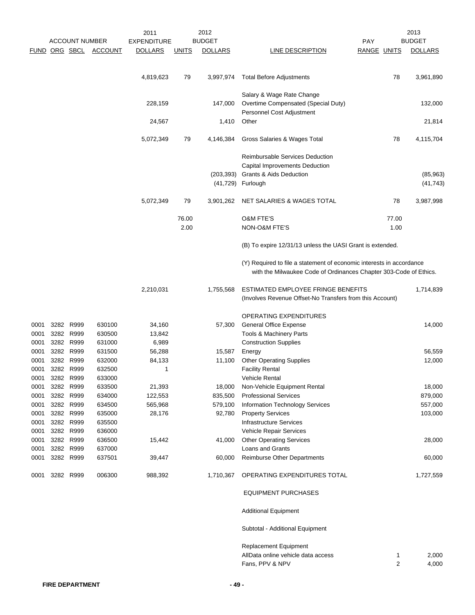|      |               |                       |                | 2011               |              | 2012           |                                                                                                                                           |                | 2013           |
|------|---------------|-----------------------|----------------|--------------------|--------------|----------------|-------------------------------------------------------------------------------------------------------------------------------------------|----------------|----------------|
|      |               | <b>ACCOUNT NUMBER</b> |                | <b>EXPENDITURE</b> |              | <b>BUDGET</b>  |                                                                                                                                           | PAY            | <b>BUDGET</b>  |
|      | FUND ORG SBCL |                       | <b>ACCOUNT</b> | <b>DOLLARS</b>     | <b>UNITS</b> | <b>DOLLARS</b> | LINE DESCRIPTION                                                                                                                          | RANGE UNITS    | <b>DOLLARS</b> |
|      |               |                       |                | 4,819,623          | 79           | 3,997,974      | <b>Total Before Adjustments</b>                                                                                                           | 78             | 3,961,890      |
|      |               |                       |                | 228,159            |              | 147,000        | Salary & Wage Rate Change<br>Overtime Compensated (Special Duty)                                                                          |                | 132,000        |
|      |               |                       |                | 24,567             |              | 1,410          | Personnel Cost Adjustment<br>Other                                                                                                        |                | 21,814         |
|      |               |                       |                | 5,072,349          | 79           | 4,146,384      | Gross Salaries & Wages Total                                                                                                              | 78             | 4,115,704      |
|      |               |                       |                |                    |              |                | <b>Reimbursable Services Deduction</b>                                                                                                    |                |                |
|      |               |                       |                |                    |              |                | Capital Improvements Deduction                                                                                                            |                |                |
|      |               |                       |                |                    |              | (203,393)      | Grants & Aids Deduction                                                                                                                   |                | (85,963)       |
|      |               |                       |                |                    |              |                | (41,729) Furlough                                                                                                                         |                | (41, 743)      |
|      |               |                       |                | 5,072,349          | 79           | 3,901,262      | NET SALARIES & WAGES TOTAL                                                                                                                | 78             | 3,987,998      |
|      |               |                       |                |                    | 76.00        |                | <b>O&amp;M FTE'S</b>                                                                                                                      | 77.00          |                |
|      |               |                       |                |                    | 2.00         |                | <b>NON-O&amp;M FTE'S</b>                                                                                                                  | 1.00           |                |
|      |               |                       |                |                    |              |                | (B) To expire 12/31/13 unless the UASI Grant is extended.                                                                                 |                |                |
|      |               |                       |                |                    |              |                | (Y) Required to file a statement of economic interests in accordance<br>with the Milwaukee Code of Ordinances Chapter 303-Code of Ethics. |                |                |
|      |               |                       |                | 2,210,031          |              | 1,755,568      | ESTIMATED EMPLOYEE FRINGE BENEFITS<br>(Involves Revenue Offset-No Transfers from this Account)                                            |                | 1,714,839      |
|      |               |                       |                |                    |              |                | OPERATING EXPENDITURES                                                                                                                    |                |                |
| 0001 |               | 3282 R999             | 630100         | 34,160             |              | 57,300         | <b>General Office Expense</b>                                                                                                             |                | 14,000         |
| 0001 | 3282          | R999                  | 630500         | 13,842             |              |                | Tools & Machinery Parts                                                                                                                   |                |                |
| 0001 |               | 3282 R999             | 631000         | 6,989              |              |                | <b>Construction Supplies</b>                                                                                                              |                |                |
| 0001 |               | 3282 R999             | 631500         | 56,288             |              | 15,587         | Energy                                                                                                                                    |                | 56,559         |
| 0001 | 3282          | R999                  | 632000         | 84,133             |              | 11,100         | <b>Other Operating Supplies</b>                                                                                                           |                | 12,000         |
| 0001 |               | 3282 R999             | 632500         | 1                  |              |                | <b>Facility Rental</b>                                                                                                                    |                |                |
| 0001 | 3282          | R999                  | 633000         |                    |              |                | Vehicle Rental                                                                                                                            |                |                |
| 0001 |               | 3282 R999             | 633500         | 21,393             |              | 18,000         | Non-Vehicle Equipment Rental                                                                                                              |                | 18,000         |
| 0001 |               | 3282 R999             | 634000         | 122,553            |              | 835,500        | <b>Professional Services</b>                                                                                                              |                | 879,000        |
| 0001 |               | 3282 R999             | 634500         | 565,968            |              | 579,100        | <b>Information Technology Services</b>                                                                                                    |                | 557,000        |
| 0001 |               | 3282 R999             | 635000         | 28,176             |              | 92,780         | <b>Property Services</b>                                                                                                                  |                | 103,000        |
| 0001 |               | 3282 R999             | 635500         |                    |              |                | <b>Infrastructure Services</b>                                                                                                            |                |                |
| 0001 |               | 3282 R999             | 636000         |                    |              |                | Vehicle Repair Services                                                                                                                   |                |                |
| 0001 |               | 3282 R999             | 636500         | 15,442             |              | 41,000         | <b>Other Operating Services</b>                                                                                                           |                | 28,000         |
| 0001 |               | 3282 R999             | 637000         |                    |              |                | Loans and Grants                                                                                                                          |                |                |
| 0001 |               | 3282 R999             | 637501         | 39,447             |              | 60,000         | Reimburse Other Departments                                                                                                               |                | 60,000         |
| 0001 |               | 3282 R999             | 006300         | 988,392            |              | 1,710,367      | OPERATING EXPENDITURES TOTAL                                                                                                              |                | 1,727,559      |
|      |               |                       |                |                    |              |                | <b>EQUIPMENT PURCHASES</b>                                                                                                                |                |                |
|      |               |                       |                |                    |              |                | <b>Additional Equipment</b>                                                                                                               |                |                |
|      |               |                       |                |                    |              |                | Subtotal - Additional Equipment                                                                                                           |                |                |
|      |               |                       |                |                    |              |                | <b>Replacement Equipment</b>                                                                                                              |                |                |
|      |               |                       |                |                    |              |                | AllData online vehicle data access                                                                                                        | 1              | 2,000          |
|      |               |                       |                |                    |              |                | Fans, PPV & NPV                                                                                                                           | $\overline{2}$ | 4,000          |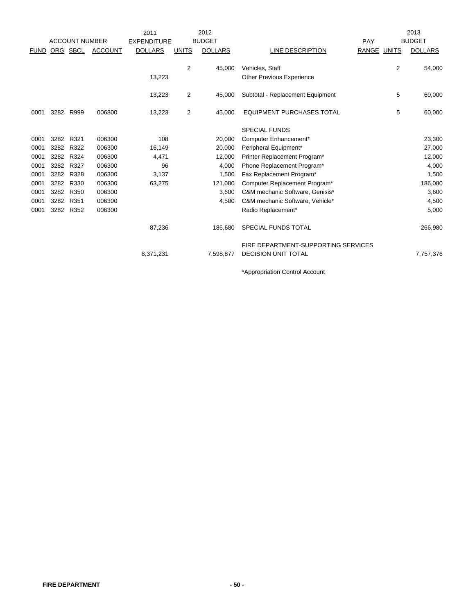|             | <b>ACCOUNT NUMBER</b> |      |                | 2012<br>2011       |              |                |                                                     |             | 2013           |                |
|-------------|-----------------------|------|----------------|--------------------|--------------|----------------|-----------------------------------------------------|-------------|----------------|----------------|
|             |                       |      |                | <b>EXPENDITURE</b> |              | <b>BUDGET</b>  |                                                     | PAY         |                | <b>BUDGET</b>  |
| <b>FUND</b> | ORG SBCL              |      | <b>ACCOUNT</b> | <b>DOLLARS</b>     | <b>UNITS</b> | <b>DOLLARS</b> | LINE DESCRIPTION                                    | RANGE UNITS |                | <b>DOLLARS</b> |
|             |                       |      |                | 13,223             | 2            | 45,000         | Vehicles, Staff<br><b>Other Previous Experience</b> |             | $\overline{2}$ | 54,000         |
|             |                       |      |                | 13,223             | 2            | 45,000         | Subtotal - Replacement Equipment                    |             | 5              | 60,000         |
| 0001        | 3282                  | R999 | 006800         | 13,223             | 2            | 45,000         | <b>EQUIPMENT PURCHASES TOTAL</b>                    |             | 5              | 60,000         |
|             |                       |      |                |                    |              |                | <b>SPECIAL FUNDS</b>                                |             |                |                |
| 0001        | 3282                  | R321 | 006300         | 108                |              | 20,000         | Computer Enhancement*                               |             |                | 23,300         |
| 0001        | 3282                  | R322 | 006300         | 16,149             |              | 20,000         | Peripheral Equipment*                               |             |                | 27,000         |
| 0001        | 3282                  | R324 | 006300         | 4,471              |              | 12,000         | Printer Replacement Program*                        |             |                | 12,000         |
| 0001        | 3282                  | R327 | 006300         | 96                 |              | 4,000          | Phone Replacement Program*                          |             |                | 4,000          |
| 0001        | 3282                  | R328 | 006300         | 3,137              |              | 1,500          | Fax Replacement Program*                            |             |                | 1,500          |
| 0001        | 3282                  | R330 | 006300         | 63,275             |              | 121,080        | Computer Replacement Program*                       |             |                | 186,080        |
| 0001        | 3282                  | R350 | 006300         |                    |              | 3,600          | C&M mechanic Software, Genisis*                     |             |                | 3,600          |
| 0001        | 3282                  | R351 | 006300         |                    |              | 4,500          | C&M mechanic Software, Vehicle*                     |             |                | 4,500          |
| 0001        | 3282                  | R352 | 006300         |                    |              |                | Radio Replacement*                                  |             |                | 5,000          |
|             |                       |      |                | 87,236             |              | 186,680        | SPECIAL FUNDS TOTAL                                 |             |                | 266,980        |
|             |                       |      |                |                    |              |                | FIRE DEPARTMENT-SUPPORTING SERVICES                 |             |                |                |
|             |                       |      |                | 8,371,231          |              | 7,598,877      | <b>DECISION UNIT TOTAL</b>                          |             |                | 7,757,376      |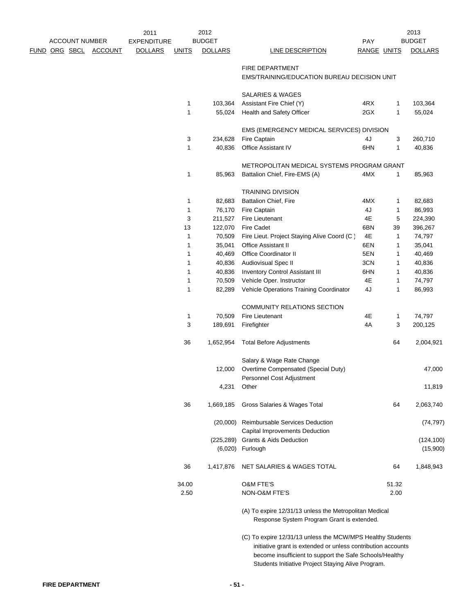|               | <b>ACCOUNT NUMBER</b> |  | 2011<br>2012   |                    |              | 2013           |                                                                                                      |             |              |                        |
|---------------|-----------------------|--|----------------|--------------------|--------------|----------------|------------------------------------------------------------------------------------------------------|-------------|--------------|------------------------|
|               |                       |  |                | <b>EXPENDITURE</b> |              | <b>BUDGET</b>  |                                                                                                      | <b>PAY</b>  |              | <b>BUDGET</b>          |
| FUND ORG SBCL |                       |  | <b>ACCOUNT</b> | <b>DOLLARS</b>     | <b>UNITS</b> | <b>DOLLARS</b> | LINE DESCRIPTION                                                                                     | RANGE UNITS |              | <b>DOLLARS</b>         |
|               |                       |  |                |                    |              |                | <b>FIRE DEPARTMENT</b>                                                                               |             |              |                        |
|               |                       |  |                |                    |              |                | EMS/TRAINING/EDUCATION BUREAU DECISION UNIT                                                          |             |              |                        |
|               |                       |  |                |                    |              |                | <b>SALARIES &amp; WAGES</b>                                                                          |             |              |                        |
|               |                       |  |                |                    | 1            | 103,364        | Assistant Fire Chief (Y)                                                                             | 4RX         | 1            | 103,364                |
|               |                       |  |                |                    | 1            | 55,024         | Health and Safety Officer                                                                            | 2GX         | 1            | 55,024                 |
|               |                       |  |                |                    |              |                |                                                                                                      |             |              |                        |
|               |                       |  |                |                    |              |                | EMS (EMERGENCY MEDICAL SERVICES) DIVISION                                                            |             |              |                        |
|               |                       |  |                |                    | 3            | 234,628        | Fire Captain                                                                                         | 4J          | 3            | 260,710                |
|               |                       |  |                |                    | 1            | 40,836         | Office Assistant IV                                                                                  | 6HN         | 1            | 40,836                 |
|               |                       |  |                |                    |              |                | METROPOLITAN MEDICAL SYSTEMS PROGRAM GRANT                                                           |             |              |                        |
|               |                       |  |                |                    | 1            | 85,963         | Battalion Chief, Fire-EMS (A)                                                                        | 4MX         | $\mathbf{1}$ | 85,963                 |
|               |                       |  |                |                    |              |                | <b>TRAINING DIVISION</b>                                                                             |             |              |                        |
|               |                       |  |                |                    | 1            | 82,683         | Battalion Chief, Fire                                                                                | 4MX         | 1            | 82,683                 |
|               |                       |  |                |                    | 1            | 76,170         | Fire Captain                                                                                         | 4J          | 1            | 86,993                 |
|               |                       |  |                |                    | 3            | 211,527        | Fire Lieutenant                                                                                      | 4E          | 5            | 224,390                |
|               |                       |  |                |                    | 13           | 122,070        | <b>Fire Cadet</b>                                                                                    | 6BN         | 39           | 396,267                |
|               |                       |  |                |                    | 1            | 70,509         | Fire Lieut. Project Staying Alive Coord (C)                                                          | 4E          | $\mathbf{1}$ | 74,797                 |
|               |                       |  |                |                    | 1            | 35,041         | <b>Office Assistant II</b>                                                                           | 6EN         | 1            | 35,041                 |
|               |                       |  |                |                    | 1            | 40,469         | Office Coordinator II                                                                                | 5EN         | 1            | 40,469                 |
|               |                       |  |                |                    | 1            | 40,836         | Audiovisual Spec II                                                                                  | 3CN         | $\mathbf{1}$ | 40,836                 |
|               |                       |  |                |                    | 1            | 40,836         | <b>Inventory Control Assistant III</b>                                                               | 6HN         | 1            | 40,836                 |
|               |                       |  |                |                    | 1            | 70,509         | Vehicle Oper. Instructor                                                                             | 4E          | $\mathbf{1}$ | 74,797                 |
|               |                       |  |                |                    | 1            | 82,289         | Vehicle Operations Training Coordinator                                                              | 4J          | 1            | 86,993                 |
|               |                       |  |                |                    |              |                | COMMUNITY RELATIONS SECTION                                                                          |             |              |                        |
|               |                       |  |                |                    | 1            | 70,509         | Fire Lieutenant                                                                                      | 4E          | 1            | 74,797                 |
|               |                       |  |                |                    | 3            | 189,691        | Firefighter                                                                                          | 4A          | 3            | 200,125                |
|               |                       |  |                |                    |              |                |                                                                                                      |             |              |                        |
|               |                       |  |                |                    | 36           | 1,652,954      | <b>Total Before Adjustments</b>                                                                      |             | 64           | 2,004,921              |
|               |                       |  |                |                    |              |                | Salary & Wage Rate Change                                                                            |             |              |                        |
|               |                       |  |                |                    |              | 12,000         | Overtime Compensated (Special Duty)                                                                  |             |              | 47,000                 |
|               |                       |  |                |                    |              |                | Personnel Cost Adjustment                                                                            |             |              |                        |
|               |                       |  |                |                    |              | 4,231          | Other                                                                                                |             |              | 11,819                 |
|               |                       |  |                |                    | 36           | 1,669,185      | Gross Salaries & Wages Total                                                                         |             | 64           | 2,063,740              |
|               |                       |  |                |                    |              |                | (20,000) Reimbursable Services Deduction                                                             |             |              | (74, 797)              |
|               |                       |  |                |                    |              |                | Capital Improvements Deduction                                                                       |             |              |                        |
|               |                       |  |                |                    |              |                | (225,289) Grants & Aids Deduction<br>(6,020) Furlough                                                |             |              | (124, 100)<br>(15,900) |
|               |                       |  |                |                    |              |                |                                                                                                      |             |              |                        |
|               |                       |  |                |                    | 36           | 1,417,876      | NET SALARIES & WAGES TOTAL                                                                           |             | 64           | 1,848,943              |
|               |                       |  |                |                    | 34.00        |                | <b>O&amp;M FTE'S</b>                                                                                 |             | 51.32        |                        |
|               |                       |  |                |                    | 2.50         |                | NON-O&M FTE'S                                                                                        |             | 2.00         |                        |
|               |                       |  |                |                    |              |                | (A) To expire 12/31/13 unless the Metropolitan Medical<br>Response System Program Grant is extended. |             |              |                        |
|               |                       |  |                |                    |              |                | (C) To expire 12/31/13 unless the MCW/MPS Healthy Students                                           |             |              |                        |

 $(C)$  To expire 12/31/13 unless the MCW/MPS Healthy Students initiative grant is extended or unless contribution accounts become insufficient to support the Safe Schools/Healthy Students Initiative Project Staying Alive Program.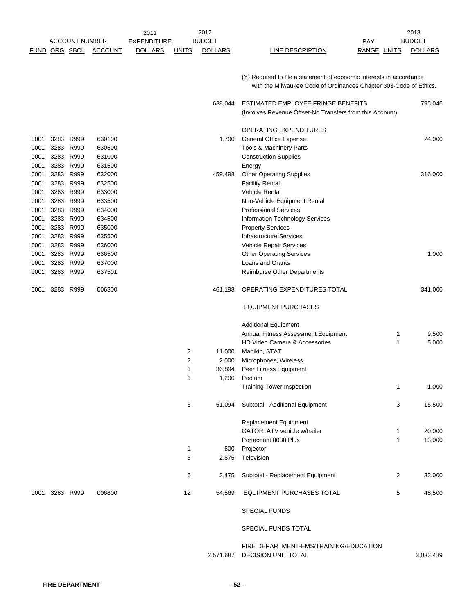|               |      | <b>ACCOUNT NUMBER</b> |                | 2011<br><b>EXPENDITURE</b> |              | 2012<br><b>BUDGET</b> | <b>PAY</b>                                                                                                                                |                    | 2013<br><b>BUDGET</b> |
|---------------|------|-----------------------|----------------|----------------------------|--------------|-----------------------|-------------------------------------------------------------------------------------------------------------------------------------------|--------------------|-----------------------|
|               |      |                       |                |                            |              |                       |                                                                                                                                           |                    |                       |
| FUND ORG SBCL |      |                       | <b>ACCOUNT</b> | <b>DOLLARS</b>             | <u>UNITS</u> | <b>DOLLARS</b>        | <b>LINE DESCRIPTION</b>                                                                                                                   | <b>RANGE UNITS</b> | <b>DOLLARS</b>        |
|               |      |                       |                |                            |              |                       | (Y) Required to file a statement of economic interests in accordance<br>with the Milwaukee Code of Ordinances Chapter 303-Code of Ethics. |                    |                       |
|               |      |                       |                |                            |              | 638,044               | ESTIMATED EMPLOYEE FRINGE BENEFITS<br>(Involves Revenue Offset-No Transfers from this Account)                                            |                    | 795,046               |
|               |      |                       |                |                            |              |                       | OPERATING EXPENDITURES                                                                                                                    |                    |                       |
| 0001          | 3283 | R999                  | 630100         |                            |              | 1,700                 | <b>General Office Expense</b>                                                                                                             |                    | 24,000                |
| 0001          | 3283 | R999                  | 630500         |                            |              |                       | Tools & Machinery Parts                                                                                                                   |                    |                       |
| 0001          | 3283 | R999                  | 631000         |                            |              |                       | <b>Construction Supplies</b>                                                                                                              |                    |                       |
| 0001          | 3283 | R999                  | 631500         |                            |              |                       | Energy                                                                                                                                    |                    |                       |
| 0001          | 3283 | R999                  | 632000         |                            |              | 459,498               | <b>Other Operating Supplies</b>                                                                                                           |                    | 316,000               |
| 0001          | 3283 | R999                  | 632500         |                            |              |                       | <b>Facility Rental</b>                                                                                                                    |                    |                       |
| 0001          | 3283 | R999                  | 633000         |                            |              |                       | <b>Vehicle Rental</b>                                                                                                                     |                    |                       |
| 0001          | 3283 | R999                  | 633500         |                            |              |                       | Non-Vehicle Equipment Rental                                                                                                              |                    |                       |
| 0001          |      | 3283 R999             | 634000         |                            |              |                       | <b>Professional Services</b>                                                                                                              |                    |                       |
| 0001          | 3283 | R999                  | 634500         |                            |              |                       | <b>Information Technology Services</b>                                                                                                    |                    |                       |
| 0001          |      | 3283 R999             | 635000         |                            |              |                       | <b>Property Services</b>                                                                                                                  |                    |                       |
| 0001          |      | 3283 R999             | 635500         |                            |              |                       | <b>Infrastructure Services</b>                                                                                                            |                    |                       |
| 0001          | 3283 | R999                  | 636000         |                            |              |                       | Vehicle Repair Services                                                                                                                   |                    |                       |
| 0001          | 3283 | R999                  | 636500         |                            |              |                       | <b>Other Operating Services</b>                                                                                                           |                    | 1,000                 |
| 0001          | 3283 | R999                  | 637000         |                            |              |                       | Loans and Grants                                                                                                                          |                    |                       |
| 0001          | 3283 | R999                  | 637501         |                            |              |                       | Reimburse Other Departments                                                                                                               |                    |                       |
| 0001          |      | 3283 R999             | 006300         |                            |              | 461,198               | OPERATING EXPENDITURES TOTAL                                                                                                              |                    | 341,000               |
|               |      |                       |                |                            |              |                       | <b>EQUIPMENT PURCHASES</b>                                                                                                                |                    |                       |
|               |      |                       |                |                            |              |                       | <b>Additional Equipment</b>                                                                                                               |                    |                       |
|               |      |                       |                |                            |              |                       | Annual Fitness Assessment Equipment                                                                                                       | 1                  | 9,500                 |
|               |      |                       |                |                            |              |                       | HD Video Camera & Accessories                                                                                                             | 1                  | 5,000                 |
|               |      |                       |                |                            | 2            | 11,000                | Manikin, STAT                                                                                                                             |                    |                       |
|               |      |                       |                |                            | 2            | 2,000                 | Microphones, Wireless                                                                                                                     |                    |                       |
|               |      |                       |                |                            | 1            | 36,894                | Peer Fitness Equipment                                                                                                                    |                    |                       |
|               |      |                       |                |                            | 1            | 1,200                 | Podium                                                                                                                                    |                    |                       |
|               |      |                       |                |                            |              |                       | <b>Training Tower Inspection</b>                                                                                                          | $\mathbf{1}$       | 1,000                 |
|               |      |                       |                |                            | 6            | 51,094                | Subtotal - Additional Equipment                                                                                                           | 3                  | 15,500                |
|               |      |                       |                |                            |              |                       | Replacement Equipment                                                                                                                     |                    |                       |
|               |      |                       |                |                            |              |                       | GATOR ATV vehicle w/trailer                                                                                                               |                    |                       |
|               |      |                       |                |                            |              |                       |                                                                                                                                           | 1                  | 20,000                |
|               |      |                       |                |                            |              |                       | Portacount 8038 Plus                                                                                                                      | $\mathbf{1}$       | 13,000                |
|               |      |                       |                |                            | 1<br>5       | 600<br>2,875          | Projector<br>Television                                                                                                                   |                    |                       |
|               |      |                       |                |                            |              |                       |                                                                                                                                           |                    |                       |
|               |      |                       |                |                            | 6            | 3,475                 | Subtotal - Replacement Equipment                                                                                                          | $\overline{2}$     | 33,000                |
| 0001          |      | 3283 R999             | 006800         |                            | 12           | 54,569                | EQUIPMENT PURCHASES TOTAL                                                                                                                 | 5                  | 48,500                |
|               |      |                       |                |                            |              |                       | <b>SPECIAL FUNDS</b>                                                                                                                      |                    |                       |
|               |      |                       |                |                            |              |                       | SPECIAL FUNDS TOTAL                                                                                                                       |                    |                       |
|               |      |                       |                |                            |              | 2,571,687             | FIRE DEPARTMENT-EMS/TRAINING/EDUCATION<br>DECISION UNIT TOTAL                                                                             |                    | 3,033,489             |
|               |      |                       |                |                            |              |                       |                                                                                                                                           |                    |                       |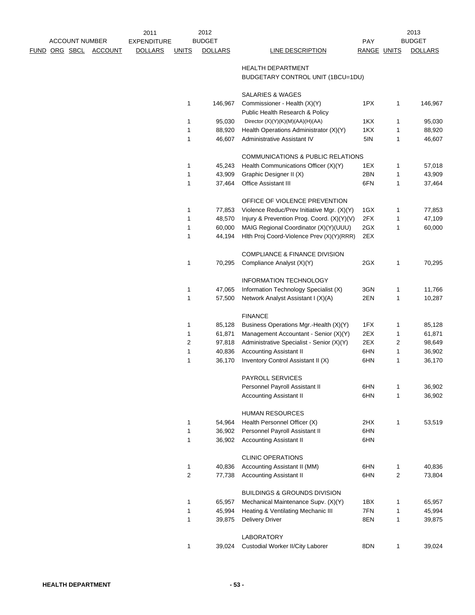| <b>ACCOUNT NUMBER</b> |  | 2011           | 2012               |              |                |                                            |             | 2013         |                |
|-----------------------|--|----------------|--------------------|--------------|----------------|--------------------------------------------|-------------|--------------|----------------|
|                       |  |                | <b>EXPENDITURE</b> |              | <b>BUDGET</b>  |                                            | PAY         |              | <b>BUDGET</b>  |
| <u>FUND ORG SBCL</u>  |  | <b>ACCOUNT</b> | <b>DOLLARS</b>     | <b>UNITS</b> | <b>DOLLARS</b> | <b>LINE DESCRIPTION</b>                    | RANGE UNITS |              | <b>DOLLARS</b> |
|                       |  |                |                    |              |                |                                            |             |              |                |
|                       |  |                |                    |              |                | <b>HEALTH DEPARTMENT</b>                   |             |              |                |
|                       |  |                |                    |              |                | BUDGETARY CONTROL UNIT (1BCU=1DU)          |             |              |                |
|                       |  |                |                    |              |                | SALARIES & WAGES                           |             |              |                |
|                       |  |                |                    | 1            | 146,967        | Commissioner - Health (X)(Y)               | 1PX         | 1            | 146,967        |
|                       |  |                |                    |              |                | Public Health Research & Policy            |             |              |                |
|                       |  |                |                    | 1            | 95,030         | Director (X)(Y)(K)(M)(AA)(H)(AA)           | 1KX         | 1            | 95,030         |
|                       |  |                |                    | 1            | 88,920         | Health Operations Administrator (X)(Y)     | 1KX         | 1            | 88,920         |
|                       |  |                |                    | 1            | 46,607         | Administrative Assistant IV                | 5IN         | 1            | 46,607         |
|                       |  |                |                    |              |                |                                            |             |              |                |
|                       |  |                |                    |              |                | COMMUNICATIONS & PUBLIC RELATIONS          |             |              |                |
|                       |  |                |                    | 1            | 45,243         | Health Communications Officer (X)(Y)       | 1EX         | 1            | 57,018         |
|                       |  |                |                    | 1            | 43,909         | Graphic Designer II (X)                    | 2BN         | $\mathbf{1}$ | 43,909         |
|                       |  |                |                    | 1            | 37,464         | Office Assistant III                       | 6FN         | 1            | 37,464         |
|                       |  |                |                    |              |                |                                            |             |              |                |
|                       |  |                |                    |              |                | OFFICE OF VIOLENCE PREVENTION              |             |              |                |
|                       |  |                |                    | 1            | 77,853         | Violence Reduc/Prev Initiative Mgr. (X)(Y) | 1GX         | 1            | 77,853         |
|                       |  |                |                    | 1            | 48,570         | Injury & Prevention Prog. Coord. (X)(Y)(V) | 2FX         | 1            | 47,109         |
|                       |  |                |                    | 1            | 60,000         | MAIG Regional Coordinator (X)(Y)(UUU)      | 2GX         | 1            | 60,000         |
|                       |  |                |                    | 1            | 44,194         | Hith Proj Coord-Violence Prev (X)(Y)(RRR)  | 2EX         |              |                |
|                       |  |                |                    |              |                | COMPLIANCE & FINANCE DIVISION              |             |              |                |
|                       |  |                |                    | 1            | 70,295         | Compliance Analyst (X)(Y)                  | 2GX         | 1            | 70,295         |
|                       |  |                |                    |              |                |                                            |             |              |                |
|                       |  |                |                    |              |                | INFORMATION TECHNOLOGY                     |             |              |                |
|                       |  |                |                    | 1            | 47,065         | Information Technology Specialist (X)      | 3GN         | 1            | 11,766         |
|                       |  |                |                    | 1            | 57,500         | Network Analyst Assistant I (X)(A)         | 2EN         | 1            | 10,287         |
|                       |  |                |                    |              |                | <b>FINANCE</b>                             |             |              |                |
|                       |  |                |                    | 1            | 85,128         | Business Operations Mgr.-Health (X)(Y)     | 1FX         | 1            | 85,128         |
|                       |  |                |                    | 1            | 61,871         | Management Accountant - Senior (X)(Y)      | 2EX         | 1            | 61,871         |
|                       |  |                |                    | 2            | 97,818         | Administrative Specialist - Senior (X)(Y)  | 2EX         | 2            | 98,649         |
|                       |  |                |                    | 1            | 40,836         | <b>Accounting Assistant II</b>             | 6HN         | 1            | 36,902         |
|                       |  |                |                    | 1            | 36,170         | Inventory Control Assistant II (X)         | 6HN         | 1            | 36,170         |
|                       |  |                |                    |              |                |                                            |             |              |                |
|                       |  |                |                    |              |                | PAYROLL SERVICES                           |             |              |                |
|                       |  |                |                    |              |                | Personnel Payroll Assistant II             | 6HN         | 1            | 36,902         |
|                       |  |                |                    |              |                | <b>Accounting Assistant II</b>             | 6HN         | 1            | 36,902         |
|                       |  |                |                    |              |                |                                            |             |              |                |
|                       |  |                |                    |              |                | <b>HUMAN RESOURCES</b>                     |             |              |                |
|                       |  |                |                    | 1            | 54,964         | Health Personnel Officer (X)               | 2HX         | 1            | 53,519         |
|                       |  |                |                    | 1            | 36,902         | Personnel Payroll Assistant II             | 6HN         |              |                |
|                       |  |                |                    | 1            | 36,902         | <b>Accounting Assistant II</b>             | 6HN         |              |                |
|                       |  |                |                    |              |                | <b>CLINIC OPERATIONS</b>                   |             |              |                |
|                       |  |                |                    | 1            | 40,836         | Accounting Assistant II (MM)               | 6HN         | 1            | 40,836         |
|                       |  |                |                    | 2            | 77,738         | <b>Accounting Assistant II</b>             | 6HN         | 2            | 73,804         |
|                       |  |                |                    |              |                |                                            |             |              |                |
|                       |  |                |                    |              |                | <b>BUILDINGS &amp; GROUNDS DIVISION</b>    |             |              |                |
|                       |  |                |                    | 1            | 65,957         | Mechanical Maintenance Supv. (X)(Y)        | 1BX         | 1            | 65,957         |
|                       |  |                |                    | 1            | 45,994         | Heating & Ventilating Mechanic III         | 7FN         | 1            | 45,994         |
|                       |  |                |                    | 1            | 39,875         | <b>Delivery Driver</b>                     | 8EN         | 1            | 39,875         |
|                       |  |                |                    |              |                |                                            |             |              |                |
|                       |  |                |                    |              |                | <b>LABORATORY</b>                          |             |              |                |
|                       |  |                |                    | 1            | 39,024         | Custodial Worker II/City Laborer           | 8DN         | 1            | 39,024         |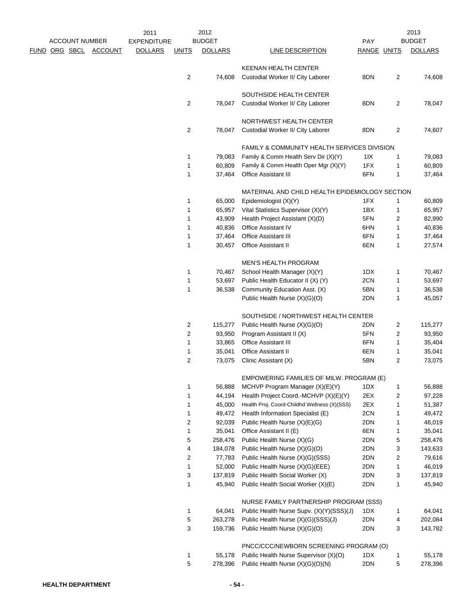|                       |                | 2011               |                | 2012           |                                                        |             |                | 2013           |
|-----------------------|----------------|--------------------|----------------|----------------|--------------------------------------------------------|-------------|----------------|----------------|
| <b>ACCOUNT NUMBER</b> |                | <b>EXPENDITURE</b> |                | <b>BUDGET</b>  |                                                        | <b>PAY</b>  |                | <b>BUDGET</b>  |
| <u>FUND ORG SBCL</u>  | <b>ACCOUNT</b> | <b>DOLLARS</b>     | <b>UNITS</b>   | <b>DOLLARS</b> | <b>LINE DESCRIPTION</b>                                | RANGE UNITS |                | <b>DOLLARS</b> |
|                       |                |                    |                |                | <b>KEENAN HEALTH CENTER</b>                            |             |                |                |
|                       |                |                    | 2              | 74,608         | Custodial Worker II/ City Laborer                      | 8DN         | 2              | 74,608         |
|                       |                |                    |                |                |                                                        |             |                |                |
|                       |                |                    |                |                | SOUTHSIDE HEALTH CENTER                                |             |                |                |
|                       |                |                    | $\overline{2}$ | 78,047         | Custodial Worker II/ City Laborer                      | 8DN         | $\overline{2}$ | 78,047         |
|                       |                |                    |                |                |                                                        |             |                |                |
|                       |                |                    | 2              |                | NORTHWEST HEALTH CENTER                                | 8DN         |                |                |
|                       |                |                    |                | 78,047         | Custodial Worker II/ City Laborer                      |             | 2              | 74,607         |
|                       |                |                    |                |                | <b>FAMILY &amp; COMMUNITY HEALTH SERVICES DIVISION</b> |             |                |                |
|                       |                |                    | 1              | 79,083         | Family & Comm Health Serv Dir (X)(Y)                   | 1IX         | 1              | 79,083         |
|                       |                |                    | 1              | 60,809         | Family & Comm Health Oper Mgr (X)(Y)                   | 1FX         | 1              | 60,809         |
|                       |                |                    | 1              | 37,464         | Office Assistant III                                   | 6FN         | 1              | 37,464         |
|                       |                |                    |                |                |                                                        |             |                |                |
|                       |                |                    |                |                | MATERNAL AND CHILD HEALTH EPIDEMIOLOGY SECTION         |             |                |                |
|                       |                |                    | 1              | 65,000         | Epidemiologist (X)(Y)                                  | 1FX         | $\mathbf{1}$   | 60,809         |
|                       |                |                    | 1              | 65,957         | Vital Statistics Supervisor (X)(Y)                     | 1BX         | 1              | 65,957         |
|                       |                |                    | 1              | 43,909         | Health Project Assistant (X)(D)                        | 5FN         | 2              | 82,990         |
|                       |                |                    | 1              | 40,836         | <b>Office Assistant IV</b>                             | 6HN         | 1              | 40,836         |
|                       |                |                    | 1              | 37,464         | <b>Office Assistant III</b>                            | 6FN         | 1              | 37,464         |
|                       |                |                    | 1              | 30,457         | Office Assistant II                                    | 6EN         | 1              | 27,574         |
|                       |                |                    |                |                | <b>MEN'S HEALTH PROGRAM</b>                            |             |                |                |
|                       |                |                    | 1              | 70,467         | School Health Manager (X)(Y)                           | 1DX         | 1              | 70,467         |
|                       |                |                    | 1              | 53,697         | Public Health Educator II (X) (Y)                      | 2CN         | 1              | 53,697         |
|                       |                |                    | 1              | 36,538         | Community Education Asst. (X)                          | 5BN         | 1              | 36,538         |
|                       |                |                    |                |                | Public Health Nurse (X)(G)(O)                          | 2DN         | 1              | 45,057         |
|                       |                |                    |                |                |                                                        |             |                |                |
|                       |                |                    |                |                | SOUTHSIDE / NORTHWEST HEALTH CENTER                    |             |                |                |
|                       |                |                    | 2              | 115,277        | Public Health Nurse (X)(G)(O)                          | 2DN         | 2              | 115,277        |
|                       |                |                    | 2              | 93,950         | Program Assistant II (X)                               | 5FN         | 2              | 93,950         |
|                       |                |                    | 1              | 33,865         | Office Assistant III                                   | 6FN         | 1              | 35,404         |
|                       |                |                    | 1              | 35,041         | <b>Office Assistant II</b>                             | 6EN         | 1              | 35,041         |
|                       |                |                    | $\overline{c}$ | 73,075         | Clinic Assistant (X)                                   | 5BN         | 2              | 73,075         |
|                       |                |                    |                |                | EMPOWERING FAMILIES OF MILW. PROGRAM (E)               |             |                |                |
|                       |                |                    | 1              | 56,888         | MCHVP Program Manager (X)(E)(Y)                        | 1DX         | 1              | 56,888         |
|                       |                |                    | 1              | 44,194         | Health Project Coord.-MCHVP (X)(E)(Y)                  | 2EX         | 2              | 97,228         |
|                       |                |                    | 1              | 45,000         | Health Proj. Coord-Childhd Wellness (X)(SSS)           | 2EX         | 1              | 51,387         |
|                       |                |                    | 1              | 49,472         | Health Information Specialist (E)                      | 2CN         | 1              | 49,472         |
|                       |                |                    | 2              | 92,039         | Public Health Nurse (X)(E)(G)                          | 2DN         | 1              | 46,019         |
|                       |                |                    | 1              | 35,041         | Office Assistant II (E)                                | 6EN         | 1              | 35,041         |
|                       |                |                    | 5              | 258,476        | Public Health Nurse (X)(G)                             | 2DN         | 5              | 258,476        |
|                       |                |                    | 4              | 184,078        | Public Health Nurse (X)(G)(O)                          | 2DN         | 3              | 143,633        |
|                       |                |                    | 2              | 77,783         | Public Health Nurse (X)(G)(SSS)                        | 2DN         | $\overline{c}$ | 79,616         |
|                       |                |                    | 1              | 52,000         | Public Health Nurse (X)(G)(EEE)                        | 2DN         | 1              | 46,019         |
|                       |                |                    | 3              | 137,819        | Public Health Social Worker (X)                        | 2DN         | 3              | 137,819        |
|                       |                |                    | 1              | 45,940         | Public Health Social Worker (X)(E)                     | 2DN         | 1              | 45,940         |
|                       |                |                    |                |                |                                                        |             |                |                |
|                       |                |                    |                |                | NURSE FAMILY PARTNERSHIP PROGRAM (SSS)                 |             |                |                |
|                       |                |                    | 1              | 64,041         | Public Health Nurse Supv. (X)(Y)(SSS)(J)               | 1DX         | 1              | 64,041         |
|                       |                |                    | 5              | 263,278        | Public Health Nurse (X)(G)(SSS)(J)                     | 2DN         | 4              | 202,084        |
|                       |                |                    | 3              | 159,736        | Public Health Nurse (X)(G)(O)                          | 2DN         | 3              | 143,782        |
|                       |                |                    |                |                | PNCC/CCC/NEWBORN SCREENING PROGRAM (O)                 |             |                |                |
|                       |                |                    | 1              | 55,178         | Public Health Nurse Supervisor (X)(O)                  | 1DX         | 1              | 55,178         |
|                       |                |                    | 5              | 278,396        | Public Health Nurse (X)(G)(O)(N)                       | 2DN         | 5              | 278,396        |
|                       |                |                    |                |                |                                                        |             |                |                |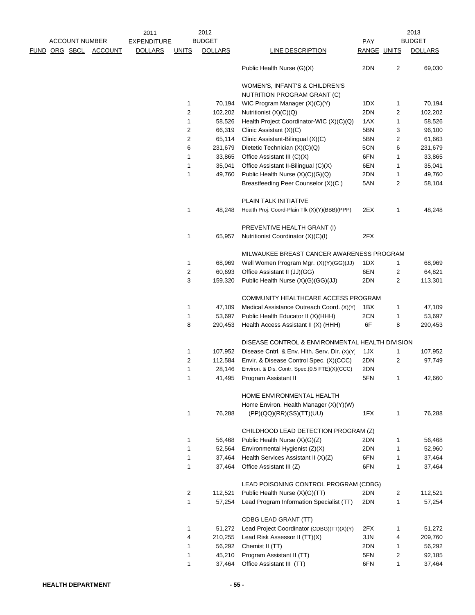|  |                       |                       | 2011               |                  | 2012           |                                                                   |             |    | 2013           |
|--|-----------------------|-----------------------|--------------------|------------------|----------------|-------------------------------------------------------------------|-------------|----|----------------|
|  | <b>ACCOUNT NUMBER</b> |                       | <b>EXPENDITURE</b> |                  | <b>BUDGET</b>  |                                                                   | <b>PAY</b>  |    | <b>BUDGET</b>  |
|  |                       | FUND ORG SBCL ACCOUNT | <b>DOLLARS</b>     | <b>UNITS</b>     | <b>DOLLARS</b> | <b>LINE DESCRIPTION</b>                                           | RANGE UNITS |    | <b>DOLLARS</b> |
|  |                       |                       |                    |                  |                | Public Health Nurse (G)(X)                                        | 2DN         | 2  | 69,030         |
|  |                       |                       |                    |                  |                | WOMEN'S, INFANT'S & CHILDREN'S                                    |             |    |                |
|  |                       |                       |                    |                  |                | NUTRITION PROGRAM GRANT (C)                                       |             |    |                |
|  |                       |                       |                    | 1                | 70,194         | WIC Program Manager (X)(C)(Y)                                     | 1DX         | 1  | 70,194         |
|  |                       |                       |                    | $\overline{c}$   | 102,202        | Nutritionist (X)(C)(Q)                                            | 2DN         | 2  | 102,202        |
|  |                       |                       |                    | 1                | 58,526         | Health Project Coordinator-WIC (X)(C)(Q)                          | 1AX         | 1  | 58,526         |
|  |                       |                       |                    | $\overline{c}$   | 66,319         | Clinic Assistant (X)(C)                                           | 5BN         | 3  | 96,100         |
|  |                       |                       |                    | 2                | 65,114         | Clinic Assistant-Bilingual (X)(C)                                 | 5BN         | 2  | 61,663         |
|  |                       |                       |                    | 6                | 231,679        | Dietetic Technician (X)(C)(Q)                                     | 5CN         | 6  | 231,679        |
|  |                       |                       |                    | 1                | 33,865         | Office Assistant III (C)(X)                                       | 6FN         | 1  | 33,865         |
|  |                       |                       |                    | 1                | 35,041         | Office Assistant II-Bilingual (C)(X)                              | 6EN         | 1  | 35,041         |
|  |                       |                       |                    | 1                | 49,760         | Public Health Nurse (X)(C)(G)(Q)                                  | 2DN         | 1  | 49,760         |
|  |                       |                       |                    |                  |                | Breastfeeding Peer Counselor (X)(C)                               | 5AN         | 2  | 58,104         |
|  |                       |                       |                    |                  |                | PLAIN TALK INITIATIVE                                             |             |    |                |
|  |                       |                       |                    | 1                | 48,248         | Health Proj. Coord-Plain Tlk (X)(Y)(BBB)(PPP)                     | 2EX         | 1  | 48,248         |
|  |                       |                       |                    |                  |                | PREVENTIVE HEALTH GRANT (I)                                       |             |    |                |
|  |                       |                       |                    | 1                | 65,957         | Nutritionist Coordinator (X)(C)(I)                                | 2FX         |    |                |
|  |                       |                       |                    |                  |                | MILWAUKEE BREAST CANCER AWARENESS PROGRAM                         |             |    |                |
|  |                       |                       |                    | 1                | 68,969         | Well Women Program Mgr. (X)(Y)(GG)(JJ)                            | 1DX         | 1  | 68,969         |
|  |                       |                       |                    | $\boldsymbol{2}$ | 60,693         | Office Assistant II (JJ)(GG)                                      | 6EN         | 2  | 64,821         |
|  |                       |                       |                    | 3                | 159,320        | Public Health Nurse (X)(G)(GG)(JJ)                                | 2DN         | 2  | 113,301        |
|  |                       |                       |                    |                  |                | COMMUNITY HEALTHCARE ACCESS PROGRAM                               |             |    |                |
|  |                       |                       |                    | 1                | 47,109         | Medical Assistance Outreach Coord. (X)(Y)                         | 1BX         | 1  | 47,109         |
|  |                       |                       |                    | $\mathbf{1}$     | 53,697         | Public Health Educator II (X)(HHH)                                | 2CN         | 1  | 53,697         |
|  |                       |                       |                    | 8                | 290,453        | Health Access Assistant II (X) (HHH)                              | 6F          | 8  | 290,453        |
|  |                       |                       |                    |                  |                | DISEASE CONTROL & ENVIRONMENTAL HEALTH DIVISION                   |             |    |                |
|  |                       |                       |                    | 1                | 107,952        | Disease Cntrl. & Env. Hlth. Serv. Dir. (X)(Y)                     | 1JX         | 1  | 107,952        |
|  |                       |                       |                    | 2                | 112,584        | Envir. & Disease Control Spec. (X)(CCC)                           | 2DN         | 2  | 97,749         |
|  |                       |                       |                    | 1                | 28,146         | Environ. & Dis. Contr. Spec.(0.5 FTE)(X)(CCC)                     | 2DN         |    |                |
|  |                       |                       |                    |                  |                | 41,495 Program Assistant II                                       | 5FN         | 1. | 42,660         |
|  |                       |                       |                    |                  |                | HOME ENVIRONMENTAL HEALTH                                         |             |    |                |
|  |                       |                       |                    |                  |                | Home Environ. Health Manager (X)(Y)(W)                            |             |    |                |
|  |                       |                       |                    | 1                | 76,288         | (PP)(QQ)(RR)(SS)(TT)(UU)                                          | 1FX         | 1  | 76,288         |
|  |                       |                       |                    |                  |                | CHILDHOOD LEAD DETECTION PROGRAM (Z)                              |             |    |                |
|  |                       |                       |                    | 1                | 56,468         | Public Health Nurse (X)(G)(Z)                                     | 2DN         | 1  | 56,468         |
|  |                       |                       |                    | $\mathbf{1}$     | 52,564         | Environmental Hygienist (Z)(X)                                    | 2DN         | 1  | 52,960         |
|  |                       |                       |                    | 1                | 37,464         | Health Services Assistant II (X)(Z)                               | 6FN         | 1  | 37,464         |
|  |                       |                       |                    | 1                | 37,464         | Office Assistant III (Z)                                          | 6FN         | 1  | 37,464         |
|  |                       |                       |                    |                  |                | LEAD POISONING CONTROL PROGRAM (CDBG)                             |             |    |                |
|  |                       |                       |                    | 2                | 112,521        | Public Health Nurse (X)(G)(TT)                                    | 2DN         | 2  | 112,521        |
|  |                       |                       |                    | 1                | 57,254         | Lead Program Information Specialist (TT)                          | 2DN         | 1  | 57,254         |
|  |                       |                       |                    | 1                | 51,272         | CDBG LEAD GRANT (TT)<br>Lead Project Coordinator (CDBG)(TT)(X)(Y) | 2FX         | 1  | 51,272         |
|  |                       |                       |                    | 4                | 210,255        | Lead Risk Assessor II (TT)(X)                                     | 3JN         | 4  | 209,760        |
|  |                       |                       |                    | 1                | 56,292         | Chemist II (TT)                                                   | 2DN         | 1  | 56,292         |
|  |                       |                       |                    | 1                | 45,210         | Program Assistant II (TT)                                         | 5FN         | 2  | 92,185         |
|  |                       |                       |                    | 1                | 37,464         | Office Assistant III (TT)                                         | 6FN         | 1  | 37,464         |
|  |                       |                       |                    |                  |                |                                                                   |             |    |                |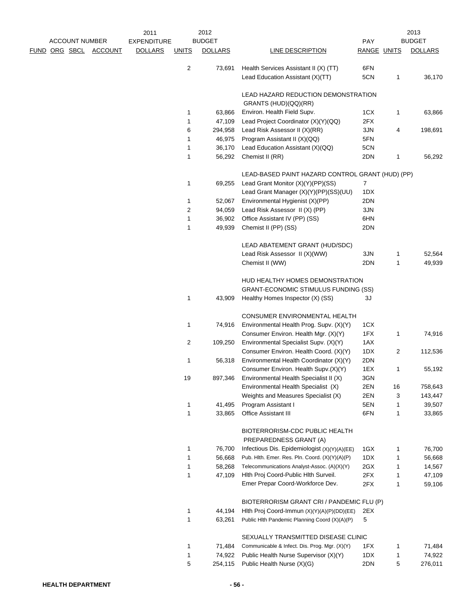|  |                       |         | 2011               |                | 2012           |                                                                                 |             |    | 2013           |
|--|-----------------------|---------|--------------------|----------------|----------------|---------------------------------------------------------------------------------|-------------|----|----------------|
|  | <b>ACCOUNT NUMBER</b> |         | <b>EXPENDITURE</b> |                | <b>BUDGET</b>  |                                                                                 | <b>PAY</b>  |    | <b>BUDGET</b>  |
|  | FUND ORG SBCL         | ACCOUNT | <b>DOLLARS</b>     | <b>UNITS</b>   | <b>DOLLARS</b> | <b>LINE DESCRIPTION</b>                                                         | RANGE UNITS |    | <b>DOLLARS</b> |
|  |                       |         |                    | 2              | 73,691         | Health Services Assistant II (X) (TT)                                           | 6FN         |    |                |
|  |                       |         |                    |                |                | Lead Education Assistant (X)(TT)                                                | 5CN         | 1  | 36,170         |
|  |                       |         |                    |                |                |                                                                                 |             |    |                |
|  |                       |         |                    |                |                | LEAD HAZARD REDUCTION DEMONSTRATION<br>GRANTS (HUD)(QQ)(RR)                     |             |    |                |
|  |                       |         |                    | 1              | 63,866         | Environ. Health Field Supv.                                                     | 1CX         | 1  | 63,866         |
|  |                       |         |                    | $\mathbf{1}$   | 47,109         | Lead Project Coordinator (X)(Y)(QQ)                                             | 2FX         |    |                |
|  |                       |         |                    | 6              | 294,958        | Lead Risk Assessor II (X)(RR)                                                   | 3JN         | 4  | 198,691        |
|  |                       |         |                    | 1              | 46,975         | Program Assistant II (X)(QQ)                                                    | 5FN         |    |                |
|  |                       |         |                    | 1              | 36,170         | Lead Education Assistant (X)(QQ)                                                | 5CN         |    |                |
|  |                       |         |                    | 1              | 56,292         | Chemist II (RR)                                                                 | 2DN         | 1  | 56,292         |
|  |                       |         |                    |                |                |                                                                                 |             |    |                |
|  |                       |         |                    |                |                | LEAD-BASED PAINT HAZARD CONTROL GRANT (HUD) (PP)                                |             |    |                |
|  |                       |         |                    | 1              | 69,255         | Lead Grant Monitor (X)(Y)(PP)(SS)                                               | 7           |    |                |
|  |                       |         |                    |                |                | Lead Grant Manager (X)(Y)(PP)(SS)(UU)                                           | 1DX         |    |                |
|  |                       |         |                    | 1              | 52,067         | Environmental Hygienist (X)(PP)                                                 | 2DN         |    |                |
|  |                       |         |                    | $\overline{2}$ | 94,059         | Lead Risk Assessor II (X) (PP)                                                  | 3JN         |    |                |
|  |                       |         |                    | 1              | 36,902         | Office Assistant IV (PP) (SS)                                                   | 6HN         |    |                |
|  |                       |         |                    | 1              | 49,939         | Chemist II (PP) (SS)                                                            | 2DN         |    |                |
|  |                       |         |                    |                |                | LEAD ABATEMENT GRANT (HUD/SDC)                                                  |             |    |                |
|  |                       |         |                    |                |                | Lead Risk Assessor II (X)(WW)                                                   | 3JN         | 1  | 52,564         |
|  |                       |         |                    |                |                | Chemist II (WW)                                                                 | 2DN         | 1  | 49,939         |
|  |                       |         |                    |                |                |                                                                                 |             |    |                |
|  |                       |         |                    |                |                | HUD HEALTHY HOMES DEMONSTRATION                                                 |             |    |                |
|  |                       |         |                    | 1              | 43,909         | <b>GRANT-ECONOMIC STIMULUS FUNDING (SS)</b><br>Healthy Homes Inspector (X) (SS) | ЗJ          |    |                |
|  |                       |         |                    |                |                |                                                                                 |             |    |                |
|  |                       |         |                    |                |                | CONSUMER ENVIRONMENTAL HEALTH                                                   |             |    |                |
|  |                       |         |                    | 1              | 74,916         | Environmental Health Prog. Supv. (X)(Y)                                         | 1CX         |    |                |
|  |                       |         |                    |                |                | Consumer Environ. Health Mgr. (X)(Y)                                            | 1FX         | 1  | 74,916         |
|  |                       |         |                    | 2              | 109,250        | Environmental Specialist Supv. (X)(Y)                                           | 1AX         |    |                |
|  |                       |         |                    |                |                | Consumer Environ. Health Coord. (X)(Y)                                          | 1DX         | 2  | 112,536        |
|  |                       |         |                    | 1              | 56,318         | Environmental Health Coordinator (X)(Y)                                         | 2DN         |    |                |
|  |                       |         |                    |                |                | Consumer Environ. Health Supv.(X)(Y)                                            | 1EX         | 1  | 55,192         |
|  |                       |         |                    | 19             |                | 897,346 Environmental Health Specialist II (X)                                  | 3GN         |    |                |
|  |                       |         |                    |                |                | Environmental Health Specialist (X)                                             | 2EN         | 16 | 758,643        |
|  |                       |         |                    |                |                | Weights and Measures Specialist (X)                                             | 2EN         | 3  | 143,447        |
|  |                       |         |                    | 1<br>1         | 41,495         | Program Assistant I<br>Office Assistant III                                     | 5EN         | 1  | 39,507         |
|  |                       |         |                    |                | 33,865         |                                                                                 | 6FN         | 1  | 33,865         |
|  |                       |         |                    |                |                | BIOTERRORISM-CDC PUBLIC HEALTH                                                  |             |    |                |
|  |                       |         |                    |                |                | PREPAREDNESS GRANT (A)                                                          |             |    |                |
|  |                       |         |                    | 1              | 76,700         | Infectious Dis. Epidemiologist (X)(Y)(A)(EE)                                    | 1GX         | 1  | 76,700         |
|  |                       |         |                    | 1              | 56,668         | Pub. Hlth. Emer. Res. Pln. Coord. (X)(Y)(A)(P)                                  | 1DX         | 1  | 56,668         |
|  |                       |         |                    | 1              | 58,268         | Telecommunications Analyst-Assoc. (A)(X)(Y)                                     | 2GX         | 1  | 14,567         |
|  |                       |         |                    | 1              | 47,109         | Hith Proj Coord-Public Hith Surveil.                                            | 2FX         | 1  | 47,109         |
|  |                       |         |                    |                |                | Emer Prepar Coord-Workforce Dev.                                                | 2FX         | 1  | 59,106         |
|  |                       |         |                    |                |                | BIOTERRORISM GRANT CRI / PANDEMIC FLU (P)                                       |             |    |                |
|  |                       |         |                    | $\mathbf{1}$   | 44,194         | Hith Proj Coord-Immun (X)(Y)(A)(P)(DD)(EE)                                      | 2EX         |    |                |
|  |                       |         |                    | 1              | 63,261         | Public Hlth Pandemic Planning Coord (X)(A)(P)                                   | 5           |    |                |
|  |                       |         |                    |                |                |                                                                                 |             |    |                |
|  |                       |         |                    |                |                | SEXUALLY TRANSMITTED DISEASE CLINIC                                             |             |    |                |
|  |                       |         |                    | 1              | 71,484         | Communicable & Infect. Dis. Prog. Mgr. (X)(Y)                                   | 1FX         | 1  | 71,484         |
|  |                       |         |                    | 1              | 74,922         | Public Health Nurse Supervisor (X)(Y)                                           | 1DX         | 1  | 74,922         |
|  |                       |         |                    | 5              | 254,115        | Public Health Nurse (X)(G)                                                      | 2DN         | 5  | 276,011        |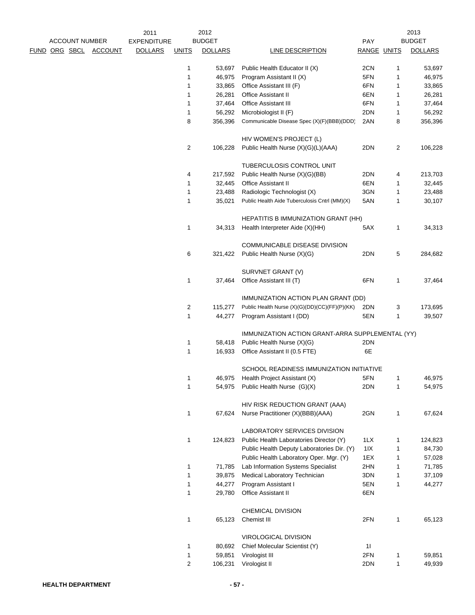|  |                       |                | 2011               |                | 2012           |                                                       |             |   | 2013           |
|--|-----------------------|----------------|--------------------|----------------|----------------|-------------------------------------------------------|-------------|---|----------------|
|  | <b>ACCOUNT NUMBER</b> |                | <b>EXPENDITURE</b> |                | <b>BUDGET</b>  |                                                       | <b>PAY</b>  |   | <b>BUDGET</b>  |
|  | <u>FUND ORG SBCL</u>  | <b>ACCOUNT</b> | <b>DOLLARS</b>     | <b>UNITS</b>   | <b>DOLLARS</b> | LINE DESCRIPTION                                      | RANGE UNITS |   | <b>DOLLARS</b> |
|  |                       |                |                    | 1              | 53,697         | Public Health Educator II (X)                         | 2CN         | 1 | 53,697         |
|  |                       |                |                    | 1              | 46,975         | Program Assistant II (X)                              | 5FN         | 1 | 46,975         |
|  |                       |                |                    | 1              | 33,865         | Office Assistant III (F)                              | 6FN         | 1 | 33,865         |
|  |                       |                |                    | 1              | 26,281         | <b>Office Assistant II</b>                            | 6EN         | 1 | 26,281         |
|  |                       |                |                    | 1              | 37,464         | Office Assistant III                                  | 6FN         | 1 | 37,464         |
|  |                       |                |                    | 1              | 56,292         | Microbiologist II (F)                                 | 2DN         | 1 | 56,292         |
|  |                       |                |                    | 8              | 356,396        | Communicable Disease Spec (X)(F)(BBB)(DDD)            | 2AN         | 8 | 356,396        |
|  |                       |                |                    |                |                | HIV WOMEN'S PROJECT (L)                               |             |   |                |
|  |                       |                |                    | $\overline{2}$ | 106,228        | Public Health Nurse (X)(G)(L)(AAA)                    | 2DN         | 2 | 106,228        |
|  |                       |                |                    |                |                | TUBERCULOSIS CONTROL UNIT                             |             |   |                |
|  |                       |                |                    | 4              | 217,592        | Public Health Nurse (X)(G)(BB)                        | 2DN         | 4 | 213,703        |
|  |                       |                |                    | 1              | 32,445         | <b>Office Assistant II</b>                            | 6EN         | 1 | 32,445         |
|  |                       |                |                    | 1              | 23,488         | Radiologic Technologist (X)                           | 3GN         | 1 | 23,488         |
|  |                       |                |                    | 1              | 35,021         | Public Health Aide Tuberculosis Cntrl (MM)(X)         | 5AN         | 1 | 30,107         |
|  |                       |                |                    |                |                | <b>HEPATITIS B IMMUNIZATION GRANT (HH)</b>            |             |   |                |
|  |                       |                |                    | 1              | 34,313         | Health Interpreter Aide (X)(HH)                       | 5AX         | 1 | 34,313         |
|  |                       |                |                    |                |                | COMMUNICABLE DISEASE DIVISION                         |             |   |                |
|  |                       |                |                    | 6              | 321,422        | Public Health Nurse (X)(G)                            | 2DN         | 5 | 284,682        |
|  |                       |                |                    |                |                | SURVNET GRANT (V)                                     |             |   |                |
|  |                       |                |                    | 1              | 37,464         | Office Assistant III (T)                              | 6FN         | 1 | 37,464         |
|  |                       |                |                    |                |                | IMMUNIZATION ACTION PLAN GRANT (DD)                   |             |   |                |
|  |                       |                |                    | 2              | 115,277        | Public Health Nurse (X)(G)(DD)(CC)(FF)(P)(KK)         | 2DN         | 3 | 173,695        |
|  |                       |                |                    | 1              | 44,277         | Program Assistant I (DD)                              | 5EN         | 1 | 39,507         |
|  |                       |                |                    |                |                | IMMUNIZATION ACTION GRANT-ARRA SUPPLEMENTAL (YY)      |             |   |                |
|  |                       |                |                    | 1              | 58,418         | Public Health Nurse (X)(G)                            | 2DN         |   |                |
|  |                       |                |                    | 1              | 16,933         | Office Assistant II (0.5 FTE)                         | 6E          |   |                |
|  |                       |                |                    |                |                | SCHOOL READINESS IMMUNIZATION INITIATIVE              |             |   |                |
|  |                       |                |                    | 1              | 46,975         | Health Project Assistant (X)                          | 5FN         |   | 46,975         |
|  |                       |                |                    | 1              | 54,975         | Public Health Nurse (G)(X)                            | 2DN         | 1 | 54,975         |
|  |                       |                |                    |                |                | HIV RISK REDUCTION GRANT (AAA)                        |             |   |                |
|  |                       |                |                    | 1              | 67,624         | Nurse Practitioner (X)(BBB)(AAA)                      | 2GN         | 1 | 67,624         |
|  |                       |                |                    |                |                | LABORATORY SERVICES DIVISION                          |             |   |                |
|  |                       |                |                    | 1              | 124,823        | Public Health Laboratories Director (Y)               | 1LX         | 1 | 124,823        |
|  |                       |                |                    |                |                | Public Health Deputy Laboratories Dir. (Y)            | 11X         | 1 | 84,730         |
|  |                       |                |                    |                |                | Public Health Laboratory Oper. Mgr. (Y)               | 1EX         | 1 | 57,028         |
|  |                       |                |                    | 1              | 71,785         | Lab Information Systems Specialist                    | 2HN         | 1 | 71,785         |
|  |                       |                |                    | 1              | 39,875         | Medical Laboratory Technician                         | 3DN         | 1 | 37,109         |
|  |                       |                |                    | 1              | 44,277         | Program Assistant I                                   | 5EN         | 1 | 44,277         |
|  |                       |                |                    | 1              | 29,780         | Office Assistant II                                   | 6EN         |   |                |
|  |                       |                |                    |                |                | CHEMICAL DIVISION                                     |             |   |                |
|  |                       |                |                    | 1              | 65,123         | Chemist III                                           | 2FN         | 1 | 65,123         |
|  |                       |                |                    | 1              | 80,692         | VIROLOGICAL DIVISION<br>Chief Molecular Scientist (Y) | 11          |   |                |
|  |                       |                |                    |                |                |                                                       | 2FN         |   |                |
|  |                       |                |                    | 1              | 59,851         | Virologist III                                        |             | 1 | 59,851         |
|  |                       |                |                    | $\overline{c}$ | 106,231        | Virologist II                                         | 2DN         | 1 | 49,939         |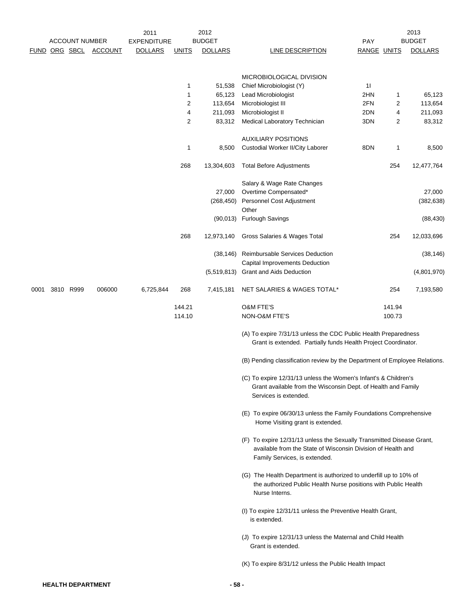|      |                       |                          | 2011               |                | 2012           |                                                                                                                                                                        |             |        | 2013           |
|------|-----------------------|--------------------------|--------------------|----------------|----------------|------------------------------------------------------------------------------------------------------------------------------------------------------------------------|-------------|--------|----------------|
|      | <b>ACCOUNT NUMBER</b> |                          | <b>EXPENDITURE</b> |                | <b>BUDGET</b>  |                                                                                                                                                                        | PAY         |        | <b>BUDGET</b>  |
| FUND | ORG SBCL              | <b>ACCOUNT</b>           | <b>DOLLARS</b>     | <b>UNITS</b>   | <b>DOLLARS</b> | LINE DESCRIPTION                                                                                                                                                       | RANGE UNITS |        | <b>DOLLARS</b> |
|      |                       |                          |                    |                |                | MICROBIOLOGICAL DIVISION                                                                                                                                               |             |        |                |
|      |                       |                          |                    | 1              | 51,538         | Chief Microbiologist (Y)                                                                                                                                               | 11          |        |                |
|      |                       |                          |                    | 1              | 65,123         | Lead Microbiologist                                                                                                                                                    | 2HN         | 1      | 65,123         |
|      |                       |                          |                    | $\overline{c}$ | 113,654        | Microbiologist III                                                                                                                                                     | 2FN         | 2      | 113,654        |
|      |                       |                          |                    | 4              | 211,093        | Microbiologist II                                                                                                                                                      | 2DN         | 4      | 211,093        |
|      |                       |                          |                    | $\overline{2}$ | 83,312         | Medical Laboratory Technician                                                                                                                                          | 3DN         | 2      | 83,312         |
|      |                       |                          |                    |                |                | <b>AUXILIARY POSITIONS</b>                                                                                                                                             |             |        |                |
|      |                       |                          |                    | 1              | 8,500          | Custodial Worker II/City Laborer                                                                                                                                       | 8DN         | 1      | 8,500          |
|      |                       |                          |                    | 268            | 13,304,603     | <b>Total Before Adjustments</b>                                                                                                                                        |             | 254    | 12,477,764     |
|      |                       |                          |                    |                |                | Salary & Wage Rate Changes                                                                                                                                             |             |        |                |
|      |                       |                          |                    |                | 27,000         | Overtime Compensated*                                                                                                                                                  |             |        | 27,000         |
|      |                       |                          |                    |                | (268, 450)     | Personnel Cost Adjustment<br>Other                                                                                                                                     |             |        | (382, 638)     |
|      |                       |                          |                    |                |                | (90,013) Furlough Savings                                                                                                                                              |             |        | (88, 430)      |
|      |                       |                          |                    | 268            | 12,973,140     | Gross Salaries & Wages Total                                                                                                                                           |             | 254    | 12,033,696     |
|      |                       |                          |                    |                | (38, 146)      | Reimbursable Services Deduction                                                                                                                                        |             |        | (38, 146)      |
|      |                       |                          |                    |                | (5,519,813)    | Capital Improvements Deduction<br><b>Grant and Aids Deduction</b>                                                                                                      |             |        | (4,801,970)    |
|      |                       |                          |                    |                |                |                                                                                                                                                                        |             |        |                |
| 0001 | 3810 R999             | 006000                   | 6,725,844          | 268            | 7,415,181      | NET SALARIES & WAGES TOTAL*                                                                                                                                            |             | 254    | 7,193,580      |
|      |                       |                          |                    | 144.21         |                | <b>O&amp;M FTE'S</b>                                                                                                                                                   |             | 141.94 |                |
|      |                       |                          |                    | 114.10         |                | NON-O&M FTE'S                                                                                                                                                          |             | 100.73 |                |
|      |                       |                          |                    |                |                | (A) To expire 7/31/13 unless the CDC Public Health Preparedness<br>Grant is extended. Partially funds Health Project Coordinator.                                      |             |        |                |
|      |                       |                          |                    |                |                | (B) Pending classification review by the Department of Employee Relations.                                                                                             |             |        |                |
|      |                       |                          |                    |                |                | (C) To expire 12/31/13 unless the Women's Infant's & Children's<br>Grant available from the Wisconsin Dept. of Health and Family<br>Services is extended.              |             |        |                |
|      |                       |                          |                    |                |                | (E) To expire 06/30/13 unless the Family Foundations Comprehensive<br>Home Visiting grant is extended.                                                                 |             |        |                |
|      |                       |                          |                    |                |                | (F) To expire 12/31/13 unless the Sexually Transmitted Disease Grant,<br>available from the State of Wisconsin Division of Health and<br>Family Services, is extended. |             |        |                |
|      |                       |                          |                    |                |                | (G) The Health Department is authorized to underfill up to 10% of<br>the authorized Public Health Nurse positions with Public Health<br>Nurse Interns.                 |             |        |                |
|      |                       |                          |                    |                |                | (I) To expire 12/31/11 unless the Preventive Health Grant,<br>is extended.                                                                                             |             |        |                |
|      |                       |                          |                    |                |                | (J) To expire 12/31/13 unless the Maternal and Child Health<br>Grant is extended.                                                                                      |             |        |                |
|      |                       |                          |                    |                |                | (K) To expire 8/31/12 unless the Public Health Impact                                                                                                                  |             |        |                |
|      |                       | <b>HEALTH DEPARTMENT</b> |                    |                | - 58 -         |                                                                                                                                                                        |             |        |                |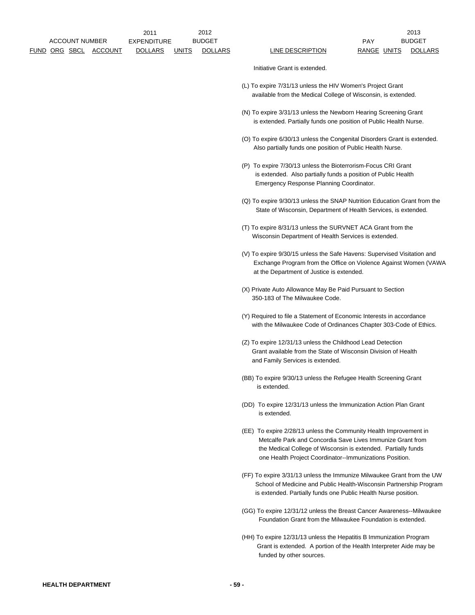Initiative Grant is extended.

- (L) To expire 7/31/13 unless the HIV Women's Project Grant available from the Medical College of Wisconsin, is extended.
- (N) To expire 3/31/13 unless the Newborn Hearing Screening Grant is extended. Partially funds one position of Public Health Nurse.
- (O) To expire 6/30/13 unless the Congenital Disorders Grant is extended. Also partially funds one position of Public Health Nurse.
- (P) To expire 7/30/13 unless the Bioterrorism-Focus CRI Grant is extended. Also partially funds a position of Public Health Emergency Response Planning Coordinator.
- (Q) To expire 9/30/13 unless the SNAP Nutrition Education Grant from the State of Wisconsin, Department of Health Services, is extended.
- (T) To expire 8/31/13 unless the SURVNET ACA Grant from the Wisconsin Department of Health Services is extended.
- (V) To expire 9/30/15 unless the Safe Havens: Supervised Visitation and Exchange Program from the Office on Violence Against Women (VAWA at the Department of Justice is extended.
- (X) Private Auto Allowance May Be Paid Pursuant to Section 350-183 of The Milwaukee Code.
- (Y) Required to file a Statement of Economic Interests in accordance with the Milwaukee Code of Ordinances Chapter 303-Code of Ethics.
- (Z) To expire 12/31/13 unless the Childhood Lead Detection Grant available from the State of Wisconsin Division of Health and Family Services is extended.
- (BB) To expire 9/30/13 unless the Refugee Health Screening Grant is extended.
- (DD) To expire 12/31/13 unless the Immunization Action Plan Grant is extended.
- (EE) To expire 2/28/13 unless the Community Health Improvement in Metcalfe Park and Concordia Save Lives Immunize Grant from the Medical College of Wisconsin is extended. Partially funds one Health Project Coordinator--Immunizations Position.
- (FF) To expire 3/31/13 unless the Immunize Milwaukee Grant from the UW School of Medicine and Public Health-Wisconsin Partnership Program is extended. Partially funds one Public Health Nurse position.
- (GG) To expire 12/31/12 unless the Breast Cancer Awareness--Milwaukee Foundation Grant from the Milwaukee Foundation is extended.
- (HH) To expire 12/31/13 unless the Hepatitis B Immunization Program Grant is extended. A portion of the Health Interpreter Aide may be funded by other sources.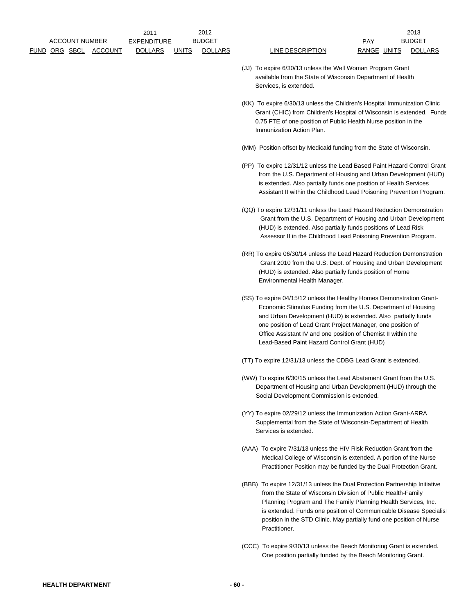|                       |         | 2011               |       | 2012           |                  |       |              | 2013          |
|-----------------------|---------|--------------------|-------|----------------|------------------|-------|--------------|---------------|
| <b>ACCOUNT NUMBER</b> |         | <b>EXPENDITURE</b> |       | <b>BUDGET</b>  |                  | PAY   |              | <b>BUDGET</b> |
| FUND ORG SBCL         | ACCOUNT | <b>DOLLARS</b>     | UNITS | <b>DOLLARS</b> | LINE DESCRIPTION | RANGE | <b>UNITS</b> | DOLL          |

LINE DESCRIPTION RANGE UNITS DOLLARS 2013

- (JJ) To expire 6/30/13 unless the Well Woman Program Grant available from the State of Wisconsin Department of Health Services, is extended.
- (KK) To expire 6/30/13 unless the Children's Hospital Immunization Clinic Grant (CHIC) from Children's Hospital of Wisconsin is extended. Funds 0.75 FTE of one position of Public Health Nurse position in the Immunization Action Plan.
- (MM) Position offset by Medicaid funding from the State of Wisconsin.
- (PP) To expire 12/31/12 unless the Lead Based Paint Hazard Control Grant from the U.S. Department of Housing and Urban Development (HUD) is extended. Also partially funds one position of Health Services Assistant II within the Childhood Lead Poisoning Prevention Program.
- (QQ) To expire 12/31/11 unless the Lead Hazard Reduction Demonstration Grant from the U.S. Department of Housing and Urban Development (HUD) is extended. Also partially funds positions of Lead Risk Assessor II in the Childhood Lead Poisoning Prevention Program.
- (RR) To expire 06/30/14 unless the Lead Hazard Reduction Demonstration Grant 2010 from the U.S. Dept. of Housing and Urban Development (HUD) is extended. Also partially funds position of Home Environmental Health Manager.
- (SS) To expire 04/15/12 unless the Healthy Homes Demonstration Grant- Economic Stimulus Funding from the U.S. Department of Housing and Urban Development (HUD) is extended. Also partially funds one position of Lead Grant Project Manager, one position of Office Assistant IV and one position of Chemist II within the Lead-Based Paint Hazard Control Grant (HUD)
- (TT) To expire 12/31/13 unless the CDBG Lead Grant is extended.
- (WW) To expire 6/30/15 unless the Lead Abatement Grant from the U.S. Department of Housing and Urban Development (HUD) through the Social Development Commission is extended.
- (YY) To expire 02/29/12 unless the Immunization Action Grant-ARRA Supplemental from the State of Wisconsin-Department of Health Services is extended.
- (AAA) To expire 7/31/13 unless the HIV Risk Reduction Grant from the Medical College of Wisconsin is extended. A portion of the Nurse Practitioner Position may be funded by the Dual Protection Grant.
- (BBB) To expire 12/31/13 unless the Dual Protection Partnership Initiative from the State of Wisconsin Division of Public Health-Family Planning Program and The Family Planning Health Services, Inc. is extended. Funds one position of Communicable Disease Specialist position in the STD Clinic. May partially fund one position of Nurse Practitioner.
- (CCC) To expire 9/30/13 unless the Beach Monitoring Grant is extended. One position partially funded by the Beach Monitoring Grant.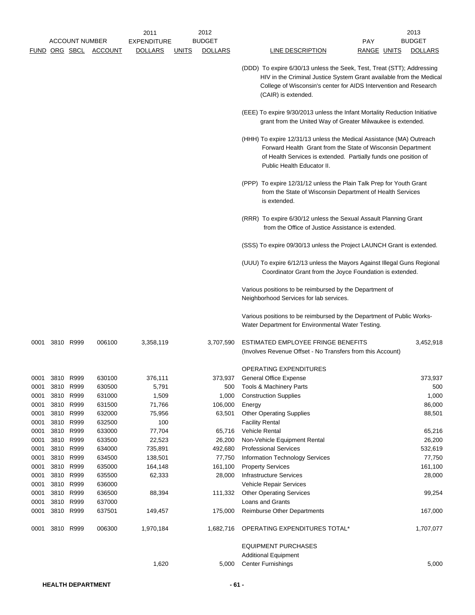|      |      |                       |         | 2011               |              | 2012           |                                                                                                                                                                                                                                          | 2013           |
|------|------|-----------------------|---------|--------------------|--------------|----------------|------------------------------------------------------------------------------------------------------------------------------------------------------------------------------------------------------------------------------------------|----------------|
|      |      | <b>ACCOUNT NUMBER</b> |         | <b>EXPENDITURE</b> |              | <b>BUDGET</b>  | PAY                                                                                                                                                                                                                                      | <b>BUDGET</b>  |
|      |      | <u>FUND ORG SBCL</u>  | ACCOUNT | <b>DOLLARS</b>     | <b>UNITS</b> | <b>DOLLARS</b> | <b>LINE DESCRIPTION</b><br>RANGE UNITS                                                                                                                                                                                                   | <b>DOLLARS</b> |
|      |      |                       |         |                    |              |                | (DDD) To expire 6/30/13 unless the Seek, Test, Treat (STT); Addressing<br>HIV in the Criminal Justice System Grant available from the Medical<br>College of Wisconsin's center for AIDS Intervention and Research<br>(CAIR) is extended. |                |
|      |      |                       |         |                    |              |                | (EEE) To expire 9/30/2013 unless the Infant Mortality Reduction Initiative<br>grant from the United Way of Greater Milwaukee is extended.                                                                                                |                |
|      |      |                       |         |                    |              |                | (HHH) To expire 12/31/13 unless the Medical Assistance (MA) Outreach<br>Forward Health Grant from the State of Wisconsin Department<br>of Health Services is extended. Partially funds one position of<br>Public Health Educator II.     |                |
|      |      |                       |         |                    |              |                | (PPP) To expire 12/31/12 unless the Plain Talk Prep for Youth Grant<br>from the State of Wisconsin Department of Health Services<br>is extended.                                                                                         |                |
|      |      |                       |         |                    |              |                | (RRR) To expire 6/30/12 unless the Sexual Assault Planning Grant<br>from the Office of Justice Assistance is extended.                                                                                                                   |                |
|      |      |                       |         |                    |              |                | (SSS) To expire 09/30/13 unless the Project LAUNCH Grant is extended.                                                                                                                                                                    |                |
|      |      |                       |         |                    |              |                | (UUU) To expire 6/12/13 unless the Mayors Against Illegal Guns Regional<br>Coordinator Grant from the Joyce Foundation is extended.                                                                                                      |                |
|      |      |                       |         |                    |              |                | Various positions to be reimbursed by the Department of<br>Neighborhood Services for lab services.                                                                                                                                       |                |
|      |      |                       |         |                    |              |                | Various positions to be reimbursed by the Department of Public Works-<br>Water Department for Environmental Water Testing.                                                                                                               |                |
| 0001 |      | 3810 R999             | 006100  | 3,358,119          |              | 3,707,590      | ESTIMATED EMPLOYEE FRINGE BENEFITS<br>(Involves Revenue Offset - No Transfers from this Account)                                                                                                                                         | 3,452,918      |
|      |      |                       |         |                    |              |                | OPERATING EXPENDITURES                                                                                                                                                                                                                   |                |
| 0001 |      | 3810 R999             | 630100  | 376,111            |              | 373,937        | General Office Expense                                                                                                                                                                                                                   | 373,937        |
| 0001 |      | 3810 R999             | 630500  | 5,791              |              | 500            | Tools & Machinery Parts                                                                                                                                                                                                                  | 500            |
| 0001 | 3810 | R999                  | 631000  | 1,509              |              | 1,000          | <b>Construction Supplies</b>                                                                                                                                                                                                             | 1,000          |
| 0001 |      | 3810 R999             | 631500  | 71,766             |              | 106,000        | Energy                                                                                                                                                                                                                                   | 86,000         |
| 0001 |      | 3810 R999             | 632000  | 75,956             |              | 63,501         | <b>Other Operating Supplies</b>                                                                                                                                                                                                          | 88,501         |
| 0001 |      | 3810 R999             | 632500  | 100                |              |                | <b>Facility Rental</b>                                                                                                                                                                                                                   |                |
| 0001 | 3810 | R999                  | 633000  | 77,704             |              | 65,716         | Vehicle Rental                                                                                                                                                                                                                           | 65,216         |
| 0001 |      | 3810 R999             | 633500  | 22,523             |              | 26,200         | Non-Vehicle Equipment Rental                                                                                                                                                                                                             | 26,200         |
| 0001 |      | 3810 R999             | 634000  | 735,891            |              | 492,680        | <b>Professional Services</b>                                                                                                                                                                                                             | 532,619        |
| 0001 |      | 3810 R999             | 634500  | 138,501            |              | 77,750         | <b>Information Technology Services</b>                                                                                                                                                                                                   | 77,750         |
| 0001 | 3810 | R999                  | 635000  | 164,148            |              | 161,100        | <b>Property Services</b>                                                                                                                                                                                                                 | 161,100        |
| 0001 | 3810 | R999                  | 635500  | 62,333             |              | 28,000         | <b>Infrastructure Services</b>                                                                                                                                                                                                           | 28,000         |
| 0001 | 3810 | R999                  | 636000  |                    |              |                | Vehicle Repair Services                                                                                                                                                                                                                  |                |
| 0001 |      | 3810 R999             | 636500  | 88,394             |              | 111,332        | <b>Other Operating Services</b>                                                                                                                                                                                                          | 99,254         |
| 0001 | 3810 | R999                  | 637000  |                    |              |                | Loans and Grants                                                                                                                                                                                                                         |                |
| 0001 | 3810 | R999                  | 637501  | 149,457            |              | 175,000        | <b>Reimburse Other Departments</b>                                                                                                                                                                                                       | 167,000        |
| 0001 |      | 3810 R999             | 006300  | 1,970,184          |              | 1,682,716      | OPERATING EXPENDITURES TOTAL*                                                                                                                                                                                                            | 1,707,077      |
|      |      |                       |         |                    |              |                | <b>EQUIPMENT PURCHASES</b>                                                                                                                                                                                                               |                |
|      |      |                       |         | 1,620              |              | 5,000          | <b>Additional Equipment</b><br><b>Center Furnishings</b>                                                                                                                                                                                 | 5,000          |
|      |      |                       |         |                    |              |                |                                                                                                                                                                                                                                          |                |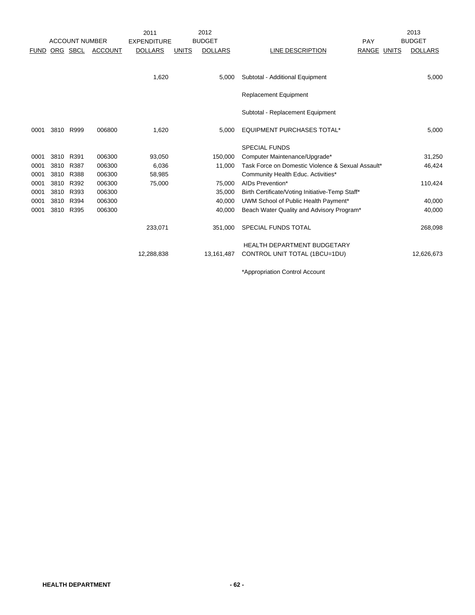|             |           |                       |                | 2011               |              | 2012           |                                                   |                    | 2013           |
|-------------|-----------|-----------------------|----------------|--------------------|--------------|----------------|---------------------------------------------------|--------------------|----------------|
|             |           | <b>ACCOUNT NUMBER</b> |                | <b>EXPENDITURE</b> |              | <b>BUDGET</b>  |                                                   | PAY                | <b>BUDGET</b>  |
| <b>FUND</b> | ORG SBCL  |                       | <b>ACCOUNT</b> | <b>DOLLARS</b>     | <b>UNITS</b> | <b>DOLLARS</b> | LINE DESCRIPTION                                  | <b>RANGE UNITS</b> | <b>DOLLARS</b> |
|             |           |                       |                |                    |              |                |                                                   |                    |                |
|             |           |                       |                | 1,620              |              | 5,000          | Subtotal - Additional Equipment                   |                    | 5,000          |
|             |           |                       |                |                    |              |                | <b>Replacement Equipment</b>                      |                    |                |
|             |           |                       |                |                    |              |                | Subtotal - Replacement Equipment                  |                    |                |
| 0001        | 3810 R999 |                       | 006800         | 1,620              |              | 5.000          | <b>EQUIPMENT PURCHASES TOTAL*</b>                 |                    | 5,000          |
|             |           |                       |                |                    |              |                | <b>SPECIAL FUNDS</b>                              |                    |                |
| 0001        | 3810      | R391                  | 006300         | 93,050             |              | 150.000        | Computer Maintenance/Upgrade*                     |                    | 31,250         |
| 0001        | 3810      | R387                  | 006300         | 6,036              |              | 11,000         | Task Force on Domestic Violence & Sexual Assault* |                    | 46,424         |
| 0001        | 3810 R388 |                       | 006300         | 58,985             |              |                | Community Health Educ. Activities*                |                    |                |
| 0001        | 3810 R392 |                       | 006300         | 75,000             |              | 75,000         | AIDs Prevention*                                  |                    | 110,424        |
| 0001        | 3810      | R393                  | 006300         |                    |              | 35,000         | Birth Certificate/Voting Initiative-Temp Staff*   |                    |                |
| 0001        | 3810      | R394                  | 006300         |                    |              | 40,000         | UWM School of Public Health Payment*              |                    | 40,000         |
| 0001        | 3810      | R395                  | 006300         |                    |              | 40,000         | Beach Water Quality and Advisory Program*         |                    | 40,000         |
|             |           |                       |                | 233,071            |              | 351,000        | SPECIAL FUNDS TOTAL                               |                    | 268,098        |
|             |           |                       |                |                    |              |                | <b>HEALTH DEPARTMENT BUDGETARY</b>                |                    |                |
|             |           |                       |                | 12,288,838         |              | 13,161,487     | CONTROL UNIT TOTAL (1BCU=1DU)                     |                    | 12,626,673     |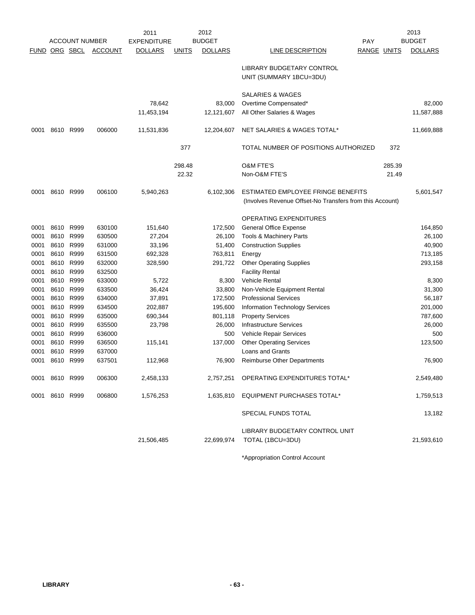|      |                |                       |         | 2011               |              | 2012           |                                                                                                |             |        | 2013           |
|------|----------------|-----------------------|---------|--------------------|--------------|----------------|------------------------------------------------------------------------------------------------|-------------|--------|----------------|
|      |                | <b>ACCOUNT NUMBER</b> |         | <b>EXPENDITURE</b> |              | <b>BUDGET</b>  |                                                                                                | PAY         |        | <b>BUDGET</b>  |
|      |                | FUND ORG SBCL         | ACCOUNT | <b>DOLLARS</b>     | <b>UNITS</b> | <b>DOLLARS</b> | LINE DESCRIPTION                                                                               | RANGE UNITS |        | <b>DOLLARS</b> |
|      |                |                       |         |                    |              |                | LIBRARY BUDGETARY CONTROL<br>UNIT (SUMMARY 1BCU=3DU)                                           |             |        |                |
|      |                |                       |         |                    |              |                | <b>SALARIES &amp; WAGES</b>                                                                    |             |        |                |
|      |                |                       |         | 78,642             |              | 83,000         | Overtime Compensated*                                                                          |             |        | 82,000         |
|      |                |                       |         | 11,453,194         |              | 12,121,607     | All Other Salaries & Wages                                                                     |             |        | 11,587,888     |
| 0001 | 8610 R999      |                       | 006000  | 11,531,836         |              | 12,204,607     | NET SALARIES & WAGES TOTAL*                                                                    |             |        | 11,669,888     |
|      |                |                       |         |                    | 377          |                | TOTAL NUMBER OF POSITIONS AUTHORIZED                                                           |             | 372    |                |
|      |                |                       |         |                    | 298.48       |                | <b>O&amp;M FTE'S</b>                                                                           |             | 285.39 |                |
|      |                |                       |         |                    | 22.32        |                | Non-O&M FTE'S                                                                                  |             | 21.49  |                |
| 0001 | 8610 R999      |                       | 006100  | 5,940,263          |              | 6,102,306      | ESTIMATED EMPLOYEE FRINGE BENEFITS<br>(Involves Revenue Offset-No Transfers from this Account) |             |        | 5,601,547      |
|      |                |                       |         |                    |              |                | OPERATING EXPENDITURES                                                                         |             |        |                |
| 0001 | 8610           | R999                  | 630100  | 151,640            |              | 172,500        | <b>General Office Expense</b>                                                                  |             |        | 164,850        |
| 0001 |                | 8610 R999             | 630500  | 27,204             |              | 26,100         | Tools & Machinery Parts                                                                        |             |        | 26,100         |
| 0001 |                | 8610 R999             | 631000  | 33,196             |              | 51,400         | <b>Construction Supplies</b>                                                                   |             |        | 40,900         |
| 0001 |                | 8610 R999             | 631500  | 692,328            |              | 763,811        | Energy                                                                                         |             |        | 713,185        |
| 0001 |                | 8610 R999             | 632000  | 328,590            |              | 291,722        | <b>Other Operating Supplies</b>                                                                |             |        | 293,158        |
| 0001 | 8610 R999      |                       | 632500  |                    |              |                | <b>Facility Rental</b>                                                                         |             |        |                |
| 0001 | 8610 R999      |                       | 633000  | 5,722              |              | 8,300          | Vehicle Rental                                                                                 |             |        | 8,300          |
| 0001 | 8610 R999      |                       | 633500  | 36,424             |              | 33,800         | Non-Vehicle Equipment Rental                                                                   |             |        | 31,300         |
| 0001 |                | 8610 R999             | 634000  | 37,891             |              | 172,500        | <b>Professional Services</b>                                                                   |             |        | 56,187         |
| 0001 | 8610 R999      |                       | 634500  | 202,887            |              | 195,600        | <b>Information Technology Services</b>                                                         |             |        | 201,000        |
| 0001 | 8610 R999      |                       | 635000  | 690,344            |              | 801,118        | <b>Property Services</b>                                                                       |             |        | 787,600        |
| 0001 |                | 8610 R999             | 635500  | 23,798             |              | 26,000         | <b>Infrastructure Services</b>                                                                 |             |        | 26,000         |
| 0001 |                | 8610 R999             | 636000  |                    |              | 500            | Vehicle Repair Services                                                                        |             |        | 500            |
| 0001 |                | 8610 R999             | 636500  | 115,141            |              | 137,000        | <b>Other Operating Services</b>                                                                |             |        | 123,500        |
| 0001 |                | 8610 R999             | 637000  |                    |              |                | Loans and Grants                                                                               |             |        |                |
| 0001 | 8610 R999      |                       | 637501  | 112,968            |              | 76,900         | <b>Reimburse Other Departments</b>                                                             |             |        | 76,900         |
|      | 0001 8610 R999 |                       | 006300  | 2,458,133          |              |                | 2,757,251 OPERATING EXPENDITURES TOTAL*                                                        |             |        | 2,549,480      |
|      | 0001 8610 R999 |                       | 006800  | 1,576,253          |              |                | 1,635,810 EQUIPMENT PURCHASES TOTAL*                                                           |             |        | 1,759,513      |
|      |                |                       |         |                    |              |                | SPECIAL FUNDS TOTAL                                                                            |             |        | 13,182         |
|      |                |                       |         | 21,506,485         |              | 22,699,974     | LIBRARY BUDGETARY CONTROL UNIT<br>TOTAL (1BCU=3DU)                                             |             |        | 21,593,610     |
|      |                |                       |         |                    |              |                | *Appropriation Control Account                                                                 |             |        |                |

**LIBRARY - 63 -**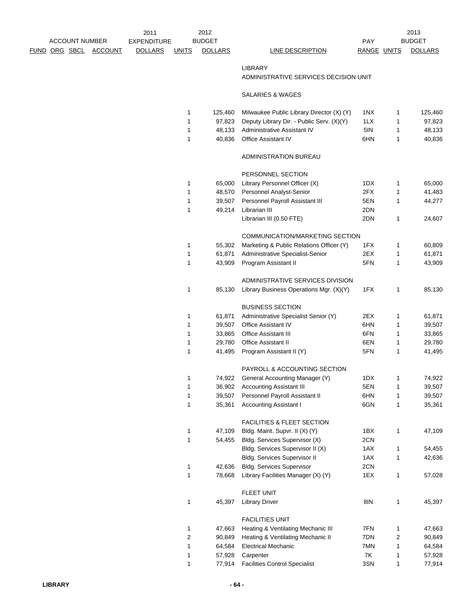|               |                       |                | $201^{\circ}$  |       | 2012                |                  |       |              | 2013          |
|---------------|-----------------------|----------------|----------------|-------|---------------------|------------------|-------|--------------|---------------|
|               | <b>ACCOUNT NUMBER</b> |                | EXPENDITURE    |       | <b>BUDGET</b>       |                  | PAY   |              | <b>BUDGET</b> |
| FUND ORG SBCL |                       | <b>ACCOUNT</b> | <b>DOLLARS</b> | UNITS | LARS<br><b>DOLL</b> | LINE DESCRIPTION | RANGE | <b>UNITS</b> | <b>DOLL</b>   |

EXPENDITURE BUDGET AND RESERVE THE PAY **LINE DESCRIPTION RANGE UNITS DOLLARS** 2013

### LIBRARY

# ADMINISTRATIVE SERVICES DECISION UNIT

## SALARIES & WAGES

| 1<br>1 | 125,460<br>97,823 | Milwaukee Public Library Director (X) (Y)<br>Deputy Library Dir. - Public Serv. (X)(Y) | 1NX<br>1LX | 1<br>1 | 125,460<br>97,823 |
|--------|-------------------|----------------------------------------------------------------------------------------|------------|--------|-------------------|
| 1      |                   | Administrative Assistant IV                                                            | 5IN        | 1      | 48,133            |
|        | 48,133            |                                                                                        |            |        |                   |
| 1      | 40,836            | <b>Office Assistant IV</b>                                                             | 6HN        | 1      | 40,836            |
|        |                   | ADMINISTRATION BUREAU                                                                  |            |        |                   |
|        |                   | PERSONNEL SECTION                                                                      |            |        |                   |
| 1      | 65,000            | Library Personnel Officer (X)                                                          | 1DX        | 1      | 65,000            |
| 1      | 48,570            | Personnel Analyst-Senior                                                               | 2FX        | 1      | 41,483            |
| 1      | 39,507            | Personnel Payroll Assistant III                                                        | 5EN        | 1      | 44,277            |
| 1      | 49,214            | Librarian III                                                                          | 2DN        |        |                   |
|        |                   | Librarian III (0.50 FTE)                                                               | 2DN        | 1      | 24,607            |
|        |                   | COMMUNICATION/MARKETING SECTION                                                        |            |        |                   |
| 1      | 55,302            | Marketing & Public Relations Officer (Y)                                               | 1FX        | 1      | 60,809            |
| 1      | 61,871            | Administrative Specialist-Senior                                                       | 2EX        | 1      | 61,871            |
| 1      | 43,909            | Program Assistant II                                                                   | 5FN        | 1      | 43,909            |
|        |                   | ADMINISTRATIVE SERVICES DIVISION                                                       |            |        |                   |
| 1      | 85,130            | Library Business Operations Mgr. (X)(Y)                                                | 1FX        | 1      | 85,130            |
|        |                   | <b>BUSINESS SECTION</b>                                                                |            |        |                   |
| 1      | 61,871            | Administrative Specialist Senior (Y)                                                   | 2EX        | 1      | 61,871            |
| 1      | 39,507            | <b>Office Assistant IV</b>                                                             | 6HN        | 1      | 39,507            |
| 1      | 33,865            | <b>Office Assistant III</b>                                                            | 6FN        | 1      | 33,865            |
| 1      | 29,780            | Office Assistant II                                                                    | 6EN        | 1      | 29,780            |
| 1      | 41,495            | Program Assistant II (Y)                                                               | 5FN        | 1      | 41,495            |
|        |                   | PAYROLL & ACCOUNTING SECTION                                                           |            |        |                   |
|        |                   |                                                                                        |            |        |                   |
| 1      | 74,922            | General Accounting Manager (Y)                                                         | 1DX        | 1      | 74,922            |
| 1      | 36,902            | <b>Accounting Assistant III</b>                                                        | 5EN        | 1      | 39,507            |
| 1      | 39,507            | Personnel Payroll Assistant II                                                         | 6HN        | 1      | 39,507            |
| 1      | 35,361            | <b>Accounting Assistant I</b>                                                          | 6GN        | 1      | 35,361            |
|        |                   | <b>FACILITIES &amp; FLEET SECTION</b>                                                  |            |        |                   |
| 1      | 47,109            | Bldg. Maint. Supvr. II (X) (Y)                                                         | 1BX        | 1      | 47,109            |
| 1      | 54,455            | Bldg. Services Supervisor (X)                                                          | 2CN        |        |                   |
|        |                   | Bldg. Services Supervisor II (X)                                                       | 1AX        | 1      | 54,455            |
|        |                   | Bidg. Services Supervisor II                                                           | 1AX        | 1      | 42,636            |
| 1      | 42,636            | <b>Bldg. Services Supervisor</b>                                                       | 2CN        |        |                   |
| 1      | 78,668            | Library Facilities Manager (X) (Y)                                                     | 1EX        | 1      | 57,028            |
|        |                   | FLEET UNIT                                                                             |            |        |                   |
| 1      | 45,397            | <b>Library Driver</b>                                                                  | 8IN        | 1      | 45,397            |
|        |                   | <b>FACILITIES UNIT</b>                                                                 |            |        |                   |
| 1      | 47,663            | Heating & Ventilating Mechanic III                                                     | 7FN        | 1      | 47,663            |
| 2      | 90,849            | Heating & Ventilating Mechanic II                                                      | 7DN        | 2      | 90,849            |
| 1      | 64,584            | <b>Electrical Mechanic</b>                                                             | 7MN        | 1      | 64,584            |
| 1      | 57,928            | Carpenter                                                                              | 7K         | 1      | 57,928            |
| 1      | 77,914            | <b>Facilities Control Specialist</b>                                                   | 3SN        | 1      | 77,914            |
|        |                   |                                                                                        |            |        |                   |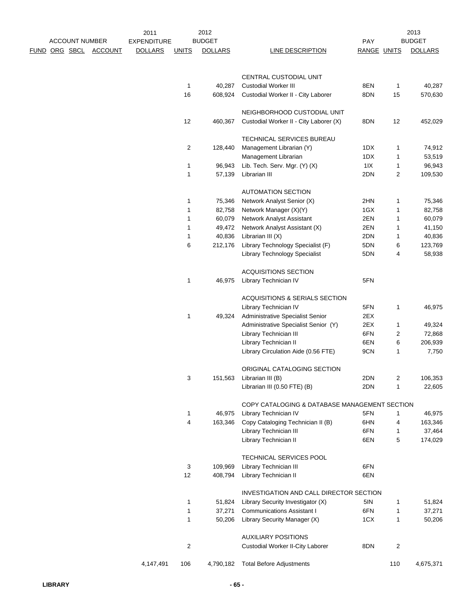|                      |                       |                | 2011               |              | 2012              |                                                        |             |        | 2013              |
|----------------------|-----------------------|----------------|--------------------|--------------|-------------------|--------------------------------------------------------|-------------|--------|-------------------|
|                      | <b>ACCOUNT NUMBER</b> |                | <b>EXPENDITURE</b> |              | <b>BUDGET</b>     |                                                        | <b>PAY</b>  |        | <b>BUDGET</b>     |
| <u>FUND ORG SBCL</u> |                       | <b>ACCOUNT</b> | <b>DOLLARS</b>     | <b>UNITS</b> | <b>DOLLARS</b>    | <b>LINE DESCRIPTION</b>                                | RANGE UNITS |        | <b>DOLLARS</b>    |
|                      |                       |                |                    |              |                   | CENTRAL CUSTODIAL UNIT                                 |             |        |                   |
|                      |                       |                |                    | 1            | 40,287            | <b>Custodial Worker III</b>                            | 8EN         | 1      | 40,287            |
|                      |                       |                |                    | 16           | 608,924           | Custodial Worker II - City Laborer                     | 8DN         | 15     | 570,630           |
|                      |                       |                |                    |              |                   | NEIGHBORHOOD CUSTODIAL UNIT                            |             |        |                   |
|                      |                       |                |                    | 12           | 460,367           | Custodial Worker II - City Laborer (X)                 | 8DN         | 12     | 452,029           |
|                      |                       |                |                    |              |                   | TECHNICAL SERVICES BUREAU                              |             |        |                   |
|                      |                       |                |                    | 2            | 128,440           | Management Librarian (Y)                               | 1DX         | 1      | 74,912            |
|                      |                       |                |                    |              |                   | Management Librarian                                   | 1DX         | 1      | 53,519            |
|                      |                       |                |                    | 1            | 96,943            | Lib. Tech. Serv. Mgr. (Y) (X)                          | $11X$       | 1      | 96,943            |
|                      |                       |                |                    | 1            | 57,139            | Librarian III                                          | 2DN         | 2      | 109,530           |
|                      |                       |                |                    |              |                   | <b>AUTOMATION SECTION</b>                              |             |        |                   |
|                      |                       |                |                    | 1            | 75,346            | Network Analyst Senior (X)                             | 2HN         | 1      | 75,346            |
|                      |                       |                |                    | 1            | 82,758            | Network Manager (X)(Y)                                 | 1GX         | 1      | 82,758            |
|                      |                       |                |                    | 1            | 60,079            | Network Analyst Assistant                              | 2EN         | 1      | 60,079            |
|                      |                       |                |                    | 1            | 49,472            | Network Analyst Assistant (X)                          | 2EN         | 1      | 41,150            |
|                      |                       |                |                    | 1<br>6       | 40,836<br>212,176 | Librarian III (X)<br>Library Technology Specialist (F) | 2DN<br>5DN  | 1<br>6 | 40,836<br>123,769 |
|                      |                       |                |                    |              |                   | <b>Library Technology Specialist</b>                   | 5DN         | 4      | 58,938            |
|                      |                       |                |                    |              |                   | <b>ACQUISITIONS SECTION</b>                            |             |        |                   |
|                      |                       |                |                    | 1            | 46,975            | Library Technician IV                                  | 5FN         |        |                   |
|                      |                       |                |                    |              |                   | ACQUISITIONS & SERIALS SECTION                         |             |        |                   |
|                      |                       |                |                    |              |                   | Library Technician IV                                  | 5FN         | 1      | 46,975            |
|                      |                       |                |                    | 1            | 49,324            | Administrative Specialist Senior                       | 2EX         |        |                   |
|                      |                       |                |                    |              |                   | Administrative Specialist Senior (Y)                   | 2EX         | 1      | 49,324            |
|                      |                       |                |                    |              |                   | Library Technician III                                 | 6FN         | 2      | 72,868            |
|                      |                       |                |                    |              |                   | Library Technician II                                  | 6EN         | 6      | 206,939           |
|                      |                       |                |                    |              |                   | Library Circulation Aide (0.56 FTE)                    | 9CN         | 1      | 7,750             |
|                      |                       |                |                    |              |                   | ORIGINAL CATALOGING SECTION                            |             |        |                   |
|                      |                       |                |                    | 3            | 151,563           | Librarian III (B)                                      | 2DN         | 2      | 106,353           |
|                      |                       |                |                    |              |                   | Librarian III (0.50 FTE) (B)                           | 2DN         | 1      | 22,605            |
|                      |                       |                |                    |              |                   | COPY CATALOGING & DATABASE MANAGEMENT SECTION          |             |        |                   |
|                      |                       |                |                    | 1            | 46,975            | Library Technician IV                                  | 5FN         | 1      | 46,975            |
|                      |                       |                |                    | 4            | 163,346           | Copy Cataloging Technician II (B)                      | 6HN         | 4      | 163,346           |
|                      |                       |                |                    |              |                   | Library Technician III                                 | 6FN         | 1      | 37,464            |
|                      |                       |                |                    |              |                   | Library Technician II                                  | 6EN         | 5      | 174,029           |
|                      |                       |                |                    |              |                   | TECHNICAL SERVICES POOL                                |             |        |                   |
|                      |                       |                |                    | 3            | 109,969           | Library Technician III                                 | 6FN         |        |                   |
|                      |                       |                |                    | 12           | 408,794           | Library Technician II                                  | 6EN         |        |                   |
|                      |                       |                |                    |              |                   | INVESTIGATION AND CALL DIRECTOR SECTION                |             |        |                   |
|                      |                       |                |                    | 1            | 51,824            | Library Security Investigator (X)                      | 5IN         | 1      | 51,824            |
|                      |                       |                |                    | 1            | 37,271            | <b>Communications Assistant I</b>                      | 6FN         | 1      | 37,271            |
|                      |                       |                |                    | 1            | 50,206            | Library Security Manager (X)                           | 1CX         | 1      | 50,206            |
|                      |                       |                |                    |              |                   | <b>AUXILIARY POSITIONS</b>                             |             |        |                   |
|                      |                       |                |                    | 2            |                   | Custodial Worker II-City Laborer                       | 8DN         | 2      |                   |
|                      |                       |                | 4,147,491          | 106          | 4,790,182         | <b>Total Before Adjustments</b>                        |             | 110    | 4,675,371         |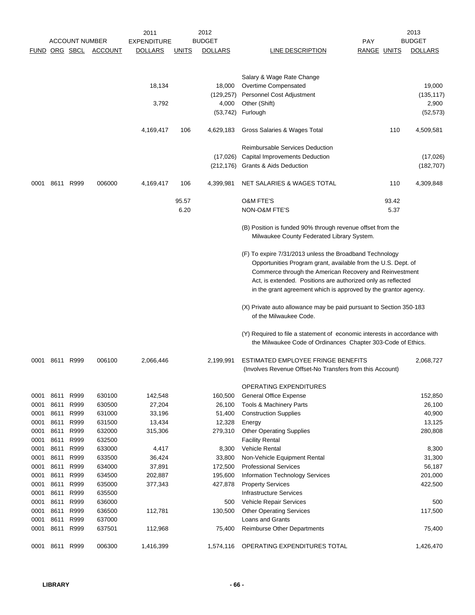|              |              | <b>ACCOUNT NUMBER</b> |                       | 2011<br><b>EXPENDITURE</b> |               | 2012<br><b>BUDGET</b>        |                                                                                                                                                                                                                                                                                                                        | PAY         |               | 2013<br><b>BUDGET</b>         |
|--------------|--------------|-----------------------|-----------------------|----------------------------|---------------|------------------------------|------------------------------------------------------------------------------------------------------------------------------------------------------------------------------------------------------------------------------------------------------------------------------------------------------------------------|-------------|---------------|-------------------------------|
|              |              |                       | FUND ORG SBCL ACCOUNT | <b>DOLLARS</b>             | <b>UNITS</b>  | <b>DOLLARS</b>               | LINE DESCRIPTION                                                                                                                                                                                                                                                                                                       | RANGE UNITS |               | <b>DOLLARS</b>                |
|              |              |                       |                       | 18,134<br>3,792            |               | 18,000<br>(129,257)<br>4,000 | Salary & Wage Rate Change<br>Overtime Compensated<br>Personnel Cost Adjustment<br>Other (Shift)                                                                                                                                                                                                                        |             |               | 19,000<br>(135, 117)<br>2,900 |
|              |              |                       |                       |                            |               | (53, 742)                    | Furlough                                                                                                                                                                                                                                                                                                               |             |               | (52, 573)                     |
|              |              |                       |                       |                            |               |                              |                                                                                                                                                                                                                                                                                                                        |             |               |                               |
|              |              |                       |                       | 4,169,417                  | 106           | 4,629,183                    | Gross Salaries & Wages Total                                                                                                                                                                                                                                                                                           |             | 110           | 4,509,581                     |
|              |              |                       |                       |                            |               | (17,026)                     | <b>Reimbursable Services Deduction</b><br>Capital Improvements Deduction<br>(212,176) Grants & Aids Deduction                                                                                                                                                                                                          |             |               | (17,026)<br>(182, 707)        |
| 0001         |              | 8611 R999             | 006000                | 4,169,417                  | 106           | 4,399,981                    | NET SALARIES & WAGES TOTAL                                                                                                                                                                                                                                                                                             |             | 110           | 4,309,848                     |
|              |              |                       |                       |                            |               |                              | <b>O&amp;M FTE'S</b>                                                                                                                                                                                                                                                                                                   |             |               |                               |
|              |              |                       |                       |                            | 95.57<br>6.20 |                              | NON-O&M FTE'S                                                                                                                                                                                                                                                                                                          |             | 93.42<br>5.37 |                               |
|              |              |                       |                       |                            |               |                              |                                                                                                                                                                                                                                                                                                                        |             |               |                               |
|              |              |                       |                       |                            |               |                              | (B) Position is funded 90% through revenue offset from the<br>Milwaukee County Federated Library System.                                                                                                                                                                                                               |             |               |                               |
|              |              |                       |                       |                            |               |                              | (F) To expire 7/31/2013 unless the Broadband Technology<br>Opportunities Program grant, available from the U.S. Dept. of<br>Commerce through the American Recovery and Reinvestment<br>Act, is extended. Positions are authorized only as reflected<br>in the grant agreement which is approved by the grantor agency. |             |               |                               |
|              |              |                       |                       |                            |               |                              | (X) Private auto allowance may be paid pursuant to Section 350-183<br>of the Milwaukee Code.                                                                                                                                                                                                                           |             |               |                               |
|              |              |                       |                       |                            |               |                              | (Y) Required to file a statement of economic interests in accordance with<br>the Milwaukee Code of Ordinances Chapter 303-Code of Ethics.                                                                                                                                                                              |             |               |                               |
| 0001         |              | 8611 R999             | 006100                | 2,066,446                  |               | 2,199,991                    | ESTIMATED EMPLOYEE FRINGE BENEFITS<br>(Involves Revenue Offset-No Transfers from this Account)                                                                                                                                                                                                                         |             |               | 2,068,727                     |
|              |              |                       |                       |                            |               |                              | OPERATING EXPENDITURES                                                                                                                                                                                                                                                                                                 |             |               |                               |
| 0001         | 8611         | R999                  | 630100                | 142,548                    |               | 160,500                      | <b>General Office Expense</b>                                                                                                                                                                                                                                                                                          |             |               | 152,850                       |
| 0001         | 8611         | R999                  | 630500                | 27,204                     |               | 26,100                       | <b>Tools &amp; Machinery Parts</b>                                                                                                                                                                                                                                                                                     |             |               | 26,100                        |
| 0001         | 8611         | R999                  | 631000                | 33,196                     |               | 51,400                       | <b>Construction Supplies</b>                                                                                                                                                                                                                                                                                           |             |               | 40,900                        |
| 0001         | 8611         | R999                  | 631500                | 13,434                     |               | 12,328                       | Energy                                                                                                                                                                                                                                                                                                                 |             |               | 13,125                        |
| 0001         | 8611         | R999                  | 632000                | 315,306                    |               | 279,310                      | <b>Other Operating Supplies</b>                                                                                                                                                                                                                                                                                        |             |               | 280,808                       |
| 0001<br>0001 | 8611<br>8611 | R999<br>R999          | 632500<br>633000      |                            |               |                              | <b>Facility Rental</b><br><b>Vehicle Rental</b>                                                                                                                                                                                                                                                                        |             |               |                               |
| 0001         | 8611         | R999                  | 633500                | 4,417<br>36,424            |               | 8,300<br>33,800              | Non-Vehicle Equipment Rental                                                                                                                                                                                                                                                                                           |             |               | 8,300<br>31,300               |
| 0001         | 8611         | R999                  | 634000                | 37,891                     |               | 172,500                      | <b>Professional Services</b>                                                                                                                                                                                                                                                                                           |             |               | 56,187                        |
| 0001         | 8611         | R999                  | 634500                | 202,887                    |               | 195,600                      | Information Technology Services                                                                                                                                                                                                                                                                                        |             |               | 201,000                       |
| 0001         | 8611         | R999                  | 635000                | 377,343                    |               | 427,878                      | <b>Property Services</b>                                                                                                                                                                                                                                                                                               |             |               | 422,500                       |
| 0001         | 8611         | R999                  | 635500                |                            |               |                              | <b>Infrastructure Services</b>                                                                                                                                                                                                                                                                                         |             |               |                               |
| 0001         | 8611         | R999                  | 636000                |                            |               | 500                          | Vehicle Repair Services                                                                                                                                                                                                                                                                                                |             |               | 500                           |
| 0001         | 8611         | R999                  | 636500                | 112,781                    |               | 130,500                      | <b>Other Operating Services</b>                                                                                                                                                                                                                                                                                        |             |               | 117,500                       |
| 0001         | 8611         | R999                  | 637000                |                            |               |                              | Loans and Grants                                                                                                                                                                                                                                                                                                       |             |               |                               |
| 0001         | 8611         | R999                  | 637501                | 112,968                    |               | 75,400                       | <b>Reimburse Other Departments</b>                                                                                                                                                                                                                                                                                     |             |               | 75,400                        |
| 0001         | 8611         | R999                  | 006300                | 1,416,399                  |               | 1,574,116                    | OPERATING EXPENDITURES TOTAL                                                                                                                                                                                                                                                                                           |             |               | 1,426,470                     |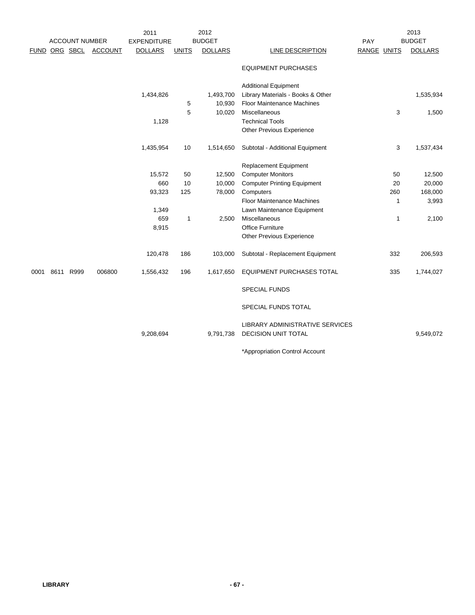|             |                       |                | 2011               |              | 2012           |                                                               |             | 2013           |
|-------------|-----------------------|----------------|--------------------|--------------|----------------|---------------------------------------------------------------|-------------|----------------|
|             | <b>ACCOUNT NUMBER</b> |                | <b>EXPENDITURE</b> |              | <b>BUDGET</b>  |                                                               | PAY         | <b>BUDGET</b>  |
| <b>FUND</b> | ORG SBCL              | <b>ACCOUNT</b> | <b>DOLLARS</b>     | <b>UNITS</b> | <b>DOLLARS</b> | LINE DESCRIPTION                                              | RANGE UNITS | <b>DOLLARS</b> |
|             |                       |                |                    |              |                | <b>EQUIPMENT PURCHASES</b>                                    |             |                |
|             |                       |                |                    |              |                | <b>Additional Equipment</b>                                   |             |                |
|             |                       |                | 1,434,826          |              | 1,493,700      | Library Materials - Books & Other                             |             | 1,535,934      |
|             |                       |                |                    | 5            | 10,930         | <b>Floor Maintenance Machines</b>                             |             |                |
|             |                       |                |                    | 5            | 10,020         | Miscellaneous                                                 | 3           | 1,500          |
|             |                       |                | 1,128              |              |                | <b>Technical Tools</b>                                        |             |                |
|             |                       |                |                    |              |                | <b>Other Previous Experience</b>                              |             |                |
|             |                       |                | 1,435,954          | 10           | 1,514,650      | Subtotal - Additional Equipment                               | 3           | 1,537,434      |
|             |                       |                |                    |              |                | Replacement Equipment                                         |             |                |
|             |                       |                | 15,572             | 50           | 12,500         | <b>Computer Monitors</b>                                      | 50          | 12,500         |
|             |                       |                | 660                | 10           | 10,000         | <b>Computer Printing Equipment</b>                            | 20          | 20,000         |
|             |                       |                | 93,323             | 125          | 78,000         | Computers                                                     | 260         | 168,000        |
|             |                       |                |                    |              |                | <b>Floor Maintenance Machines</b>                             | 1           | 3,993          |
|             |                       |                | 1,349              |              |                | Lawn Maintenance Equipment                                    |             |                |
|             |                       |                | 659                | $\mathbf{1}$ | 2,500          | Miscellaneous                                                 | 1           | 2,100          |
|             |                       |                | 8,915              |              |                | <b>Office Furniture</b>                                       |             |                |
|             |                       |                |                    |              |                | Other Previous Experience                                     |             |                |
|             |                       |                | 120,478            | 186          | 103,000        | Subtotal - Replacement Equipment                              | 332         | 206,593        |
| 0001        | 8611 R999             | 006800         | 1,556,432          | 196          | 1,617,650      | EQUIPMENT PURCHASES TOTAL                                     | 335         | 1,744,027      |
|             |                       |                |                    |              |                | <b>SPECIAL FUNDS</b>                                          |             |                |
|             |                       |                |                    |              |                | SPECIAL FUNDS TOTAL                                           |             |                |
|             |                       |                | 9,208,694          |              | 9,791,738      | LIBRARY ADMINISTRATIVE SERVICES<br><b>DECISION UNIT TOTAL</b> |             | 9,549,072      |
|             |                       |                |                    |              |                | *Appropriation Control Account                                |             |                |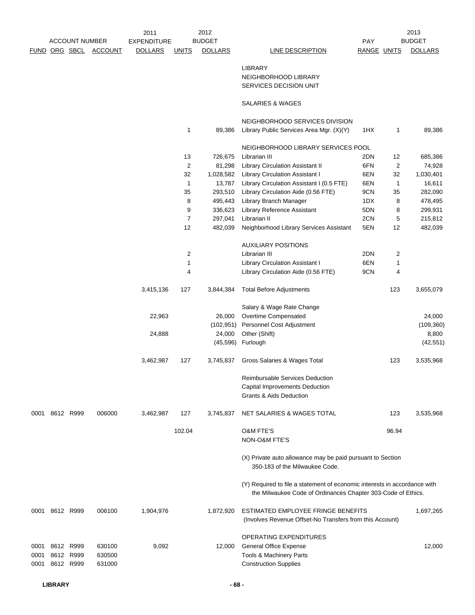|      |                |                       |         | 2011               |                | 2012           |                                                                           |             |              | 2013           |
|------|----------------|-----------------------|---------|--------------------|----------------|----------------|---------------------------------------------------------------------------|-------------|--------------|----------------|
|      |                | <b>ACCOUNT NUMBER</b> |         | <b>EXPENDITURE</b> |                | <b>BUDGET</b>  |                                                                           | PAY         |              | <b>BUDGET</b>  |
|      |                | FUND ORG SBCL         | ACCOUNT | <b>DOLLARS</b>     | <b>UNITS</b>   | <b>DOLLARS</b> | LINE DESCRIPTION                                                          | RANGE UNITS |              | <b>DOLLARS</b> |
|      |                |                       |         |                    |                |                |                                                                           |             |              |                |
|      |                |                       |         |                    |                |                | <b>LIBRARY</b>                                                            |             |              |                |
|      |                |                       |         |                    |                |                | NEIGHBORHOOD LIBRARY                                                      |             |              |                |
|      |                |                       |         |                    |                |                | SERVICES DECISION UNIT                                                    |             |              |                |
|      |                |                       |         |                    |                |                | SALARIES & WAGES                                                          |             |              |                |
|      |                |                       |         |                    |                |                | NEIGHBORHOOD SERVICES DIVISION                                            |             |              |                |
|      |                |                       |         |                    | 1              | 89,386         | Library Public Services Area Mgr. (X)(Y)                                  | 1HX         | 1            | 89,386         |
|      |                |                       |         |                    |                |                | NEIGHBORHOOD LIBRARY SERVICES POOL                                        |             |              |                |
|      |                |                       |         |                    | 13             | 726,675        | Librarian III                                                             | 2DN         | 12           | 685,386        |
|      |                |                       |         |                    | $\overline{2}$ | 81,298         | <b>Library Circulation Assistant II</b>                                   | 6FN         | 2            | 74,928         |
|      |                |                       |         |                    | 32             | 1,028,582      | <b>Library Circulation Assistant I</b>                                    | 6EN         | 32           |                |
|      |                |                       |         |                    | $\mathbf{1}$   | 13,787         |                                                                           | 6EN         |              | 1,030,401      |
|      |                |                       |         |                    |                |                | Library Circulation Assistant I (0.5 FTE)                                 |             | $\mathbf{1}$ | 16,611         |
|      |                |                       |         |                    | 35             | 293,510        | Library Circulation Aide (0.56 FTE)                                       | 9CN         | 35           | 282,090        |
|      |                |                       |         |                    | 8              | 495,443        | Library Branch Manager                                                    | 1DX         | 8            | 478,495        |
|      |                |                       |         |                    | 9              | 336,623        | Library Reference Assistant                                               | 5DN         | 8            | 299,931        |
|      |                |                       |         |                    | $\overline{7}$ | 297,041        | Librarian II                                                              | 2CN         | 5            | 215,812        |
|      |                |                       |         |                    | 12             | 482,039        | Neighborhood Library Services Assistant                                   | 5EN         | 12           | 482,039        |
|      |                |                       |         |                    |                |                | <b>AUXILIARY POSITIONS</b>                                                |             |              |                |
|      |                |                       |         |                    | $\overline{c}$ |                | Librarian III                                                             | 2DN         | 2            |                |
|      |                |                       |         |                    | $\mathbf{1}$   |                | Library Circulation Assistant I                                           | 6EN         | 1            |                |
|      |                |                       |         |                    | 4              |                | Library Circulation Aide (0.56 FTE)                                       | 9CN         | 4            |                |
|      |                |                       |         | 3,415,136          | 127            | 3,844,384      | <b>Total Before Adjustments</b>                                           |             | 123          | 3,655,079      |
|      |                |                       |         |                    |                |                | Salary & Wage Rate Change                                                 |             |              |                |
|      |                |                       |         | 22,963             |                | 26,000         | Overtime Compensated                                                      |             |              | 24,000         |
|      |                |                       |         |                    |                | (102, 951)     | Personnel Cost Adjustment                                                 |             |              | (109, 360)     |
|      |                |                       |         | 24,888             |                | 24,000         | Other (Shift)                                                             |             |              | 8,800          |
|      |                |                       |         |                    |                |                | (45,596) Furlough                                                         |             |              | (42, 551)      |
|      |                |                       |         | 3,462,987          | 127            | 3,745,837      | Gross Salaries & Wages Total                                              |             | 123          | 3,535,968      |
|      |                |                       |         |                    |                |                |                                                                           |             |              |                |
|      |                |                       |         |                    |                |                | Reimbursable Services Deduction                                           |             |              |                |
|      |                |                       |         |                    |                |                | Capital Improvements Deduction                                            |             |              |                |
|      |                |                       |         |                    |                |                | Grants & Aids Deduction                                                   |             |              |                |
|      | 0001 8612 R999 |                       | 006000  | 3,462,987          | 127            | 3,745,837      | NET SALARIES & WAGES TOTAL                                                |             | 123          | 3,535,968      |
|      |                |                       |         |                    | 102.04         |                | <b>O&amp;M FTE'S</b>                                                      |             | 96.94        |                |
|      |                |                       |         |                    |                |                | NON-O&M FTE'S                                                             |             |              |                |
|      |                |                       |         |                    |                |                | (X) Private auto allowance may be paid pursuant to Section                |             |              |                |
|      |                |                       |         |                    |                |                | 350-183 of the Milwaukee Code.                                            |             |              |                |
|      |                |                       |         |                    |                |                | (Y) Required to file a statement of economic interests in accordance with |             |              |                |
|      |                |                       |         |                    |                |                | the Milwaukee Code of Ordinances Chapter 303-Code of Ethics.              |             |              |                |
|      | 0001 8612 R999 |                       | 006100  | 1,904,976          |                | 1,872,920      | ESTIMATED EMPLOYEE FRINGE BENEFITS                                        |             |              | 1,697,265      |
|      |                |                       |         |                    |                |                | (Involves Revenue Offset-No Transfers from this Account)                  |             |              |                |
|      |                |                       |         |                    |                |                | OPERATING EXPENDITURES                                                    |             |              |                |
| 0001 | 8612 R999      |                       | 630100  | 9,092              |                | 12,000         | <b>General Office Expense</b>                                             |             |              | 12,000         |
| 0001 |                | 8612 R999             | 630500  |                    |                |                | Tools & Machinery Parts                                                   |             |              |                |
| 0001 | 8612 R999      |                       | 631000  |                    |                |                | <b>Construction Supplies</b>                                              |             |              |                |
|      |                |                       |         |                    |                |                |                                                                           |             |              |                |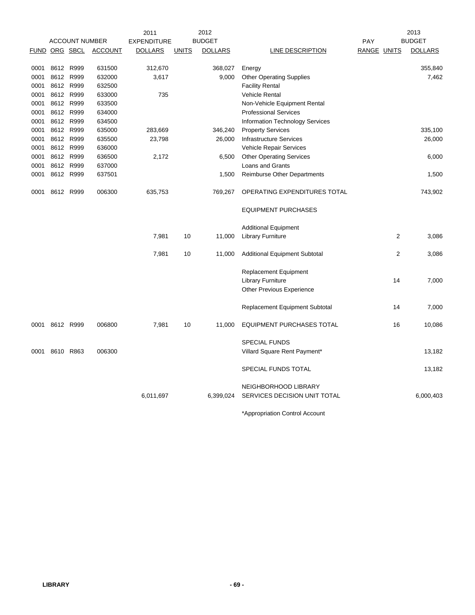|                      |           |                       |                | 2011               |              | 2012           |                                      |                    |                | 2013           |
|----------------------|-----------|-----------------------|----------------|--------------------|--------------|----------------|--------------------------------------|--------------------|----------------|----------------|
|                      |           | <b>ACCOUNT NUMBER</b> |                | <b>EXPENDITURE</b> |              | <b>BUDGET</b>  |                                      | PAY                |                | <b>BUDGET</b>  |
| <b>FUND ORG SBCL</b> |           |                       | <b>ACCOUNT</b> | <b>DOLLARS</b>     | <b>UNITS</b> | <b>DOLLARS</b> | <b>LINE DESCRIPTION</b>              | <b>RANGE UNITS</b> |                | <b>DOLLARS</b> |
| 0001                 | 8612 R999 |                       | 631500         | 312,670            |              | 368,027        | Energy                               |                    |                | 355,840        |
| 0001                 | 8612 R999 |                       | 632000         | 3,617              |              | 9,000          | <b>Other Operating Supplies</b>      |                    |                | 7,462          |
| 0001                 | 8612 R999 |                       | 632500         |                    |              |                | <b>Facility Rental</b>               |                    |                |                |
| 0001                 | 8612 R999 |                       | 633000         | 735                |              |                | <b>Vehicle Rental</b>                |                    |                |                |
| 0001                 | 8612 R999 |                       | 633500         |                    |              |                | Non-Vehicle Equipment Rental         |                    |                |                |
| 0001                 | 8612 R999 |                       | 634000         |                    |              |                | <b>Professional Services</b>         |                    |                |                |
| 0001                 | 8612 R999 |                       | 634500         |                    |              |                | Information Technology Services      |                    |                |                |
| 0001                 | 8612 R999 |                       | 635000         | 283,669            |              | 346,240        | <b>Property Services</b>             |                    |                | 335,100        |
| 0001                 | 8612 R999 |                       | 635500         | 23,798             |              | 26,000         | <b>Infrastructure Services</b>       |                    |                | 26,000         |
| 0001                 | 8612 R999 |                       | 636000         |                    |              |                | Vehicle Repair Services              |                    |                |                |
| 0001                 | 8612 R999 |                       | 636500         | 2,172              |              | 6,500          | <b>Other Operating Services</b>      |                    |                | 6,000          |
| 0001                 | 8612 R999 |                       | 637000         |                    |              |                | Loans and Grants                     |                    |                |                |
| 0001                 | 8612 R999 |                       | 637501         |                    |              | 1,500          | Reimburse Other Departments          |                    |                | 1,500          |
| 0001                 | 8612 R999 |                       | 006300         | 635,753            |              | 769,267        | OPERATING EXPENDITURES TOTAL         |                    |                | 743,902        |
|                      |           |                       |                |                    |              |                | <b>EQUIPMENT PURCHASES</b>           |                    |                |                |
|                      |           |                       |                |                    |              |                | <b>Additional Equipment</b>          |                    |                |                |
|                      |           |                       |                | 7,981              | 10           | 11,000         | <b>Library Furniture</b>             |                    | 2              | 3,086          |
|                      |           |                       |                | 7,981              | 10           | 11,000         | <b>Additional Equipment Subtotal</b> |                    | $\overline{2}$ | 3,086          |
|                      |           |                       |                |                    |              |                | <b>Replacement Equipment</b>         |                    |                |                |
|                      |           |                       |                |                    |              |                | <b>Library Furniture</b>             |                    | 14             | 7,000          |
|                      |           |                       |                |                    |              |                | <b>Other Previous Experience</b>     |                    |                |                |
|                      |           |                       |                |                    |              |                | Replacement Equipment Subtotal       |                    | 14             | 7,000          |
| 0001                 | 8612 R999 |                       | 006800         | 7,981              | 10           | 11,000         | <b>EQUIPMENT PURCHASES TOTAL</b>     |                    | 16             | 10,086         |
|                      |           |                       |                |                    |              |                | <b>SPECIAL FUNDS</b>                 |                    |                |                |
| 0001                 | 8610 R863 |                       | 006300         |                    |              |                | Villard Square Rent Payment*         |                    |                | 13,182         |
|                      |           |                       |                |                    |              |                | SPECIAL FUNDS TOTAL                  |                    |                | 13,182         |
|                      |           |                       |                |                    |              |                | NEIGHBORHOOD LIBRARY                 |                    |                |                |
|                      |           |                       |                | 6,011,697          |              | 6,399,024      | SERVICES DECISION UNIT TOTAL         |                    |                | 6,000,403      |
|                      |           |                       |                |                    |              |                |                                      |                    |                |                |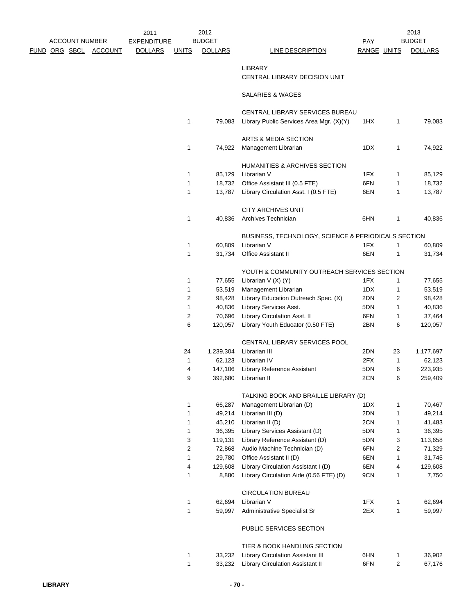|  |                       |                              | 2011               |                  | 2012           |                                                                             |             |    | 2013           |
|--|-----------------------|------------------------------|--------------------|------------------|----------------|-----------------------------------------------------------------------------|-------------|----|----------------|
|  | <b>ACCOUNT NUMBER</b> |                              | <b>EXPENDITURE</b> |                  | <b>BUDGET</b>  |                                                                             | <b>PAY</b>  |    | <b>BUDGET</b>  |
|  |                       | <u>FUND ORG SBCL ACCOUNT</u> | <b>DOLLARS</b>     | <b>UNITS</b>     | <b>DOLLARS</b> | <b>LINE DESCRIPTION</b>                                                     | RANGE UNITS |    | <b>DOLLARS</b> |
|  |                       |                              |                    |                  |                | <b>LIBRARY</b>                                                              |             |    |                |
|  |                       |                              |                    |                  |                |                                                                             |             |    |                |
|  |                       |                              |                    |                  |                | CENTRAL LIBRARY DECISION UNIT                                               |             |    |                |
|  |                       |                              |                    |                  |                | SALARIES & WAGES                                                            |             |    |                |
|  |                       |                              |                    |                  |                |                                                                             |             |    |                |
|  |                       |                              |                    | 1                | 79,083         | CENTRAL LIBRARY SERVICES BUREAU<br>Library Public Services Area Mgr. (X)(Y) | 1HX         | 1  | 79,083         |
|  |                       |                              |                    |                  |                |                                                                             |             |    |                |
|  |                       |                              |                    |                  |                | ARTS & MEDIA SECTION                                                        |             |    |                |
|  |                       |                              |                    | 1                | 74,922         | Management Librarian                                                        | 1DX         | 1  | 74,922         |
|  |                       |                              |                    |                  |                |                                                                             |             |    |                |
|  |                       |                              |                    |                  |                | HUMANITIES & ARCHIVES SECTION                                               |             |    |                |
|  |                       |                              |                    | 1                | 85,129         | Librarian V                                                                 | 1FX         | 1  | 85,129         |
|  |                       |                              |                    | 1                | 18,732         | Office Assistant III (0.5 FTE)                                              | 6FN         | 1  | 18,732         |
|  |                       |                              |                    | 1                | 13,787         | Library Circulation Asst. I (0.5 FTE)                                       | 6EN         | 1  | 13,787         |
|  |                       |                              |                    |                  |                |                                                                             |             |    |                |
|  |                       |                              |                    |                  |                | <b>CITY ARCHIVES UNIT</b>                                                   |             |    |                |
|  |                       |                              |                    | 1                | 40,836         | Archives Technician                                                         | 6HN         | 1  | 40,836         |
|  |                       |                              |                    |                  |                |                                                                             |             |    |                |
|  |                       |                              |                    |                  |                | BUSINESS, TECHNOLOGY, SCIENCE & PERIODICALS SECTION                         |             |    |                |
|  |                       |                              |                    | $\mathbf{1}$     | 60,809         | Librarian V                                                                 | 1FX         | 1  | 60,809         |
|  |                       |                              |                    | 1                | 31,734         | Office Assistant II                                                         | 6EN         | 1  | 31,734         |
|  |                       |                              |                    |                  |                |                                                                             |             |    |                |
|  |                       |                              |                    |                  |                | YOUTH & COMMUNITY OUTREACH SERVICES SECTION                                 |             |    |                |
|  |                       |                              |                    | 1                | 77,655         | Librarian $V(X) (Y)$                                                        | 1FX         | 1  | 77,655         |
|  |                       |                              |                    | 1                | 53,519         | Management Librarian                                                        | 1DX         | 1  | 53,519         |
|  |                       |                              |                    | $\overline{2}$   | 98,428         | Library Education Outreach Spec. (X)                                        | 2DN         | 2  | 98,428         |
|  |                       |                              |                    | 1                | 40,836         | Library Services Asst.                                                      | 5DN         | 1  | 40,836         |
|  |                       |                              |                    | $\overline{2}$   | 70,696         | Library Circulation Asst. II                                                | 6FN         | 1  | 37,464         |
|  |                       |                              |                    | 6                | 120,057        | Library Youth Educator (0.50 FTE)                                           | 2BN         | 6  | 120,057        |
|  |                       |                              |                    |                  |                |                                                                             |             |    |                |
|  |                       |                              |                    |                  |                | CENTRAL LIBRARY SERVICES POOL                                               |             |    |                |
|  |                       |                              |                    | 24               | 1,239,304      | Librarian III                                                               | 2DN         | 23 | 1,177,697      |
|  |                       |                              |                    | 1                | 62,123         | Librarian IV                                                                | 2FX         | 1  | 62,123         |
|  |                       |                              |                    | 4                | 147,106        | <b>Library Reference Assistant</b>                                          | 5DN         | 6  | 223,935        |
|  |                       |                              |                    | 9                |                | 392,680 Librarian II                                                        | 2CN         | 6  | 259,409        |
|  |                       |                              |                    |                  |                | TALKING BOOK AND BRAILLE LIBRARY (D)                                        |             |    |                |
|  |                       |                              |                    | 1                | 66,287         | Management Librarian (D)                                                    | 1DX         | 1  | 70,467         |
|  |                       |                              |                    | 1                | 49,214         | Librarian III (D)                                                           | 2DN         | 1  | 49,214         |
|  |                       |                              |                    | 1                | 45,210         | Librarian II (D)                                                            | 2CN         | 1  | 41,483         |
|  |                       |                              |                    | 1                | 36,395         | Library Services Assistant (D)                                              | 5DN         | 1  | 36,395         |
|  |                       |                              |                    | 3                | 119,131        | Library Reference Assistant (D)                                             | 5DN         | 3  | 113,658        |
|  |                       |                              |                    | $\boldsymbol{2}$ | 72,868         | Audio Machine Technician (D)                                                | 6FN         | 2  | 71,329         |
|  |                       |                              |                    | 1                | 29,780         | Office Assistant II (D)                                                     | 6EN         | 1  | 31,745         |
|  |                       |                              |                    | 4                | 129,608        | Library Circulation Assistant I (D)                                         | 6EN         | 4  | 129,608        |
|  |                       |                              |                    | 1                | 8,880          | Library Circulation Aide (0.56 FTE) (D)                                     | 9CN         | 1  | 7,750          |
|  |                       |                              |                    |                  |                |                                                                             |             |    |                |
|  |                       |                              |                    |                  |                | <b>CIRCULATION BUREAU</b>                                                   |             |    |                |
|  |                       |                              |                    | 1                | 62,694         | Librarian V                                                                 | 1FX         | 1  | 62,694         |
|  |                       |                              |                    | $\mathbf{1}$     | 59,997         | Administrative Specialist Sr                                                | 2EX         | 1  | 59,997         |
|  |                       |                              |                    |                  |                |                                                                             |             |    |                |
|  |                       |                              |                    |                  |                | PUBLIC SERVICES SECTION                                                     |             |    |                |
|  |                       |                              |                    |                  |                |                                                                             |             |    |                |
|  |                       |                              |                    |                  |                | TIER & BOOK HANDLING SECTION                                                |             |    |                |
|  |                       |                              |                    | 1                | 33,232         | Library Circulation Assistant III                                           | 6HN         | 1  | 36,902         |
|  |                       |                              |                    | 1                | 33,232         | Library Circulation Assistant II                                            | 6FN         | 2  | 67,176         |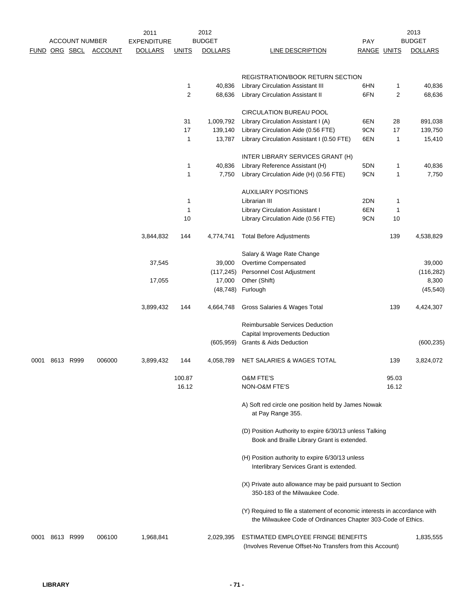|      |               | <b>ACCOUNT NUMBER</b> |                | 2011<br><b>EXPENDITURE</b> |              | 2012<br><b>BUDGET</b> |                                                                                                                                           | <b>PAY</b>  |       | 2013<br><b>BUDGET</b> |
|------|---------------|-----------------------|----------------|----------------------------|--------------|-----------------------|-------------------------------------------------------------------------------------------------------------------------------------------|-------------|-------|-----------------------|
|      | FUND ORG SBCL |                       | <b>ACCOUNT</b> | <b>DOLLARS</b>             | <b>UNITS</b> | <b>DOLLARS</b>        | LINE DESCRIPTION                                                                                                                          | RANGE UNITS |       | <b>DOLLARS</b>        |
|      |               |                       |                |                            |              |                       | <b>REGISTRATION/BOOK RETURN SECTION</b>                                                                                                   |             |       |                       |
|      |               |                       |                |                            | 1            | 40,836                | <b>Library Circulation Assistant III</b>                                                                                                  | 6HN         | 1     | 40,836                |
|      |               |                       |                |                            | 2            | 68,636                | <b>Library Circulation Assistant II</b>                                                                                                   | 6FN         | 2     | 68,636                |
|      |               |                       |                |                            |              |                       | <b>CIRCULATION BUREAU POOL</b>                                                                                                            |             |       |                       |
|      |               |                       |                |                            |              |                       |                                                                                                                                           |             |       |                       |
|      |               |                       |                |                            | 31           | 1,009,792             | Library Circulation Assistant I (A)                                                                                                       | 6EN         | 28    | 891,038               |
|      |               |                       |                |                            | 17           | 139,140               | Library Circulation Aide (0.56 FTE)                                                                                                       | 9CN         | 17    | 139,750               |
|      |               |                       |                |                            | $\mathbf{1}$ | 13,787                | Library Circulation Assistant I (0.50 FTE)                                                                                                | 6EN         | 1     | 15,410                |
|      |               |                       |                |                            |              |                       | INTER LIBRARY SERVICES GRANT (H)                                                                                                          |             |       |                       |
|      |               |                       |                |                            | 1            | 40,836                | Library Reference Assistant (H)                                                                                                           | 5DN         | 1     | 40,836                |
|      |               |                       |                |                            | $\mathbf{1}$ | 7,750                 | Library Circulation Aide (H) (0.56 FTE)                                                                                                   | 9CN         | 1     | 7,750                 |
|      |               |                       |                |                            |              |                       | <b>AUXILIARY POSITIONS</b>                                                                                                                |             |       |                       |
|      |               |                       |                |                            | $\mathbf{1}$ |                       | Librarian III                                                                                                                             | 2DN         | 1     |                       |
|      |               |                       |                |                            | $\mathbf{1}$ |                       | Library Circulation Assistant I                                                                                                           | 6EN         | 1     |                       |
|      |               |                       |                |                            | 10           |                       | Library Circulation Aide (0.56 FTE)                                                                                                       | 9CN         | 10    |                       |
|      |               |                       |                | 3,844,832                  | 144          | 4,774,741             | <b>Total Before Adjustments</b>                                                                                                           |             | 139   | 4,538,829             |
|      |               |                       |                |                            |              |                       | Salary & Wage Rate Change                                                                                                                 |             |       |                       |
|      |               |                       |                | 37,545                     |              | 39,000                | Overtime Compensated                                                                                                                      |             |       | 39,000                |
|      |               |                       |                |                            |              | (117, 245)            | Personnel Cost Adjustment                                                                                                                 |             |       | (116, 282)            |
|      |               |                       |                | 17,055                     |              | 17,000                | Other (Shift)                                                                                                                             |             |       | 8,300                 |
|      |               |                       |                |                            |              | (48, 748)             | Furlough                                                                                                                                  |             |       | (45, 540)             |
|      |               |                       |                | 3,899,432                  | 144          | 4,664,748             | Gross Salaries & Wages Total                                                                                                              |             | 139   | 4,424,307             |
|      |               |                       |                |                            |              |                       | Reimbursable Services Deduction                                                                                                           |             |       |                       |
|      |               |                       |                |                            |              |                       | Capital Improvements Deduction                                                                                                            |             |       |                       |
|      |               |                       |                |                            |              | (605, 959)            | <b>Grants &amp; Aids Deduction</b>                                                                                                        |             |       | (600, 235)            |
| 0001 |               | 8613 R999             | 006000         | 3,899,432                  | 144          | 4,058,789             | NET SALARIES & WAGES TOTAL                                                                                                                |             | 139   | 3,824,072             |
|      |               |                       |                |                            | 100.87       |                       | <b>O&amp;M FTE'S</b>                                                                                                                      |             | 95.03 |                       |
|      |               |                       |                |                            | 16.12        |                       | NON-O&M FTE'S                                                                                                                             |             | 16.12 |                       |
|      |               |                       |                |                            |              |                       | A) Soft red circle one position held by James Nowak<br>at Pay Range 355.                                                                  |             |       |                       |
|      |               |                       |                |                            |              |                       | (D) Position Authority to expire 6/30/13 unless Talking<br>Book and Braille Library Grant is extended.                                    |             |       |                       |
|      |               |                       |                |                            |              |                       | (H) Position authority to expire 6/30/13 unless<br>Interlibrary Services Grant is extended.                                               |             |       |                       |
|      |               |                       |                |                            |              |                       | (X) Private auto allowance may be paid pursuant to Section<br>350-183 of the Milwaukee Code.                                              |             |       |                       |
|      |               |                       |                |                            |              |                       | (Y) Required to file a statement of economic interests in accordance with<br>the Milwaukee Code of Ordinances Chapter 303-Code of Ethics. |             |       |                       |
| 0001 | 8613 R999     |                       | 006100         | 1,968,841                  |              | 2,029,395             | ESTIMATED EMPLOYEE FRINGE BENEFITS<br>(Involves Revenue Offset-No Transfers from this Account)                                            |             |       | 1,835,555             |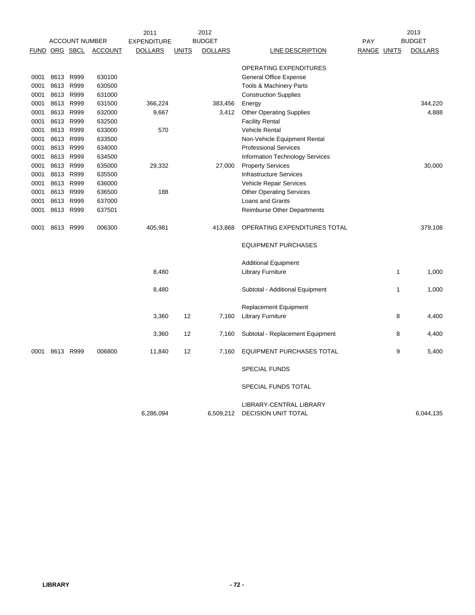|      |           |                       |                | 2011               |              | 2012           |                                                |                    |              | 2013           |
|------|-----------|-----------------------|----------------|--------------------|--------------|----------------|------------------------------------------------|--------------------|--------------|----------------|
|      |           | <b>ACCOUNT NUMBER</b> |                | <b>EXPENDITURE</b> |              | <b>BUDGET</b>  |                                                | PAY                |              | <b>BUDGET</b>  |
|      |           | FUND ORG SBCL         | <b>ACCOUNT</b> | <b>DOLLARS</b>     | <b>UNITS</b> | <b>DOLLARS</b> | LINE DESCRIPTION                               | <b>RANGE UNITS</b> |              | <b>DOLLARS</b> |
|      |           |                       |                |                    |              |                | OPERATING EXPENDITURES                         |                    |              |                |
| 0001 |           | 8613 R999             | 630100         |                    |              |                | <b>General Office Expense</b>                  |                    |              |                |
| 0001 | 8613      | R999                  | 630500         |                    |              |                | Tools & Machinery Parts                        |                    |              |                |
| 0001 |           | 8613 R999             | 631000         |                    |              |                | <b>Construction Supplies</b>                   |                    |              |                |
| 0001 |           | 8613 R999             | 631500         | 366,224            |              | 383,456        | Energy                                         |                    |              | 344,220        |
| 0001 | 8613 R999 |                       | 632000         | 9,667              |              | 3,412          | <b>Other Operating Supplies</b>                |                    |              | 4,888          |
| 0001 | 8613 R999 |                       | 632500         |                    |              |                | <b>Facility Rental</b>                         |                    |              |                |
| 0001 |           | 8613 R999             | 633000         | 570                |              |                | <b>Vehicle Rental</b>                          |                    |              |                |
| 0001 |           | 8613 R999             | 633500         |                    |              |                | Non-Vehicle Equipment Rental                   |                    |              |                |
| 0001 |           | 8613 R999             | 634000         |                    |              |                | <b>Professional Services</b>                   |                    |              |                |
| 0001 |           | 8613 R999             | 634500         |                    |              |                | <b>Information Technology Services</b>         |                    |              |                |
| 0001 |           | 8613 R999             | 635000         | 29,332             |              | 27,000         | <b>Property Services</b>                       |                    |              | 30,000         |
| 0001 |           | 8613 R999             | 635500         |                    |              |                | <b>Infrastructure Services</b>                 |                    |              |                |
| 0001 |           | 8613 R999             | 636000         |                    |              |                | Vehicle Repair Services                        |                    |              |                |
| 0001 |           | 8613 R999             | 636500         | 188                |              |                | <b>Other Operating Services</b>                |                    |              |                |
| 0001 | 8613      | R999                  | 637000         |                    |              |                | Loans and Grants                               |                    |              |                |
| 0001 |           | 8613 R999             | 637501         |                    |              |                | Reimburse Other Departments                    |                    |              |                |
| 0001 | 8613 R999 |                       | 006300         | 405,981            |              | 413,868        | OPERATING EXPENDITURES TOTAL                   |                    |              | 379,108        |
|      |           |                       |                |                    |              |                | <b>EQUIPMENT PURCHASES</b>                     |                    |              |                |
|      |           |                       |                |                    |              |                | <b>Additional Equipment</b>                    |                    |              |                |
|      |           |                       |                | 8,480              |              |                | <b>Library Furniture</b>                       |                    | $\mathbf{1}$ | 1,000          |
|      |           |                       |                | 8,480              |              |                | Subtotal - Additional Equipment                |                    | $\mathbf{1}$ | 1,000          |
|      |           |                       |                |                    |              |                | <b>Replacement Equipment</b>                   |                    |              |                |
|      |           |                       |                | 3,360              | 12           | 7,160          | <b>Library Furniture</b>                       |                    | 8            | 4,400          |
|      |           |                       |                | 3,360              | 12           | 7,160          | Subtotal - Replacement Equipment               |                    | 8            | 4,400          |
| 0001 |           | 8613 R999             | 006800         | 11,840             | 12           | 7,160          | <b>EQUIPMENT PURCHASES TOTAL</b>               |                    | 9            | 5,400          |
|      |           |                       |                |                    |              |                | <b>SPECIAL FUNDS</b>                           |                    |              |                |
|      |           |                       |                |                    |              |                | SPECIAL FUNDS TOTAL                            |                    |              |                |
|      |           |                       |                | 6,286,094          |              | 6,509,212      | LIBRARY-CENTRAL LIBRARY<br>DECISION UNIT TOTAL |                    |              | 6.044.135      |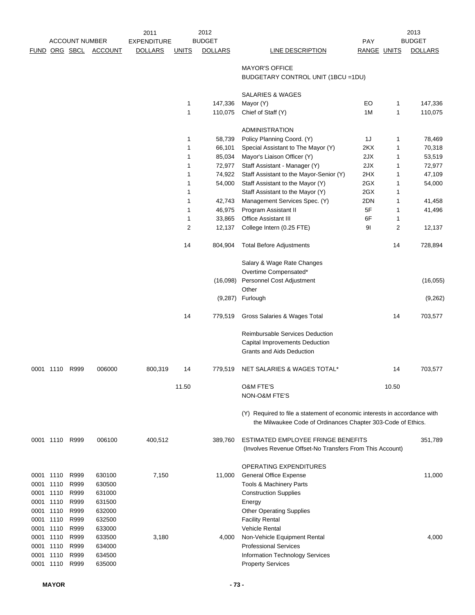|                   |                | <b>ACCOUNT NUMBER</b> |                  | 2011<br><b>EXPENDITURE</b> |              | 2012<br><b>BUDGET</b> |                                                                                                | <b>PAY</b>         |       | 2013<br><b>BUDGET</b> |
|-------------------|----------------|-----------------------|------------------|----------------------------|--------------|-----------------------|------------------------------------------------------------------------------------------------|--------------------|-------|-----------------------|
|                   |                | <b>FUND ORG SBCL</b>  | <b>ACCOUNT</b>   | <b>DOLLARS</b>             | <u>UNITS</u> | <b>DOLLARS</b>        | <b>LINE DESCRIPTION</b>                                                                        | <b>RANGE UNITS</b> |       | <b>DOLLARS</b>        |
|                   |                |                       |                  |                            |              |                       | <b>MAYOR'S OFFICE</b><br>BUDGETARY CONTROL UNIT (1BCU = 1DU)                                   |                    |       |                       |
|                   |                |                       |                  |                            |              |                       | SALARIES & WAGES                                                                               |                    |       |                       |
|                   |                |                       |                  |                            | 1            | 147,336               | Mayor (Y)                                                                                      | EO                 | 1     | 147,336               |
|                   |                |                       |                  |                            | 1            | 110,075               | Chief of Staff (Y)                                                                             | 1M                 | 1     | 110,075               |
|                   |                |                       |                  |                            |              |                       | <b>ADMINISTRATION</b>                                                                          |                    |       |                       |
|                   |                |                       |                  |                            | 1            | 58,739                | Policy Planning Coord. (Y)                                                                     | 1J                 | 1     | 78,469                |
|                   |                |                       |                  |                            | 1            | 66,101                | Special Assistant to The Mayor (Y)                                                             | 2KX                | 1     | 70,318                |
|                   |                |                       |                  |                            | 1            | 85,034                | Mayor's Liaison Officer (Y)                                                                    | 2JX                | 1     | 53,519                |
|                   |                |                       |                  |                            | 1            | 72,977                | Staff Assistant - Manager (Y)                                                                  | 2JX                | 1     | 72,977                |
|                   |                |                       |                  |                            | 1            | 74,922                | Staff Assistant to the Mayor-Senior (Y)                                                        | 2HX                | 1     | 47,109                |
|                   |                |                       |                  |                            | 1            | 54,000                | Staff Assistant to the Mayor (Y)                                                               | 2GX                | 1     | 54,000                |
|                   |                |                       |                  |                            | 1            |                       | Staff Assistant to the Mayor (Y)                                                               | 2GX                | 1     |                       |
|                   |                |                       |                  |                            | 1            | 42,743                | Management Services Spec. (Y)                                                                  | 2DN                | 1     | 41,458                |
|                   |                |                       |                  |                            | 1            | 46,975                | Program Assistant II                                                                           | 5F                 | 1     | 41,496                |
|                   |                |                       |                  |                            | 1            | 33,865                | <b>Office Assistant III</b>                                                                    | 6F                 | 1     |                       |
|                   |                |                       |                  |                            | 2            | 12,137                | College Intern (0.25 FTE)                                                                      | 91                 | 2     | 12,137                |
|                   |                |                       |                  |                            | 14           | 804,904               | <b>Total Before Adjustments</b>                                                                |                    | 14    | 728,894               |
|                   |                |                       |                  |                            |              |                       | Salary & Wage Rate Changes                                                                     |                    |       |                       |
|                   |                |                       |                  |                            |              |                       | Overtime Compensated*                                                                          |                    |       |                       |
|                   |                |                       |                  |                            |              |                       | (16,098) Personnel Cost Adjustment                                                             |                    |       | (16, 055)             |
|                   |                |                       |                  |                            |              |                       | Other                                                                                          |                    |       |                       |
|                   |                |                       |                  |                            |              | (9,287)               | Furlough                                                                                       |                    |       | (9,262)               |
|                   |                |                       |                  |                            | 14           | 779,519               | Gross Salaries & Wages Total                                                                   |                    | 14    | 703,577               |
|                   |                |                       |                  |                            |              |                       | Reimbursable Services Deduction                                                                |                    |       |                       |
|                   |                |                       |                  |                            |              |                       | Capital Improvements Deduction<br>Grants and Aids Deduction                                    |                    |       |                       |
|                   | 0001 1110      | R999                  | 006000           | 800,319                    | 14           | 779,519               | NET SALARIES & WAGES TOTAL*                                                                    |                    | 14    | 703,577               |
|                   |                |                       |                  |                            |              |                       |                                                                                                |                    |       |                       |
|                   |                |                       |                  |                            | 11.50        |                       | <b>O&amp;M FTE'S</b><br>NON-O&M FTE'S                                                          |                    | 10.50 |                       |
|                   |                |                       |                  |                            |              |                       | (Y) Required to file a statement of economic interests in accordance with                      |                    |       |                       |
|                   |                |                       |                  |                            |              |                       | the Milwaukee Code of Ordinances Chapter 303-Code of Ethics.                                   |                    |       |                       |
|                   | 0001 1110 R999 |                       | 006100           | 400,512                    |              | 389,760               | ESTIMATED EMPLOYEE FRINGE BENEFITS<br>(Involves Revenue Offset-No Transfers From This Account) |                    |       | 351,789               |
|                   |                |                       |                  |                            |              |                       | OPERATING EXPENDITURES                                                                         |                    |       |                       |
| 0001 1110         |                | R999                  | 630100           | 7,150                      |              | 11,000                | <b>General Office Expense</b>                                                                  |                    |       | 11,000                |
| 0001              | 1110           | R999                  | 630500           |                            |              |                       | Tools & Machinery Parts                                                                        |                    |       |                       |
| 0001              | 1110           | R999                  | 631000           |                            |              |                       | <b>Construction Supplies</b>                                                                   |                    |       |                       |
| 0001 1110         |                | R999                  | 631500           |                            |              |                       | Energy                                                                                         |                    |       |                       |
| 0001 1110         |                | R999                  | 632000           |                            |              |                       | <b>Other Operating Supplies</b>                                                                |                    |       |                       |
| 0001 1110         |                | R999                  | 632500           |                            |              |                       | <b>Facility Rental</b>                                                                         |                    |       |                       |
| 0001 1110         |                | R999                  | 633000           |                            |              |                       | <b>Vehicle Rental</b>                                                                          |                    |       |                       |
| 0001 1110<br>0001 | 1110           | R999<br>R999          | 633500<br>634000 | 3,180                      |              | 4,000                 | Non-Vehicle Equipment Rental<br><b>Professional Services</b>                                   |                    |       | 4,000                 |
| 0001              | 1110           | R999                  | 634500           |                            |              |                       | Information Technology Services                                                                |                    |       |                       |
| 0001              | 1110           | R999                  | 635000           |                            |              |                       | <b>Property Services</b>                                                                       |                    |       |                       |
|                   |                |                       |                  |                            |              |                       |                                                                                                |                    |       |                       |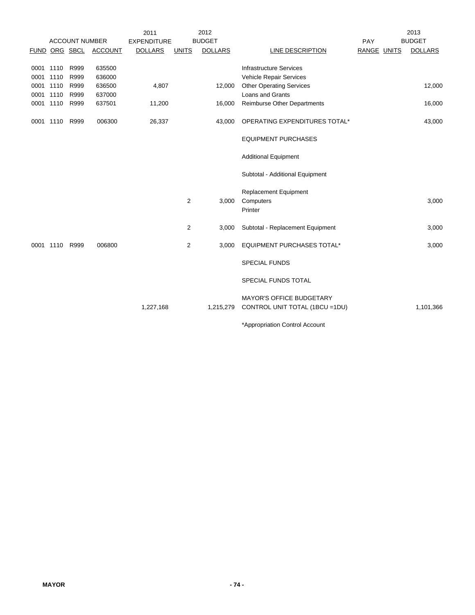|                |                       |                | 2011               |                | 2012           |                                  |             | 2013           |
|----------------|-----------------------|----------------|--------------------|----------------|----------------|----------------------------------|-------------|----------------|
|                | <b>ACCOUNT NUMBER</b> |                | <b>EXPENDITURE</b> |                | <b>BUDGET</b>  |                                  | PAY         | <b>BUDGET</b>  |
|                | FUND ORG SBCL         | <b>ACCOUNT</b> | <b>DOLLARS</b>     | <b>UNITS</b>   | <b>DOLLARS</b> | <b>LINE DESCRIPTION</b>          | RANGE UNITS | <b>DOLLARS</b> |
|                |                       |                |                    |                |                |                                  |             |                |
| 0001 1110      | R999                  | 635500         |                    |                |                | <b>Infrastructure Services</b>   |             |                |
| 0001 1110      | R999                  | 636000         |                    |                |                | Vehicle Repair Services          |             |                |
| 0001 1110      | R999                  | 636500         | 4,807              |                | 12,000         | <b>Other Operating Services</b>  |             | 12,000         |
| 0001 1110      | R999                  | 637000         |                    |                |                | Loans and Grants                 |             |                |
| 0001 1110      | R999                  | 637501         | 11,200             |                | 16,000         | Reimburse Other Departments      |             | 16,000         |
| 0001 1110 R999 |                       | 006300         | 26,337             |                | 43,000         | OPERATING EXPENDITURES TOTAL*    |             | 43,000         |
|                |                       |                |                    |                |                | <b>EQUIPMENT PURCHASES</b>       |             |                |
|                |                       |                |                    |                |                | <b>Additional Equipment</b>      |             |                |
|                |                       |                |                    |                |                | Subtotal - Additional Equipment  |             |                |
|                |                       |                |                    |                |                | <b>Replacement Equipment</b>     |             |                |
|                |                       |                |                    | $\overline{2}$ | 3,000          | Computers                        |             | 3,000          |
|                |                       |                |                    |                |                | Printer                          |             |                |
|                |                       |                |                    | $\overline{2}$ | 3,000          | Subtotal - Replacement Equipment |             | 3,000          |
| 0001 1110      | R999                  | 006800         |                    | 2              | 3,000          | EQUIPMENT PURCHASES TOTAL*       |             | 3,000          |
|                |                       |                |                    |                |                | <b>SPECIAL FUNDS</b>             |             |                |
|                |                       |                |                    |                |                | SPECIAL FUNDS TOTAL              |             |                |
|                |                       |                |                    |                |                | <b>MAYOR'S OFFICE BUDGETARY</b>  |             |                |
|                |                       |                | 1,227,168          |                | 1,215,279      | CONTROL UNIT TOTAL (1BCU =1DU)   |             | 1,101,366      |
|                |                       |                |                    |                |                | *Appropriation Control Account   |             |                |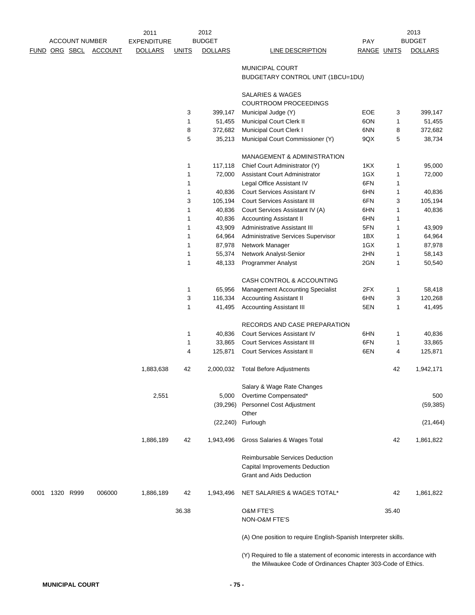|      |               |                       | 2011               |              | 2012              |                                                                                                                                           |             |        | 2013              |
|------|---------------|-----------------------|--------------------|--------------|-------------------|-------------------------------------------------------------------------------------------------------------------------------------------|-------------|--------|-------------------|
|      |               | <b>ACCOUNT NUMBER</b> | <b>EXPENDITURE</b> |              | <b>BUDGET</b>     |                                                                                                                                           | <b>PAY</b>  |        | <b>BUDGET</b>     |
|      | FUND ORG SBCL | <b>ACCOUNT</b>        | <b>DOLLARS</b>     | <b>UNITS</b> | <b>DOLLARS</b>    | <b>LINE DESCRIPTION</b>                                                                                                                   | RANGE UNITS |        | <b>DOLLARS</b>    |
|      |               |                       |                    |              |                   | <b>MUNICIPAL COURT</b>                                                                                                                    |             |        |                   |
|      |               |                       |                    |              |                   | BUDGETARY CONTROL UNIT (1BCU=1DU)                                                                                                         |             |        |                   |
|      |               |                       |                    |              |                   |                                                                                                                                           |             |        |                   |
|      |               |                       |                    |              |                   | <b>SALARIES &amp; WAGES</b>                                                                                                               |             |        |                   |
|      |               |                       |                    |              |                   | <b>COURTROOM PROCEEDINGS</b>                                                                                                              | EOE         |        |                   |
|      |               |                       |                    | 3<br>1       | 399,147<br>51,455 | Municipal Judge (Y)<br>Municipal Court Clerk II                                                                                           | 6ON         | 3<br>1 | 399,147<br>51,455 |
|      |               |                       |                    | 8            | 372,682           | Municipal Court Clerk I                                                                                                                   | 6NN         | 8      | 372,682           |
|      |               |                       |                    | 5            | 35,213            | Municipal Court Commissioner (Y)                                                                                                          | 9QX         | 5      | 38,734            |
|      |               |                       |                    |              |                   | <b>MANAGEMENT &amp; ADMINISTRATION</b>                                                                                                    |             |        |                   |
|      |               |                       |                    | 1            | 117,118           | Chief Court Administrator (Y)                                                                                                             | 1KX         | 1      | 95,000            |
|      |               |                       |                    | 1            | 72,000            | Assistant Court Administrator                                                                                                             | 1GX         | 1      | 72,000            |
|      |               |                       |                    | 1            |                   | Legal Office Assistant IV                                                                                                                 | 6FN         | 1      |                   |
|      |               |                       |                    | 1            | 40,836            | <b>Court Services Assistant IV</b>                                                                                                        | 6HN         | 1      | 40,836            |
|      |               |                       |                    | 3            | 105,194           | <b>Court Services Assistant III</b>                                                                                                       | 6FN         | 3      | 105,194           |
|      |               |                       |                    | 1            | 40,836            | Court Services Assistant IV (A)                                                                                                           | 6HN         | 1      | 40,836            |
|      |               |                       |                    | 1            | 40,836            | <b>Accounting Assistant II</b>                                                                                                            | 6HN         | 1      |                   |
|      |               |                       |                    | 1            | 43,909            | Administrative Assistant III                                                                                                              | 5FN         | 1      | 43,909            |
|      |               |                       |                    | 1            | 64,964            | Administrative Services Supervisor                                                                                                        | 1BX         | 1      | 64,964            |
|      |               |                       |                    | 1            | 87,978            | Network Manager                                                                                                                           | 1GX         | 1      | 87,978            |
|      |               |                       |                    | 1            | 55,374            | Network Analyst-Senior                                                                                                                    | 2HN         | 1      | 58,143            |
|      |               |                       |                    | 1            | 48,133            | <b>Programmer Analyst</b>                                                                                                                 | 2GN         | 1      | 50,540            |
|      |               |                       |                    |              |                   | CASH CONTROL & ACCOUNTING                                                                                                                 |             |        |                   |
|      |               |                       |                    | 1            | 65,956            | <b>Management Accounting Specialist</b>                                                                                                   | 2FX         | 1      | 58,418            |
|      |               |                       |                    | 3            | 116,334           | <b>Accounting Assistant II</b>                                                                                                            | 6HN         | 3      | 120,268           |
|      |               |                       |                    | 1            | 41,495            | <b>Accounting Assistant III</b>                                                                                                           | 5EN         | 1      | 41,495            |
|      |               |                       |                    |              |                   | RECORDS AND CASE PREPARATION                                                                                                              |             |        |                   |
|      |               |                       |                    | 1            | 40,836            | <b>Court Services Assistant IV</b>                                                                                                        | 6HN         | 1      | 40,836            |
|      |               |                       |                    | 1            | 33,865            | <b>Court Services Assistant III</b>                                                                                                       | 6FN         | 1      | 33,865            |
|      |               |                       |                    | 4            | 125,871           | <b>Court Services Assistant II</b>                                                                                                        | 6EN         | 4      | 125,871           |
|      |               |                       | 1,883,638          | 42           | 2,000,032         | <b>Total Before Adjustments</b>                                                                                                           |             | 42     | 1,942,171         |
|      |               |                       |                    |              |                   | Salary & Wage Rate Changes                                                                                                                |             |        |                   |
|      |               |                       | 2,551              |              | 5,000             | Overtime Compensated*                                                                                                                     |             |        | 500               |
|      |               |                       |                    |              | (39, 296)         | Personnel Cost Adjustment                                                                                                                 |             |        | (59, 385)         |
|      |               |                       |                    |              |                   | Other                                                                                                                                     |             |        |                   |
|      |               |                       |                    |              |                   | (22,240) Furlough                                                                                                                         |             |        | (21, 464)         |
|      |               |                       | 1,886,189          | 42           | 1,943,496         | Gross Salaries & Wages Total                                                                                                              |             | 42     | 1,861,822         |
|      |               |                       |                    |              |                   | <b>Reimbursable Services Deduction</b>                                                                                                    |             |        |                   |
|      |               |                       |                    |              |                   | Capital Improvements Deduction                                                                                                            |             |        |                   |
|      |               |                       |                    |              |                   | <b>Grant and Aids Deduction</b>                                                                                                           |             |        |                   |
| 0001 | 1320 R999     | 006000                | 1,886,189          | 42           | 1,943,496         | NET SALARIES & WAGES TOTAL*                                                                                                               |             | 42     | 1,861,822         |
|      |               |                       |                    | 36.38        |                   | <b>O&amp;M FTE'S</b>                                                                                                                      |             | 35.40  |                   |
|      |               |                       |                    |              |                   | NON-O&M FTE'S                                                                                                                             |             |        |                   |
|      |               |                       |                    |              |                   | (A) One position to require English-Spanish Interpreter skills.                                                                           |             |        |                   |
|      |               |                       |                    |              |                   | (Y) Required to file a statement of economic interests in accordance with<br>the Milwaukee Code of Ordinances Chapter 303-Code of Ethics. |             |        |                   |

**MUNICIPAL COURT - 75 -**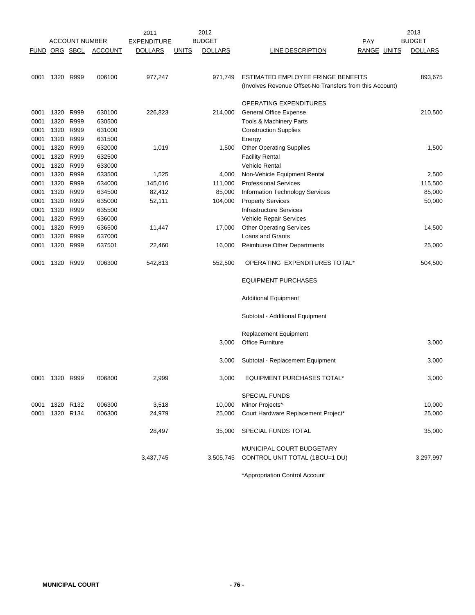|               |                |                       |                | 2011               |              | 2012           |                                                          |             | 2013           |
|---------------|----------------|-----------------------|----------------|--------------------|--------------|----------------|----------------------------------------------------------|-------------|----------------|
|               |                | <b>ACCOUNT NUMBER</b> |                | <b>EXPENDITURE</b> |              | <b>BUDGET</b>  | <b>PAY</b>                                               |             | <b>BUDGET</b>  |
| FUND ORG SBCL |                |                       | <b>ACCOUNT</b> | <b>DOLLARS</b>     | <u>UNITS</u> | <b>DOLLARS</b> | LINE DESCRIPTION                                         | RANGE UNITS | <b>DOLLARS</b> |
|               |                |                       |                |                    |              |                |                                                          |             |                |
| 0001          | 1320 R999      |                       | 006100         | 977,247            |              | 971,749        | ESTIMATED EMPLOYEE FRINGE BENEFITS                       |             | 893,675        |
|               |                |                       |                |                    |              |                | (Involves Revenue Offset-No Transfers from this Account) |             |                |
|               |                |                       |                |                    |              |                |                                                          |             |                |
|               |                |                       |                |                    |              |                | OPERATING EXPENDITURES                                   |             |                |
| 0001          | 1320           | R999                  | 630100         | 226,823            |              | 214,000        | <b>General Office Expense</b>                            |             | 210,500        |
| 0001          | 1320 R999      |                       | 630500         |                    |              |                | Tools & Machinery Parts                                  |             |                |
| 0001          | 1320           | R999                  | 631000         |                    |              |                | <b>Construction Supplies</b>                             |             |                |
| 0001          | 1320           | R999                  | 631500         |                    |              |                | Energy                                                   |             |                |
| 0001          | 1320 R999      |                       | 632000         | 1,019              |              | 1,500          | <b>Other Operating Supplies</b>                          |             | 1,500          |
| 0001          | 1320           | R999                  | 632500         |                    |              |                | <b>Facility Rental</b>                                   |             |                |
| 0001          | 1320 R999      |                       | 633000         |                    |              |                | <b>Vehicle Rental</b>                                    |             |                |
| 0001          | 1320           | R999                  | 633500         | 1,525              |              | 4,000          | Non-Vehicle Equipment Rental                             |             | 2,500          |
| 0001          | 1320 R999      |                       | 634000         | 145,016            |              | 111,000        | <b>Professional Services</b>                             |             | 115,500        |
| 0001          | 1320 R999      |                       | 634500         | 82,412             |              | 85,000         | <b>Information Technology Services</b>                   |             | 85,000         |
| 0001          | 1320 R999      |                       | 635000         | 52,111             |              | 104,000        | <b>Property Services</b>                                 |             | 50,000         |
| 0001          | 1320 R999      |                       | 635500         |                    |              |                | <b>Infrastructure Services</b>                           |             |                |
| 0001          | 1320           | R999                  | 636000         |                    |              |                | Vehicle Repair Services                                  |             |                |
| 0001          | 1320           | R999                  | 636500         | 11,447             |              | 17,000         | <b>Other Operating Services</b>                          |             | 14,500         |
| 0001          | 1320           | R999                  | 637000         |                    |              |                | Loans and Grants                                         |             |                |
| 0001          | 1320 R999      |                       | 637501         | 22,460             |              | 16,000         | <b>Reimburse Other Departments</b>                       |             | 25,000         |
| 0001          | 1320           | R999                  | 006300         | 542,813            |              | 552,500        | OPERATING EXPENDITURES TOTAL*                            |             | 504,500        |
|               |                |                       |                |                    |              |                | <b>EQUIPMENT PURCHASES</b>                               |             |                |
|               |                |                       |                |                    |              |                | <b>Additional Equipment</b>                              |             |                |
|               |                |                       |                |                    |              |                | Subtotal - Additional Equipment                          |             |                |
|               |                |                       |                |                    |              |                | <b>Replacement Equipment</b>                             |             |                |
|               |                |                       |                |                    |              | 3,000          | <b>Office Furniture</b>                                  |             | 3,000          |
|               |                |                       |                |                    |              |                |                                                          |             |                |
|               |                |                       |                |                    |              | 3,000          | Subtotal - Replacement Equipment                         |             | 3,000          |
|               | 0001 1320 R999 |                       | 006800         | 2,999              |              | 3,000          | <b>EQUIPMENT PURCHASES TOTAL*</b>                        |             | 3,000          |
|               |                |                       |                |                    |              |                | <b>SPECIAL FUNDS</b>                                     |             |                |
| 0001          | 1320 R132      |                       | 006300         | 3,518              |              | 10,000         | Minor Projects*                                          |             | 10,000         |
| 0001          | 1320 R134      |                       | 006300         | 24,979             |              | 25,000         | Court Hardware Replacement Project*                      |             | 25,000         |
|               |                |                       |                |                    |              |                |                                                          |             |                |
|               |                |                       |                | 28,497             |              | 35,000         | SPECIAL FUNDS TOTAL                                      |             | 35,000         |
|               |                |                       |                |                    |              |                | MUNICIPAL COURT BUDGETARY                                |             |                |
|               |                |                       |                | 3,437,745          |              | 3,505,745      | CONTROL UNIT TOTAL (1BCU=1 DU)                           |             | 3,297,997      |
|               |                |                       |                |                    |              |                |                                                          |             |                |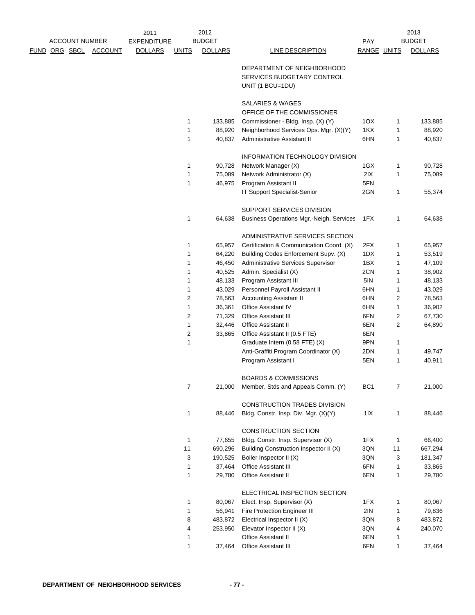|                      | <b>ACCOUNT NUMBER</b> |                | 2011<br><b>EXPENDITURE</b> |                | 2012<br><b>BUDGET</b> |                                                                              | <b>PAY</b>      |    | 2013<br><b>BUDGET</b> |
|----------------------|-----------------------|----------------|----------------------------|----------------|-----------------------|------------------------------------------------------------------------------|-----------------|----|-----------------------|
|                      |                       |                |                            |                |                       |                                                                              |                 |    |                       |
| <u>FUND ORG SBCL</u> |                       | <b>ACCOUNT</b> | <b>DOLLARS</b>             | <b>UNITS</b>   | <b>DOLLARS</b>        | LINE DESCRIPTION                                                             | RANGE UNITS     |    | <b>DOLLARS</b>        |
|                      |                       |                |                            |                |                       | DEPARTMENT OF NEIGHBORHOOD<br>SERVICES BUDGETARY CONTROL<br>UNIT (1 BCU=1DU) |                 |    |                       |
|                      |                       |                |                            |                |                       | SALARIES & WAGES<br>OFFICE OF THE COMMISSIONER                               |                 |    |                       |
|                      |                       |                |                            | 1              | 133,885               | Commissioner - Bldg. Insp. (X) (Y)                                           | 1OX             | 1  | 133,885               |
|                      |                       |                |                            | 1              | 88,920                | Neighborhood Services Ops. Mgr. (X)(Y)                                       | 1KX             | 1  | 88,920                |
|                      |                       |                |                            | 1              | 40,837                | Administrative Assistant II                                                  | 6HN             | 1  | 40,837                |
|                      |                       |                |                            |                |                       | INFORMATION TECHNOLOGY DIVISION                                              |                 |    |                       |
|                      |                       |                |                            | 1              | 90,728                | Network Manager (X)                                                          | 1GX             | 1  | 90,728                |
|                      |                       |                |                            | 1              | 75,089                | Network Administrator (X)                                                    | 2IX             | 1  | 75,089                |
|                      |                       |                |                            | 1              | 46,975                | Program Assistant II                                                         | 5FN             |    |                       |
|                      |                       |                |                            |                |                       | IT Support Specialist-Senior                                                 | 2GN             | 1  | 55,374                |
|                      |                       |                |                            |                |                       | SUPPORT SERVICES DIVISION                                                    |                 |    |                       |
|                      |                       |                |                            | 1              | 64,638                | Business Operations Mgr.-Neigh. Services                                     | 1FX             | 1  | 64,638                |
|                      |                       |                |                            |                |                       | ADMINISTRATIVE SERVICES SECTION                                              |                 |    |                       |
|                      |                       |                |                            | 1              | 65,957                | Certification & Communication Coord. (X)                                     | 2FX             | 1  | 65,957                |
|                      |                       |                |                            | 1              | 64,220                | Building Codes Enforcement Supv. (X)                                         | 1DX             | 1  | 53,519                |
|                      |                       |                |                            | 1              | 46,450                | Administrative Services Supervisor                                           | 1BX             | 1  | 47,109                |
|                      |                       |                |                            | 1              | 40,525                | Admin. Specialist (X)                                                        | 2CN             | 1  | 38,902                |
|                      |                       |                |                            | 1              | 48,133                | Program Assistant III                                                        | 5IN             | 1  | 48,133                |
|                      |                       |                |                            | 1              | 43,029                | Personnel Payroll Assistant II                                               | 6HN             | 1  | 43,029                |
|                      |                       |                |                            | $\overline{2}$ | 78,563                | <b>Accounting Assistant II</b>                                               | 6HN             | 2  | 78,563                |
|                      |                       |                |                            | 1              | 36,361                | Office Assistant IV                                                          | 6HN             | 1  | 36,902                |
|                      |                       |                |                            | $\overline{2}$ | 71,329                | <b>Office Assistant III</b>                                                  | 6FN             | 2  | 67,730                |
|                      |                       |                |                            | 1              | 32,446                | <b>Office Assistant II</b>                                                   | 6EN             | 2  | 64,890                |
|                      |                       |                |                            | $\overline{2}$ | 33,865                | Office Assistant II (0.5 FTE)                                                | 6EN             |    |                       |
|                      |                       |                |                            | 1              |                       | Graduate Intern (0.58 FTE) (X)                                               | 9PN             | 1  |                       |
|                      |                       |                |                            |                |                       | Anti-Graffiti Program Coordinator (X)                                        | 2DN             | 1  | 49,747                |
|                      |                       |                |                            |                |                       | Program Assistant I                                                          | 5EN             | 1  | 40,911                |
|                      |                       |                |                            |                |                       | <b>BOARDS &amp; COMMISSIONS</b>                                              |                 |    |                       |
|                      |                       |                |                            | $\overline{7}$ | 21,000                | Member, Stds and Appeals Comm. (Y)                                           | BC <sub>1</sub> | 7  | 21,000                |
|                      |                       |                |                            |                |                       | CONSTRUCTION TRADES DIVISION                                                 |                 |    |                       |
|                      |                       |                |                            | 1              | 88,446                | Bldg. Constr. Insp. Div. Mgr. (X)(Y)                                         | 11X             | 1  | 88,446                |
|                      |                       |                |                            |                |                       | CONSTRUCTION SECTION                                                         |                 |    |                       |
|                      |                       |                |                            | 1              | 77,655                | Bldg. Constr. Insp. Supervisor (X)                                           | 1FX             | 1  | 66,400                |
|                      |                       |                |                            | 11             | 690,296               | Building Construction Inspector II (X)                                       | 3QN             | 11 | 667,294               |
|                      |                       |                |                            | 3              | 190,525               | Boiler Inspector II (X)                                                      | 3QN             | 3  | 181,347               |
|                      |                       |                |                            | 1              | 37,464                | Office Assistant III                                                         | 6FN             | 1  | 33,865                |
|                      |                       |                |                            | 1              | 29,780                | Office Assistant II                                                          | 6EN             | 1  | 29,780                |
|                      |                       |                |                            |                |                       | ELECTRICAL INSPECTION SECTION                                                |                 |    |                       |
|                      |                       |                |                            | 1              | 80,067                | Elect. Insp. Supervisor (X)                                                  | 1FX             | 1  | 80,067                |
|                      |                       |                |                            | 1              | 56,941                | Fire Protection Engineer III                                                 | 2IN             | 1  | 79,836                |
|                      |                       |                |                            | 8              | 483,872               | Electrical Inspector II (X)                                                  | 3QN             | 8  | 483,872               |
|                      |                       |                |                            | 4              | 253,950               | Elevator Inspector II (X)                                                    | 3QN             | 4  | 240,070               |
|                      |                       |                |                            | 1              |                       | Office Assistant II                                                          | 6EN             | 1  |                       |
|                      |                       |                |                            | $\mathbf{1}$   | 37,464                | Office Assistant III                                                         | 6FN             | 1  | 37,464                |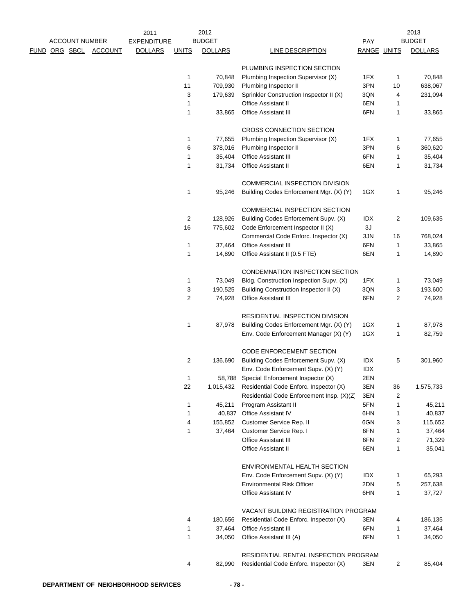|  | <b>ACCOUNT NUMBER</b> |                | 2011                                 |                | 2012<br><b>BUDGET</b> |                                                                             |                    |    | 2013<br><b>BUDGET</b> |
|--|-----------------------|----------------|--------------------------------------|----------------|-----------------------|-----------------------------------------------------------------------------|--------------------|----|-----------------------|
|  |                       |                | <b>EXPENDITURE</b><br><b>DOLLARS</b> |                |                       |                                                                             | <b>PAY</b>         |    |                       |
|  | FUND ORG SBCL         | <b>ACCOUNT</b> |                                      | <b>UNITS</b>   | <b>DOLLARS</b>        | LINE DESCRIPTION                                                            | <b>RANGE UNITS</b> |    | <b>DOLLARS</b>        |
|  |                       |                |                                      |                |                       | PLUMBING INSPECTION SECTION                                                 |                    |    |                       |
|  |                       |                |                                      | 1              | 70,848                | Plumbing Inspection Supervisor (X)                                          | 1FX                | 1  | 70,848                |
|  |                       |                |                                      | 11             | 709,930               | Plumbing Inspector II                                                       | 3PN                | 10 | 638,067               |
|  |                       |                |                                      | 3              | 179,639               | Sprinkler Construction Inspector II (X)                                     | 3QN                | 4  | 231,094               |
|  |                       |                |                                      | 1              |                       | Office Assistant II                                                         | 6EN                | 1  |                       |
|  |                       |                |                                      | $\mathbf{1}$   | 33,865                | <b>Office Assistant III</b>                                                 | 6FN                | 1  | 33,865                |
|  |                       |                |                                      |                |                       | CROSS CONNECTION SECTION                                                    |                    |    |                       |
|  |                       |                |                                      | 1              | 77,655                | Plumbing Inspection Supervisor (X)                                          | 1FX                | 1  | 77,655                |
|  |                       |                |                                      | 6              | 378,016               | Plumbing Inspector II                                                       | 3PN                | 6  | 360,620               |
|  |                       |                |                                      | 1              | 35,404                | <b>Office Assistant III</b>                                                 | 6FN                | 1  | 35,404                |
|  |                       |                |                                      | 1              | 31,734                | Office Assistant II                                                         | 6EN                | 1  | 31,734                |
|  |                       |                |                                      |                |                       | COMMERCIAL INSPECTION DIVISION                                              |                    |    |                       |
|  |                       |                |                                      | 1              | 95,246                | Building Codes Enforcement Mgr. (X) (Y)                                     | 1GX                | 1  | 95,246                |
|  |                       |                |                                      |                |                       | COMMERCIAL INSPECTION SECTION                                               |                    |    |                       |
|  |                       |                |                                      | $\overline{2}$ | 128,926               | Building Codes Enforcement Supv. (X)                                        | IDX                | 2  | 109,635               |
|  |                       |                |                                      | 16             | 775,602               | Code Enforcement Inspector II (X)                                           | $3J$               |    |                       |
|  |                       |                |                                      |                |                       | Commercial Code Enforc. Inspector (X)                                       | 3JN                | 16 | 768,024               |
|  |                       |                |                                      | 1              | 37,464                | <b>Office Assistant III</b>                                                 | 6FN                | 1  | 33,865                |
|  |                       |                |                                      | 1              | 14,890                | Office Assistant II (0.5 FTE)                                               | 6EN                | 1  | 14,890                |
|  |                       |                |                                      |                |                       | CONDEMNATION INSPECTION SECTION                                             |                    |    |                       |
|  |                       |                |                                      | 1              | 73,049                | Bldg. Construction Inspection Supv. (X)                                     | 1FX                | 1  | 73,049                |
|  |                       |                |                                      | 3              | 190,525               | Building Construction Inspector II (X)                                      | 3QN                | 3  | 193,600               |
|  |                       |                |                                      | $\overline{2}$ | 74,928                | Office Assistant III                                                        | 6FN                | 2  | 74,928                |
|  |                       |                |                                      |                |                       | RESIDENTIAL INSPECTION DIVISION                                             |                    |    |                       |
|  |                       |                |                                      | 1              | 87,978                | Building Codes Enforcement Mgr. (X) (Y)                                     | 1GX                | 1  | 87,978                |
|  |                       |                |                                      |                |                       | Env. Code Enforcement Manager (X) (Y)                                       | 1GX                | 1  | 82,759                |
|  |                       |                |                                      |                |                       | <b>CODE ENFORCEMENT SECTION</b>                                             |                    |    |                       |
|  |                       |                |                                      | 2              | 136,690               | Building Codes Enforcement Supv. (X)<br>Env. Code Enforcement Supv. (X) (Y) | IDX<br>IDX         | 5  | 301,960               |
|  |                       |                |                                      | 1              |                       | 58,788 Special Enforcement Inspector (X)                                    | 2EN                |    |                       |
|  |                       |                |                                      | 22             | 1,015,432             | Residential Code Enforc. Inspector (X)                                      | 3EN                | 36 | 1,575,733             |
|  |                       |                |                                      |                |                       | Residential Code Enforcement Insp. (X)(Z)                                   | 3EN                | 2  |                       |
|  |                       |                |                                      | 1              | 45,211                | Program Assistant II                                                        | 5FN                | 1  | 45,211                |
|  |                       |                |                                      | 1              |                       | 40,837 Office Assistant IV                                                  | 6HN                | 1  | 40,837                |
|  |                       |                |                                      | 4              | 155,852               | Customer Service Rep. II                                                    | 6GN                | 3  | 115,652               |
|  |                       |                |                                      | 1              | 37,464                | Customer Service Rep. I                                                     | 6FN                | 1  | 37,464                |
|  |                       |                |                                      |                |                       | <b>Office Assistant III</b>                                                 | 6FN                | 2  | 71,329                |
|  |                       |                |                                      |                |                       | <b>Office Assistant II</b>                                                  | 6EN                | 1  | 35,041                |
|  |                       |                |                                      |                |                       | ENVIRONMENTAL HEALTH SECTION                                                |                    |    |                       |
|  |                       |                |                                      |                |                       | Env. Code Enforcement Supv. (X) (Y)                                         | IDX                | 1  | 65,293                |
|  |                       |                |                                      |                |                       | <b>Environmental Risk Officer</b>                                           | 2DN                | 5  | 257,638               |
|  |                       |                |                                      |                |                       | <b>Office Assistant IV</b>                                                  | 6HN                | 1  | 37,727                |
|  |                       |                |                                      |                |                       | VACANT BUILDING REGISTRATION PROGRAM                                        |                    |    |                       |
|  |                       |                |                                      | 4              | 180,656               | Residential Code Enforc. Inspector (X)                                      | 3EN                | 4  | 186,135               |
|  |                       |                |                                      | 1              | 37,464                | <b>Office Assistant III</b>                                                 | 6FN                | 1  | 37,464                |
|  |                       |                |                                      | 1              | 34,050                | Office Assistant III (A)                                                    | 6FN                | 1  | 34,050                |
|  |                       |                |                                      |                |                       | RESIDENTIAL RENTAL INSPECTION PROGRAM                                       |                    |    |                       |
|  |                       |                |                                      | 4              | 82,990                | Residential Code Enforc. Inspector (X)                                      | 3EN                | 2  | 85,404                |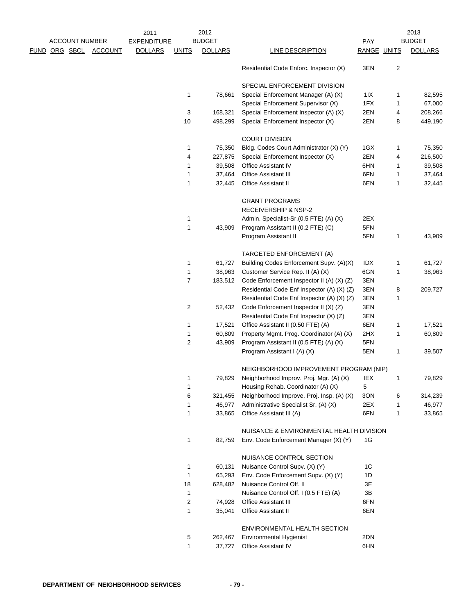|  |                       |                | 2011               |                | 2012           |                                            |                |                | 2013           |
|--|-----------------------|----------------|--------------------|----------------|----------------|--------------------------------------------|----------------|----------------|----------------|
|  | <b>ACCOUNT NUMBER</b> |                | <b>EXPENDITURE</b> |                | <b>BUDGET</b>  |                                            | <b>PAY</b>     |                | <b>BUDGET</b>  |
|  | FUND ORG SBCL         | <b>ACCOUNT</b> | <b>DOLLARS</b>     | <u>UNITS</u>   | <b>DOLLARS</b> | <b>LINE DESCRIPTION</b>                    | RANGE UNITS    |                | <b>DOLLARS</b> |
|  |                       |                |                    |                |                | Residential Code Enforc. Inspector (X)     | 3EN            | $\overline{c}$ |                |
|  |                       |                |                    |                |                | SPECIAL ENFORCEMENT DIVISION               |                |                |                |
|  |                       |                |                    | 1              | 78,661         | Special Enforcement Manager (A) (X)        | 11X            | 1              | 82,595         |
|  |                       |                |                    |                |                | Special Enforcement Supervisor (X)         | 1FX            | 1              | 67,000         |
|  |                       |                |                    | 3              | 168,321        | Special Enforcement Inspector (A) (X)      | 2EN            | 4              | 208,266        |
|  |                       |                |                    | 10             | 498,299        | Special Enforcement Inspector (X)          | 2EN            | 8              | 449,190        |
|  |                       |                |                    |                |                | <b>COURT DIVISION</b>                      |                |                |                |
|  |                       |                |                    | 1              | 75,350         | Bldg. Codes Court Administrator (X) (Y)    | 1GX            | 1              | 75,350         |
|  |                       |                |                    | 4              | 227,875        | Special Enforcement Inspector (X)          | 2EN            | 4              | 216,500        |
|  |                       |                |                    | 1              | 39,508         | Office Assistant IV                        | 6HN            | 1              | 39,508         |
|  |                       |                |                    | 1              | 37,464         | <b>Office Assistant III</b>                | 6FN            | 1              | 37,464         |
|  |                       |                |                    | 1              | 32,445         | Office Assistant II                        | 6EN            | 1              | 32,445         |
|  |                       |                |                    |                |                | <b>GRANT PROGRAMS</b>                      |                |                |                |
|  |                       |                |                    |                |                | <b>RECEIVERSHIP &amp; NSP-2</b>            |                |                |                |
|  |                       |                |                    | 1              |                | Admin. Specialist-Sr.(0.5 FTE) (A) (X)     | 2EX            |                |                |
|  |                       |                |                    | 1              | 43,909         | Program Assistant II (0.2 FTE) (C)         | 5FN            |                |                |
|  |                       |                |                    |                |                | Program Assistant II                       | 5FN            | 1              | 43,909         |
|  |                       |                |                    |                |                | TARGETED ENFORCEMENT (A)                   |                |                |                |
|  |                       |                |                    | 1              | 61,727         | Building Codes Enforcement Supv. (A)(X)    | idx            | 1              | 61,727         |
|  |                       |                |                    | 1              |                |                                            | 6GN            |                |                |
|  |                       |                |                    | $\overline{7}$ | 38,963         | Customer Service Rep. II (A) (X)           |                | 1              | 38,963         |
|  |                       |                |                    |                | 183,512        | Code Enforcement Inspector II (A) (X) (Z)  | 3EN            |                |                |
|  |                       |                |                    |                |                | Residential Code Enf Inspector (A) (X) (Z) | 3EN            | 8              | 209,727        |
|  |                       |                |                    |                |                | Residential Code Enf Inspector (A) (X) (Z) | 3EN            | 1              |                |
|  |                       |                |                    | $\overline{c}$ | 52,432         | Code Enforcement Inspector II (X) (Z)      | 3EN            |                |                |
|  |                       |                |                    |                |                | Residential Code Enf Inspector (X) (Z)     | 3EN            |                |                |
|  |                       |                |                    | 1              | 17,521         | Office Assistant II (0.50 FTE) (A)         | 6EN            | 1              | 17,521         |
|  |                       |                |                    | 1              | 60,809         | Property Mgmt. Prog. Coordinator (A) (X)   | 2HX            | 1              | 60,809         |
|  |                       |                |                    | $\overline{2}$ | 43,909         | Program Assistant II (0.5 FTE) (A) (X)     | 5FN            |                |                |
|  |                       |                |                    |                |                | Program Assistant I (A) (X)                | 5EN            | 1              | 39,507         |
|  |                       |                |                    |                |                | NEIGHBORHOOD IMPROVEMENT PROGRAM (NIP)     |                |                |                |
|  |                       |                |                    | 1              | 79,829         | Neighborhood Improv. Proj. Mgr. (A) (X)    | IEX            |                | 79,829         |
|  |                       |                |                    | 1              |                | Housing Rehab. Coordinator (A) (X)         | 5              |                |                |
|  |                       |                |                    | 6              | 321,455        | Neighborhood Improve. Proj. Insp. (A) (X)  | 3ON            | 6              | 314,239        |
|  |                       |                |                    | 1              | 46,977         | Administrative Specialist Sr. (A) (X)      | 2EX            | 1              | 46,977         |
|  |                       |                |                    | 1              | 33,865         | Office Assistant III (A)                   | 6FN            | 1              | 33,865         |
|  |                       |                |                    |                |                | NUISANCE & ENVIRONMENTAL HEALTH DIVISION   |                |                |                |
|  |                       |                |                    | 1              | 82,759         | Env. Code Enforcement Manager (X) (Y)      | 1G             |                |                |
|  |                       |                |                    |                |                | NUISANCE CONTROL SECTION                   |                |                |                |
|  |                       |                |                    | 1              | 60,131         | Nuisance Control Supv. (X) (Y)             | 1 <sup>C</sup> |                |                |
|  |                       |                |                    | 1              | 65,293         | Env. Code Enforcement Supv. (X) (Y)        | 1D             |                |                |
|  |                       |                |                    | 18             | 628,482        | Nuisance Control Off. II                   | 3E             |                |                |
|  |                       |                |                    | 1              |                | Nuisance Control Off. I (0.5 FTE) (A)      | 3B             |                |                |
|  |                       |                |                    | 2              | 74,928         | <b>Office Assistant III</b>                | 6FN            |                |                |
|  |                       |                |                    | 1              | 35,041         | Office Assistant II                        | 6EN            |                |                |
|  |                       |                |                    |                |                | ENVIRONMENTAL HEALTH SECTION               |                |                |                |
|  |                       |                |                    | 5              | 262,467        | <b>Environmental Hygienist</b>             | 2DN            |                |                |
|  |                       |                |                    | 1              | 37,727         | <b>Office Assistant IV</b>                 | 6HN            |                |                |
|  |                       |                |                    |                |                |                                            |                |                |                |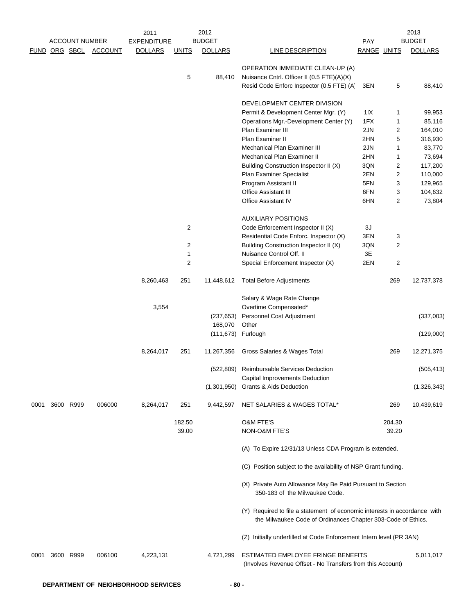|      |                       |                | 2011               |                | 2012               |                                                                                                                                           |             |        | 2013           |
|------|-----------------------|----------------|--------------------|----------------|--------------------|-------------------------------------------------------------------------------------------------------------------------------------------|-------------|--------|----------------|
|      | <b>ACCOUNT NUMBER</b> |                | <b>EXPENDITURE</b> |                | <b>BUDGET</b>      |                                                                                                                                           | PAY         |        | <b>BUDGET</b>  |
|      | FUND ORG SBCL         | <b>ACCOUNT</b> | <b>DOLLARS</b>     | <b>UNITS</b>   | <b>DOLLARS</b>     | <b>LINE DESCRIPTION</b>                                                                                                                   | RANGE UNITS |        | <b>DOLLARS</b> |
|      |                       |                |                    |                |                    | OPERATION IMMEDIATE CLEAN-UP (A)                                                                                                          |             |        |                |
|      |                       |                |                    | 5              | 88,410             | Nuisance Cntrl. Officer II (0.5 FTE)(A)(X)                                                                                                |             |        |                |
|      |                       |                |                    |                |                    | Resid Code Enforc Inspector (0.5 FTE) (A)                                                                                                 | 3EN         | 5      | 88,410         |
|      |                       |                |                    |                |                    | DEVELOPMENT CENTER DIVISION                                                                                                               |             |        |                |
|      |                       |                |                    |                |                    | Permit & Development Center Mgr. (Y)                                                                                                      |             | 1      | 99,953         |
|      |                       |                |                    |                |                    | Operations Mgr.-Development Center (Y)                                                                                                    | 11X<br>1FX  | 1      | 85,116         |
|      |                       |                |                    |                |                    | Plan Examiner III                                                                                                                         | 2JN         | 2      | 164,010        |
|      |                       |                |                    |                |                    | Plan Examiner II                                                                                                                          | 2HN         | 5      | 316,930        |
|      |                       |                |                    |                |                    | <b>Mechanical Plan Examiner III</b>                                                                                                       | 2JN         | 1      | 83,770         |
|      |                       |                |                    |                |                    | Mechanical Plan Examiner II                                                                                                               | 2HN         | 1      | 73,694         |
|      |                       |                |                    |                |                    | Building Construction Inspector II (X)                                                                                                    | 3QN         | 2      | 117,200        |
|      |                       |                |                    |                |                    | Plan Examiner Specialist                                                                                                                  | 2EN         | 2      | 110,000        |
|      |                       |                |                    |                |                    | Program Assistant II                                                                                                                      | 5FN         | 3      | 129,965        |
|      |                       |                |                    |                |                    | Office Assistant III                                                                                                                      | 6FN         | 3      | 104,632        |
|      |                       |                |                    |                |                    | <b>Office Assistant IV</b>                                                                                                                | 6HN         | 2      | 73,804         |
|      |                       |                |                    |                |                    | <b>AUXILIARY POSITIONS</b>                                                                                                                |             |        |                |
|      |                       |                |                    | $\overline{2}$ |                    | Code Enforcement Inspector II (X)                                                                                                         | 3J          |        |                |
|      |                       |                |                    |                |                    | Residential Code Enforc. Inspector (X)                                                                                                    | 3EN         | 3      |                |
|      |                       |                |                    | $\overline{2}$ |                    | Building Construction Inspector II (X)                                                                                                    | 3QN         | 2      |                |
|      |                       |                |                    | 1              |                    | Nuisance Control Off. II                                                                                                                  | 3E          |        |                |
|      |                       |                |                    | $\overline{2}$ |                    | Special Enforcement Inspector (X)                                                                                                         | 2EN         | 2      |                |
|      |                       |                | 8,260,463          | 251            | 11,448,612         | <b>Total Before Adjustments</b>                                                                                                           |             | 269    | 12,737,378     |
|      |                       |                |                    |                |                    | Salary & Wage Rate Change                                                                                                                 |             |        |                |
|      |                       |                | 3,554              |                |                    | Overtime Compensated*                                                                                                                     |             |        |                |
|      |                       |                |                    |                | (237, 653)         | Personnel Cost Adjustment                                                                                                                 |             |        | (337,003)      |
|      |                       |                |                    |                | 168,070            | Other                                                                                                                                     |             |        |                |
|      |                       |                |                    |                | (111,673) Furlough |                                                                                                                                           |             |        | (129,000)      |
|      |                       |                | 8,264,017          | 251            | 11,267,356         | Gross Salaries & Wages Total                                                                                                              |             | 269    | 12,271,375     |
|      |                       |                |                    |                |                    | (522,809) Reimbursable Services Deduction<br>Capital Improvements Deduction                                                               |             |        | (505, 413)     |
|      |                       |                |                    |                | (1,301,950)        | <b>Grants &amp; Aids Deduction</b>                                                                                                        |             |        | (1,326,343)    |
| 0001 | 3600 R999             | 006000         | 8,264,017          | 251            | 9,442,597          | NET SALARIES & WAGES TOTAL*                                                                                                               |             | 269    | 10,439,619     |
|      |                       |                |                    | 182.50         |                    | <b>O&amp;M FTE'S</b>                                                                                                                      |             | 204.30 |                |
|      |                       |                |                    | 39.00          |                    | NON-O&M FTE'S                                                                                                                             |             | 39.20  |                |
|      |                       |                |                    |                |                    | (A) To Expire 12/31/13 Unless CDA Program is extended.                                                                                    |             |        |                |
|      |                       |                |                    |                |                    | (C) Position subject to the availability of NSP Grant funding.                                                                            |             |        |                |
|      |                       |                |                    |                |                    | (X) Private Auto Allowance May Be Paid Pursuant to Section<br>350-183 of the Milwaukee Code.                                              |             |        |                |
|      |                       |                |                    |                |                    | (Y) Required to file a statement of economic interests in accordance with<br>the Milwaukee Code of Ordinances Chapter 303-Code of Ethics. |             |        |                |
|      |                       |                |                    |                |                    | (Z) Initially underfilled at Code Enforcement Intern level (PR 3AN)                                                                       |             |        |                |
| 0001 | 3600 R999             | 006100         | 4,223,131          |                | 4,721,299          | ESTIMATED EMPLOYEE FRINGE BENEFITS<br>(Involves Revenue Offset - No Transfers from this Account)                                          |             |        | 5,011,017      |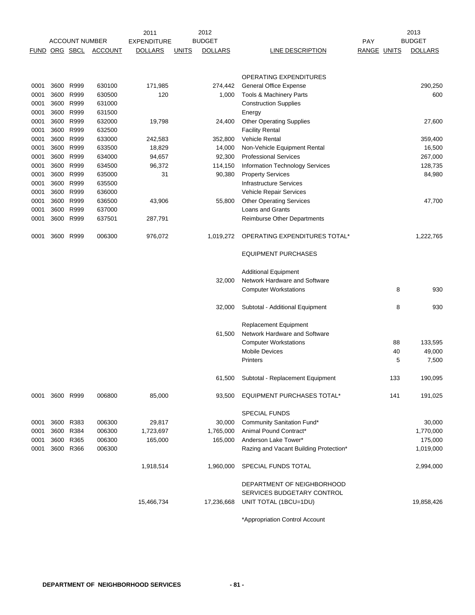|              |                        |                       |                  | 2011               |              | 2012           |                                                                |                    |          | 2013                 |
|--------------|------------------------|-----------------------|------------------|--------------------|--------------|----------------|----------------------------------------------------------------|--------------------|----------|----------------------|
|              |                        | <b>ACCOUNT NUMBER</b> |                  | <b>EXPENDITURE</b> |              | <b>BUDGET</b>  |                                                                | PAY                |          | <b>BUDGET</b>        |
| FUND         | ORG SBCL               |                       | <b>ACCOUNT</b>   | <b>DOLLARS</b>     | <b>UNITS</b> | <b>DOLLARS</b> | LINE DESCRIPTION                                               | <b>RANGE UNITS</b> |          | <b>DOLLARS</b>       |
|              |                        |                       |                  |                    |              |                | <b>OPERATING EXPENDITURES</b>                                  |                    |          |                      |
| 0001         |                        | 3600 R999             | 630100           | 171,985            |              | 274,442        | <b>General Office Expense</b>                                  |                    |          | 290,250              |
| 0001         | 3600 R999              |                       | 630500           | 120                |              | 1,000          | Tools & Machinery Parts                                        |                    |          | 600                  |
| 0001         | 3600 R999              |                       | 631000           |                    |              |                | <b>Construction Supplies</b>                                   |                    |          |                      |
| 0001         | 3600 R999<br>3600 R999 |                       | 631500           |                    |              |                | Energy                                                         |                    |          |                      |
| 0001<br>0001 | 3600 R999              |                       | 632000<br>632500 | 19,798             |              | 24,400         | <b>Other Operating Supplies</b><br><b>Facility Rental</b>      |                    |          | 27,600               |
| 0001         | 3600 R999              |                       | 633000           | 242,583            |              | 352,800        | <b>Vehicle Rental</b>                                          |                    |          | 359,400              |
| 0001         | 3600 R999              |                       | 633500           | 18,829             |              | 14,000         | Non-Vehicle Equipment Rental                                   |                    |          | 16,500               |
| 0001         | 3600 R999              |                       | 634000           | 94,657             |              | 92,300         | <b>Professional Services</b>                                   |                    |          | 267,000              |
| 0001         | 3600 R999              |                       | 634500           | 96,372             |              | 114,150        | <b>Information Technology Services</b>                         |                    |          | 128,735              |
| 0001         | 3600 R999              |                       | 635000           | 31                 |              | 90,380         | <b>Property Services</b>                                       |                    |          | 84,980               |
| 0001         | 3600 R999              |                       | 635500           |                    |              |                | <b>Infrastructure Services</b>                                 |                    |          |                      |
| 0001         | 3600 R999              |                       | 636000           |                    |              |                | Vehicle Repair Services                                        |                    |          |                      |
| 0001         | 3600 R999              |                       | 636500           | 43,906             |              | 55,800         | <b>Other Operating Services</b>                                |                    |          | 47,700               |
| 0001         |                        | 3600 R999             | 637000           |                    |              |                | <b>Loans and Grants</b>                                        |                    |          |                      |
| 0001         | 3600 R999              |                       | 637501           | 287,791            |              |                | <b>Reimburse Other Departments</b>                             |                    |          |                      |
| 0001         |                        | 3600 R999             | 006300           | 976,072            |              | 1,019,272      | OPERATING EXPENDITURES TOTAL*                                  |                    |          | 1,222,765            |
|              |                        |                       |                  |                    |              |                | <b>EQUIPMENT PURCHASES</b>                                     |                    |          |                      |
|              |                        |                       |                  |                    |              |                | <b>Additional Equipment</b>                                    |                    |          |                      |
|              |                        |                       |                  |                    |              | 32,000         | Network Hardware and Software                                  |                    |          |                      |
|              |                        |                       |                  |                    |              |                | <b>Computer Workstations</b>                                   |                    | 8        | 930                  |
|              |                        |                       |                  |                    |              | 32,000         | Subtotal - Additional Equipment                                |                    | 8        | 930                  |
|              |                        |                       |                  |                    |              |                | <b>Replacement Equipment</b>                                   |                    |          |                      |
|              |                        |                       |                  |                    |              | 61,500         | Network Hardware and Software<br><b>Computer Workstations</b>  |                    |          |                      |
|              |                        |                       |                  |                    |              |                | <b>Mobile Devices</b>                                          |                    | 88<br>40 | 133,595<br>49,000    |
|              |                        |                       |                  |                    |              |                | <b>Printers</b>                                                |                    | 5        | 7,500                |
|              |                        |                       |                  |                    |              |                |                                                                |                    |          |                      |
|              |                        |                       |                  |                    |              | 61,500         | Subtotal - Replacement Equipment                               |                    | 133      | 190,095              |
| 0001         | 3600 R999              |                       | 006800           | 85,000             |              | 93,500         | EQUIPMENT PURCHASES TOTAL*                                     |                    | 141      | 191,025              |
|              |                        |                       |                  |                    |              |                | <b>SPECIAL FUNDS</b>                                           |                    |          |                      |
| 0001         | 3600 R383              |                       | 006300           | 29,817             |              | 30,000         | Community Sanitation Fund*                                     |                    |          | 30,000               |
| 0001         | 3600 R384              |                       | 006300           | 1,723,697          |              | 1,765,000      | Animal Pound Contract*                                         |                    |          | 1,770,000            |
| 0001<br>0001 | 3600 R365<br>3600 R366 |                       | 006300<br>006300 | 165,000            |              | 165,000        | Anderson Lake Tower*<br>Razing and Vacant Building Protection* |                    |          | 175,000<br>1,019,000 |
|              |                        |                       |                  |                    |              |                |                                                                |                    |          |                      |
|              |                        |                       |                  | 1,918,514          |              | 1,960,000      | SPECIAL FUNDS TOTAL                                            |                    |          | 2,994,000            |
|              |                        |                       |                  |                    |              |                | DEPARTMENT OF NEIGHBORHOOD                                     |                    |          |                      |
|              |                        |                       |                  |                    |              |                | SERVICES BUDGETARY CONTROL                                     |                    |          |                      |
|              |                        |                       |                  | 15,466,734         |              | 17,236,668     | UNIT TOTAL (1BCU=1DU)                                          |                    |          | 19,858,426           |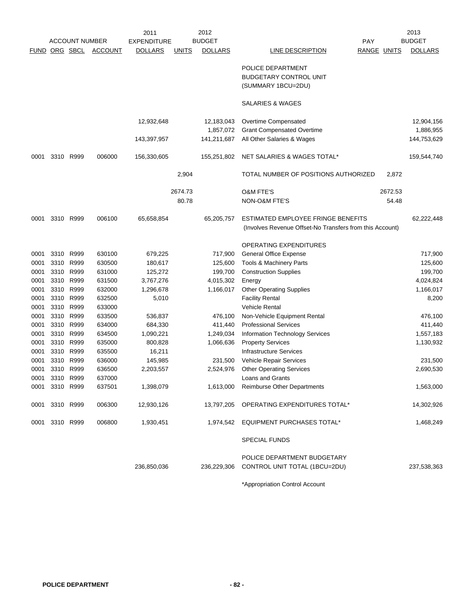|                      |           |                       |                | 2011               |              | 2012                    |                                                                                                |                    |         | 2013                    |
|----------------------|-----------|-----------------------|----------------|--------------------|--------------|-------------------------|------------------------------------------------------------------------------------------------|--------------------|---------|-------------------------|
|                      |           | <b>ACCOUNT NUMBER</b> |                | <b>EXPENDITURE</b> |              | <b>BUDGET</b>           |                                                                                                | PAY                |         | <b>BUDGET</b>           |
| <b>FUND ORG SBCL</b> |           |                       | <b>ACCOUNT</b> | <b>DOLLARS</b>     | <b>UNITS</b> | <b>DOLLARS</b>          | LINE DESCRIPTION                                                                               | <b>RANGE UNITS</b> |         | <b>DOLLARS</b>          |
|                      |           |                       |                |                    |              |                         | POLICE DEPARTMENT                                                                              |                    |         |                         |
|                      |           |                       |                |                    |              |                         | <b>BUDGETARY CONTROL UNIT</b>                                                                  |                    |         |                         |
|                      |           |                       |                |                    |              |                         | (SUMMARY 1BCU=2DU)                                                                             |                    |         |                         |
|                      |           |                       |                |                    |              |                         | SALARIES & WAGES                                                                               |                    |         |                         |
|                      |           |                       |                | 12,932,648         |              | 12,183,043<br>1,857,072 | Overtime Compensated<br><b>Grant Compensated Overtime</b>                                      |                    |         | 12,904,156<br>1,886,955 |
|                      |           |                       |                | 143,397,957        |              | 141,211,687             | All Other Salaries & Wages                                                                     |                    |         | 144,753,629             |
| 0001                 | 3310      | R999                  | 006000         | 156,330,605        |              | 155,251,802             | NET SALARIES & WAGES TOTAL*                                                                    |                    |         | 159,544,740             |
|                      |           |                       |                |                    | 2,904        |                         | TOTAL NUMBER OF POSITIONS AUTHORIZED                                                           |                    | 2,872   |                         |
|                      |           |                       |                |                    | 2674.73      |                         | <b>O&amp;M FTE'S</b>                                                                           |                    | 2672.53 |                         |
|                      |           |                       |                |                    | 80.78        |                         | NON-O&M FTE'S                                                                                  |                    | 54.48   |                         |
| 0001                 | 3310      | R999                  | 006100         | 65,658,854         |              | 65,205,757              | ESTIMATED EMPLOYEE FRINGE BENEFITS<br>(Involves Revenue Offset-No Transfers from this Account) |                    |         | 62,222,448              |
|                      |           |                       |                |                    |              |                         | OPERATING EXPENDITURES                                                                         |                    |         |                         |
| 0001                 | 3310      | R999                  | 630100         | 679,225            |              | 717,900                 | General Office Expense                                                                         |                    |         | 717,900                 |
| 0001                 | 3310 R999 |                       | 630500         | 180,617            |              | 125,600                 | Tools & Machinery Parts                                                                        |                    |         | 125,600                 |
| 0001                 | 3310      | R999                  | 631000         | 125,272            |              | 199,700                 | <b>Construction Supplies</b>                                                                   |                    |         | 199,700                 |
| 0001                 | 3310      | R999                  | 631500         | 3,767,276          |              | 4,015,302               | Energy                                                                                         |                    |         | 4,024,824               |
| 0001                 | 3310      | R999                  | 632000         | 1,296,678          |              | 1,166,017               | <b>Other Operating Supplies</b>                                                                |                    |         | 1,166,017               |
| 0001                 | 3310      | R999                  | 632500         | 5,010              |              |                         | <b>Facility Rental</b>                                                                         |                    |         | 8,200                   |
| 0001                 | 3310      | R999                  | 633000         |                    |              |                         | <b>Vehicle Rental</b>                                                                          |                    |         |                         |
| 0001                 | 3310      | R999                  | 633500         | 536,837            |              | 476,100                 | Non-Vehicle Equipment Rental                                                                   |                    |         | 476,100                 |
| 0001                 | 3310      | R999                  | 634000         | 684,330            |              | 411,440                 | <b>Professional Services</b>                                                                   |                    |         | 411,440                 |
| 0001                 | 3310      | R999                  | 634500         | 1,090,221          |              | 1,249,034               | Information Technology Services                                                                |                    |         | 1,557,183               |
| 0001                 | 3310      | R999                  | 635000         | 800,828            |              | 1,066,636               | <b>Property Services</b>                                                                       |                    |         | 1,130,932               |
| 0001                 | 3310 R999 |                       | 635500         | 16,211             |              |                         | <b>Infrastructure Services</b>                                                                 |                    |         |                         |
| 0001                 | 3310      | R999                  | 636000         | 145,985            |              | 231,500                 | Vehicle Repair Services                                                                        |                    |         | 231,500                 |
| 0001                 | 3310 R999 |                       | 636500         | 2,203,557          |              | 2,524,976               | <b>Other Operating Services</b>                                                                |                    |         | 2,690,530               |
| 0001                 | 3310 R999 |                       | 637000         |                    |              |                         | Loans and Grants                                                                               |                    |         |                         |
| 0001                 | 3310 R999 |                       | 637501         | 1,398,079          |              | 1,613,000               | <b>Reimburse Other Departments</b>                                                             |                    |         | 1,563,000               |
| 0001                 | 3310 R999 |                       | 006300         | 12,930,126         |              | 13,797,205              | OPERATING EXPENDITURES TOTAL*                                                                  |                    |         | 14,302,926              |
| 0001                 |           | 3310 R999             | 006800         | 1,930,451          |              | 1,974,542               | EQUIPMENT PURCHASES TOTAL*                                                                     |                    |         | 1,468,249               |
|                      |           |                       |                |                    |              |                         | <b>SPECIAL FUNDS</b>                                                                           |                    |         |                         |
|                      |           |                       |                |                    |              |                         | POLICE DEPARTMENT BUDGETARY                                                                    |                    |         |                         |
|                      |           |                       |                | 236,850,036        |              | 236,229,306             | CONTROL UNIT TOTAL (1BCU=2DU)                                                                  |                    |         | 237,538,363             |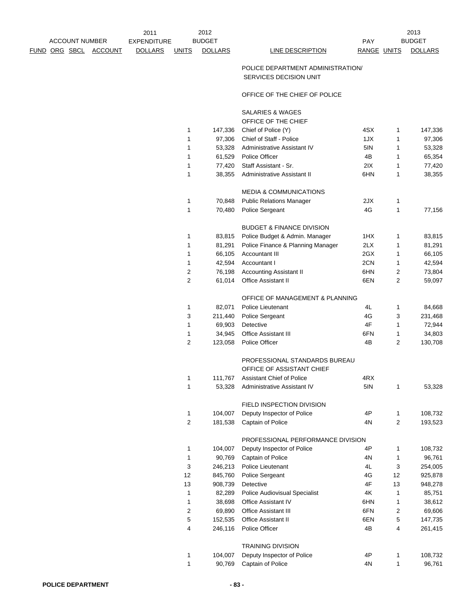|  |                       |         | 2011               |              | 2012           |                  |      |
|--|-----------------------|---------|--------------------|--------------|----------------|------------------|------|
|  | <b>ACCOUNT NUMBER</b> |         | <b>EXPENDITURE</b> |              | <b>BUDGET</b>  |                  | PAY  |
|  | FUND ORG SBCL         | ACCOUNT | <b>DOLLARS</b>     | <b>JNITS</b> | <b>DOLLARS</b> | LINE DESCRIPTION | RANG |

DOLLARS LINE DESCRIPTION RANGE UNITS DOLLARS BUDGET

2013

### POLICE DEPARTMENT ADMINISTRATION/ SERVICES DECISION UNIT

### OFFICE OF THE CHIEF OF POLICE

SALARIES & WAGES

|    |         | טשמאי ט שורש                         |     |                         |         |
|----|---------|--------------------------------------|-----|-------------------------|---------|
|    |         | OFFICE OF THE CHIEF                  |     |                         |         |
| 1  | 147,336 | Chief of Police (Y)                  | 4SX | 1                       | 147,336 |
| 1  | 97,306  | Chief of Staff - Police              | 1JX | 1                       | 97,306  |
| 1  | 53,328  | Administrative Assistant IV          | 5IN | 1                       | 53,328  |
| 1  | 61,529  | <b>Police Officer</b>                | 4B  | 1                       | 65,354  |
| 1  | 77,420  | Staff Assistant - Sr.                | 2IX | 1                       | 77,420  |
| 1  | 38,355  | Administrative Assistant II          | 6HN | 1                       | 38,355  |
|    |         | <b>MEDIA &amp; COMMUNICATIONS</b>    |     |                         |         |
| 1  | 70,848  | <b>Public Relations Manager</b>      | 2JX | 1                       |         |
| 1  | 70,480  | Police Sergeant                      | 4G  | 1                       | 77,156  |
|    |         | <b>BUDGET &amp; FINANCE DIVISION</b> |     |                         |         |
| 1  | 83,815  | Police Budget & Admin. Manager       | 1HX | 1                       | 83,815  |
| 1  | 81,291  | Police Finance & Planning Manager    | 2LX | 1                       | 81,291  |
| 1  | 66,105  | Accountant III                       | 2GX | 1                       | 66,105  |
| 1  | 42,594  | Accountant I                         | 2CN | 1                       | 42,594  |
| 2  | 76,198  | <b>Accounting Assistant II</b>       | 6HN | 2                       | 73,804  |
| 2  | 61,014  | <b>Office Assistant II</b>           | 6EN | $\overline{2}$          | 59,097  |
|    |         | OFFICE OF MANAGEMENT & PLANNING      |     |                         |         |
| 1  | 82,071  | Police Lieutenant                    | 4L  | 1                       | 84,668  |
| 3  | 211,440 | Police Sergeant                      | 4G  | 3                       | 231,468 |
| 1  | 69,903  | Detective                            | 4F  | 1                       | 72,944  |
| 1  | 34,945  | <b>Office Assistant III</b>          | 6FN | 1                       | 34,803  |
| 2  | 123,058 | Police Officer                       | 4B  | 2                       | 130,708 |
|    |         | PROFESSIONAL STANDARDS BUREAU        |     |                         |         |
|    |         | OFFICE OF ASSISTANT CHIEF            |     |                         |         |
| 1  | 111,767 | <b>Assistant Chief of Police</b>     | 4RX |                         |         |
| 1  | 53,328  | Administrative Assistant IV          | 5IN | 1                       | 53,328  |
|    |         | FIELD INSPECTION DIVISION            |     |                         |         |
| 1  | 104,007 | Deputy Inspector of Police           | 4P  | 1                       | 108,732 |
| 2  | 181,538 | Captain of Police                    | 4N  | $\overline{2}$          | 193,523 |
|    |         | PROFESSIONAL PERFORMANCE DIVISION    |     |                         |         |
| 1  | 104,007 | Deputy Inspector of Police           | 4P  | 1                       | 108,732 |
| 1  | 90,769  | Captain of Police                    | 4Ν  | 1                       | 96,761  |
| 3  | 246,213 | Police Lieutenant                    | 4L  | 3                       | 254,005 |
| 12 | 845,760 | Police Sergeant                      | 4G  | 12                      | 925,878 |
| 13 | 908,739 | Detective                            | 4F  | 13                      | 948,278 |
| 1  | 82,289  | <b>Police Audiovisual Specialist</b> | 4K  | 1                       | 85,751  |
| 1  | 38,698  | <b>Office Assistant IV</b>           | 6HN | $\mathbf{1}$            | 38,612  |
| 2  | 69,890  | <b>Office Assistant III</b>          | 6FN | 2                       | 69,606  |
| 5  | 152,535 | <b>Office Assistant II</b>           | 6EN | 5                       | 147,735 |
| 4  | 246,116 | Police Officer                       | 4B  | $\overline{\mathbf{4}}$ | 261,415 |
|    |         | <b>TRAINING DIVISION</b>             |     |                         |         |
| 1  | 104,007 | Deputy Inspector of Police           | 4P  | 1                       | 108,732 |
| 1  | 90,769  | Captain of Police                    | 4N  | $\mathbf{1}$            | 96,761  |
|    |         |                                      |     |                         |         |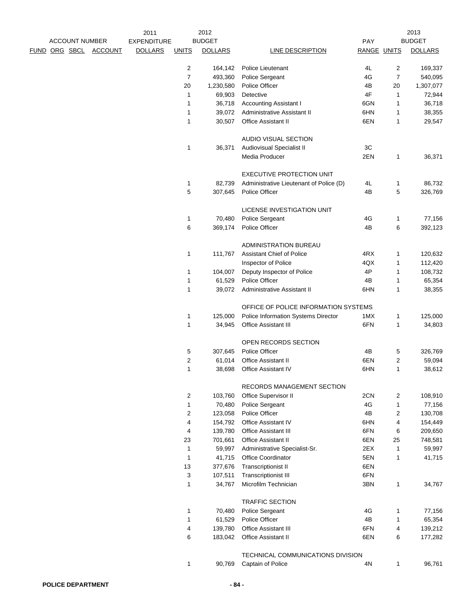|                      |                       |                | 2011               |                | 2012           |                                         |             | 2013           |                |
|----------------------|-----------------------|----------------|--------------------|----------------|----------------|-----------------------------------------|-------------|----------------|----------------|
|                      | <b>ACCOUNT NUMBER</b> |                | <b>EXPENDITURE</b> |                | <b>BUDGET</b>  |                                         | <b>PAY</b>  |                | <b>BUDGET</b>  |
| <u>FUND ORG SBCL</u> |                       | <b>ACCOUNT</b> | <b>DOLLARS</b>     | <b>UNITS</b>   | <b>DOLLARS</b> | LINE DESCRIPTION                        | RANGE UNITS |                | <b>DOLLARS</b> |
|                      |                       |                |                    | $\overline{2}$ | 164,142        | Police Lieutenant                       | 4L          | 2              | 169,337        |
|                      |                       |                |                    | $\overline{7}$ | 493,360        | Police Sergeant                         | 4G          | $\overline{7}$ | 540,095        |
|                      |                       |                |                    | 20             | 1,230,580      | Police Officer                          | 4B          | 20             | 1,307,077      |
|                      |                       |                |                    | 1              | 69,903         | Detective                               | 4F          | 1              | 72,944         |
|                      |                       |                |                    | 1              | 36,718         | Accounting Assistant I                  | 6GN         | 1              | 36,718         |
|                      |                       |                |                    | 1              | 39,072         | Administrative Assistant II             | 6HN         | 1              | 38,355         |
|                      |                       |                |                    | 1              | 30,507         | Office Assistant II                     | 6EN         | 1              | 29,547         |
|                      |                       |                |                    |                |                | AUDIO VISUAL SECTION                    |             |                |                |
|                      |                       |                |                    | 1              | 36,371         | <b>Audiovisual Specialist II</b>        | 3C          |                |                |
|                      |                       |                |                    |                |                | Media Producer                          | 2EN         | 1              | 36,371         |
|                      |                       |                |                    |                |                | <b>EXECUTIVE PROTECTION UNIT</b>        |             |                |                |
|                      |                       |                |                    | 1              | 82,739         | Administrative Lieutenant of Police (D) | 4L          | 1              | 86,732         |
|                      |                       |                |                    | 5              | 307,645        | Police Officer                          | 4B          | 5              | 326,769        |
|                      |                       |                |                    |                |                | LICENSE INVESTIGATION UNIT              |             |                |                |
|                      |                       |                |                    | 1              | 70,480         | Police Sergeant                         | 4G          | 1              | 77,156         |
|                      |                       |                |                    | 6              | 369,174        | Police Officer                          | 4B          | 6              | 392,123        |
|                      |                       |                |                    |                |                | ADMINISTRATION BUREAU                   |             |                |                |
|                      |                       |                |                    | 1              | 111,767        | <b>Assistant Chief of Police</b>        | 4RX         | 1              | 120,632        |
|                      |                       |                |                    |                |                | Inspector of Police                     | 4QX         | 1              | 112,420        |
|                      |                       |                |                    | 1              | 104,007        | Deputy Inspector of Police              | 4P          | 1              | 108,732        |
|                      |                       |                |                    | 1              | 61,529         | Police Officer                          | 4B          | 1              | 65,354         |
|                      |                       |                |                    | 1              | 39,072         | Administrative Assistant II             | 6HN         | 1              | 38,355         |
|                      |                       |                |                    |                |                | OFFICE OF POLICE INFORMATION SYSTEMS    |             |                |                |
|                      |                       |                |                    | 1              | 125,000        | Police Information Systems Director     | 1MX         | 1              | 125,000        |
|                      |                       |                |                    | 1              | 34,945         | <b>Office Assistant III</b>             | 6FN         | $\mathbf{1}$   | 34,803         |
|                      |                       |                |                    |                |                | OPEN RECORDS SECTION                    |             |                |                |
|                      |                       |                |                    | 5              | 307,645        | Police Officer                          | 4B          | 5              | 326,769        |
|                      |                       |                |                    | $\overline{2}$ | 61,014         | Office Assistant II                     | 6EN         | 2              | 59,094         |
|                      |                       |                |                    | 1              | 38,698         | Office Assistant IV                     | 6HN         | 1              | 38,612         |
|                      |                       |                |                    |                |                | RECORDS MANAGEMENT SECTION              |             |                |                |
|                      |                       |                |                    | 2              | 103,760        | Office Supervisor II                    | 2CN         | 2              | 108,910        |
|                      |                       |                |                    | 1              | 70,480         | Police Sergeant                         | 4G          | $\mathbf{1}$   | 77,156         |
|                      |                       |                |                    | 2              | 123,058        | Police Officer                          | 4B          | 2              | 130,708        |
|                      |                       |                |                    | 4              | 154,792        | <b>Office Assistant IV</b>              | 6HN         | 4              | 154,449        |
|                      |                       |                |                    | 4              | 139,780        | Office Assistant III                    | 6FN         | 6              | 209,650        |
|                      |                       |                |                    | 23             | 701,661        | <b>Office Assistant II</b>              | 6EN         | 25             | 748,581        |
|                      |                       |                |                    | $\mathbf 1$    | 59,997         | Administrative Specialist-Sr.           | 2EX         | $\mathbf{1}$   | 59,997         |
|                      |                       |                |                    | $\mathbf{1}$   | 41,715         | Office Coordinator                      | 5EN         | 1              | 41,715         |
|                      |                       |                |                    | 13             | 377,676        | <b>Transcriptionist II</b>              | 6EN         |                |                |
|                      |                       |                |                    | 3              | 107,511        | <b>Transcriptionist III</b>             | 6FN         |                |                |
|                      |                       |                |                    | 1              | 34,767         | Microfilm Technician                    | 3BN         | 1              | 34,767         |
|                      |                       |                |                    |                |                | <b>TRAFFIC SECTION</b>                  |             |                |                |
|                      |                       |                |                    | 1              | 70,480         | Police Sergeant                         | 4G          | 1              | 77,156         |
|                      |                       |                |                    | 1              | 61,529         | Police Officer                          | 4B          | 1              | 65,354         |
|                      |                       |                |                    | 4              | 139,780        | <b>Office Assistant III</b>             | 6FN         | 4              | 139,212        |
|                      |                       |                |                    | 6              | 183,042        | Office Assistant II                     | 6EN         | 6              | 177,282        |
|                      |                       |                |                    |                |                | TECHNICAL COMMUNICATIONS DIVISION       |             |                |                |
|                      |                       |                |                    | 1              | 90,769         | Captain of Police                       | 4N          | 1              | 96,761         |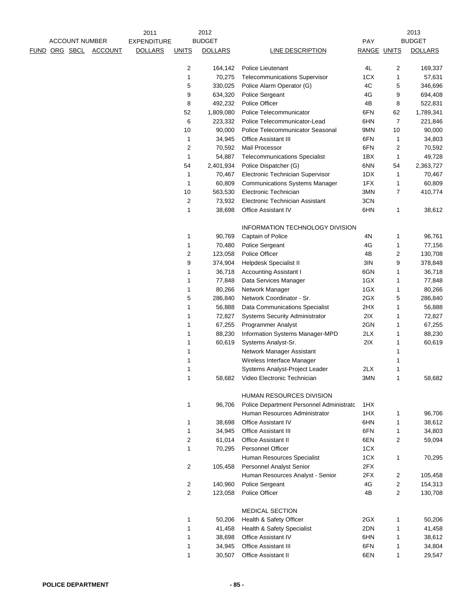|                      |                       |                | 2011               |                         | 2012           |                                          |             |    | 2013           |
|----------------------|-----------------------|----------------|--------------------|-------------------------|----------------|------------------------------------------|-------------|----|----------------|
|                      | <b>ACCOUNT NUMBER</b> |                | <b>EXPENDITURE</b> |                         | <b>BUDGET</b>  |                                          | PAY         |    | <b>BUDGET</b>  |
| <u>FUND ORG SBCL</u> |                       | <b>ACCOUNT</b> | <b>DOLLARS</b>     | <b>UNITS</b>            | <b>DOLLARS</b> | <b>LINE DESCRIPTION</b>                  | RANGE UNITS |    | <b>DOLLARS</b> |
|                      |                       |                |                    |                         |                |                                          |             |    |                |
|                      |                       |                |                    | 2                       | 164,142        | Police Lieutenant                        | 4L          | 2  | 169,337        |
|                      |                       |                |                    | 1                       | 70,275         | <b>Telecommunications Supervisor</b>     | 1CX         | 1  | 57,631         |
|                      |                       |                |                    | 5                       | 330,025        | Police Alarm Operator (G)                | 4C          | 5  | 346,696        |
|                      |                       |                |                    | 9                       | 634,320        | Police Sergeant                          | 4G          | 9  | 694,408        |
|                      |                       |                |                    | 8                       | 492,232        | Police Officer                           | 4B          | 8  | 522,831        |
|                      |                       |                |                    | 52                      | 1,809,080      | Police Telecommunicator                  | 6FN         | 62 | 1,789,341      |
|                      |                       |                |                    | 6                       | 223,332        | Police Telecommunicator-Lead             | 6HN         | 7  | 221,846        |
|                      |                       |                |                    | 10                      | 90,000         | Police Telecommunicator Seasonal         | 9MN         | 10 | 90,000         |
|                      |                       |                |                    | 1                       | 34,945         | <b>Office Assistant III</b>              | 6FN         | 1  | 34,803         |
|                      |                       |                |                    | 2                       | 70,592         | Mail Processor                           | 6FN         | 2  | 70,592         |
|                      |                       |                |                    | 1                       | 54,887         | <b>Telecommunications Specialist</b>     | 1BX         | 1  | 49,728         |
|                      |                       |                |                    | 54                      | 2,401,934      | Police Dispatcher (G)                    | 6NN         | 54 | 2,363,727      |
|                      |                       |                |                    | 1                       | 70,467         | Electronic Technician Supervisor         | 1DX         | 1  | 70,467         |
|                      |                       |                |                    | 1                       | 60,809         | <b>Communications Systems Manager</b>    | 1FX         | 1  | 60,809         |
|                      |                       |                |                    | 10                      | 563,530        | Electronic Technician                    | 3MN         | 7  | 410,774        |
|                      |                       |                |                    | 2                       | 73,932         | Electronic Technician Assistant          | 3CN         |    |                |
|                      |                       |                |                    | 1                       | 38,698         | <b>Office Assistant IV</b>               | 6HN         | 1  | 38,612         |
|                      |                       |                |                    |                         |                | INFORMATION TECHNOLOGY DIVISION          |             |    |                |
|                      |                       |                |                    | 1                       | 90,769         | Captain of Police                        | 4N          | 1  | 96,761         |
|                      |                       |                |                    | 1                       | 70,480         | Police Sergeant                          | 4G          | 1  | 77,156         |
|                      |                       |                |                    | 2                       | 123,058        | Police Officer                           | 4B          | 2  | 130,708        |
|                      |                       |                |                    | 9                       | 374,904        | <b>Helpdesk Specialist II</b>            | 3IN         | 9  | 378,848        |
|                      |                       |                |                    | 1                       | 36,718         | <b>Accounting Assistant I</b>            | 6GN         | 1  | 36,718         |
|                      |                       |                |                    | 1                       | 77,848         | Data Services Manager                    | 1GX         | 1  | 77,848         |
|                      |                       |                |                    | 1                       | 80,266         | Network Manager                          | 1GX         | 1  | 80,266         |
|                      |                       |                |                    | 5                       | 286,840        | Network Coordinator - Sr.                | 2GX         | 5  | 286,840        |
|                      |                       |                |                    | 1                       | 56,888         | Data Communications Specialist           | 2HX         | 1  | 56,888         |
|                      |                       |                |                    | 1                       | 72,827         | <b>Systems Security Administrator</b>    | 2IX         | 1  | 72,827         |
|                      |                       |                |                    | 1                       | 67,255         | <b>Programmer Analyst</b>                | 2GN         | 1  | 67,255         |
|                      |                       |                |                    | 1                       | 88,230         | Information Systems Manager-MPD          | 2LX         | 1  | 88,230         |
|                      |                       |                |                    | 1                       | 60,619         | Systems Analyst-Sr.                      | 2IX         | 1  | 60,619         |
|                      |                       |                |                    | 1                       |                | Network Manager Assistant                |             |    |                |
|                      |                       |                |                    |                         |                | Wireless Interface Manager               |             |    |                |
|                      |                       |                |                    | 1                       |                | Systems Analyst-Project Leader           | 2LX         | 1  |                |
|                      |                       |                |                    |                         |                | 58,682 Video Electronic Technician       | 3MN         |    | 58,682         |
|                      |                       |                |                    |                         |                |                                          |             |    |                |
|                      |                       |                |                    |                         |                | <b>HUMAN RESOURCES DIVISION</b>          |             |    |                |
|                      |                       |                |                    | 1                       | 96,706         | Police Department Personnel Administrato | 1HX         |    |                |
|                      |                       |                |                    |                         |                | Human Resources Administrator            | 1HX         | 1  | 96,706         |
|                      |                       |                |                    | 1                       | 38,698         | <b>Office Assistant IV</b>               | 6HN         | 1  | 38,612         |
|                      |                       |                |                    | 1                       | 34,945         | Office Assistant III                     | 6FN         | 1  | 34,803         |
|                      |                       |                |                    | 2                       | 61,014         | Office Assistant II                      | 6EN         | 2  | 59,094         |
|                      |                       |                |                    | 1                       | 70,295         | Personnel Officer                        | 1CX         |    |                |
|                      |                       |                |                    |                         |                | Human Resources Specialist               | 1CX         | 1  | 70,295         |
|                      |                       |                |                    | 2                       | 105,458        | Personnel Analyst Senior                 | 2FX         |    |                |
|                      |                       |                |                    |                         |                | Human Resources Analyst - Senior         | 2FX         | 2  | 105,458        |
|                      |                       |                |                    | 2                       | 140,960        | Police Sergeant                          | 4G          | 2  | 154,313        |
|                      |                       |                |                    | $\overline{\mathbf{c}}$ | 123,058        | Police Officer                           | 4B          | 2  | 130,708        |
|                      |                       |                |                    |                         |                | <b>MEDICAL SECTION</b>                   |             |    |                |
|                      |                       |                |                    | 1                       | 50,206         | Health & Safety Officer                  | 2GX         | 1  | 50,206         |
|                      |                       |                |                    | 1                       | 41,458         | Health & Safety Specialist               | 2DN         | 1  | 41,458         |
|                      |                       |                |                    | 1                       | 38,698         | Office Assistant IV                      | 6HN         | 1  | 38,612         |
|                      |                       |                |                    | 1                       | 34,945         | Office Assistant III                     | 6FN         | 1  | 34,804         |
|                      |                       |                |                    | 1                       | 30,507         | Office Assistant II                      | 6EN         | 1  | 29,547         |
|                      |                       |                |                    |                         |                |                                          |             |    |                |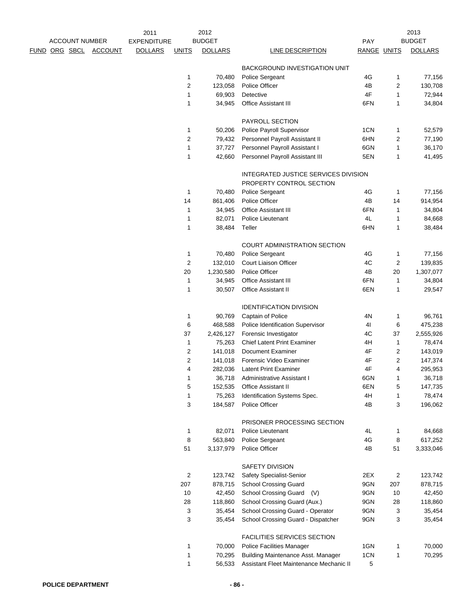|      |          |                       |                | 2011               |                  | 2012                 |                                                |             |                | 2013                 |
|------|----------|-----------------------|----------------|--------------------|------------------|----------------------|------------------------------------------------|-------------|----------------|----------------------|
|      |          | <b>ACCOUNT NUMBER</b> |                | <b>EXPENDITURE</b> |                  | <b>BUDGET</b>        |                                                | <b>PAY</b>  |                | <b>BUDGET</b>        |
| FUND | ORG SBCL |                       | <b>ACCOUNT</b> | <b>DOLLARS</b>     | <b>UNITS</b>     | <b>DOLLARS</b>       | <b>LINE DESCRIPTION</b>                        | RANGE UNITS |                | <b>DOLLARS</b>       |
|      |          |                       |                |                    |                  |                      | BACKGROUND INVESTIGATION UNIT                  |             |                |                      |
|      |          |                       |                |                    | 1                | 70,480               | Police Sergeant                                | 4G          | 1              | 77,156               |
|      |          |                       |                |                    | $\sqrt{2}$       | 123,058              | Police Officer                                 | 4B          | 2              | 130,708              |
|      |          |                       |                |                    | 1                | 69,903               | Detective                                      | 4F          | 1              | 72,944               |
|      |          |                       |                |                    | 1                | 34,945               | Office Assistant III                           | 6FN         | 1              | 34,804               |
|      |          |                       |                |                    |                  |                      |                                                |             |                |                      |
|      |          |                       |                |                    |                  |                      | PAYROLL SECTION                                |             |                |                      |
|      |          |                       |                |                    | 1                | 50,206               | Police Payroll Supervisor                      | 1CN         | 1              | 52,579               |
|      |          |                       |                |                    | $\overline{c}$   | 79,432               | Personnel Payroll Assistant II                 | 6HN         | 2              | 77,190               |
|      |          |                       |                |                    | 1                | 37,727               | Personnel Payroll Assistant I                  | 6GN         | 1              | 36,170               |
|      |          |                       |                |                    | 1                | 42,660               | Personnel Payroll Assistant III                | 5EN         | 1              | 41,495               |
|      |          |                       |                |                    |                  |                      | INTEGRATED JUSTICE SERVICES DIVISION           |             |                |                      |
|      |          |                       |                |                    |                  |                      | PROPERTY CONTROL SECTION                       |             |                |                      |
|      |          |                       |                |                    | 1                | 70,480               | Police Sergeant                                | 4G          | 1              | 77,156               |
|      |          |                       |                |                    | 14               | 861,406              | Police Officer                                 | 4B          | 14             | 914,954              |
|      |          |                       |                |                    | 1                | 34,945               | <b>Office Assistant III</b>                    | 6FN         | 1              | 34,804               |
|      |          |                       |                |                    | 1                | 82,071               | Police Lieutenant                              | 4L          | 1              | 84,668               |
|      |          |                       |                |                    | 1                | 38,484               | Teller                                         | 6HN         | 1              | 38,484               |
|      |          |                       |                |                    |                  |                      | COURT ADMINISTRATION SECTION                   |             |                |                      |
|      |          |                       |                |                    | $\mathbf{1}$     | 70,480               | Police Sergeant                                | 4G          | 1              | 77,156               |
|      |          |                       |                |                    | $\sqrt{2}$       | 132,010              | Court Liaison Officer                          | 4C          | 2              | 139,835              |
|      |          |                       |                |                    | 20               | 1,230,580            | Police Officer                                 | 4B          | 20             | 1,307,077            |
|      |          |                       |                |                    | 1                | 34,945               | Office Assistant III                           | 6FN         | 1              | 34,804               |
|      |          |                       |                |                    | $\mathbf{1}$     | 30,507               | Office Assistant II                            | 6EN         | 1              | 29,547               |
|      |          |                       |                |                    |                  |                      |                                                |             |                |                      |
|      |          |                       |                |                    |                  |                      | <b>IDENTIFICATION DIVISION</b>                 |             |                |                      |
|      |          |                       |                |                    | 1                | 90,769               | Captain of Police                              | 4N          | 1              | 96,761               |
|      |          |                       |                |                    | 6                | 468,588              | Police Identification Supervisor               | 41          | 6              | 475,238              |
|      |          |                       |                |                    | 37               | 2,426,127            | Forensic Investigator                          | 4C          | 37             | 2,555,926            |
|      |          |                       |                |                    | 1                | 75,263               | <b>Chief Latent Print Examiner</b>             | 4H          | 1              | 78,474               |
|      |          |                       |                |                    | $\overline{c}$   | 141,018              | Document Examiner                              | 4F          | 2              | 143,019              |
|      |          |                       |                |                    | $\boldsymbol{2}$ | 141,018              | Forensic Video Examiner                        | 4F          | 2              | 147,374              |
|      |          |                       |                |                    | 4                | 282,036              | <b>Latent Print Examiner</b>                   | 4F          | 4              | 295,953              |
|      |          |                       |                |                    |                  |                      | 36,718 Administrative Assistant I              | 6GN         |                | 36,718               |
|      |          |                       |                |                    | 5                | 152,535              | Office Assistant II                            | 6EN         | 5              | 147,735              |
|      |          |                       |                |                    | 1<br>3           | 75,263<br>184,587    | Identification Systems Spec.<br>Police Officer | 4H<br>4B    | 1<br>3         | 78,474<br>196,062    |
|      |          |                       |                |                    |                  |                      |                                                |             |                |                      |
|      |          |                       |                |                    |                  |                      | PRISONER PROCESSING SECTION                    |             |                |                      |
|      |          |                       |                |                    | 1                | 82,071               | Police Lieutenant                              | 4L          | 1              | 84,668               |
|      |          |                       |                |                    | 8<br>51          | 563,840<br>3,137,979 | Police Sergeant<br>Police Officer              | 4G<br>4B    | 8<br>51        | 617,252<br>3,333,046 |
|      |          |                       |                |                    |                  |                      |                                                |             |                |                      |
|      |          |                       |                |                    |                  |                      | SAFETY DIVISION                                |             |                |                      |
|      |          |                       |                |                    | $\boldsymbol{2}$ | 123,742              | Safety Specialist-Senior                       | 2EX         | $\overline{c}$ | 123,742              |
|      |          |                       |                |                    | 207              | 878,715              | <b>School Crossing Guard</b>                   | 9GN         | 207            | 878,715              |
|      |          |                       |                |                    | 10               | 42,450               | <b>School Crossing Guard</b><br>(V)            | 9GN         | 10             | 42,450               |
|      |          |                       |                |                    | 28               | 118,860              | School Crossing Guard (Aux.)                   | 9GN         | 28             | 118,860              |
|      |          |                       |                |                    | 3                | 35,454               | School Crossing Guard - Operator               | 9GN         | 3              | 35,454               |
|      |          |                       |                |                    | 3                | 35,454               | School Crossing Guard - Dispatcher             | 9GN         | 3              | 35,454               |
|      |          |                       |                |                    |                  |                      | FACILITIES SERVICES SECTION                    |             |                |                      |
|      |          |                       |                |                    | 1                | 70,000               | <b>Police Facilities Manager</b>               | 1GN         | 1              | 70,000               |
|      |          |                       |                |                    | 1                | 70,295               | Building Maintenance Asst. Manager             | 1CN         | 1              | 70,295               |
|      |          |                       |                |                    | 1                | 56,533               | Assistant Fleet Maintenance Mechanic II        | 5           |                |                      |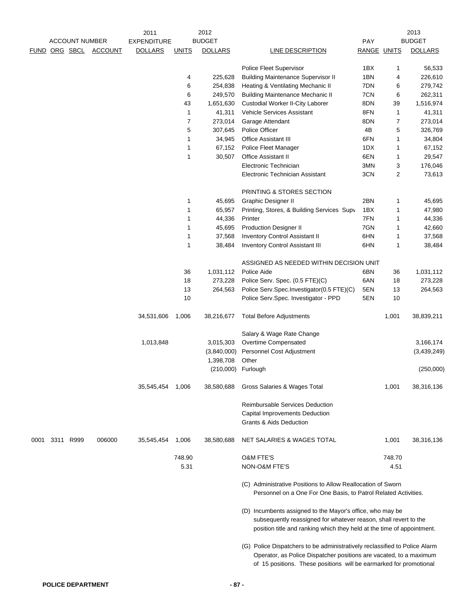|      | <b>ACCOUNT NUMBER</b> |                | 2011<br><b>EXPENDITURE</b> |                | 2012<br><b>BUDGET</b> |                                                                                                                                                                                                                        | PAY         |                | 2013<br><b>BUDGET</b> |
|------|-----------------------|----------------|----------------------------|----------------|-----------------------|------------------------------------------------------------------------------------------------------------------------------------------------------------------------------------------------------------------------|-------------|----------------|-----------------------|
|      | FUND ORG SBCL         | <b>ACCOUNT</b> | <b>DOLLARS</b>             | <b>UNITS</b>   | <b>DOLLARS</b>        | LINE DESCRIPTION                                                                                                                                                                                                       | RANGE UNITS |                | <b>DOLLARS</b>        |
|      |                       |                |                            |                |                       |                                                                                                                                                                                                                        |             |                |                       |
|      |                       |                |                            |                |                       | <b>Police Fleet Supervisor</b>                                                                                                                                                                                         | 1BX         | 1              | 56,533                |
|      |                       |                |                            | 4              | 225,628               | <b>Building Maintenance Supervisor II</b>                                                                                                                                                                              | 1BN         | 4              | 226,610               |
|      |                       |                |                            | 6              | 254,838               | Heating & Ventilating Mechanic II                                                                                                                                                                                      | 7DN         | 6              | 279,742               |
|      |                       |                |                            | 6              | 249,570               | <b>Building Maintenance Mechanic II</b>                                                                                                                                                                                | 7CN         | 6              | 262,311               |
|      |                       |                |                            | 43             | 1,651,630             | <b>Custodial Worker II-City Laborer</b>                                                                                                                                                                                | 8DN         | 39             | 1,516,974             |
|      |                       |                |                            | 1              | 41,311                | Vehicle Services Assistant                                                                                                                                                                                             | 8FN         | 1              | 41,311                |
|      |                       |                |                            | $\overline{7}$ | 273,014               | Garage Attendant                                                                                                                                                                                                       | 8DN         | 7              | 273,014               |
|      |                       |                |                            | 5              | 307,645               | Police Officer                                                                                                                                                                                                         | 4B          | 5              | 326,769               |
|      |                       |                |                            | $\mathbf{1}$   | 34,945                | Office Assistant III                                                                                                                                                                                                   | 6FN         | 1              | 34,804                |
|      |                       |                |                            | 1              | 67,152                | Police Fleet Manager                                                                                                                                                                                                   | 1DX         | 1              | 67,152                |
|      |                       |                |                            | $\mathbf{1}$   | 30,507                | Office Assistant II                                                                                                                                                                                                    | 6EN         | 1              | 29,547                |
|      |                       |                |                            |                |                       | Electronic Technician                                                                                                                                                                                                  | 3MN         | 3              | 176,046               |
|      |                       |                |                            |                |                       | Electronic Technician Assistant                                                                                                                                                                                        | 3CN         | $\overline{c}$ | 73,613                |
|      |                       |                |                            |                |                       | PRINTING & STORES SECTION                                                                                                                                                                                              |             |                |                       |
|      |                       |                |                            | 1              | 45,695                | Graphic Designer II                                                                                                                                                                                                    | 2BN         | 1              | 45,695                |
|      |                       |                |                            | $\mathbf{1}$   | 65,957                | Printing, Stores, & Building Services Supv                                                                                                                                                                             | 1BX         | 1              | 47,980                |
|      |                       |                |                            | $\mathbf{1}$   | 44,336                | Printer                                                                                                                                                                                                                | 7FN         | 1              | 44,336                |
|      |                       |                |                            | $\mathbf{1}$   | 45,695                | <b>Production Designer II</b>                                                                                                                                                                                          | 7GN         | 1              | 42,660                |
|      |                       |                |                            | 1              | 37,568                | <b>Inventory Control Assistant II</b>                                                                                                                                                                                  | 6HN         | 1              | 37,568                |
|      |                       |                |                            | $\mathbf{1}$   | 38,484                | <b>Inventory Control Assistant III</b>                                                                                                                                                                                 | 6HN         | 1              | 38,484                |
|      |                       |                |                            |                |                       | ASSIGNED AS NEEDED WITHIN DECISION UNIT                                                                                                                                                                                |             |                |                       |
|      |                       |                |                            | 36             | 1,031,112             | Police Aide                                                                                                                                                                                                            | 6BN         | 36             | 1,031,112             |
|      |                       |                |                            | 18             | 273,228               | Police Serv. Spec. (0.5 FTE)(C)                                                                                                                                                                                        | 6AN         | 18             | 273,228               |
|      |                       |                |                            | 13             | 264,563               | Police Serv.Spec.Investigator(0.5 FTE)(C)                                                                                                                                                                              | 5EN         | 13             | 264,563               |
|      |                       |                |                            | 10             |                       | Police Serv.Spec. Investigator - PPD                                                                                                                                                                                   | 5EN         | 10             |                       |
|      |                       |                | 34,531,606                 | 1,006          | 38,216,677            | <b>Total Before Adjustments</b>                                                                                                                                                                                        |             | 1,001          | 38,839,211            |
|      |                       |                |                            |                |                       | Salary & Wage Rate Change                                                                                                                                                                                              |             |                |                       |
|      |                       |                | 1,013,848                  |                | 3,015,303             | Overtime Compensated                                                                                                                                                                                                   |             |                | 3,166,174             |
|      |                       |                |                            |                | (3,840,000)           | Personnel Cost Adjustment                                                                                                                                                                                              |             |                | (3,439,249)           |
|      |                       |                |                            |                | 1,398,708             | Other                                                                                                                                                                                                                  |             |                |                       |
|      |                       |                |                            |                | (210,000)             | Furlough                                                                                                                                                                                                               |             |                | (250,000)             |
|      |                       |                | 35,545,454                 | 1,006          | 38,580,688            | Gross Salaries & Wages Total                                                                                                                                                                                           |             | 1,001          | 38,316,136            |
|      |                       |                |                            |                |                       | <b>Reimbursable Services Deduction</b>                                                                                                                                                                                 |             |                |                       |
|      |                       |                |                            |                |                       | Capital Improvements Deduction                                                                                                                                                                                         |             |                |                       |
|      |                       |                |                            |                |                       | Grants & Aids Deduction                                                                                                                                                                                                |             |                |                       |
| 0001 | 3311 R999             | 006000         | 35,545,454                 | 1,006          | 38,580,688            | NET SALARIES & WAGES TOTAL                                                                                                                                                                                             |             | 1,001          | 38,316,136            |
|      |                       |                |                            | 748.90         |                       | <b>O&amp;M FTE'S</b>                                                                                                                                                                                                   |             | 748.70         |                       |
|      |                       |                |                            | 5.31           |                       | <b>NON-O&amp;M FTE'S</b>                                                                                                                                                                                               |             | 4.51           |                       |
|      |                       |                |                            |                |                       | (C) Administrative Positions to Allow Reallocation of Sworn<br>Personnel on a One For One Basis, to Patrol Related Activities.                                                                                         |             |                |                       |
|      |                       |                |                            |                |                       | (D) Incumbents assigned to the Mayor's office, who may be<br>subsequently reassigned for whatever reason, shall revert to the<br>position title and ranking which they held at the time of appointment.                |             |                |                       |
|      |                       |                |                            |                |                       | (G) Police Dispatchers to be administratively reclassified to Police Alarm<br>Operator, as Police Dispatcher positions are vacated, to a maximum<br>of 15 positions. These positions will be earmarked for promotional |             |                |                       |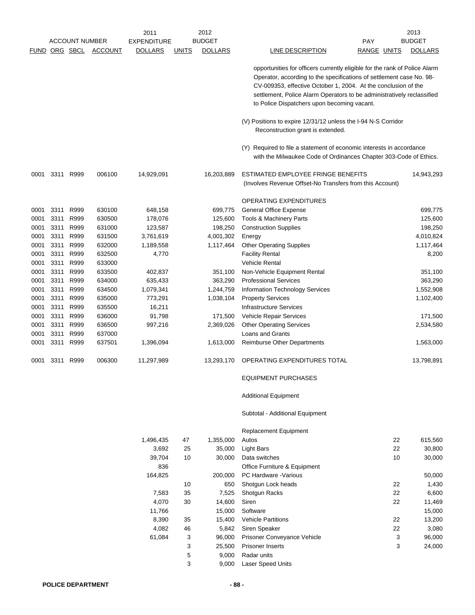|      |      |                       |                | 2011               |              | 2012<br><b>BUDGET</b> |                                                                                                                                                                                                                                                                                                                                               | 2013<br><b>BUDGET</b> |
|------|------|-----------------------|----------------|--------------------|--------------|-----------------------|-----------------------------------------------------------------------------------------------------------------------------------------------------------------------------------------------------------------------------------------------------------------------------------------------------------------------------------------------|-----------------------|
|      |      | <b>ACCOUNT NUMBER</b> |                | <b>EXPENDITURE</b> |              |                       | PAY                                                                                                                                                                                                                                                                                                                                           |                       |
|      |      | <b>FUND ORG SBCL</b>  | <b>ACCOUNT</b> | <b>DOLLARS</b>     | <b>UNITS</b> | <b>DOLLARS</b>        | LINE DESCRIPTION<br>RANGE UNITS                                                                                                                                                                                                                                                                                                               | <b>DOLLARS</b>        |
|      |      |                       |                |                    |              |                       | opportunities for officers currently eligible for the rank of Police Alarm<br>Operator, according to the specifications of settlement case No. 98-<br>CV-009353, effective October 1, 2004. At the conclusion of the<br>settlement, Police Alarm Operators to be administratively reclassified<br>to Police Dispatchers upon becoming vacant. |                       |
|      |      |                       |                |                    |              |                       | (V) Positions to expire 12/31/12 unless the I-94 N-S Corridor<br>Reconstruction grant is extended.                                                                                                                                                                                                                                            |                       |
|      |      |                       |                |                    |              |                       | (Y) Required to file a statement of economic interests in accordance<br>with the Milwaukee Code of Ordinances Chapter 303-Code of Ethics.                                                                                                                                                                                                     |                       |
| 0001 |      | 3311 R999             | 006100         | 14,929,091         |              | 16,203,889            | ESTIMATED EMPLOYEE FRINGE BENEFITS<br>(Involves Revenue Offset-No Transfers from this Account)                                                                                                                                                                                                                                                | 14,943,293            |
|      |      |                       |                |                    |              |                       | OPERATING EXPENDITURES                                                                                                                                                                                                                                                                                                                        |                       |
| 0001 | 3311 | R999                  | 630100         | 648,158            |              | 699,775               | <b>General Office Expense</b>                                                                                                                                                                                                                                                                                                                 | 699,775               |
| 0001 | 3311 | R999                  | 630500         | 178,076            |              | 125,600               | Tools & Machinery Parts                                                                                                                                                                                                                                                                                                                       | 125,600               |
| 0001 | 3311 | R999                  | 631000         | 123,587            |              | 198,250               | <b>Construction Supplies</b>                                                                                                                                                                                                                                                                                                                  | 198,250               |
| 0001 | 3311 | R999                  | 631500         | 3,761,619          |              | 4,001,302             | Energy                                                                                                                                                                                                                                                                                                                                        | 4,010,824             |
| 0001 | 3311 | R999                  | 632000         | 1,189,558          |              | 1,117,464             | <b>Other Operating Supplies</b>                                                                                                                                                                                                                                                                                                               | 1,117,464             |
| 0001 | 3311 | R999                  | 632500         | 4,770              |              |                       | <b>Facility Rental</b>                                                                                                                                                                                                                                                                                                                        | 8,200                 |
| 0001 | 3311 | R999                  | 633000         |                    |              |                       | <b>Vehicle Rental</b>                                                                                                                                                                                                                                                                                                                         |                       |
| 0001 | 3311 | R999                  | 633500         | 402,837            |              | 351,100               | Non-Vehicle Equipment Rental                                                                                                                                                                                                                                                                                                                  | 351,100               |
| 0001 | 3311 | R999                  | 634000         | 635,433            |              | 363,290               | <b>Professional Services</b>                                                                                                                                                                                                                                                                                                                  | 363,290               |
| 0001 | 3311 | R999                  | 634500         | 1,079,341          |              | 1,244,759             | Information Technology Services                                                                                                                                                                                                                                                                                                               | 1,552,908             |
| 0001 | 3311 | R999                  | 635000         | 773,291            |              | 1,038,104             | <b>Property Services</b>                                                                                                                                                                                                                                                                                                                      | 1,102,400             |
| 0001 | 3311 | R999                  | 635500         | 16,211             |              |                       | <b>Infrastructure Services</b>                                                                                                                                                                                                                                                                                                                |                       |
| 0001 | 3311 | R999                  | 636000         | 91,798             |              | 171,500               | Vehicle Repair Services                                                                                                                                                                                                                                                                                                                       | 171,500               |
| 0001 | 3311 | R999                  | 636500         | 997,216            |              | 2,369,026             | <b>Other Operating Services</b>                                                                                                                                                                                                                                                                                                               | 2,534,580             |
| 0001 | 3311 | R999                  | 637000         |                    |              |                       | Loans and Grants                                                                                                                                                                                                                                                                                                                              |                       |
| 0001 | 3311 | R999                  | 637501         | 1,396,094          |              | 1,613,000             | <b>Reimburse Other Departments</b>                                                                                                                                                                                                                                                                                                            | 1,563,000             |
| 0001 |      | 3311 R999             | 006300         | 11,297,989         |              | 13,293,170            | OPERATING EXPENDITURES TOTAL                                                                                                                                                                                                                                                                                                                  | 13,798,891            |
|      |      |                       |                |                    |              |                       | <b>EQUIPMENT PURCHASES</b>                                                                                                                                                                                                                                                                                                                    |                       |
|      |      |                       |                |                    |              |                       | <b>Additional Equipment</b>                                                                                                                                                                                                                                                                                                                   |                       |
|      |      |                       |                |                    |              |                       | Subtotal - Additional Equipment                                                                                                                                                                                                                                                                                                               |                       |
|      |      |                       |                |                    |              |                       | <b>Replacement Equipment</b>                                                                                                                                                                                                                                                                                                                  |                       |
|      |      |                       |                | 1,496,435          | 47           | 1,355,000             | 22<br>Autos                                                                                                                                                                                                                                                                                                                                   | 615,560               |
|      |      |                       |                | 3,692              | 25           | 35,000                | 22<br><b>Light Bars</b>                                                                                                                                                                                                                                                                                                                       | 30,800                |
|      |      |                       |                | 39,704             | 10           | 30,000                | 10<br>Data switches                                                                                                                                                                                                                                                                                                                           | 30,000                |
|      |      |                       |                | 836                |              |                       | Office Furniture & Equipment                                                                                                                                                                                                                                                                                                                  |                       |
|      |      |                       |                | ACAOP              |              | 000.000               | $DCD$ Hardware <i>Mariana</i>                                                                                                                                                                                                                                                                                                                 | EO OOO                |

| 836     |    |         | Office Furniture & Equipment       |    |        |
|---------|----|---------|------------------------------------|----|--------|
| 164,825 |    | 200.000 | PC Hardware - Various              |    | 50,000 |
|         | 10 | 650     | Shotgun Lock heads                 | 22 | 1,430  |
| 7,583   | 35 | 7.525   | <b>Shotgun Racks</b>               | 22 | 6.600  |
| 4,070   | 30 | 14.600  | Siren                              | 22 | 11.469 |
| 11,766  |    | 15.000  | Software                           |    | 15,000 |
| 8,390   | 35 | 15.400  | <b>Vehicle Partitions</b>          | 22 | 13,200 |
| 4,082   | 46 | 5.842   | Siren Speaker                      | 22 | 3,080  |
| 61.084  | 3  | 96.000  | <b>Prisoner Conveyance Vehicle</b> | 3  | 96.000 |
|         | 3  | 25.500  | <b>Prisoner Inserts</b>            | 3  | 24.000 |
|         | 5  | 9.000   | Radar units                        |    |        |
|         | 3  | 9.000   | <b>Laser Speed Units</b>           |    |        |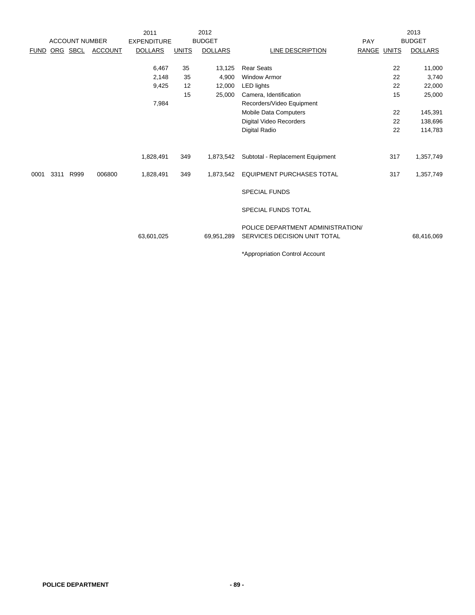|             |      |                       |                | 2011               |              | 2012           |                                                                   |             | 2013           |
|-------------|------|-----------------------|----------------|--------------------|--------------|----------------|-------------------------------------------------------------------|-------------|----------------|
|             |      | <b>ACCOUNT NUMBER</b> |                | <b>EXPENDITURE</b> |              | <b>BUDGET</b>  |                                                                   | PAY         | <b>BUDGET</b>  |
| <b>FUND</b> |      | ORG SBCL              | <b>ACCOUNT</b> | <b>DOLLARS</b>     | <b>UNITS</b> | <b>DOLLARS</b> | LINE DESCRIPTION                                                  | RANGE UNITS | <b>DOLLARS</b> |
|             |      |                       |                | 6,467              | 35           | 13,125         | <b>Rear Seats</b>                                                 | 22          | 11,000         |
|             |      |                       |                | 2,148              | 35           | 4,900          | <b>Window Armor</b>                                               | 22          | 3,740          |
|             |      |                       |                | 9,425              | 12           | 12,000         | <b>LED lights</b>                                                 | 22          | 22,000         |
|             |      |                       |                |                    | 15           | 25,000         | Camera, Identification                                            | 15          | 25,000         |
|             |      |                       |                | 7,984              |              |                | Recorders/Video Equipment                                         |             |                |
|             |      |                       |                |                    |              |                | Mobile Data Computers                                             | 22          | 145,391        |
|             |      |                       |                |                    |              |                | Digital Video Recorders                                           | 22          | 138,696        |
|             |      |                       |                |                    |              |                | Digital Radio                                                     | 22          | 114,783        |
|             |      |                       |                |                    |              |                |                                                                   |             |                |
|             |      |                       |                | 1,828,491          | 349          | 1,873,542      | Subtotal - Replacement Equipment                                  | 317         | 1,357,749      |
| 0001        | 3311 | R999                  | 006800         | 1,828,491          | 349          | 1,873,542      | <b>EQUIPMENT PURCHASES TOTAL</b>                                  | 317         | 1,357,749      |
|             |      |                       |                |                    |              |                | <b>SPECIAL FUNDS</b>                                              |             |                |
|             |      |                       |                |                    |              |                | <b>SPECIAL FUNDS TOTAL</b>                                        |             |                |
|             |      |                       |                | 63,601,025         |              | 69,951,289     | POLICE DEPARTMENT ADMINISTRATION/<br>SERVICES DECISION UNIT TOTAL |             | 68,416,069     |
|             |      |                       |                |                    |              |                | *Appropriation Control Account                                    |             |                |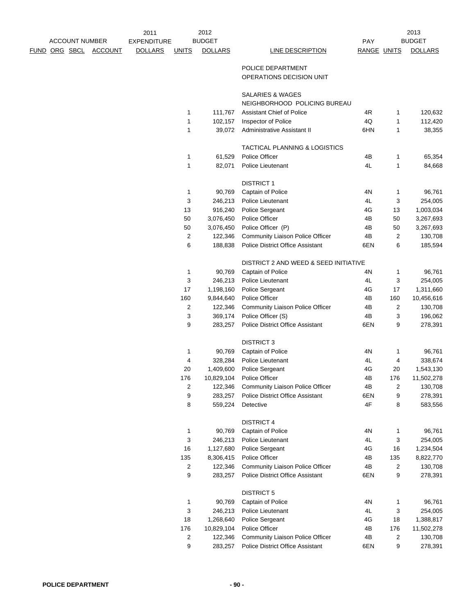|                      |                       |                | 2011               |                         | 2012           |                                          |             |                | 2013           |
|----------------------|-----------------------|----------------|--------------------|-------------------------|----------------|------------------------------------------|-------------|----------------|----------------|
|                      | <b>ACCOUNT NUMBER</b> |                | <b>EXPENDITURE</b> |                         | <b>BUDGET</b>  |                                          | PAY         |                | <b>BUDGET</b>  |
| <u>FUND ORG SBCL</u> |                       | <b>ACCOUNT</b> | <b>DOLLARS</b>     | <b>UNITS</b>            | <b>DOLLARS</b> | <b>LINE DESCRIPTION</b>                  | RANGE UNITS |                | <b>DOLLARS</b> |
|                      |                       |                |                    |                         |                | POLICE DEPARTMENT                        |             |                |                |
|                      |                       |                |                    |                         |                | OPERATIONS DECISION UNIT                 |             |                |                |
|                      |                       |                |                    |                         |                | SALARIES & WAGES                         |             |                |                |
|                      |                       |                |                    |                         |                | NEIGHBORHOOD POLICING BUREAU             |             |                |                |
|                      |                       |                |                    | 1                       | 111,767        | <b>Assistant Chief of Police</b>         | 4R          | 1              | 120,632        |
|                      |                       |                |                    | 1                       | 102,157        | Inspector of Police                      | 4Q          | 1              | 112,420        |
|                      |                       |                |                    | 1                       | 39,072         | Administrative Assistant II              | 6HN         | 1              | 38,355         |
|                      |                       |                |                    |                         |                | <b>TACTICAL PLANNING &amp; LOGISTICS</b> |             |                |                |
|                      |                       |                |                    | 1                       | 61,529         | Police Officer                           | 4B          | 1              | 65,354         |
|                      |                       |                |                    | 1                       | 82,071         | Police Lieutenant                        | 4L          | 1              | 84,668         |
|                      |                       |                |                    |                         |                | <b>DISTRICT 1</b>                        |             |                |                |
|                      |                       |                |                    | 1                       | 90,769         | Captain of Police                        | 4N          | 1              | 96,761         |
|                      |                       |                |                    | 3                       | 246,213        | Police Lieutenant                        | 4L          | 3              | 254,005        |
|                      |                       |                |                    | 13                      | 916,240        | Police Sergeant                          | 4G          | 13             | 1,003,034      |
|                      |                       |                |                    | 50                      | 3,076,450      | Police Officer                           | 4B          | 50             | 3,267,693      |
|                      |                       |                |                    | 50                      | 3,076,450      | Police Officer (P)                       | 4B          | 50             | 3,267,693      |
|                      |                       |                |                    | $\overline{c}$          | 122,346        | Community Liaison Police Officer         | 4B          | 2              | 130,708        |
|                      |                       |                |                    | 6                       | 188,838        | <b>Police District Office Assistant</b>  | 6EN         | 6              | 185,594        |
|                      |                       |                |                    |                         |                | DISTRICT 2 AND WEED & SEED INITIATIVE    |             |                |                |
|                      |                       |                |                    | 1                       | 90,769         | Captain of Police                        | 4N          | 1              | 96,761         |
|                      |                       |                |                    | 3                       | 246,213        | Police Lieutenant                        | 4L          | 3              | 254,005        |
|                      |                       |                |                    | 17                      | 1,198,160      | Police Sergeant                          | 4G          | 17             | 1,311,660      |
|                      |                       |                |                    | 160                     | 9,844,640      | Police Officer                           | 4B          | 160            | 10,456,616     |
|                      |                       |                |                    | $\overline{c}$          | 122,346        | Community Liaison Police Officer         | 4B          | $\overline{2}$ | 130,708        |
|                      |                       |                |                    | 3                       | 369,174        | Police Officer (S)                       | 4B          | 3              | 196,062        |
|                      |                       |                |                    | 9                       | 283,257        | <b>Police District Office Assistant</b>  | 6EN         | 9              | 278,391        |
|                      |                       |                |                    |                         |                | <b>DISTRICT 3</b>                        |             |                |                |
|                      |                       |                |                    | 1                       | 90,769         | Captain of Police                        | 4N          | 1              | 96,761         |
|                      |                       |                |                    | 4                       | 328,284        | Police Lieutenant                        | 4L          | 4              | 338,674        |
|                      |                       |                |                    | 20                      | 1,409,600      | Police Sergeant                          | 4G          | 20             | 1,543,130      |
|                      |                       |                |                    | 176                     |                | 10,829,104 Police Officer                | 4B          | 176            | 11,502,278     |
|                      |                       |                |                    | 2                       | 122,346        | <b>Community Liaison Police Officer</b>  | 4B          | 2              | 130,708        |
|                      |                       |                |                    | 9                       | 283,257        | Police District Office Assistant         | 6EN         | 9              | 278,391        |
|                      |                       |                |                    | 8                       | 559,224        | Detective                                | 4F          | 8              | 583,556        |
|                      |                       |                |                    |                         |                | <b>DISTRICT 4</b>                        |             |                |                |
|                      |                       |                |                    | $\mathbf{1}$            | 90,769         | Captain of Police                        | 4N          | 1              | 96,761         |
|                      |                       |                |                    | 3                       | 246,213        | Police Lieutenant                        | 4L          | 3              | 254,005        |
|                      |                       |                |                    | 16                      | 1,127,680      | Police Sergeant                          | 4G          | 16             | 1,234,504      |
|                      |                       |                |                    | 135                     | 8,306,415      | Police Officer                           | 4B          | 135            | 8,822,770      |
|                      |                       |                |                    | $\overline{\mathbf{c}}$ | 122,346        | Community Liaison Police Officer         | 4B          | $\overline{2}$ | 130,708        |
|                      |                       |                |                    | 9                       | 283,257        | <b>Police District Office Assistant</b>  | 6EN         | 9              | 278,391        |
|                      |                       |                |                    |                         |                | <b>DISTRICT 5</b>                        |             |                |                |
|                      |                       |                |                    | 1                       | 90,769         | Captain of Police                        | 4N          | 1              | 96,761         |
|                      |                       |                |                    | 3                       | 246,213        | Police Lieutenant                        | 4L          | 3              | 254,005        |
|                      |                       |                |                    | 18                      | 1,268,640      | Police Sergeant                          | 4G          | 18             | 1,388,817      |
|                      |                       |                |                    | 176                     | 10,829,104     | Police Officer                           | 4B          | 176            | 11,502,278     |
|                      |                       |                |                    | $\boldsymbol{2}$        | 122,346        | Community Liaison Police Officer         | 4B          | 2              | 130,708        |
|                      |                       |                |                    | 9                       | 283,257        | Police District Office Assistant         | 6EN         | 9              | 278,391        |
|                      |                       |                |                    |                         |                |                                          |             |                |                |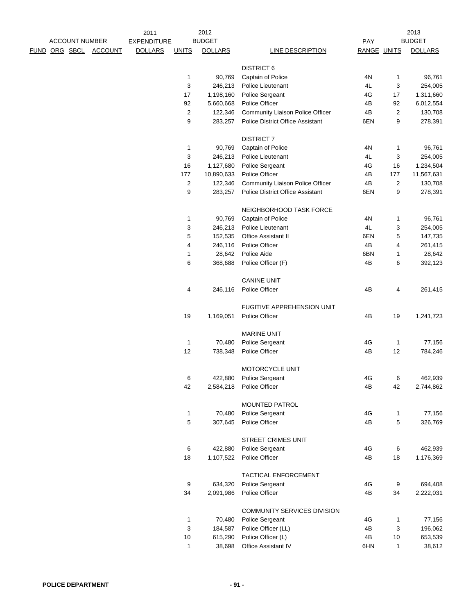|  | <b>ACCOUNT NUMBER</b> |                | 2011<br><b>EXPENDITURE</b> |              | 2012<br><b>BUDGET</b> |                                                                             | PAY         |              | 2013<br><b>BUDGET</b> |
|--|-----------------------|----------------|----------------------------|--------------|-----------------------|-----------------------------------------------------------------------------|-------------|--------------|-----------------------|
|  | <u>FUND ORG SBCL</u>  | <b>ACCOUNT</b> | <b>DOLLARS</b>             | <b>UNITS</b> | <b>DOLLARS</b>        | <b>LINE DESCRIPTION</b>                                                     | RANGE UNITS |              | <b>DOLLARS</b>        |
|  |                       |                |                            |              |                       | <b>DISTRICT 6</b>                                                           |             |              |                       |
|  |                       |                |                            | 1            | 90,769                | Captain of Police                                                           | 4N          | 1            | 96,761                |
|  |                       |                |                            | 3            | 246,213               | Police Lieutenant                                                           | 4L          | 3            | 254,005               |
|  |                       |                |                            | 17           | 1,198,160             | Police Sergeant                                                             | 4G          | 17           | 1,311,660             |
|  |                       |                |                            | 92           |                       | Police Officer                                                              | 4B          |              |                       |
|  |                       |                |                            |              | 5,660,668             |                                                                             |             | 92           | 6,012,554             |
|  |                       |                |                            | 2<br>9       | 122,346               | Community Liaison Police Officer<br><b>Police District Office Assistant</b> | 4B          | 2            | 130,708               |
|  |                       |                |                            |              | 283,257               |                                                                             | 6EN         | 9            | 278,391               |
|  |                       |                |                            |              |                       | <b>DISTRICT 7</b>                                                           |             |              |                       |
|  |                       |                |                            | 1            | 90,769                | Captain of Police                                                           | 4N          | 1            | 96,761                |
|  |                       |                |                            | 3            | 246,213               | Police Lieutenant                                                           | 4L          | 3            | 254,005               |
|  |                       |                |                            | 16           | 1,127,680             | Police Sergeant                                                             | 4G          | 16           | 1,234,504             |
|  |                       |                |                            | 177          | 10,890,633            | Police Officer                                                              | 4B          | 177          | 11,567,631            |
|  |                       |                |                            | 2            | 122,346               | Community Liaison Police Officer                                            | 4B          | 2            | 130,708               |
|  |                       |                |                            | 9            | 283,257               | <b>Police District Office Assistant</b>                                     | 6EN         | 9            | 278,391               |
|  |                       |                |                            |              |                       | NEIGHBORHOOD TASK FORCE                                                     |             |              |                       |
|  |                       |                |                            | 1            | 90,769                | Captain of Police                                                           | 4N          | 1            | 96,761                |
|  |                       |                |                            | 3            | 246,213               | Police Lieutenant                                                           | 4L          | 3            | 254,005               |
|  |                       |                |                            | 5            | 152,535               | Office Assistant II                                                         | 6EN         | 5            | 147,735               |
|  |                       |                |                            | 4            | 246,116               | Police Officer                                                              | 4B          | 4            | 261,415               |
|  |                       |                |                            | 1            | 28,642                | Police Aide                                                                 | 6BN         | 1            | 28,642                |
|  |                       |                |                            | 6            | 368,688               | Police Officer (F)                                                          | 4B          | 6            | 392,123               |
|  |                       |                |                            |              |                       |                                                                             |             |              |                       |
|  |                       |                |                            |              |                       | <b>CANINE UNIT</b>                                                          |             |              |                       |
|  |                       |                |                            | 4            | 246,116               | Police Officer                                                              | 4B          | 4            | 261,415               |
|  |                       |                |                            |              |                       | FUGITIVE APPREHENSION UNIT                                                  |             |              |                       |
|  |                       |                |                            | 19           | 1,169,051             | Police Officer                                                              | 4B          | 19           | 1,241,723             |
|  |                       |                |                            |              |                       | <b>MARINE UNIT</b>                                                          |             |              |                       |
|  |                       |                |                            | 1            | 70,480                | Police Sergeant                                                             | 4G          | 1            | 77,156                |
|  |                       |                |                            | 12           | 738,348               | Police Officer                                                              | 4B          | 12           | 784,246               |
|  |                       |                |                            |              |                       | MOTORCYCLE UNIT                                                             |             |              |                       |
|  |                       |                |                            |              |                       | Police Sergeant                                                             |             |              |                       |
|  |                       |                |                            | 6<br>42      | 422,880<br>2,584,218  | Police Officer                                                              | 4G<br>4B    | 6<br>42      | 462,939               |
|  |                       |                |                            |              |                       |                                                                             |             |              | 2,744,862             |
|  |                       |                |                            |              |                       | <b>MOUNTED PATROL</b>                                                       |             |              |                       |
|  |                       |                |                            | 1            | 70,480                | Police Sergeant                                                             | 4G          | 1            | 77,156                |
|  |                       |                |                            | 5            | 307,645               | Police Officer                                                              | 4B          | 5            | 326,769               |
|  |                       |                |                            |              |                       | STREET CRIMES UNIT                                                          |             |              |                       |
|  |                       |                |                            |              |                       |                                                                             |             |              |                       |
|  |                       |                |                            | 6<br>18      | 422,880               | Police Sergeant<br>Police Officer                                           | 4G<br>4B    | 6<br>18      | 462,939               |
|  |                       |                |                            |              | 1,107,522             |                                                                             |             |              | 1,176,369             |
|  |                       |                |                            |              |                       | TACTICAL ENFORCEMENT                                                        |             |              |                       |
|  |                       |                |                            | 9            | 634,320               | Police Sergeant                                                             | 4G          | 9            | 694,408               |
|  |                       |                |                            | 34           | 2,091,986             | Police Officer                                                              | 4B          | 34           | 2,222,031             |
|  |                       |                |                            |              |                       | COMMUNITY SERVICES DIVISION                                                 |             |              |                       |
|  |                       |                |                            | 1            | 70,480                | Police Sergeant                                                             | 4G          | 1            | 77,156                |
|  |                       |                |                            | 3            | 184,587               | Police Officer (LL)                                                         | 4B          | 3            | 196,062               |
|  |                       |                |                            | $10$         | 615,290               | Police Officer (L)                                                          | 4B          | $10$         | 653,539               |
|  |                       |                |                            | $\mathbf{1}$ | 38,698                | Office Assistant IV                                                         | 6HN         | $\mathbf{1}$ | 38,612                |
|  |                       |                |                            |              |                       |                                                                             |             |              |                       |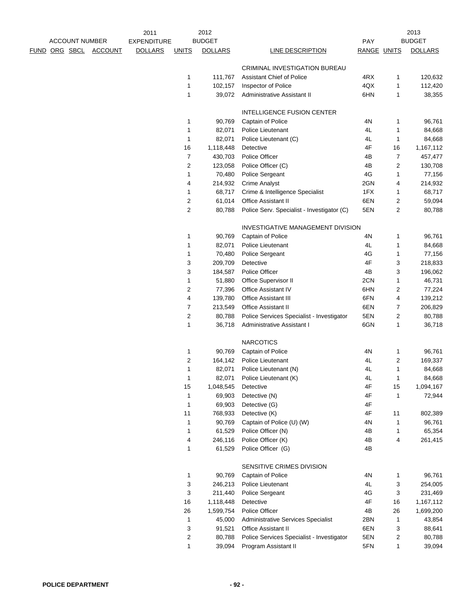|                      |                       |                | 2011               |                         | 2012           |                                            |             |                | 2013           |
|----------------------|-----------------------|----------------|--------------------|-------------------------|----------------|--------------------------------------------|-------------|----------------|----------------|
|                      | <b>ACCOUNT NUMBER</b> |                | <b>EXPENDITURE</b> |                         | <b>BUDGET</b>  |                                            | PAY         |                | <b>BUDGET</b>  |
| <u>FUND ORG SBCL</u> |                       | <b>ACCOUNT</b> | <b>DOLLARS</b>     | <b>UNITS</b>            | <b>DOLLARS</b> | <b>LINE DESCRIPTION</b>                    | RANGE UNITS |                | <b>DOLLARS</b> |
|                      |                       |                |                    |                         |                | CRIMINAL INVESTIGATION BUREAU              |             |                |                |
|                      |                       |                |                    | 1                       | 111,767        | <b>Assistant Chief of Police</b>           | 4RX         | 1              | 120,632        |
|                      |                       |                |                    | 1                       | 102,157        | Inspector of Police                        | 4QX         | 1              | 112,420        |
|                      |                       |                |                    | 1                       | 39,072         | Administrative Assistant II                | 6HN         | 1              | 38,355         |
|                      |                       |                |                    |                         |                | <b>INTELLIGENCE FUSION CENTER</b>          |             |                |                |
|                      |                       |                |                    | 1                       | 90,769         | Captain of Police                          | 4N          | 1              | 96,761         |
|                      |                       |                |                    | 1                       | 82,071         | Police Lieutenant                          | 4L          | 1              | 84,668         |
|                      |                       |                |                    | 1                       | 82,071         | Police Lieutenant (C)                      | 4L          | 1              | 84,668         |
|                      |                       |                |                    | 16                      | 1,118,448      | Detective                                  | 4F          | 16             | 1,167,112      |
|                      |                       |                |                    | $\overline{7}$          | 430,703        | Police Officer                             | 4B          | 7              | 457,477        |
|                      |                       |                |                    | $\overline{2}$          | 123,058        | Police Officer (C)                         | 4B          | $\overline{c}$ | 130,708        |
|                      |                       |                |                    | 1                       | 70,480         | Police Sergeant                            | 4G          | 1              | 77,156         |
|                      |                       |                |                    | 4                       | 214,932        | <b>Crime Analyst</b>                       | 2GN         | 4              | 214,932        |
|                      |                       |                |                    | 1                       | 68,717         | Crime & Intelligence Specialist            | 1FX         | 1              | 68,717         |
|                      |                       |                |                    | 2                       | 61,014         | Office Assistant II                        | 6EN         | 2              | 59,094         |
|                      |                       |                |                    | $\overline{2}$          | 80,788         | Police Serv. Specialist - Investigator (C) | 5EN         | $\overline{c}$ | 80,788         |
|                      |                       |                |                    |                         |                | INVESTIGATIVE MANAGEMENT DIVISION          |             |                |                |
|                      |                       |                |                    | 1                       | 90,769         | Captain of Police                          | 4N          | 1              | 96,761         |
|                      |                       |                |                    | 1                       | 82,071         | Police Lieutenant                          | 4L          | 1              | 84,668         |
|                      |                       |                |                    | 1                       | 70,480         | Police Sergeant                            | 4G          | 1              | 77,156         |
|                      |                       |                |                    | 3                       | 209,709        | Detective                                  | 4F          | 3              | 218,833        |
|                      |                       |                |                    | 3                       | 184,587        | Police Officer                             | 4B          | 3              | 196,062        |
|                      |                       |                |                    | 1                       | 51,880         | Office Supervisor II                       | 2CN         | 1              | 46,731         |
|                      |                       |                |                    | $\overline{c}$          | 77,396         | <b>Office Assistant IV</b>                 | 6HN         | 2              | 77,224         |
|                      |                       |                |                    | 4                       | 139,780        | Office Assistant III                       | 6FN         | 4              | 139,212        |
|                      |                       |                |                    | 7                       | 213,549        | <b>Office Assistant II</b>                 | 6EN         | 7              | 206,829        |
|                      |                       |                |                    | $\overline{c}$          | 80,788         | Police Services Specialist - Investigator  | 5EN         | 2              | 80,788         |
|                      |                       |                |                    | 1                       | 36,718         | Administrative Assistant I                 | 6GN         | 1              | 36,718         |
|                      |                       |                |                    |                         |                | <b>NARCOTICS</b>                           |             |                |                |
|                      |                       |                |                    | 1                       | 90,769         | Captain of Police                          | 4N          | 1              | 96,761         |
|                      |                       |                |                    | $\overline{c}$          | 164,142        | Police Lieutenant                          | 4L          | $\overline{c}$ | 169,337        |
|                      |                       |                |                    | 1                       | 82,071         | Police Lieutenant (N)                      | 4L          | 1              | 84,668         |
|                      |                       |                |                    |                         |                | 82,071 Police Lieutenant (K)               | 4L          |                | 84,668         |
|                      |                       |                |                    | 15                      | 1,048,545      | Detective                                  | 4F          | 15             | 1,094,167      |
|                      |                       |                |                    | 1                       | 69,903         | Detective (N)                              | 4F          | 1              | 72,944         |
|                      |                       |                |                    | $\mathbf 1$             | 69,903         | Detective (G)                              | 4F          |                |                |
|                      |                       |                |                    | 11                      | 768,933        | Detective (K)                              | 4F          | 11             | 802,389        |
|                      |                       |                |                    | 1                       | 90,769         | Captain of Police (U) (W)                  | 4N          | 1              | 96,761         |
|                      |                       |                |                    | 1                       | 61,529         | Police Officer (N)                         | 4B          | 1              | 65,354         |
|                      |                       |                |                    | 4                       | 246,116        | Police Officer (K)                         | 4B          | 4              | 261,415        |
|                      |                       |                |                    | 1                       | 61,529         | Police Officer (G)                         | 4B          |                |                |
|                      |                       |                |                    |                         |                | SENSITIVE CRIMES DIVISION                  |             |                |                |
|                      |                       |                |                    | 1                       | 90,769         | Captain of Police                          | 4N          | 1              | 96,761         |
|                      |                       |                |                    | 3                       | 246,213        | Police Lieutenant                          | 4L          | 3              | 254,005        |
|                      |                       |                |                    | 3                       | 211,440        | Police Sergeant                            | 4G          | 3              | 231,469        |
|                      |                       |                |                    | 16                      | 1,118,448      | Detective                                  | 4F          | 16             | 1,167,112      |
|                      |                       |                |                    | 26                      | 1,599,754      | Police Officer                             | 4B          | 26             | 1,699,200      |
|                      |                       |                |                    | $\mathbf 1$             | 45,000         | <b>Administrative Services Specialist</b>  | 2BN         | 1              | 43,854         |
|                      |                       |                |                    | 3                       | 91,521         | <b>Office Assistant II</b>                 | 6EN         | 3              | 88,641         |
|                      |                       |                |                    | $\overline{\mathbf{c}}$ | 80,788         | Police Services Specialist - Investigator  | 5EN         | 2              | 80,788         |
|                      |                       |                |                    | 1                       | 39,094         | Program Assistant II                       | 5FN         | $\mathbf{1}$   | 39,094         |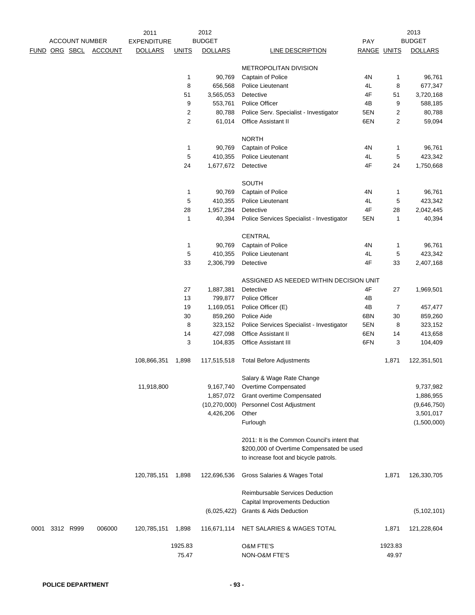|      |           | <b>ACCOUNT NUMBER</b> |                | 2011<br><b>EXPENDITURE</b> |                | 2012<br><b>BUDGET</b> |                                              | PAY         |                | 2013<br><b>BUDGET</b> |
|------|-----------|-----------------------|----------------|----------------------------|----------------|-----------------------|----------------------------------------------|-------------|----------------|-----------------------|
| FUND | ORG SBCL  |                       | <b>ACCOUNT</b> | <b>DOLLARS</b>             | <b>UNITS</b>   | <b>DOLLARS</b>        | LINE DESCRIPTION                             | RANGE UNITS |                | <b>DOLLARS</b>        |
|      |           |                       |                |                            |                |                       | METROPOLITAN DIVISION                        |             |                |                       |
|      |           |                       |                |                            | 1              | 90,769                | Captain of Police                            | 4N          | 1              | 96,761                |
|      |           |                       |                |                            | 8              | 656,568               | Police Lieutenant                            | 4L          | 8              | 677,347               |
|      |           |                       |                |                            | 51             | 3,565,053             | Detective                                    | 4F          | 51             | 3,720,168             |
|      |           |                       |                |                            | 9              | 553,761               | Police Officer                               | 4B          | 9              | 588,185               |
|      |           |                       |                |                            | 2              | 80,788                | Police Serv. Specialist - Investigator       | 5EN         | 2              | 80,788                |
|      |           |                       |                |                            | $\overline{2}$ | 61,014                | Office Assistant II                          | 6EN         | 2              | 59,094                |
|      |           |                       |                |                            |                |                       | <b>NORTH</b>                                 |             |                |                       |
|      |           |                       |                |                            | 1              | 90,769                | Captain of Police                            | 4N          | 1              | 96,761                |
|      |           |                       |                |                            | 5              | 410,355               | Police Lieutenant                            | 4L          | 5              | 423,342               |
|      |           |                       |                |                            | 24             | 1,677,672             | Detective                                    | 4F          | 24             | 1,750,668             |
|      |           |                       |                |                            |                |                       | SOUTH                                        |             |                |                       |
|      |           |                       |                |                            | 1              | 90,769                | Captain of Police                            | 4N          | 1              | 96,761                |
|      |           |                       |                |                            | 5              | 410,355               | Police Lieutenant                            | 4L          | 5              | 423,342               |
|      |           |                       |                |                            | 28             | 1,957,284             | Detective                                    | 4F          | 28             | 2,042,445             |
|      |           |                       |                |                            | 1              | 40,394                | Police Services Specialist - Investigator    | 5EN         | 1              | 40,394                |
|      |           |                       |                |                            |                |                       | <b>CENTRAL</b>                               |             |                |                       |
|      |           |                       |                |                            | 1              | 90,769                | Captain of Police                            | 4N          | 1              | 96,761                |
|      |           |                       |                |                            | 5              | 410,355               | Police Lieutenant                            | 4L          | 5              | 423,342               |
|      |           |                       |                |                            | 33             | 2,306,799             | Detective                                    | 4F          | 33             | 2,407,168             |
|      |           |                       |                |                            |                |                       | ASSIGNED AS NEEDED WITHIN DECISION UNIT      |             |                |                       |
|      |           |                       |                |                            | 27             | 1,887,381             | Detective                                    | 4F          | 27             | 1,969,501             |
|      |           |                       |                |                            | 13             | 799,877               | Police Officer                               | 4B          |                |                       |
|      |           |                       |                |                            | 19             | 1,169,051             | Police Officer (E)                           | 4B          | $\overline{7}$ | 457,477               |
|      |           |                       |                |                            | 30             | 859,260               | Police Aide                                  | 6BN         | 30             | 859,260               |
|      |           |                       |                |                            | 8              | 323,152               | Police Services Specialist - Investigator    | 5EN         | 8              | 323,152               |
|      |           |                       |                |                            | 14             | 427,098               | Office Assistant II                          | 6EN         | 14             | 413,658               |
|      |           |                       |                |                            | 3              | 104,835               | Office Assistant III                         | 6FN         | 3              | 104,409               |
|      |           |                       |                | 108,866,351                | 1,898          | 117,515,518           | <b>Total Before Adjustments</b>              |             | 1,871          | 122,351,501           |
|      |           |                       |                |                            |                |                       | Salary & Wage Rate Change                    |             |                |                       |
|      |           |                       |                | 11,918,800                 |                | 9,167,740             | Overtime Compensated                         |             |                | 9,737,982             |
|      |           |                       |                |                            |                | 1,857,072             | Grant overtime Compensated                   |             |                | 1,886,955             |
|      |           |                       |                |                            |                | (10, 270, 000)        | Personnel Cost Adjustment                    |             |                | (9,646,750)           |
|      |           |                       |                |                            |                | 4,426,206             | Other                                        |             |                | 3,501,017             |
|      |           |                       |                |                            |                |                       | Furlough                                     |             |                | (1,500,000)           |
|      |           |                       |                |                            |                |                       | 2011: It is the Common Council's intent that |             |                |                       |
|      |           |                       |                |                            |                |                       | \$200,000 of Overtime Compensated be used    |             |                |                       |
|      |           |                       |                |                            |                |                       | to increase foot and bicycle patrols.        |             |                |                       |
|      |           |                       |                | 120,785,151                | 1,898          | 122,696,536           | Gross Salaries & Wages Total                 |             | 1,871          | 126,330,705           |
|      |           |                       |                |                            |                |                       | Reimbursable Services Deduction              |             |                |                       |
|      |           |                       |                |                            |                |                       | Capital Improvements Deduction               |             |                |                       |
|      |           |                       |                |                            |                | (6,025,422)           | <b>Grants &amp; Aids Deduction</b>           |             |                | (5, 102, 101)         |
| 0001 | 3312 R999 |                       | 006000         | 120,785,151                | 1,898          | 116,671,114           | NET SALARIES & WAGES TOTAL                   |             | 1,871          | 121,228,604           |
|      |           |                       |                |                            | 1925.83        |                       | <b>O&amp;M FTE'S</b>                         |             | 1923.83        |                       |
|      |           |                       |                |                            | 75.47          |                       | NON-O&M FTE'S                                |             | 49.97          |                       |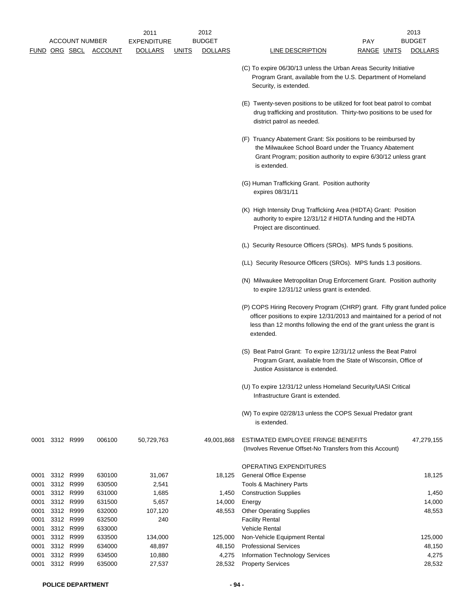|              | <b>ACCOUNT NUMBER</b><br><b>FUND ORG SBCL</b> | <b>ACCOUNT</b>   | 2011<br><b>EXPENDITURE</b><br><b>DOLLARS</b> | <b>UNITS</b> | 2012<br><b>BUDGET</b><br><b>DOLLARS</b> | LINE DESCRIPTION                                                                                                                                                                                                                             | <b>PAY</b><br><u>RANGE UNITS</u> | 2013<br><b>BUDGET</b><br><b>DOLLARS</b> |
|--------------|-----------------------------------------------|------------------|----------------------------------------------|--------------|-----------------------------------------|----------------------------------------------------------------------------------------------------------------------------------------------------------------------------------------------------------------------------------------------|----------------------------------|-----------------------------------------|
|              |                                               |                  |                                              |              |                                         | (C) To expire 06/30/13 unless the Urban Areas Security Initiative<br>Program Grant, available from the U.S. Department of Homeland<br>Security, is extended.                                                                                 |                                  |                                         |
|              |                                               |                  |                                              |              |                                         | (E) Twenty-seven positions to be utilized for foot beat patrol to combat<br>drug trafficking and prostitution. Thirty-two positions to be used for<br>district patrol as needed.                                                             |                                  |                                         |
|              |                                               |                  |                                              |              |                                         | (F) Truancy Abatement Grant: Six positions to be reimbursed by<br>the Milwaukee School Board under the Truancy Abatement<br>Grant Program; position authority to expire 6/30/12 unless grant<br>is extended.                                 |                                  |                                         |
|              |                                               |                  |                                              |              |                                         | (G) Human Trafficking Grant. Position authority<br>expires 08/31/11                                                                                                                                                                          |                                  |                                         |
|              |                                               |                  |                                              |              |                                         | (K) High Intensity Drug Trafficking Area (HIDTA) Grant: Position<br>authority to expire 12/31/12 if HIDTA funding and the HIDTA<br>Project are discontinued.                                                                                 |                                  |                                         |
|              |                                               |                  |                                              |              |                                         | (L) Security Resource Officers (SROs). MPS funds 5 positions.                                                                                                                                                                                |                                  |                                         |
|              |                                               |                  |                                              |              |                                         | (LL) Security Resource Officers (SROs). MPS funds 1.3 positions.                                                                                                                                                                             |                                  |                                         |
|              |                                               |                  |                                              |              |                                         | (N) Milwaukee Metropolitan Drug Enforcement Grant. Position authority<br>to expire 12/31/12 unless grant is extended.                                                                                                                        |                                  |                                         |
|              |                                               |                  |                                              |              |                                         | (P) COPS Hiring Recovery Program (CHRP) grant. Fifty grant funded police<br>officer positions to expire 12/31/2013 and maintained for a period of not<br>less than 12 months following the end of the grant unless the grant is<br>extended. |                                  |                                         |
|              |                                               |                  |                                              |              |                                         | (S) Beat Patrol Grant: To expire 12/31/12 unless the Beat Patrol<br>Program Grant, available from the State of Wisconsin, Office of<br>Justice Assistance is extended.                                                                       |                                  |                                         |
|              |                                               |                  |                                              |              |                                         | (U) To expire 12/31/12 unless Homeland Security/UASI Critical<br>Infrastructure Grant is extended.                                                                                                                                           |                                  |                                         |
|              |                                               |                  |                                              |              |                                         | (W) To expire 02/28/13 unless the COPS Sexual Predator grant<br>is extended.                                                                                                                                                                 |                                  |                                         |
|              | 0001 3312 R999                                | 006100           | 50,729,763                                   |              | 49,001,868                              | ESTIMATED EMPLOYEE FRINGE BENEFITS<br>(Involves Revenue Offset-No Transfers from this Account)                                                                                                                                               |                                  | 47,279,155                              |
|              |                                               |                  |                                              |              |                                         | <b>OPERATING EXPENDITURES</b>                                                                                                                                                                                                                |                                  |                                         |
| 0001         | 3312 R999                                     | 630100           | 31,067                                       |              | 18,125                                  | <b>General Office Expense</b>                                                                                                                                                                                                                |                                  | 18,125                                  |
| 0001         | 3312 R999                                     | 630500           | 2,541                                        |              |                                         | Tools & Machinery Parts                                                                                                                                                                                                                      |                                  |                                         |
| 0001<br>0001 | 3312 R999<br>3312 R999                        | 631000<br>631500 | 1,685<br>5,657                               |              | 1,450<br>14,000                         | <b>Construction Supplies</b><br>Energy                                                                                                                                                                                                       |                                  | 1,450<br>14,000                         |
| 0001         | 3312 R999                                     | 632000           | 107,120                                      |              | 48,553                                  | <b>Other Operating Supplies</b>                                                                                                                                                                                                              |                                  | 48,553                                  |
| 0001         | 3312 R999                                     | 632500           | 240                                          |              |                                         | <b>Facility Rental</b>                                                                                                                                                                                                                       |                                  |                                         |
| 0001         | 3312 R999                                     | 633000           |                                              |              |                                         | Vehicle Rental                                                                                                                                                                                                                               |                                  |                                         |
| 0001         | 3312 R999                                     | 633500           | 134,000                                      |              | 125,000                                 | Non-Vehicle Equipment Rental                                                                                                                                                                                                                 |                                  | 125,000                                 |
| 0001         | 3312 R999                                     | 634000           | 48,897                                       |              | 48,150                                  | <b>Professional Services</b>                                                                                                                                                                                                                 |                                  | 48,150                                  |
| 0001         | 3312 R999                                     | 634500           | 10,880                                       |              | 4,275                                   | Information Technology Services                                                                                                                                                                                                              |                                  | 4,275                                   |
| 0001         | 3312 R999                                     | 635000           | 27,537                                       |              | 28,532                                  | <b>Property Services</b>                                                                                                                                                                                                                     |                                  | 28,532                                  |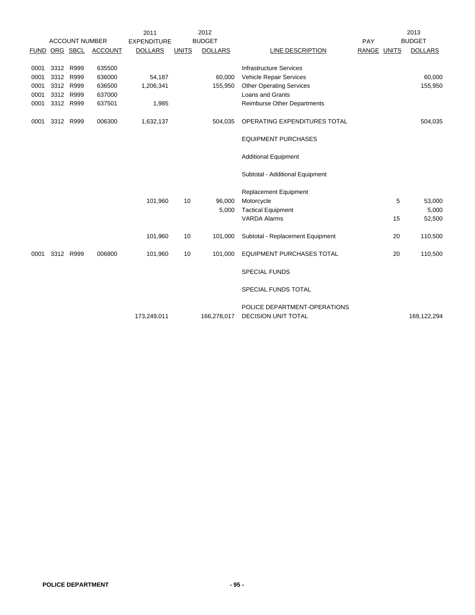|             |           |                       |                | 2011               |              | 2012           |                                  |             |    | 2013           |
|-------------|-----------|-----------------------|----------------|--------------------|--------------|----------------|----------------------------------|-------------|----|----------------|
|             |           | <b>ACCOUNT NUMBER</b> |                | <b>EXPENDITURE</b> |              | <b>BUDGET</b>  |                                  | PAY         |    | <b>BUDGET</b>  |
| <b>FUND</b> |           | ORG SBCL              | <b>ACCOUNT</b> | <b>DOLLARS</b>     | <b>UNITS</b> | <b>DOLLARS</b> | LINE DESCRIPTION                 | RANGE UNITS |    | <b>DOLLARS</b> |
|             |           |                       |                |                    |              |                |                                  |             |    |                |
| 0001        | 3312 R999 |                       | 635500         |                    |              |                | <b>Infrastructure Services</b>   |             |    |                |
| 0001        | 3312 R999 |                       | 636000         | 54,187             |              | 60,000         | Vehicle Repair Services          |             |    | 60,000         |
| 0001        | 3312 R999 |                       | 636500         | 1,206,341          |              | 155,950        | <b>Other Operating Services</b>  |             |    | 155,950        |
| 0001        | 3312 R999 |                       | 637000         |                    |              |                | Loans and Grants                 |             |    |                |
| 0001        | 3312 R999 |                       | 637501         | 1,985              |              |                | Reimburse Other Departments      |             |    |                |
| 0001        | 3312 R999 |                       | 006300         | 1,632,137          |              | 504,035        | OPERATING EXPENDITURES TOTAL     |             |    | 504,035        |
|             |           |                       |                |                    |              |                | <b>EQUIPMENT PURCHASES</b>       |             |    |                |
|             |           |                       |                |                    |              |                | <b>Additional Equipment</b>      |             |    |                |
|             |           |                       |                |                    |              |                | Subtotal - Additional Equipment  |             |    |                |
|             |           |                       |                |                    |              |                | <b>Replacement Equipment</b>     |             |    |                |
|             |           |                       |                | 101,960            | 10           | 96,000         | Motorcycle                       |             | 5  | 53,000         |
|             |           |                       |                |                    |              | 5,000          | <b>Tactical Equipment</b>        |             |    | 5,000          |
|             |           |                       |                |                    |              |                | <b>VARDA Alarms</b>              |             | 15 | 52,500         |
|             |           |                       |                | 101,960            | 10           | 101,000        | Subtotal - Replacement Equipment |             | 20 | 110,500        |
| 0001        | 3312 R999 |                       | 006800         | 101,960            | 10           | 101,000        | <b>EQUIPMENT PURCHASES TOTAL</b> |             | 20 | 110,500        |
|             |           |                       |                |                    |              |                | <b>SPECIAL FUNDS</b>             |             |    |                |
|             |           |                       |                |                    |              |                | SPECIAL FUNDS TOTAL              |             |    |                |
|             |           |                       |                |                    |              |                | POLICE DEPARTMENT-OPERATIONS     |             |    |                |
|             |           |                       |                | 173,249,011        |              | 166,278,017    | DECISION UNIT TOTAL              |             |    | 169,122,294    |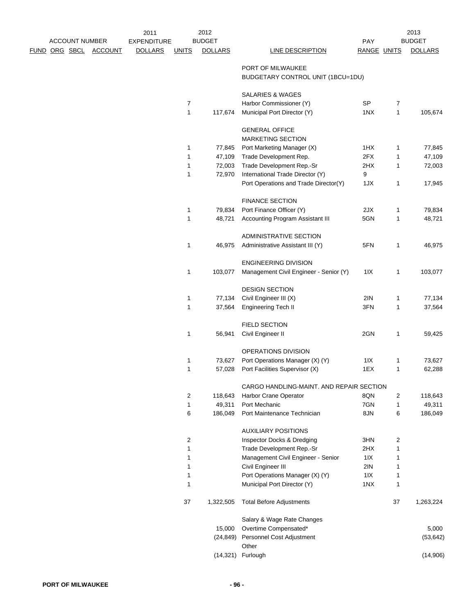|  | <b>ACCOUNT NUMBER</b> |                | 2011<br><b>EXPENDITURE</b> |                | 2012<br><b>BUDGET</b> |                                                        | <b>PAY</b>         |                | 2013<br><b>BUDGET</b> |
|--|-----------------------|----------------|----------------------------|----------------|-----------------------|--------------------------------------------------------|--------------------|----------------|-----------------------|
|  | <u>FUND ORG SBCL</u>  | <b>ACCOUNT</b> | <b>DOLLARS</b>             | <b>UNITS</b>   | <b>DOLLARS</b>        | LINE DESCRIPTION                                       | <b>RANGE UNITS</b> |                | <b>DOLLARS</b>        |
|  |                       |                |                            |                |                       | PORT OF MILWAUKEE<br>BUDGETARY CONTROL UNIT (1BCU=1DU) |                    |                |                       |
|  |                       |                |                            |                |                       | <b>SALARIES &amp; WAGES</b>                            |                    |                |                       |
|  |                       |                |                            | 7              |                       | Harbor Commissioner (Y)                                | SP                 | $\overline{7}$ |                       |
|  |                       |                |                            | $\mathbf{1}$   | 117,674               | Municipal Port Director (Y)                            | 1NX                | $\mathbf{1}$   | 105,674               |
|  |                       |                |                            |                |                       | <b>GENERAL OFFICE</b><br><b>MARKETING SECTION</b>      |                    |                |                       |
|  |                       |                |                            | 1              | 77,845                | Port Marketing Manager (X)                             | 1HX                | 1              | 77,845                |
|  |                       |                |                            | $\mathbf{1}$   | 47,109                | Trade Development Rep.                                 | 2FX                | 1              | 47,109                |
|  |                       |                |                            | $\mathbf{1}$   | 72,003                | Trade Development Rep.-Sr                              | 2HX                | 1              | 72,003                |
|  |                       |                |                            | 1              | 72,970                | International Trade Director (Y)                       | 9                  |                |                       |
|  |                       |                |                            |                |                       | Port Operations and Trade Director(Y)                  | 1JX                | 1              | 17,945                |
|  |                       |                |                            |                |                       | <b>FINANCE SECTION</b>                                 |                    |                |                       |
|  |                       |                |                            | $\mathbf{1}$   | 79,834                | Port Finance Officer (Y)                               | 2JX                | 1              | 79,834                |
|  |                       |                |                            | 1              | 48,721                | <b>Accounting Program Assistant III</b>                | 5GN                | 1              | 48,721                |
|  |                       |                |                            |                |                       |                                                        |                    |                |                       |
|  |                       |                |                            |                |                       | ADMINISTRATIVE SECTION                                 |                    |                |                       |
|  |                       |                |                            | $\mathbf{1}$   | 46,975                | Administrative Assistant III (Y)                       | 5FN                | 1              | 46,975                |
|  |                       |                |                            |                |                       | <b>ENGINEERING DIVISION</b>                            |                    |                |                       |
|  |                       |                |                            | 1              | 103,077               | Management Civil Engineer - Senior (Y)                 | 11X                | 1              | 103,077               |
|  |                       |                |                            |                |                       | <b>DESIGN SECTION</b>                                  |                    |                |                       |
|  |                       |                |                            | $\mathbf{1}$   | 77,134                | Civil Engineer III (X)                                 | 2IN                | 1              | 77,134                |
|  |                       |                |                            | $\mathbf{1}$   | 37,564                | <b>Engineering Tech II</b>                             | 3FN                | 1              | 37,564                |
|  |                       |                |                            |                |                       |                                                        |                    |                |                       |
|  |                       |                |                            | 1              |                       | <b>FIELD SECTION</b>                                   | 2GN                |                |                       |
|  |                       |                |                            |                | 56,941                | Civil Engineer II                                      |                    | 1              | 59,425                |
|  |                       |                |                            |                |                       | OPERATIONS DIVISION                                    |                    |                |                       |
|  |                       |                |                            | 1              | 73,627                | Port Operations Manager (X) (Y)                        | 11X                | 1              | 73,627                |
|  |                       |                |                            | $\mathbf{1}$   | 57,028                | Port Facilities Supervisor (X)                         | 1EX                | 1              | 62,288                |
|  |                       |                |                            |                |                       | CARGO HANDLING-MAINT. AND REPAIR SECTION               |                    |                |                       |
|  |                       |                |                            | $\overline{2}$ | 118,643               | Harbor Crane Operator                                  | 8QN                | 2              | 118,643               |
|  |                       |                |                            | $\mathbf{1}$   | 49,311                | Port Mechanic                                          | 7GN                | 1              | 49,311                |
|  |                       |                |                            | 6              | 186,049               | Port Maintenance Technician                            | 8JN                | 6              | 186,049               |
|  |                       |                |                            |                |                       | <b>AUXILIARY POSITIONS</b>                             |                    |                |                       |
|  |                       |                |                            | 2              |                       | Inspector Docks & Dredging                             | 3HN                | 2              |                       |
|  |                       |                |                            | 1              |                       | Trade Development Rep.-Sr                              | 2HX                | 1              |                       |
|  |                       |                |                            | 1              |                       | Management Civil Engineer - Senior                     | 11X                | 1              |                       |
|  |                       |                |                            | 1              |                       | Civil Engineer III                                     | 2IN                | 1              |                       |
|  |                       |                |                            | $\mathbf{1}$   |                       | Port Operations Manager (X) (Y)                        | 11X                | 1              |                       |
|  |                       |                |                            | $\mathbf{1}$   |                       | Municipal Port Director (Y)                            | 1NX                | 1              |                       |
|  |                       |                |                            | 37             | 1,322,505             | <b>Total Before Adjustments</b>                        |                    | 37             | 1,263,224             |
|  |                       |                |                            |                |                       | Salary & Wage Rate Changes                             |                    |                |                       |
|  |                       |                |                            |                | 15,000                | Overtime Compensated*                                  |                    |                | 5,000                 |
|  |                       |                |                            |                | (24, 849)             | Personnel Cost Adjustment                              |                    |                | (53, 642)             |
|  |                       |                |                            |                |                       | Other                                                  |                    |                |                       |
|  |                       |                |                            |                |                       | (14,321) Furlough                                      |                    |                | (14,906)              |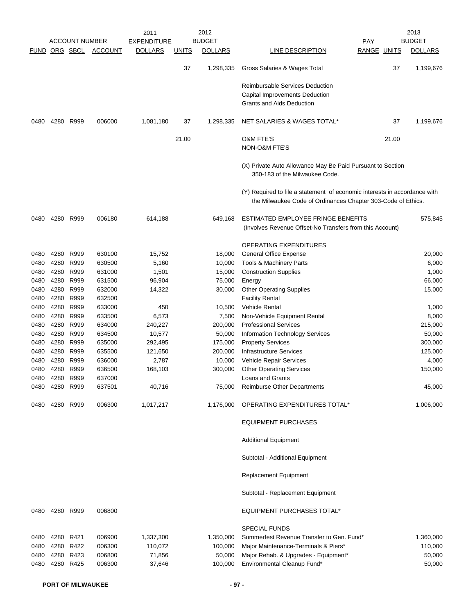|               |           | <b>ACCOUNT NUMBER</b> |                | 2011<br><b>EXPENDITURE</b> |              | 2012<br><b>BUDGET</b> |                                                                                                                                           | <b>PAY</b>  | 2013<br><b>BUDGET</b> |
|---------------|-----------|-----------------------|----------------|----------------------------|--------------|-----------------------|-------------------------------------------------------------------------------------------------------------------------------------------|-------------|-----------------------|
| FUND ORG SBCL |           |                       | <b>ACCOUNT</b> | <b>DOLLARS</b>             | <u>UNITS</u> | <b>DOLLARS</b>        | LINE DESCRIPTION                                                                                                                          | RANGE UNITS | <b>DOLLARS</b>        |
|               |           |                       |                |                            |              |                       |                                                                                                                                           |             |                       |
|               |           |                       |                |                            | 37           | 1,298,335             | Gross Salaries & Wages Total                                                                                                              | 37          | 1,199,676             |
|               |           |                       |                |                            |              |                       | <b>Reimbursable Services Deduction</b>                                                                                                    |             |                       |
|               |           |                       |                |                            |              |                       | Capital Improvements Deduction                                                                                                            |             |                       |
|               |           |                       |                |                            |              |                       | <b>Grants and Aids Deduction</b>                                                                                                          |             |                       |
| 0480          |           | 4280 R999             | 006000         | 1,081,180                  | 37           | 1,298,335             | NET SALARIES & WAGES TOTAL*                                                                                                               | 37          | 1,199,676             |
|               |           |                       |                |                            | 21.00        |                       | <b>O&amp;M FTE'S</b>                                                                                                                      | 21.00       |                       |
|               |           |                       |                |                            |              |                       | <b>NON-O&amp;M FTE'S</b>                                                                                                                  |             |                       |
|               |           |                       |                |                            |              |                       | (X) Private Auto Allowance May Be Paid Pursuant to Section<br>350-183 of the Milwaukee Code.                                              |             |                       |
|               |           |                       |                |                            |              |                       | (Y) Required to file a statement of economic interests in accordance with<br>the Milwaukee Code of Ordinances Chapter 303-Code of Ethics. |             |                       |
| 0480          |           | 4280 R999             | 006180         | 614,188                    |              | 649,168               | ESTIMATED EMPLOYEE FRINGE BENEFITS                                                                                                        |             | 575,845               |
|               |           |                       |                |                            |              |                       | (Involves Revenue Offset-No Transfers from this Account)                                                                                  |             |                       |
|               |           |                       |                |                            |              |                       | <b>OPERATING EXPENDITURES</b>                                                                                                             |             |                       |
| 0480          | 4280      | R999                  | 630100         | 15,752                     |              | 18,000                | <b>General Office Expense</b>                                                                                                             |             | 20,000                |
| 0480          | 4280      | R999                  | 630500         | 5,160                      |              | 10,000                | Tools & Machinery Parts                                                                                                                   |             | 6,000                 |
| 0480          | 4280      | R999                  | 631000         | 1,501                      |              | 15,000                | <b>Construction Supplies</b>                                                                                                              |             | 1,000                 |
| 0480          |           | 4280 R999             | 631500         | 96,904                     |              | 75,000                | Energy                                                                                                                                    |             | 66,000                |
| 0480          |           | 4280 R999             | 632000         | 14,322                     |              | 30,000                | <b>Other Operating Supplies</b>                                                                                                           |             | 15,000                |
| 0480          | 4280      | R999                  | 632500         |                            |              |                       | <b>Facility Rental</b>                                                                                                                    |             |                       |
| 0480          | 4280      | R999                  | 633000         | 450                        |              | 10,500                | <b>Vehicle Rental</b>                                                                                                                     |             | 1,000                 |
| 0480          | 4280      | R999                  | 633500         | 6,573                      |              | 7,500                 | Non-Vehicle Equipment Rental                                                                                                              |             | 8,000                 |
| 0480          | 4280      | R999                  | 634000         | 240,227                    |              | 200,000               | <b>Professional Services</b>                                                                                                              |             | 215,000               |
| 0480          |           | 4280 R999             | 634500         | 10,577                     |              | 50,000                | <b>Information Technology Services</b>                                                                                                    |             | 50,000                |
| 0480          | 4280      | R999                  | 635000         | 292,495                    |              | 175,000               | <b>Property Services</b>                                                                                                                  |             | 300,000               |
| 0480          | 4280      | R999                  | 635500         | 121,650                    |              | 200,000               | <b>Infrastructure Services</b>                                                                                                            |             | 125,000               |
| 0480          | 4280      | R999                  | 636000         | 2,787                      |              | 10,000                | Vehicle Repair Services                                                                                                                   |             | 4,000                 |
| 0480          | 4280 R999 |                       | 636500         | 168,103                    |              | 300,000               | <b>Other Operating Services</b>                                                                                                           |             | 150,000               |
| 0480          | 4280 R999 |                       | 637000         |                            |              |                       | Loans and Grants                                                                                                                          |             |                       |
| 0480          | 4280 R999 |                       | 637501         | 40,716                     |              | 75,000                | <b>Reimburse Other Departments</b>                                                                                                        |             | 45,000                |
| 0480          |           | 4280 R999             | 006300         | 1,017,217                  |              | 1,176,000             | OPERATING EXPENDITURES TOTAL*                                                                                                             |             | 1,006,000             |
|               |           |                       |                |                            |              |                       | <b>EQUIPMENT PURCHASES</b>                                                                                                                |             |                       |
|               |           |                       |                |                            |              |                       | <b>Additional Equipment</b>                                                                                                               |             |                       |
|               |           |                       |                |                            |              |                       | Subtotal - Additional Equipment                                                                                                           |             |                       |
|               |           |                       |                |                            |              |                       | Replacement Equipment                                                                                                                     |             |                       |
|               |           |                       |                |                            |              |                       | Subtotal - Replacement Equipment                                                                                                          |             |                       |
| 0480          | 4280 R999 |                       | 006800         |                            |              |                       | <b>EQUIPMENT PURCHASES TOTAL*</b>                                                                                                         |             |                       |
|               |           |                       |                |                            |              |                       | <b>SPECIAL FUNDS</b>                                                                                                                      |             |                       |
| 0480          | 4280 R421 |                       | 006900         | 1,337,300                  |              | 1,350,000             | Summerfest Revenue Transfer to Gen. Fund*                                                                                                 |             | 1,360,000             |
| 0480          | 4280 R422 |                       | 006300         | 110,072                    |              | 100,000               | Major Maintenance-Terminals & Piers*                                                                                                      |             | 110,000               |
| 0480          |           | 4280 R423             | 006800         | 71,856                     |              | 50,000                | Major Rehab. & Upgrades - Equipment*                                                                                                      |             | 50,000                |
| 0480          |           | 4280 R425             | 006300         | 37,646                     |              | 100,000               | Environmental Cleanup Fund*                                                                                                               |             | 50,000                |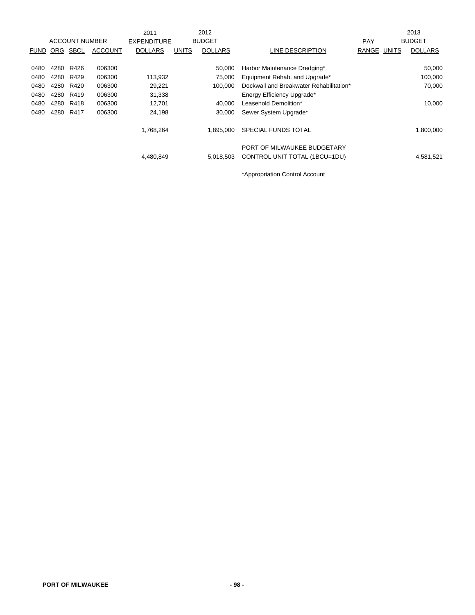|             |      |                       |                | 2011               |              | 2012           |                                                              |            |              | 2013           |
|-------------|------|-----------------------|----------------|--------------------|--------------|----------------|--------------------------------------------------------------|------------|--------------|----------------|
|             |      | <b>ACCOUNT NUMBER</b> |                | <b>EXPENDITURE</b> |              | <b>BUDGET</b>  |                                                              | <b>PAY</b> |              | <b>BUDGET</b>  |
| <b>FUND</b> | ORG  | SBCL                  | <b>ACCOUNT</b> | <b>DOLLARS</b>     | <b>UNITS</b> | <b>DOLLARS</b> | LINE DESCRIPTION                                             | RANGE      | <b>UNITS</b> | <b>DOLLARS</b> |
|             |      |                       |                |                    |              |                |                                                              |            |              |                |
| 0480        | 4280 | R426                  | 006300         |                    |              | 50,000         | Harbor Maintenance Dredging*                                 |            |              | 50,000         |
| 0480        | 4280 | R429                  | 006300         | 113,932            |              | 75,000         | Equipment Rehab. and Upgrade*                                |            |              | 100,000        |
| 0480        | 4280 | R420                  | 006300         | 29,221             |              | 100.000        | Dockwall and Breakwater Rehabilitation*                      |            |              | 70,000         |
| 0480        | 4280 | R419                  | 006300         | 31,338             |              |                | Energy Efficiency Upgrade*                                   |            |              |                |
| 0480        | 4280 | R418                  | 006300         | 12,701             |              | 40,000         | Leasehold Demolition*                                        |            |              | 10,000         |
| 0480        | 4280 | R417                  | 006300         | 24,198             |              | 30,000         | Sewer System Upgrade*                                        |            |              |                |
|             |      |                       |                | 1,768,264          |              | 1.895.000      | SPECIAL FUNDS TOTAL                                          |            |              | 1,800,000      |
|             |      |                       |                | 4,480,849          |              | 5,018,503      | PORT OF MILWAUKEE BUDGETARY<br>CONTROL UNIT TOTAL (1BCU=1DU) |            |              | 4,581,521      |

\*Appropriation Control Account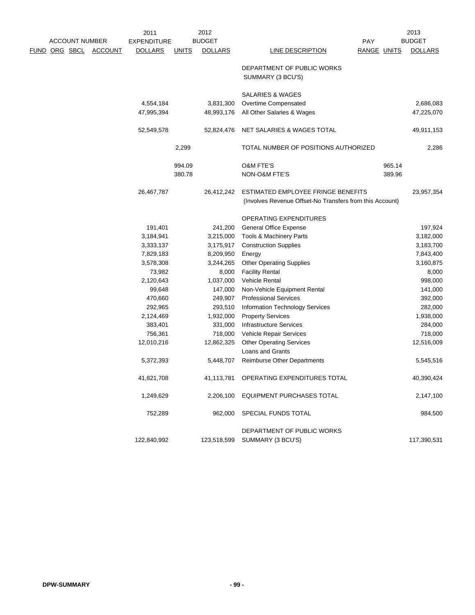|                       |                | 2011               |              | 2012           |                                                          |                    | 2013           |
|-----------------------|----------------|--------------------|--------------|----------------|----------------------------------------------------------|--------------------|----------------|
| <b>ACCOUNT NUMBER</b> |                | <b>EXPENDITURE</b> |              | <b>BUDGET</b>  |                                                          | <b>PAY</b>         | <b>BUDGET</b>  |
| <u>FUND ORG SBCL</u>  | <b>ACCOUNT</b> | <b>DOLLARS</b>     | <b>UNITS</b> | <b>DOLLARS</b> | LINE DESCRIPTION                                         | <b>RANGE UNITS</b> | <b>DOLLARS</b> |
|                       |                |                    |              |                | DEPARTMENT OF PUBLIC WORKS                               |                    |                |
|                       |                |                    |              |                | SUMMARY (3 BCU'S)                                        |                    |                |
|                       |                |                    |              |                | SALARIES & WAGES                                         |                    |                |
|                       |                | 4,554,184          |              | 3,831,300      | Overtime Compensated                                     |                    | 2,686,083      |
|                       |                | 47,995,394         |              | 48,993,176     | All Other Salaries & Wages                               |                    | 47,225,070     |
|                       |                | 52,549,578         |              | 52,824,476     | NET SALARIES & WAGES TOTAL                               |                    | 49,911,153     |
|                       |                |                    | 2,299        |                | TOTAL NUMBER OF POSITIONS AUTHORIZED                     |                    | 2,286          |
|                       |                |                    | 994.09       |                | O&M FTE'S                                                | 965.14             |                |
|                       |                |                    | 380.78       |                | NON-O&M FTE'S                                            | 389.96             |                |
|                       |                | 26,467,787         |              | 26,412,242     | ESTIMATED EMPLOYEE FRINGE BENEFITS                       |                    | 23,957,354     |
|                       |                |                    |              |                | (Involves Revenue Offset-No Transfers from this Account) |                    |                |
|                       |                |                    |              |                | OPERATING EXPENDITURES                                   |                    |                |
|                       |                | 191,401            |              | 241,200        | General Office Expense                                   |                    | 197,924        |
|                       |                | 3,184,941          |              | 3,215,000      | Tools & Machinery Parts                                  |                    | 3,182,000      |
|                       |                | 3,333,137          |              | 3,175,917      | <b>Construction Supplies</b>                             |                    | 3,183,700      |
|                       |                | 7,829,183          |              | 8,209,950      | Energy                                                   |                    | 7,843,400      |
|                       |                | 3,578,308          |              | 3,244,265      | <b>Other Operating Supplies</b>                          |                    | 3,160,875      |
|                       |                | 73,982             |              | 8,000          | <b>Facility Rental</b>                                   |                    | 8,000          |
|                       |                | 2,120,643          |              | 1,037,000      | Vehicle Rental                                           |                    | 998,000        |
|                       |                | 99,648             |              | 147,000        | Non-Vehicle Equipment Rental                             |                    | 141,000        |
|                       |                | 470,660            |              | 249,907        | <b>Professional Services</b>                             |                    | 392,000        |
|                       |                | 292,965            |              | 293,510        | Information Technology Services                          |                    | 282,000        |
|                       |                | 2,124,469          |              | 1,932,000      | <b>Property Services</b>                                 |                    | 1,938,000      |
|                       |                | 383,401            |              | 331,000        | <b>Infrastructure Services</b>                           |                    | 284,000        |
|                       |                | 756,361            |              | 718,000        | Vehicle Repair Services                                  |                    | 718,000        |
|                       |                | 12,010,216         |              | 12,862,325     | <b>Other Operating Services</b>                          |                    | 12,516,009     |
|                       |                |                    |              |                | Loans and Grants                                         |                    |                |
|                       |                | 5,372,393          |              | 5,448,707      | <b>Reimburse Other Departments</b>                       |                    | 5,545,516      |
|                       |                | 41,821,708         |              |                | 41,113,781 OPERATING EXPENDITURES TOTAL                  |                    | 40,390,424     |
|                       |                | 1,249,629          |              | 2,206,100      | EQUIPMENT PURCHASES TOTAL                                |                    | 2,147,100      |
|                       |                | 752,289            |              | 962,000        | SPECIAL FUNDS TOTAL                                      |                    | 984,500        |
|                       |                |                    |              |                | DEPARTMENT OF PUBLIC WORKS                               |                    |                |
|                       |                | 122,840,992        |              |                | 123,518,599 SUMMARY (3 BCU'S)                            |                    | 117,390,531    |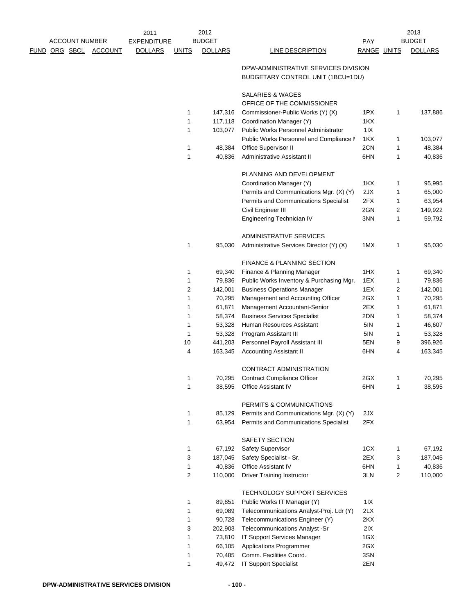|                      | <b>ACCOUNT NUMBER</b> |                | 2011<br><b>EXPENDITURE</b> |                | 2012<br><b>BUDGET</b> |                                                           | <b>PAY</b>  |   | 2013<br><b>BUDGET</b> |
|----------------------|-----------------------|----------------|----------------------------|----------------|-----------------------|-----------------------------------------------------------|-------------|---|-----------------------|
|                      |                       | <b>ACCOUNT</b> |                            |                | <b>DOLLARS</b>        |                                                           | RANGE UNITS |   |                       |
| <u>FUND ORG SBCL</u> |                       |                | <b>DOLLARS</b>             | <b>UNITS</b>   |                       | LINE DESCRIPTION<br>DPW-ADMINISTRATIVE SERVICES DIVISION  |             |   | <b>DOLLARS</b>        |
|                      |                       |                |                            |                |                       | BUDGETARY CONTROL UNIT (1BCU=1DU)                         |             |   |                       |
|                      |                       |                |                            |                |                       | <b>SALARIES &amp; WAGES</b><br>OFFICE OF THE COMMISSIONER |             |   |                       |
|                      |                       |                |                            | 1              | 147,316               | Commissioner-Public Works (Y) (X)                         | 1PX         | 1 | 137,886               |
|                      |                       |                |                            | 1              | 117,118               | Coordination Manager (Y)                                  | 1KX         |   |                       |
|                      |                       |                |                            | 1              | 103,077               | <b>Public Works Personnel Administrator</b>               | 11X         |   |                       |
|                      |                       |                |                            |                |                       | Public Works Personnel and Compliance M                   | 1KX         | 1 | 103,077               |
|                      |                       |                |                            | 1              | 48,384                | Office Supervisor II                                      | 2CN         | 1 | 48,384                |
|                      |                       |                |                            | 1              | 40,836                | Administrative Assistant II                               | 6HN         | 1 | 40,836                |
|                      |                       |                |                            |                |                       |                                                           |             |   |                       |
|                      |                       |                |                            |                |                       | PLANNING AND DEVELOPMENT                                  |             |   |                       |
|                      |                       |                |                            |                |                       | Coordination Manager (Y)                                  | 1KX         | 1 | 95,995                |
|                      |                       |                |                            |                |                       | Permits and Communications Mgr. (X) (Y)                   | 2JX         | 1 | 65,000                |
|                      |                       |                |                            |                |                       | Permits and Communications Specialist                     | 2FX         | 1 | 63,954                |
|                      |                       |                |                            |                |                       | Civil Engineer III                                        | 2GN         | 2 | 149,922               |
|                      |                       |                |                            |                |                       | Engineering Technician IV                                 | 3NN         | 1 | 59,792                |
|                      |                       |                |                            |                |                       | ADMINISTRATIVE SERVICES                                   |             |   |                       |
|                      |                       |                |                            | 1              | 95,030                | Administrative Services Director (Y) (X)                  | 1MX         | 1 | 95,030                |
|                      |                       |                |                            |                |                       | FINANCE & PLANNING SECTION                                |             |   |                       |
|                      |                       |                |                            | 1              | 69,340                | Finance & Planning Manager                                | 1HX         | 1 | 69,340                |
|                      |                       |                |                            | 1              | 79,836                | Public Works Inventory & Purchasing Mgr.                  | 1EX         | 1 | 79,836                |
|                      |                       |                |                            | $\overline{c}$ | 142,001               | <b>Business Operations Manager</b>                        | 1EX         | 2 | 142,001               |
|                      |                       |                |                            | 1              | 70,295                | Management and Accounting Officer                         | 2GX         | 1 | 70,295                |
|                      |                       |                |                            | 1              | 61,871                | Management Accountant-Senior                              | 2EX         | 1 | 61,871                |
|                      |                       |                |                            | 1              | 58,374                | <b>Business Services Specialist</b>                       | 2DN         | 1 | 58,374                |
|                      |                       |                |                            | 1              | 53,328                | Human Resources Assistant                                 | 5IN         | 1 | 46,607                |
|                      |                       |                |                            | 1              | 53,328                | Program Assistant III                                     | 5IN         | 1 | 53,328                |
|                      |                       |                |                            | 10             | 441,203               | Personnel Payroll Assistant III                           | 5EN         | 9 | 396,926               |
|                      |                       |                |                            | 4              | 163,345               | <b>Accounting Assistant II</b>                            | 6HN         | 4 | 163,345               |
|                      |                       |                |                            |                |                       | CONTRACT ADMINISTRATION                                   |             |   |                       |
|                      |                       |                |                            | 1              | 70,295                | <b>Contract Compliance Officer</b>                        | 2GX         | 1 | 70,295                |
|                      |                       |                |                            | 1              | 38,595                | <b>Office Assistant IV</b>                                | 6HN         | 1 | 38,595                |
|                      |                       |                |                            |                |                       | PERMITS & COMMUNICATIONS                                  |             |   |                       |
|                      |                       |                |                            | 1              | 85,129                | Permits and Communications Mgr. (X) (Y)                   | 2JX         |   |                       |
|                      |                       |                |                            | 1              | 63,954                | Permits and Communications Specialist                     | 2FX         |   |                       |
|                      |                       |                |                            |                |                       | SAFETY SECTION                                            |             |   |                       |
|                      |                       |                |                            | 1              | 67,192                | Safety Supervisor                                         | 1CX         | 1 | 67,192                |
|                      |                       |                |                            | 3              | 187,045               | Safety Specialist - Sr.                                   | 2EX         | 3 | 187,045               |
|                      |                       |                |                            | 1              | 40,836                | Office Assistant IV                                       | 6HN         | 1 | 40,836                |
|                      |                       |                |                            | 2              | 110,000               | <b>Driver Training Instructor</b>                         | 3LN         | 2 | 110,000               |
|                      |                       |                |                            |                |                       | TECHNOLOGY SUPPORT SERVICES                               |             |   |                       |
|                      |                       |                |                            | 1              | 89,851                | Public Works IT Manager (Y)                               | 11X         |   |                       |
|                      |                       |                |                            | 1              | 69,089                | Telecommunications Analyst-Proj. Ldr (Y)                  | 2LX         |   |                       |
|                      |                       |                |                            | 1              | 90,728                | Telecommunications Engineer (Y)                           | 2KX         |   |                       |
|                      |                       |                |                            | 3              | 202,903               | Telecommunications Analyst -Sr                            | 2IX         |   |                       |
|                      |                       |                |                            | 1              | 73,810                | IT Support Services Manager                               | 1GX         |   |                       |
|                      |                       |                |                            | 1              | 66,105                | <b>Applications Programmer</b>                            | 2GX         |   |                       |
|                      |                       |                |                            | 1              | 70,485                | Comm. Facilities Coord.                                   | 3SN         |   |                       |
|                      |                       |                |                            | 1              | 49,472                | <b>IT Support Specialist</b>                              | 2EN         |   |                       |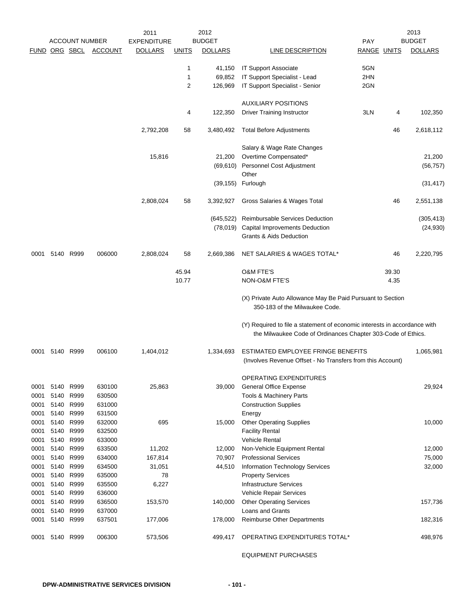| <b>BUDGET</b><br><b>BUDGET</b><br><b>ACCOUNT NUMBER</b><br>FUND ORG SBCL<br><b>ACCOUNT</b><br><b>DOLLARS</b><br>RANGE UNITS<br><b>DOLLARS</b><br><b>DOLLARS</b><br><b>UNITS</b><br><b>LINE DESCRIPTION</b><br>5GN<br>1<br><b>IT Support Associate</b><br>41,150<br>1<br>IT Support Specialist - Lead<br>2HN<br>69,852<br>$\overline{2}$<br>2GN<br>126,969<br>IT Support Specialist - Senior<br><b>AUXILIARY POSITIONS</b><br><b>Driver Training Instructor</b><br>3LN<br>102,350<br>4<br>122,350<br>4<br>2,792,208<br>58<br><b>Total Before Adjustments</b><br>46<br>2,618,112<br>3,480,492<br>Salary & Wage Rate Changes<br>Overtime Compensated*<br>15,816<br>21,200<br>21,200<br>(69,610) Personnel Cost Adjustment<br>(56, 757)<br>Other<br>(39, 155)<br>Furlough<br>(31, 417)<br>2,808,024<br>58<br>3,392,927<br>Gross Salaries & Wages Total<br>46<br>2,551,138<br>Reimbursable Services Deduction<br>(645, 522)<br>(305, 413)<br>(78,019)<br><b>Capital Improvements Deduction</b><br>(24, 930)<br><b>Grants &amp; Aids Deduction</b><br>5140 R999<br>006000<br>2,808,024<br>58<br>2,669,386<br>NET SALARIES & WAGES TOTAL*<br>46<br>2,220,795<br>0001<br>45.94<br><b>O&amp;M FTE'S</b><br>39.30<br>10.77<br>NON-O&M FTE'S<br>4.35<br>(X) Private Auto Allowance May Be Paid Pursuant to Section<br>350-183 of the Milwaukee Code.<br>(Y) Required to file a statement of economic interests in accordance with<br>the Milwaukee Code of Ordinances Chapter 303-Code of Ethics.<br>ESTIMATED EMPLOYEE FRINGE BENEFITS<br>5140 R999<br>006100<br>1,404,012<br>1,065,981<br>0001<br>1,334,693<br>(Involves Revenue Offset - No Transfers from this Account)<br>OPERATING EXPENDITURES<br>5140 R999<br>630100<br>25,863<br>39,000<br><b>General Office Expense</b><br>29,924<br>0001<br>R999<br>0001<br>5140<br>630500<br><b>Tools &amp; Machinery Parts</b><br>5140<br>R999<br>0001<br>631000<br><b>Construction Supplies</b><br>R999<br>0001<br>5140<br>631500<br>Energy<br>R999<br>695<br>0001<br>5140<br>632000<br>15,000<br><b>Other Operating Supplies</b><br>10,000<br>5140<br>R999<br>0001<br>632500<br><b>Facility Rental</b><br>633000<br>0001<br>5140<br>R999<br><b>Vehicle Rental</b><br>5140<br>R999<br>633500<br>11,202<br>0001<br>12,000<br>Non-Vehicle Equipment Rental<br>12,000<br>634000<br>75,000<br>0001<br>5140<br>R999<br>167,814<br>70,907<br><b>Professional Services</b><br>5140 R999<br>634500<br>32,000<br>0001<br>31,051<br>44,510<br>Information Technology Services<br>5140 R999<br>635000<br>0001<br>78<br><b>Property Services</b><br>5140<br>R999<br>6,227<br>635500<br><b>Infrastructure Services</b><br>0001<br>5140<br>R999<br>636000<br>Vehicle Repair Services<br>0001<br>0001<br>5140<br>R999<br>636500<br>153,570<br>140,000<br><b>Other Operating Services</b><br>157,736<br>R999<br>637000<br>Loans and Grants<br>0001<br>5140<br>5140<br>R999<br>637501<br>0001<br>177,006<br>178,000<br><b>Reimburse Other Departments</b><br>182,316<br>OPERATING EXPENDITURES TOTAL*<br>5140<br>R999<br>006300<br>573,506<br>498,976<br>0001<br>499,417 |  |  | 2011               | 2012 |            | 2013 |
|--------------------------------------------------------------------------------------------------------------------------------------------------------------------------------------------------------------------------------------------------------------------------------------------------------------------------------------------------------------------------------------------------------------------------------------------------------------------------------------------------------------------------------------------------------------------------------------------------------------------------------------------------------------------------------------------------------------------------------------------------------------------------------------------------------------------------------------------------------------------------------------------------------------------------------------------------------------------------------------------------------------------------------------------------------------------------------------------------------------------------------------------------------------------------------------------------------------------------------------------------------------------------------------------------------------------------------------------------------------------------------------------------------------------------------------------------------------------------------------------------------------------------------------------------------------------------------------------------------------------------------------------------------------------------------------------------------------------------------------------------------------------------------------------------------------------------------------------------------------------------------------------------------------------------------------------------------------------------------------------------------------------------------------------------------------------------------------------------------------------------------------------------------------------------------------------------------------------------------------------------------------------------------------------------------------------------------------------------------------------------------------------------------------------------------------------------------------------------------------------------------------------------------------------------------------------------------------------------------------------------------------------------------------------------------------------------------------------------------------------------------------------------------------------------------------------------------------------------------------------------------------------------------------------------------------------------------------------------------------------------------------------------------------------------------------------------------------------|--|--|--------------------|------|------------|------|
|                                                                                                                                                                                                                                                                                                                                                                                                                                                                                                                                                                                                                                                                                                                                                                                                                                                                                                                                                                                                                                                                                                                                                                                                                                                                                                                                                                                                                                                                                                                                                                                                                                                                                                                                                                                                                                                                                                                                                                                                                                                                                                                                                                                                                                                                                                                                                                                                                                                                                                                                                                                                                                                                                                                                                                                                                                                                                                                                                                                                                                                                                            |  |  | <b>EXPENDITURE</b> |      | <b>PAY</b> |      |
|                                                                                                                                                                                                                                                                                                                                                                                                                                                                                                                                                                                                                                                                                                                                                                                                                                                                                                                                                                                                                                                                                                                                                                                                                                                                                                                                                                                                                                                                                                                                                                                                                                                                                                                                                                                                                                                                                                                                                                                                                                                                                                                                                                                                                                                                                                                                                                                                                                                                                                                                                                                                                                                                                                                                                                                                                                                                                                                                                                                                                                                                                            |  |  |                    |      |            |      |
|                                                                                                                                                                                                                                                                                                                                                                                                                                                                                                                                                                                                                                                                                                                                                                                                                                                                                                                                                                                                                                                                                                                                                                                                                                                                                                                                                                                                                                                                                                                                                                                                                                                                                                                                                                                                                                                                                                                                                                                                                                                                                                                                                                                                                                                                                                                                                                                                                                                                                                                                                                                                                                                                                                                                                                                                                                                                                                                                                                                                                                                                                            |  |  |                    |      |            |      |
|                                                                                                                                                                                                                                                                                                                                                                                                                                                                                                                                                                                                                                                                                                                                                                                                                                                                                                                                                                                                                                                                                                                                                                                                                                                                                                                                                                                                                                                                                                                                                                                                                                                                                                                                                                                                                                                                                                                                                                                                                                                                                                                                                                                                                                                                                                                                                                                                                                                                                                                                                                                                                                                                                                                                                                                                                                                                                                                                                                                                                                                                                            |  |  |                    |      |            |      |
|                                                                                                                                                                                                                                                                                                                                                                                                                                                                                                                                                                                                                                                                                                                                                                                                                                                                                                                                                                                                                                                                                                                                                                                                                                                                                                                                                                                                                                                                                                                                                                                                                                                                                                                                                                                                                                                                                                                                                                                                                                                                                                                                                                                                                                                                                                                                                                                                                                                                                                                                                                                                                                                                                                                                                                                                                                                                                                                                                                                                                                                                                            |  |  |                    |      |            |      |
|                                                                                                                                                                                                                                                                                                                                                                                                                                                                                                                                                                                                                                                                                                                                                                                                                                                                                                                                                                                                                                                                                                                                                                                                                                                                                                                                                                                                                                                                                                                                                                                                                                                                                                                                                                                                                                                                                                                                                                                                                                                                                                                                                                                                                                                                                                                                                                                                                                                                                                                                                                                                                                                                                                                                                                                                                                                                                                                                                                                                                                                                                            |  |  |                    |      |            |      |
|                                                                                                                                                                                                                                                                                                                                                                                                                                                                                                                                                                                                                                                                                                                                                                                                                                                                                                                                                                                                                                                                                                                                                                                                                                                                                                                                                                                                                                                                                                                                                                                                                                                                                                                                                                                                                                                                                                                                                                                                                                                                                                                                                                                                                                                                                                                                                                                                                                                                                                                                                                                                                                                                                                                                                                                                                                                                                                                                                                                                                                                                                            |  |  |                    |      |            |      |
|                                                                                                                                                                                                                                                                                                                                                                                                                                                                                                                                                                                                                                                                                                                                                                                                                                                                                                                                                                                                                                                                                                                                                                                                                                                                                                                                                                                                                                                                                                                                                                                                                                                                                                                                                                                                                                                                                                                                                                                                                                                                                                                                                                                                                                                                                                                                                                                                                                                                                                                                                                                                                                                                                                                                                                                                                                                                                                                                                                                                                                                                                            |  |  |                    |      |            |      |
|                                                                                                                                                                                                                                                                                                                                                                                                                                                                                                                                                                                                                                                                                                                                                                                                                                                                                                                                                                                                                                                                                                                                                                                                                                                                                                                                                                                                                                                                                                                                                                                                                                                                                                                                                                                                                                                                                                                                                                                                                                                                                                                                                                                                                                                                                                                                                                                                                                                                                                                                                                                                                                                                                                                                                                                                                                                                                                                                                                                                                                                                                            |  |  |                    |      |            |      |
|                                                                                                                                                                                                                                                                                                                                                                                                                                                                                                                                                                                                                                                                                                                                                                                                                                                                                                                                                                                                                                                                                                                                                                                                                                                                                                                                                                                                                                                                                                                                                                                                                                                                                                                                                                                                                                                                                                                                                                                                                                                                                                                                                                                                                                                                                                                                                                                                                                                                                                                                                                                                                                                                                                                                                                                                                                                                                                                                                                                                                                                                                            |  |  |                    |      |            |      |
|                                                                                                                                                                                                                                                                                                                                                                                                                                                                                                                                                                                                                                                                                                                                                                                                                                                                                                                                                                                                                                                                                                                                                                                                                                                                                                                                                                                                                                                                                                                                                                                                                                                                                                                                                                                                                                                                                                                                                                                                                                                                                                                                                                                                                                                                                                                                                                                                                                                                                                                                                                                                                                                                                                                                                                                                                                                                                                                                                                                                                                                                                            |  |  |                    |      |            |      |
|                                                                                                                                                                                                                                                                                                                                                                                                                                                                                                                                                                                                                                                                                                                                                                                                                                                                                                                                                                                                                                                                                                                                                                                                                                                                                                                                                                                                                                                                                                                                                                                                                                                                                                                                                                                                                                                                                                                                                                                                                                                                                                                                                                                                                                                                                                                                                                                                                                                                                                                                                                                                                                                                                                                                                                                                                                                                                                                                                                                                                                                                                            |  |  |                    |      |            |      |
|                                                                                                                                                                                                                                                                                                                                                                                                                                                                                                                                                                                                                                                                                                                                                                                                                                                                                                                                                                                                                                                                                                                                                                                                                                                                                                                                                                                                                                                                                                                                                                                                                                                                                                                                                                                                                                                                                                                                                                                                                                                                                                                                                                                                                                                                                                                                                                                                                                                                                                                                                                                                                                                                                                                                                                                                                                                                                                                                                                                                                                                                                            |  |  |                    |      |            |      |
|                                                                                                                                                                                                                                                                                                                                                                                                                                                                                                                                                                                                                                                                                                                                                                                                                                                                                                                                                                                                                                                                                                                                                                                                                                                                                                                                                                                                                                                                                                                                                                                                                                                                                                                                                                                                                                                                                                                                                                                                                                                                                                                                                                                                                                                                                                                                                                                                                                                                                                                                                                                                                                                                                                                                                                                                                                                                                                                                                                                                                                                                                            |  |  |                    |      |            |      |
|                                                                                                                                                                                                                                                                                                                                                                                                                                                                                                                                                                                                                                                                                                                                                                                                                                                                                                                                                                                                                                                                                                                                                                                                                                                                                                                                                                                                                                                                                                                                                                                                                                                                                                                                                                                                                                                                                                                                                                                                                                                                                                                                                                                                                                                                                                                                                                                                                                                                                                                                                                                                                                                                                                                                                                                                                                                                                                                                                                                                                                                                                            |  |  |                    |      |            |      |
|                                                                                                                                                                                                                                                                                                                                                                                                                                                                                                                                                                                                                                                                                                                                                                                                                                                                                                                                                                                                                                                                                                                                                                                                                                                                                                                                                                                                                                                                                                                                                                                                                                                                                                                                                                                                                                                                                                                                                                                                                                                                                                                                                                                                                                                                                                                                                                                                                                                                                                                                                                                                                                                                                                                                                                                                                                                                                                                                                                                                                                                                                            |  |  |                    |      |            |      |
|                                                                                                                                                                                                                                                                                                                                                                                                                                                                                                                                                                                                                                                                                                                                                                                                                                                                                                                                                                                                                                                                                                                                                                                                                                                                                                                                                                                                                                                                                                                                                                                                                                                                                                                                                                                                                                                                                                                                                                                                                                                                                                                                                                                                                                                                                                                                                                                                                                                                                                                                                                                                                                                                                                                                                                                                                                                                                                                                                                                                                                                                                            |  |  |                    |      |            |      |
|                                                                                                                                                                                                                                                                                                                                                                                                                                                                                                                                                                                                                                                                                                                                                                                                                                                                                                                                                                                                                                                                                                                                                                                                                                                                                                                                                                                                                                                                                                                                                                                                                                                                                                                                                                                                                                                                                                                                                                                                                                                                                                                                                                                                                                                                                                                                                                                                                                                                                                                                                                                                                                                                                                                                                                                                                                                                                                                                                                                                                                                                                            |  |  |                    |      |            |      |
|                                                                                                                                                                                                                                                                                                                                                                                                                                                                                                                                                                                                                                                                                                                                                                                                                                                                                                                                                                                                                                                                                                                                                                                                                                                                                                                                                                                                                                                                                                                                                                                                                                                                                                                                                                                                                                                                                                                                                                                                                                                                                                                                                                                                                                                                                                                                                                                                                                                                                                                                                                                                                                                                                                                                                                                                                                                                                                                                                                                                                                                                                            |  |  |                    |      |            |      |
|                                                                                                                                                                                                                                                                                                                                                                                                                                                                                                                                                                                                                                                                                                                                                                                                                                                                                                                                                                                                                                                                                                                                                                                                                                                                                                                                                                                                                                                                                                                                                                                                                                                                                                                                                                                                                                                                                                                                                                                                                                                                                                                                                                                                                                                                                                                                                                                                                                                                                                                                                                                                                                                                                                                                                                                                                                                                                                                                                                                                                                                                                            |  |  |                    |      |            |      |
|                                                                                                                                                                                                                                                                                                                                                                                                                                                                                                                                                                                                                                                                                                                                                                                                                                                                                                                                                                                                                                                                                                                                                                                                                                                                                                                                                                                                                                                                                                                                                                                                                                                                                                                                                                                                                                                                                                                                                                                                                                                                                                                                                                                                                                                                                                                                                                                                                                                                                                                                                                                                                                                                                                                                                                                                                                                                                                                                                                                                                                                                                            |  |  |                    |      |            |      |
|                                                                                                                                                                                                                                                                                                                                                                                                                                                                                                                                                                                                                                                                                                                                                                                                                                                                                                                                                                                                                                                                                                                                                                                                                                                                                                                                                                                                                                                                                                                                                                                                                                                                                                                                                                                                                                                                                                                                                                                                                                                                                                                                                                                                                                                                                                                                                                                                                                                                                                                                                                                                                                                                                                                                                                                                                                                                                                                                                                                                                                                                                            |  |  |                    |      |            |      |
|                                                                                                                                                                                                                                                                                                                                                                                                                                                                                                                                                                                                                                                                                                                                                                                                                                                                                                                                                                                                                                                                                                                                                                                                                                                                                                                                                                                                                                                                                                                                                                                                                                                                                                                                                                                                                                                                                                                                                                                                                                                                                                                                                                                                                                                                                                                                                                                                                                                                                                                                                                                                                                                                                                                                                                                                                                                                                                                                                                                                                                                                                            |  |  |                    |      |            |      |
|                                                                                                                                                                                                                                                                                                                                                                                                                                                                                                                                                                                                                                                                                                                                                                                                                                                                                                                                                                                                                                                                                                                                                                                                                                                                                                                                                                                                                                                                                                                                                                                                                                                                                                                                                                                                                                                                                                                                                                                                                                                                                                                                                                                                                                                                                                                                                                                                                                                                                                                                                                                                                                                                                                                                                                                                                                                                                                                                                                                                                                                                                            |  |  |                    |      |            |      |
|                                                                                                                                                                                                                                                                                                                                                                                                                                                                                                                                                                                                                                                                                                                                                                                                                                                                                                                                                                                                                                                                                                                                                                                                                                                                                                                                                                                                                                                                                                                                                                                                                                                                                                                                                                                                                                                                                                                                                                                                                                                                                                                                                                                                                                                                                                                                                                                                                                                                                                                                                                                                                                                                                                                                                                                                                                                                                                                                                                                                                                                                                            |  |  |                    |      |            |      |
|                                                                                                                                                                                                                                                                                                                                                                                                                                                                                                                                                                                                                                                                                                                                                                                                                                                                                                                                                                                                                                                                                                                                                                                                                                                                                                                                                                                                                                                                                                                                                                                                                                                                                                                                                                                                                                                                                                                                                                                                                                                                                                                                                                                                                                                                                                                                                                                                                                                                                                                                                                                                                                                                                                                                                                                                                                                                                                                                                                                                                                                                                            |  |  |                    |      |            |      |
|                                                                                                                                                                                                                                                                                                                                                                                                                                                                                                                                                                                                                                                                                                                                                                                                                                                                                                                                                                                                                                                                                                                                                                                                                                                                                                                                                                                                                                                                                                                                                                                                                                                                                                                                                                                                                                                                                                                                                                                                                                                                                                                                                                                                                                                                                                                                                                                                                                                                                                                                                                                                                                                                                                                                                                                                                                                                                                                                                                                                                                                                                            |  |  |                    |      |            |      |
|                                                                                                                                                                                                                                                                                                                                                                                                                                                                                                                                                                                                                                                                                                                                                                                                                                                                                                                                                                                                                                                                                                                                                                                                                                                                                                                                                                                                                                                                                                                                                                                                                                                                                                                                                                                                                                                                                                                                                                                                                                                                                                                                                                                                                                                                                                                                                                                                                                                                                                                                                                                                                                                                                                                                                                                                                                                                                                                                                                                                                                                                                            |  |  |                    |      |            |      |
|                                                                                                                                                                                                                                                                                                                                                                                                                                                                                                                                                                                                                                                                                                                                                                                                                                                                                                                                                                                                                                                                                                                                                                                                                                                                                                                                                                                                                                                                                                                                                                                                                                                                                                                                                                                                                                                                                                                                                                                                                                                                                                                                                                                                                                                                                                                                                                                                                                                                                                                                                                                                                                                                                                                                                                                                                                                                                                                                                                                                                                                                                            |  |  |                    |      |            |      |
|                                                                                                                                                                                                                                                                                                                                                                                                                                                                                                                                                                                                                                                                                                                                                                                                                                                                                                                                                                                                                                                                                                                                                                                                                                                                                                                                                                                                                                                                                                                                                                                                                                                                                                                                                                                                                                                                                                                                                                                                                                                                                                                                                                                                                                                                                                                                                                                                                                                                                                                                                                                                                                                                                                                                                                                                                                                                                                                                                                                                                                                                                            |  |  |                    |      |            |      |
|                                                                                                                                                                                                                                                                                                                                                                                                                                                                                                                                                                                                                                                                                                                                                                                                                                                                                                                                                                                                                                                                                                                                                                                                                                                                                                                                                                                                                                                                                                                                                                                                                                                                                                                                                                                                                                                                                                                                                                                                                                                                                                                                                                                                                                                                                                                                                                                                                                                                                                                                                                                                                                                                                                                                                                                                                                                                                                                                                                                                                                                                                            |  |  |                    |      |            |      |
|                                                                                                                                                                                                                                                                                                                                                                                                                                                                                                                                                                                                                                                                                                                                                                                                                                                                                                                                                                                                                                                                                                                                                                                                                                                                                                                                                                                                                                                                                                                                                                                                                                                                                                                                                                                                                                                                                                                                                                                                                                                                                                                                                                                                                                                                                                                                                                                                                                                                                                                                                                                                                                                                                                                                                                                                                                                                                                                                                                                                                                                                                            |  |  |                    |      |            |      |
|                                                                                                                                                                                                                                                                                                                                                                                                                                                                                                                                                                                                                                                                                                                                                                                                                                                                                                                                                                                                                                                                                                                                                                                                                                                                                                                                                                                                                                                                                                                                                                                                                                                                                                                                                                                                                                                                                                                                                                                                                                                                                                                                                                                                                                                                                                                                                                                                                                                                                                                                                                                                                                                                                                                                                                                                                                                                                                                                                                                                                                                                                            |  |  |                    |      |            |      |
|                                                                                                                                                                                                                                                                                                                                                                                                                                                                                                                                                                                                                                                                                                                                                                                                                                                                                                                                                                                                                                                                                                                                                                                                                                                                                                                                                                                                                                                                                                                                                                                                                                                                                                                                                                                                                                                                                                                                                                                                                                                                                                                                                                                                                                                                                                                                                                                                                                                                                                                                                                                                                                                                                                                                                                                                                                                                                                                                                                                                                                                                                            |  |  |                    |      |            |      |
|                                                                                                                                                                                                                                                                                                                                                                                                                                                                                                                                                                                                                                                                                                                                                                                                                                                                                                                                                                                                                                                                                                                                                                                                                                                                                                                                                                                                                                                                                                                                                                                                                                                                                                                                                                                                                                                                                                                                                                                                                                                                                                                                                                                                                                                                                                                                                                                                                                                                                                                                                                                                                                                                                                                                                                                                                                                                                                                                                                                                                                                                                            |  |  |                    |      |            |      |
|                                                                                                                                                                                                                                                                                                                                                                                                                                                                                                                                                                                                                                                                                                                                                                                                                                                                                                                                                                                                                                                                                                                                                                                                                                                                                                                                                                                                                                                                                                                                                                                                                                                                                                                                                                                                                                                                                                                                                                                                                                                                                                                                                                                                                                                                                                                                                                                                                                                                                                                                                                                                                                                                                                                                                                                                                                                                                                                                                                                                                                                                                            |  |  |                    |      |            |      |
|                                                                                                                                                                                                                                                                                                                                                                                                                                                                                                                                                                                                                                                                                                                                                                                                                                                                                                                                                                                                                                                                                                                                                                                                                                                                                                                                                                                                                                                                                                                                                                                                                                                                                                                                                                                                                                                                                                                                                                                                                                                                                                                                                                                                                                                                                                                                                                                                                                                                                                                                                                                                                                                                                                                                                                                                                                                                                                                                                                                                                                                                                            |  |  |                    |      |            |      |
|                                                                                                                                                                                                                                                                                                                                                                                                                                                                                                                                                                                                                                                                                                                                                                                                                                                                                                                                                                                                                                                                                                                                                                                                                                                                                                                                                                                                                                                                                                                                                                                                                                                                                                                                                                                                                                                                                                                                                                                                                                                                                                                                                                                                                                                                                                                                                                                                                                                                                                                                                                                                                                                                                                                                                                                                                                                                                                                                                                                                                                                                                            |  |  |                    |      |            |      |
|                                                                                                                                                                                                                                                                                                                                                                                                                                                                                                                                                                                                                                                                                                                                                                                                                                                                                                                                                                                                                                                                                                                                                                                                                                                                                                                                                                                                                                                                                                                                                                                                                                                                                                                                                                                                                                                                                                                                                                                                                                                                                                                                                                                                                                                                                                                                                                                                                                                                                                                                                                                                                                                                                                                                                                                                                                                                                                                                                                                                                                                                                            |  |  |                    |      |            |      |
|                                                                                                                                                                                                                                                                                                                                                                                                                                                                                                                                                                                                                                                                                                                                                                                                                                                                                                                                                                                                                                                                                                                                                                                                                                                                                                                                                                                                                                                                                                                                                                                                                                                                                                                                                                                                                                                                                                                                                                                                                                                                                                                                                                                                                                                                                                                                                                                                                                                                                                                                                                                                                                                                                                                                                                                                                                                                                                                                                                                                                                                                                            |  |  |                    |      |            |      |
|                                                                                                                                                                                                                                                                                                                                                                                                                                                                                                                                                                                                                                                                                                                                                                                                                                                                                                                                                                                                                                                                                                                                                                                                                                                                                                                                                                                                                                                                                                                                                                                                                                                                                                                                                                                                                                                                                                                                                                                                                                                                                                                                                                                                                                                                                                                                                                                                                                                                                                                                                                                                                                                                                                                                                                                                                                                                                                                                                                                                                                                                                            |  |  |                    |      |            |      |

EQUIPMENT PURCHASES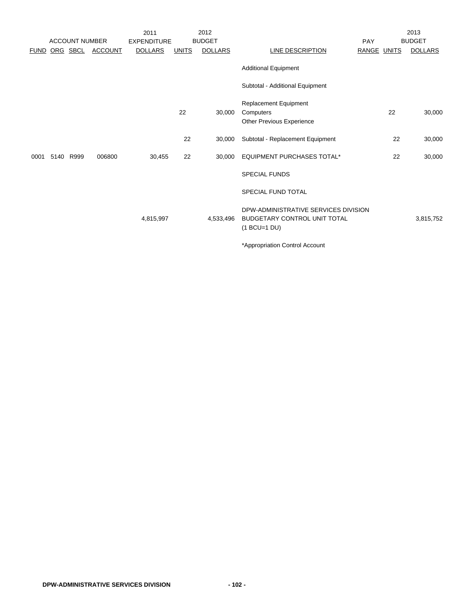|             |      | <b>ACCOUNT NUMBER</b> |                | 2011<br><b>EXPENDITURE</b> |              | 2012<br><b>BUDGET</b> |                                                                                               | PAY         | 2013<br><b>BUDGET</b> |
|-------------|------|-----------------------|----------------|----------------------------|--------------|-----------------------|-----------------------------------------------------------------------------------------------|-------------|-----------------------|
| <b>FUND</b> |      | ORG SBCL              | <b>ACCOUNT</b> | <b>DOLLARS</b>             | <b>UNITS</b> | <b>DOLLARS</b>        | <b>LINE DESCRIPTION</b>                                                                       | RANGE UNITS | <b>DOLLARS</b>        |
|             |      |                       |                |                            |              |                       | <b>Additional Equipment</b>                                                                   |             |                       |
|             |      |                       |                |                            |              |                       | Subtotal - Additional Equipment                                                               |             |                       |
|             |      |                       |                |                            | 22           | 30,000                | Replacement Equipment<br>Computers<br>Other Previous Experience                               | 22          | 30,000                |
|             |      |                       |                |                            | 22           | 30,000                | Subtotal - Replacement Equipment                                                              | 22          | 30,000                |
| 0001        | 5140 | R999                  | 006800         | 30,455                     | 22           | 30.000                | <b>EQUIPMENT PURCHASES TOTAL*</b>                                                             | 22          | 30,000                |
|             |      |                       |                |                            |              |                       | <b>SPECIAL FUNDS</b>                                                                          |             |                       |
|             |      |                       |                |                            |              |                       | <b>SPECIAL FUND TOTAL</b>                                                                     |             |                       |
|             |      |                       |                | 4,815,997                  |              | 4,533,496             | DPW-ADMINISTRATIVE SERVICES DIVISION<br><b>BUDGETARY CONTROL UNIT TOTAL</b><br>$(1 BCU=1 DU)$ |             | 3,815,752             |
|             |      |                       |                |                            |              |                       | *Appropriation Control Account                                                                |             |                       |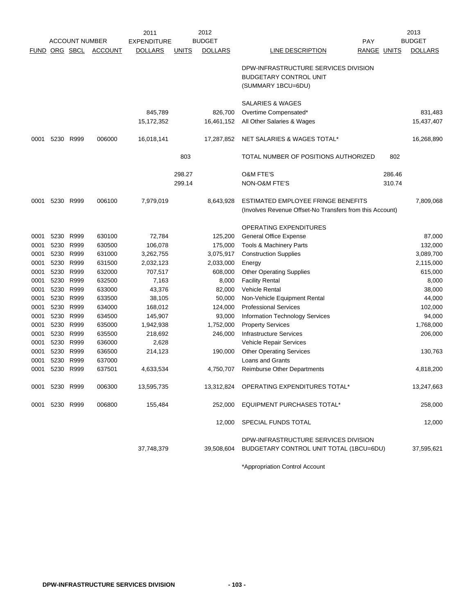|             | 2012<br>2011<br><b>ACCOUNT NUMBER</b> |           |                |                    |              | 2013           |                                                                       |                    |        |                |
|-------------|---------------------------------------|-----------|----------------|--------------------|--------------|----------------|-----------------------------------------------------------------------|--------------------|--------|----------------|
|             |                                       |           |                | <b>EXPENDITURE</b> |              | <b>BUDGET</b>  |                                                                       | <b>PAY</b>         |        | <b>BUDGET</b>  |
| <b>FUND</b> | ORG SBCL                              |           | <b>ACCOUNT</b> | <b>DOLLARS</b>     | <b>UNITS</b> | <b>DOLLARS</b> | LINE DESCRIPTION                                                      | <b>RANGE UNITS</b> |        | <b>DOLLARS</b> |
|             |                                       |           |                |                    |              |                | DPW-INFRASTRUCTURE SERVICES DIVISION<br><b>BUDGETARY CONTROL UNIT</b> |                    |        |                |
|             |                                       |           |                |                    |              |                | (SUMMARY 1BCU=6DU)                                                    |                    |        |                |
|             |                                       |           |                |                    |              |                | SALARIES & WAGES                                                      |                    |        |                |
|             |                                       |           |                | 845,789            |              | 826.700        | Overtime Compensated*                                                 |                    |        | 831,483        |
|             |                                       |           |                | 15,172,352         |              | 16,461,152     | All Other Salaries & Wages                                            |                    |        | 15,437,407     |
| 0001        | 5230                                  | R999      | 006000         | 16,018,141         |              | 17,287,852     | NET SALARIES & WAGES TOTAL*                                           |                    |        | 16,268,890     |
|             |                                       |           |                |                    | 803          |                | TOTAL NUMBER OF POSITIONS AUTHORIZED                                  |                    | 802    |                |
|             |                                       |           |                |                    | 298.27       |                | <b>O&amp;M FTE'S</b>                                                  |                    | 286.46 |                |
|             |                                       |           |                |                    | 299.14       |                | NON-O&M FTE'S                                                         |                    | 310.74 |                |
| 0001        | 5230 R999                             |           | 006100         | 7,979,019          |              | 8,643,928      | ESTIMATED EMPLOYEE FRINGE BENEFITS                                    |                    |        | 7,809,068      |
|             |                                       |           |                |                    |              |                | (Involves Revenue Offset-No Transfers from this Account)              |                    |        |                |
|             |                                       |           |                |                    |              |                | OPERATING EXPENDITURES                                                |                    |        |                |
| 0001        | 5230                                  | R999      | 630100         | 72,784             |              | 125,200        | <b>General Office Expense</b>                                         |                    |        | 87,000         |
| 0001        | 5230                                  | R999      | 630500         | 106,078            |              | 175,000        | Tools & Machinery Parts                                               |                    |        | 132,000        |
| 0001        | 5230                                  | R999      | 631000         | 3,262,755          |              | 3,075,917      | <b>Construction Supplies</b>                                          |                    |        | 3,089,700      |
| 0001        | 5230                                  | R999      | 631500         | 2,032,123          |              | 2,033,000      | Energy                                                                |                    |        | 2,115,000      |
| 0001        | 5230                                  | R999      | 632000         | 707,517            |              | 608,000        | <b>Other Operating Supplies</b>                                       |                    |        | 615,000        |
| 0001        | 5230                                  | R999      | 632500         | 7,163              |              | 8,000          | <b>Facility Rental</b>                                                |                    |        | 8,000          |
| 0001        | 5230                                  | R999      | 633000         | 43,376             |              | 82,000         | <b>Vehicle Rental</b>                                                 |                    |        | 38,000         |
| 0001        | 5230                                  | R999      | 633500         | 38,105             |              | 50,000         | Non-Vehicle Equipment Rental                                          |                    |        | 44,000         |
| 0001        | 5230                                  | R999      | 634000         | 168,012            |              | 124,000        | <b>Professional Services</b>                                          |                    |        | 102,000        |
| 0001        | 5230                                  | R999      | 634500         | 145,907            |              | 93,000         | Information Technology Services                                       |                    |        | 94,000         |
| 0001        | 5230                                  | R999      | 635000         | 1,942,938          |              | 1,752,000      | <b>Property Services</b>                                              |                    |        | 1,768,000      |
| 0001        | 5230                                  | R999      | 635500         | 218,692            |              | 246,000        | <b>Infrastructure Services</b>                                        |                    |        | 206,000        |
| 0001        | 5230                                  | R999      | 636000         | 2,628              |              |                | Vehicle Repair Services                                               |                    |        |                |
| 0001        | 5230                                  | R999      | 636500         | 214,123            |              | 190,000        | <b>Other Operating Services</b>                                       |                    |        | 130,763        |
| 0001        | 5230                                  | R999      | 637000         |                    |              |                | <b>Loans and Grants</b>                                               |                    |        |                |
| 0001        | 5230 R999                             |           | 637501         | 4,633,534          |              | 4,750,707      | <b>Reimburse Other Departments</b>                                    |                    |        | 4,818,200      |
| 0001        | 5230 R999                             |           | 006300         | 13,595,735         |              |                | 13,312,824 OPERATING EXPENDITURES TOTAL*                              |                    |        | 13,247,663     |
| 0001        |                                       | 5230 R999 | 006800         | 155,484            |              | 252,000        | <b>EQUIPMENT PURCHASES TOTAL*</b>                                     |                    |        | 258,000        |
|             |                                       |           |                |                    |              | 12,000         | SPECIAL FUNDS TOTAL                                                   |                    |        | 12,000         |
|             |                                       |           |                |                    |              |                | DPW-INFRASTRUCTURE SERVICES DIVISION                                  |                    |        |                |
|             |                                       |           |                | 37,748,379         |              |                | 39,508,604 BUDGETARY CONTROL UNIT TOTAL (1BCU=6DU)                    |                    |        | 37,595,621     |

\*Appropriation Control Account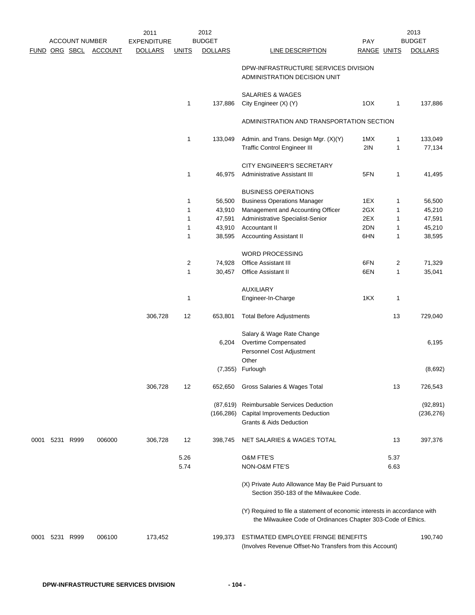|      |                | <b>ACCOUNT NUMBER</b> |                | 2011<br><b>EXPENDITURE</b> |              | 2012<br><b>BUDGET</b> |                                                                                                                                           | PAY         |              | 2013<br><b>BUDGET</b> |
|------|----------------|-----------------------|----------------|----------------------------|--------------|-----------------------|-------------------------------------------------------------------------------------------------------------------------------------------|-------------|--------------|-----------------------|
|      |                | FUND ORG SBCL         | <b>ACCOUNT</b> | <b>DOLLARS</b>             | <b>UNITS</b> | <b>DOLLARS</b>        | LINE DESCRIPTION                                                                                                                          | RANGE UNITS |              | <b>DOLLARS</b>        |
|      |                |                       |                |                            |              |                       |                                                                                                                                           |             |              |                       |
|      |                |                       |                |                            |              |                       | DPW-INFRASTRUCTURE SERVICES DIVISION<br>ADMINISTRATION DECISION UNIT                                                                      |             |              |                       |
|      |                |                       |                |                            |              |                       | SALARIES & WAGES                                                                                                                          |             |              |                       |
|      |                |                       |                |                            | 1            | 137,886               | City Engineer (X) (Y)                                                                                                                     | 10X         | 1            | 137,886               |
|      |                |                       |                |                            |              |                       | ADMINISTRATION AND TRANSPORTATION SECTION                                                                                                 |             |              |                       |
|      |                |                       |                |                            |              |                       |                                                                                                                                           |             |              |                       |
|      |                |                       |                |                            | 1            | 133,049               | Admin. and Trans. Design Mgr. (X)(Y)                                                                                                      | 1MX         | 1            | 133,049               |
|      |                |                       |                |                            |              |                       | <b>Traffic Control Engineer III</b>                                                                                                       | 2IN         | 1            | 77,134                |
|      |                |                       |                |                            |              |                       | CITY ENGINEER'S SECRETARY                                                                                                                 |             |              |                       |
|      |                |                       |                |                            | 1            | 46,975                | Administrative Assistant III                                                                                                              | 5FN         | 1            | 41,495                |
|      |                |                       |                |                            |              |                       |                                                                                                                                           |             |              |                       |
|      |                |                       |                |                            |              |                       | <b>BUSINESS OPERATIONS</b>                                                                                                                |             |              |                       |
|      |                |                       |                |                            | 1            | 56,500                | <b>Business Operations Manager</b>                                                                                                        | 1EX         | 1            | 56,500                |
|      |                |                       |                |                            | 1            | 43,910                | Management and Accounting Officer                                                                                                         | 2GX         | $\mathbf{1}$ | 45,210                |
|      |                |                       |                |                            | 1            | 47,591                | Administrative Specialist-Senior                                                                                                          | 2EX         | 1            | 47,591                |
|      |                |                       |                |                            | 1            | 43,910                | Accountant II                                                                                                                             | 2DN         | 1            | 45,210                |
|      |                |                       |                |                            | 1            | 38,595                | <b>Accounting Assistant II</b>                                                                                                            | 6HN         | 1            | 38,595                |
|      |                |                       |                |                            |              |                       |                                                                                                                                           |             |              |                       |
|      |                |                       |                |                            |              |                       | WORD PROCESSING                                                                                                                           |             |              |                       |
|      |                |                       |                |                            | 2            | 74,928                | Office Assistant III                                                                                                                      | 6FN         | 2            | 71,329                |
|      |                |                       |                |                            | 1            | 30,457                | Office Assistant II                                                                                                                       | 6EN         | 1            | 35,041                |
|      |                |                       |                |                            |              |                       | <b>AUXILIARY</b>                                                                                                                          |             |              |                       |
|      |                |                       |                |                            | 1            |                       | Engineer-In-Charge                                                                                                                        | 1KX         | 1            |                       |
|      |                |                       |                |                            |              |                       |                                                                                                                                           |             |              |                       |
|      |                |                       |                | 306,728                    | 12           | 653,801               | <b>Total Before Adjustments</b>                                                                                                           |             | 13           | 729,040               |
|      |                |                       |                |                            |              |                       | Salary & Wage Rate Change                                                                                                                 |             |              |                       |
|      |                |                       |                |                            |              | 6,204                 | Overtime Compensated                                                                                                                      |             |              | 6,195                 |
|      |                |                       |                |                            |              |                       | Personnel Cost Adjustment                                                                                                                 |             |              |                       |
|      |                |                       |                |                            |              |                       | Other                                                                                                                                     |             |              |                       |
|      |                |                       |                |                            |              |                       | (7,355) Furlough                                                                                                                          |             |              | (8,692)               |
|      |                |                       |                |                            |              |                       |                                                                                                                                           |             |              |                       |
|      |                |                       |                | 306,728                    | 12           | 652,650               | Gross Salaries & Wages Total                                                                                                              |             | 13           | 726,543               |
|      |                |                       |                |                            |              | (87,619)              | Reimbursable Services Deduction                                                                                                           |             |              | (92, 891)             |
|      |                |                       |                |                            |              |                       | (166,286) Capital Improvements Deduction                                                                                                  |             |              | (236, 276)            |
|      |                |                       |                |                            |              |                       | <b>Grants &amp; Aids Deduction</b>                                                                                                        |             |              |                       |
| 0001 |                | 5231 R999             | 006000         | 306,728                    | 12           | 398,745               | NET SALARIES & WAGES TOTAL                                                                                                                |             | 13           | 397,376               |
|      |                |                       |                |                            |              |                       |                                                                                                                                           |             |              |                       |
|      |                |                       |                |                            | 5.26         |                       | <b>O&amp;M FTE'S</b>                                                                                                                      |             | 5.37         |                       |
|      |                |                       |                |                            | 5.74         |                       | NON-O&M FTE'S                                                                                                                             |             | 6.63         |                       |
|      |                |                       |                |                            |              |                       | (X) Private Auto Allowance May Be Paid Pursuant to<br>Section 350-183 of the Milwaukee Code.                                              |             |              |                       |
|      |                |                       |                |                            |              |                       | (Y) Required to file a statement of economic interests in accordance with<br>the Milwaukee Code of Ordinances Chapter 303-Code of Ethics. |             |              |                       |
|      | 0001 5231 R999 |                       | 006100         | 173,452                    |              | 199,373               | ESTIMATED EMPLOYEE FRINGE BENEFITS<br>(Involves Revenue Offset-No Transfers from this Account)                                            |             |              | 190,740               |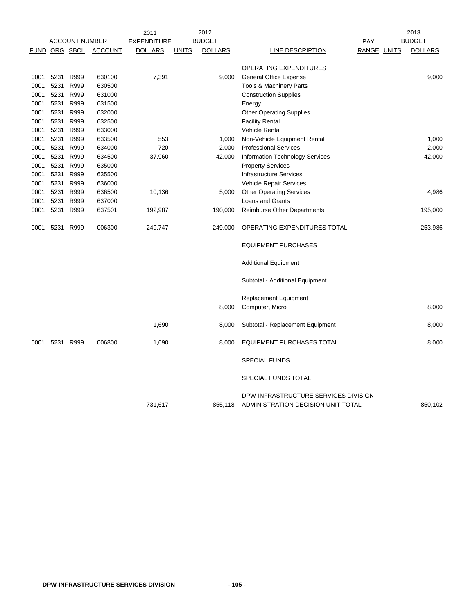|                      |      |                       |                | 2011               |              | 2012           |                                                                             |             | 2013           |
|----------------------|------|-----------------------|----------------|--------------------|--------------|----------------|-----------------------------------------------------------------------------|-------------|----------------|
|                      |      | <b>ACCOUNT NUMBER</b> |                | <b>EXPENDITURE</b> |              | <b>BUDGET</b>  |                                                                             | <b>PAY</b>  | <b>BUDGET</b>  |
| <b>FUND ORG SBCL</b> |      |                       | <b>ACCOUNT</b> | <b>DOLLARS</b>     | <b>UNITS</b> | <b>DOLLARS</b> | <b>LINE DESCRIPTION</b>                                                     | RANGE UNITS | <b>DOLLARS</b> |
|                      |      |                       |                |                    |              |                | OPERATING EXPENDITURES                                                      |             |                |
| 0001                 | 5231 | R999                  | 630100         | 7,391              |              | 9,000          | General Office Expense                                                      |             | 9,000          |
| 0001                 | 5231 | R999                  | 630500         |                    |              |                | Tools & Machinery Parts                                                     |             |                |
| 0001                 | 5231 | R999                  | 631000         |                    |              |                | <b>Construction Supplies</b>                                                |             |                |
| 0001                 | 5231 | R999                  | 631500         |                    |              |                | Energy                                                                      |             |                |
| 0001                 | 5231 | R999                  | 632000         |                    |              |                | <b>Other Operating Supplies</b>                                             |             |                |
| 0001                 | 5231 | R999                  | 632500         |                    |              |                | <b>Facility Rental</b>                                                      |             |                |
| 0001                 | 5231 | R999                  | 633000         |                    |              |                | <b>Vehicle Rental</b>                                                       |             |                |
| 0001                 | 5231 | R999                  | 633500         | 553                |              | 1,000          | Non-Vehicle Equipment Rental                                                |             | 1,000          |
| 0001                 | 5231 | R999                  | 634000         | 720                |              | 2,000          | <b>Professional Services</b>                                                |             | 2,000          |
| 0001                 | 5231 | R999                  | 634500         | 37,960             |              | 42,000         | <b>Information Technology Services</b>                                      |             | 42,000         |
| 0001                 | 5231 | R999                  | 635000         |                    |              |                | <b>Property Services</b>                                                    |             |                |
| 0001                 | 5231 | R999                  | 635500         |                    |              |                | <b>Infrastructure Services</b>                                              |             |                |
| 0001                 | 5231 | R999                  | 636000         |                    |              |                | Vehicle Repair Services                                                     |             |                |
| 0001                 | 5231 | R999                  | 636500         | 10,136             |              | 5,000          | <b>Other Operating Services</b>                                             |             | 4,986          |
| 0001                 | 5231 | R999                  | 637000         |                    |              |                | Loans and Grants                                                            |             |                |
| 0001                 | 5231 | R999                  | 637501         | 192,987            |              | 190,000        | <b>Reimburse Other Departments</b>                                          |             | 195,000        |
| 0001                 | 5231 | R999                  | 006300         | 249,747            |              | 249,000        | OPERATING EXPENDITURES TOTAL                                                |             | 253,986        |
|                      |      |                       |                |                    |              |                | <b>EQUIPMENT PURCHASES</b>                                                  |             |                |
|                      |      |                       |                |                    |              |                | <b>Additional Equipment</b>                                                 |             |                |
|                      |      |                       |                |                    |              |                | Subtotal - Additional Equipment                                             |             |                |
|                      |      |                       |                |                    |              |                | <b>Replacement Equipment</b>                                                |             |                |
|                      |      |                       |                |                    |              | 8,000          | Computer, Micro                                                             |             | 8,000          |
|                      |      |                       |                | 1,690              |              | 8,000          | Subtotal - Replacement Equipment                                            |             | 8,000          |
| 0001                 |      | 5231 R999             | 006800         | 1,690              |              | 8,000          | EQUIPMENT PURCHASES TOTAL                                                   |             | 8,000          |
|                      |      |                       |                |                    |              |                | <b>SPECIAL FUNDS</b>                                                        |             |                |
|                      |      |                       |                |                    |              |                | SPECIAL FUNDS TOTAL                                                         |             |                |
|                      |      |                       |                | 731,617            |              | 855,118        | DPW-INFRASTRUCTURE SERVICES DIVISION-<br>ADMINISTRATION DECISION UNIT TOTAL |             | 850,102        |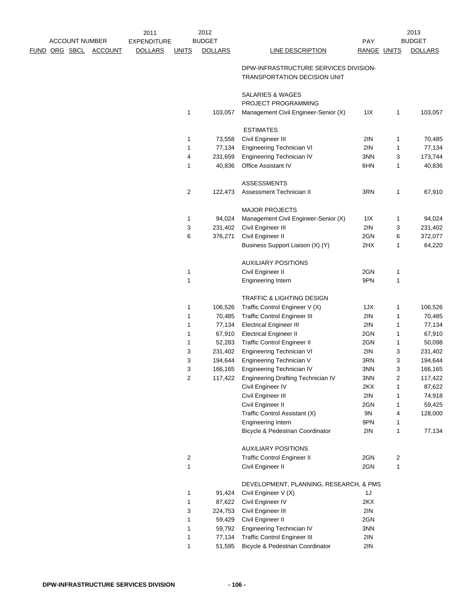|  | <b>ACCOUNT NUMBER</b> |                | 2011<br><b>EXPENDITURE</b> |                | 2012<br><b>BUDGET</b> |                                                                       | PAY         |              | 2013<br><b>BUDGET</b> |
|--|-----------------------|----------------|----------------------------|----------------|-----------------------|-----------------------------------------------------------------------|-------------|--------------|-----------------------|
|  | <u>FUND ORG SBCL</u>  | <b>ACCOUNT</b> | <b>DOLLARS</b>             | <b>UNITS</b>   | <b>DOLLARS</b>        | <b>LINE DESCRIPTION</b>                                               | RANGE UNITS |              | <b>DOLLARS</b>        |
|  |                       |                |                            |                |                       | DPW-INFRASTRUCTURE SERVICES DIVISION-<br>TRANSPORTATION DECISION UNIT |             |              |                       |
|  |                       |                |                            |                |                       | SALARIES & WAGES<br>PROJECT PROGRAMMING                               |             |              |                       |
|  |                       |                |                            | 1              | 103,057               | Management Civil Engineer-Senior (X)                                  | 11X         | 1            | 103,057               |
|  |                       |                |                            |                |                       | <b>ESTIMATES</b>                                                      |             |              |                       |
|  |                       |                |                            | 1              | 73,558                | Civil Engineer III                                                    | 2IN         | 1            | 70,485                |
|  |                       |                |                            | 1              | 77,134                | Engineering Technician VI                                             | 2IN         | 1            | 77,134                |
|  |                       |                |                            | 4              | 231,659               | Engineering Technician IV                                             | 3NN         | 3            | 173,744               |
|  |                       |                |                            | 1              | 40,836                | Office Assistant IV                                                   | 6HN         | 1            | 40,836                |
|  |                       |                |                            |                |                       | <b>ASSESSMENTS</b>                                                    |             |              |                       |
|  |                       |                |                            | $\overline{2}$ | 122,473               | Assessment Technician II                                              | 3RN         | 1            | 67,910                |
|  |                       |                |                            |                |                       | <b>MAJOR PROJECTS</b>                                                 |             |              |                       |
|  |                       |                |                            | $\mathbf 1$    | 94,024                | Management Civil Engineer-Senior (X)                                  | 11X         | 1            | 94,024                |
|  |                       |                |                            | 3              | 231,402               | Civil Engineer III                                                    | 2IN         | 3            | 231,402               |
|  |                       |                |                            | 6              | 376,271               | Civil Engineer II                                                     | 2GN         | 6            | 372,077               |
|  |                       |                |                            |                |                       | Business Support Liaison (X) (Y)                                      | 2HX         | 1            | 64,220                |
|  |                       |                |                            |                |                       | <b>AUXILIARY POSITIONS</b>                                            |             |              |                       |
|  |                       |                |                            | 1              |                       | Civil Engineer II                                                     | 2GN         | $\mathbf{1}$ |                       |
|  |                       |                |                            | 1              |                       | <b>Engineering Intern</b>                                             | 9PN         | 1            |                       |
|  |                       |                |                            |                |                       | TRAFFIC & LIGHTING DESIGN                                             |             |              |                       |
|  |                       |                |                            | $\mathbf 1$    | 106,526               | Traffic Control Engineer V (X)                                        | 1JX         | 1            | 106,526               |
|  |                       |                |                            | 1              | 70,485                | <b>Traffic Control Engineer III</b>                                   | 2IN         | 1            | 70,485                |
|  |                       |                |                            | 1              | 77,134                | <b>Electrical Engineer III</b>                                        | 2IN         | 1            | 77,134                |
|  |                       |                |                            | 1              | 67,910                | <b>Electrical Engineer II</b>                                         | 2GN         | 1            | 67,910                |
|  |                       |                |                            | 1              | 52,283                | <b>Traffic Control Engineer II</b>                                    | 2GN         | 1            | 50,098                |
|  |                       |                |                            | 3              | 231,402               | Engineering Technician VI                                             | 2IN         | 3            | 231,402               |
|  |                       |                |                            | 3              | 194,644               | Engineering Technician V                                              | 3RN         | 3            | 194,644               |
|  |                       |                |                            | 3              | 166,165               | Engineering Technician IV                                             | 3NN         | 3            | 166,165               |
|  |                       |                |                            | $\overline{c}$ | 117,422               | Engineering Drafting Technician IV                                    | 3NN         | 2            | 117,422               |
|  |                       |                |                            |                |                       | Civil Engineer IV                                                     | 2KX         | 1            | 87,622                |
|  |                       |                |                            |                |                       | Civil Engineer III                                                    | 2IN         | 1            | 74,918                |
|  |                       |                |                            |                |                       | Civil Engineer II                                                     | 2GN         | 1            | 59,425                |
|  |                       |                |                            |                |                       | Traffic Control Assistant (X)                                         | 9N          | 4            | 128,000               |
|  |                       |                |                            |                |                       | Engineering Intern                                                    | 9PN         | 1            |                       |
|  |                       |                |                            |                |                       | Bicycle & Pedestrian Coordinator                                      | 2IN         | 1            | 77,134                |
|  |                       |                |                            |                |                       | <b>AUXILIARY POSITIONS</b>                                            |             |              |                       |
|  |                       |                |                            | $\overline{c}$ |                       | <b>Traffic Control Engineer II</b>                                    | 2GN         | 2            |                       |
|  |                       |                |                            | 1              |                       | Civil Engineer II                                                     | 2GN         | $\mathbf{1}$ |                       |
|  |                       |                |                            |                |                       | DEVELOPMENT, PLANNING, RESEARCH, & PMS                                |             |              |                       |
|  |                       |                |                            | 1              | 91,424                | Civil Engineer V (X)                                                  | 1J          |              |                       |
|  |                       |                |                            | 1              | 87,622                | Civil Engineer IV                                                     | 2KX         |              |                       |
|  |                       |                |                            | 3              | 224,753               | Civil Engineer III                                                    | 2IN         |              |                       |
|  |                       |                |                            | 1              | 59,429                | Civil Engineer II                                                     | 2GN         |              |                       |
|  |                       |                |                            | 1              | 59,792                | Engineering Technician IV                                             | 3NN         |              |                       |
|  |                       |                |                            | 1              | 77,134                | <b>Traffic Control Engineer III</b>                                   | 2IN         |              |                       |
|  |                       |                |                            | 1              | 51,595                | Bicycle & Pedestrian Coordinator                                      | 2IN         |              |                       |
|  |                       |                |                            |                |                       |                                                                       |             |              |                       |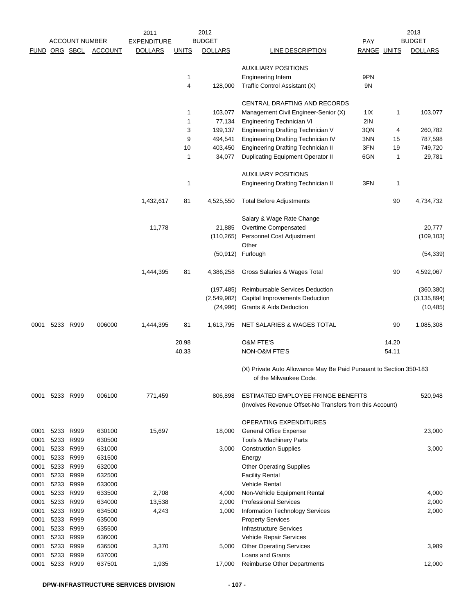|              |           |                        |                       | 2011               |              | 2012           |                                                                    |             |       | 2013           |
|--------------|-----------|------------------------|-----------------------|--------------------|--------------|----------------|--------------------------------------------------------------------|-------------|-------|----------------|
|              |           | <b>ACCOUNT NUMBER</b>  |                       | <b>EXPENDITURE</b> |              | <b>BUDGET</b>  |                                                                    | <b>PAY</b>  |       | <b>BUDGET</b>  |
|              |           |                        | FUND ORG SBCL ACCOUNT | <b>DOLLARS</b>     | <b>UNITS</b> | <b>DOLLARS</b> | LINE DESCRIPTION                                                   | RANGE UNITS |       | <b>DOLLARS</b> |
|              |           |                        |                       |                    |              |                | <b>AUXILIARY POSITIONS</b>                                         |             |       |                |
|              |           |                        |                       |                    | 1            |                | <b>Engineering Intern</b>                                          | 9PN         |       |                |
|              |           |                        |                       |                    | 4            | 128,000        | Traffic Control Assistant (X)                                      | 9N          |       |                |
|              |           |                        |                       |                    |              |                | CENTRAL DRAFTING AND RECORDS                                       |             |       |                |
|              |           |                        |                       |                    | $\mathbf{1}$ | 103,077        | Management Civil Engineer-Senior (X)                               | 1 I X       | 1     | 103,077        |
|              |           |                        |                       |                    | 1            | 77,134         | Engineering Technician VI                                          | 2IN         |       |                |
|              |           |                        |                       |                    | 3            | 199,137        | Engineering Drafting Technician V                                  | 3QN         | 4     | 260,782        |
|              |           |                        |                       |                    | 9            | 494,541        | Engineering Drafting Technician IV                                 | 3NN         | 15    | 787,598        |
|              |           |                        |                       |                    | 10           | 403,450        | <b>Engineering Drafting Technician II</b>                          | 3FN         | 19    | 749,720        |
|              |           |                        |                       |                    | 1            | 34,077         | Duplicating Equipment Operator II                                  | 6GN         | 1     | 29,781         |
|              |           |                        |                       |                    |              |                | <b>AUXILIARY POSITIONS</b>                                         |             |       |                |
|              |           |                        |                       |                    | $\mathbf{1}$ |                | <b>Engineering Drafting Technician II</b>                          | 3FN         | 1     |                |
|              |           |                        |                       | 1,432,617          | 81           | 4,525,550      | <b>Total Before Adjustments</b>                                    |             | 90    | 4,734,732      |
|              |           |                        |                       |                    |              |                | Salary & Wage Rate Change                                          |             |       |                |
|              |           |                        |                       | 11,778             |              | 21,885         | Overtime Compensated                                               |             |       | 20,777         |
|              |           |                        |                       |                    |              | (110, 265)     | Personnel Cost Adjustment                                          |             |       | (109, 103)     |
|              |           |                        |                       |                    |              |                | Other                                                              |             |       |                |
|              |           |                        |                       |                    |              | (50, 912)      | Furlough                                                           |             |       | (54, 339)      |
|              |           |                        |                       | 1,444,395          | 81           | 4,386,258      | Gross Salaries & Wages Total                                       |             | 90    | 4,592,067      |
|              |           |                        |                       |                    |              | (197, 485)     | Reimbursable Services Deduction                                    |             |       | (360, 380)     |
|              |           |                        |                       |                    |              | (2,549,982)    | Capital Improvements Deduction                                     |             |       | (3, 135, 894)  |
|              |           |                        |                       |                    |              | (24,996)       | Grants & Aids Deduction                                            |             |       | (10, 485)      |
| 0001         | 5233 R999 |                        | 006000                | 1,444,395          | 81           | 1,613,795      | NET SALARIES & WAGES TOTAL                                         |             | 90    | 1,085,308      |
|              |           |                        |                       |                    | 20.98        |                | <b>O&amp;M FTE'S</b>                                               |             | 14.20 |                |
|              |           |                        |                       |                    | 40.33        |                | NON-O&M FTE'S                                                      |             | 54.11 |                |
|              |           |                        |                       |                    |              |                | (X) Private Auto Allowance May Be Paid Pursuant to Section 350-183 |             |       |                |
|              |           |                        |                       |                    |              |                | of the Milwaukee Code.                                             |             |       |                |
| 0001         | 5233 R999 |                        | 006100                | 771,459            |              | 806.898        | ESTIMATED EMPLOYEE FRINGE BENEFITS                                 |             |       | 520,948        |
|              |           |                        |                       |                    |              |                | (Involves Revenue Offset-No Transfers from this Account)           |             |       |                |
|              |           |                        |                       |                    |              |                | OPERATING EXPENDITURES                                             |             |       |                |
| 0001         |           | 5233 R999              | 630100                | 15,697             |              | 18,000         | <b>General Office Expense</b>                                      |             |       | 23,000         |
| 0001         |           | 5233 R999              | 630500                |                    |              |                | Tools & Machinery Parts                                            |             |       |                |
| 0001         |           | 5233 R999              | 631000                |                    |              | 3,000          | <b>Construction Supplies</b>                                       |             |       | 3,000          |
| 0001         |           | 5233 R999              | 631500                |                    |              |                | Energy                                                             |             |       |                |
| 0001         |           | 5233 R999              | 632000                |                    |              |                | <b>Other Operating Supplies</b>                                    |             |       |                |
| 0001         |           | 5233 R999              | 632500                |                    |              |                | <b>Facility Rental</b>                                             |             |       |                |
| 0001         |           | 5233 R999              | 633000                |                    |              |                | Vehicle Rental                                                     |             |       |                |
| 0001         | 5233      | R999                   | 633500                | 2,708              |              | 4,000          | Non-Vehicle Equipment Rental                                       |             |       | 4,000          |
| 0001         |           | 5233 R999              | 634000                | 13,538             |              | 2,000          | <b>Professional Services</b>                                       |             |       | 2,000          |
| 0001         |           | 5233 R999              | 634500                | 4,243              |              | 1,000          | Information Technology Services                                    |             |       | 2,000          |
| 0001<br>0001 |           | 5233 R999<br>5233 R999 | 635000<br>635500      |                    |              |                | <b>Property Services</b><br><b>Infrastructure Services</b>         |             |       |                |
| 0001         |           | 5233 R999              | 636000                |                    |              |                | Vehicle Repair Services                                            |             |       |                |
| 0001         |           | 5233 R999              | 636500                | 3,370              |              | 5,000          | <b>Other Operating Services</b>                                    |             |       | 3,989          |
| 0001         |           | 5233 R999              | 637000                |                    |              |                | Loans and Grants                                                   |             |       |                |
| 0001         | 5233      | R999                   | 637501                | 1,935              |              | 17,000         | <b>Reimburse Other Departments</b>                                 |             |       | 12,000         |
|              |           |                        |                       |                    |              |                |                                                                    |             |       |                |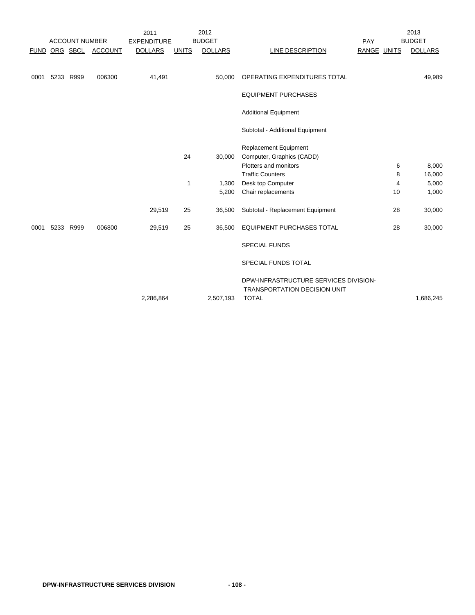|             |           |                       |                  | 2011               |              | 2012           |                                       |             | 2013           |
|-------------|-----------|-----------------------|------------------|--------------------|--------------|----------------|---------------------------------------|-------------|----------------|
|             |           | <b>ACCOUNT NUMBER</b> |                  | <b>EXPENDITURE</b> |              | <b>BUDGET</b>  |                                       | PAY         | <b>BUDGET</b>  |
| <b>FUND</b> |           |                       | ORG SBCL ACCOUNT | <b>DOLLARS</b>     | <b>UNITS</b> | <b>DOLLARS</b> | <b>LINE DESCRIPTION</b>               | RANGE UNITS | <b>DOLLARS</b> |
|             |           |                       |                  |                    |              |                |                                       |             |                |
|             |           |                       |                  |                    |              |                |                                       |             |                |
| 0001        | 5233 R999 |                       | 006300           | 41,491             |              | 50,000         | OPERATING EXPENDITURES TOTAL          |             | 49,989         |
|             |           |                       |                  |                    |              |                | <b>EQUIPMENT PURCHASES</b>            |             |                |
|             |           |                       |                  |                    |              |                |                                       |             |                |
|             |           |                       |                  |                    |              |                | <b>Additional Equipment</b>           |             |                |
|             |           |                       |                  |                    |              |                |                                       |             |                |
|             |           |                       |                  |                    |              |                | Subtotal - Additional Equipment       |             |                |
|             |           |                       |                  |                    |              |                | <b>Replacement Equipment</b>          |             |                |
|             |           |                       |                  |                    | 24           | 30,000         | Computer, Graphics (CADD)             |             |                |
|             |           |                       |                  |                    |              |                | Plotters and monitors                 | 6           | 8,000          |
|             |           |                       |                  |                    |              |                | <b>Traffic Counters</b>               | 8           | 16,000         |
|             |           |                       |                  |                    | 1            | 1,300          | Desk top Computer                     | 4           | 5,000          |
|             |           |                       |                  |                    |              | 5,200          | Chair replacements                    | 10          | 1,000          |
|             |           |                       |                  |                    |              |                |                                       |             |                |
|             |           |                       |                  | 29,519             | 25           | 36,500         | Subtotal - Replacement Equipment      | 28          | 30,000         |
|             |           |                       |                  |                    |              |                |                                       |             |                |
| 0001        | 5233 R999 |                       | 006800           | 29,519             | 25           | 36,500         | <b>EQUIPMENT PURCHASES TOTAL</b>      | 28          | 30,000         |
|             |           |                       |                  |                    |              |                | <b>SPECIAL FUNDS</b>                  |             |                |
|             |           |                       |                  |                    |              |                |                                       |             |                |
|             |           |                       |                  |                    |              |                | SPECIAL FUNDS TOTAL                   |             |                |
|             |           |                       |                  |                    |              |                | DPW-INFRASTRUCTURE SERVICES DIVISION- |             |                |
|             |           |                       |                  |                    |              |                | <b>TRANSPORTATION DECISION UNIT</b>   |             |                |
|             |           |                       |                  | 2,286,864          |              | 2,507,193      | <b>TOTAL</b>                          |             | 1,686,245      |
|             |           |                       |                  |                    |              |                |                                       |             |                |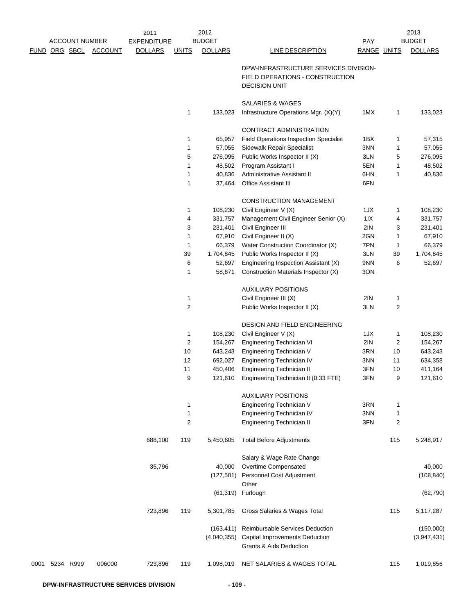|      |                       |                | 2011               |                | 2012               |                                                                                                  |                    |                | 2013               |
|------|-----------------------|----------------|--------------------|----------------|--------------------|--------------------------------------------------------------------------------------------------|--------------------|----------------|--------------------|
|      | <b>ACCOUNT NUMBER</b> |                | <b>EXPENDITURE</b> |                | <b>BUDGET</b>      |                                                                                                  | PAY                |                | <b>BUDGET</b>      |
|      | FUND ORG SBCL         | <b>ACCOUNT</b> | <b>DOLLARS</b>     | <b>UNITS</b>   | <b>DOLLARS</b>     | <b>LINE DESCRIPTION</b>                                                                          | <b>RANGE UNITS</b> |                | <b>DOLLARS</b>     |
|      |                       |                |                    |                |                    | DPW-INFRASTRUCTURE SERVICES DIVISION-<br>FIELD OPERATIONS - CONSTRUCTION<br><b>DECISION UNIT</b> |                    |                |                    |
|      |                       |                |                    |                |                    | <b>SALARIES &amp; WAGES</b>                                                                      |                    |                |                    |
|      |                       |                |                    | 1              | 133,023            | Infrastructure Operations Mgr. (X)(Y)                                                            | 1MX                | 1              | 133,023            |
|      |                       |                |                    |                |                    | CONTRACT ADMINISTRATION                                                                          |                    |                |                    |
|      |                       |                |                    | 1              | 65,957             | <b>Field Operations Inspection Specialist</b>                                                    | 1BX                | 1              | 57,315             |
|      |                       |                |                    | 1              | 57,055             | Sidewalk Repair Specialist                                                                       | 3NN                | 1              | 57,055             |
|      |                       |                |                    | 5              | 276,095            | Public Works Inspector II (X)                                                                    | 3LN                | 5              | 276,095            |
|      |                       |                |                    | 1              | 48,502             | Program Assistant I                                                                              | 5EN                | 1              | 48,502             |
|      |                       |                |                    | 1<br>1         | 40,836<br>37,464   | Administrative Assistant II<br><b>Office Assistant III</b>                                       | 6HN<br>6FN         | 1              | 40,836             |
|      |                       |                |                    |                |                    |                                                                                                  |                    |                |                    |
|      |                       |                |                    |                |                    | <b>CONSTRUCTION MANAGEMENT</b>                                                                   |                    |                |                    |
|      |                       |                |                    | 1              | 108,230            | Civil Engineer V (X)                                                                             | 1JX                | 1              | 108,230            |
|      |                       |                |                    | 4              | 331,757            | Management Civil Engineer Senior (X)                                                             | $11X$              | 4              | 331,757            |
|      |                       |                |                    | 3<br>1         | 231,401<br>67,910  | Civil Engineer III<br>Civil Engineer II (X)                                                      | 2IN<br>2GN         | 3<br>1         | 231,401<br>67,910  |
|      |                       |                |                    | 1              | 66,379             | Water Construction Coordinator (X)                                                               | 7PN                | 1              | 66,379             |
|      |                       |                |                    | 39             | 1,704,845          | Public Works Inspector II (X)                                                                    | 3LN                | 39             | 1,704,845          |
|      |                       |                |                    | 6              | 52,697             | Engineering Inspection Assistant (X)                                                             | 9NN                | 6              | 52,697             |
|      |                       |                |                    | 1              | 58,671             | Construction Materials Inspector (X)                                                             | 3ON                |                |                    |
|      |                       |                |                    |                |                    | <b>AUXILIARY POSITIONS</b>                                                                       |                    |                |                    |
|      |                       |                |                    | 1              |                    | Civil Engineer III (X)                                                                           | 2IN                | 1              |                    |
|      |                       |                |                    | $\overline{c}$ |                    | Public Works Inspector II (X)                                                                    | 3LN                | $\overline{c}$ |                    |
|      |                       |                |                    |                |                    | DESIGN AND FIELD ENGINEERING                                                                     |                    |                |                    |
|      |                       |                |                    | 1              | 108,230            | Civil Engineer V (X)                                                                             | 1JX                | 1              | 108,230            |
|      |                       |                |                    | 2              | 154,267            | Engineering Technician VI                                                                        | 2IN                | 2              | 154,267            |
|      |                       |                |                    | 10             | 643,243            | Engineering Technician V                                                                         | 3RN                | 10             | 643,243            |
|      |                       |                |                    | 12             | 692,027            | Engineering Technician IV                                                                        | 3NN                | 11             | 634,358            |
|      |                       |                |                    | 11<br>9        | 450,406<br>121,610 | Engineering Technician II<br>Engineering Technician II (0.33 FTE)                                | 3FN<br>3FN         | 10<br>9        | 411,164<br>121,610 |
|      |                       |                |                    |                |                    |                                                                                                  |                    |                |                    |
|      |                       |                |                    |                |                    | <b>AUXILIARY POSITIONS</b>                                                                       |                    |                |                    |
|      |                       |                |                    | 1              |                    | <b>Engineering Technician V</b>                                                                  | 3RN                | 1              |                    |
|      |                       |                |                    | 1              |                    | Engineering Technician IV                                                                        | 3NN                | $\mathbf{1}$   |                    |
|      |                       |                |                    | 2              |                    | <b>Engineering Technician II</b>                                                                 | 3FN                | 2              |                    |
|      |                       |                | 688,100            | 119            | 5,450,605          | <b>Total Before Adjustments</b>                                                                  |                    | 115            | 5,248,917          |
|      |                       |                |                    |                |                    | Salary & Wage Rate Change                                                                        |                    |                |                    |
|      |                       |                | 35,796             |                | 40,000             | Overtime Compensated                                                                             |                    |                | 40,000             |
|      |                       |                |                    |                | (127,501)          | Personnel Cost Adjustment<br>Other                                                               |                    |                | (108, 840)         |
|      |                       |                |                    |                | (61, 319)          | Furlough                                                                                         |                    |                | (62, 790)          |
|      |                       |                | 723,896            | 119            | 5,301,785          | Gross Salaries & Wages Total                                                                     |                    | 115            | 5,117,287          |
|      |                       |                |                    |                | (163, 411)         | Reimbursable Services Deduction                                                                  |                    |                | (150,000)          |
|      |                       |                |                    |                | (4,040,355)        | Capital Improvements Deduction                                                                   |                    |                | (3,947,431)        |
|      |                       |                |                    |                |                    | <b>Grants &amp; Aids Deduction</b>                                                               |                    |                |                    |
| 0001 | 5234 R999             | 006000         | 723,896            | 119            | 1,098,019          | NET SALARIES & WAGES TOTAL                                                                       |                    | 115            | 1,019,856          |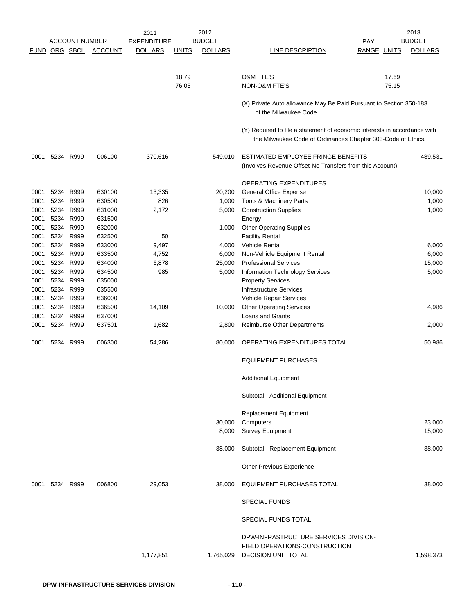|      |               | <b>ACCOUNT NUMBER</b> |                | 2011               |              | 2012           |                                                                                                                                           |                    | 2013<br><b>BUDGET</b> |
|------|---------------|-----------------------|----------------|--------------------|--------------|----------------|-------------------------------------------------------------------------------------------------------------------------------------------|--------------------|-----------------------|
|      |               |                       |                | <b>EXPENDITURE</b> |              | <b>BUDGET</b>  |                                                                                                                                           | <b>PAY</b>         |                       |
|      | FUND ORG SBCL |                       | <b>ACCOUNT</b> | <b>DOLLARS</b>     | <u>UNITS</u> | <b>DOLLARS</b> | LINE DESCRIPTION                                                                                                                          | <b>RANGE UNITS</b> | <b>DOLLARS</b>        |
|      |               |                       |                |                    | 18.79        |                | <b>O&amp;M FTE'S</b>                                                                                                                      | 17.69              |                       |
|      |               |                       |                |                    | 76.05        |                | <b>NON-O&amp;M FTE'S</b>                                                                                                                  | 75.15              |                       |
|      |               |                       |                |                    |              |                | (X) Private Auto allowance May Be Paid Pursuant to Section 350-183<br>of the Milwaukee Code.                                              |                    |                       |
|      |               |                       |                |                    |              |                | (Y) Required to file a statement of economic interests in accordance with<br>the Milwaukee Code of Ordinances Chapter 303-Code of Ethics. |                    |                       |
| 0001 | 5234 R999     |                       | 006100         | 370,616            |              | 549,010        | ESTIMATED EMPLOYEE FRINGE BENEFITS<br>(Involves Revenue Offset-No Transfers from this Account)                                            |                    | 489,531               |
|      |               |                       |                |                    |              |                | OPERATING EXPENDITURES                                                                                                                    |                    |                       |
| 0001 |               | 5234 R999             | 630100         | 13,335             |              | 20,200         | <b>General Office Expense</b>                                                                                                             |                    | 10,000                |
| 0001 | 5234 R999     |                       | 630500         | 826                |              | 1,000          | Tools & Machinery Parts                                                                                                                   |                    | 1,000                 |
| 0001 |               | 5234 R999             | 631000         | 2,172              |              | 5,000          | <b>Construction Supplies</b>                                                                                                              |                    | 1,000                 |
| 0001 | 5234 R999     |                       | 631500         |                    |              |                | Energy                                                                                                                                    |                    |                       |
| 0001 | 5234 R999     |                       | 632000         |                    |              | 1,000          | <b>Other Operating Supplies</b>                                                                                                           |                    |                       |
| 0001 | 5234 R999     |                       | 632500         | 50                 |              |                | <b>Facility Rental</b>                                                                                                                    |                    |                       |
| 0001 | 5234 R999     |                       | 633000         | 9,497              |              | 4,000          | Vehicle Rental                                                                                                                            |                    | 6,000                 |
|      | 5234 R999     |                       | 633500         | 4,752              |              |                |                                                                                                                                           |                    |                       |
| 0001 |               |                       |                |                    |              | 6,000          | Non-Vehicle Equipment Rental                                                                                                              |                    | 6,000                 |
| 0001 | 5234 R999     |                       | 634000         | 6,878              |              | 25,000         | <b>Professional Services</b>                                                                                                              |                    | 15,000                |
| 0001 |               | 5234 R999             | 634500         | 985                |              | 5,000          | Information Technology Services                                                                                                           |                    | 5,000                 |
| 0001 |               | 5234 R999             | 635000         |                    |              |                | <b>Property Services</b>                                                                                                                  |                    |                       |
| 0001 | 5234 R999     |                       | 635500         |                    |              |                | <b>Infrastructure Services</b>                                                                                                            |                    |                       |
| 0001 |               | 5234 R999             | 636000         |                    |              |                | Vehicle Repair Services                                                                                                                   |                    |                       |
| 0001 | 5234 R999     |                       | 636500         | 14,109             |              | 10,000         | <b>Other Operating Services</b>                                                                                                           |                    | 4,986                 |
| 0001 | 5234 R999     |                       | 637000         |                    |              |                | Loans and Grants                                                                                                                          |                    |                       |
| 0001 | 5234          | R999                  | 637501         | 1,682              |              | 2,800          | <b>Reimburse Other Departments</b>                                                                                                        |                    | 2,000                 |
| 0001 |               | 5234 R999             | 006300         | 54,286             |              | 80,000         | OPERATING EXPENDITURES TOTAL                                                                                                              |                    | 50,986                |
|      |               |                       |                |                    |              |                | <b>EQUIPMENT PURCHASES</b>                                                                                                                |                    |                       |
|      |               |                       |                |                    |              |                | <b>Additional Equipment</b>                                                                                                               |                    |                       |
|      |               |                       |                |                    |              |                | Subtotal - Additional Equipment                                                                                                           |                    |                       |
|      |               |                       |                |                    |              |                | Replacement Equipment                                                                                                                     |                    |                       |
|      |               |                       |                |                    |              | 30,000         | Computers                                                                                                                                 |                    | 23,000                |
|      |               |                       |                |                    |              | 8,000          | Survey Equipment                                                                                                                          |                    | 15,000                |
|      |               |                       |                |                    |              | 38,000         | Subtotal - Replacement Equipment                                                                                                          |                    | 38,000                |
|      |               |                       |                |                    |              |                | Other Previous Experience                                                                                                                 |                    |                       |
| 0001 |               | 5234 R999             | 006800         | 29,053             |              | 38,000         | EQUIPMENT PURCHASES TOTAL                                                                                                                 |                    | 38,000                |
|      |               |                       |                |                    |              |                | <b>SPECIAL FUNDS</b>                                                                                                                      |                    |                       |
|      |               |                       |                |                    |              |                | SPECIAL FUNDS TOTAL                                                                                                                       |                    |                       |
|      |               |                       |                | 1,177,851          |              | 1,765,029      | DPW-INFRASTRUCTURE SERVICES DIVISION-<br>FIELD OPERATIONS-CONSTRUCTION<br><b>DECISION UNIT TOTAL</b>                                      |                    | 1,598,373             |
|      |               |                       |                |                    |              |                |                                                                                                                                           |                    |                       |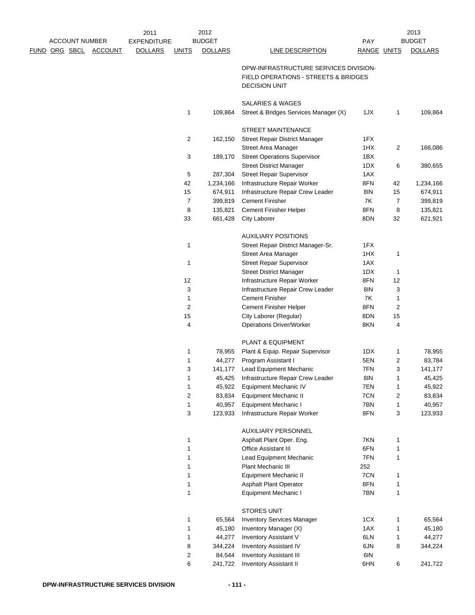|  | <b>ACCOUNT NUMBER</b> |                | 2011<br><b>EXPENDITURE</b> |                | 2012<br><b>BUDGET</b> |                                                                                                       | PAY         |              | 2013<br><b>BUDGET</b> |
|--|-----------------------|----------------|----------------------------|----------------|-----------------------|-------------------------------------------------------------------------------------------------------|-------------|--------------|-----------------------|
|  | FUND ORG SBCL         | <b>ACCOUNT</b> | <b>DOLLARS</b>             | <b>UNITS</b>   | <b>DOLLARS</b>        | <b>LINE DESCRIPTION</b>                                                                               | RANGE UNITS |              | <b>DOLLARS</b>        |
|  |                       |                |                            |                |                       | DPW-INFRASTRUCTURE SERVICES DIVISION-<br>FIELD OPERATIONS - STREETS & BRIDGES<br><b>DECISION UNIT</b> |             |              |                       |
|  |                       |                |                            |                |                       | SALARIES & WAGES                                                                                      |             |              |                       |
|  |                       |                |                            | 1              | 109,864               | Street & Bridges Services Manager (X)                                                                 | 1JX         | 1            | 109,864               |
|  |                       |                |                            |                |                       | <b>STREET MAINTENANCE</b>                                                                             |             |              |                       |
|  |                       |                |                            | 2              | 162,150               | <b>Street Repair District Manager</b>                                                                 | 1FX         |              |                       |
|  |                       |                |                            |                |                       | Street Area Manager                                                                                   | 1HX         | 2            | 166,086               |
|  |                       |                |                            | 3              | 189,170               | <b>Street Operations Supervisor</b>                                                                   | 1BX         |              |                       |
|  |                       |                |                            |                |                       | <b>Street District Manager</b>                                                                        | 1DX         | 6            | 380,655               |
|  |                       |                |                            | 5              | 287,304               | <b>Street Repair Supervisor</b>                                                                       | 1AX         |              |                       |
|  |                       |                |                            | 42             | 1,234,166             | Infrastructure Repair Worker                                                                          | 8FN         | 42           | 1,234,166             |
|  |                       |                |                            | 15             | 674,911               | Infrastructure Repair Crew Leader                                                                     | 8IN         | 15           | 674,911               |
|  |                       |                |                            | $\overline{7}$ | 399,819               | <b>Cement Finisher</b>                                                                                | 7K          | 7            | 399,819               |
|  |                       |                |                            | 8              | 135,821               | Cement Finisher Helper                                                                                | 8FN         | 8            | 135,821               |
|  |                       |                |                            | 33             | 661,428               | City Laborer                                                                                          | 8DN         | 32           | 621,921               |
|  |                       |                |                            |                |                       | <b>AUXILIARY POSITIONS</b>                                                                            |             |              |                       |
|  |                       |                |                            | 1              |                       | Street Repair District Manager-Sr.                                                                    | 1FX         |              |                       |
|  |                       |                |                            |                |                       | Street Area Manager                                                                                   | 1HX         | $\mathbf{1}$ |                       |
|  |                       |                |                            | $\mathbf{1}$   |                       | <b>Street Repair Supervisor</b>                                                                       | 1AX         |              |                       |
|  |                       |                |                            |                |                       | <b>Street District Manager</b>                                                                        | 1DX         | 1            |                       |
|  |                       |                |                            | 12             |                       | Infrastructure Repair Worker                                                                          | 8FN         | 12           |                       |
|  |                       |                |                            | 3              |                       | Infrastructure Repair Crew Leader                                                                     | 8IN         | 3            |                       |
|  |                       |                |                            | 1              |                       | <b>Cement Finisher</b>                                                                                | 7K          | 1            |                       |
|  |                       |                |                            | $\overline{c}$ |                       | <b>Cement Finisher Helper</b>                                                                         | 8FN         | 2            |                       |
|  |                       |                |                            | 15             |                       | City Laborer (Regular)                                                                                | 8DN         | 15           |                       |
|  |                       |                |                            | 4              |                       | <b>Operations Driver/Worker</b>                                                                       | 8KN         | 4            |                       |
|  |                       |                |                            |                |                       | PLANT & EQUIPMENT                                                                                     |             |              |                       |
|  |                       |                |                            | 1              | 78,955                | Plant & Equip. Repair Supervisor                                                                      | 1DX         | 1            | 78,955                |
|  |                       |                |                            | 1              | 44,277                | Program Assistant I                                                                                   | 5EN         | 2            | 83,784                |
|  |                       |                |                            | 3              | 141,177               | <b>Lead Equipment Mechanic</b>                                                                        | 7FN         | 3            | 141,177               |
|  |                       |                |                            | 1              | 45,425                | Infrastructure Repair Crew Leader                                                                     | 8IN         | $\mathbf{1}$ | 45,425                |
|  |                       |                |                            | 1              | 45,922                | Equipment Mechanic IV                                                                                 | 7EN         | $\mathbf{1}$ | 45,922                |
|  |                       |                |                            | 2              | 83,834                | <b>Equipment Mechanic II</b>                                                                          | 7CN         | 2            | 83,834                |
|  |                       |                |                            | 1              | 40,957                | <b>Equipment Mechanic I</b>                                                                           | 7BN         | 1            | 40,957                |
|  |                       |                |                            | 3              | 123,933               | Infrastructure Repair Worker                                                                          | 8FN         | 3            | 123,933               |
|  |                       |                |                            |                |                       | <b>AUXILIARY PERSONNEL</b>                                                                            |             |              |                       |
|  |                       |                |                            | 1              |                       | Asphalt Plant Oper. Eng.                                                                              | 7KN         | 1            |                       |
|  |                       |                |                            | 1              |                       | <b>Office Assistant III</b>                                                                           | 6FN         | $\mathbf{1}$ |                       |
|  |                       |                |                            | 1              |                       | <b>Lead Equipment Mechanic</b>                                                                        | 7FN         | 1            |                       |
|  |                       |                |                            | 1              |                       | Plant Mechanic III                                                                                    | 252         |              |                       |
|  |                       |                |                            | 1              |                       | <b>Equipment Mechanic II</b>                                                                          | 7CN         | 1            |                       |
|  |                       |                |                            | 1              |                       | <b>Asphalt Plant Operator</b>                                                                         | 8FN         | $\mathbf{1}$ |                       |
|  |                       |                |                            | $\mathbf{1}$   |                       | Equipment Mechanic I                                                                                  | 7BN         | 1            |                       |
|  |                       |                |                            |                |                       | <b>STORES UNIT</b>                                                                                    |             |              |                       |
|  |                       |                |                            | 1              | 65,564                | <b>Inventory Services Manager</b>                                                                     | 1CX         | $\mathbf{1}$ | 65,564                |
|  |                       |                |                            | 1              | 45,180                | Inventory Manager (X)                                                                                 | 1AX         | $\mathbf{1}$ | 45,180                |
|  |                       |                |                            | 1              | 44,277                | Inventory Assistant V                                                                                 | 6LN         | 1            | 44,277                |
|  |                       |                |                            | 8              | 344,224               | Inventory Assistant IV                                                                                | 6JN         | 8            | 344,224               |
|  |                       |                |                            | 2              | 84,544                | <b>Inventory Assistant III</b>                                                                        | 6IN         |              |                       |
|  |                       |                |                            | 6              | 241,722               | <b>Inventory Assistant II</b>                                                                         | 6HN         | 6            | 241,722               |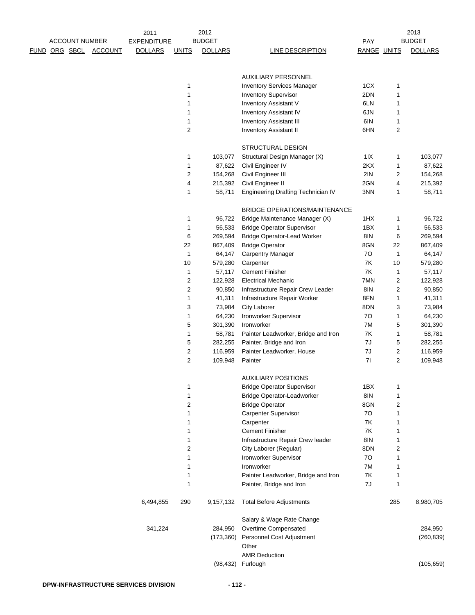|                      |                       |                | 2011               |              | 2012               |                                      |             |        | 2013               |
|----------------------|-----------------------|----------------|--------------------|--------------|--------------------|--------------------------------------|-------------|--------|--------------------|
|                      | <b>ACCOUNT NUMBER</b> |                | <b>EXPENDITURE</b> |              | <b>BUDGET</b>      |                                      | PAY         |        | <b>BUDGET</b>      |
| <u>FUND ORG SBCL</u> |                       | <b>ACCOUNT</b> | <b>DOLLARS</b>     | <b>UNITS</b> | <b>DOLLARS</b>     | <b>LINE DESCRIPTION</b>              | RANGE UNITS |        | <b>DOLLARS</b>     |
|                      |                       |                |                    |              |                    | AUXILIARY PERSONNEL                  |             |        |                    |
|                      |                       |                |                    | 1            |                    | <b>Inventory Services Manager</b>    | 1CX         | 1      |                    |
|                      |                       |                |                    | 1            |                    | <b>Inventory Supervisor</b>          | 2DN         | 1      |                    |
|                      |                       |                |                    | 1            |                    | <b>Inventory Assistant V</b>         | 6LN         | 1      |                    |
|                      |                       |                |                    | 1            |                    | <b>Inventory Assistant IV</b>        | 6JN         |        |                    |
|                      |                       |                |                    | 1            |                    | <b>Inventory Assistant III</b>       | 6IN         | 1<br>1 |                    |
|                      |                       |                |                    | 2            |                    | <b>Inventory Assistant II</b>        | 6HN         | 2      |                    |
|                      |                       |                |                    |              |                    | STRUCTURAL DESIGN                    |             |        |                    |
|                      |                       |                |                    | 1            | 103,077            | Structural Design Manager (X)        | 1 I X       | 1      | 103,077            |
|                      |                       |                |                    | 1            | 87,622             | Civil Engineer IV                    | 2KX         | 1      | 87,622             |
|                      |                       |                |                    | 2            | 154,268            | Civil Engineer III                   | 2IN         | 2      | 154,268            |
|                      |                       |                |                    | 4            | 215,392            | Civil Engineer II                    | 2GN         | 4      | 215,392            |
|                      |                       |                |                    | 1            | 58,711             | Engineering Drafting Technician IV   | 3NN         | 1      | 58,711             |
|                      |                       |                |                    |              |                    | <b>BRIDGE OPERATIONS/MAINTENANCE</b> |             |        |                    |
|                      |                       |                |                    | 1            | 96,722             | Bridge Maintenance Manager (X)       | 1HX         | 1      | 96,722             |
|                      |                       |                |                    | 1            | 56,533             | <b>Bridge Operator Supervisor</b>    | 1BX         | 1      | 56,533             |
|                      |                       |                |                    | 6            | 269,594            | <b>Bridge Operator-Lead Worker</b>   | 8IN         | 6      | 269,594            |
|                      |                       |                |                    | 22           | 867,409            | <b>Bridge Operator</b>               | 8GN         | 22     | 867,409            |
|                      |                       |                |                    | 1            | 64,147             | <b>Carpentry Manager</b>             | 70          | 1      | 64,147             |
|                      |                       |                |                    | 10           | 579,280            | Carpenter                            | 7K          | 10     | 579,280            |
|                      |                       |                |                    | 1            | 57,117             | <b>Cement Finisher</b>               | 7K          | 1      | 57,117             |
|                      |                       |                |                    | 2            | 122,928            | <b>Electrical Mechanic</b>           | 7MN         | 2      | 122,928            |
|                      |                       |                |                    | 2            |                    |                                      | 8IN         |        | 90,850             |
|                      |                       |                |                    |              | 90,850             | Infrastructure Repair Crew Leader    | 8FN         | 2      |                    |
|                      |                       |                |                    | 1            | 41,311             | Infrastructure Repair Worker         | 8DN         | 1      | 41,311             |
|                      |                       |                |                    | 3            | 73,984             | <b>City Laborer</b>                  |             | 3      | 73,984             |
|                      |                       |                |                    | 1            | 64,230             | Ironworker Supervisor                | 70          | 1      | 64,230             |
|                      |                       |                |                    | 5            | 301,390            | Ironworker                           | 7M          | 5      | 301,390            |
|                      |                       |                |                    | 1            | 58,781             | Painter Leadworker, Bridge and Iron  | 7K          | 1      | 58,781             |
|                      |                       |                |                    | 5            | 282,255            | Painter, Bridge and Iron             | 7J          | 5      | 282,255            |
|                      |                       |                |                    | 2<br>2       | 116,959<br>109,948 | Painter Leadworker, House<br>Painter | 7J<br>71    | 2<br>2 | 116,959<br>109,948 |
|                      |                       |                |                    |              |                    | <b>AUXILIARY POSITIONS</b>           |             |        |                    |
|                      |                       |                |                    | 1            |                    | <b>Bridge Operator Supervisor</b>    | 1BX         | 1      |                    |
|                      |                       |                |                    | 1            |                    | <b>Bridge Operator-Leadworker</b>    | 8IN         | 1      |                    |
|                      |                       |                |                    | 2            |                    | <b>Bridge Operator</b>               | 8GN         | 2      |                    |
|                      |                       |                |                    | 1            |                    | Carpenter Supervisor                 | 70          | 1      |                    |
|                      |                       |                |                    | 1            |                    | Carpenter                            | 7K          | 1      |                    |
|                      |                       |                |                    | 1            |                    | <b>Cement Finisher</b>               | 7K          | 1      |                    |
|                      |                       |                |                    | 1            |                    | Infrastructure Repair Crew leader    | 8IN         | 1      |                    |
|                      |                       |                |                    | 2            |                    | City Laborer (Regular)               | 8DN         | 2      |                    |
|                      |                       |                |                    | 1            |                    | Ironworker Supervisor                | 70          | 1      |                    |
|                      |                       |                |                    | 1            |                    | Ironworker                           | 7M          | 1      |                    |
|                      |                       |                |                    | 1            |                    | Painter Leadworker, Bridge and Iron  | 7K          | 1      |                    |
|                      |                       |                |                    | 1            |                    | Painter, Bridge and Iron             | 7J          | 1      |                    |
|                      |                       |                | 6,494,855          | 290          | 9,157,132          | <b>Total Before Adjustments</b>      |             | 285    | 8,980,705          |
|                      |                       |                |                    |              |                    | Salary & Wage Rate Change            |             |        |                    |
|                      |                       |                | 341,224            |              | 284,950            | Overtime Compensated                 |             |        | 284,950            |
|                      |                       |                |                    |              | (173, 360)         | Personnel Cost Adjustment<br>Other   |             |        | (260, 839)         |
|                      |                       |                |                    |              |                    | <b>AMR Deduction</b>                 |             |        |                    |
|                      |                       |                |                    |              | (98, 432)          | Furlough                             |             |        | (105, 659)         |
|                      |                       |                |                    |              |                    |                                      |             |        |                    |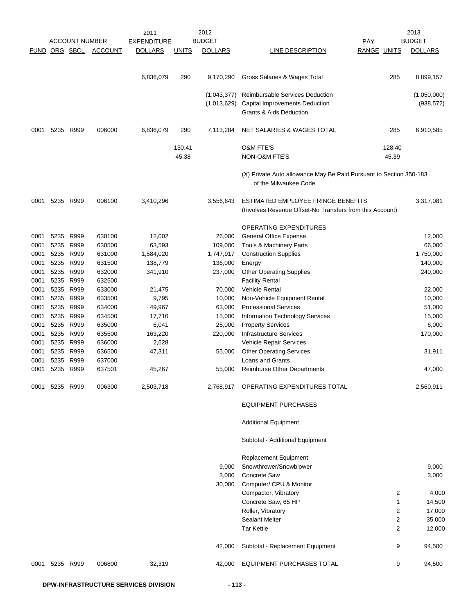|               |                        |                       |                  | 2011               |              | 2012           |                                                                                              |             | 2013             |
|---------------|------------------------|-----------------------|------------------|--------------------|--------------|----------------|----------------------------------------------------------------------------------------------|-------------|------------------|
|               |                        | <b>ACCOUNT NUMBER</b> |                  | <b>EXPENDITURE</b> |              | <b>BUDGET</b>  |                                                                                              | <b>PAY</b>  | <b>BUDGET</b>    |
| FUND ORG SBCL |                        |                       | <b>ACCOUNT</b>   | <b>DOLLARS</b>     | <b>UNITS</b> | <b>DOLLARS</b> | LINE DESCRIPTION                                                                             | RANGE UNITS | <b>DOLLARS</b>   |
|               |                        |                       |                  |                    |              |                |                                                                                              |             |                  |
|               |                        |                       |                  | 6,836,079          | 290          | 9,170,290      | Gross Salaries & Wages Total                                                                 | 285         | 8,899,157        |
|               |                        |                       |                  |                    |              | (1,043,377)    | Reimbursable Services Deduction                                                              |             | (1,050,000)      |
|               |                        |                       |                  |                    |              | (1,013,629)    | Capital Improvements Deduction                                                               |             | (938, 572)       |
|               |                        |                       |                  |                    |              |                | Grants & Aids Deduction                                                                      |             |                  |
| 0001          | 5235                   | R999                  | 006000           | 6,836,079          | 290          | 7,113,284      | NET SALARIES & WAGES TOTAL                                                                   | 285         | 6,910,585        |
|               |                        |                       |                  |                    | 130.41       |                | <b>O&amp;M FTE'S</b>                                                                         | 128.40      |                  |
|               |                        |                       |                  |                    | 45.38        |                | NON-O&M FTE'S                                                                                | 45.39       |                  |
|               |                        |                       |                  |                    |              |                | (X) Private Auto allowance May Be Paid Pursuant to Section 350-183<br>of the Milwaukee Code. |             |                  |
| 0001          | 5235 R999              |                       | 006100           | 3,410,296          |              | 3,556,643      | ESTIMATED EMPLOYEE FRINGE BENEFITS                                                           |             | 3,317,081        |
|               |                        |                       |                  |                    |              |                | (Involves Revenue Offset-No Transfers from this Account)                                     |             |                  |
|               |                        |                       |                  |                    |              |                | OPERATING EXPENDITURES                                                                       |             |                  |
| 0001          | 5235                   | R999                  | 630100           | 12,002             |              | 26,000         | <b>General Office Expense</b>                                                                |             | 12,000           |
| 0001          | 5235 R999              |                       | 630500           | 63,593             |              | 109,000        | Tools & Machinery Parts                                                                      |             | 66,000           |
| 0001          | 5235 R999              |                       | 631000           | 1,584,020          |              | 1,747,917      | <b>Construction Supplies</b>                                                                 |             | 1,750,000        |
| 0001          | 5235 R999              |                       | 631500           | 138,779            |              | 136,000        | Energy                                                                                       |             | 140,000          |
| 0001          | 5235 R999              |                       | 632000           | 341,910            |              | 237,000        | <b>Other Operating Supplies</b>                                                              |             | 240,000          |
| 0001          | 5235 R999              |                       | 632500           |                    |              |                | <b>Facility Rental</b>                                                                       |             |                  |
| 0001          | 5235 R999              |                       | 633000           | 21,475             |              | 70,000         | <b>Vehicle Rental</b>                                                                        |             | 22,000           |
| 0001          | 5235                   | R999                  | 633500           | 9,795              |              | 10,000         | Non-Vehicle Equipment Rental                                                                 |             | 10,000           |
| 0001          | 5235                   | R999                  | 634000           | 49,967             |              | 63,000         | <b>Professional Services</b>                                                                 |             | 51,000           |
| 0001          | 5235                   | R999                  | 634500           | 17,710             |              | 15,000         | <b>Information Technology Services</b>                                                       |             | 15,000           |
| 0001          | 5235 R999              |                       | 635000           | 6,041              |              | 25,000         | <b>Property Services</b>                                                                     |             | 6,000            |
| 0001          | 5235 R999<br>5235 R999 |                       | 635500<br>636000 | 163,220<br>2,628   |              | 220,000        | <b>Infrastructure Services</b><br>Vehicle Repair Services                                    |             | 170,000          |
| 0001<br>0001  | 5235 R999              |                       | 636500           | 47,311             |              | 55,000         | <b>Other Operating Services</b>                                                              |             | 31,911           |
| 0001          | 5235 R999              |                       | 637000           |                    |              |                | Loans and Grants                                                                             |             |                  |
| 0001          | 5235 R999              |                       | 637501           | 45,267             |              | 55,000         | <b>Reimburse Other Departments</b>                                                           |             | 47,000           |
|               |                        |                       |                  |                    |              |                |                                                                                              |             |                  |
| 0001          | 5235 R999              |                       | 006300           | 2,503,718          |              | 2,768,917      | OPERATING EXPENDITURES TOTAL                                                                 |             | 2,560,911        |
|               |                        |                       |                  |                    |              |                | <b>EQUIPMENT PURCHASES</b>                                                                   |             |                  |
|               |                        |                       |                  |                    |              |                | <b>Additional Equipment</b>                                                                  |             |                  |
|               |                        |                       |                  |                    |              |                | Subtotal - Additional Equipment                                                              |             |                  |
|               |                        |                       |                  |                    |              |                | <b>Replacement Equipment</b>                                                                 |             |                  |
|               |                        |                       |                  |                    |              | 9,000          | Snowthrower/Snowblower                                                                       |             | 9,000            |
|               |                        |                       |                  |                    |              | 3,000          | <b>Concrete Saw</b>                                                                          |             | 3,000            |
|               |                        |                       |                  |                    |              | 30,000         | Computer/ CPU & Monitor                                                                      |             |                  |
|               |                        |                       |                  |                    |              |                | Compactor, Vibratory                                                                         | 2           | 4,000            |
|               |                        |                       |                  |                    |              |                | Concrete Saw, 65 HP                                                                          | 1           | 14,500           |
|               |                        |                       |                  |                    |              |                | Roller, Vibratory                                                                            | 2           | 17,000           |
|               |                        |                       |                  |                    |              |                | <b>Sealant Melter</b><br><b>Tar Kettle</b>                                                   | 2<br>2      | 35,000<br>12,000 |
|               |                        |                       |                  |                    |              |                |                                                                                              |             |                  |
|               |                        |                       |                  |                    |              | 42,000         | Subtotal - Replacement Equipment                                                             | 9           | 94,500           |
| 0001          | 5235 R999              |                       | 006800           | 32,319             |              | 42,000         | EQUIPMENT PURCHASES TOTAL                                                                    | 9           | 94,500           |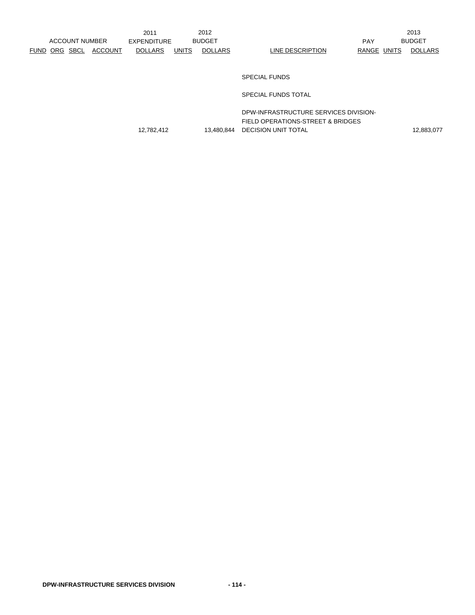2013

## SPECIAL FUNDS

SPECIAL FUNDS TOTAL

DPW-INFRASTRUCTURE SERVICES DIVISION-FIELD OPERATIONS-STREET & BRIDGES 12,782,412 13,480,844 DECISION UNIT TOTAL 12,883,077 12,883,077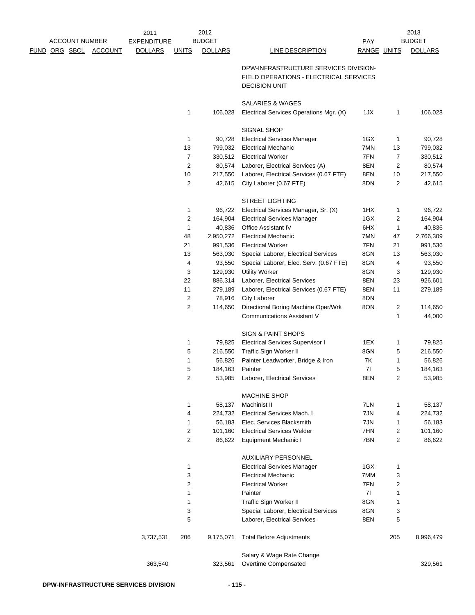|                                               |  |                | 2011               |                | 2012           |                                                   |             |                | 2013           |
|-----------------------------------------------|--|----------------|--------------------|----------------|----------------|---------------------------------------------------|-------------|----------------|----------------|
| <b>ACCOUNT NUMBER</b><br><u>FUND ORG SBCL</u> |  |                | <b>EXPENDITURE</b> |                | <b>BUDGET</b>  |                                                   | <b>PAY</b>  |                | <b>BUDGET</b>  |
|                                               |  | <b>ACCOUNT</b> | <b>DOLLARS</b>     | <b>UNITS</b>   | <b>DOLLARS</b> | <b>LINE DESCRIPTION</b>                           | RANGE UNITS |                | <b>DOLLARS</b> |
|                                               |  |                |                    |                |                | DPW-INFRASTRUCTURE SERVICES DIVISION-             |             |                |                |
|                                               |  |                |                    |                |                | FIELD OPERATIONS - ELECTRICAL SERVICES            |             |                |                |
|                                               |  |                |                    |                |                | <b>DECISION UNIT</b>                              |             |                |                |
|                                               |  |                |                    |                |                |                                                   |             |                |                |
|                                               |  |                |                    |                |                | <b>SALARIES &amp; WAGES</b>                       |             |                |                |
|                                               |  |                |                    | 1              | 106,028        | Electrical Services Operations Mgr. (X)           | 1JX         | 1              | 106,028        |
|                                               |  |                |                    |                |                |                                                   |             |                |                |
|                                               |  |                |                    |                |                | SIGNAL SHOP                                       |             |                |                |
|                                               |  |                |                    | 1              | 90,728         | <b>Electrical Services Manager</b>                | 1GX         | $\mathbf{1}$   | 90,728         |
|                                               |  |                |                    | 13             | 799,032        | <b>Electrical Mechanic</b>                        | 7MN         | 13             | 799,032        |
|                                               |  |                |                    | $\overline{7}$ | 330,512        | <b>Electrical Worker</b>                          | 7FN         | $\overline{7}$ | 330,512        |
|                                               |  |                |                    | $\overline{2}$ | 80,574         | Laborer, Electrical Services (A)                  | 8EN         | 2              | 80,574         |
|                                               |  |                |                    | 10             | 217,550        | Laborer, Electrical Services (0.67 FTE)           | 8EN         | 10             | 217,550        |
|                                               |  |                |                    | $\overline{c}$ | 42,615         | City Laborer (0.67 FTE)                           | 8DN         | $\overline{2}$ | 42,615         |
|                                               |  |                |                    |                |                | <b>STREET LIGHTING</b>                            |             |                |                |
|                                               |  |                |                    | 1              | 96,722         | Electrical Services Manager, Sr. (X)              | 1HX         | 1              | 96,722         |
|                                               |  |                |                    | 2              |                |                                                   | 1GX         |                |                |
|                                               |  |                |                    |                | 164,904        | <b>Electrical Services Manager</b>                |             | 2              | 164,904        |
|                                               |  |                |                    | 1              | 40,836         | Office Assistant IV<br><b>Electrical Mechanic</b> | 6HX         | 1              | 40,836         |
|                                               |  |                |                    | 48             | 2,950,272      |                                                   | 7MN         | 47             | 2,766,309      |
|                                               |  |                |                    | 21             | 991,536        | <b>Electrical Worker</b>                          | 7FN         | 21             | 991,536        |
|                                               |  |                |                    | 13             | 563,030        | Special Laborer, Electrical Services              | 8GN         | 13             | 563,030        |
|                                               |  |                |                    | 4              | 93,550         | Special Laborer, Elec. Serv. (0.67 FTE)           | 8GN         | 4              | 93,550         |
|                                               |  |                |                    | 3              | 129,930        | <b>Utility Worker</b>                             | 8GN         | 3              | 129,930        |
|                                               |  |                |                    | 22             | 886,314        | Laborer, Electrical Services                      | 8EN         | 23             | 926,601        |
|                                               |  |                |                    | 11             | 279,189        | Laborer, Electrical Services (0.67 FTE)           | 8EN         | 11             | 279,189        |
|                                               |  |                |                    | 2              | 78,916         | <b>City Laborer</b>                               | 8DN         |                |                |
|                                               |  |                |                    | 2              | 114,650        | Directional Boring Machine Oper/Wrk               | 8ON         | 2              | 114,650        |
|                                               |  |                |                    |                |                | <b>Communications Assistant V</b>                 |             | 1              | 44,000         |
|                                               |  |                |                    |                |                | SIGN & PAINT SHOPS                                |             |                |                |
|                                               |  |                |                    | 1              | 79,825         | <b>Electrical Services Supervisor I</b>           | 1EX         | 1              | 79,825         |
|                                               |  |                |                    | 5              | 216,550        | Traffic Sign Worker II                            | 8GN         | 5              | 216,550        |
|                                               |  |                |                    | 1              | 56,826         | Painter Leadworker, Bridge & Iron                 | 7K          | 1              | 56,826         |
|                                               |  |                |                    | 5              | 184,163        | Painter                                           | 71          | 5              | 184,163        |
|                                               |  |                |                    | 2              |                | 53,985 Laborer, Electrical Services               | 8EN         | 2              | 53,985         |
|                                               |  |                |                    |                |                | <b>MACHINE SHOP</b>                               |             |                |                |
|                                               |  |                |                    |                |                |                                                   |             |                |                |
|                                               |  |                |                    | 1              | 58,137         | Machinist II                                      | 7LN         | 1              | 58,137         |
|                                               |  |                |                    | 4              | 224,732        | <b>Electrical Services Mach. I</b>                | 7JN         | 4              | 224,732        |
|                                               |  |                |                    | 1              | 56,183         | Elec. Services Blacksmith                         | 7JN         | 1              | 56,183         |
|                                               |  |                |                    | 2              | 101,160        | <b>Electrical Services Welder</b>                 | 7HN         | 2              | 101,160        |
|                                               |  |                |                    | $\overline{2}$ | 86,622         | <b>Equipment Mechanic I</b>                       | 7BN         | 2              | 86,622         |
|                                               |  |                |                    |                |                | <b>AUXILIARY PERSONNEL</b>                        |             |                |                |
|                                               |  |                |                    | 1              |                | <b>Electrical Services Manager</b>                | 1GX         | 1              |                |
|                                               |  |                |                    | 3              |                | <b>Electrical Mechanic</b>                        | 7MM         | 3              |                |
|                                               |  |                |                    | 2              |                | <b>Electrical Worker</b>                          | 7FN         | 2              |                |
|                                               |  |                |                    | 1              |                | Painter                                           | 71          | 1              |                |
|                                               |  |                |                    | 1              |                | Traffic Sign Worker II                            | 8GN         | 1              |                |
|                                               |  |                |                    | 3              |                | Special Laborer, Electrical Services              | 8GN         | 3              |                |
|                                               |  |                |                    | 5              |                | Laborer, Electrical Services                      | 8EN         | 5              |                |
|                                               |  |                |                    |                |                |                                                   |             |                |                |
|                                               |  |                | 3,737,531          | 206            | 9,175,071      | <b>Total Before Adjustments</b>                   |             | 205            | 8,996,479      |
|                                               |  |                |                    |                |                | Salary & Wage Rate Change                         |             |                |                |
|                                               |  |                | 363,540            |                | 323,561        | Overtime Compensated                              |             |                | 329,561        |
|                                               |  |                |                    |                |                |                                                   |             |                |                |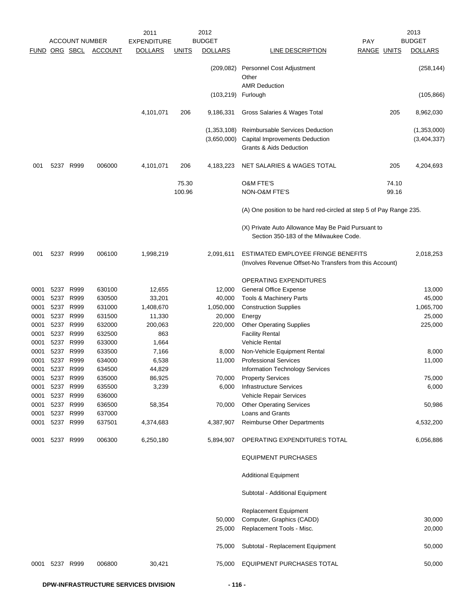|      |                      |                       |                | 2011               |                 | 2012                       |                                                                                                |                | 2013                       |
|------|----------------------|-----------------------|----------------|--------------------|-----------------|----------------------------|------------------------------------------------------------------------------------------------|----------------|----------------------------|
|      |                      | <b>ACCOUNT NUMBER</b> |                | <b>EXPENDITURE</b> |                 | <b>BUDGET</b>              |                                                                                                | <b>PAY</b>     | <b>BUDGET</b>              |
|      | <b>FUND ORG SBCL</b> |                       | <b>ACCOUNT</b> | <b>DOLLARS</b>     | <b>UNITS</b>    | <b>DOLLARS</b>             | <b>LINE DESCRIPTION</b>                                                                        | RANGE UNITS    | <b>DOLLARS</b>             |
|      |                      |                       |                |                    |                 | (209, 082)                 | Personnel Cost Adjustment<br>Other                                                             |                | (258, 144)                 |
|      |                      |                       |                |                    |                 | (103, 219)                 | <b>AMR Deduction</b><br>Furlough                                                               |                | (105, 866)                 |
|      |                      |                       |                | 4,101,071          | 206             | 9,186,331                  | Gross Salaries & Wages Total                                                                   | 205            | 8,962,030                  |
|      |                      |                       |                |                    |                 | (1,353,108)<br>(3,650,000) | Reimbursable Services Deduction<br>Capital Improvements Deduction<br>Grants & Aids Deduction   |                | (1,353,000)<br>(3,404,337) |
| 001  |                      | 5237 R999             | 006000         | 4,101,071          | 206             | 4,183,223                  | NET SALARIES & WAGES TOTAL                                                                     | 205            | 4,204,693                  |
|      |                      |                       |                |                    | 75.30<br>100.96 |                            | <b>O&amp;M FTE'S</b><br>NON-O&M FTE'S                                                          | 74.10<br>99.16 |                            |
|      |                      |                       |                |                    |                 |                            | (A) One position to be hard red-circled at step 5 of Pay Range 235.                            |                |                            |
|      |                      |                       |                |                    |                 |                            | (X) Private Auto Allowance May Be Paid Pursuant to<br>Section 350-183 of the Milwaukee Code.   |                |                            |
| 001  |                      | 5237 R999             | 006100         | 1,998,219          |                 | 2,091,611                  | ESTIMATED EMPLOYEE FRINGE BENEFITS<br>(Involves Revenue Offset-No Transfers from this Account) |                | 2,018,253                  |
|      |                      |                       |                |                    |                 |                            | OPERATING EXPENDITURES                                                                         |                |                            |
| 0001 | 5237                 | R999                  | 630100         | 12,655             |                 | 12,000                     | <b>General Office Expense</b>                                                                  |                | 13,000                     |
| 0001 | 5237                 | R999                  | 630500         | 33,201             |                 | 40,000                     | Tools & Machinery Parts                                                                        |                | 45,000                     |
| 0001 | 5237                 | R999                  | 631000         | 1,408,670          |                 | 1,050,000                  | <b>Construction Supplies</b>                                                                   |                | 1,065,700                  |
| 0001 | 5237                 | R999                  | 631500         | 11,330             |                 | 20,000                     | Energy                                                                                         |                | 25,000                     |
| 0001 | 5237 R999            |                       | 632000         | 200,063            |                 | 220,000                    | <b>Other Operating Supplies</b>                                                                |                | 225,000                    |
| 0001 | 5237                 | R999                  | 632500         | 863                |                 |                            | <b>Facility Rental</b>                                                                         |                |                            |
| 0001 | 5237 R999            |                       | 633000         | 1,664              |                 |                            | <b>Vehicle Rental</b>                                                                          |                |                            |
| 0001 | 5237 R999            |                       | 633500         | 7,166              |                 | 8,000                      | Non-Vehicle Equipment Rental                                                                   |                | 8,000                      |
| 0001 |                      | 5237 R999             | 634000         | 6,538              |                 | 11,000                     | <b>Professional Services</b>                                                                   |                | 11,000                     |
| 0001 | 5237 R999            |                       | 634500         | 44,829             |                 |                            | Information Technology Services                                                                |                |                            |
| 0001 | 5237                 | R999                  | 635000         | 86,925             |                 | 70,000                     | <b>Property Services</b>                                                                       |                | 75,000                     |
| 0001 | 5237                 | R999                  | 635500         | 3,239              |                 | 6,000                      | <b>Infrastructure Services</b>                                                                 |                | 6,000                      |
| 0001 | 5237                 | R999                  | 636000         |                    |                 |                            | Vehicle Repair Services                                                                        |                |                            |
| 0001 | 5237 R999            |                       | 636500         | 58,354             |                 | 70,000                     | <b>Other Operating Services</b>                                                                |                | 50,986                     |
| 0001 |                      | 5237 R999             | 637000         |                    |                 |                            | Loans and Grants                                                                               |                |                            |
| 0001 | 5237 R999            |                       | 637501         | 4,374,683          |                 | 4,387,907                  | <b>Reimburse Other Departments</b>                                                             |                | 4,532,200                  |
| 0001 | 5237 R999            |                       | 006300         | 6,250,180          |                 | 5,894,907                  | OPERATING EXPENDITURES TOTAL                                                                   |                | 6,056,886                  |
|      |                      |                       |                |                    |                 |                            | <b>EQUIPMENT PURCHASES</b>                                                                     |                |                            |
|      |                      |                       |                |                    |                 |                            | <b>Additional Equipment</b>                                                                    |                |                            |
|      |                      |                       |                |                    |                 |                            | Subtotal - Additional Equipment                                                                |                |                            |
|      |                      |                       |                |                    |                 |                            | Replacement Equipment                                                                          |                |                            |
|      |                      |                       |                |                    |                 | 50,000                     | Computer, Graphics (CADD)                                                                      |                | 30,000                     |
|      |                      |                       |                |                    |                 | 25,000                     | Replacement Tools - Misc.                                                                      |                | 20,000                     |
|      |                      |                       |                |                    |                 | 75,000                     | Subtotal - Replacement Equipment                                                               |                | 50,000                     |
| 0001 | 5237 R999            |                       | 006800         | 30,421             |                 | 75,000                     | EQUIPMENT PURCHASES TOTAL                                                                      |                | 50,000                     |
|      |                      |                       |                |                    |                 |                            |                                                                                                |                |                            |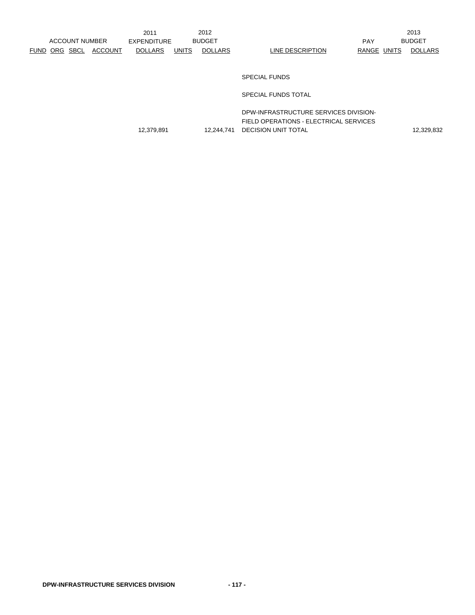2013

## SPECIAL FUNDS

SPECIAL FUNDS TOTAL

DPW-INFRASTRUCTURE SERVICES DIVISION-FIELD OPERATIONS - ELECTRICAL SERVICES 12,379,891 12,244,741 DECISION UNIT TOTAL 12,329,832 12,329,832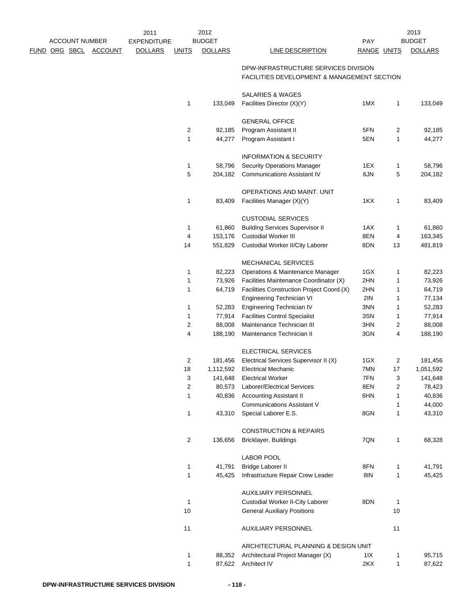|                      | <b>ACCOUNT NUMBER</b> |                | 2011<br><b>EXPENDITURE</b> |                | 2012<br><b>BUDGET</b> |                                                                                     | PAY         |              | 2013<br><b>BUDGET</b> |
|----------------------|-----------------------|----------------|----------------------------|----------------|-----------------------|-------------------------------------------------------------------------------------|-------------|--------------|-----------------------|
| <u>FUND ORG SBCL</u> |                       | <b>ACCOUNT</b> | <b>DOLLARS</b>             | <b>UNITS</b>   | <b>DOLLARS</b>        | <b>LINE DESCRIPTION</b>                                                             | RANGE UNITS |              | <b>DOLLARS</b>        |
|                      |                       |                |                            |                |                       | DPW-INFRASTRUCTURE SERVICES DIVISION<br>FACILITIES DEVELOPMENT & MANAGEMENT SECTION |             |              |                       |
|                      |                       |                |                            |                |                       | SALARIES & WAGES                                                                    |             |              |                       |
|                      |                       |                |                            | 1              | 133,049               | Facilities Director (X)(Y)                                                          | 1MX         | $\mathbf{1}$ | 133,049               |
|                      |                       |                |                            |                |                       | <b>GENERAL OFFICE</b>                                                               |             |              |                       |
|                      |                       |                |                            | $\overline{2}$ | 92,185                | Program Assistant II                                                                | 5FN         | 2            | 92,185                |
|                      |                       |                |                            | 1              | 44,277                | Program Assistant I                                                                 | 5EN         | 1            | 44,277                |
|                      |                       |                |                            |                |                       | <b>INFORMATION &amp; SECURITY</b>                                                   |             |              |                       |
|                      |                       |                |                            | 1              | 58,796                | <b>Security Operations Manager</b>                                                  | 1EX         | 1            | 58,796                |
|                      |                       |                |                            | 5              | 204,182               | <b>Communications Assistant IV</b>                                                  | 6JN         | 5            | 204,182               |
|                      |                       |                |                            |                |                       | OPERATIONS AND MAINT. UNIT                                                          |             |              |                       |
|                      |                       |                |                            | 1              | 83,409                | Facilities Manager (X)(Y)                                                           | 1KX         | 1            | 83,409                |
|                      |                       |                |                            |                |                       | <b>CUSTODIAL SERVICES</b>                                                           |             |              |                       |
|                      |                       |                |                            | 1              | 61,860                | <b>Building Services Supervisor II</b>                                              | 1AX         | 1            | 61,860                |
|                      |                       |                |                            | 4              | 153,176               | <b>Custodial Worker III</b>                                                         | 8EN         | 4            | 163,345               |
|                      |                       |                |                            | 14             | 551,829               | Custodial Worker II/City Laborer                                                    | 8DN         | 13           | 481,819               |
|                      |                       |                |                            |                |                       | <b>MECHANICAL SERVICES</b>                                                          |             |              |                       |
|                      |                       |                |                            | 1              | 82,223                | Operations & Maintenance Manager                                                    | 1GX         | 1            | 82,223                |
|                      |                       |                |                            | 1              | 73,926                | Facilities Maintenance Coordinator (X)                                              | 2HN         | 1            | 73,926                |
|                      |                       |                |                            | 1              | 64,719                | Facilities Construction Project Coord.(X)                                           | 2HN         | 1            | 64,719                |
|                      |                       |                |                            |                |                       | Engineering Technician VI                                                           | 2IN         | 1            | 77,134                |
|                      |                       |                |                            | 1              | 52,283                | Engineering Technician IV                                                           | 3NN         | 1            | 52,283                |
|                      |                       |                |                            | 1              | 77,914                | <b>Facilities Control Specialist</b>                                                | 3SN         | 1            | 77,914                |
|                      |                       |                |                            | 2              | 88,008                | Maintenance Technician III                                                          | 3HN         | 2            | 88,008                |
|                      |                       |                |                            | 4              | 188,190               | Maintenance Technician II                                                           | 3GN         | 4            | 188,190               |
|                      |                       |                |                            |                |                       | ELECTRICAL SERVICES                                                                 |             |              |                       |
|                      |                       |                |                            | 2              | 181,456               | Electrical Services Supervisor II (X)                                               | 1GX         | 2            | 181,456               |
|                      |                       |                |                            | 18             | 1,112,592             | <b>Electrical Mechanic</b>                                                          | 7MN         | 17           | 1,051,592             |
|                      |                       |                |                            | 3              | 141,648               | <b>Electrical Worker</b>                                                            | 7FN         | 3            | 141,648               |
|                      |                       |                |                            | $\sqrt{2}$     | 80,573                | Laborer/Electrical Services                                                         | 8EN         | 2            | 78,423                |
|                      |                       |                |                            | 1              | 40,836                | <b>Accounting Assistant II</b>                                                      | 6HN         | 1            | 40,836                |
|                      |                       |                |                            |                |                       | <b>Communications Assistant V</b>                                                   |             | 1            | 44,000                |
|                      |                       |                |                            | 1              | 43,310                | Special Laborer E.S.                                                                | 8GN         | 1            | 43,310                |
|                      |                       |                |                            |                |                       | <b>CONSTRUCTION &amp; REPAIRS</b>                                                   |             |              |                       |
|                      |                       |                |                            | $\overline{2}$ | 136,656               | <b>Bricklayer, Buildings</b>                                                        | 7QN         | $\mathbf{1}$ | 68,328                |
|                      |                       |                |                            |                |                       | <b>LABOR POOL</b>                                                                   |             |              |                       |
|                      |                       |                |                            | 1              | 41,791                | <b>Bridge Laborer II</b>                                                            | 8FN         | 1            | 41,791                |
|                      |                       |                |                            | $\mathbf{1}$   | 45,425                | Infrastructure Repair Crew Leader                                                   | 8IN         | 1            | 45,425                |
|                      |                       |                |                            |                |                       | <b>AUXILIARY PERSONNEL</b>                                                          |             |              |                       |
|                      |                       |                |                            | 1              |                       | Custodial Worker II-City Laborer                                                    | 8DN         | 1            |                       |
|                      |                       |                |                            | 10             |                       | <b>General Auxiliary Positions</b>                                                  |             | 10           |                       |
|                      |                       |                |                            | 11             |                       | AUXILIARY PERSONNEL                                                                 |             | 11           |                       |
|                      |                       |                |                            |                |                       | ARCHITECTURAL PLANNING & DESIGN UNIT                                                |             |              |                       |
|                      |                       |                |                            | 1              | 88,352                | Architectural Project Manager (X)                                                   | 11X         | 1            | 95,715                |
|                      |                       |                |                            | $\mathbf{1}$   | 87,622                | Architect IV                                                                        | 2KX         | 1            | 87,622                |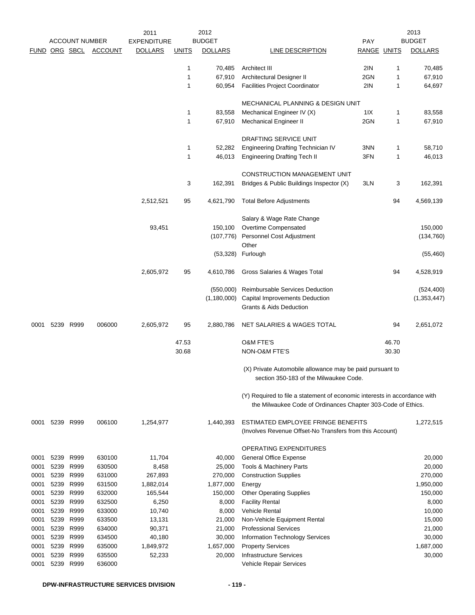| <b>DOLLARS</b><br>RANGE UNITS<br><b>DOLLARS</b><br>FUND ORG SBCL<br><b>ACCOUNT</b><br><b>DOLLARS</b><br><b>UNITS</b><br>LINE DESCRIPTION<br>2IN<br>1<br>Architect III<br>1<br>70,485<br>70,485<br>1<br>2GN<br>67,910<br>Architectural Designer II<br>1<br>67,910<br>2IN<br>1<br>60,954<br><b>Facilities Project Coordinator</b><br>1<br>64,697<br><b>MECHANICAL PLANNING &amp; DESIGN UNIT</b><br>11X<br>1<br>83,558<br>Mechanical Engineer IV (X)<br>1<br>83,558<br>1<br>2GN<br>1<br>67,910<br><b>Mechanical Engineer II</b><br>67,910<br>DRAFTING SERVICE UNIT<br>3NN<br>1<br>52,282<br>Engineering Drafting Technician IV<br>1<br>58,710<br>$\mathbf{1}$<br><b>Engineering Drafting Tech II</b><br>3FN<br>1<br>46,013<br>46,013<br>CONSTRUCTION MANAGEMENT UNIT<br>3<br>162,391<br>162,391<br>Bridges & Public Buildings Inspector (X)<br>3LN<br>3<br>2,512,521<br>95<br>4,621,790<br><b>Total Before Adjustments</b><br>94<br>4,569,139<br>Salary & Wage Rate Change<br>93,451<br>Overtime Compensated<br>150,000<br>150,100<br>(107, 776)<br>Personnel Cost Adjustment<br>(134, 760)<br>Other<br>(53, 328)<br>Furlough<br>(55, 460)<br>2,605,972<br>95<br>94<br>4,610,786<br>Gross Salaries & Wages Total<br>4,528,919<br>Reimbursable Services Deduction<br>(550,000)<br>(524, 400)<br>(1, 180, 000)<br><b>Capital Improvements Deduction</b><br>(1, 353, 447)<br><b>Grants &amp; Aids Deduction</b><br>006000<br>5239 R999<br>2,605,972<br>95<br>NET SALARIES & WAGES TOTAL<br>94<br>2,651,072<br>0001<br>2,880,786<br><b>O&amp;M FTE'S</b><br>47.53<br>46.70<br>30.68<br>NON-O&M FTE'S<br>30.30<br>(X) Private Automobile allowance may be paid pursuant to<br>section 350-183 of the Milwaukee Code.<br>(Y) Required to file a statement of economic interests in accordance with<br>the Milwaukee Code of Ordinances Chapter 303-Code of Ethics.<br>006100<br>ESTIMATED EMPLOYEE FRINGE BENEFITS<br>5239 R999<br>1,254,977<br>1,440,393<br>1,272,515<br>0001<br>(Involves Revenue Offset-No Transfers from this Account)<br>OPERATING EXPENDITURES<br>630100<br>5239<br>R999<br>11,704<br>40,000<br><b>General Office Expense</b><br>20,000<br>0001<br>5239<br>R999<br>630500<br>8,458<br>Tools & Machinery Parts<br>20,000<br>0001<br>25,000<br>5239<br>R999<br>270,000<br>631000<br>267,893<br>270,000<br><b>Construction Supplies</b><br>0001<br>5239<br>R999<br>1,882,014<br>0001<br>631500<br>1,877,000<br>1,950,000<br>Energy<br>5239<br>R999<br>632000<br>165,544<br>150,000<br>0001<br>150,000<br><b>Other Operating Supplies</b><br>5239<br>R999<br>6,250<br>0001<br>632500<br>8,000<br><b>Facility Rental</b><br>8,000<br>5239<br>R999<br>633000<br>Vehicle Rental<br>0001<br>10,740<br>8,000<br>10,000<br>5239<br>0001<br>R999<br>633500<br>13,131<br>21,000<br>Non-Vehicle Equipment Rental<br>15,000<br>5239<br>R999<br>634000<br>90,371<br>0001<br>21,000<br><b>Professional Services</b><br>21,000<br>5239<br>R999<br>634500<br>30,000<br>0001<br>40,180<br>30,000<br>Information Technology Services<br>635000<br><b>Property Services</b><br>1,687,000<br>0001<br>5239<br>R999<br>1,849,972<br>1,657,000<br>5239<br>R999<br>635500<br><b>Infrastructure Services</b><br>30,000<br>0001<br>52,233<br>20,000<br>636000<br>0001<br>5239<br>R999<br>Vehicle Repair Services |  | <b>ACCOUNT NUMBER</b> | 2011<br><b>EXPENDITURE</b> | 2012<br><b>BUDGET</b> | <b>PAY</b> | 2013<br><b>BUDGET</b> |
|----------------------------------------------------------------------------------------------------------------------------------------------------------------------------------------------------------------------------------------------------------------------------------------------------------------------------------------------------------------------------------------------------------------------------------------------------------------------------------------------------------------------------------------------------------------------------------------------------------------------------------------------------------------------------------------------------------------------------------------------------------------------------------------------------------------------------------------------------------------------------------------------------------------------------------------------------------------------------------------------------------------------------------------------------------------------------------------------------------------------------------------------------------------------------------------------------------------------------------------------------------------------------------------------------------------------------------------------------------------------------------------------------------------------------------------------------------------------------------------------------------------------------------------------------------------------------------------------------------------------------------------------------------------------------------------------------------------------------------------------------------------------------------------------------------------------------------------------------------------------------------------------------------------------------------------------------------------------------------------------------------------------------------------------------------------------------------------------------------------------------------------------------------------------------------------------------------------------------------------------------------------------------------------------------------------------------------------------------------------------------------------------------------------------------------------------------------------------------------------------------------------------------------------------------------------------------------------------------------------------------------------------------------------------------------------------------------------------------------------------------------------------------------------------------------------------------------------------------------------------------------------------------------------------------------------------------------------------------------------------------------------------------------------------------------------------------------------------------------------------------------------------------------------------------------------------------------------------------------------------------------------------------------------------------|--|-----------------------|----------------------------|-----------------------|------------|-----------------------|
|                                                                                                                                                                                                                                                                                                                                                                                                                                                                                                                                                                                                                                                                                                                                                                                                                                                                                                                                                                                                                                                                                                                                                                                                                                                                                                                                                                                                                                                                                                                                                                                                                                                                                                                                                                                                                                                                                                                                                                                                                                                                                                                                                                                                                                                                                                                                                                                                                                                                                                                                                                                                                                                                                                                                                                                                                                                                                                                                                                                                                                                                                                                                                                                                                                                                                                    |  |                       |                            |                       |            |                       |
|                                                                                                                                                                                                                                                                                                                                                                                                                                                                                                                                                                                                                                                                                                                                                                                                                                                                                                                                                                                                                                                                                                                                                                                                                                                                                                                                                                                                                                                                                                                                                                                                                                                                                                                                                                                                                                                                                                                                                                                                                                                                                                                                                                                                                                                                                                                                                                                                                                                                                                                                                                                                                                                                                                                                                                                                                                                                                                                                                                                                                                                                                                                                                                                                                                                                                                    |  |                       |                            |                       |            |                       |
|                                                                                                                                                                                                                                                                                                                                                                                                                                                                                                                                                                                                                                                                                                                                                                                                                                                                                                                                                                                                                                                                                                                                                                                                                                                                                                                                                                                                                                                                                                                                                                                                                                                                                                                                                                                                                                                                                                                                                                                                                                                                                                                                                                                                                                                                                                                                                                                                                                                                                                                                                                                                                                                                                                                                                                                                                                                                                                                                                                                                                                                                                                                                                                                                                                                                                                    |  |                       |                            |                       |            |                       |
|                                                                                                                                                                                                                                                                                                                                                                                                                                                                                                                                                                                                                                                                                                                                                                                                                                                                                                                                                                                                                                                                                                                                                                                                                                                                                                                                                                                                                                                                                                                                                                                                                                                                                                                                                                                                                                                                                                                                                                                                                                                                                                                                                                                                                                                                                                                                                                                                                                                                                                                                                                                                                                                                                                                                                                                                                                                                                                                                                                                                                                                                                                                                                                                                                                                                                                    |  |                       |                            |                       |            |                       |
|                                                                                                                                                                                                                                                                                                                                                                                                                                                                                                                                                                                                                                                                                                                                                                                                                                                                                                                                                                                                                                                                                                                                                                                                                                                                                                                                                                                                                                                                                                                                                                                                                                                                                                                                                                                                                                                                                                                                                                                                                                                                                                                                                                                                                                                                                                                                                                                                                                                                                                                                                                                                                                                                                                                                                                                                                                                                                                                                                                                                                                                                                                                                                                                                                                                                                                    |  |                       |                            |                       |            |                       |
|                                                                                                                                                                                                                                                                                                                                                                                                                                                                                                                                                                                                                                                                                                                                                                                                                                                                                                                                                                                                                                                                                                                                                                                                                                                                                                                                                                                                                                                                                                                                                                                                                                                                                                                                                                                                                                                                                                                                                                                                                                                                                                                                                                                                                                                                                                                                                                                                                                                                                                                                                                                                                                                                                                                                                                                                                                                                                                                                                                                                                                                                                                                                                                                                                                                                                                    |  |                       |                            |                       |            |                       |
|                                                                                                                                                                                                                                                                                                                                                                                                                                                                                                                                                                                                                                                                                                                                                                                                                                                                                                                                                                                                                                                                                                                                                                                                                                                                                                                                                                                                                                                                                                                                                                                                                                                                                                                                                                                                                                                                                                                                                                                                                                                                                                                                                                                                                                                                                                                                                                                                                                                                                                                                                                                                                                                                                                                                                                                                                                                                                                                                                                                                                                                                                                                                                                                                                                                                                                    |  |                       |                            |                       |            |                       |
|                                                                                                                                                                                                                                                                                                                                                                                                                                                                                                                                                                                                                                                                                                                                                                                                                                                                                                                                                                                                                                                                                                                                                                                                                                                                                                                                                                                                                                                                                                                                                                                                                                                                                                                                                                                                                                                                                                                                                                                                                                                                                                                                                                                                                                                                                                                                                                                                                                                                                                                                                                                                                                                                                                                                                                                                                                                                                                                                                                                                                                                                                                                                                                                                                                                                                                    |  |                       |                            |                       |            |                       |
|                                                                                                                                                                                                                                                                                                                                                                                                                                                                                                                                                                                                                                                                                                                                                                                                                                                                                                                                                                                                                                                                                                                                                                                                                                                                                                                                                                                                                                                                                                                                                                                                                                                                                                                                                                                                                                                                                                                                                                                                                                                                                                                                                                                                                                                                                                                                                                                                                                                                                                                                                                                                                                                                                                                                                                                                                                                                                                                                                                                                                                                                                                                                                                                                                                                                                                    |  |                       |                            |                       |            |                       |
|                                                                                                                                                                                                                                                                                                                                                                                                                                                                                                                                                                                                                                                                                                                                                                                                                                                                                                                                                                                                                                                                                                                                                                                                                                                                                                                                                                                                                                                                                                                                                                                                                                                                                                                                                                                                                                                                                                                                                                                                                                                                                                                                                                                                                                                                                                                                                                                                                                                                                                                                                                                                                                                                                                                                                                                                                                                                                                                                                                                                                                                                                                                                                                                                                                                                                                    |  |                       |                            |                       |            |                       |
|                                                                                                                                                                                                                                                                                                                                                                                                                                                                                                                                                                                                                                                                                                                                                                                                                                                                                                                                                                                                                                                                                                                                                                                                                                                                                                                                                                                                                                                                                                                                                                                                                                                                                                                                                                                                                                                                                                                                                                                                                                                                                                                                                                                                                                                                                                                                                                                                                                                                                                                                                                                                                                                                                                                                                                                                                                                                                                                                                                                                                                                                                                                                                                                                                                                                                                    |  |                       |                            |                       |            |                       |
|                                                                                                                                                                                                                                                                                                                                                                                                                                                                                                                                                                                                                                                                                                                                                                                                                                                                                                                                                                                                                                                                                                                                                                                                                                                                                                                                                                                                                                                                                                                                                                                                                                                                                                                                                                                                                                                                                                                                                                                                                                                                                                                                                                                                                                                                                                                                                                                                                                                                                                                                                                                                                                                                                                                                                                                                                                                                                                                                                                                                                                                                                                                                                                                                                                                                                                    |  |                       |                            |                       |            |                       |
|                                                                                                                                                                                                                                                                                                                                                                                                                                                                                                                                                                                                                                                                                                                                                                                                                                                                                                                                                                                                                                                                                                                                                                                                                                                                                                                                                                                                                                                                                                                                                                                                                                                                                                                                                                                                                                                                                                                                                                                                                                                                                                                                                                                                                                                                                                                                                                                                                                                                                                                                                                                                                                                                                                                                                                                                                                                                                                                                                                                                                                                                                                                                                                                                                                                                                                    |  |                       |                            |                       |            |                       |
|                                                                                                                                                                                                                                                                                                                                                                                                                                                                                                                                                                                                                                                                                                                                                                                                                                                                                                                                                                                                                                                                                                                                                                                                                                                                                                                                                                                                                                                                                                                                                                                                                                                                                                                                                                                                                                                                                                                                                                                                                                                                                                                                                                                                                                                                                                                                                                                                                                                                                                                                                                                                                                                                                                                                                                                                                                                                                                                                                                                                                                                                                                                                                                                                                                                                                                    |  |                       |                            |                       |            |                       |
|                                                                                                                                                                                                                                                                                                                                                                                                                                                                                                                                                                                                                                                                                                                                                                                                                                                                                                                                                                                                                                                                                                                                                                                                                                                                                                                                                                                                                                                                                                                                                                                                                                                                                                                                                                                                                                                                                                                                                                                                                                                                                                                                                                                                                                                                                                                                                                                                                                                                                                                                                                                                                                                                                                                                                                                                                                                                                                                                                                                                                                                                                                                                                                                                                                                                                                    |  |                       |                            |                       |            |                       |
|                                                                                                                                                                                                                                                                                                                                                                                                                                                                                                                                                                                                                                                                                                                                                                                                                                                                                                                                                                                                                                                                                                                                                                                                                                                                                                                                                                                                                                                                                                                                                                                                                                                                                                                                                                                                                                                                                                                                                                                                                                                                                                                                                                                                                                                                                                                                                                                                                                                                                                                                                                                                                                                                                                                                                                                                                                                                                                                                                                                                                                                                                                                                                                                                                                                                                                    |  |                       |                            |                       |            |                       |
|                                                                                                                                                                                                                                                                                                                                                                                                                                                                                                                                                                                                                                                                                                                                                                                                                                                                                                                                                                                                                                                                                                                                                                                                                                                                                                                                                                                                                                                                                                                                                                                                                                                                                                                                                                                                                                                                                                                                                                                                                                                                                                                                                                                                                                                                                                                                                                                                                                                                                                                                                                                                                                                                                                                                                                                                                                                                                                                                                                                                                                                                                                                                                                                                                                                                                                    |  |                       |                            |                       |            |                       |
|                                                                                                                                                                                                                                                                                                                                                                                                                                                                                                                                                                                                                                                                                                                                                                                                                                                                                                                                                                                                                                                                                                                                                                                                                                                                                                                                                                                                                                                                                                                                                                                                                                                                                                                                                                                                                                                                                                                                                                                                                                                                                                                                                                                                                                                                                                                                                                                                                                                                                                                                                                                                                                                                                                                                                                                                                                                                                                                                                                                                                                                                                                                                                                                                                                                                                                    |  |                       |                            |                       |            |                       |
|                                                                                                                                                                                                                                                                                                                                                                                                                                                                                                                                                                                                                                                                                                                                                                                                                                                                                                                                                                                                                                                                                                                                                                                                                                                                                                                                                                                                                                                                                                                                                                                                                                                                                                                                                                                                                                                                                                                                                                                                                                                                                                                                                                                                                                                                                                                                                                                                                                                                                                                                                                                                                                                                                                                                                                                                                                                                                                                                                                                                                                                                                                                                                                                                                                                                                                    |  |                       |                            |                       |            |                       |
|                                                                                                                                                                                                                                                                                                                                                                                                                                                                                                                                                                                                                                                                                                                                                                                                                                                                                                                                                                                                                                                                                                                                                                                                                                                                                                                                                                                                                                                                                                                                                                                                                                                                                                                                                                                                                                                                                                                                                                                                                                                                                                                                                                                                                                                                                                                                                                                                                                                                                                                                                                                                                                                                                                                                                                                                                                                                                                                                                                                                                                                                                                                                                                                                                                                                                                    |  |                       |                            |                       |            |                       |
|                                                                                                                                                                                                                                                                                                                                                                                                                                                                                                                                                                                                                                                                                                                                                                                                                                                                                                                                                                                                                                                                                                                                                                                                                                                                                                                                                                                                                                                                                                                                                                                                                                                                                                                                                                                                                                                                                                                                                                                                                                                                                                                                                                                                                                                                                                                                                                                                                                                                                                                                                                                                                                                                                                                                                                                                                                                                                                                                                                                                                                                                                                                                                                                                                                                                                                    |  |                       |                            |                       |            |                       |
|                                                                                                                                                                                                                                                                                                                                                                                                                                                                                                                                                                                                                                                                                                                                                                                                                                                                                                                                                                                                                                                                                                                                                                                                                                                                                                                                                                                                                                                                                                                                                                                                                                                                                                                                                                                                                                                                                                                                                                                                                                                                                                                                                                                                                                                                                                                                                                                                                                                                                                                                                                                                                                                                                                                                                                                                                                                                                                                                                                                                                                                                                                                                                                                                                                                                                                    |  |                       |                            |                       |            |                       |
|                                                                                                                                                                                                                                                                                                                                                                                                                                                                                                                                                                                                                                                                                                                                                                                                                                                                                                                                                                                                                                                                                                                                                                                                                                                                                                                                                                                                                                                                                                                                                                                                                                                                                                                                                                                                                                                                                                                                                                                                                                                                                                                                                                                                                                                                                                                                                                                                                                                                                                                                                                                                                                                                                                                                                                                                                                                                                                                                                                                                                                                                                                                                                                                                                                                                                                    |  |                       |                            |                       |            |                       |
|                                                                                                                                                                                                                                                                                                                                                                                                                                                                                                                                                                                                                                                                                                                                                                                                                                                                                                                                                                                                                                                                                                                                                                                                                                                                                                                                                                                                                                                                                                                                                                                                                                                                                                                                                                                                                                                                                                                                                                                                                                                                                                                                                                                                                                                                                                                                                                                                                                                                                                                                                                                                                                                                                                                                                                                                                                                                                                                                                                                                                                                                                                                                                                                                                                                                                                    |  |                       |                            |                       |            |                       |
|                                                                                                                                                                                                                                                                                                                                                                                                                                                                                                                                                                                                                                                                                                                                                                                                                                                                                                                                                                                                                                                                                                                                                                                                                                                                                                                                                                                                                                                                                                                                                                                                                                                                                                                                                                                                                                                                                                                                                                                                                                                                                                                                                                                                                                                                                                                                                                                                                                                                                                                                                                                                                                                                                                                                                                                                                                                                                                                                                                                                                                                                                                                                                                                                                                                                                                    |  |                       |                            |                       |            |                       |
|                                                                                                                                                                                                                                                                                                                                                                                                                                                                                                                                                                                                                                                                                                                                                                                                                                                                                                                                                                                                                                                                                                                                                                                                                                                                                                                                                                                                                                                                                                                                                                                                                                                                                                                                                                                                                                                                                                                                                                                                                                                                                                                                                                                                                                                                                                                                                                                                                                                                                                                                                                                                                                                                                                                                                                                                                                                                                                                                                                                                                                                                                                                                                                                                                                                                                                    |  |                       |                            |                       |            |                       |
|                                                                                                                                                                                                                                                                                                                                                                                                                                                                                                                                                                                                                                                                                                                                                                                                                                                                                                                                                                                                                                                                                                                                                                                                                                                                                                                                                                                                                                                                                                                                                                                                                                                                                                                                                                                                                                                                                                                                                                                                                                                                                                                                                                                                                                                                                                                                                                                                                                                                                                                                                                                                                                                                                                                                                                                                                                                                                                                                                                                                                                                                                                                                                                                                                                                                                                    |  |                       |                            |                       |            |                       |
|                                                                                                                                                                                                                                                                                                                                                                                                                                                                                                                                                                                                                                                                                                                                                                                                                                                                                                                                                                                                                                                                                                                                                                                                                                                                                                                                                                                                                                                                                                                                                                                                                                                                                                                                                                                                                                                                                                                                                                                                                                                                                                                                                                                                                                                                                                                                                                                                                                                                                                                                                                                                                                                                                                                                                                                                                                                                                                                                                                                                                                                                                                                                                                                                                                                                                                    |  |                       |                            |                       |            |                       |
|                                                                                                                                                                                                                                                                                                                                                                                                                                                                                                                                                                                                                                                                                                                                                                                                                                                                                                                                                                                                                                                                                                                                                                                                                                                                                                                                                                                                                                                                                                                                                                                                                                                                                                                                                                                                                                                                                                                                                                                                                                                                                                                                                                                                                                                                                                                                                                                                                                                                                                                                                                                                                                                                                                                                                                                                                                                                                                                                                                                                                                                                                                                                                                                                                                                                                                    |  |                       |                            |                       |            |                       |
|                                                                                                                                                                                                                                                                                                                                                                                                                                                                                                                                                                                                                                                                                                                                                                                                                                                                                                                                                                                                                                                                                                                                                                                                                                                                                                                                                                                                                                                                                                                                                                                                                                                                                                                                                                                                                                                                                                                                                                                                                                                                                                                                                                                                                                                                                                                                                                                                                                                                                                                                                                                                                                                                                                                                                                                                                                                                                                                                                                                                                                                                                                                                                                                                                                                                                                    |  |                       |                            |                       |            |                       |
|                                                                                                                                                                                                                                                                                                                                                                                                                                                                                                                                                                                                                                                                                                                                                                                                                                                                                                                                                                                                                                                                                                                                                                                                                                                                                                                                                                                                                                                                                                                                                                                                                                                                                                                                                                                                                                                                                                                                                                                                                                                                                                                                                                                                                                                                                                                                                                                                                                                                                                                                                                                                                                                                                                                                                                                                                                                                                                                                                                                                                                                                                                                                                                                                                                                                                                    |  |                       |                            |                       |            |                       |
|                                                                                                                                                                                                                                                                                                                                                                                                                                                                                                                                                                                                                                                                                                                                                                                                                                                                                                                                                                                                                                                                                                                                                                                                                                                                                                                                                                                                                                                                                                                                                                                                                                                                                                                                                                                                                                                                                                                                                                                                                                                                                                                                                                                                                                                                                                                                                                                                                                                                                                                                                                                                                                                                                                                                                                                                                                                                                                                                                                                                                                                                                                                                                                                                                                                                                                    |  |                       |                            |                       |            |                       |
|                                                                                                                                                                                                                                                                                                                                                                                                                                                                                                                                                                                                                                                                                                                                                                                                                                                                                                                                                                                                                                                                                                                                                                                                                                                                                                                                                                                                                                                                                                                                                                                                                                                                                                                                                                                                                                                                                                                                                                                                                                                                                                                                                                                                                                                                                                                                                                                                                                                                                                                                                                                                                                                                                                                                                                                                                                                                                                                                                                                                                                                                                                                                                                                                                                                                                                    |  |                       |                            |                       |            |                       |
|                                                                                                                                                                                                                                                                                                                                                                                                                                                                                                                                                                                                                                                                                                                                                                                                                                                                                                                                                                                                                                                                                                                                                                                                                                                                                                                                                                                                                                                                                                                                                                                                                                                                                                                                                                                                                                                                                                                                                                                                                                                                                                                                                                                                                                                                                                                                                                                                                                                                                                                                                                                                                                                                                                                                                                                                                                                                                                                                                                                                                                                                                                                                                                                                                                                                                                    |  |                       |                            |                       |            |                       |
|                                                                                                                                                                                                                                                                                                                                                                                                                                                                                                                                                                                                                                                                                                                                                                                                                                                                                                                                                                                                                                                                                                                                                                                                                                                                                                                                                                                                                                                                                                                                                                                                                                                                                                                                                                                                                                                                                                                                                                                                                                                                                                                                                                                                                                                                                                                                                                                                                                                                                                                                                                                                                                                                                                                                                                                                                                                                                                                                                                                                                                                                                                                                                                                                                                                                                                    |  |                       |                            |                       |            |                       |
|                                                                                                                                                                                                                                                                                                                                                                                                                                                                                                                                                                                                                                                                                                                                                                                                                                                                                                                                                                                                                                                                                                                                                                                                                                                                                                                                                                                                                                                                                                                                                                                                                                                                                                                                                                                                                                                                                                                                                                                                                                                                                                                                                                                                                                                                                                                                                                                                                                                                                                                                                                                                                                                                                                                                                                                                                                                                                                                                                                                                                                                                                                                                                                                                                                                                                                    |  |                       |                            |                       |            |                       |
|                                                                                                                                                                                                                                                                                                                                                                                                                                                                                                                                                                                                                                                                                                                                                                                                                                                                                                                                                                                                                                                                                                                                                                                                                                                                                                                                                                                                                                                                                                                                                                                                                                                                                                                                                                                                                                                                                                                                                                                                                                                                                                                                                                                                                                                                                                                                                                                                                                                                                                                                                                                                                                                                                                                                                                                                                                                                                                                                                                                                                                                                                                                                                                                                                                                                                                    |  |                       |                            |                       |            |                       |
|                                                                                                                                                                                                                                                                                                                                                                                                                                                                                                                                                                                                                                                                                                                                                                                                                                                                                                                                                                                                                                                                                                                                                                                                                                                                                                                                                                                                                                                                                                                                                                                                                                                                                                                                                                                                                                                                                                                                                                                                                                                                                                                                                                                                                                                                                                                                                                                                                                                                                                                                                                                                                                                                                                                                                                                                                                                                                                                                                                                                                                                                                                                                                                                                                                                                                                    |  |                       |                            |                       |            |                       |
|                                                                                                                                                                                                                                                                                                                                                                                                                                                                                                                                                                                                                                                                                                                                                                                                                                                                                                                                                                                                                                                                                                                                                                                                                                                                                                                                                                                                                                                                                                                                                                                                                                                                                                                                                                                                                                                                                                                                                                                                                                                                                                                                                                                                                                                                                                                                                                                                                                                                                                                                                                                                                                                                                                                                                                                                                                                                                                                                                                                                                                                                                                                                                                                                                                                                                                    |  |                       |                            |                       |            |                       |
|                                                                                                                                                                                                                                                                                                                                                                                                                                                                                                                                                                                                                                                                                                                                                                                                                                                                                                                                                                                                                                                                                                                                                                                                                                                                                                                                                                                                                                                                                                                                                                                                                                                                                                                                                                                                                                                                                                                                                                                                                                                                                                                                                                                                                                                                                                                                                                                                                                                                                                                                                                                                                                                                                                                                                                                                                                                                                                                                                                                                                                                                                                                                                                                                                                                                                                    |  |                       |                            |                       |            |                       |
|                                                                                                                                                                                                                                                                                                                                                                                                                                                                                                                                                                                                                                                                                                                                                                                                                                                                                                                                                                                                                                                                                                                                                                                                                                                                                                                                                                                                                                                                                                                                                                                                                                                                                                                                                                                                                                                                                                                                                                                                                                                                                                                                                                                                                                                                                                                                                                                                                                                                                                                                                                                                                                                                                                                                                                                                                                                                                                                                                                                                                                                                                                                                                                                                                                                                                                    |  |                       |                            |                       |            |                       |
|                                                                                                                                                                                                                                                                                                                                                                                                                                                                                                                                                                                                                                                                                                                                                                                                                                                                                                                                                                                                                                                                                                                                                                                                                                                                                                                                                                                                                                                                                                                                                                                                                                                                                                                                                                                                                                                                                                                                                                                                                                                                                                                                                                                                                                                                                                                                                                                                                                                                                                                                                                                                                                                                                                                                                                                                                                                                                                                                                                                                                                                                                                                                                                                                                                                                                                    |  |                       |                            |                       |            |                       |
|                                                                                                                                                                                                                                                                                                                                                                                                                                                                                                                                                                                                                                                                                                                                                                                                                                                                                                                                                                                                                                                                                                                                                                                                                                                                                                                                                                                                                                                                                                                                                                                                                                                                                                                                                                                                                                                                                                                                                                                                                                                                                                                                                                                                                                                                                                                                                                                                                                                                                                                                                                                                                                                                                                                                                                                                                                                                                                                                                                                                                                                                                                                                                                                                                                                                                                    |  |                       |                            |                       |            |                       |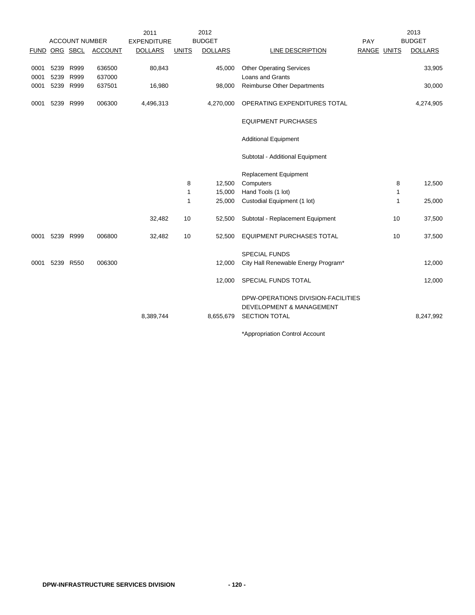|              |              |                       |                  | 2011               |              | 2012           |                                                                                        |             |              | 2013           |
|--------------|--------------|-----------------------|------------------|--------------------|--------------|----------------|----------------------------------------------------------------------------------------|-------------|--------------|----------------|
|              |              | <b>ACCOUNT NUMBER</b> |                  | <b>EXPENDITURE</b> |              | <b>BUDGET</b>  |                                                                                        | PAY         |              | <b>BUDGET</b>  |
|              |              | FUND ORG SBCL         | <b>ACCOUNT</b>   | <b>DOLLARS</b>     | <b>UNITS</b> | <b>DOLLARS</b> | <b>LINE DESCRIPTION</b>                                                                | RANGE UNITS |              | <b>DOLLARS</b> |
| 0001<br>0001 | 5239<br>5239 | R999<br>R999          | 636500<br>637000 | 80,843             |              | 45,000         | <b>Other Operating Services</b><br>Loans and Grants                                    |             |              | 33,905         |
| 0001         |              | 5239 R999             | 637501           | 16,980             |              | 98,000         | Reimburse Other Departments                                                            |             |              | 30,000         |
| 0001         | 5239         | R999                  | 006300           | 4,496,313          |              | 4,270,000      | OPERATING EXPENDITURES TOTAL                                                           |             |              | 4,274,905      |
|              |              |                       |                  |                    |              |                | <b>EQUIPMENT PURCHASES</b>                                                             |             |              |                |
|              |              |                       |                  |                    |              |                | <b>Additional Equipment</b>                                                            |             |              |                |
|              |              |                       |                  |                    |              |                | Subtotal - Additional Equipment                                                        |             |              |                |
|              |              |                       |                  |                    |              |                | Replacement Equipment                                                                  |             |              |                |
|              |              |                       |                  |                    | 8            | 12,500         | Computers                                                                              |             | 8            | 12,500         |
|              |              |                       |                  |                    | $\mathbf 1$  | 15,000         | Hand Tools (1 lot)                                                                     |             | $\mathbf{1}$ |                |
|              |              |                       |                  |                    | 1            | 25,000         | Custodial Equipment (1 lot)                                                            |             | 1            | 25,000         |
|              |              |                       |                  | 32,482             | 10           | 52,500         | Subtotal - Replacement Equipment                                                       |             | 10           | 37,500         |
| 0001         | 5239 R999    |                       | 006800           | 32,482             | 10           | 52,500         | <b>EQUIPMENT PURCHASES TOTAL</b>                                                       |             | 10           | 37,500         |
|              |              |                       |                  |                    |              |                | <b>SPECIAL FUNDS</b>                                                                   |             |              |                |
| 0001         |              | 5239 R550             | 006300           |                    |              | 12,000         | City Hall Renewable Energy Program*                                                    |             |              | 12,000         |
|              |              |                       |                  |                    |              | 12,000         | SPECIAL FUNDS TOTAL                                                                    |             |              | 12,000         |
|              |              |                       |                  | 8,389,744          |              | 8,655,679      | DPW-OPERATIONS DIVISION-FACILITIES<br>DEVELOPMENT & MANAGEMENT<br><b>SECTION TOTAL</b> |             |              | 8,247,992      |
|              |              |                       |                  |                    |              |                | $\sim$ $\sim$                                                                          |             |              |                |

\*Appropriation Control Account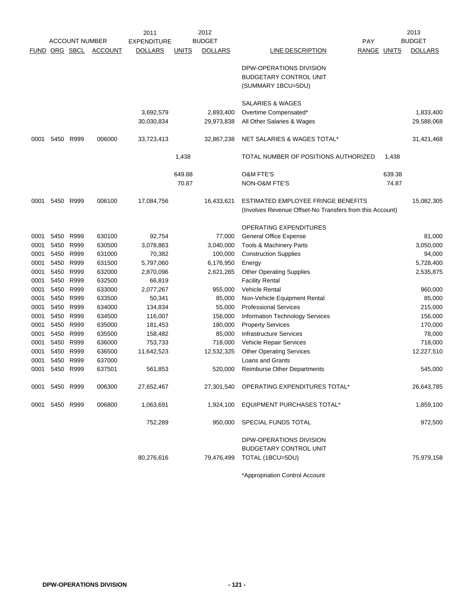|      |                      |                       |                | 2011               |              | 2012           |                                                          |                    | 2013           |
|------|----------------------|-----------------------|----------------|--------------------|--------------|----------------|----------------------------------------------------------|--------------------|----------------|
|      |                      | <b>ACCOUNT NUMBER</b> |                | <b>EXPENDITURE</b> |              | <b>BUDGET</b>  |                                                          | PAY                | <b>BUDGET</b>  |
|      | <b>FUND ORG SBCL</b> |                       | <b>ACCOUNT</b> | <b>DOLLARS</b>     | <b>UNITS</b> | <b>DOLLARS</b> | LINE DESCRIPTION                                         | <b>RANGE UNITS</b> | <b>DOLLARS</b> |
|      |                      |                       |                |                    |              |                | DPW-OPERATIONS DIVISION                                  |                    |                |
|      |                      |                       |                |                    |              |                | <b>BUDGETARY CONTROL UNIT</b>                            |                    |                |
|      |                      |                       |                |                    |              |                | (SUMMARY 1BCU=5DU)                                       |                    |                |
|      |                      |                       |                |                    |              |                | <b>SALARIES &amp; WAGES</b>                              |                    |                |
|      |                      |                       |                | 3,692,579          |              | 2,893,400      | Overtime Compensated*                                    |                    | 1,833,400      |
|      |                      |                       |                | 30,030,834         |              | 29,973,838     | All Other Salaries & Wages                               |                    | 29,588,068     |
|      |                      |                       |                |                    |              |                |                                                          |                    |                |
| 0001 | 5450                 | R999                  | 006000         | 33,723,413         |              | 32,867,238     | NET SALARIES & WAGES TOTAL*                              |                    | 31,421,468     |
|      |                      |                       |                |                    | 1,438        |                | TOTAL NUMBER OF POSITIONS AUTHORIZED                     | 1,438              |                |
|      |                      |                       |                |                    | 649.88       |                | <b>O&amp;M FTE'S</b>                                     | 639.38             |                |
|      |                      |                       |                |                    | 70.87        |                | <b>NON-O&amp;M FTE'S</b>                                 | 74.87              |                |
| 0001 | 5450 R999            |                       | 006100         | 17,084,756         |              | 16,433,621     | ESTIMATED EMPLOYEE FRINGE BENEFITS                       |                    | 15,082,305     |
|      |                      |                       |                |                    |              |                | (Involves Revenue Offset-No Transfers from this Account) |                    |                |
|      |                      |                       |                |                    |              |                | OPERATING EXPENDITURES                                   |                    |                |
| 0001 | 5450                 | R999                  | 630100         | 92,754             |              | 77,000         | <b>General Office Expense</b>                            |                    | 81,000         |
| 0001 | 5450 R999            |                       | 630500         | 3,078,863          |              | 3,040,000      | Tools & Machinery Parts                                  |                    | 3,050,000      |
| 0001 | 5450 R999            |                       | 631000         | 70,382             |              | 100,000        | <b>Construction Supplies</b>                             |                    | 94,000         |
| 0001 | 5450                 | R999                  | 631500         | 5,797,060          |              | 6,176,950      | Energy                                                   |                    | 5,728,400      |
| 0001 | 5450                 | R999                  | 632000         | 2,870,096          |              | 2,621,265      | <b>Other Operating Supplies</b>                          |                    | 2,535,875      |
| 0001 | 5450 R999            |                       | 632500         | 66,819             |              |                | <b>Facility Rental</b>                                   |                    |                |
| 0001 | 5450 R999            |                       | 633000         | 2,077,267          |              | 955,000        | <b>Vehicle Rental</b>                                    |                    | 960,000        |
| 0001 | 5450                 | R999                  | 633500         | 50,341             |              | 85,000         | Non-Vehicle Equipment Rental                             |                    | 85,000         |
| 0001 | 5450                 | R999                  | 634000         | 134,834            |              | 55,000         | <b>Professional Services</b>                             |                    | 215,000        |
| 0001 | 5450                 | R999                  | 634500         | 116,007            |              | 156,000        | Information Technology Services                          |                    | 156,000        |
| 0001 | 5450                 | R999                  | 635000         | 181,453            |              | 180,000        | <b>Property Services</b>                                 |                    | 170,000        |
| 0001 | 5450 R999            |                       | 635500         | 158,482            |              | 85,000         | Infrastructure Services                                  |                    | 78,000         |
| 0001 | 5450 R999            |                       | 636000         | 753,733            |              | 718,000        | Vehicle Repair Services                                  |                    | 718,000        |
| 0001 | 5450 R999            |                       | 636500         | 11,642,523         |              | 12,532,325     | <b>Other Operating Services</b>                          |                    | 12,227,510     |
| 0001 | 5450                 | R999                  | 637000         |                    |              |                | Loans and Grants                                         |                    |                |
| 0001 | 5450 R999            |                       | 637501         | 561,853            |              | 520,000        | <b>Reimburse Other Departments</b>                       |                    | 545,000        |
|      | 0001 5450 R999       |                       | 006300         | 27,652,467         |              |                | 27,301,540 OPERATING EXPENDITURES TOTAL*                 |                    | 26,643,785     |
|      | 0001 5450 R999       |                       | 006800         | 1,063,691          |              | 1,924,100      | <b>EQUIPMENT PURCHASES TOTAL*</b>                        |                    | 1,859,100      |
|      |                      |                       |                | 752,289            |              | 950,000        | SPECIAL FUNDS TOTAL                                      |                    | 972,500        |
|      |                      |                       |                |                    |              |                | DPW-OPERATIONS DIVISION                                  |                    |                |
|      |                      |                       |                |                    |              |                | <b>BUDGETARY CONTROL UNIT</b>                            |                    |                |
|      |                      |                       |                | 80,276,616         |              | 79,476,499     | TOTAL (1BCU=5DU)                                         |                    | 75,979,158     |
|      |                      |                       |                |                    |              |                |                                                          |                    |                |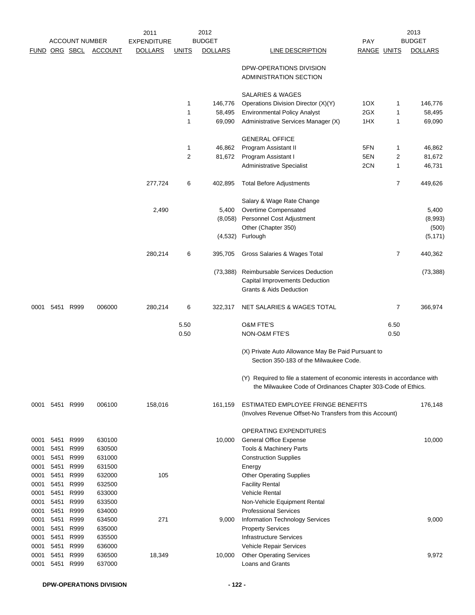|              |              |                       |                  | 2011               |              | 2012           |                                                                                                                                           |             |      | 2013           |
|--------------|--------------|-----------------------|------------------|--------------------|--------------|----------------|-------------------------------------------------------------------------------------------------------------------------------------------|-------------|------|----------------|
|              |              | <b>ACCOUNT NUMBER</b> |                  | <b>EXPENDITURE</b> |              | <b>BUDGET</b>  |                                                                                                                                           | PAY         |      | <b>BUDGET</b>  |
|              |              | <b>FUND ORG SBCL</b>  | <b>ACCOUNT</b>   | <b>DOLLARS</b>     | <u>UNITS</u> | <b>DOLLARS</b> | LINE DESCRIPTION                                                                                                                          | RANGE UNITS |      | <b>DOLLARS</b> |
|              |              |                       |                  |                    |              |                | DPW-OPERATIONS DIVISION<br>ADMINISTRATION SECTION                                                                                         |             |      |                |
|              |              |                       |                  |                    |              |                | <b>SALARIES &amp; WAGES</b>                                                                                                               |             |      |                |
|              |              |                       |                  |                    | 1            | 146,776        | Operations Division Director (X)(Y)                                                                                                       | 1OX         | 1    | 146,776        |
|              |              |                       |                  |                    | 1            | 58,495         | <b>Environmental Policy Analyst</b>                                                                                                       | 2GX         | 1    | 58,495         |
|              |              |                       |                  |                    | 1            | 69,090         | Administrative Services Manager (X)                                                                                                       | 1HX         | 1    | 69,090         |
|              |              |                       |                  |                    |              |                | <b>GENERAL OFFICE</b>                                                                                                                     |             |      |                |
|              |              |                       |                  |                    | 1            | 46,862         | Program Assistant II                                                                                                                      | 5FN         | 1    | 46,862         |
|              |              |                       |                  |                    | 2            | 81,672         | Program Assistant I                                                                                                                       | 5EN         | 2    | 81,672         |
|              |              |                       |                  |                    |              |                | <b>Administrative Specialist</b>                                                                                                          | 2CN         | 1    | 46,731         |
|              |              |                       |                  | 277,724            | 6            | 402,895        | <b>Total Before Adjustments</b>                                                                                                           |             | 7    | 449,626        |
|              |              |                       |                  |                    |              |                | Salary & Wage Rate Change                                                                                                                 |             |      |                |
|              |              |                       |                  | 2,490              |              | 5,400          | Overtime Compensated                                                                                                                      |             |      | 5,400          |
|              |              |                       |                  |                    |              |                | (8,058) Personnel Cost Adjustment                                                                                                         |             |      | (8,993)        |
|              |              |                       |                  |                    |              |                | Other (Chapter 350)                                                                                                                       |             |      | (500)          |
|              |              |                       |                  |                    |              |                | (4,532) Furlough                                                                                                                          |             |      | (5, 171)       |
|              |              |                       |                  | 280,214            | 6            | 395,705        | Gross Salaries & Wages Total                                                                                                              |             | 7    | 440,362        |
|              |              |                       |                  |                    |              | (73, 388)      | Reimbursable Services Deduction<br>Capital Improvements Deduction<br><b>Grants &amp; Aids Deduction</b>                                   |             |      | (73, 388)      |
|              |              |                       |                  |                    |              |                |                                                                                                                                           |             |      |                |
| 0001         |              | 5451 R999             | 006000           | 280,214            | 6            | 322,317        | NET SALARIES & WAGES TOTAL                                                                                                                |             | 7    | 366,974        |
|              |              |                       |                  |                    | 5.50         |                | <b>O&amp;M FTE'S</b>                                                                                                                      |             | 6.50 |                |
|              |              |                       |                  |                    | 0.50         |                | NON-O&M FTE'S                                                                                                                             |             | 0.50 |                |
|              |              |                       |                  |                    |              |                | (X) Private Auto Allowance May Be Paid Pursuant to<br>Section 350-183 of the Milwaukee Code.                                              |             |      |                |
|              |              |                       |                  |                    |              |                | (Y) Required to file a statement of economic interests in accordance with<br>the Milwaukee Code of Ordinances Chapter 303-Code of Ethics. |             |      |                |
| 0001         |              | 5451 R999             | 006100           | 158,016            |              | 161,159        | ESTIMATED EMPLOYEE FRINGE BENEFITS<br>(Involves Revenue Offset-No Transfers from this Account)                                            |             |      | 176,148        |
|              |              |                       |                  |                    |              |                | OPERATING EXPENDITURES                                                                                                                    |             |      |                |
| 0001         | 5451         | R999                  | 630100           |                    |              | 10,000         | <b>General Office Expense</b>                                                                                                             |             |      | 10,000         |
| 0001         | 5451         | R999                  | 630500           |                    |              |                | Tools & Machinery Parts                                                                                                                   |             |      |                |
| 0001         | 5451         | R999                  | 631000           |                    |              |                | <b>Construction Supplies</b>                                                                                                              |             |      |                |
| 0001         | 5451         | R999                  | 631500           |                    |              |                | Energy                                                                                                                                    |             |      |                |
| 0001         | 5451         | R999                  | 632000           | 105                |              |                | <b>Other Operating Supplies</b>                                                                                                           |             |      |                |
| 0001         | 5451         | R999                  | 632500           |                    |              |                | <b>Facility Rental</b>                                                                                                                    |             |      |                |
| 0001         | 5451         | R999                  | 633000           |                    |              |                | <b>Vehicle Rental</b>                                                                                                                     |             |      |                |
| 0001<br>0001 | 5451<br>5451 | R999<br>R999          | 633500<br>634000 |                    |              |                | Non-Vehicle Equipment Rental<br><b>Professional Services</b>                                                                              |             |      |                |
| 0001         | 5451         | R999                  | 634500           | 271                |              | 9,000          | <b>Information Technology Services</b>                                                                                                    |             |      | 9,000          |
| 0001         | 5451         | R999                  | 635000           |                    |              |                | <b>Property Services</b>                                                                                                                  |             |      |                |
| 0001         | 5451         | R999                  | 635500           |                    |              |                | Infrastructure Services                                                                                                                   |             |      |                |
| 0001         | 5451         | R999                  | 636000           |                    |              |                | Vehicle Repair Services                                                                                                                   |             |      |                |
| 0001         | 5451         | R999                  | 636500           | 18,349             |              | 10,000         | <b>Other Operating Services</b>                                                                                                           |             |      | 9,972          |
| 0001         | 5451         | R999                  | 637000           |                    |              |                | Loans and Grants                                                                                                                          |             |      |                |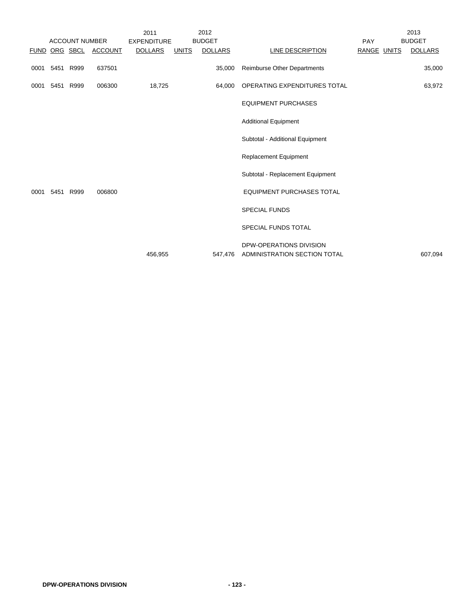|      |           |                       |                       | 2011               |              | 2012           |                                                         |                    | 2013           |
|------|-----------|-----------------------|-----------------------|--------------------|--------------|----------------|---------------------------------------------------------|--------------------|----------------|
|      |           | <b>ACCOUNT NUMBER</b> |                       | <b>EXPENDITURE</b> |              | <b>BUDGET</b>  |                                                         | PAY                | <b>BUDGET</b>  |
|      |           |                       | FUND ORG SBCL ACCOUNT | <b>DOLLARS</b>     | <b>UNITS</b> | <b>DOLLARS</b> | LINE DESCRIPTION                                        | <b>RANGE UNITS</b> | <b>DOLLARS</b> |
| 0001 | 5451 R999 |                       | 637501                |                    |              | 35,000         | <b>Reimburse Other Departments</b>                      |                    | 35,000         |
| 0001 | 5451 R999 |                       | 006300                | 18,725             |              | 64,000         | OPERATING EXPENDITURES TOTAL                            |                    | 63,972         |
|      |           |                       |                       |                    |              |                | <b>EQUIPMENT PURCHASES</b>                              |                    |                |
|      |           |                       |                       |                    |              |                | <b>Additional Equipment</b>                             |                    |                |
|      |           |                       |                       |                    |              |                | Subtotal - Additional Equipment                         |                    |                |
|      |           |                       |                       |                    |              |                | Replacement Equipment                                   |                    |                |
|      |           |                       |                       |                    |              |                | Subtotal - Replacement Equipment                        |                    |                |
| 0001 | 5451 R999 |                       | 006800                |                    |              |                | <b>EQUIPMENT PURCHASES TOTAL</b>                        |                    |                |
|      |           |                       |                       |                    |              |                | <b>SPECIAL FUNDS</b>                                    |                    |                |
|      |           |                       |                       |                    |              |                | SPECIAL FUNDS TOTAL                                     |                    |                |
|      |           |                       |                       | 456,955            |              | 547,476        | DPW-OPERATIONS DIVISION<br>ADMINISTRATION SECTION TOTAL |                    | 607,094        |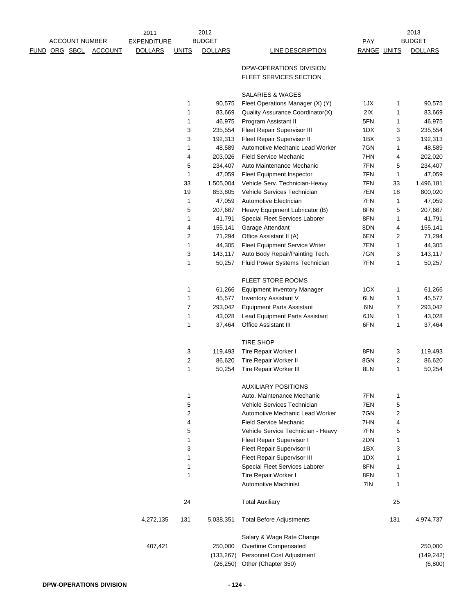|                      |                       | 2011               |              | 2012           |                                                   |             |     | 2013           |
|----------------------|-----------------------|--------------------|--------------|----------------|---------------------------------------------------|-------------|-----|----------------|
|                      | <b>ACCOUNT NUMBER</b> | <b>EXPENDITURE</b> |              | <b>BUDGET</b>  |                                                   | PAY         |     | <b>BUDGET</b>  |
| <u>FUND ORG SBCL</u> | <b>ACCOUNT</b>        | <b>DOLLARS</b>     | <b>UNITS</b> | <b>DOLLARS</b> | <b>LINE DESCRIPTION</b>                           | RANGE UNITS |     | <b>DOLLARS</b> |
|                      |                       |                    |              |                |                                                   |             |     |                |
|                      |                       |                    |              |                | DPW-OPERATIONS DIVISION<br>FLEET SERVICES SECTION |             |     |                |
|                      |                       |                    |              |                |                                                   |             |     |                |
|                      |                       |                    |              |                | <b>SALARIES &amp; WAGES</b>                       |             |     |                |
|                      |                       |                    | 1            | 90,575         | Fleet Operations Manager (X) (Y)                  | 1JX         | 1   | 90,575         |
|                      |                       |                    | 1            | 83,669         | Quality Assurance Coordinator(X)                  | 2IX         | 1   | 83,669         |
|                      |                       |                    | 1            | 46,975         | Program Assistant II                              | 5FN         | 1   | 46,975         |
|                      |                       |                    | 3            | 235,554        | <b>Fleet Repair Supervisor III</b>                | 1DX         | 3   | 235,554        |
|                      |                       |                    | 3            | 192,313        | Fleet Repair Supervisor II                        | 1BX         | 3   | 192,313        |
|                      |                       |                    | 1            | 48,589         | Automotive Mechanic Lead Worker                   | 7GN         | 1   | 48,589         |
|                      |                       |                    | 4            | 203,026        | <b>Field Service Mechanic</b>                     | 7HN         | 4   | 202,020        |
|                      |                       |                    | 5            | 234,407        | Auto Maintenance Mechanic                         | 7FN         | 5   | 234,407        |
|                      |                       |                    | 1            | 47,059         | Fleet Equipment Inspector                         | 7FN         | 1   | 47,059         |
|                      |                       |                    | 33           | 1,505,004      | Vehicle Serv. Technician-Heavy                    | 7FN         | 33  | 1,496,181      |
|                      |                       |                    | 19           | 853,805        | Vehicle Services Technician                       | 7EN         | 18  | 800,020        |
|                      |                       |                    | 1            | 47,059         | Automotive Electrician                            | 7FN         | 1   | 47,059         |
|                      |                       |                    | 5            | 207,667        | Heavy Equipment Lubricator (B)                    | 8FN         | 5   | 207,667        |
|                      |                       |                    | 1            | 41,791         | Special Fleet Services Laborer                    | 8FN         | 1   | 41,791         |
|                      |                       |                    | 4            | 155,141        | Garage Attendant                                  | 8DN         | 4   | 155,141        |
|                      |                       |                    | 2            | 71,294         | Office Assistant II (A)                           | 6EN         | 2   | 71,294         |
|                      |                       |                    | 1            | 44,305         | Fleet Equipment Service Writer                    | 7EN         | 1   | 44,305         |
|                      |                       |                    | 3            | 143,117        | Auto Body Repair/Painting Tech.                   | 7GN         | 3   | 143,117        |
|                      |                       |                    | 1            | 50,257         | Fluid Power Systems Technician                    | 7FN         | 1   | 50,257         |
|                      |                       |                    |              |                | FLEET STORE ROOMS                                 |             |     |                |
|                      |                       |                    | 1            | 61,266         | <b>Equipment Inventory Manager</b>                | 1CX         | 1   | 61,266         |
|                      |                       |                    | 1            | 45,577         | <b>Inventory Assistant V</b>                      | 6LN         | 1   | 45,577         |
|                      |                       |                    | 7            | 293,042        | <b>Equipment Parts Assistant</b>                  | 6IN         | 7   | 293,042        |
|                      |                       |                    | 1            | 43,028         | Lead Equipment Parts Assistant                    | 6JN         | 1   | 43,028         |
|                      |                       |                    | 1            | 37,464         | <b>Office Assistant III</b>                       | 6FN         | 1   | 37,464         |
|                      |                       |                    |              |                |                                                   |             |     |                |
|                      |                       |                    |              |                | <b>TIRE SHOP</b>                                  |             |     |                |
|                      |                       |                    | 3            | 119,493        | Tire Repair Worker I                              | 8FN         | 3   | 119,493        |
|                      |                       |                    | 2            | 86,620         | Tire Repair Worker II                             | 8GN         | 2   | 86,620         |
|                      |                       |                    | 1            | 50,254         | Tire Repair Worker III                            | 8LN         | 1   | 50,254         |
|                      |                       |                    |              |                |                                                   |             |     |                |
|                      |                       |                    |              |                | <b>AUXILIARY POSITIONS</b>                        |             |     |                |
|                      |                       |                    | 1            |                | Auto, Maintenance Mechanic                        | 7FN         | 1   |                |
|                      |                       |                    | 5            |                | Vehicle Services Technician                       | 7EN         | 5   |                |
|                      |                       |                    | 2            |                | Automotive Mechanic Lead Worker                   | 7GN         | 2   |                |
|                      |                       |                    | 4            |                | <b>Field Service Mechanic</b>                     | 7HN         | 4   |                |
|                      |                       |                    | 5            |                | Vehicle Service Technician - Heavy                | 7FN         | 5   |                |
|                      |                       |                    | 1            |                | Fleet Repair Supervisor I                         | 2DN         | 1   |                |
|                      |                       |                    | 3            |                | Fleet Repair Supervisor II                        | 1BX         | 3   |                |
|                      |                       |                    | 1            |                | Fleet Repair Supervisor III                       | 1DX         | 1   |                |
|                      |                       |                    | 1            |                | Special Fleet Services Laborer                    | 8FN         | 1   |                |
|                      |                       |                    | 1            |                | Tire Repair Worker I                              | 8FN         | 1   |                |
|                      |                       |                    |              |                | <b>Automotive Machinist</b>                       | 7IN         | 1   |                |
|                      |                       |                    | 24           |                | <b>Total Auxiliary</b>                            |             | 25  |                |
|                      |                       | 4,272,135          | 131          | 5,038,351      | <b>Total Before Adjustments</b>                   |             | 131 | 4,974,737      |
|                      |                       |                    |              |                |                                                   |             |     |                |
|                      |                       |                    |              |                | Salary & Wage Rate Change                         |             |     |                |
|                      |                       | 407,421            |              | 250,000        | Overtime Compensated                              |             |     | 250,000        |
|                      |                       |                    |              | (133, 267)     | Personnel Cost Adjustment                         |             |     | (149, 242)     |
|                      |                       |                    |              | (26, 250)      | Other (Chapter 350)                               |             |     | (6,800)        |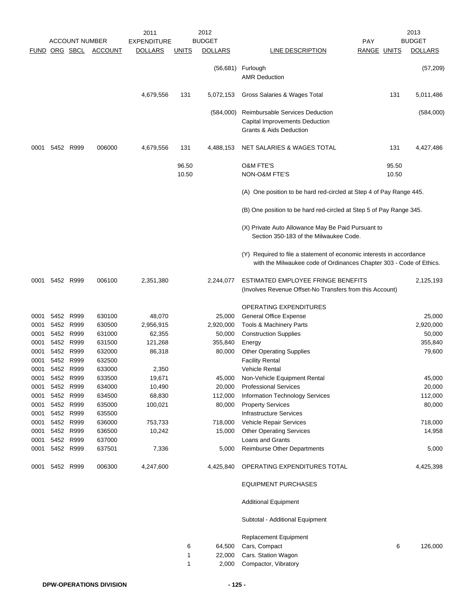|                      |           |                        |                  | 2011               |                | 2012            |                                                                                                                                             |                | 2013           |
|----------------------|-----------|------------------------|------------------|--------------------|----------------|-----------------|---------------------------------------------------------------------------------------------------------------------------------------------|----------------|----------------|
|                      |           | <b>ACCOUNT NUMBER</b>  |                  | <b>EXPENDITURE</b> |                | <b>BUDGET</b>   |                                                                                                                                             | <b>PAY</b>     | <b>BUDGET</b>  |
| <b>FUND ORG SBCL</b> |           |                        | <b>ACCOUNT</b>   | <b>DOLLARS</b>     | <u>UNITS</u>   | <b>DOLLARS</b>  | LINE DESCRIPTION                                                                                                                            | RANGE UNITS    | <b>DOLLARS</b> |
|                      |           |                        |                  |                    |                | (56,681)        | Furlough<br><b>AMR Deduction</b>                                                                                                            |                | (57, 209)      |
|                      |           |                        |                  | 4,679,556          | 131            | 5,072,153       | Gross Salaries & Wages Total                                                                                                                | 131            | 5,011,486      |
|                      |           |                        |                  |                    |                | (584,000)       | Reimbursable Services Deduction<br>Capital Improvements Deduction<br>Grants & Aids Deduction                                                |                | (584,000)      |
| 0001                 | 5452 R999 |                        | 006000           | 4,679,556          | 131            | 4,488,153       | NET SALARIES & WAGES TOTAL                                                                                                                  | 131            | 4,427,486      |
|                      |           |                        |                  |                    | 96.50<br>10.50 |                 | <b>O&amp;M FTE'S</b><br>NON-O&M FTE'S                                                                                                       | 95.50<br>10.50 |                |
|                      |           |                        |                  |                    |                |                 | (A) One position to be hard red-circled at Step 4 of Pay Range 445.                                                                         |                |                |
|                      |           |                        |                  |                    |                |                 | (B) One position to be hard red-circled at Step 5 of Pay Range 345.                                                                         |                |                |
|                      |           |                        |                  |                    |                |                 | (X) Private Auto Allowance May Be Paid Pursuant to<br>Section 350-183 of the Milwaukee Code.                                                |                |                |
|                      |           |                        |                  |                    |                |                 | (Y) Required to file a statement of economic interests in accordance<br>with the Milwaukee code of Ordinances Chapter 303 - Code of Ethics. |                |                |
| 0001                 | 5452 R999 |                        | 006100           | 2,351,380          |                | 2,244,077       | ESTIMATED EMPLOYEE FRINGE BENEFITS<br>(Involves Revenue Offset-No Transfers from this Account)                                              |                | 2,125,193      |
|                      |           |                        |                  |                    |                |                 | <b>OPERATING EXPENDITURES</b>                                                                                                               |                |                |
| 0001                 | 5452 R999 |                        | 630100           | 48,070             |                | 25,000          | <b>General Office Expense</b>                                                                                                               |                | 25,000         |
| 0001                 | 5452 R999 |                        | 630500           | 2,956,915          |                | 2,920,000       | Tools & Machinery Parts                                                                                                                     |                | 2,920,000      |
| 0001                 | 5452 R999 |                        | 631000           | 62,355             |                | 50,000          | <b>Construction Supplies</b>                                                                                                                |                | 50,000         |
| 0001                 |           | 5452 R999              | 631500           | 121,268            |                | 355,840         | Energy                                                                                                                                      |                | 355,840        |
| 0001                 |           | 5452 R999              | 632000           | 86,318             |                | 80,000          | <b>Other Operating Supplies</b>                                                                                                             |                | 79,600         |
| 0001                 |           | 5452 R999              | 632500           |                    |                |                 | <b>Facility Rental</b>                                                                                                                      |                |                |
| 0001                 | 5452 R999 |                        | 633000           | 2,350              |                |                 | <b>Vehicle Rental</b>                                                                                                                       |                |                |
| 0001                 | 5452      | R999                   | 633500           | 19,671             |                | 45,000          | Non-Vehicle Equipment Rental                                                                                                                |                | 45,000         |
| 0001                 | 5452 R999 |                        | 634000           | 10,490             |                | 20,000          | <b>Professional Services</b>                                                                                                                |                | 20,000         |
| 0001                 | 5452 R999 |                        | 634500           | 68,830             |                | 112,000         | <b>Information Technology Services</b>                                                                                                      |                | 112,000        |
| 0001                 | 5452 R999 |                        | 635000           | 100,021            |                | 80,000          | <b>Property Services</b>                                                                                                                    |                | 80,000         |
| 0001                 | 5452 R999 |                        | 635500           |                    |                |                 | <b>Infrastructure Services</b>                                                                                                              |                |                |
| 0001                 |           | 5452 R999<br>5452 R999 | 636000<br>636500 | 753,733<br>10,242  |                | 718,000         | Vehicle Repair Services                                                                                                                     |                | 718,000        |
| 0001<br>0001         |           | 5452 R999              | 637000           |                    |                | 15,000          | <b>Other Operating Services</b><br>Loans and Grants                                                                                         |                | 14,958         |
| 0001                 |           | 5452 R999              | 637501           | 7,336              |                | 5,000           | <b>Reimburse Other Departments</b>                                                                                                          |                | 5,000          |
| 0001                 |           | 5452 R999              | 006300           | 4,247,600          |                | 4,425,840       | OPERATING EXPENDITURES TOTAL                                                                                                                |                | 4,425,398      |
|                      |           |                        |                  |                    |                |                 | <b>EQUIPMENT PURCHASES</b>                                                                                                                  |                |                |
|                      |           |                        |                  |                    |                |                 | <b>Additional Equipment</b>                                                                                                                 |                |                |
|                      |           |                        |                  |                    |                |                 | Subtotal - Additional Equipment                                                                                                             |                |                |
|                      |           |                        |                  |                    |                |                 | <b>Replacement Equipment</b>                                                                                                                |                |                |
|                      |           |                        |                  |                    | 6              | 64,500          | Cars, Compact                                                                                                                               | 6              | 126,000        |
|                      |           |                        |                  |                    | 1<br>1         | 22,000<br>2,000 | Cars. Station Wagon<br>Compactor, Vibratory                                                                                                 |                |                |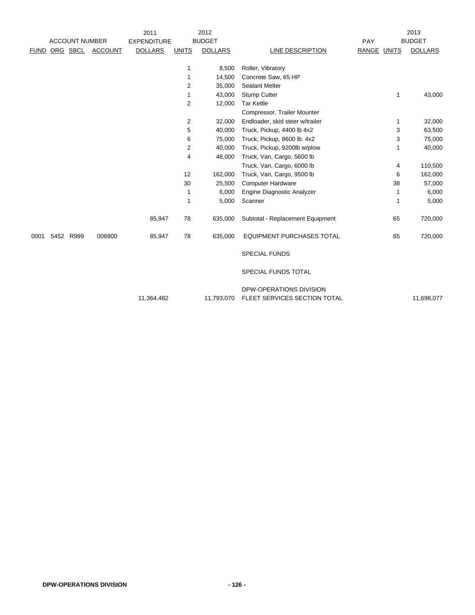|             |                       |                | 2011               |                | 2012           |                                                         |             | 2013                   |
|-------------|-----------------------|----------------|--------------------|----------------|----------------|---------------------------------------------------------|-------------|------------------------|
|             | <b>ACCOUNT NUMBER</b> |                | <b>EXPENDITURE</b> |                | <b>BUDGET</b>  |                                                         | PAY         | <b>BUDGET</b>          |
| <b>FUND</b> | ORG SBCL              | <b>ACCOUNT</b> | <b>DOLLARS</b>     | <b>UNITS</b>   | <b>DOLLARS</b> | LINE DESCRIPTION                                        | RANGE UNITS | <b>DOLLARS</b>         |
|             |                       |                |                    |                |                |                                                         |             |                        |
|             |                       |                |                    | $\mathbf{1}$   | 8,500          | Roller, Vibratory                                       |             |                        |
|             |                       |                |                    | $\mathbf{1}$   | 14,500         | Concrete Saw, 65 HP                                     |             |                        |
|             |                       |                |                    | 2              | 35,000         | <b>Sealant Melter</b>                                   |             |                        |
|             |                       |                |                    | 1              | 43,000         | <b>Stump Cutter</b>                                     |             | 1<br>43,000            |
|             |                       |                |                    | $\overline{2}$ | 12,000         | <b>Tar Kettle</b>                                       |             |                        |
|             |                       |                |                    |                |                | Compressor, Trailer Mounter                             |             |                        |
|             |                       |                |                    | $\overline{2}$ | 32,000         | Endloader, skid steer w/trailer                         |             | 32,000<br>$\mathbf{1}$ |
|             |                       |                |                    | 5              | 40,000         | Truck, Pickup, 4400 lb 4x2                              |             | 63,500<br>3            |
|             |                       |                |                    | 6              | 75,000         | Truck, Pickup, 8600 lb. 4x2                             |             | 3<br>75,000            |
|             |                       |                |                    | $\overline{2}$ | 40,000         | Truck, Pickup, 9200lb w/plow                            |             | 40,000<br>$\mathbf{1}$ |
|             |                       |                |                    | 4              | 48,000         | Truck, Van, Cargo, 5600 lb                              |             |                        |
|             |                       |                |                    |                |                | Truck, Van, Cargo, 6000 lb                              |             | 4<br>110,500           |
|             |                       |                |                    | 12             | 162,000        | Truck, Van, Cargo, 9500 lb                              |             | 162,000<br>6           |
|             |                       |                |                    | 30             | 25,500         | Computer Hardware                                       | 38          | 57,000                 |
|             |                       |                |                    | 1              | 6,000          | <b>Engine Diagnostic Analyzer</b>                       |             | 6,000<br>-1            |
|             |                       |                |                    | 1              | 5,000          | Scanner                                                 |             | 5,000<br>1             |
|             |                       |                |                    |                |                |                                                         |             |                        |
|             |                       |                | 85,947             | 78             | 635,000        | Subtotal - Replacement Equipment                        | 65          | 720,000                |
| 0001        | 5452 R999             | 006800         | 85,947             | 78             | 635,000        | <b>EQUIPMENT PURCHASES TOTAL</b>                        | 65          | 720,000                |
|             |                       |                |                    |                |                | <b>SPECIAL FUNDS</b>                                    |             |                        |
|             |                       |                |                    |                |                | SPECIAL FUNDS TOTAL                                     |             |                        |
|             |                       |                | 11,364,482         |                | 11,793,070     | DPW-OPERATIONS DIVISION<br>FLEET SERVICES SECTION TOTAL |             | 11,698,077             |
|             |                       |                |                    |                |                |                                                         |             |                        |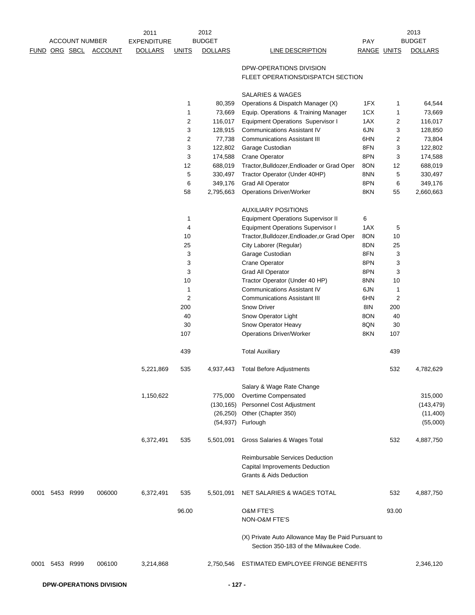|      |                |                       |                | 2011               |                | 2012           |                                                                                              |             |                | 2013           |
|------|----------------|-----------------------|----------------|--------------------|----------------|----------------|----------------------------------------------------------------------------------------------|-------------|----------------|----------------|
|      |                | <b>ACCOUNT NUMBER</b> |                | <b>EXPENDITURE</b> |                | <b>BUDGET</b>  |                                                                                              | PAY         |                | <b>BUDGET</b>  |
| FUND |                | ORG SBCL              | <b>ACCOUNT</b> | <b>DOLLARS</b>     | <b>UNITS</b>   | <b>DOLLARS</b> | <b>LINE DESCRIPTION</b>                                                                      | RANGE UNITS |                | <b>DOLLARS</b> |
|      |                |                       |                |                    |                |                | DPW-OPERATIONS DIVISION<br>FLEET OPERATIONS/DISPATCH SECTION                                 |             |                |                |
|      |                |                       |                |                    |                |                | SALARIES & WAGES                                                                             |             |                |                |
|      |                |                       |                |                    | 1              | 80,359         | Operations & Dispatch Manager (X)                                                            | 1FX         | 1              | 64,544         |
|      |                |                       |                |                    | $\mathbf{1}$   | 73,669         | Equip. Operations & Training Manager                                                         | 1CX         | 1              | 73,669         |
|      |                |                       |                |                    | $\overline{2}$ | 116,017        | <b>Equipment Operations Supervisor I</b>                                                     | 1AX         | 2              | 116,017        |
|      |                |                       |                |                    | 3              | 128,915        | <b>Communications Assistant IV</b>                                                           | 6JN         | 3              | 128,850        |
|      |                |                       |                |                    | $\overline{2}$ | 77,738         | <b>Communications Assistant III</b>                                                          | 6HN         | 2              | 73,804         |
|      |                |                       |                |                    | 3              | 122,802        | Garage Custodian                                                                             | 8FN         | 3              | 122,802        |
|      |                |                       |                |                    | 3              | 174,588        | <b>Crane Operator</b>                                                                        | 8PN         | 3              | 174,588        |
|      |                |                       |                |                    | 12             | 688,019        | Tractor, Bulldozer, Endloader or Grad Oper                                                   | 8ON         | 12             | 688,019        |
|      |                |                       |                |                    | 5              | 330,497        | Tractor Operator (Under 40HP)                                                                | 8NN         | 5              | 330,497        |
|      |                |                       |                |                    | 6              | 349,176        | <b>Grad All Operator</b>                                                                     | 8PN         | 6              | 349,176        |
|      |                |                       |                |                    | 58             | 2,795,663      | <b>Operations Driver/Worker</b>                                                              | 8KN         | 55             | 2,660,663      |
|      |                |                       |                |                    |                |                | <b>AUXILIARY POSITIONS</b>                                                                   |             |                |                |
|      |                |                       |                |                    | $\mathbf 1$    |                | <b>Equipment Operations Supervisor II</b>                                                    | 6           |                |                |
|      |                |                       |                |                    | 4              |                | <b>Equipment Operations Supervisor I</b>                                                     | 1AX         | 5              |                |
|      |                |                       |                |                    | 10             |                | Tractor, Bulldozer, Endloader, or Grad Oper                                                  | 8ON         | 10             |                |
|      |                |                       |                |                    | 25             |                | City Laborer (Regular)                                                                       | 8DN         | 25             |                |
|      |                |                       |                |                    | 3              |                | Garage Custodian                                                                             | 8FN         | 3              |                |
|      |                |                       |                |                    | 3              |                | Crane Operator                                                                               | 8PN         | 3              |                |
|      |                |                       |                |                    | 3              |                | <b>Grad All Operator</b>                                                                     | 8PN         | 3              |                |
|      |                |                       |                |                    | 10             |                | Tractor Operator (Under 40 HP)                                                               | 8NN         | 10             |                |
|      |                |                       |                |                    | 1              |                | <b>Communications Assistant IV</b>                                                           | 6JN         | 1              |                |
|      |                |                       |                |                    | $\overline{2}$ |                | <b>Communications Assistant III</b>                                                          | 6HN         | $\overline{c}$ |                |
|      |                |                       |                |                    | 200            |                | <b>Snow Driver</b>                                                                           | 8IN         | 200            |                |
|      |                |                       |                |                    | 40<br>30       |                | Snow Operator Light<br>Snow Operator Heavy                                                   | 8ON<br>8QN  | 40<br>30       |                |
|      |                |                       |                |                    | 107            |                | <b>Operations Driver/Worker</b>                                                              | 8KN         | 107            |                |
|      |                |                       |                |                    | 439            |                | <b>Total Auxiliary</b>                                                                       |             | 439            |                |
|      |                |                       |                | 5,221,869          | 535            | 4,937,443      | <b>Total Before Adjustments</b>                                                              |             | 532            | 4,782,629      |
|      |                |                       |                |                    |                |                | Salary & Wage Rate Change                                                                    |             |                |                |
|      |                |                       |                | 1,150,622          |                | 775,000        | Overtime Compensated                                                                         |             |                | 315,000        |
|      |                |                       |                |                    |                | (130, 165)     | Personnel Cost Adjustment                                                                    |             |                | (143, 479)     |
|      |                |                       |                |                    |                |                | (26,250) Other (Chapter 350)                                                                 |             |                | (11,400)       |
|      |                |                       |                |                    |                |                | (54,937) Furlough                                                                            |             |                | (55,000)       |
|      |                |                       |                | 6,372,491          | 535            | 5,501,091      | Gross Salaries & Wages Total                                                                 |             | 532            | 4,887,750      |
|      |                |                       |                |                    |                |                | Reimbursable Services Deduction<br>Capital Improvements Deduction                            |             |                |                |
|      |                |                       |                |                    |                |                | <b>Grants &amp; Aids Deduction</b>                                                           |             |                |                |
| 0001 |                | 5453 R999             | 006000         | 6,372,491          | 535            | 5,501,091      | NET SALARIES & WAGES TOTAL                                                                   |             | 532            | 4,887,750      |
|      |                |                       |                |                    | 96.00          |                | <b>O&amp;M FTE'S</b><br><b>NON-O&amp;M FTE'S</b>                                             |             | 93.00          |                |
|      |                |                       |                |                    |                |                | (X) Private Auto Allowance May Be Paid Pursuant to<br>Section 350-183 of the Milwaukee Code. |             |                |                |
|      | 0001 5453 R999 |                       | 006100         | 3,214,868          |                | 2,750,546      | ESTIMATED EMPLOYEE FRINGE BENEFITS                                                           |             |                | 2,346,120      |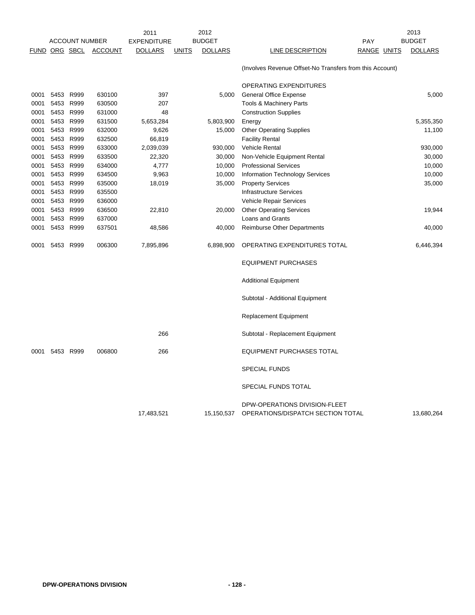|      |      |                       |                | 2011               |              | 2012           |                                                                    |             | 2013           |
|------|------|-----------------------|----------------|--------------------|--------------|----------------|--------------------------------------------------------------------|-------------|----------------|
|      |      | <b>ACCOUNT NUMBER</b> |                | <b>EXPENDITURE</b> |              | <b>BUDGET</b>  |                                                                    | PAY         | <b>BUDGET</b>  |
| FUND |      | ORG SBCL              | <b>ACCOUNT</b> | <b>DOLLARS</b>     | <b>UNITS</b> | <b>DOLLARS</b> | <b>LINE DESCRIPTION</b>                                            | RANGE UNITS | <b>DOLLARS</b> |
|      |      |                       |                |                    |              |                | (Involves Revenue Offset-No Transfers from this Account)           |             |                |
|      |      |                       |                |                    |              |                | OPERATING EXPENDITURES                                             |             |                |
| 0001 | 5453 | R999                  | 630100         | 397                |              | 5,000          | <b>General Office Expense</b>                                      |             | 5,000          |
| 0001 |      | 5453 R999             | 630500         | 207                |              |                | <b>Tools &amp; Machinery Parts</b>                                 |             |                |
| 0001 |      | 5453 R999             | 631000         | 48                 |              |                | <b>Construction Supplies</b>                                       |             |                |
| 0001 |      | 5453 R999             | 631500         | 5,653,284          |              | 5,803,900      | Energy                                                             |             | 5,355,350      |
| 0001 |      | 5453 R999             | 632000         | 9,626              |              | 15,000         | <b>Other Operating Supplies</b>                                    |             | 11,100         |
| 0001 |      | 5453 R999             | 632500         | 66,819             |              |                | <b>Facility Rental</b>                                             |             |                |
| 0001 |      | 5453 R999             | 633000         | 2,039,039          |              | 930,000        | Vehicle Rental                                                     |             | 930,000        |
| 0001 |      | 5453 R999             | 633500         | 22,320             |              | 30,000         | Non-Vehicle Equipment Rental                                       |             | 30,000         |
| 0001 |      | 5453 R999             | 634000         | 4,777              |              | 10,000         | <b>Professional Services</b>                                       |             | 10,000         |
| 0001 |      | 5453 R999             | 634500         | 9,963              |              | 10,000         | <b>Information Technology Services</b>                             |             | 10,000         |
| 0001 |      | 5453 R999             | 635000         | 18,019             |              | 35,000         | <b>Property Services</b>                                           |             | 35,000         |
| 0001 |      | 5453 R999             | 635500         |                    |              |                | <b>Infrastructure Services</b>                                     |             |                |
| 0001 |      | 5453 R999             | 636000         |                    |              |                | Vehicle Repair Services                                            |             |                |
| 0001 |      | 5453 R999             | 636500         | 22,810             |              | 20,000         | <b>Other Operating Services</b>                                    |             | 19,944         |
| 0001 |      | 5453 R999             | 637000         |                    |              |                | Loans and Grants                                                   |             |                |
| 0001 |      | 5453 R999             | 637501         | 48,586             |              | 40,000         | Reimburse Other Departments                                        |             | 40,000         |
| 0001 |      | 5453 R999             | 006300         | 7,895,896          |              | 6,898,900      | OPERATING EXPENDITURES TOTAL                                       |             | 6,446,394      |
|      |      |                       |                |                    |              |                | <b>EQUIPMENT PURCHASES</b>                                         |             |                |
|      |      |                       |                |                    |              |                | <b>Additional Equipment</b>                                        |             |                |
|      |      |                       |                |                    |              |                | Subtotal - Additional Equipment                                    |             |                |
|      |      |                       |                |                    |              |                | <b>Replacement Equipment</b>                                       |             |                |
|      |      |                       |                | 266                |              |                | Subtotal - Replacement Equipment                                   |             |                |
| 0001 |      | 5453 R999             | 006800         | 266                |              |                | <b>EQUIPMENT PURCHASES TOTAL</b>                                   |             |                |
|      |      |                       |                |                    |              |                | <b>SPECIAL FUNDS</b>                                               |             |                |
|      |      |                       |                |                    |              |                | SPECIAL FUNDS TOTAL                                                |             |                |
|      |      |                       |                | 17.483.521         |              | 15,150,537     | DPW-OPERATIONS DIVISION-FLEET<br>OPERATIONS/DISPATCH SECTION TOTAL |             | 13,680,264     |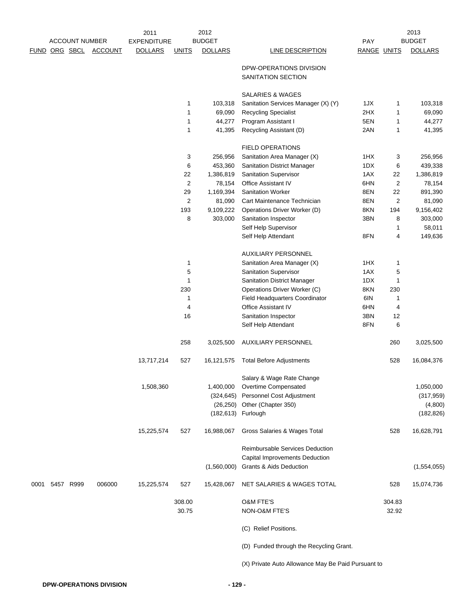|      |           |                       |                | 2011               |                | 2012               |                                                    |             |                         | 2013           |
|------|-----------|-----------------------|----------------|--------------------|----------------|--------------------|----------------------------------------------------|-------------|-------------------------|----------------|
|      |           | <b>ACCOUNT NUMBER</b> |                | <b>EXPENDITURE</b> |                | <b>BUDGET</b>      |                                                    | <b>PAY</b>  |                         | <b>BUDGET</b>  |
| FUND |           | ORG SBCL              | <b>ACCOUNT</b> | <b>DOLLARS</b>     | <b>UNITS</b>   | <b>DOLLARS</b>     | LINE DESCRIPTION                                   | RANGE UNITS |                         | <b>DOLLARS</b> |
|      |           |                       |                |                    |                |                    | DPW-OPERATIONS DIVISION<br>SANITATION SECTION      |             |                         |                |
|      |           |                       |                |                    |                |                    | <b>SALARIES &amp; WAGES</b>                        |             |                         |                |
|      |           |                       |                |                    | 1              | 103,318            | Sanitation Services Manager (X) (Y)                | 1JX         | 1                       | 103,318        |
|      |           |                       |                |                    | 1              | 69,090             | <b>Recycling Specialist</b>                        | 2HX         | 1                       | 69,090         |
|      |           |                       |                |                    | 1              | 44,277             | Program Assistant I                                | 5EN         | 1                       | 44,277         |
|      |           |                       |                |                    | 1              | 41,395             | Recycling Assistant (D)                            | 2AN         | 1                       | 41,395         |
|      |           |                       |                |                    |                |                    | <b>FIELD OPERATIONS</b>                            |             |                         |                |
|      |           |                       |                |                    | 3              | 256,956            | Sanitation Area Manager (X)                        | 1HX         | 3                       | 256,956        |
|      |           |                       |                |                    | 6              | 453,360            | <b>Sanitation District Manager</b>                 | 1DX         | 6                       | 439,338        |
|      |           |                       |                |                    | 22             | 1,386,819          | <b>Sanitation Supervisor</b>                       | 1AX         | 22                      | 1,386,819      |
|      |           |                       |                |                    | 2              | 78,154             | Office Assistant IV                                | 6HN         | $\overline{c}$          | 78,154         |
|      |           |                       |                |                    | 29             | 1,169,394          | <b>Sanitation Worker</b>                           | 8EN         | 22                      | 891,390        |
|      |           |                       |                |                    | $\overline{2}$ | 81,090             | Cart Maintenance Technician                        | 8EN         | $\overline{\mathbf{c}}$ | 81,090         |
|      |           |                       |                |                    | 193            | 9,109,222          | Operations Driver Worker (D)                       | 8KN         | 194                     | 9,156,402      |
|      |           |                       |                |                    | 8              | 303,000            | Sanitation Inspector                               | 3BN         | 8                       | 303,000        |
|      |           |                       |                |                    |                |                    | Self Help Supervisor                               |             | 1                       | 58,011         |
|      |           |                       |                |                    |                |                    | Self Help Attendant                                | 8FN         | 4                       | 149,636        |
|      |           |                       |                |                    |                |                    | AUXILIARY PERSONNEL                                |             |                         |                |
|      |           |                       |                |                    | 1              |                    | Sanitation Area Manager (X)                        | 1HX         | 1                       |                |
|      |           |                       |                |                    | 5              |                    | <b>Sanitation Supervisor</b>                       | 1AX         | 5                       |                |
|      |           |                       |                |                    | 1              |                    | Sanitation District Manager                        | 1DX         | 1                       |                |
|      |           |                       |                |                    | 230            |                    | Operations Driver Worker (C)                       | 8KN         | 230                     |                |
|      |           |                       |                |                    | 1              |                    | Field Headquarters Coordinator                     | 6IN         | 1                       |                |
|      |           |                       |                |                    | 4              |                    | <b>Office Assistant IV</b>                         | 6HN         | 4                       |                |
|      |           |                       |                |                    | 16             |                    | Sanitation Inspector                               | 3BN         | 12                      |                |
|      |           |                       |                |                    |                |                    | Self Help Attendant                                | 8FN         | 6                       |                |
|      |           |                       |                |                    | 258            | 3,025,500          | <b>AUXILIARY PERSONNEL</b>                         |             | 260                     | 3,025,500      |
|      |           |                       |                | 13,717,214         | 527            | 16,121,575         | <b>Total Before Adjustments</b>                    |             | 528                     | 16,084,376     |
|      |           |                       |                |                    |                |                    | Salary & Wage Rate Change                          |             |                         |                |
|      |           |                       |                | 1,508,360          |                | 1,400,000          | Overtime Compensated                               |             |                         | 1,050,000      |
|      |           |                       |                |                    |                | (324, 645)         | Personnel Cost Adjustment                          |             |                         | (317, 959)     |
|      |           |                       |                |                    |                |                    | (26,250) Other (Chapter 350)                       |             |                         | (4,800)        |
|      |           |                       |                |                    |                | (182,613) Furlough |                                                    |             |                         | (182, 826)     |
|      |           |                       |                | 15,225,574         | 527            | 16,988,067         | Gross Salaries & Wages Total                       |             | 528                     | 16,628,791     |
|      |           |                       |                |                    |                |                    | <b>Reimbursable Services Deduction</b>             |             |                         |                |
|      |           |                       |                |                    |                |                    | <b>Capital Improvements Deduction</b>              |             |                         |                |
|      |           |                       |                |                    |                | (1,560,000)        | <b>Grants &amp; Aids Deduction</b>                 |             |                         | (1,554,055)    |
| 0001 | 5457 R999 |                       | 006000         | 15,225,574         | 527            | 15,428,067         | NET SALARIES & WAGES TOTAL                         |             | 528                     | 15,074,736     |
|      |           |                       |                |                    | 308.00         |                    | O&M FTE'S                                          |             | 304.83                  |                |
|      |           |                       |                |                    | 30.75          |                    | NON-O&M FTE'S                                      |             | 32.92                   |                |
|      |           |                       |                |                    |                |                    | (C) Relief Positions.                              |             |                         |                |
|      |           |                       |                |                    |                |                    | (D) Funded through the Recycling Grant.            |             |                         |                |
|      |           |                       |                |                    |                |                    | (X) Private Auto Allowance May Be Paid Pursuant to |             |                         |                |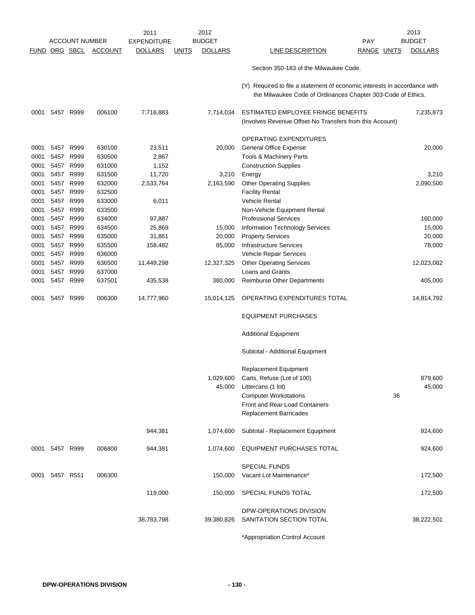|              |                      |                       |                  | 2011               |              | 2012           |                                                                                                                                           |             | 2013           |
|--------------|----------------------|-----------------------|------------------|--------------------|--------------|----------------|-------------------------------------------------------------------------------------------------------------------------------------------|-------------|----------------|
|              |                      | <b>ACCOUNT NUMBER</b> |                  | <b>EXPENDITURE</b> |              | <b>BUDGET</b>  |                                                                                                                                           | <b>PAY</b>  | <b>BUDGET</b>  |
|              | <b>FUND ORG SBCL</b> |                       | <b>ACCOUNT</b>   | <b>DOLLARS</b>     | <b>UNITS</b> | <b>DOLLARS</b> | LINE DESCRIPTION                                                                                                                          | RANGE UNITS | <b>DOLLARS</b> |
|              |                      |                       |                  |                    |              |                | Section 350-183 of the Milwaukee Code.                                                                                                    |             |                |
|              |                      |                       |                  |                    |              |                | (Y) Required to file a statement of economic interests in accordance with<br>the Milwaukee Code of Ordinances Chapter 303-Code of Ethics. |             |                |
| 0001         |                      | 5457 R999             | 006100           | 7,716,883          |              | 7,714,034      | ESTIMATED EMPLOYEE FRINGE BENEFITS<br>(Involves Revenue Offset-No Transfers from this Account)                                            |             | 7,235,873      |
|              |                      |                       |                  |                    |              |                | OPERATING EXPENDITURES                                                                                                                    |             |                |
| 0001         | 5457 R999            |                       | 630100           | 23,511             |              | 20,000         | <b>General Office Expense</b>                                                                                                             |             | 20,000         |
| 0001         | 5457                 | R999                  | 630500           | 2,867              |              |                | Tools & Machinery Parts                                                                                                                   |             |                |
| 0001         |                      | 5457 R999             | 631000           | 1,152              |              |                | <b>Construction Supplies</b>                                                                                                              |             |                |
| 0001         | 5457 R999            |                       | 631500           | 11,720             |              | 3,210          | Energy                                                                                                                                    |             | 3,210          |
| 0001         |                      | 5457 R999             | 632000           | 2,533,764          |              | 2,163,590      | <b>Other Operating Supplies</b>                                                                                                           |             | 2,090,500      |
| 0001         | 5457 R999            |                       | 632500           |                    |              |                | <b>Facility Rental</b>                                                                                                                    |             |                |
| 0001         | 5457 R999            |                       | 633000           | 6,011              |              |                | Vehicle Rental                                                                                                                            |             |                |
| 0001         | 5457 R999            |                       | 633500           |                    |              |                | Non-Vehicle Equipment Rental                                                                                                              |             |                |
| 0001         | 5457 R999            |                       | 634000           | 97,887             |              |                | <b>Professional Services</b>                                                                                                              |             | 160,000        |
| 0001         |                      | 5457 R999             | 634500           | 25,869             |              | 15,000         | <b>Information Technology Services</b>                                                                                                    |             | 15,000         |
| 0001         |                      | 5457 R999             | 635000           | 31,861             |              | 20,000         |                                                                                                                                           |             | 20,000         |
|              | 5457 R999            |                       | 635500           |                    |              | 85,000         | <b>Property Services</b><br><b>Infrastructure Services</b>                                                                                |             |                |
| 0001<br>0001 |                      | 5457 R999             | 636000           | 158,482            |              |                |                                                                                                                                           |             | 78,000         |
|              | 5457 R999            |                       | 636500           |                    |              |                | Vehicle Repair Services                                                                                                                   |             |                |
| 0001         |                      |                       |                  | 11,449,298         |              | 12,327,325     | <b>Other Operating Services</b>                                                                                                           |             | 12,023,082     |
| 0001         | 5457 R999            | 5457 R999             | 637000<br>637501 |                    |              |                | Loans and Grants                                                                                                                          |             |                |
| 0001         |                      |                       |                  | 435,538            |              | 380,000        | <b>Reimburse Other Departments</b>                                                                                                        |             | 405,000        |
| 0001         | 5457                 | R999                  | 006300           | 14,777,960         |              | 15,014,125     | OPERATING EXPENDITURES TOTAL                                                                                                              |             | 14,814,792     |
|              |                      |                       |                  |                    |              |                | <b>EQUIPMENT PURCHASES</b>                                                                                                                |             |                |
|              |                      |                       |                  |                    |              |                | <b>Additional Equipment</b>                                                                                                               |             |                |
|              |                      |                       |                  |                    |              |                | Subtotal - Additional Equipment                                                                                                           |             |                |
|              |                      |                       |                  |                    |              |                | <b>Replacement Equipment</b>                                                                                                              |             |                |
|              |                      |                       |                  |                    |              | 1,029,600      | Carts, Refuse (Lot of 100)                                                                                                                |             | 879,600        |
|              |                      |                       |                  |                    |              | 45,000         | Littercans (1 lot)                                                                                                                        |             | 45,000         |
|              |                      |                       |                  |                    |              |                | <b>Computer Workstations</b>                                                                                                              | 36          |                |
|              |                      |                       |                  |                    |              |                | Front and Rear Load Containers                                                                                                            |             |                |
|              |                      |                       |                  |                    |              |                | <b>Replacement Barricades</b>                                                                                                             |             |                |
|              |                      |                       |                  | 944,381            |              | 1,074,600      | Subtotal - Replacement Equipment                                                                                                          |             | 924,600        |
| 0001         | 5457 R999            |                       | 006800           | 944,381            |              | 1,074,600      | EQUIPMENT PURCHASES TOTAL                                                                                                                 |             | 924,600        |
|              |                      |                       |                  |                    |              |                | <b>SPECIAL FUNDS</b>                                                                                                                      |             |                |
| 0001         |                      | 5457 R551             | 006300           |                    |              | 150,000        | Vacant Lot Maintenance*                                                                                                                   |             | 172,500        |
|              |                      |                       |                  |                    |              |                |                                                                                                                                           |             |                |
|              |                      |                       |                  | 119,000            |              | 150,000        | SPECIAL FUNDS TOTAL                                                                                                                       |             | 172,500        |
|              |                      |                       |                  |                    |              |                | DPW-OPERATIONS DIVISION                                                                                                                   |             |                |
|              |                      |                       |                  | 38,783,798         |              | 39,380,826     | SANITATION SECTION TOTAL                                                                                                                  |             | 38,222,501     |
|              |                      |                       |                  |                    |              |                | *Appropriation Control Account                                                                                                            |             |                |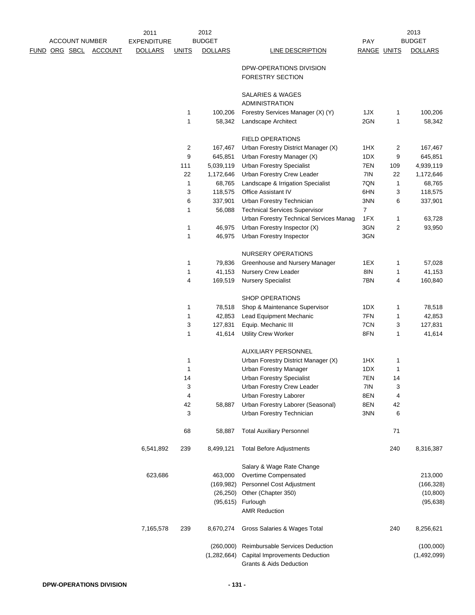|               | <b>ACCOUNT NUMBER</b> |                | 2011<br><b>EXPENDITURE</b> |              | 2012<br><b>BUDGET</b> |                                                                | PAY         |         | 2013<br><b>BUDGET</b> |
|---------------|-----------------------|----------------|----------------------------|--------------|-----------------------|----------------------------------------------------------------|-------------|---------|-----------------------|
| FUND ORG SBCL |                       | <b>ACCOUNT</b> | <b>DOLLARS</b>             | <b>UNITS</b> | <b>DOLLARS</b>        | <b>LINE DESCRIPTION</b>                                        | RANGE UNITS |         | <b>DOLLARS</b>        |
|               |                       |                |                            |              |                       | DPW-OPERATIONS DIVISION<br><b>FORESTRY SECTION</b>             |             |         |                       |
|               |                       |                |                            |              |                       | SALARIES & WAGES<br><b>ADMINISTRATION</b>                      |             |         |                       |
|               |                       |                |                            | 1            | 100,206               | Forestry Services Manager (X) (Y)                              | 1JX         | 1       | 100,206               |
|               |                       |                |                            | 1            | 58,342                | Landscape Architect                                            | 2GN         | 1       | 58,342                |
|               |                       |                |                            |              |                       | <b>FIELD OPERATIONS</b>                                        |             |         |                       |
|               |                       |                |                            | 2            | 167,467               | Urban Forestry District Manager (X)                            | 1HX         | 2       | 167,467               |
|               |                       |                |                            | 9            | 645,851               | Urban Forestry Manager (X)                                     | 1DX         | 9       | 645,851               |
|               |                       |                |                            | 111          | 5,039,119             | <b>Urban Forestry Specialist</b>                               | 7EN         | 109     | 4,939,119             |
|               |                       |                |                            | 22           | 1,172,646             | Urban Forestry Crew Leader                                     | 7IN         | 22      | 1,172,646             |
|               |                       |                |                            | 1            | 68,765                | Landscape & Irrigation Specialist                              | 7QN         | 1       | 68,765                |
|               |                       |                |                            | 3            | 118,575               | Office Assistant IV                                            | 6HN         | 3       | 118,575               |
|               |                       |                |                            | 6            | 337,901               | Urban Forestry Technician                                      | 3NN         | 6       | 337,901               |
|               |                       |                |                            | 1            | 56,088                | <b>Technical Services Supervisor</b>                           | 7           |         |                       |
|               |                       |                |                            |              |                       | Urban Forestry Technical Services Manag                        | 1FX         | 1       | 63,728                |
|               |                       |                |                            | 1            | 46,975                | Urban Forestry Inspector (X)                                   | 3GN         | 2       | 93,950                |
|               |                       |                |                            | 1            | 46,975                | Urban Forestry Inspector                                       | 3GN         |         |                       |
|               |                       |                |                            |              |                       | NURSERY OPERATIONS                                             |             |         |                       |
|               |                       |                |                            | 1            | 79,836                | Greenhouse and Nursery Manager                                 | 1EX         | 1       | 57,028                |
|               |                       |                |                            | 1            | 41,153                | Nursery Crew Leader                                            | 8IN         | 1       | 41,153                |
|               |                       |                |                            | 4            | 169,519               | <b>Nursery Specialist</b>                                      | 7BN         | 4       | 160,840               |
|               |                       |                |                            |              |                       | <b>SHOP OPERATIONS</b>                                         |             |         |                       |
|               |                       |                |                            | 1            | 78,518                | Shop & Maintenance Supervisor                                  | 1DX         | 1       | 78,518                |
|               |                       |                |                            | 1            | 42,853                | Lead Equipment Mechanic                                        | 7FN         | 1       | 42,853                |
|               |                       |                |                            | 3            | 127,831               | Equip. Mechanic III                                            | 7CN         | 3       | 127,831               |
|               |                       |                |                            | 1            | 41,614                | <b>Utility Crew Worker</b>                                     | 8FN         | 1       | 41,614                |
|               |                       |                |                            |              |                       | <b>AUXILIARY PERSONNEL</b>                                     |             |         |                       |
|               |                       |                |                            | 1            |                       | Urban Forestry District Manager (X)                            | 1HX         | 1       |                       |
|               |                       |                |                            | 1            |                       | <b>Urban Forestry Manager</b>                                  | 1DX         | 1       |                       |
|               |                       |                |                            | 14           |                       | <b>Urban Forestry Specialist</b>                               | 7EN         | 14      |                       |
|               |                       |                |                            | 3            |                       | Urban Forestry Crew Leader                                     | 7IN         | 3       |                       |
|               |                       |                |                            | 4            |                       | Urban Forestry Laborer                                         | 8EN         | 4       |                       |
|               |                       |                |                            | 42<br>3      | 58,887                | Urban Forestry Laborer (Seasonal)<br>Urban Forestry Technician | 8EN<br>3NN  | 42<br>6 |                       |
|               |                       |                |                            |              |                       |                                                                |             |         |                       |
|               |                       |                |                            | 68           | 58,887                | <b>Total Auxiliary Personnel</b>                               |             | 71      |                       |
|               |                       |                | 6,541,892                  | 239          | 8,499,121             | <b>Total Before Adjustments</b>                                |             | 240     | 8,316,387             |
|               |                       |                |                            |              |                       | Salary & Wage Rate Change                                      |             |         |                       |
|               |                       |                | 623,686                    |              | 463,000               | Overtime Compensated                                           |             |         | 213,000               |
|               |                       |                |                            |              | (169, 982)            | Personnel Cost Adjustment                                      |             |         | (166, 328)            |
|               |                       |                |                            |              | (26, 250)             | Other (Chapter 350)                                            |             |         | (10, 800)             |
|               |                       |                |                            |              | (95, 615)             | Furlough                                                       |             |         | (95, 638)             |
|               |                       |                |                            |              |                       | <b>AMR Reduction</b>                                           |             |         |                       |
|               |                       |                | 7,165,578                  | 239          | 8,670,274             | Gross Salaries & Wages Total                                   |             | 240     | 8,256,621             |
|               |                       |                |                            |              | (260,000)             | Reimbursable Services Deduction                                |             |         | (100,000)             |
|               |                       |                |                            |              | (1,282,664)           | <b>Capital Improvements Deduction</b>                          |             |         | (1,492,099)           |
|               |                       |                |                            |              |                       | <b>Grants &amp; Aids Deduction</b>                             |             |         |                       |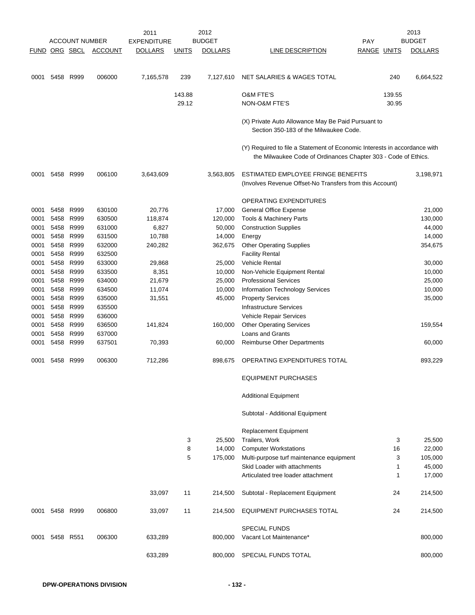|      |                      |                       |                | 2011               |              | 2012           |                                                                                                                                             |             |        | 2013           |
|------|----------------------|-----------------------|----------------|--------------------|--------------|----------------|---------------------------------------------------------------------------------------------------------------------------------------------|-------------|--------|----------------|
|      |                      | <b>ACCOUNT NUMBER</b> |                | <b>EXPENDITURE</b> |              | <b>BUDGET</b>  |                                                                                                                                             | <b>PAY</b>  |        | <b>BUDGET</b>  |
|      | <b>FUND ORG SBCL</b> |                       | <b>ACCOUNT</b> | <b>DOLLARS</b>     | <b>UNITS</b> | <b>DOLLARS</b> | LINE DESCRIPTION                                                                                                                            | RANGE UNITS |        | <b>DOLLARS</b> |
| 0001 | 5458                 | R999                  | 006000         | 7,165,578          | 239          | 7,127,610      | NET SALARIES & WAGES TOTAL                                                                                                                  |             | 240    | 6,664,522      |
|      |                      |                       |                |                    | 143.88       |                | <b>O&amp;M FTE'S</b>                                                                                                                        |             | 139.55 |                |
|      |                      |                       |                |                    | 29.12        |                | NON-O&M FTE'S                                                                                                                               |             | 30.95  |                |
|      |                      |                       |                |                    |              |                | (X) Private Auto Allowance May Be Paid Pursuant to<br>Section 350-183 of the Milwaukee Code.                                                |             |        |                |
|      |                      |                       |                |                    |              |                | (Y) Required to file a Statement of Economic Interests in accordance with<br>the Milwaukee Code of Ordinances Chapter 303 - Code of Ethics. |             |        |                |
| 0001 |                      | 5458 R999             | 006100         | 3,643,609          |              | 3,563,805      | ESTIMATED EMPLOYEE FRINGE BENEFITS<br>(Involves Revenue Offset-No Transfers from this Account)                                              |             |        | 3,198,971      |
|      |                      |                       |                |                    |              |                | OPERATING EXPENDITURES                                                                                                                      |             |        |                |
| 0001 | 5458                 | R999                  | 630100         | 20,776             |              | 17,000         | General Office Expense                                                                                                                      |             |        | 21,000         |
| 0001 | 5458                 | R999                  | 630500         | 118,874            |              | 120,000        | Tools & Machinery Parts                                                                                                                     |             |        | 130,000        |
| 0001 | 5458                 | R999                  | 631000         | 6,827              |              | 50,000         | <b>Construction Supplies</b>                                                                                                                |             |        | 44,000         |
| 0001 | 5458                 | R999                  | 631500         | 10,788             |              | 14,000         | Energy                                                                                                                                      |             |        | 14,000         |
| 0001 |                      | 5458 R999             | 632000         | 240,282            |              | 362,675        | <b>Other Operating Supplies</b>                                                                                                             |             |        | 354,675        |
| 0001 | 5458                 | R999                  | 632500         |                    |              |                | <b>Facility Rental</b>                                                                                                                      |             |        |                |
| 0001 | 5458                 | R999                  | 633000         | 29,868             |              | 25,000         | <b>Vehicle Rental</b>                                                                                                                       |             |        | 30,000         |
| 0001 | 5458                 | R999                  | 633500         | 8,351              |              | 10,000         | Non-Vehicle Equipment Rental                                                                                                                |             |        | 10,000         |
| 0001 | 5458                 | R999                  | 634000         | 21,679             |              | 25,000         | <b>Professional Services</b>                                                                                                                |             |        | 25,000         |
| 0001 |                      | 5458 R999             | 634500         | 11,074             |              | 10,000         | <b>Information Technology Services</b>                                                                                                      |             |        | 10,000         |
| 0001 | 5458                 | R999                  | 635000         | 31,551             |              | 45,000         | <b>Property Services</b>                                                                                                                    |             |        | 35,000         |
| 0001 | 5458                 | R999                  | 635500         |                    |              |                | <b>Infrastructure Services</b>                                                                                                              |             |        |                |
| 0001 | 5458                 | R999                  | 636000         |                    |              |                | Vehicle Repair Services                                                                                                                     |             |        |                |
| 0001 | 5458                 | R999                  | 636500         | 141,824            |              | 160,000        | <b>Other Operating Services</b>                                                                                                             |             |        | 159,554        |
| 0001 |                      | 5458 R999             | 637000         |                    |              |                | <b>Loans and Grants</b>                                                                                                                     |             |        |                |
| 0001 | 5458                 | R999                  | 637501         | 70,393             |              | 60,000         | <b>Reimburse Other Departments</b>                                                                                                          |             |        | 60,000         |
| 0001 | 5458                 | R999                  | 006300         | 712,286            |              | 898,675        | OPERATING EXPENDITURES TOTAL                                                                                                                |             |        | 893,229        |
|      |                      |                       |                |                    |              |                | <b>EQUIPMENT PURCHASES</b>                                                                                                                  |             |        |                |
|      |                      |                       |                |                    |              |                | <b>Additional Equipment</b>                                                                                                                 |             |        |                |
|      |                      |                       |                |                    |              |                | Subtotal - Additional Equipment                                                                                                             |             |        |                |
|      |                      |                       |                |                    |              |                | <b>Replacement Equipment</b>                                                                                                                |             |        |                |
|      |                      |                       |                |                    | 3            | 25,500         | Trailers, Work                                                                                                                              |             | 3      | 25,500         |
|      |                      |                       |                |                    | 8            | 14,000         | <b>Computer Workstations</b>                                                                                                                |             | 16     | 22,000         |
|      |                      |                       |                |                    | 5            | 175,000        | Multi-purpose turf maintenance equipment                                                                                                    |             | 3      | 105,000        |
|      |                      |                       |                |                    |              |                | Skid Loader with attachments                                                                                                                |             | 1      | 45,000         |
|      |                      |                       |                |                    |              |                | Articulated tree loader attachment                                                                                                          |             | 1      | 17,000         |
|      |                      |                       |                | 33,097             | 11           | 214,500        | Subtotal - Replacement Equipment                                                                                                            |             | 24     | 214,500        |
|      | 0001 5458 R999       |                       | 006800         | 33,097             | 11           | 214,500        | EQUIPMENT PURCHASES TOTAL                                                                                                                   |             | 24     | 214,500        |
|      |                      |                       |                |                    |              |                | <b>SPECIAL FUNDS</b>                                                                                                                        |             |        |                |
| 0001 | 5458 R551            |                       | 006300         | 633,289            |              | 800,000        | Vacant Lot Maintenance*                                                                                                                     |             |        | 800,000        |
|      |                      |                       |                | 633,289            |              | 800,000        | SPECIAL FUNDS TOTAL                                                                                                                         |             |        | 800,000        |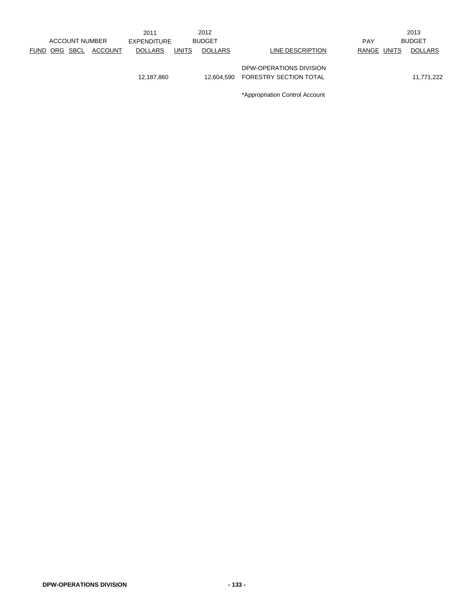|             |          | <b>ACCOUNT NUMBER</b> |                | 2011<br><b>EXPENDITURE</b> |              | 2012<br><b>BUDGET</b> |                                                   | <b>PAY</b>  | 2013<br><b>BUDGET</b> |
|-------------|----------|-----------------------|----------------|----------------------------|--------------|-----------------------|---------------------------------------------------|-------------|-----------------------|
| <b>FUND</b> | ORG SBCL |                       | <b>ACCOUNT</b> | <b>DOLLARS</b>             | <b>UNITS</b> | <b>DOLLARS</b>        | LINE DESCRIPTION                                  | RANGE UNITS | <b>DOLLARS</b>        |
|             |          |                       |                | 12,187,860                 |              | 12.604.590            | DPW-OPERATIONS DIVISION<br>FORESTRY SECTION TOTAL |             | 11,771,222            |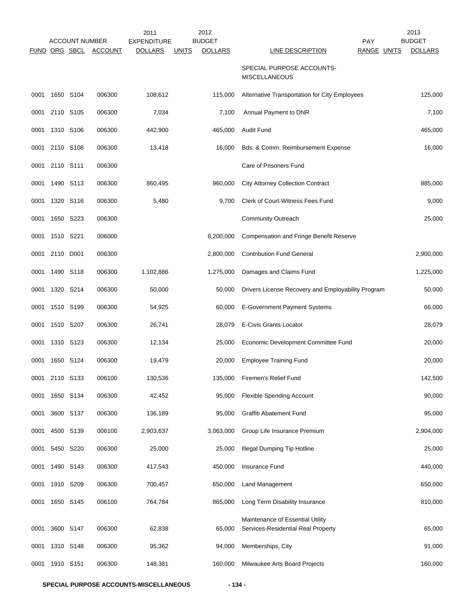|      |           |                                        |                | 2011                                 | 2012                                            |                                                                        | 2013                                           |
|------|-----------|----------------------------------------|----------------|--------------------------------------|-------------------------------------------------|------------------------------------------------------------------------|------------------------------------------------|
|      |           | <b>ACCOUNT NUMBER</b><br>FUND ORG SBCL | <b>ACCOUNT</b> | <b>EXPENDITURE</b><br><b>DOLLARS</b> | <b>BUDGET</b><br><b>DOLLARS</b><br><b>UNITS</b> | <b>PAY</b><br>LINE DESCRIPTION                                         | <b>BUDGET</b><br>RANGE UNITS<br><b>DOLLARS</b> |
|      |           |                                        |                |                                      |                                                 | SPECIAL PURPOSE ACCOUNTS-<br><b>MISCELLANEOUS</b>                      |                                                |
| 0001 | 1650 S104 |                                        | 006300         | 108,612                              | 115,000                                         | Alternative Transportation for City Employees                          | 125,000                                        |
| 0001 |           | 2110 S105                              | 006300         | 7,034                                | 7,100                                           | Annual Payment to DNR                                                  | 7,100                                          |
| 0001 | 1310 S106 |                                        | 006300         | 442,900                              | 465,000                                         | <b>Audit Fund</b>                                                      | 465,000                                        |
| 0001 | 2110 S108 |                                        | 006300         | 13,418                               | 16,000                                          | Bds. & Comm. Reimbursement Expense                                     | 16,000                                         |
| 0001 | 2110 S111 |                                        | 006300         |                                      |                                                 | Care of Prisoners Fund                                                 |                                                |
| 0001 | 1490 S113 |                                        | 006300         | 860,495                              | 960,000                                         | <b>City Attorney Collection Contract</b>                               | 885,000                                        |
| 0001 |           | 1320 S116                              | 006300         | 5,480                                | 9,700                                           | Clerk of Court-Witness Fees Fund                                       | 9,000                                          |
| 0001 |           | 1650 S223                              | 006300         |                                      |                                                 | <b>Community Outreach</b>                                              | 25,000                                         |
| 0001 | 1510 S221 |                                        | 006000         |                                      | 8,200,000                                       | <b>Compensation and Fringe Benefit Reserve</b>                         |                                                |
| 0001 | 2110 D001 |                                        | 006300         |                                      | 2,800,000                                       | <b>Contribution Fund General</b>                                       | 2,900,000                                      |
| 0001 |           | 1490 S118                              | 006300         | 1,102,886                            | 1,275,000                                       | Damages and Claims Fund                                                | 1,225,000                                      |
| 0001 |           | 1320 S214                              | 006300         | 50,000                               | 50,000                                          | Drivers License Recovery and Employability Program                     | 50,000                                         |
| 0001 |           | 1510 S199                              | 006300         | 54,925                               | 60,000                                          | E-Government Payment Systems                                           | 66,000                                         |
| 0001 | 1510 S207 |                                        | 006300         | 26,741                               | 28,079                                          | <b>E-Civis Grants Locator</b>                                          | 28,079                                         |
| 0001 | 1310 S123 |                                        | 006300         | 12,134                               | 25,000                                          | Economic Development Committee Fund                                    | 20,000                                         |
| 0001 | 1650 S124 |                                        | 006300         | 19,479                               | 20,000                                          | <b>Employee Training Fund</b>                                          | 20,000                                         |
| 0001 | 2110 S133 |                                        | 006100         | 130,536                              | 135,000                                         | Firemen's Relief Fund                                                  | 142,500                                        |
| 0001 |           | 1650 S134                              | 006300         | 42,452                               | 95,000                                          | <b>Flexible Spending Account</b>                                       | 90,000                                         |
| 0001 | 3600 S137 |                                        | 006300         | 136,189                              | 95,000                                          | Graffiti Abatement Fund                                                | 95,000                                         |
| 0001 | 4500 S139 |                                        | 006100         | 2,903,637                            | 3,063,000                                       | Group Life Insurance Premium                                           | 2,904,000                                      |
| 0001 |           | 5450 S220                              | 006300         | 25,000                               | 25,000                                          | <b>Illegal Dumping Tip Hotline</b>                                     | 25,000                                         |
| 0001 |           | 1490 S143                              | 006300         | 417,543                              | 450,000                                         | <b>Insurance Fund</b>                                                  | 440,000                                        |
| 0001 |           | 1910 S209                              | 006300         | 700,457                              | 650,000                                         | <b>Land Management</b>                                                 | 650,000                                        |
| 0001 |           | 1650 S145                              | 006100         | 764,784                              | 865,000                                         | Long Term Disability Insurance                                         | 810,000                                        |
| 0001 |           | 3600 S147                              | 006300         | 62,838                               | 65,000                                          | Maintenance of Essential Utility<br>Services-Residential Real Property | 65,000                                         |
| 0001 |           | 1310 S148                              | 006300         | 95,362                               | 94,000                                          | Memberships, City                                                      | 91,000                                         |
| 0001 | 1910 S151 |                                        | 006300         | 148,381                              | 160,000                                         | Milwaukee Arts Board Projects                                          | 160,000                                        |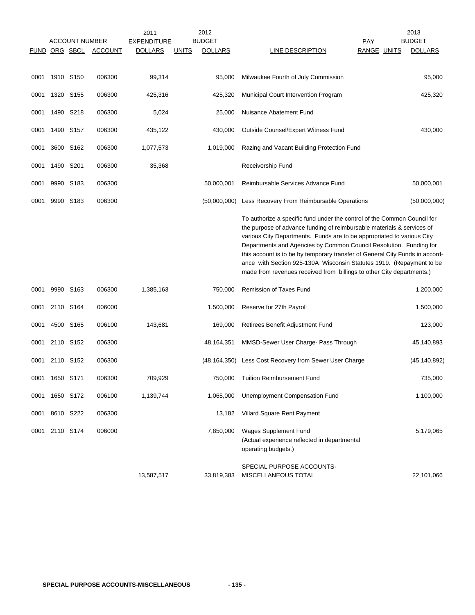|      |                | <b>ACCOUNT NUMBER</b><br><b>FUND ORG SBCL</b> | <b>ACCOUNT</b> | 2011<br><b>EXPENDITURE</b><br><b>DOLLARS</b> | <u>UNITS</u> | 2012<br><b>BUDGET</b><br><b>DOLLARS</b> | LINE DESCRIPTION                                                                                                                                                                                                                                                                                                                                                                                                                                                                                                                    | <b>PAY</b><br>RANGE UNITS | 2013<br><b>BUDGET</b><br><b>DOLLARS</b> |
|------|----------------|-----------------------------------------------|----------------|----------------------------------------------|--------------|-----------------------------------------|-------------------------------------------------------------------------------------------------------------------------------------------------------------------------------------------------------------------------------------------------------------------------------------------------------------------------------------------------------------------------------------------------------------------------------------------------------------------------------------------------------------------------------------|---------------------------|-----------------------------------------|
| 0001 | 1910 S150      |                                               | 006300         | 99,314                                       |              | 95,000                                  | Milwaukee Fourth of July Commission                                                                                                                                                                                                                                                                                                                                                                                                                                                                                                 |                           | 95,000                                  |
| 0001 | 1320 S155      |                                               | 006300         | 425,316                                      |              | 425,320                                 | Municipal Court Intervention Program                                                                                                                                                                                                                                                                                                                                                                                                                                                                                                |                           | 425,320                                 |
| 0001 | 1490 S218      |                                               | 006300         | 5,024                                        |              | 25,000                                  | Nuisance Abatement Fund                                                                                                                                                                                                                                                                                                                                                                                                                                                                                                             |                           |                                         |
| 0001 | 1490 S157      |                                               | 006300         | 435,122                                      |              | 430,000                                 | Outside Counsel/Expert Witness Fund                                                                                                                                                                                                                                                                                                                                                                                                                                                                                                 |                           | 430,000                                 |
| 0001 |                | 3600 S162                                     | 006300         | 1,077,573                                    |              | 1,019,000                               | Razing and Vacant Building Protection Fund                                                                                                                                                                                                                                                                                                                                                                                                                                                                                          |                           |                                         |
| 0001 | 1490           | S201                                          | 006300         | 35,368                                       |              |                                         | Receivership Fund                                                                                                                                                                                                                                                                                                                                                                                                                                                                                                                   |                           |                                         |
| 0001 | 9990 S183      |                                               | 006300         |                                              |              | 50,000,001                              | Reimbursable Services Advance Fund                                                                                                                                                                                                                                                                                                                                                                                                                                                                                                  |                           | 50,000,001                              |
| 0001 | 9990 S183      |                                               | 006300         |                                              |              |                                         | (50,000,000) Less Recovery From Reimbursable Operations                                                                                                                                                                                                                                                                                                                                                                                                                                                                             |                           | (50,000,000)                            |
|      |                |                                               |                |                                              |              |                                         | To authorize a specific fund under the control of the Common Council for<br>the purpose of advance funding of reimbursable materials & services of<br>various City Departments. Funds are to be appropriated to various City<br>Departments and Agencies by Common Council Resolution. Funding for<br>this account is to be by temporary transfer of General City Funds in accord-<br>ance with Section 925-130A Wisconsin Statutes 1919. (Repayment to be<br>made from revenues received from billings to other City departments.) |                           |                                         |
| 0001 | 9990 S163      |                                               | 006300         | 1,385,163                                    |              | 750,000                                 | <b>Remission of Taxes Fund</b>                                                                                                                                                                                                                                                                                                                                                                                                                                                                                                      |                           | 1,200,000                               |
| 0001 | 2110 S164      |                                               | 006000         |                                              |              | 1,500,000                               | Reserve for 27th Payroll                                                                                                                                                                                                                                                                                                                                                                                                                                                                                                            |                           | 1,500,000                               |
| 0001 | 4500 S165      |                                               | 006100         | 143,681                                      |              | 169,000                                 | Retirees Benefit Adjustment Fund                                                                                                                                                                                                                                                                                                                                                                                                                                                                                                    |                           | 123,000                                 |
| 0001 |                | 2110 S152                                     | 006300         |                                              |              | 48,164,351                              | MMSD-Sewer User Charge- Pass Through                                                                                                                                                                                                                                                                                                                                                                                                                                                                                                |                           | 45,140,893                              |
| 0001 | 2110 S152      |                                               | 006300         |                                              |              |                                         | (48,164,350) Less Cost Recovery from Sewer User Charge                                                                                                                                                                                                                                                                                                                                                                                                                                                                              |                           | (45, 140, 892)                          |
|      | 0001 1650 S171 |                                               | 006300         | 709,929                                      |              | 750,000                                 | Tuition Reimbursement Fund                                                                                                                                                                                                                                                                                                                                                                                                                                                                                                          |                           | 735,000                                 |
| 0001 | 1650 S172      |                                               | 006100         | 1,139,744                                    |              | 1,065,000                               | <b>Unemployment Compensation Fund</b>                                                                                                                                                                                                                                                                                                                                                                                                                                                                                               |                           | 1,100,000                               |
| 0001 | 8610 S222      |                                               | 006300         |                                              |              | 13,182                                  | Villard Square Rent Payment                                                                                                                                                                                                                                                                                                                                                                                                                                                                                                         |                           |                                         |
| 0001 | 2110 S174      |                                               | 006000         |                                              |              | 7,850,000                               | Wages Supplement Fund<br>(Actual experience reflected in departmental<br>operating budgets.)                                                                                                                                                                                                                                                                                                                                                                                                                                        |                           | 5,179,065                               |
|      |                |                                               |                | 13,587,517                                   |              | 33,819,383                              | SPECIAL PURPOSE ACCOUNTS-<br>MISCELLANEOUS TOTAL                                                                                                                                                                                                                                                                                                                                                                                                                                                                                    |                           | 22,101,066                              |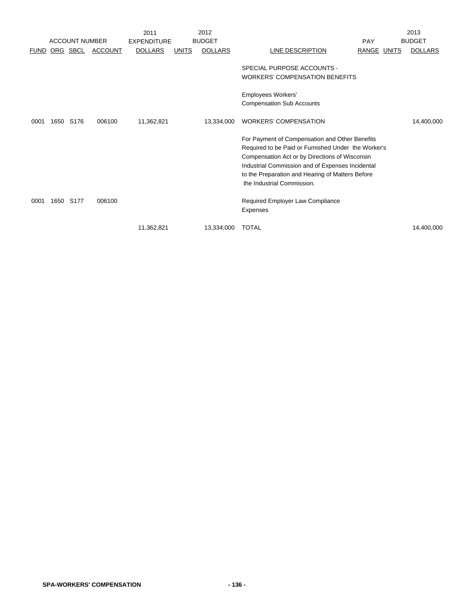|             |           |                       |                | 2011               |              | 2012           |                                                                                                                                                                                                                                                                                               |             | 2013           |
|-------------|-----------|-----------------------|----------------|--------------------|--------------|----------------|-----------------------------------------------------------------------------------------------------------------------------------------------------------------------------------------------------------------------------------------------------------------------------------------------|-------------|----------------|
|             |           | <b>ACCOUNT NUMBER</b> |                | <b>EXPENDITURE</b> |              | <b>BUDGET</b>  |                                                                                                                                                                                                                                                                                               | PAY         | <b>BUDGET</b>  |
| <b>FUND</b> |           | ORG SBCL              | <b>ACCOUNT</b> | <b>DOLLARS</b>     | <b>UNITS</b> | <b>DOLLARS</b> | LINE DESCRIPTION                                                                                                                                                                                                                                                                              | RANGE UNITS | <b>DOLLARS</b> |
|             |           |                       |                |                    |              |                | SPECIAL PURPOSE ACCOUNTS -<br><b>WORKERS' COMPENSATION BENEFITS</b>                                                                                                                                                                                                                           |             |                |
|             |           |                       |                |                    |              |                | Employees Workers'<br><b>Compensation Sub Accounts</b>                                                                                                                                                                                                                                        |             |                |
| 0001        | 1650 S176 |                       | 006100         | 11,362,821         |              | 13,334,000     | <b>WORKERS' COMPENSATION</b>                                                                                                                                                                                                                                                                  |             | 14,400,000     |
|             |           |                       |                |                    |              |                | For Payment of Compensation and Other Benefits<br>Required to be Paid or Furnished Under the Worker's<br>Compensation Act or by Directions of Wisconsin<br>Industrial Commission and of Expenses Incidental<br>to the Preparation and Hearing of Matters Before<br>the Industrial Commission. |             |                |
| 0001        | 1650      | S <sub>177</sub>      | 006100         |                    |              |                | Required Employer Law Compliance<br>Expenses                                                                                                                                                                                                                                                  |             |                |
|             |           |                       |                | 11,362,821         |              | 13,334,000     | <b>TOTAL</b>                                                                                                                                                                                                                                                                                  |             | 14,400,000     |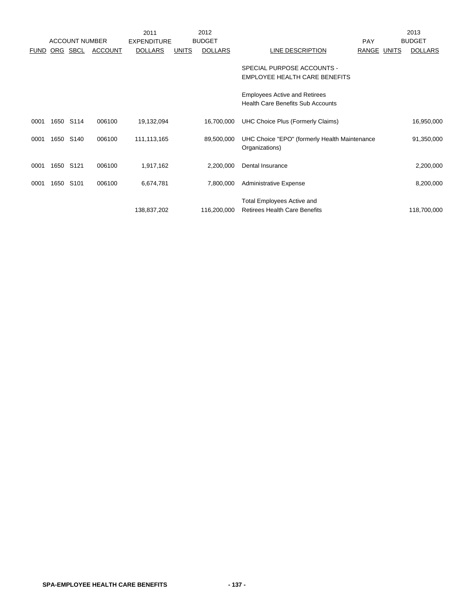|             |          |                       |                | 2011               |              | 2012           |                                               |             | 2013           |
|-------------|----------|-----------------------|----------------|--------------------|--------------|----------------|-----------------------------------------------|-------------|----------------|
|             |          | <b>ACCOUNT NUMBER</b> |                | <b>EXPENDITURE</b> |              | <b>BUDGET</b>  |                                               | <b>PAY</b>  | <b>BUDGET</b>  |
| <b>FUND</b> | ORG SBCL |                       | <b>ACCOUNT</b> | <b>DOLLARS</b>     | <b>UNITS</b> | <b>DOLLARS</b> | LINE DESCRIPTION                              | RANGE UNITS | <b>DOLLARS</b> |
|             |          |                       |                |                    |              |                |                                               |             |                |
|             |          |                       |                |                    |              |                | SPECIAL PURPOSE ACCOUNTS -                    |             |                |
|             |          |                       |                |                    |              |                | EMPLOYEE HEALTH CARE BENEFITS                 |             |                |
|             |          |                       |                |                    |              |                |                                               |             |                |
|             |          |                       |                |                    |              |                | <b>Employees Active and Retirees</b>          |             |                |
|             |          |                       |                |                    |              |                | <b>Health Care Benefits Sub Accounts</b>      |             |                |
|             |          |                       |                |                    |              |                |                                               |             |                |
| 0001        | 1650     | S114                  | 006100         | 19,132,094         |              | 16,700,000     | UHC Choice Plus (Formerly Claims)             |             | 16,950,000     |
|             |          |                       |                |                    |              |                |                                               |             |                |
| 0001        | 1650     | S <sub>140</sub>      | 006100         | 111,113,165        |              | 89,500,000     | UHC Choice "EPO" (formerly Health Maintenance |             | 91,350,000     |
|             |          |                       |                |                    |              |                | Organizations)                                |             |                |
|             |          |                       |                |                    |              |                |                                               |             |                |
| 0001        | 1650     | S121                  | 006100         | 1,917,162          |              | 2,200,000      | Dental Insurance                              |             | 2,200,000      |
|             |          |                       |                |                    |              |                |                                               |             |                |
| 0001        | 1650     | S <sub>101</sub>      | 006100         | 6,674,781          |              | 7,800,000      | <b>Administrative Expense</b>                 |             | 8,200,000      |
|             |          |                       |                |                    |              |                |                                               |             |                |
|             |          |                       |                |                    |              |                | <b>Total Employees Active and</b>             |             |                |
|             |          |                       |                | 138,837,202        |              | 116,200,000    | <b>Retirees Health Care Benefits</b>          |             | 118,700,000    |
|             |          |                       |                |                    |              |                |                                               |             |                |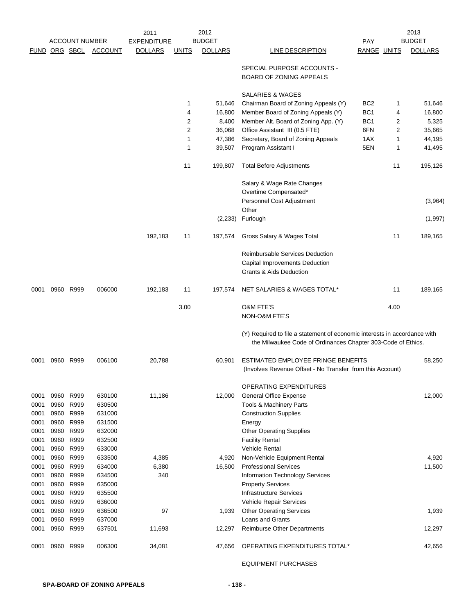|      |      | <b>ACCOUNT NUMBER</b> |                | 2011<br><b>EXPENDITURE</b> |                | 2012<br><b>BUDGET</b> |                                                                           | PAY                |      | 2013<br><b>BUDGET</b> |
|------|------|-----------------------|----------------|----------------------------|----------------|-----------------------|---------------------------------------------------------------------------|--------------------|------|-----------------------|
|      |      |                       |                |                            |                |                       |                                                                           |                    |      |                       |
|      |      | FUND ORG SBCL         | <b>ACCOUNT</b> | <b>DOLLARS</b>             | <b>UNITS</b>   | <b>DOLLARS</b>        | <b>LINE DESCRIPTION</b>                                                   | <b>RANGE UNITS</b> |      | <b>DOLLARS</b>        |
|      |      |                       |                |                            |                |                       | SPECIAL PURPOSE ACCOUNTS -                                                |                    |      |                       |
|      |      |                       |                |                            |                |                       | BOARD OF ZONING APPEALS                                                   |                    |      |                       |
|      |      |                       |                |                            |                |                       | SALARIES & WAGES                                                          |                    |      |                       |
|      |      |                       |                |                            | 1              | 51,646                | Chairman Board of Zoning Appeals (Y)                                      | BC <sub>2</sub>    | 1    | 51,646                |
|      |      |                       |                |                            | 4              | 16,800                | Member Board of Zoning Appeals (Y)                                        | BC <sub>1</sub>    | 4    | 16,800                |
|      |      |                       |                |                            | 2              | 8,400                 | Member Alt. Board of Zoning App. (Y)                                      | BC <sub>1</sub>    | 2    | 5,325                 |
|      |      |                       |                |                            | $\overline{2}$ | 36,068                | Office Assistant III (0.5 FTE)                                            | 6FN                | 2    | 35,665                |
|      |      |                       |                |                            | 1              | 47,386                | Secretary, Board of Zoning Appeals                                        | 1AX                | 1    | 44,195                |
|      |      |                       |                |                            | 1              | 39,507                | Program Assistant I                                                       | 5EN                | 1    | 41,495                |
|      |      |                       |                |                            | 11             | 199,807               | <b>Total Before Adjustments</b>                                           |                    | 11   | 195,126               |
|      |      |                       |                |                            |                |                       | Salary & Wage Rate Changes                                                |                    |      |                       |
|      |      |                       |                |                            |                |                       | Overtime Compensated*                                                     |                    |      |                       |
|      |      |                       |                |                            |                |                       | Personnel Cost Adjustment<br>Other                                        |                    |      | (3,964)               |
|      |      |                       |                |                            |                | (2,233)               | Furlough                                                                  |                    |      | (1,997)               |
|      |      |                       |                | 192,183                    | 11             | 197,574               | Gross Salary & Wages Total                                                |                    | 11   | 189,165               |
|      |      |                       |                |                            |                |                       | Reimbursable Services Deduction                                           |                    |      |                       |
|      |      |                       |                |                            |                |                       | Capital Improvements Deduction                                            |                    |      |                       |
|      |      |                       |                |                            |                |                       | <b>Grants &amp; Aids Deduction</b>                                        |                    |      |                       |
| 0001 |      | 0960 R999             | 006000         | 192,183                    | 11             | 197,574               | NET SALARIES & WAGES TOTAL*                                               |                    | 11   | 189,165               |
|      |      |                       |                |                            | 3.00           |                       | <b>O&amp;M FTE'S</b>                                                      |                    | 4.00 |                       |
|      |      |                       |                |                            |                |                       | NON-O&M FTE'S                                                             |                    |      |                       |
|      |      |                       |                |                            |                |                       | (Y) Required to file a statement of economic interests in accordance with |                    |      |                       |
|      |      |                       |                |                            |                |                       | the Milwaukee Code of Ordinances Chapter 303-Code of Ethics.              |                    |      |                       |
| 0001 |      | 0960 R999             | 006100         | 20,788                     |                | 60,901                | ESTIMATED EMPLOYEE FRINGE BENEFITS                                        |                    |      | 58,250                |
|      |      |                       |                |                            |                |                       | (Involves Revenue Offset - No Transfer from this Account)                 |                    |      |                       |
|      |      |                       |                |                            |                |                       | OPERATING EXPENDITURES                                                    |                    |      |                       |
| 0001 |      | 0960 R999             | 630100         | 11,186                     |                | 12,000                | <b>General Office Expense</b>                                             |                    |      | 12,000                |
| 0001 | 0960 | R999                  | 630500         |                            |                |                       | Tools & Machinery Parts                                                   |                    |      |                       |
| 0001 | 0960 | R999                  | 631000         |                            |                |                       | <b>Construction Supplies</b>                                              |                    |      |                       |
| 0001 | 0960 | R999                  | 631500         |                            |                |                       | Energy                                                                    |                    |      |                       |
| 0001 | 0960 | R999                  | 632000         |                            |                |                       | <b>Other Operating Supplies</b>                                           |                    |      |                       |
| 0001 | 0960 | R999                  | 632500         |                            |                |                       | <b>Facility Rental</b>                                                    |                    |      |                       |
| 0001 | 0960 | R999                  | 633000         |                            |                |                       | <b>Vehicle Rental</b>                                                     |                    |      |                       |
| 0001 | 0960 | R999                  | 633500         | 4,385                      |                | 4,920                 | Non-Vehicle Equipment Rental                                              |                    |      | 4,920                 |
| 0001 | 0960 | R999                  | 634000         | 6,380                      |                | 16,500                | <b>Professional Services</b>                                              |                    |      | 11,500                |
| 0001 | 0960 | R999                  | 634500         | 340                        |                |                       | Information Technology Services                                           |                    |      |                       |
| 0001 | 0960 | R999                  | 635000         |                            |                |                       | <b>Property Services</b>                                                  |                    |      |                       |
| 0001 | 0960 | R999                  | 635500         |                            |                |                       | <b>Infrastructure Services</b>                                            |                    |      |                       |
| 0001 | 0960 | R999                  | 636000         |                            |                |                       | Vehicle Repair Services                                                   |                    |      |                       |
| 0001 | 0960 | R999                  | 636500         | 97                         |                | 1,939                 | <b>Other Operating Services</b>                                           |                    |      | 1,939                 |
| 0001 | 0960 | R999                  | 637000         |                            |                |                       | Loans and Grants                                                          |                    |      |                       |
| 0001 | 0960 | R999                  | 637501         | 11,693                     |                | 12,297                | Reimburse Other Departments                                               |                    |      | 12,297                |
| 0001 |      | 0960 R999             | 006300         | 34,081                     |                | 47,656                | OPERATING EXPENDITURES TOTAL*                                             |                    |      | 42,656                |
|      |      |                       |                |                            |                |                       |                                                                           |                    |      |                       |

EQUIPMENT PURCHASES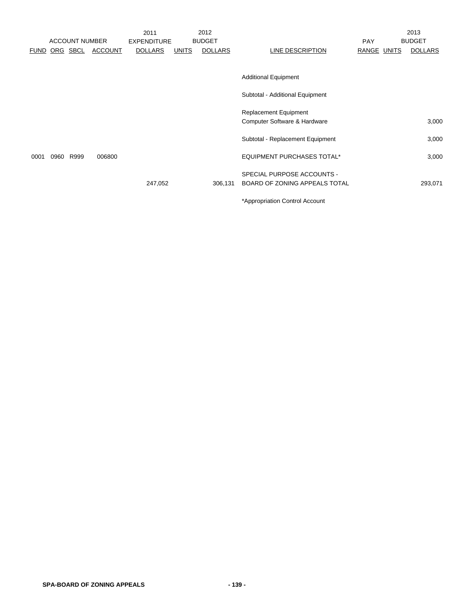|      |      |                       |                | 2011               |              | 2012           |                                   |             | 2013           |
|------|------|-----------------------|----------------|--------------------|--------------|----------------|-----------------------------------|-------------|----------------|
|      |      | <b>ACCOUNT NUMBER</b> |                | <b>EXPENDITURE</b> |              | <b>BUDGET</b>  |                                   | <b>PAY</b>  | <b>BUDGET</b>  |
|      |      | FUND ORG SBCL         | <b>ACCOUNT</b> | <b>DOLLARS</b>     | <b>UNITS</b> | <b>DOLLARS</b> | LINE DESCRIPTION                  | RANGE UNITS | <b>DOLLARS</b> |
|      |      |                       |                |                    |              |                |                                   |             |                |
|      |      |                       |                |                    |              |                | <b>Additional Equipment</b>       |             |                |
|      |      |                       |                |                    |              |                | Subtotal - Additional Equipment   |             |                |
|      |      |                       |                |                    |              |                | Replacement Equipment             |             |                |
|      |      |                       |                |                    |              |                | Computer Software & Hardware      |             | 3,000          |
|      |      |                       |                |                    |              |                | Subtotal - Replacement Equipment  |             | 3,000          |
| 0001 | 0960 | R999                  | 006800         |                    |              |                | <b>EQUIPMENT PURCHASES TOTAL*</b> |             | 3,000          |
|      |      |                       |                |                    |              |                | SPECIAL PURPOSE ACCOUNTS -        |             |                |
|      |      |                       |                | 247,052            |              | 306,131        | BOARD OF ZONING APPEALS TOTAL     |             | 293,071        |
|      |      |                       |                |                    |              |                |                                   |             |                |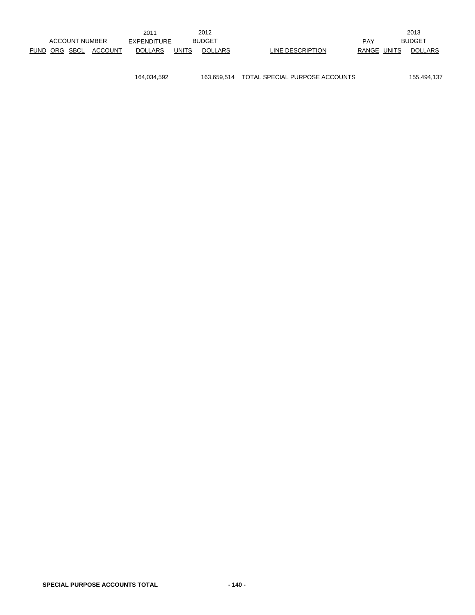|                       |                                            |  | 2011                         |                | 2012             |             |                | 2013          |
|-----------------------|--------------------------------------------|--|------------------------------|----------------|------------------|-------------|----------------|---------------|
| <b>ACCOUNT NUMBER</b> |                                            |  | <b>BUDGET</b><br>EXPENDITURE |                |                  |             | <b>PAY</b>     | <b>BUDGET</b> |
|                       | FUND ORG SBCL<br>ACCOUNT<br><b>DOLLARS</b> |  | <b>UNITS</b>                 | <b>DOLLARS</b> | LINE DESCRIPTION | RANGE UNITS | <b>DOLLARS</b> |               |

164,034,592 163,659,514 TOTAL SPECIAL PURPOSE ACCOUNTS 155,494,137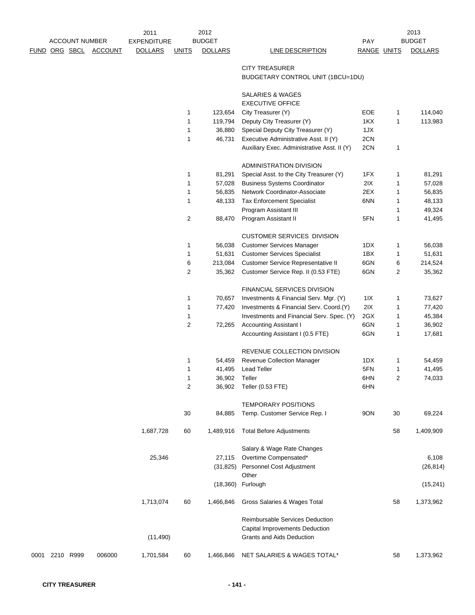|      |               | <b>ACCOUNT NUMBER</b> |                | 2011<br>EXPENDITURE |                | 2012<br><b>BUDGET</b> |                                                                          | <b>PAY</b>  |    | 2013<br><b>BUDGET</b> |
|------|---------------|-----------------------|----------------|---------------------|----------------|-----------------------|--------------------------------------------------------------------------|-------------|----|-----------------------|
|      | FUND ORG SBCL |                       | <b>ACCOUNT</b> | <b>DOLLARS</b>      | <b>UNITS</b>   | <b>DOLLARS</b>        | <b>LINE DESCRIPTION</b>                                                  | RANGE UNITS |    | <b>DOLLARS</b>        |
|      |               |                       |                |                     |                |                       | <b>CITY TREASURER</b>                                                    |             |    |                       |
|      |               |                       |                |                     |                |                       | BUDGETARY CONTROL UNIT (1BCU=1DU)                                        |             |    |                       |
|      |               |                       |                |                     |                |                       | SALARIES & WAGES<br><b>EXECUTIVE OFFICE</b>                              |             |    |                       |
|      |               |                       |                |                     | 1              | 123,654               | City Treasurer (Y)                                                       | EOE         | 1  | 114,040               |
|      |               |                       |                |                     | 1              | 119,794               | Deputy City Treasurer (Y)                                                | 1KX         | 1  | 113,983               |
|      |               |                       |                |                     | 1              | 36,880                | Special Deputy City Treasurer (Y)                                        | 1JX         |    |                       |
|      |               |                       |                |                     | $\mathbf{1}$   | 46,731                | Executive Administrative Asst. II (Y)                                    | 2CN         |    |                       |
|      |               |                       |                |                     |                |                       | Auxiliary Exec. Administrative Asst. II (Y)                              | 2CN         | 1  |                       |
|      |               |                       |                |                     |                |                       | ADMINISTRATION DIVISION                                                  |             |    |                       |
|      |               |                       |                |                     | 1              | 81,291                | Special Asst. to the City Treasurer (Y)                                  | 1FX         | 1  | 81,291                |
|      |               |                       |                |                     | 1              | 57,028                | <b>Business Systems Coordinator</b>                                      | 2IX         | 1  | 57,028                |
|      |               |                       |                |                     | $\mathbf 1$    | 56,835                | Network Coordinator-Associate                                            | 2EX         | 1  | 56,835                |
|      |               |                       |                |                     | 1              | 48,133                | <b>Tax Enforcement Specialist</b>                                        | 6NN         | 1  | 48,133                |
|      |               |                       |                |                     |                |                       | Program Assistant III                                                    |             | 1  | 49,324                |
|      |               |                       |                |                     | 2              | 88,470                | Program Assistant II                                                     | 5FN         | 1  | 41,495                |
|      |               |                       |                |                     |                |                       | <b>CUSTOMER SERVICES DIVISION</b>                                        |             |    |                       |
|      |               |                       |                |                     | 1              | 56,038                | <b>Customer Services Manager</b>                                         | 1DX         | 1  | 56,038                |
|      |               |                       |                |                     | 1              | 51,631                | <b>Customer Services Specialist</b>                                      | 1BX         | 1  | 51,631                |
|      |               |                       |                |                     | 6              | 213,084               | Customer Service Representative II                                       | 6GN         | 6  | 214,524               |
|      |               |                       |                |                     | 2              | 35,362                | Customer Service Rep. II (0.53 FTE)                                      | 6GN         | 2  | 35,362                |
|      |               |                       |                |                     |                |                       | FINANCIAL SERVICES DIVISION                                              |             |    |                       |
|      |               |                       |                |                     | 1              | 70,657                | Investments & Financial Serv. Mgr. (Y)                                   | 11X         | 1  | 73,627                |
|      |               |                       |                |                     | 1              | 77,420                | Investments & Financial Serv. Coord.(Y)                                  | 2IX         | 1  | 77,420                |
|      |               |                       |                |                     | 1              |                       | Investments and Financial Serv. Spec. (Y)                                | 2GX         | 1  | 45,384                |
|      |               |                       |                |                     | $\overline{2}$ | 72,265                | <b>Accounting Assistant I</b>                                            | 6GN         | 1  | 36,902                |
|      |               |                       |                |                     |                |                       | Accounting Assistant I (0.5 FTE)                                         | 6GN         | 1  | 17,681                |
|      |               |                       |                |                     |                |                       | REVENUE COLLECTION DIVISION                                              |             |    |                       |
|      |               |                       |                |                     | 1              | 54,459                | Revenue Collection Manager                                               | 1DX         | 1  | 54,459                |
|      |               |                       |                |                     | 1              | 41,495                | <b>Lead Teller</b>                                                       | 5FN         | 1  | 41,495                |
|      |               |                       |                |                     | 1              | 36,902                | Teller                                                                   | 6HN         | 2  | 74,033                |
|      |               |                       |                |                     | $\overline{2}$ | 36,902                | Teller (0.53 FTE)                                                        | 6HN         |    |                       |
|      |               |                       |                |                     |                |                       | <b>TEMPORARY POSITIONS</b>                                               |             |    |                       |
|      |               |                       |                |                     | 30             | 84,885                | Temp. Customer Service Rep. I                                            | 9ON         | 30 | 69,224                |
|      |               |                       |                | 1,687,728           | 60             | 1,489,916             | <b>Total Before Adjustments</b>                                          |             | 58 | 1,409,909             |
|      |               |                       |                |                     |                |                       | Salary & Wage Rate Changes                                               |             |    |                       |
|      |               |                       |                | 25,346              |                | 27,115                | Overtime Compensated*                                                    |             |    | 6,108                 |
|      |               |                       |                |                     |                | (31, 825)             | Personnel Cost Adjustment                                                |             |    | (26, 814)             |
|      |               |                       |                |                     |                |                       | Other                                                                    |             |    |                       |
|      |               |                       |                |                     |                | (18, 360)             | Furlough                                                                 |             |    | (15, 241)             |
|      |               |                       |                | 1,713,074           | 60             | 1,466,846             | Gross Salaries & Wages Total                                             |             | 58 | 1,373,962             |
|      |               |                       |                |                     |                |                       | <b>Reimbursable Services Deduction</b><br>Capital Improvements Deduction |             |    |                       |
|      |               |                       |                | (11, 490)           |                |                       | Grants and Aids Deduction                                                |             |    |                       |
| 0001 |               | 2210 R999             | 006000         | 1,701,584           | 60             | 1,466,846             | NET SALARIES & WAGES TOTAL*                                              |             | 58 | 1,373,962             |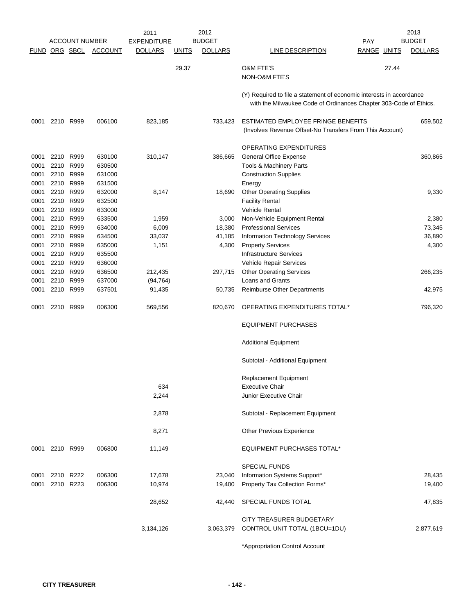|              |                | <b>ACCOUNT NUMBER</b> |                  | 2011<br><b>EXPENDITURE</b> |              | 2012<br><b>BUDGET</b> |                                                                      | <b>PAY</b>         |       | 2013<br><b>BUDGET</b> |
|--------------|----------------|-----------------------|------------------|----------------------------|--------------|-----------------------|----------------------------------------------------------------------|--------------------|-------|-----------------------|
| <b>FUND</b>  | ORG SBCL       |                       | <b>ACCOUNT</b>   | <b>DOLLARS</b>             | <u>UNITS</u> | <b>DOLLARS</b>        | LINE DESCRIPTION                                                     | <b>RANGE UNITS</b> |       | <b>DOLLARS</b>        |
|              |                |                       |                  |                            | 29.37        |                       | <b>O&amp;M FTE'S</b>                                                 |                    | 27.44 |                       |
|              |                |                       |                  |                            |              |                       | NON-O&M FTE'S                                                        |                    |       |                       |
|              |                |                       |                  |                            |              |                       |                                                                      |                    |       |                       |
|              |                |                       |                  |                            |              |                       | (Y) Required to file a statement of economic interests in accordance |                    |       |                       |
|              |                |                       |                  |                            |              |                       | with the Milwaukee Code of Ordinances Chapter 303-Code of Ethics.    |                    |       |                       |
| 0001         | 2210 R999      |                       | 006100           | 823,185                    |              | 733,423               | ESTIMATED EMPLOYEE FRINGE BENEFITS                                   |                    |       | 659,502               |
|              |                |                       |                  |                            |              |                       | (Involves Revenue Offset-No Transfers From This Account)             |                    |       |                       |
|              |                |                       |                  |                            |              |                       |                                                                      |                    |       |                       |
|              |                |                       |                  |                            |              |                       | OPERATING EXPENDITURES                                               |                    |       |                       |
| 0001         | 2210<br>2210   | R999<br>R999          | 630100           | 310,147                    |              | 386,665               | <b>General Office Expense</b><br>Tools & Machinery Parts             |                    |       | 360,865               |
| 0001<br>0001 | 2210           | R999                  | 630500<br>631000 |                            |              |                       | <b>Construction Supplies</b>                                         |                    |       |                       |
| 0001         | 2210           | R999                  | 631500           |                            |              |                       | Energy                                                               |                    |       |                       |
| 0001         | 2210           | R999                  | 632000           | 8,147                      |              | 18,690                | <b>Other Operating Supplies</b>                                      |                    |       | 9,330                 |
| 0001         |                | 2210 R999             | 632500           |                            |              |                       | <b>Facility Rental</b>                                               |                    |       |                       |
| 0001         | 2210 R999      |                       | 633000           |                            |              |                       | <b>Vehicle Rental</b>                                                |                    |       |                       |
| 0001         |                | 2210 R999             | 633500           | 1,959                      |              | 3,000                 | Non-Vehicle Equipment Rental                                         |                    |       | 2,380                 |
| 0001         | 2210           | R999                  | 634000           | 6,009                      |              | 18,380                | <b>Professional Services</b>                                         |                    |       | 73,345                |
| 0001         | 2210           | R999                  | 634500           | 33,037                     |              | 41,185                | <b>Information Technology Services</b>                               |                    |       | 36,890                |
| 0001         | 2210           | R999                  | 635000           | 1,151                      |              | 4,300                 | <b>Property Services</b>                                             |                    |       | 4,300                 |
| 0001         | 2210           | R999                  | 635500           |                            |              |                       | <b>Infrastructure Services</b>                                       |                    |       |                       |
| 0001         | 2210           | R999                  | 636000           |                            |              |                       | Vehicle Repair Services                                              |                    |       |                       |
| 0001         | 2210           | R999                  | 636500           | 212,435                    |              | 297,715               | <b>Other Operating Services</b>                                      |                    |       | 266,235               |
| 0001         | 2210           | R999                  | 637000           | (94, 764)                  |              |                       | Loans and Grants                                                     |                    |       |                       |
| 0001         |                | 2210 R999             | 637501           | 91,435                     |              | 50,735                | <b>Reimburse Other Departments</b>                                   |                    |       | 42,975                |
| 0001         | 2210           | R999                  | 006300           | 569,556                    |              | 820,670               | OPERATING EXPENDITURES TOTAL*                                        |                    |       | 796,320               |
|              |                |                       |                  |                            |              |                       | <b>EQUIPMENT PURCHASES</b>                                           |                    |       |                       |
|              |                |                       |                  |                            |              |                       | <b>Additional Equipment</b>                                          |                    |       |                       |
|              |                |                       |                  |                            |              |                       | Subtotal - Additional Equipment                                      |                    |       |                       |
|              |                |                       |                  |                            |              |                       | <b>Replacement Equipment</b>                                         |                    |       |                       |
|              |                |                       |                  | 634                        |              |                       | <b>Executive Chair</b>                                               |                    |       |                       |
|              |                |                       |                  | 2,244                      |              |                       | Junior Executive Chair                                               |                    |       |                       |
|              |                |                       |                  | 2,878                      |              |                       | Subtotal - Replacement Equipment                                     |                    |       |                       |
|              |                |                       |                  | 8,271                      |              |                       | <b>Other Previous Experience</b>                                     |                    |       |                       |
|              | 0001 2210 R999 |                       | 006800           | 11,149                     |              |                       | EQUIPMENT PURCHASES TOTAL*                                           |                    |       |                       |
|              |                |                       |                  |                            |              |                       | <b>SPECIAL FUNDS</b>                                                 |                    |       |                       |
| 0001         |                | 2210 R222             | 006300           | 17,678                     |              | 23,040                | Information Systems Support*                                         |                    |       | 28,435                |
| 0001         | 2210 R223      |                       | 006300           | 10,974                     |              | 19,400                | Property Tax Collection Forms*                                       |                    |       | 19,400                |
|              |                |                       |                  | 28,652                     |              | 42,440                | SPECIAL FUNDS TOTAL                                                  |                    |       | 47,835                |
|              |                |                       |                  |                            |              |                       |                                                                      |                    |       |                       |
|              |                |                       |                  | 3,134,126                  |              |                       | CITY TREASURER BUDGETARY<br>3,063,379 CONTROL UNIT TOTAL (1BCU=1DU)  |                    |       | 2,877,619             |
|              |                |                       |                  |                            |              |                       |                                                                      |                    |       |                       |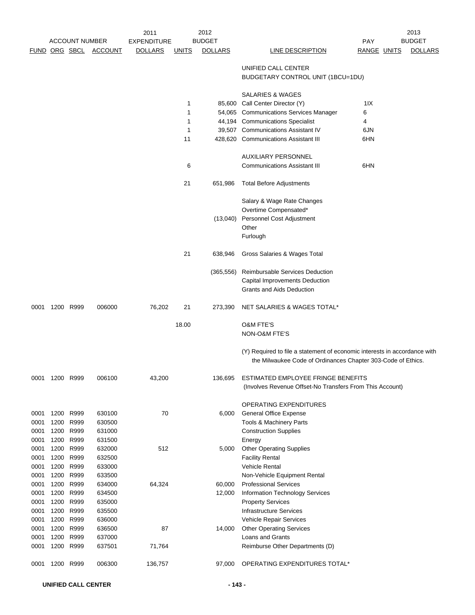|              | <b>ACCOUNT NUMBER</b> |                        |                  | 2012<br>2011       |              |                | 2013                                                                                                                                      |             |  |                |
|--------------|-----------------------|------------------------|------------------|--------------------|--------------|----------------|-------------------------------------------------------------------------------------------------------------------------------------------|-------------|--|----------------|
|              |                       |                        |                  | <b>EXPENDITURE</b> |              | <b>BUDGET</b>  |                                                                                                                                           | <b>PAY</b>  |  | <b>BUDGET</b>  |
|              | <b>FUND ORG SBCL</b>  |                        | <b>ACCOUNT</b>   | <b>DOLLARS</b>     | <u>UNITS</u> | <b>DOLLARS</b> | LINE DESCRIPTION                                                                                                                          | RANGE UNITS |  | <b>DOLLARS</b> |
|              |                       |                        |                  |                    |              |                | UNIFIED CALL CENTER<br>BUDGETARY CONTROL UNIT (1BCU=1DU)                                                                                  |             |  |                |
|              |                       |                        |                  |                    |              |                | <b>SALARIES &amp; WAGES</b>                                                                                                               |             |  |                |
|              |                       |                        |                  |                    | 1            |                | 85,600 Call Center Director (Y)                                                                                                           | 11X         |  |                |
|              |                       |                        |                  |                    | 1            |                | 54,065 Communications Services Manager                                                                                                    | 6           |  |                |
|              |                       |                        |                  |                    | 1            |                | 44,194 Communications Specialist                                                                                                          | 4           |  |                |
|              |                       |                        |                  |                    | 1            |                | 39,507 Communications Assistant IV                                                                                                        | 6JN         |  |                |
|              |                       |                        |                  |                    | 11           |                | 428,620 Communications Assistant III                                                                                                      | 6HN         |  |                |
|              |                       |                        |                  |                    |              |                | AUXILIARY PERSONNEL                                                                                                                       |             |  |                |
|              |                       |                        |                  |                    | 6            |                | <b>Communications Assistant III</b>                                                                                                       | 6HN         |  |                |
|              |                       |                        |                  |                    | 21           | 651,986        | <b>Total Before Adjustments</b>                                                                                                           |             |  |                |
|              |                       |                        |                  |                    |              |                | Salary & Wage Rate Changes                                                                                                                |             |  |                |
|              |                       |                        |                  |                    |              |                | Overtime Compensated*                                                                                                                     |             |  |                |
|              |                       |                        |                  |                    |              | (13,040)       | Personnel Cost Adjustment<br>Other                                                                                                        |             |  |                |
|              |                       |                        |                  |                    |              |                | Furlough                                                                                                                                  |             |  |                |
|              |                       |                        |                  |                    | 21           | 638,946        | Gross Salaries & Wages Total                                                                                                              |             |  |                |
|              |                       |                        |                  |                    |              |                |                                                                                                                                           |             |  |                |
|              |                       |                        |                  |                    |              | (365, 556)     | Reimbursable Services Deduction                                                                                                           |             |  |                |
|              |                       |                        |                  |                    |              |                | Capital Improvements Deduction<br><b>Grants and Aids Deduction</b>                                                                        |             |  |                |
| 0001         | 1200 R999             |                        | 006000           | 76,202             | 21           | 273,390        | NET SALARIES & WAGES TOTAL*                                                                                                               |             |  |                |
|              |                       |                        |                  |                    | 18.00        |                | <b>O&amp;M FTE'S</b>                                                                                                                      |             |  |                |
|              |                       |                        |                  |                    |              |                | NON-O&M FTE'S                                                                                                                             |             |  |                |
|              |                       |                        |                  |                    |              |                | (Y) Required to file a statement of economic interests in accordance with<br>the Milwaukee Code of Ordinances Chapter 303-Code of Ethics. |             |  |                |
| 0001         | 1200 R999             |                        | 006100           | 43,200             |              | 136,695        | ESTIMATED EMPLOYEE FRINGE BENEFITS<br>(Involves Revenue Offset-No Transfers From This Account)                                            |             |  |                |
|              |                       |                        |                  |                    |              |                | OPERATING EXPENDITURES                                                                                                                    |             |  |                |
| 0001         |                       | 1200 R999              | 630100           | 70                 |              | 6,000          | <b>General Office Expense</b>                                                                                                             |             |  |                |
| 0001         | 1200                  | R999                   | 630500           |                    |              |                | Tools & Machinery Parts                                                                                                                   |             |  |                |
| 0001         |                       | 1200 R999              | 631000           |                    |              |                | <b>Construction Supplies</b>                                                                                                              |             |  |                |
| 0001         |                       | 1200 R999              | 631500           |                    |              |                | Energy                                                                                                                                    |             |  |                |
| 0001         |                       | 1200 R999              | 632000           | 512                |              | 5,000          | <b>Other Operating Supplies</b>                                                                                                           |             |  |                |
| 0001         | 1200                  | R999                   | 632500           |                    |              |                | <b>Facility Rental</b>                                                                                                                    |             |  |                |
| 0001         |                       | 1200 R999              | 633000           |                    |              |                | Vehicle Rental                                                                                                                            |             |  |                |
| 0001         |                       | 1200 R999              | 633500           |                    |              |                | Non-Vehicle Equipment Rental                                                                                                              |             |  |                |
| 0001         | 1200                  | R999                   | 634000           | 64,324             |              | 60,000         | <b>Professional Services</b>                                                                                                              |             |  |                |
| 0001         | 1200                  | R999                   | 634500           |                    |              | 12,000         | Information Technology Services                                                                                                           |             |  |                |
| 0001         | 1200                  | R999                   | 635000           |                    |              |                | <b>Property Services</b>                                                                                                                  |             |  |                |
| 0001         |                       | 1200 R999              | 635500           |                    |              |                | <b>Infrastructure Services</b>                                                                                                            |             |  |                |
| 0001<br>0001 |                       | 1200 R999<br>1200 R999 | 636000<br>636500 | 87                 |              | 14,000         | Vehicle Repair Services                                                                                                                   |             |  |                |
| 0001         | 1200                  | R999                   | 637000           |                    |              |                | <b>Other Operating Services</b><br>Loans and Grants                                                                                       |             |  |                |
| 0001         | 1200                  | R999                   | 637501           | 71,764             |              |                | Reimburse Other Departments (D)                                                                                                           |             |  |                |
| 0001         |                       | 1200 R999              | 006300           | 136,757            |              | 97,000         | OPERATING EXPENDITURES TOTAL*                                                                                                             |             |  |                |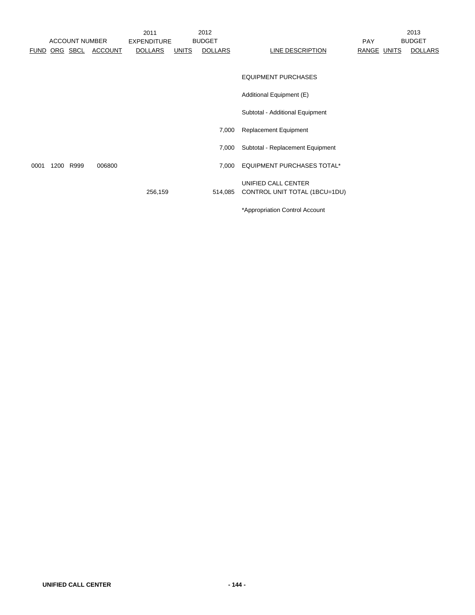|      | <b>ACCOUNT NUMBER</b> |         | 2011<br><b>EXPENDITURE</b> |              | 2012<br><b>BUDGET</b> |                                   | PAY         | 2013<br><b>BUDGET</b> |
|------|-----------------------|---------|----------------------------|--------------|-----------------------|-----------------------------------|-------------|-----------------------|
|      | <b>FUND ORG SBCL</b>  | ACCOUNT | <b>DOLLARS</b>             | <u>UNITS</u> | <b>DOLLARS</b>        | LINE DESCRIPTION                  | RANGE UNITS | <b>DOLLARS</b>        |
|      |                       |         |                            |              |                       |                                   |             |                       |
|      |                       |         |                            |              |                       | <b>EQUIPMENT PURCHASES</b>        |             |                       |
|      |                       |         |                            |              |                       | Additional Equipment (E)          |             |                       |
|      |                       |         |                            |              |                       | Subtotal - Additional Equipment   |             |                       |
|      |                       |         |                            |              | 7,000                 | <b>Replacement Equipment</b>      |             |                       |
|      |                       |         |                            |              | 7,000                 | Subtotal - Replacement Equipment  |             |                       |
| 0001 | 1200 R999             | 006800  |                            |              | 7,000                 | <b>EQUIPMENT PURCHASES TOTAL*</b> |             |                       |
|      |                       |         |                            |              |                       | UNIFIED CALL CENTER               |             |                       |
|      |                       |         | 256,159                    |              | 514,085               | CONTROL UNIT TOTAL (1BCU=1DU)     |             |                       |
|      |                       |         |                            |              |                       | *Appropriation Control Account    |             |                       |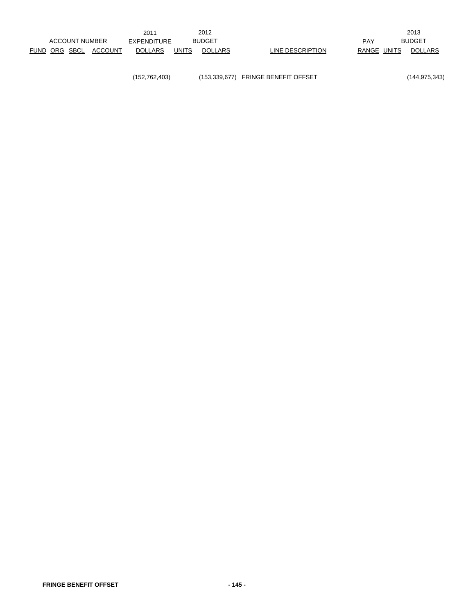(152,762,403) (153,339,677) FRINGE BENEFIT OFFSET (144,975,343)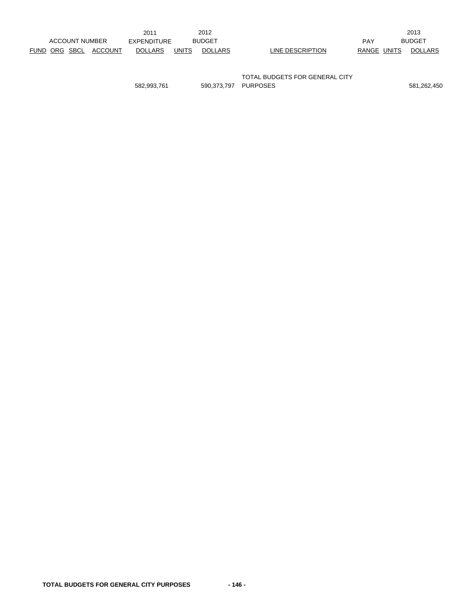|               |                       |         | 2011           |       | 2012           |                  |             | 2013           |
|---------------|-----------------------|---------|----------------|-------|----------------|------------------|-------------|----------------|
|               | <b>ACCOUNT NUMBER</b> |         | EXPENDITURE    |       | <b>BUDGET</b>  |                  | <b>PAY</b>  | <b>BUDGET</b>  |
| FUND ORG SBCL |                       | ACCOUNT | <b>DOLLARS</b> | UNITS | <b>DOLLARS</b> | LINE DESCRIPTION | RANGE UNITS | <b>DOLLARS</b> |
|               |                       |         |                |       |                |                  |             |                |
|               |                       |         |                |       |                |                  |             |                |

TOTAL BUDGETS FOR GENERAL CITY 582,993,761 590,373,797 PURPOSES 581,262,450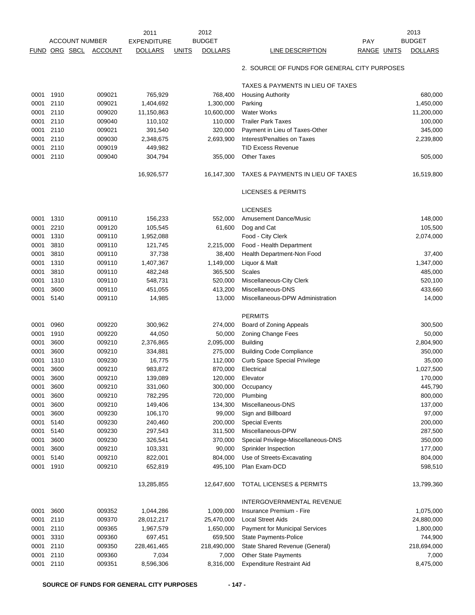|              |              |                       |                  | 2011               |              | 2012               |                                              |                    | 2013               |
|--------------|--------------|-----------------------|------------------|--------------------|--------------|--------------------|----------------------------------------------|--------------------|--------------------|
|              |              | <b>ACCOUNT NUMBER</b> |                  | <b>EXPENDITURE</b> |              | <b>BUDGET</b>      |                                              | PAY                | <b>BUDGET</b>      |
| <b>FUND</b>  | ORG SBCL     |                       | <b>ACCOUNT</b>   | <b>DOLLARS</b>     | <b>UNITS</b> | <b>DOLLARS</b>     | LINE DESCRIPTION                             | <b>RANGE UNITS</b> | <b>DOLLARS</b>     |
|              |              |                       |                  |                    |              |                    | 2. SOURCE OF FUNDS FOR GENERAL CITY PURPOSES |                    |                    |
|              |              |                       |                  |                    |              |                    | TAXES & PAYMENTS IN LIEU OF TAXES            |                    |                    |
| 0001         | 1910         |                       | 009021           | 765,929            |              | 768,400            | <b>Housing Authority</b>                     |                    | 680,000            |
| 0001         | 2110         |                       | 009021           | 1,404,692          |              | 1,300,000          | Parking                                      |                    | 1,450,000          |
| 0001         | 2110         |                       | 009020           | 11,150,863         |              | 10,600,000         | <b>Water Works</b>                           |                    | 11,200,000         |
| 0001         | 2110         |                       | 009040           | 110,102            |              | 110,000            | <b>Trailer Park Taxes</b>                    |                    | 100,000            |
| 0001         | 2110         |                       | 009021           | 391,540            |              | 320,000            | Payment in Lieu of Taxes-Other               |                    | 345,000            |
| 0001         | 2110         |                       | 009030           | 2,348,675          |              | 2,693,900          | Interest/Penalties on Taxes                  |                    | 2,239,800          |
| 0001         | 2110         |                       | 009019           | 449,982            |              |                    | <b>TID Excess Revenue</b>                    |                    |                    |
| 0001         | 2110         |                       | 009040           | 304,794            |              | 355,000            | <b>Other Taxes</b>                           |                    | 505,000            |
|              |              |                       |                  | 16,926,577         |              | 16,147,300         | TAXES & PAYMENTS IN LIEU OF TAXES            |                    | 16,519,800         |
|              |              |                       |                  |                    |              |                    | <b>LICENSES &amp; PERMITS</b>                |                    |                    |
|              |              |                       |                  |                    |              |                    | <b>LICENSES</b>                              |                    |                    |
| 0001         | 1310         |                       | 009110           | 156,233            |              | 552,000            | <b>Amusement Dance/Music</b>                 |                    | 148,000            |
| 0001         | 2210         |                       | 009120           | 105,545            |              | 61,600             | Dog and Cat                                  |                    | 105,500            |
| 0001         | 1310         |                       | 009110           | 1,952,088          |              |                    | Food - City Clerk                            |                    | 2,074,000          |
| 0001         | 3810         |                       | 009110           | 121,745            |              | 2,215,000          | Food - Health Department                     |                    |                    |
| 0001         | 3810         |                       | 009110           | 37,738             |              | 38,400             | Health Department-Non Food                   |                    | 37,400             |
| 0001         | 1310         |                       | 009110           | 1,407,367          |              | 1,149,000          | Liquor & Malt                                |                    | 1,347,000          |
| 0001         | 3810         |                       | 009110           | 482,248            |              | 365,500            | <b>Scales</b>                                |                    | 485,000            |
| 0001         | 1310         |                       | 009110           | 548,731            |              | 520,000            | Miscellaneous-City Clerk                     |                    | 520,100            |
| 0001         | 3600         |                       | 009110           | 451,055            |              | 413,200            | Miscellaneous-DNS                            |                    | 433,660            |
| 0001         | 5140         |                       | 009110           | 14,985             |              | 13,000             | Miscellaneous-DPW Administration             |                    | 14,000             |
|              |              |                       |                  |                    |              |                    | <b>PERMITS</b>                               |                    |                    |
| 0001         | 0960         |                       | 009220           | 300,962            |              | 274,000            | Board of Zoning Appeals                      |                    | 300,500            |
| 0001         | 1910         |                       | 009220           | 44,050             |              | 50,000             | Zoning Change Fees                           |                    | 50,000             |
| 0001         | 3600         |                       | 009210           | 2,376,865          |              | 2,095,000          | <b>Building</b>                              |                    | 2,804,900          |
| 0001         | 3600         |                       | 009210           | 334,881            |              | 275,000            | <b>Building Code Compliance</b>              |                    | 350,000            |
| 0001         | 1310         |                       | 009230           | 16,775             |              | 112,000            | <b>Curb Space Special Privilege</b>          |                    | 35,000             |
| 0001         | 3600         |                       | 009210           | 983,872            |              | 870,000            | Electrical                                   |                    | 1,027,500          |
| 0001         | 3600         |                       | 009210           | 139,089            |              | 120,000            | Elevator                                     |                    | 170,000            |
| 0001         | 3600         |                       | 009210           | 331,060            |              | 300,000            | Occupancy                                    |                    | 445,790            |
| 0001         | 3600         |                       | 009210           | 782,295            |              | 720,000            | Plumbing                                     |                    | 800,000            |
| 0001         | 3600         |                       | 009210           | 149,406            |              | 134,300            | Miscellaneous-DNS                            |                    | 137,000            |
| 0001         | 3600         |                       | 009230           | 106,170            |              | 99,000             | Sign and Billboard                           |                    | 97,000             |
| 0001<br>0001 | 5140<br>5140 |                       | 009230<br>009230 | 240,460<br>297,543 |              | 200,000<br>311,500 | <b>Special Events</b><br>Miscellaneous-DPW   |                    | 200,000<br>287,500 |
| 0001         | 3600         |                       | 009230           | 326,541            |              | 370,000            | Special Privilege-Miscellaneous-DNS          |                    | 350,000            |
| 0001         | 3600         |                       | 009210           | 103,331            |              | 90,000             | Sprinkler Inspection                         |                    | 177,000            |
| 0001         | 5140         |                       | 009210           | 822,001            |              | 804,000            | Use of Streets-Excavating                    |                    | 804,000            |
| 0001         | 1910         |                       | 009210           | 652,819            |              | 495,100            | Plan Exam-DCD                                |                    | 598,510            |
|              |              |                       |                  | 13,285,855         |              | 12,647,600         | <b>TOTAL LICENSES &amp; PERMITS</b>          |                    | 13,799,360         |
|              |              |                       |                  |                    |              |                    | INTERGOVERNMENTAL REVENUE                    |                    |                    |
| 0001         | 3600         |                       | 009352           | 1,044,286          |              | 1,009,000          | Insurance Premium - Fire                     |                    | 1,075,000          |
| 0001         | 2110         |                       | 009370           | 28,012,217         |              | 25,470,000         | <b>Local Street Aids</b>                     |                    | 24,880,000         |
| 0001         | 2110         |                       | 009365           | 1,967,579          |              | 1,650,000          | Payment for Municipal Services               |                    | 1,800,000          |
| 0001         | 3310         |                       | 009360           | 697,451            |              | 659,500            | State Payments-Police                        |                    | 744,900            |
| 0001         | 2110         |                       | 009350           | 228,461,465        |              | 218,490,000        | State Shared Revenue (General)               |                    | 218,694,000        |
| 0001         | 2110         |                       | 009360           | 7,034              |              | 7,000              | Other State Payments                         |                    | 7,000              |
| 0001         | 2110         |                       | 009351           | 8,596,306          |              | 8,316,000          | <b>Expenditure Restraint Aid</b>             |                    | 8,475,000          |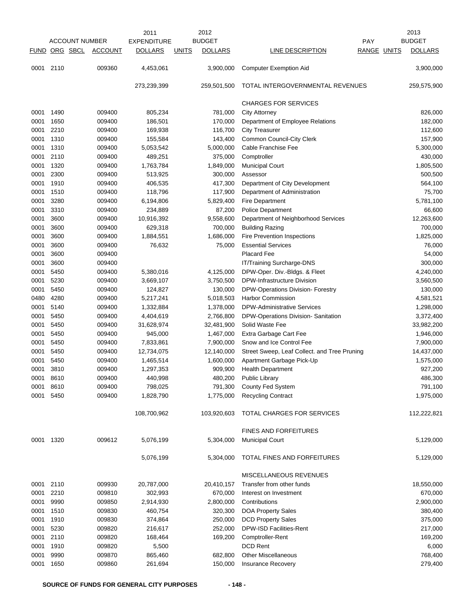|              |               |                       |                  | 2011                   |              | 2012                   |                                                              |             | 2013              |
|--------------|---------------|-----------------------|------------------|------------------------|--------------|------------------------|--------------------------------------------------------------|-------------|-------------------|
|              |               | <b>ACCOUNT NUMBER</b> |                  | <b>EXPENDITURE</b>     |              | <b>BUDGET</b>          |                                                              | <b>PAY</b>  | <b>BUDGET</b>     |
|              | FUND ORG SBCL |                       | <b>ACCOUNT</b>   | <b>DOLLARS</b>         | <b>UNITS</b> | <b>DOLLARS</b>         | <b>LINE DESCRIPTION</b>                                      | RANGE UNITS | <b>DOLLARS</b>    |
| 0001         | 2110          |                       | 009360           | 4,453,061              |              | 3,900,000              | <b>Computer Exemption Aid</b>                                |             | 3,900,000         |
|              |               |                       |                  | 273,239,399            |              | 259,501,500            | TOTAL INTERGOVERNMENTAL REVENUES                             |             | 259,575,900       |
|              |               |                       |                  |                        |              |                        | <b>CHARGES FOR SERVICES</b>                                  |             |                   |
| 0001         | 1490          |                       | 009400           | 805,234                |              | 781,000                | <b>City Attorney</b>                                         |             | 826,000           |
| 0001         | 1650          |                       | 009400           | 186,501                |              | 170,000                | Department of Employee Relations                             |             | 182,000           |
| 0001         | 2210          |                       | 009400           | 169,938                |              | 116,700                | <b>City Treasurer</b>                                        |             | 112,600           |
| 0001         | 1310          |                       | 009400           | 155,584                |              | 143,400                | Common Council-City Clerk                                    |             | 157,900           |
| 0001         | 1310          |                       | 009400           | 5,053,542              |              | 5,000,000              | Cable Franchise Fee                                          |             | 5,300,000         |
| 0001         | 2110          |                       | 009400           | 489,251                |              | 375,000                | Comptroller                                                  |             | 430,000           |
| 0001         | 1320          |                       | 009400           | 1,763,784              |              | 1,849,000              | <b>Municipal Court</b>                                       |             | 1,805,500         |
| 0001         | 2300          |                       | 009400           | 513,925                |              | 300,000                | Assessor                                                     |             | 500,500           |
| 0001         | 1910          |                       | 009400           | 406,535                |              | 417,300                | Department of City Development                               |             | 564,100           |
| 0001         | 1510          |                       | 009400           | 118,796                |              | 117,900                | Department of Administration                                 |             | 75,700            |
| 0001         | 3280          |                       | 009400           | 6,194,806              |              | 5,829,400              | <b>Fire Department</b>                                       |             | 5,781,100         |
| 0001         | 3310          |                       | 009400           | 234,889                |              | 87,200                 | Police Department                                            |             | 66,600            |
| 0001         | 3600          |                       | 009400           | 10,916,392             |              | 9,558,600              | Department of Neighborhood Services                          |             | 12,263,600        |
| 0001         | 3600          |                       | 009400           | 629,318                |              | 700,000                | <b>Building Razing</b>                                       |             | 700,000           |
| 0001         | 3600          |                       | 009400           | 1,884,551              |              | 1,686,000              | Fire Prevention Inspections                                  |             | 1,825,000         |
| 0001         | 3600          |                       | 009400           | 76,632                 |              | 75,000                 | <b>Essential Services</b>                                    |             | 76,000            |
| 0001<br>0001 | 3600<br>3600  |                       | 009400<br>009400 |                        |              |                        | <b>Placard Fee</b>                                           |             | 54,000<br>300,000 |
| 0001         | 5450          |                       |                  |                        |              |                        | IT/Training Surcharge-DNS                                    |             | 4,240,000         |
| 0001         | 5230          |                       | 009400<br>009400 | 5,380,016<br>3,669,107 |              | 4,125,000<br>3,750,500 | DPW-Oper. Div.-Bldgs. & Fleet<br>DPW-Infrastructure Division |             | 3,560,500         |
| 0001         | 5450          |                       | 009400           | 124,827                |              | 130,000                | DPW-Operations Division- Forestry                            |             | 130,000           |
| 0480         | 4280          |                       | 009400           | 5,217,241              |              | 5,018,503              | <b>Harbor Commission</b>                                     |             | 4,581,521         |
| 0001         | 5140          |                       | 009400           | 1,332,884              |              | 1,378,000              | <b>DPW-Administrative Services</b>                           |             | 1,298,000         |
| 0001         | 5450          |                       | 009400           | 4,404,619              |              | 2,766,800              | DPW-Operations Division- Sanitation                          |             | 3,372,400         |
| 0001         | 5450          |                       | 009400           | 31,628,974             |              | 32,481,900             | Solid Waste Fee                                              |             | 33,982,200        |
| 0001         | 5450          |                       | 009400           | 945,000                |              | 1,467,000              | Extra Garbage Cart Fee                                       |             | 1,946,000         |
| 0001         | 5450          |                       | 009400           | 7,833,861              |              | 7,900,000              | Snow and Ice Control Fee                                     |             | 7,900,000         |
| 0001         | 5450          |                       | 009400           | 12,734,075             |              | 12,140,000             | Street Sweep, Leaf Collect. and Tree Pruning                 |             | 14,437,000        |
| 0001         | 5450          |                       | 009400           | 1,465,514              |              | 1,600,000              | Apartment Garbage Pick-Up                                    |             | 1,575,000         |
| 0001         | 3810          |                       | 009400           | 1,297,353              |              | 909,900                | <b>Health Department</b>                                     |             | 927,200           |
| 0001         | 8610          |                       | 009400           | 440,998                |              | 480,200                | <b>Public Library</b>                                        |             | 486,300           |
| 0001         | 8610          |                       | 009400           | 798,025                |              | 791,300                | County Fed System                                            |             | 791,100           |
| 0001         | 5450          |                       | 009400           | 1,828,790              |              | 1,775,000              | <b>Recycling Contract</b>                                    |             | 1,975,000         |
|              |               |                       |                  | 108,700,962            |              | 103,920,603            | TOTAL CHARGES FOR SERVICES                                   |             | 112,222,821       |
|              |               |                       |                  |                        |              |                        | <b>FINES AND FORFEITURES</b>                                 |             |                   |
| 0001 1320    |               |                       | 009612           | 5,076,199              |              | 5,304,000              | <b>Municipal Court</b>                                       |             | 5,129,000         |
|              |               |                       |                  | 5,076,199              |              | 5,304,000              | TOTAL FINES AND FORFEITURES                                  |             | 5,129,000         |
|              |               |                       |                  |                        |              |                        | MISCELLANEOUS REVENUES                                       |             |                   |
| 0001         | 2110          |                       | 009930           | 20,787,000             |              | 20,410,157             | Transfer from other funds                                    |             | 18,550,000        |
| 0001         | 2210          |                       | 009810           | 302,993                |              | 670,000                | Interest on Investment                                       |             | 670,000           |
| 0001         | 9990          |                       | 009850           | 2,914,930              |              | 2,800,000              | Contributions                                                |             | 2,900,000         |
| 0001         | 1510          |                       | 009830           | 460,754                |              | 320,300                | DOA Property Sales                                           |             | 380,400           |
| 0001         | 1910          |                       | 009830           | 374,864                |              | 250,000                | <b>DCD Property Sales</b>                                    |             | 375,000           |
| 0001         | 5230          |                       | 009820           | 216,617                |              | 252,000                | DPW-ISD Facilities-Rent                                      |             | 217,000           |
| 0001         | 2110          |                       | 009820           | 168,464                |              | 169,200                | Comptroller-Rent<br><b>DCD Rent</b>                          |             | 169,200           |
| 0001<br>0001 | 1910<br>9990  |                       | 009820<br>009870 | 5,500<br>865,460       |              | 682,800                | <b>Other Miscellaneous</b>                                   |             | 6,000<br>768,400  |
| 0001         | 1650          |                       | 009860           | 261,694                |              | 150,000                | Insurance Recovery                                           |             | 279,400           |
|              |               |                       |                  |                        |              |                        |                                                              |             |                   |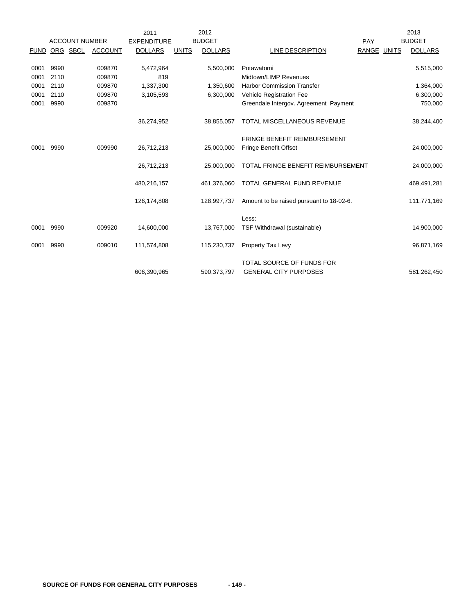|             |          |                       |                | 2011               |              | 2012           |                                          |             | 2013           |
|-------------|----------|-----------------------|----------------|--------------------|--------------|----------------|------------------------------------------|-------------|----------------|
|             |          | <b>ACCOUNT NUMBER</b> |                | <b>EXPENDITURE</b> |              | <b>BUDGET</b>  |                                          | PAY         | <b>BUDGET</b>  |
| <b>FUND</b> | ORG SBCL |                       | <b>ACCOUNT</b> | <b>DOLLARS</b>     | <b>UNITS</b> | <b>DOLLARS</b> | LINE DESCRIPTION                         | RANGE UNITS | <b>DOLLARS</b> |
|             |          |                       |                |                    |              |                |                                          |             |                |
| 0001        | 9990     |                       | 009870         | 5,472,964          |              | 5,500,000      | Potawatomi                               |             | 5,515,000      |
| 0001        | 2110     |                       | 009870         | 819                |              |                | Midtown/LIMP Revenues                    |             |                |
| 0001        | 2110     |                       | 009870         | 1,337,300          |              | 1,350,600      | <b>Harbor Commission Transfer</b>        |             | 1,364,000      |
| 0001        | 2110     |                       | 009870         | 3,105,593          |              | 6,300,000      | Vehicle Registration Fee                 |             | 6,300,000      |
| 0001        | 9990     |                       | 009870         |                    |              |                | Greendale Intergov. Agreement Payment    |             | 750,000        |
|             |          |                       |                |                    |              |                |                                          |             |                |
|             |          |                       |                | 36,274,952         |              | 38,855,057     | <b>TOTAL MISCELLANEOUS REVENUE</b>       |             | 38,244,400     |
|             |          |                       |                |                    |              |                | <b>FRINGE BENEFIT REIMBURSEMENT</b>      |             |                |
| 0001        | 9990     |                       | 009990         | 26,712,213         |              | 25,000,000     | <b>Fringe Benefit Offset</b>             |             | 24,000,000     |
|             |          |                       |                |                    |              |                |                                          |             |                |
|             |          |                       |                | 26,712,213         |              | 25,000,000     | TOTAL FRINGE BENEFIT REIMBURSEMENT       |             | 24,000,000     |
|             |          |                       |                | 480,216,157        |              | 461,376,060    | TOTAL GENERAL FUND REVENUE               |             | 469,491,281    |
|             |          |                       |                |                    |              |                |                                          |             |                |
|             |          |                       |                | 126,174,808        |              | 128,997,737    | Amount to be raised pursuant to 18-02-6. |             | 111,771,169    |
|             |          |                       |                |                    |              |                |                                          |             |                |
|             |          |                       |                |                    |              |                | Less:                                    |             |                |
| 0001        | 9990     |                       | 009920         | 14,600,000         |              | 13,767,000     | TSF Withdrawal (sustainable)             |             | 14,900,000     |
| 0001        | 9990     |                       | 009010         | 111,574,808        |              | 115,230,737    | Property Tax Levy                        |             | 96,871,169     |
|             |          |                       |                |                    |              |                |                                          |             |                |
|             |          |                       |                |                    |              |                | TOTAL SOURCE OF FUNDS FOR                |             |                |
|             |          |                       |                | 606,390,965        |              | 590.373.797    | <b>GENERAL CITY PURPOSES</b>             |             | 581,262,450    |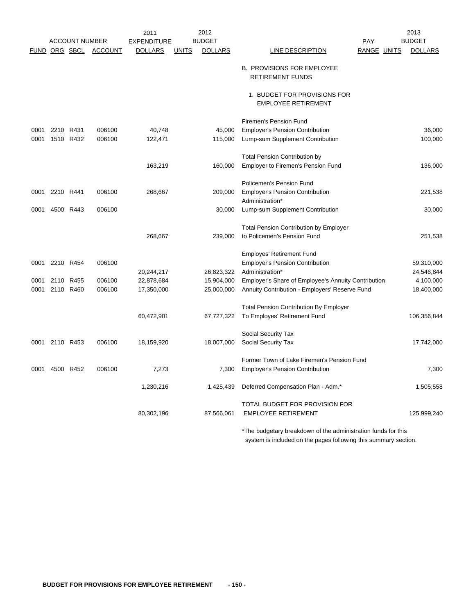|               |           |                       |                  | 2011                                 |              | 2012                            |                                                               | 2013                            |       |
|---------------|-----------|-----------------------|------------------|--------------------------------------|--------------|---------------------------------|---------------------------------------------------------------|---------------------------------|-------|
| FUND ORG SBCL |           | <b>ACCOUNT NUMBER</b> | <b>ACCOUNT</b>   | <b>EXPENDITURE</b><br><b>DOLLARS</b> | <b>UNITS</b> | <b>BUDGET</b><br><b>DOLLARS</b> | PAY<br>RANGE UNITS<br>LINE DESCRIPTION                        | <b>BUDGET</b><br><b>DOLLARS</b> |       |
|               |           |                       |                  |                                      |              |                                 |                                                               |                                 |       |
|               |           |                       |                  |                                      |              |                                 | <b>B. PROVISIONS FOR EMPLOYEE</b>                             |                                 |       |
|               |           |                       |                  |                                      |              |                                 | <b>RETIREMENT FUNDS</b>                                       |                                 |       |
|               |           |                       |                  |                                      |              |                                 | 1. BUDGET FOR PROVISIONS FOR                                  |                                 |       |
|               |           |                       |                  |                                      |              |                                 | <b>EMPLOYEE RETIREMENT</b>                                    |                                 |       |
|               |           |                       |                  |                                      |              |                                 |                                                               |                                 |       |
|               |           |                       |                  |                                      |              |                                 | Firemen's Pension Fund                                        |                                 |       |
| 0001          | 2210 R431 |                       | 006100<br>006100 | 40,748                               |              | 45,000                          | <b>Employer's Pension Contribution</b>                        | 36,000<br>100,000               |       |
| 0001          |           | 1510 R432             |                  | 122,471                              |              | 115,000                         | Lump-sum Supplement Contribution                              |                                 |       |
|               |           |                       |                  |                                      |              |                                 | <b>Total Pension Contribution by</b>                          |                                 |       |
|               |           |                       |                  | 163,219                              |              | 160,000                         | Employer to Firemen's Pension Fund                            | 136,000                         |       |
|               |           |                       |                  |                                      |              |                                 |                                                               |                                 |       |
|               |           |                       | 006100           |                                      |              |                                 | Policemen's Pension Fund                                      |                                 |       |
| 0001          | 2210 R441 |                       |                  | 268,667                              |              | 209,000                         | <b>Employer's Pension Contribution</b><br>Administration*     | 221,538                         |       |
| 0001          |           | 4500 R443             | 006100           |                                      |              | 30,000                          | Lump-sum Supplement Contribution                              | 30,000                          |       |
|               |           |                       |                  |                                      |              |                                 |                                                               |                                 |       |
|               |           |                       |                  |                                      |              |                                 | <b>Total Pension Contribution by Employer</b>                 |                                 |       |
|               |           |                       |                  | 268,667                              |              | 239,000                         | to Policemen's Pension Fund                                   | 251,538                         |       |
|               |           |                       |                  |                                      |              |                                 | <b>Employes' Retirement Fund</b>                              |                                 |       |
| 0001          |           | 2210 R454             | 006100           |                                      |              |                                 | <b>Employer's Pension Contribution</b>                        | 59,310,000                      |       |
|               |           |                       |                  | 20,244,217                           |              | 26,823,322                      | Administration*                                               | 24,546,844                      |       |
| 0001          |           | 2110 R455             | 006100           | 22,878,684                           |              | 15,904,000                      | Employer's Share of Employee's Annuity Contribution           | 4,100,000                       |       |
| 0001          |           | 2110 R460             | 006100           | 17,350,000                           |              | 25,000,000                      | Annuity Contribution - Employers' Reserve Fund                | 18,400,000                      |       |
|               |           |                       |                  |                                      |              |                                 | <b>Total Pension Contribution By Employer</b>                 |                                 |       |
|               |           |                       |                  | 60,472,901                           |              | 67,727,322                      | To Employes' Retirement Fund                                  | 106,356,844                     |       |
|               |           |                       |                  |                                      |              |                                 |                                                               |                                 |       |
|               |           |                       |                  |                                      |              |                                 | Social Security Tax                                           |                                 |       |
| 0001          |           | 2110 R453             | 006100           | 18,159,920                           |              | 18,007,000                      | Social Security Tax                                           | 17,742,000                      |       |
|               |           |                       |                  |                                      |              |                                 | Former Town of Lake Firemen's Pension Fund                    |                                 |       |
| 0001          |           | 4500 R452             | 006100           | 7,273                                |              | 7,300                           | <b>Employer's Pension Contribution</b>                        |                                 | 7,300 |
|               |           |                       |                  |                                      |              |                                 |                                                               |                                 |       |
|               |           |                       |                  | 1,230,216                            |              | 1,425,439                       | Deferred Compensation Plan - Adm.*                            | 1,505,558                       |       |
|               |           |                       |                  |                                      |              |                                 | TOTAL BUDGET FOR PROVISION FOR                                |                                 |       |
|               |           |                       |                  | 80,302,196                           |              | 87,566,061                      | <b>EMPLOYEE RETIREMENT</b>                                    | 125,999,240                     |       |
|               |           |                       |                  |                                      |              |                                 |                                                               |                                 |       |
|               |           |                       |                  |                                      |              |                                 | *The budgetary breakdown of the administration funds for this |                                 |       |

system is included on the pages following this summary section.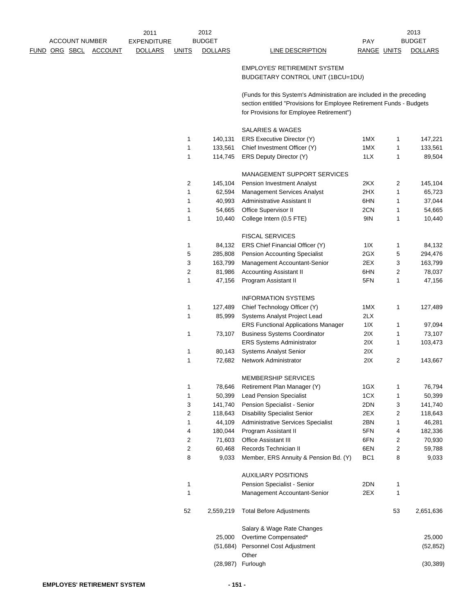|  | <b>ACCOUNT NUMBER</b> |                | 2011<br><b>EXPENDITURE</b> |              | 2012<br><b>BUDGET</b> |                                                                                                                                                                                           | PAY             |    | 2013<br><b>BUDGET</b> |
|--|-----------------------|----------------|----------------------------|--------------|-----------------------|-------------------------------------------------------------------------------------------------------------------------------------------------------------------------------------------|-----------------|----|-----------------------|
|  | <u>FUND ORG SBCL</u>  | <b>ACCOUNT</b> | <b>DOLLARS</b>             | <b>UNITS</b> | <b>DOLLARS</b>        | <b>LINE DESCRIPTION</b>                                                                                                                                                                   | RANGE UNITS     |    | <b>DOLLARS</b>        |
|  |                       |                |                            |              |                       | <b>EMPLOYES' RETIREMENT SYSTEM</b><br>BUDGETARY CONTROL UNIT (1BCU=1DU)                                                                                                                   |                 |    |                       |
|  |                       |                |                            |              |                       | (Funds for this System's Administration are included in the preceding<br>section entitled "Provisions for Employee Retirement Funds - Budgets<br>for Provisions for Employee Retirement") |                 |    |                       |
|  |                       |                |                            |              |                       | SALARIES & WAGES                                                                                                                                                                          |                 |    |                       |
|  |                       |                |                            | 1            | 140,131               | ERS Executive Director (Y)                                                                                                                                                                | 1MX             | 1  | 147,221               |
|  |                       |                |                            | 1            | 133,561               | Chief Investment Officer (Y)                                                                                                                                                              | 1MX             | 1  | 133,561               |
|  |                       |                |                            | 1            | 114,745               | ERS Deputy Director (Y)                                                                                                                                                                   | 1LX             | 1  | 89,504                |
|  |                       |                |                            |              |                       | MANAGEMENT SUPPORT SERVICES                                                                                                                                                               |                 |    |                       |
|  |                       |                |                            | 2            | 145,104               | Pension Investment Analyst                                                                                                                                                                | 2KX             | 2  | 145,104               |
|  |                       |                |                            | 1            | 62,594                | <b>Management Services Analyst</b>                                                                                                                                                        | 2HX             | 1  | 65,723                |
|  |                       |                |                            | 1            | 40,993                | Administrative Assistant II                                                                                                                                                               | 6HN             | 1  | 37,044                |
|  |                       |                |                            | 1            | 54,665                | Office Supervisor II                                                                                                                                                                      | 2CN             | 1  | 54,665                |
|  |                       |                |                            | 1            | 10,440                | College Intern (0.5 FTE)                                                                                                                                                                  | 9IN             | 1  | 10,440                |
|  |                       |                |                            |              |                       | <b>FISCAL SERVICES</b>                                                                                                                                                                    |                 |    |                       |
|  |                       |                |                            | 1            | 84,132                | ERS Chief Financial Officer (Y)                                                                                                                                                           | 11X             | 1  | 84,132                |
|  |                       |                |                            | 5            | 285,808               | <b>Pension Accounting Specialist</b>                                                                                                                                                      | 2GX             | 5  | 294,476               |
|  |                       |                |                            | 3            | 163,799               | Management Accountant-Senior                                                                                                                                                              | 2EX             | 3  | 163,799               |
|  |                       |                |                            | 2            | 81,986                | <b>Accounting Assistant II</b>                                                                                                                                                            | 6HN             | 2  | 78,037                |
|  |                       |                |                            | 1            | 47,156                | Program Assistant II                                                                                                                                                                      | 5FN             | 1  | 47,156                |
|  |                       |                |                            |              |                       | <b>INFORMATION SYSTEMS</b>                                                                                                                                                                |                 |    |                       |
|  |                       |                |                            | 1            | 127,489               | Chief Technology Officer (Y)                                                                                                                                                              | 1MX             | 1  | 127,489               |
|  |                       |                |                            | 1            | 85,999                | Systems Analyst Project Lead                                                                                                                                                              | 2LX             |    |                       |
|  |                       |                |                            |              |                       | <b>ERS Functional Applications Manager</b>                                                                                                                                                | 11X             | 1  | 97,094                |
|  |                       |                |                            | 1            | 73,107                | <b>Business Systems Coordinator</b>                                                                                                                                                       | 2IX             | 1  | 73,107                |
|  |                       |                |                            |              |                       | <b>ERS Systems Administrator</b>                                                                                                                                                          | 2IX             | 1  | 103,473               |
|  |                       |                |                            | 1            | 80,143                | <b>Systems Analyst Senior</b>                                                                                                                                                             | 2IX             |    |                       |
|  |                       |                |                            | 1            | 72,682                | Network Administrator                                                                                                                                                                     | 2IX             | 2  | 143,667               |
|  |                       |                |                            |              |                       | MEMBERSHIP SERVICES                                                                                                                                                                       |                 |    |                       |
|  |                       |                |                            | 1            | 78,646                | Retirement Plan Manager (Y)                                                                                                                                                               | 1GX             | 1  | 76,794                |
|  |                       |                |                            | 1            | 50,399                | <b>Lead Pension Specialist</b>                                                                                                                                                            | 1CX             | 1  | 50,399                |
|  |                       |                |                            | 3            | 141,740               | Pension Specialist - Senior                                                                                                                                                               | 2DN             | 3  | 141,740               |
|  |                       |                |                            | 2            | 118,643               | <b>Disability Specialist Senior</b>                                                                                                                                                       | 2EX             | 2  | 118,643               |
|  |                       |                |                            | 1            | 44,109                | <b>Administrative Services Specialist</b>                                                                                                                                                 | 2BN             | 1  | 46,281                |
|  |                       |                |                            | 4            | 180,044               | Program Assistant II                                                                                                                                                                      | 5FN             | 4  | 182,336               |
|  |                       |                |                            | 2            | 71,603                | Office Assistant III                                                                                                                                                                      | 6FN             | 2  | 70,930                |
|  |                       |                |                            | 2            | 60,468                | Records Technician II                                                                                                                                                                     | 6EN             | 2  | 59,788                |
|  |                       |                |                            | 8            | 9,033                 | Member, ERS Annuity & Pension Bd. (Y)                                                                                                                                                     | BC <sub>1</sub> | 8  | 9,033                 |
|  |                       |                |                            |              |                       | <b>AUXILIARY POSITIONS</b>                                                                                                                                                                |                 |    |                       |
|  |                       |                |                            | 1            |                       | Pension Specialist - Senior                                                                                                                                                               | 2DN             | 1  |                       |
|  |                       |                |                            | 1            |                       | Management Accountant-Senior                                                                                                                                                              | 2EX             | 1  |                       |
|  |                       |                |                            | 52           | 2,559,219             | <b>Total Before Adjustments</b>                                                                                                                                                           |                 | 53 | 2,651,636             |
|  |                       |                |                            |              |                       | Salary & Wage Rate Changes                                                                                                                                                                |                 |    |                       |
|  |                       |                |                            |              | 25,000                | Overtime Compensated*                                                                                                                                                                     |                 |    | 25,000                |
|  |                       |                |                            |              | (51,684)              | Personnel Cost Adjustment                                                                                                                                                                 |                 |    | (52, 852)             |
|  |                       |                |                            |              |                       | Other                                                                                                                                                                                     |                 |    |                       |
|  |                       |                |                            |              | (28, 987)             | Furlough                                                                                                                                                                                  |                 |    | (30, 389)             |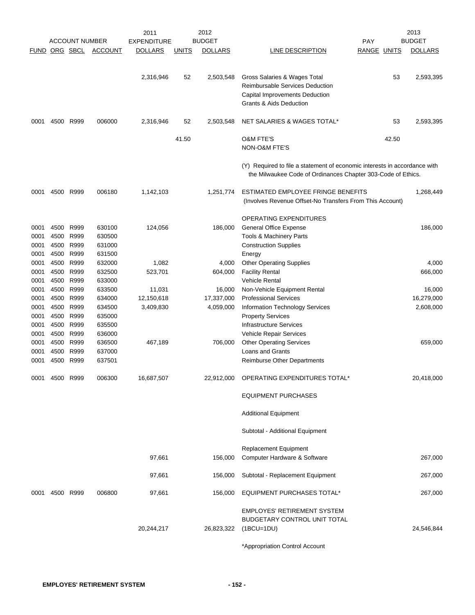|                      |                      |                       |                            | 2011               |              | 2012           |                                                                                                                                           |                    |       | 2013           |
|----------------------|----------------------|-----------------------|----------------------------|--------------------|--------------|----------------|-------------------------------------------------------------------------------------------------------------------------------------------|--------------------|-------|----------------|
|                      |                      | <b>ACCOUNT NUMBER</b> |                            | <b>EXPENDITURE</b> |              | <b>BUDGET</b>  |                                                                                                                                           | PAY                |       | <b>BUDGET</b>  |
|                      | FUND ORG SBCL        |                       | <b>ACCOUNT</b>             | <b>DOLLARS</b>     | <b>UNITS</b> | <b>DOLLARS</b> | LINE DESCRIPTION                                                                                                                          | <b>RANGE UNITS</b> |       | <b>DOLLARS</b> |
|                      |                      |                       |                            | 2,316,946          | 52           | 2,503,548      | Gross Salaries & Wages Total<br><b>Reimbursable Services Deduction</b><br>Capital Improvements Deduction<br>Grants & Aids Deduction       |                    | 53    | 2,593,395      |
| 0001                 | 4500                 | R999                  | 006000                     | 2,316,946          | 52           | 2,503,548      | NET SALARIES & WAGES TOTAL*                                                                                                               |                    | 53    | 2,593,395      |
|                      |                      |                       |                            |                    | 41.50        |                | <b>O&amp;M FTE'S</b><br>NON-O&M FTE'S                                                                                                     |                    | 42.50 |                |
|                      |                      |                       |                            |                    |              |                | (Y) Required to file a statement of economic interests in accordance with<br>the Milwaukee Code of Ordinances Chapter 303-Code of Ethics. |                    |       |                |
| 0001                 | 4500 R999            |                       | 006180                     | 1,142,103          |              | 1,251,774      | ESTIMATED EMPLOYEE FRINGE BENEFITS<br>(Involves Revenue Offset-No Transfers From This Account)                                            |                    |       | 1,268,449      |
| 0001<br>0001<br>0001 | 4500<br>4500<br>4500 | R999<br>R999<br>R999  | 630100<br>630500<br>631000 | 124,056            |              | 186,000        | OPERATING EXPENDITURES<br><b>General Office Expense</b><br>Tools & Machinery Parts<br><b>Construction Supplies</b>                        |                    |       | 186,000        |
| 0001                 | 4500                 | R999                  | 631500                     |                    |              |                | Energy                                                                                                                                    |                    |       |                |
| 0001                 | 4500 R999            |                       | 632000                     | 1,082              |              | 4,000          | <b>Other Operating Supplies</b>                                                                                                           |                    |       | 4,000          |
| 0001                 | 4500                 | R999                  | 632500                     | 523,701            |              | 604,000        | <b>Facility Rental</b>                                                                                                                    |                    |       | 666,000        |
| 0001                 | 4500                 | R999                  | 633000                     |                    |              |                | <b>Vehicle Rental</b>                                                                                                                     |                    |       |                |
| 0001                 | 4500                 | R999                  | 633500                     | 11,031             |              | 16,000         | Non-Vehicle Equipment Rental                                                                                                              |                    |       | 16,000         |
| 0001                 | 4500                 | R999                  | 634000                     | 12,150,618         |              | 17,337,000     | <b>Professional Services</b>                                                                                                              |                    |       | 16,279,000     |
| 0001                 | 4500                 | R999                  | 634500                     | 3,409,830          |              | 4,059,000      | Information Technology Services                                                                                                           |                    |       | 2,608,000      |
| 0001                 | 4500                 | R999                  | 635000                     |                    |              |                | <b>Property Services</b>                                                                                                                  |                    |       |                |
| 0001                 | 4500                 | R999                  | 635500                     |                    |              |                | <b>Infrastructure Services</b>                                                                                                            |                    |       |                |
| 0001                 | 4500                 | R999                  | 636000                     |                    |              |                | Vehicle Repair Services                                                                                                                   |                    |       |                |
| 0001                 | 4500                 | R999                  | 636500                     | 467,189            |              | 706,000        | <b>Other Operating Services</b>                                                                                                           |                    |       | 659,000        |
| 0001                 | 4500                 | R999                  | 637000                     |                    |              |                | Loans and Grants                                                                                                                          |                    |       |                |
| 0001                 | 4500                 | R999                  | 637501                     |                    |              |                | <b>Reimburse Other Departments</b>                                                                                                        |                    |       |                |
|                      | 0001 4500 R999       |                       | 006300                     | 16,687,507         |              |                | 22,912,000 OPERATING EXPENDITURES TOTAL*                                                                                                  |                    |       | 20,418,000     |
|                      |                      |                       |                            |                    |              |                | <b>EQUIPMENT PURCHASES</b>                                                                                                                |                    |       |                |
|                      |                      |                       |                            |                    |              |                | <b>Additional Equipment</b>                                                                                                               |                    |       |                |
|                      |                      |                       |                            |                    |              |                | Subtotal - Additional Equipment                                                                                                           |                    |       |                |
|                      |                      |                       |                            |                    |              |                | Replacement Equipment                                                                                                                     |                    |       |                |
|                      |                      |                       |                            | 97,661             |              | 156,000        | Computer Hardware & Software                                                                                                              |                    |       | 267,000        |
|                      |                      |                       |                            | 97,661             |              | 156,000        | Subtotal - Replacement Equipment                                                                                                          |                    |       | 267,000        |
| 0001                 | 4500 R999            |                       | 006800                     | 97,661             |              | 156,000        | EQUIPMENT PURCHASES TOTAL*                                                                                                                |                    |       | 267,000        |
|                      |                      |                       |                            | 20,244,217         |              | 26,823,322     | <b>EMPLOYES' RETIREMENT SYSTEM</b><br>BUDGETARY CONTROL UNIT TOTAL<br>$(1BCU=1DU)$                                                        |                    |       | 24,546,844     |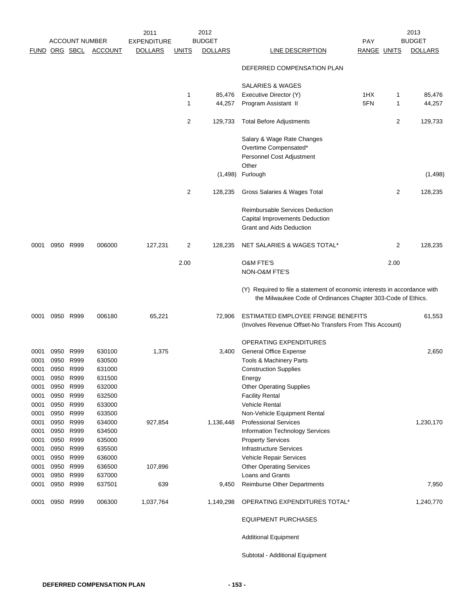|      |               | <b>ACCOUNT NUMBER</b> |                | 2011<br><b>EXPENDITURE</b> |                | 2012<br><b>BUDGET</b> |                                                                                                                                           | <b>PAY</b>         |                | 2013<br><b>BUDGET</b> |
|------|---------------|-----------------------|----------------|----------------------------|----------------|-----------------------|-------------------------------------------------------------------------------------------------------------------------------------------|--------------------|----------------|-----------------------|
|      | FUND ORG SBCL |                       | <b>ACCOUNT</b> | <b>DOLLARS</b>             | <u>UNITS</u>   | <b>DOLLARS</b>        | <b>LINE DESCRIPTION</b>                                                                                                                   | <b>RANGE UNITS</b> |                | <b>DOLLARS</b>        |
|      |               |                       |                |                            |                |                       | DEFERRED COMPENSATION PLAN                                                                                                                |                    |                |                       |
|      |               |                       |                |                            |                |                       | <b>SALARIES &amp; WAGES</b>                                                                                                               |                    |                |                       |
|      |               |                       |                |                            | 1              | 85,476                | Executive Director (Y)                                                                                                                    | 1HX                | 1              | 85,476                |
|      |               |                       |                |                            | 1              | 44,257                | Program Assistant II                                                                                                                      | 5FN                | 1              | 44,257                |
|      |               |                       |                |                            | 2              | 129,733               | <b>Total Before Adjustments</b>                                                                                                           |                    | 2              | 129,733               |
|      |               |                       |                |                            |                |                       | Salary & Wage Rate Changes                                                                                                                |                    |                |                       |
|      |               |                       |                |                            |                |                       | Overtime Compensated*                                                                                                                     |                    |                |                       |
|      |               |                       |                |                            |                |                       | Personnel Cost Adjustment                                                                                                                 |                    |                |                       |
|      |               |                       |                |                            |                |                       | Other                                                                                                                                     |                    |                |                       |
|      |               |                       |                |                            |                | (1,498)               | Furlough                                                                                                                                  |                    |                | (1, 498)              |
|      |               |                       |                |                            | $\overline{2}$ | 128,235               | Gross Salaries & Wages Total                                                                                                              |                    | 2              | 128,235               |
|      |               |                       |                |                            |                |                       | <b>Reimbursable Services Deduction</b>                                                                                                    |                    |                |                       |
|      |               |                       |                |                            |                |                       | Capital Improvements Deduction                                                                                                            |                    |                |                       |
|      |               |                       |                |                            |                |                       | <b>Grant and Aids Deduction</b>                                                                                                           |                    |                |                       |
| 0001 |               | 0950 R999             | 006000         | 127,231                    | 2              | 128,235               | NET SALARIES & WAGES TOTAL*                                                                                                               |                    | $\overline{2}$ | 128,235               |
|      |               |                       |                |                            | 2.00           |                       | <b>O&amp;M FTE'S</b>                                                                                                                      |                    | 2.00           |                       |
|      |               |                       |                |                            |                |                       | <b>NON-O&amp;M FTE'S</b>                                                                                                                  |                    |                |                       |
|      |               |                       |                |                            |                |                       | (Y) Required to file a statement of economic interests in accordance with<br>the Milwaukee Code of Ordinances Chapter 303-Code of Ethics. |                    |                |                       |
| 0001 |               | 0950 R999             | 006180         | 65,221                     |                | 72,906                | ESTIMATED EMPLOYEE FRINGE BENEFITS<br>(Involves Revenue Offset-No Transfers From This Account)                                            |                    |                | 61,553                |
|      |               |                       |                |                            |                |                       | OPERATING EXPENDITURES                                                                                                                    |                    |                |                       |
| 0001 | 0950          | R999                  | 630100         | 1,375                      |                | 3,400                 | <b>General Office Expense</b>                                                                                                             |                    |                | 2,650                 |
| 0001 | 0950          | R999                  | 630500         |                            |                |                       | <b>Tools &amp; Machinery Parts</b>                                                                                                        |                    |                |                       |
| 0001 |               | 0950 R999             | 631000         |                            |                |                       | <b>Construction Supplies</b>                                                                                                              |                    |                |                       |
| 0001 | 0950          | R999                  | 631500         |                            |                |                       | Energy                                                                                                                                    |                    |                |                       |
| 0001 | 0950          | R999                  | 632000         |                            |                |                       | <b>Other Operating Supplies</b>                                                                                                           |                    |                |                       |
| 0001 | 0950          | R999                  | 632500         |                            |                |                       | <b>Facility Rental</b>                                                                                                                    |                    |                |                       |
| 0001 |               | 0950 R999             | 633000         |                            |                |                       | <b>Vehicle Rental</b>                                                                                                                     |                    |                |                       |
| 0001 | 0950 R999     |                       | 633500         |                            |                |                       | Non-Vehicle Equipment Rental                                                                                                              |                    |                |                       |
| 0001 | 0950          | R999                  | 634000         | 927,854                    |                | 1,136,448             | <b>Professional Services</b>                                                                                                              |                    |                | 1,230,170             |
| 0001 |               | 0950 R999             | 634500         |                            |                |                       | Information Technology Services                                                                                                           |                    |                |                       |
| 0001 |               | 0950 R999             | 635000         |                            |                |                       | <b>Property Services</b>                                                                                                                  |                    |                |                       |
| 0001 | 0950 R999     |                       | 635500         |                            |                |                       | <b>Infrastructure Services</b>                                                                                                            |                    |                |                       |
| 0001 |               | 0950 R999             | 636000         |                            |                |                       | Vehicle Repair Services                                                                                                                   |                    |                |                       |
| 0001 |               | 0950 R999             | 636500         | 107,896                    |                |                       | <b>Other Operating Services</b>                                                                                                           |                    |                |                       |
| 0001 |               | 0950 R999             | 637000         |                            |                |                       | Loans and Grants                                                                                                                          |                    |                |                       |
| 0001 |               | 0950 R999             | 637501         | 639                        |                | 9,450                 | <b>Reimburse Other Departments</b>                                                                                                        |                    |                | 7,950                 |
| 0001 |               | 0950 R999             | 006300         | 1,037,764                  |                | 1,149,298             | OPERATING EXPENDITURES TOTAL*                                                                                                             |                    |                | 1,240,770             |
|      |               |                       |                |                            |                |                       | <b>EQUIPMENT PURCHASES</b>                                                                                                                |                    |                |                       |
|      |               |                       |                |                            |                |                       | <b>Additional Equipment</b>                                                                                                               |                    |                |                       |

Subtotal - Additional Equipment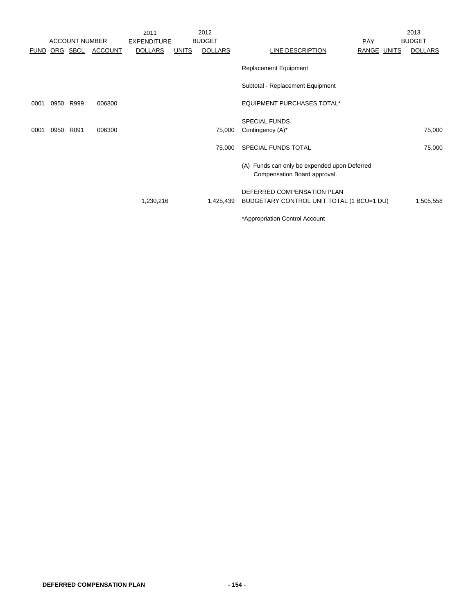|             |      |                       |                | 2011               |              | 2012           |                                                                              |             | 2013           |
|-------------|------|-----------------------|----------------|--------------------|--------------|----------------|------------------------------------------------------------------------------|-------------|----------------|
|             |      | <b>ACCOUNT NUMBER</b> |                | <b>EXPENDITURE</b> |              | <b>BUDGET</b>  |                                                                              | <b>PAY</b>  | <b>BUDGET</b>  |
| <b>FUND</b> |      | ORG SBCL              | <b>ACCOUNT</b> | <b>DOLLARS</b>     | <b>UNITS</b> | <b>DOLLARS</b> | LINE DESCRIPTION                                                             | RANGE UNITS | <b>DOLLARS</b> |
|             |      |                       |                |                    |              |                | <b>Replacement Equipment</b>                                                 |             |                |
|             |      |                       |                |                    |              |                | Subtotal - Replacement Equipment                                             |             |                |
| 0001        | 0950 | R999                  | 006800         |                    |              |                | EQUIPMENT PURCHASES TOTAL*                                                   |             |                |
|             |      |                       |                |                    |              |                | <b>SPECIAL FUNDS</b>                                                         |             |                |
| 0001        | 0950 | R091                  | 006300         |                    |              | 75,000         | Contingency (A)*                                                             |             | 75,000         |
|             |      |                       |                |                    |              | 75,000         | SPECIAL FUNDS TOTAL                                                          |             | 75,000         |
|             |      |                       |                |                    |              |                | (A) Funds can only be expended upon Deferred<br>Compensation Board approval. |             |                |
|             |      |                       |                |                    |              |                | DEFERRED COMPENSATION PLAN                                                   |             |                |
|             |      |                       |                | 1,230,216          |              | 1,425,439      | BUDGETARY CONTROL UNIT TOTAL (1 BCU=1 DU)                                    |             | 1,505,558      |
|             |      |                       |                |                    |              |                | *Appropriation Control Account                                               |             |                |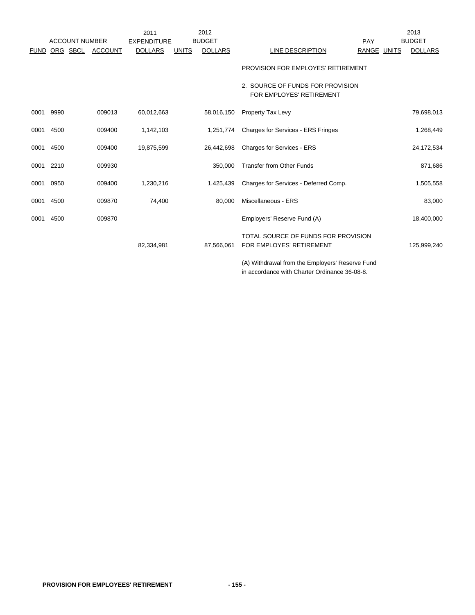|             |      | <b>ACCOUNT NUMBER</b> |                | 2011<br><b>EXPENDITURE</b> |              | 2012<br><b>BUDGET</b> |                                                                 | PAY         | 2013<br><b>BUDGET</b> |
|-------------|------|-----------------------|----------------|----------------------------|--------------|-----------------------|-----------------------------------------------------------------|-------------|-----------------------|
| <b>FUND</b> |      | ORG SBCL              | <b>ACCOUNT</b> | <b>DOLLARS</b>             | <b>UNITS</b> | <b>DOLLARS</b>        | LINE DESCRIPTION                                                | RANGE UNITS | <b>DOLLARS</b>        |
|             |      |                       |                |                            |              |                       | PROVISION FOR EMPLOYES' RETIREMENT                              |             |                       |
|             |      |                       |                |                            |              |                       | 2. SOURCE OF FUNDS FOR PROVISION<br>FOR EMPLOYES' RETIREMENT    |             |                       |
| 0001        | 9990 |                       | 009013         | 60,012,663                 |              | 58,016,150            | Property Tax Levy                                               |             | 79,698,013            |
| 0001        | 4500 |                       | 009400         | 1,142,103                  |              | 1.251.774             | <b>Charges for Services - ERS Fringes</b>                       |             | 1,268,449             |
| 0001        | 4500 |                       | 009400         | 19,875,599                 |              | 26,442,698            | Charges for Services - ERS                                      |             | 24,172,534            |
| 0001        | 2210 |                       | 009930         |                            |              | 350,000               | <b>Transfer from Other Funds</b>                                |             | 871,686               |
| 0001        | 0950 |                       | 009400         | 1,230,216                  |              | 1,425,439             | Charges for Services - Deferred Comp.                           |             | 1,505,558             |
| 0001        | 4500 |                       | 009870         | 74,400                     |              | 80,000                | Miscellaneous - ERS                                             |             | 83,000                |
| 0001        | 4500 |                       | 009870         |                            |              |                       | Employers' Reserve Fund (A)                                     |             | 18,400,000            |
|             |      |                       |                | 82,334,981                 |              | 87,566,061            | TOTAL SOURCE OF FUNDS FOR PROVISION<br>FOR EMPLOYES' RETIREMENT |             | 125,999,240           |

(A) Withdrawal from the Employers' Reserve Fund in accordance with Charter Ordinance 36-08-8.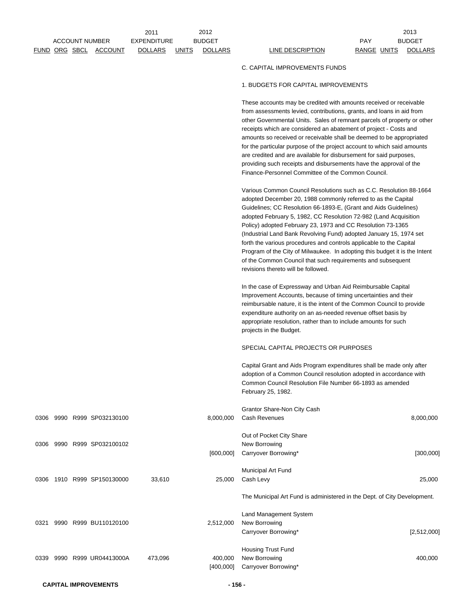|         |             | 2013          |
|---------|-------------|---------------|
|         | PAY         | <b>BUDGET</b> |
| Ription | RANGE UNITS | DOLLARS       |

## C. CAPITAL IMPROVEMENTS FUNDS

## 1. BUDGETS FOR CAPITAL IMPROVEMENTS

These accounts may be credited with amounts received or receivable from assessments levied, contributions, grants, and loans in aid from other Governmental Units. Sales of remnant parcels of property or other receipts which are considered an abatement of project - Costs and amounts so received or receivable shall be deemed to be appropriated for the particular purpose of the project account to which said amounts are credited and are available for disbursement for said purposes, providing such receipts and disbursements have the approval of the Finance-Personnel Committee of the Common Council.

Various Common Council Resolutions such as C.C. Resolution 88-1664 adopted December 20, 1988 commonly referred to as the Capital Guidelines; CC Resolution 66-1893-E, (Grant and Aids Guidelines) adopted February 5, 1982, CC Resolution 72-982 (Land Acquisition Policy) adopted February 23, 1973 and CC Resolution 73-1365 (Industrial Land Bank Revolving Fund) adopted January 15, 1974 set forth the various procedures and controls applicable to the Capital Program of the City of Milwaukee. In adopting this budget it is the Intent of the Common Council that such requirements and subsequent revisions thereto will be followed.

In the case of Expressway and Urban Aid Reimbursable Capital Improvement Accounts, because of timing uncertainties and their reimbursable nature, it is the intent of the Common Council to provide expenditure authority on an as-needed revenue offset basis by appropriate resolution, rather than to include amounts for such projects in the Budget.

## SPECIAL CAPITAL PROJECTS OR PURPOSES

Capital Grant and Aids Program expenditures shall be made only after adoption of a Common Council resolution adopted in accordance with Common Council Resolution File Number 66-1893 as amended February 25, 1982.

|      |      |                  |         |           | Grantor Share-Non City Cash                                              |             |
|------|------|------------------|---------|-----------|--------------------------------------------------------------------------|-------------|
| 0306 | 9990 | R999 SP032130100 |         | 8,000,000 | Cash Revenues                                                            | 8,000,000   |
|      |      |                  |         |           | Out of Pocket City Share                                                 |             |
| 0306 | 9990 | R999 SP032100102 |         |           | New Borrowing                                                            |             |
|      |      |                  |         | [600,000] | Carryover Borrowing*                                                     | [300,000]   |
|      |      |                  |         |           | Municipal Art Fund                                                       |             |
| 0306 | 1910 | R999 SP150130000 | 33,610  | 25,000    | Cash Levy                                                                | 25,000      |
|      |      |                  |         |           |                                                                          |             |
|      |      |                  |         |           | The Municipal Art Fund is administered in the Dept. of City Development. |             |
|      |      |                  |         |           | Land Management System                                                   |             |
| 0321 | 9990 | R999 BU110120100 |         | 2,512,000 | New Borrowing                                                            |             |
|      |      |                  |         |           | Carryover Borrowing*                                                     | [2,512,000] |
|      |      |                  |         |           | Housing Trust Fund                                                       |             |
| 0339 | 9990 | R999 UR04413000A | 473,096 | 400,000   | New Borrowing                                                            | 400,000     |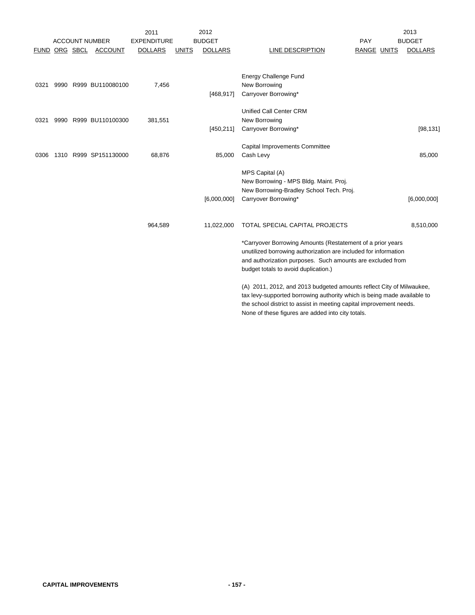|      |  |                       | 2011               |              | 2012           |                                                                         |             | 2013           |
|------|--|-----------------------|--------------------|--------------|----------------|-------------------------------------------------------------------------|-------------|----------------|
|      |  | <b>ACCOUNT NUMBER</b> | <b>EXPENDITURE</b> |              | <b>BUDGET</b>  |                                                                         | PAY         | <b>BUDGET</b>  |
|      |  | FUND ORG SBCL ACCOUNT | <b>DOLLARS</b>     | <b>UNITS</b> | <b>DOLLARS</b> | LINE DESCRIPTION                                                        | RANGE UNITS | <b>DOLLARS</b> |
|      |  |                       |                    |              |                |                                                                         |             |                |
|      |  |                       |                    |              |                | Energy Challenge Fund                                                   |             |                |
| 0321 |  | 9990 R999 BU110080100 | 7,456              |              |                | New Borrowing                                                           |             |                |
|      |  |                       |                    |              | [468, 917]     | Carryover Borrowing*                                                    |             |                |
|      |  |                       |                    |              |                | Unified Call Center CRM                                                 |             |                |
| 0321 |  | 9990 R999 BU110100300 | 381,551            |              |                | New Borrowing                                                           |             |                |
|      |  |                       |                    |              | [450, 211]     | Carryover Borrowing*                                                    |             | [98, 131]      |
|      |  |                       |                    |              |                | Capital Improvements Committee                                          |             |                |
| 0306 |  | 1310 R999 SP151130000 | 68,876             |              | 85,000         | Cash Levy                                                               |             | 85,000         |
|      |  |                       |                    |              |                | MPS Capital (A)                                                         |             |                |
|      |  |                       |                    |              |                | New Borrowing - MPS Bldg. Maint. Proj.                                  |             |                |
|      |  |                       |                    |              |                | New Borrowing-Bradley School Tech. Proj.                                |             |                |
|      |  |                       |                    |              | [6,000,000]    | Carryover Borrowing*                                                    |             | [6,000,000]    |
|      |  |                       |                    |              |                |                                                                         |             |                |
|      |  |                       | 964,589            |              | 11,022,000     | TOTAL SPECIAL CAPITAL PROJECTS                                          |             | 8,510,000      |
|      |  |                       |                    |              |                | *Carryover Borrowing Amounts (Restatement of a prior years              |             |                |
|      |  |                       |                    |              |                | unutilized borrowing authorization are included for information         |             |                |
|      |  |                       |                    |              |                | and authorization purposes. Such amounts are excluded from              |             |                |
|      |  |                       |                    |              |                | budget totals to avoid duplication.)                                    |             |                |
|      |  |                       |                    |              |                | (A) 2011, 2012, and 2013 budgeted amounts reflect City of Milwaukee,    |             |                |
|      |  |                       |                    |              |                | tax levy-supported borrowing authority which is being made available to |             |                |
|      |  |                       |                    |              |                | the school district to assist in meeting capital improvement needs.     |             |                |
|      |  |                       |                    |              |                | None of these figures are added into city totals.                       |             |                |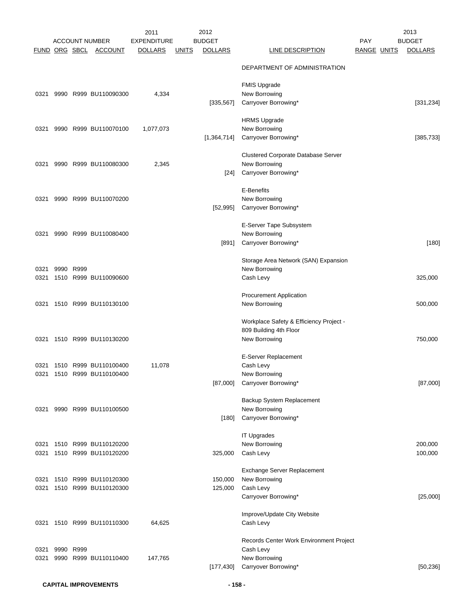| FUND ORG SBCL |           |      | <b>ACCOUNT NUMBER</b><br><b>ACCOUNT</b>                  | 2011<br><b>EXPENDITURE</b><br><b>DOLLARS</b> | <u>UNITS</u> | 2012<br><b>BUDGET</b><br><b>DOLLARS</b> | <b>LINE DESCRIPTION</b>                                                            | PAY<br><b>RANGE UNITS</b> | 2013<br><b>BUDGET</b><br><b>DOLLARS</b> |
|---------------|-----------|------|----------------------------------------------------------|----------------------------------------------|--------------|-----------------------------------------|------------------------------------------------------------------------------------|---------------------------|-----------------------------------------|
|               |           |      |                                                          |                                              |              |                                         | DEPARTMENT OF ADMINISTRATION                                                       |                           |                                         |
| 0321          |           |      | 9990 R999 BU110090300                                    | 4,334                                        |              |                                         | <b>FMIS Upgrade</b><br>New Borrowing                                               |                           |                                         |
|               |           |      |                                                          |                                              |              | [335, 567]                              | Carryover Borrowing*                                                               |                           | [331, 234]                              |
| 0321          |           |      | 9990 R999 BU110070100                                    | 1,077,073                                    |              | [1,364,714]                             | <b>HRMS Upgrade</b><br>New Borrowing<br>Carryover Borrowing*                       |                           | [385, 733]                              |
| 0321          |           |      | 9990 R999 BU110080300                                    | 2,345                                        |              |                                         | Clustered Corporate Database Server<br>New Borrowing                               |                           |                                         |
|               |           |      |                                                          |                                              |              | $[24]$                                  | Carryover Borrowing*                                                               |                           |                                         |
| 0321          |           |      | 9990 R999 BU110070200                                    |                                              |              | [52, 995]                               | E-Benefits<br>New Borrowing<br>Carryover Borrowing*                                |                           |                                         |
| 0321          |           |      | 9990 R999 BU110080400                                    |                                              |              |                                         | E-Server Tape Subsystem<br>New Borrowing                                           |                           |                                         |
|               |           |      |                                                          |                                              |              | [891]                                   | Carryover Borrowing*                                                               |                           | $[180]$                                 |
| 0321<br>0321  | 9990      | R999 | 1510 R999 BU110090600                                    |                                              |              |                                         | Storage Area Network (SAN) Expansion<br>New Borrowing<br>Cash Levy                 |                           | 325,000                                 |
| 0321          |           |      | 1510 R999 BU110130100                                    |                                              |              |                                         | <b>Procurement Application</b><br>New Borrowing                                    |                           | 500,000                                 |
| 0321          |           |      | 1510 R999 BU110130200                                    |                                              |              |                                         | Workplace Safety & Efficiency Project -<br>809 Building 4th Floor<br>New Borrowing |                           | 750,000                                 |
|               |           |      |                                                          |                                              |              |                                         | E-Server Replacement                                                               |                           |                                         |
|               |           |      | 0321 1510 R999 BU110100400<br>0321 1510 R999 BU110100400 | 11,078                                       |              |                                         | Cash Levy<br>New Borrowing                                                         |                           |                                         |
|               |           |      |                                                          |                                              |              | [87,000]                                | Carryover Borrowing*                                                               |                           | [87,000]                                |
| 0321          |           |      | 9990 R999 BU110100500                                    |                                              |              | [180]                                   | Backup System Replacement<br>New Borrowing<br>Carryover Borrowing*                 |                           |                                         |
|               |           |      |                                                          |                                              |              |                                         |                                                                                    |                           |                                         |
| 0321<br>0321  |           |      | 1510 R999 BU110120200<br>1510 R999 BU110120200           |                                              |              | 325,000                                 | <b>IT Upgrades</b><br>New Borrowing<br>Cash Levy                                   |                           | 200,000<br>100,000                      |
| 0321          |           |      | 1510 R999 BU110120300                                    |                                              |              | 150,000                                 | Exchange Server Replacement<br>New Borrowing                                       |                           |                                         |
| 0321          |           |      | 1510 R999 BU110120300                                    |                                              |              | 125,000                                 | Cash Levy<br>Carryover Borrowing*                                                  |                           | [25,000]                                |
|               |           |      | 0321 1510 R999 BU110110300                               | 64,625                                       |              |                                         | Improve/Update City Website<br>Cash Levy                                           |                           |                                         |
|               |           |      |                                                          |                                              |              |                                         | Records Center Work Environment Project                                            |                           |                                         |
| 0321<br>0321  | 9990 R999 |      | 9990 R999 BU110110400                                    | 147,765                                      |              | [177, 430]                              | Cash Levy<br>New Borrowing<br>Carryover Borrowing*                                 |                           | [50, 236]                               |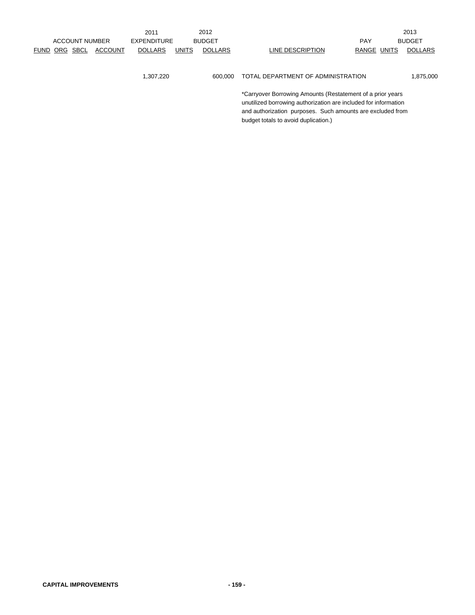|               |                       |                | 2011               |              | 2012           |                                                            |             | 2013           |
|---------------|-----------------------|----------------|--------------------|--------------|----------------|------------------------------------------------------------|-------------|----------------|
|               | <b>ACCOUNT NUMBER</b> |                | <b>EXPENDITURE</b> |              | <b>BUDGET</b>  |                                                            | <b>PAY</b>  | <b>BUDGET</b>  |
| FUND ORG SBCL |                       | <b>ACCOUNT</b> | <b>DOLLARS</b>     | <b>UNITS</b> | <b>DOLLARS</b> | LINE DESCRIPTION                                           | RANGE UNITS | <b>DOLLARS</b> |
|               |                       |                |                    |              |                |                                                            |             |                |
|               |                       |                |                    |              |                |                                                            |             |                |
|               |                       |                | 1,307,220          |              | 600.000        | TOTAL DEPARTMENT OF ADMINISTRATION                         |             | 1,875,000      |
|               |                       |                |                    |              |                |                                                            |             |                |
|               |                       |                |                    |              |                | *Carryover Borrowing Amounts (Restatement of a prior years |             |                |

unutilized borrowing authorization are included for information and authorization purposes. Such amounts are excluded from budget totals to avoid duplication.)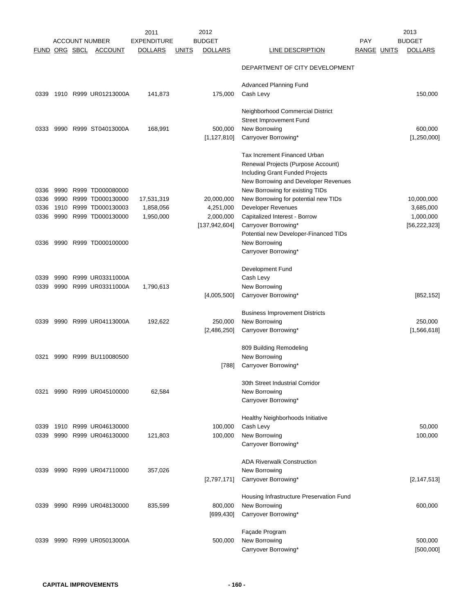| FUND ORG SBCL |      | <b>ACCOUNT NUMBER</b><br><b>ACCOUNT</b> | 2011<br><b>EXPENDITURE</b><br><b>DOLLARS</b> | <u>UNITS</u> | 2012<br><b>BUDGET</b><br><b>DOLLARS</b> | LINE DESCRIPTION                                                                                                                                                                 | <b>PAY</b><br>RANGE UNITS | 2013<br><b>BUDGET</b><br><b>DOLLARS</b> |
|---------------|------|-----------------------------------------|----------------------------------------------|--------------|-----------------------------------------|----------------------------------------------------------------------------------------------------------------------------------------------------------------------------------|---------------------------|-----------------------------------------|
|               |      |                                         |                                              |              |                                         | DEPARTMENT OF CITY DEVELOPMENT                                                                                                                                                   |                           |                                         |
| 0339          |      | 1910 R999 UR01213000A                   | 141,873                                      |              | 175,000                                 | Advanced Planning Fund<br>Cash Levy                                                                                                                                              |                           | 150,000                                 |
| 0333          | 9990 | R999 ST04013000A                        | 168,991                                      |              | 500,000<br>[1, 127, 810]                | Neighborhood Commercial District<br>Street Improvement Fund<br>New Borrowing<br>Carryover Borrowing*                                                                             |                           | 600,000<br>[1,250,000]                  |
| 0336          | 9990 | R999 TD000080000                        |                                              |              |                                         | Tax Increment Financed Urban<br>Renewal Projects (Purpose Account)<br>Including Grant Funded Projects<br>New Borrowing and Developer Revenues<br>New Borrowing for existing TIDs |                           |                                         |
| 0336          | 9990 | R999 TD000130000                        | 17,531,319                                   |              | 20,000,000                              | New Borrowing for potential new TIDs                                                                                                                                             |                           | 10,000,000                              |
| 0336          |      | 1910 R999 TD000130003                   | 1,858,056                                    |              | 4,251,000                               | <b>Developer Revenues</b>                                                                                                                                                        |                           | 3,685,000                               |
| 0336          |      | 9990 R999 TD000130000                   | 1,950,000                                    |              | 2,000,000<br>[137, 942, 604]            | Capitalized Interest - Borrow<br>Carryover Borrowing*<br>Potential new Developer-Financed TIDs                                                                                   |                           | 1,000,000<br>[56, 222, 323]             |
| 0336          |      | 9990 R999 TD000100000                   |                                              |              |                                         | New Borrowing<br>Carryover Borrowing*                                                                                                                                            |                           |                                         |
| 0339          | 9990 | R999 UR03311000A                        |                                              |              |                                         | Development Fund<br>Cash Levy                                                                                                                                                    |                           |                                         |
| 0339          | 9990 | R999 UR03311000A                        | 1,790,613                                    |              | [4,005,500]                             | New Borrowing<br>Carryover Borrowing*                                                                                                                                            |                           | [852, 152]                              |
| 0339          |      | 9990 R999 UR04113000A                   | 192,622                                      |              | 250,000                                 | <b>Business Improvement Districts</b><br>New Borrowing                                                                                                                           |                           | 250,000                                 |
|               |      |                                         |                                              |              | [2,486,250]                             | Carryover Borrowing*                                                                                                                                                             |                           | [1,566,618]                             |
| 0321          | 9990 | R999 BU110080500                        |                                              |              |                                         | 809 Building Remodeling<br>New Borrowing                                                                                                                                         |                           |                                         |
|               |      |                                         |                                              |              | $[788]$                                 | Carryover Borrowing*                                                                                                                                                             |                           |                                         |
| 0321          |      | 9990 R999 UR045100000                   | 62,584                                       |              |                                         | 30th Street Industrial Corridor<br>New Borrowing                                                                                                                                 |                           |                                         |
|               |      |                                         |                                              |              |                                         | Carryover Borrowing*                                                                                                                                                             |                           |                                         |
| 0339          |      | 1910 R999 UR046130000                   |                                              |              | 100,000                                 | Healthy Neighborhoods Initiative<br>Cash Levy                                                                                                                                    |                           | 50,000                                  |
| 0339          |      | 9990 R999 UR046130000                   | 121,803                                      |              | 100,000                                 | New Borrowing<br>Carryover Borrowing*                                                                                                                                            |                           | 100,000                                 |
|               |      |                                         |                                              |              |                                         | <b>ADA Riverwalk Construction</b>                                                                                                                                                |                           |                                         |
| 0339          |      | 9990 R999 UR047110000                   | 357,026                                      |              | [2,797,171]                             | New Borrowing<br>Carryover Borrowing*                                                                                                                                            |                           | [2, 147, 513]                           |
|               |      |                                         |                                              |              |                                         | Housing Infrastructure Preservation Fund                                                                                                                                         |                           |                                         |
| 0339          |      | 9990 R999 UR048130000                   | 835,599                                      |              | 800,000<br>[699, 430]                   | New Borrowing<br>Carryover Borrowing*                                                                                                                                            |                           | 600,000                                 |
|               |      |                                         |                                              |              |                                         | Façade Program                                                                                                                                                                   |                           |                                         |
| 0339          |      | 9990 R999 UR05013000A                   |                                              |              | 500,000                                 | New Borrowing<br>Carryover Borrowing*                                                                                                                                            |                           | 500,000<br>[500,000]                    |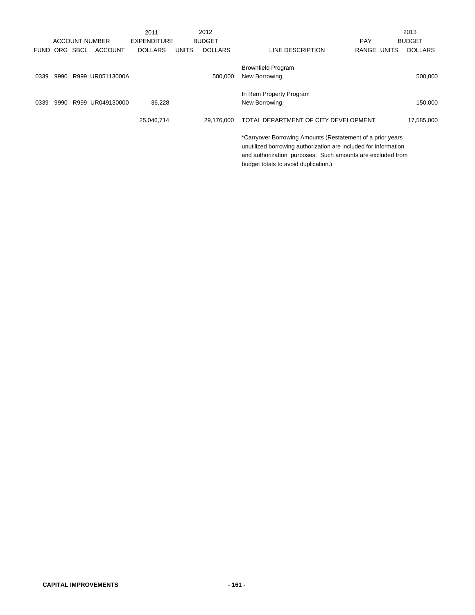|      |          |                       | 2011               |              | 2012           |                                                                                                                                                                                                                                     |             | 2013           |
|------|----------|-----------------------|--------------------|--------------|----------------|-------------------------------------------------------------------------------------------------------------------------------------------------------------------------------------------------------------------------------------|-------------|----------------|
|      |          | <b>ACCOUNT NUMBER</b> | <b>EXPENDITURE</b> |              | <b>BUDGET</b>  |                                                                                                                                                                                                                                     | <b>PAY</b>  | <b>BUDGET</b>  |
| FUND | ORG SBCL | <b>ACCOUNT</b>        | <b>DOLLARS</b>     | <b>UNITS</b> | <b>DOLLARS</b> | LINE DESCRIPTION                                                                                                                                                                                                                    | RANGE UNITS | <b>DOLLARS</b> |
| 0339 |          | 9990 R999 UR05113000A |                    |              | 500.000        | <b>Brownfield Program</b><br>New Borrowing                                                                                                                                                                                          |             | 500,000        |
| 0339 | 9990     | R999 UR049130000      | 36,228             |              |                | In Rem Property Program<br>New Borrowing                                                                                                                                                                                            |             | 150,000        |
|      |          |                       | 25,046,714         |              | 29.176.000     | TOTAL DEPARTMENT OF CITY DEVELOPMENT                                                                                                                                                                                                |             | 17,585,000     |
|      |          |                       |                    |              |                | *Carryover Borrowing Amounts (Restatement of a prior years<br>unutilized borrowing authorization are included for information<br>and authorization purposes. Such amounts are excluded from<br>budget totals to avoid duplication.) |             |                |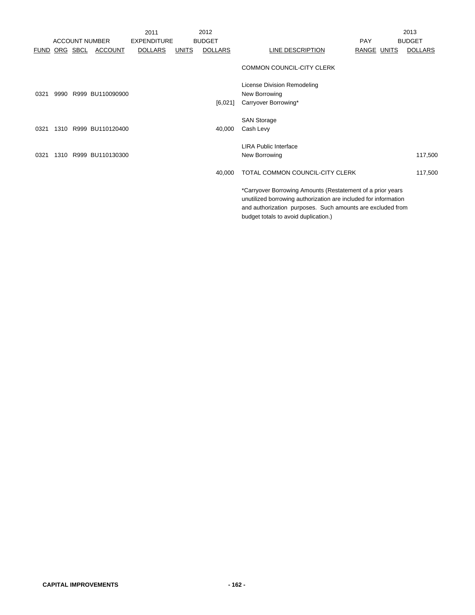|                      |      |                       | 2011               |              | 2012           |                                                                                                    | 2013           |
|----------------------|------|-----------------------|--------------------|--------------|----------------|----------------------------------------------------------------------------------------------------|----------------|
|                      |      | <b>ACCOUNT NUMBER</b> | <b>EXPENDITURE</b> |              | <b>BUDGET</b>  | <b>PAY</b>                                                                                         | <b>BUDGET</b>  |
| <b>FUND ORG SBCL</b> |      | ACCOUNT               | <b>DOLLARS</b>     | <b>UNITS</b> | <b>DOLLARS</b> | LINE DESCRIPTION<br><b>RANGE UNITS</b>                                                             | <b>DOLLARS</b> |
|                      |      |                       |                    |              |                | <b>COMMON COUNCIL-CITY CLERK</b>                                                                   |                |
|                      |      |                       |                    |              |                | License Division Remodeling                                                                        |                |
| 0321                 |      | 9990 R999 BU110090900 |                    |              |                | New Borrowing                                                                                      |                |
|                      |      |                       |                    |              | [6,021]        | Carryover Borrowing*                                                                               |                |
|                      |      |                       |                    |              |                | <b>SAN Storage</b>                                                                                 |                |
| 0321                 | 1310 | R999 BU110120400      |                    |              | 40,000         | Cash Levy                                                                                          |                |
|                      |      |                       |                    |              |                | <b>LIRA Public Interface</b>                                                                       |                |
| 0321                 |      | 1310 R999 BU110130300 |                    |              |                | New Borrowing                                                                                      | 117,500        |
|                      |      |                       |                    |              | 40,000         | TOTAL COMMON COUNCIL-CITY CLERK                                                                    | 117,500        |
|                      |      |                       |                    |              |                | *Carryover Borrowing Amounts (Restatement of a prior years                                         |                |
|                      |      |                       |                    |              |                | unutilized borrowing authorization are included for information                                    |                |
|                      |      |                       |                    |              |                | and authorization purposes. Such amounts are excluded from<br>budget totals to avoid duplication.) |                |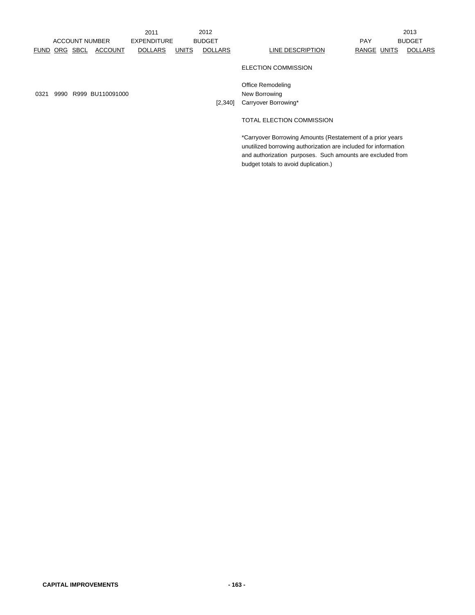|      |               |                       | 2011               |              | 2012           |                                                                                                                               |             | 2013           |
|------|---------------|-----------------------|--------------------|--------------|----------------|-------------------------------------------------------------------------------------------------------------------------------|-------------|----------------|
|      |               | <b>ACCOUNT NUMBER</b> | <b>EXPENDITURE</b> |              | <b>BUDGET</b>  |                                                                                                                               | <b>PAY</b>  | <b>BUDGET</b>  |
|      | FUND ORG SBCL | <b>ACCOUNT</b>        | <b>DOLLARS</b>     | <b>UNITS</b> | <b>DOLLARS</b> | LINE DESCRIPTION                                                                                                              | RANGE UNITS | <b>DOLLARS</b> |
|      |               |                       |                    |              |                | <b>ELECTION COMMISSION</b>                                                                                                    |             |                |
| 0321 |               | 9990 R999 BU110091000 |                    |              | [2,340]        | Office Remodeling<br>New Borrowing<br>Carryover Borrowing*                                                                    |             |                |
|      |               |                       |                    |              |                | TOTAL ELECTION COMMISSION                                                                                                     |             |                |
|      |               |                       |                    |              |                | *Carryover Borrowing Amounts (Restatement of a prior years<br>unutilized borrowing authorization are included for information |             |                |

and authorization purposes. Such amounts are excluded from

budget totals to avoid duplication.)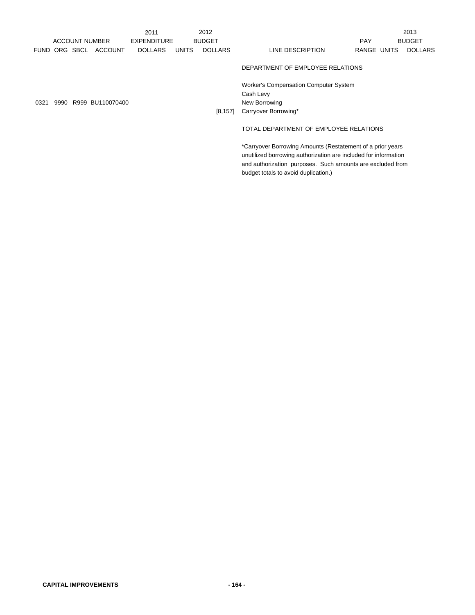|             |     |      |                       | 2011                                |              | 2012           |                                                            |             |  | 2013           |
|-------------|-----|------|-----------------------|-------------------------------------|--------------|----------------|------------------------------------------------------------|-------------|--|----------------|
|             |     |      | <b>ACCOUNT NUMBER</b> | <b>BUDGET</b><br><b>EXPENDITURE</b> |              |                | <b>PAY</b>                                                 |             |  | <b>BUDGET</b>  |
| <b>FUND</b> | ORG | SBCL | <b>ACCOUNT</b>        | <b>DOLLARS</b>                      | <b>UNITS</b> | <b>DOLLARS</b> | <b>LINE DESCRIPTION</b>                                    | RANGE UNITS |  | <b>DOLLARS</b> |
|             |     |      |                       |                                     |              |                | DEPARTMENT OF EMPLOYEE RELATIONS                           |             |  |                |
|             |     |      |                       |                                     |              |                | <b>Worker's Compensation Computer System</b>               |             |  |                |
|             |     |      |                       |                                     |              |                | Cash Levy                                                  |             |  |                |
| 0321        |     |      | 9990 R999 BU110070400 |                                     |              |                | New Borrowing                                              |             |  |                |
|             |     |      |                       |                                     |              | [8, 157]       | Carryover Borrowing*                                       |             |  |                |
|             |     |      |                       |                                     |              |                | TOTAL DEPARTMENT OF EMPLOYEE RELATIONS                     |             |  |                |
|             |     |      |                       |                                     |              |                | *Carryover Borrowing Amounts (Restatement of a prior years |             |  |                |

unutilized borrowing authorization are included for information and authorization purposes. Such amounts are excluded from

budget totals to avoid duplication.)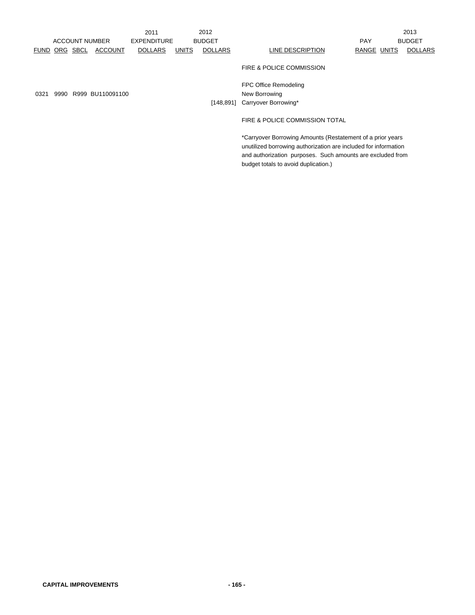|      |               |                       | 2011               |              | 2012           |                                                            |             | 2013          |
|------|---------------|-----------------------|--------------------|--------------|----------------|------------------------------------------------------------|-------------|---------------|
|      |               | <b>ACCOUNT NUMBER</b> | <b>EXPENDITURE</b> |              | <b>BUDGET</b>  |                                                            | <b>PAY</b>  | <b>BUDGET</b> |
|      | FUND ORG SBCL | <b>ACCOUNT</b>        | <b>DOLLARS</b>     | <b>UNITS</b> | <b>DOLLARS</b> | LINE DESCRIPTION                                           | RANGE UNITS | DOLLARS       |
|      |               |                       |                    |              |                | FIRE & POLICE COMMISSION                                   |             |               |
|      |               |                       |                    |              |                | FPC Office Remodeling                                      |             |               |
| 0321 |               | 9990 R999 BU110091100 |                    |              |                | New Borrowing                                              |             |               |
|      |               |                       |                    |              | [148,891]      | Carryover Borrowing*                                       |             |               |
|      |               |                       |                    |              |                | FIRE & POLICE COMMISSION TOTAL                             |             |               |
|      |               |                       |                    |              |                | *Carryover Borrowing Amounts (Restatement of a prior years |             |               |

unutilized borrowing authorization are included for information and authorization purposes. Such amounts are excluded from

budget totals to avoid duplication.)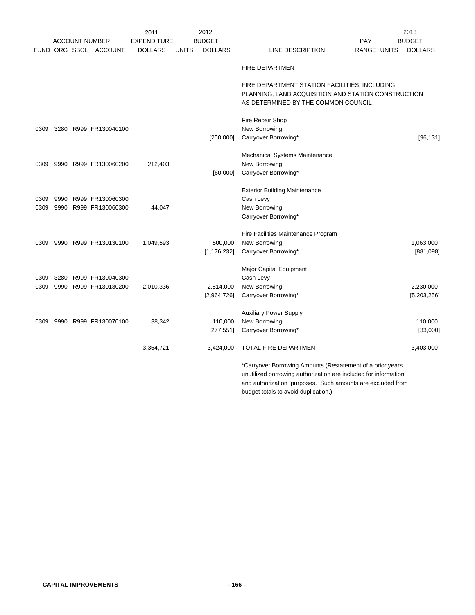|              |               |                                                | 2011               |              | 2012                     |                                                                                                                                             | 2013                       |
|--------------|---------------|------------------------------------------------|--------------------|--------------|--------------------------|---------------------------------------------------------------------------------------------------------------------------------------------|----------------------------|
|              |               | <b>ACCOUNT NUMBER</b>                          | <b>EXPENDITURE</b> |              | <b>BUDGET</b>            | <b>PAY</b>                                                                                                                                  | <b>BUDGET</b>              |
|              | FUND ORG SBCL | <b>ACCOUNT</b>                                 | <b>DOLLARS</b>     | <b>UNITS</b> | <b>DOLLARS</b>           | <b>RANGE UNITS</b><br>LINE DESCRIPTION                                                                                                      | <b>DOLLARS</b>             |
|              |               |                                                |                    |              |                          | <b>FIRE DEPARTMENT</b>                                                                                                                      |                            |
|              |               |                                                |                    |              |                          | FIRE DEPARTMENT STATION FACILITIES, INCLUDING<br>PLANNING, LAND ACQUISITION AND STATION CONSTRUCTION<br>AS DETERMINED BY THE COMMON COUNCIL |                            |
| 0309         |               | 3280 R999 FR130040100                          |                    |              | [250,000]                | Fire Repair Shop<br>New Borrowing<br>Carryover Borrowing*                                                                                   | [96, 131]                  |
| 0309         |               | 9990 R999 FR130060200                          | 212,403            |              | [60,000]                 | Mechanical Systems Maintenance<br>New Borrowing<br>Carryover Borrowing*                                                                     |                            |
| 0309<br>0309 |               | 9990 R999 FR130060300<br>9990 R999 FR130060300 | 44,047             |              |                          | <b>Exterior Building Maintenance</b><br>Cash Levy<br>New Borrowing<br>Carryover Borrowing*                                                  |                            |
| 0309         |               | 9990 R999 FR130130100                          | 1,049,593          |              | 500,000<br>[1, 176, 232] | Fire Facilities Maintenance Program<br>New Borrowing<br>Carryover Borrowing*                                                                | 1,063,000<br>[881,098]     |
| 0309<br>0309 |               | 3280 R999 FR130040300<br>9990 R999 FR130130200 | 2,010,336          |              | 2,814,000<br>[2,964,726] | Major Capital Equipment<br>Cash Levy<br>New Borrowing<br>Carryover Borrowing*                                                               | 2,230,000<br>[5, 203, 256] |
| 0309         |               | 9990 R999 FR130070100                          | 38,342             |              | 110,000<br>[277, 551]    | <b>Auxiliary Power Supply</b><br>New Borrowing<br>Carryover Borrowing*                                                                      | 110,000<br>[33,000]        |
|              |               |                                                | 3,354,721          |              | 3,424,000                | TOTAL FIRE DEPARTMENT                                                                                                                       | 3,403,000                  |
|              |               |                                                |                    |              |                          | *Carryover Borrowing Amounts (Restatement of a prior years<br>unutilized borrowing authorization are included for information               |                            |

unutilized borrowing authorization are included for information and authorization purposes. Such amounts are excluded from budget totals to avoid duplication.)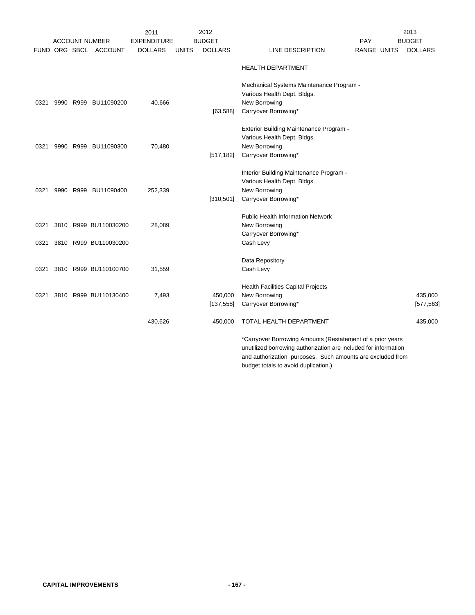|      |               |                       | 2011               |              | 2012           |                                                                                                                 |             | 2013           |
|------|---------------|-----------------------|--------------------|--------------|----------------|-----------------------------------------------------------------------------------------------------------------|-------------|----------------|
|      |               | <b>ACCOUNT NUMBER</b> | <b>EXPENDITURE</b> |              | <b>BUDGET</b>  |                                                                                                                 | <b>PAY</b>  | <b>BUDGET</b>  |
|      | FUND ORG SBCL | <b>ACCOUNT</b>        | <b>DOLLARS</b>     | <b>UNITS</b> | <b>DOLLARS</b> | LINE DESCRIPTION                                                                                                | RANGE UNITS | <b>DOLLARS</b> |
|      |               |                       |                    |              |                | <b>HEALTH DEPARTMENT</b>                                                                                        |             |                |
|      |               |                       |                    |              |                | Mechanical Systems Maintenance Program -                                                                        |             |                |
|      |               |                       |                    |              |                | Various Health Dept. Bldgs.                                                                                     |             |                |
| 0321 |               | 9990 R999 BU11090200  | 40,666             |              |                | New Borrowing                                                                                                   |             |                |
|      |               |                       |                    |              | [63, 588]      | Carryover Borrowing*                                                                                            |             |                |
|      |               |                       |                    |              |                | Exterior Building Maintenance Program -                                                                         |             |                |
|      |               |                       |                    |              |                | Various Health Dept. Bldgs.                                                                                     |             |                |
| 0321 |               | 9990 R999 BU11090300  | 70,480             |              |                | New Borrowing                                                                                                   |             |                |
|      |               |                       |                    |              | [517, 182]     | Carryover Borrowing*                                                                                            |             |                |
|      |               |                       |                    |              |                |                                                                                                                 |             |                |
|      |               |                       |                    |              |                | Interior Building Maintenance Program -                                                                         |             |                |
|      |               | 9990 R999 BU11090400  | 252,339            |              |                | Various Health Dept. Bldgs.                                                                                     |             |                |
| 0321 |               |                       |                    |              | [310, 501]     | New Borrowing<br>Carryover Borrowing*                                                                           |             |                |
|      |               |                       |                    |              |                |                                                                                                                 |             |                |
|      |               |                       |                    |              |                | <b>Public Health Information Network</b>                                                                        |             |                |
| 0321 |               | 3810 R999 BU110030200 | 28,089             |              |                | New Borrowing                                                                                                   |             |                |
|      |               |                       |                    |              |                | Carryover Borrowing*                                                                                            |             |                |
| 0321 |               | 3810 R999 BU110030200 |                    |              |                | Cash Levy                                                                                                       |             |                |
|      |               |                       |                    |              |                | Data Repository                                                                                                 |             |                |
| 0321 |               | 3810 R999 BU110100700 | 31,559             |              |                | Cash Levy                                                                                                       |             |                |
|      |               |                       |                    |              |                |                                                                                                                 |             |                |
|      |               |                       |                    |              |                | <b>Health Facilities Capital Projects</b>                                                                       |             |                |
| 0321 |               | 3810 R999 BU110130400 | 7,493              |              | 450,000        | New Borrowing                                                                                                   |             | 435,000        |
|      |               |                       |                    |              | [137, 558]     | Carryover Borrowing*                                                                                            |             | [577, 563]     |
|      |               |                       | 430,626            |              | 450,000        | TOTAL HEALTH DEPARTMENT                                                                                         |             | 435,000        |
|      |               |                       |                    |              |                | *Carryover Borrowing Amounts (Restatement of a prior years                                                      |             |                |
|      |               |                       |                    |              |                | the contract of the contract of the contract of the contract of the contract of the contract of the contract of |             |                |

unutilized borrowing authorization are included for information and authorization purposes. Such amounts are excluded from budget totals to avoid duplication.)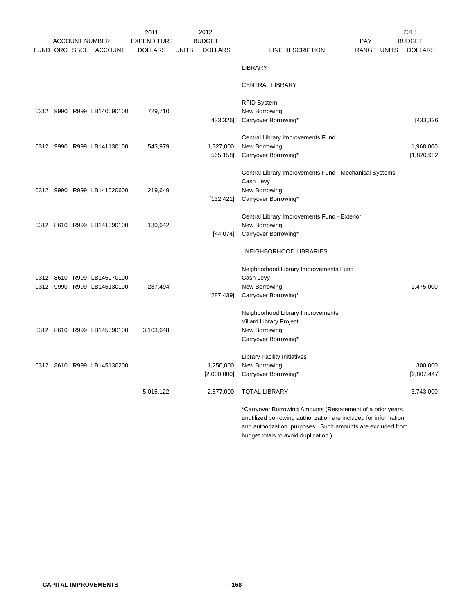|               |  | <b>ACCOUNT NUMBER</b>      | 2011<br><b>EXPENDITURE</b> |              | 2012<br><b>BUDGET</b> | <b>PAY</b>                                                      | 2013<br><b>BUDGET</b> |
|---------------|--|----------------------------|----------------------------|--------------|-----------------------|-----------------------------------------------------------------|-----------------------|
| FUND ORG SBCL |  | <b>ACCOUNT</b>             | <b>DOLLARS</b>             | <u>UNITS</u> | <b>DOLLARS</b>        | RANGE UNITS<br>LINE DESCRIPTION                                 | <b>DOLLARS</b>        |
|               |  |                            |                            |              |                       | <b>LIBRARY</b>                                                  |                       |
|               |  |                            |                            |              |                       | <b>CENTRAL LIBRARY</b>                                          |                       |
|               |  |                            |                            |              |                       | <b>RFID System</b>                                              |                       |
|               |  | 0312 9990 R999 LB140090100 | 729,710                    |              | [433, 326]            | New Borrowing<br>Carryover Borrowing*                           | [433, 326]            |
|               |  |                            |                            |              |                       | Central Library Improvements Fund                               |                       |
|               |  | 0312 9990 R999 LB141130100 | 543,979                    |              | 1,327,000             | New Borrowing                                                   | 1,968,000             |
|               |  |                            |                            |              | [565, 158]            | Carryover Borrowing*                                            | [1,820,982]           |
|               |  |                            |                            |              |                       | Central Library Improvements Fund - Mechanical Systems          |                       |
|               |  |                            |                            |              |                       | Cash Levy                                                       |                       |
|               |  | 0312 9990 R999 LB141020600 | 219,649                    |              |                       | New Borrowing<br>Carryover Borrowing*                           |                       |
|               |  |                            |                            |              | [132, 421]            |                                                                 |                       |
|               |  |                            |                            |              |                       | Central Library Improvements Fund - Exterior                    |                       |
|               |  | 0312 8610 R999 LB141090100 | 130,642                    |              |                       | New Borrowing                                                   |                       |
|               |  |                            |                            |              | [44,074]              | Carryover Borrowing*                                            |                       |
|               |  |                            |                            |              |                       | NEIGHBORHOOD LIBRARIES                                          |                       |
|               |  |                            |                            |              |                       | Neighborhood Library Improvements Fund                          |                       |
| 0312          |  | 8610 R999 LB145070100      |                            |              |                       | Cash Levy                                                       |                       |
|               |  | 0312 9990 R999 LB145130100 | 287,494                    |              |                       | New Borrowing                                                   | 1,475,000             |
|               |  |                            |                            |              | [287, 439]            | Carryover Borrowing*                                            |                       |
|               |  |                            |                            |              |                       | Neighborhood Library Improvements                               |                       |
|               |  |                            |                            |              |                       | Villard Library Project                                         |                       |
|               |  | 0312 8610 R999 LB145090100 | 3,103,648                  |              |                       | New Borrowing                                                   |                       |
|               |  |                            |                            |              |                       | Carryover Borrowing*                                            |                       |
|               |  |                            |                            |              |                       | Library Facility Initiatives                                    |                       |
|               |  | 0312 8610 R999 LB145130200 |                            |              | 1,250,000             | New Borrowing                                                   | 300,000               |
|               |  |                            |                            |              |                       | [2,000,000] Carryover Borrowing*                                | [2,807,447]           |
|               |  |                            | 5,015,122                  |              | 2,577,000             | <b>TOTAL LIBRARY</b>                                            | 3,743,000             |
|               |  |                            |                            |              |                       | *Carryover Borrowing Amounts (Restatement of a prior years      |                       |
|               |  |                            |                            |              |                       | unutilized borrowing authorization are included for information |                       |
|               |  |                            |                            |              |                       | and authorization purposes. Such amounts are excluded from      |                       |
|               |  |                            |                            |              |                       | budget totals to avoid duplication.)                            |                       |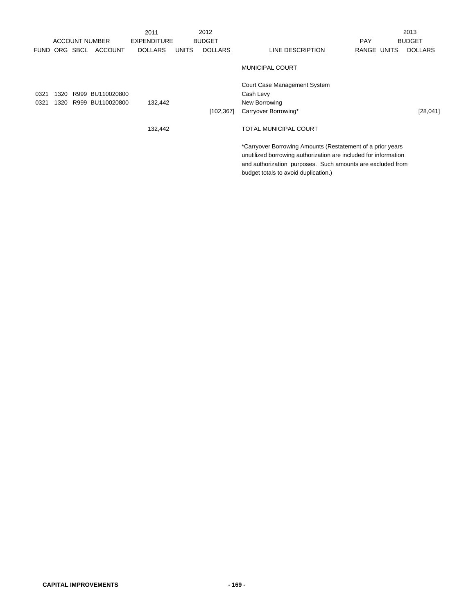|             |      |          |                       | 2011               |       | 2012           |                                                                                                                                                                                                                                     | 2013           |
|-------------|------|----------|-----------------------|--------------------|-------|----------------|-------------------------------------------------------------------------------------------------------------------------------------------------------------------------------------------------------------------------------------|----------------|
|             |      |          | <b>ACCOUNT NUMBER</b> | <b>EXPENDITURE</b> |       | <b>BUDGET</b>  | <b>PAY</b>                                                                                                                                                                                                                          | <b>BUDGET</b>  |
| <b>FUND</b> |      | ORG SBCL | <b>ACCOUNT</b>        | <b>DOLLARS</b>     | UNITS | <b>DOLLARS</b> | LINE DESCRIPTION<br>RANGE UNITS                                                                                                                                                                                                     | <b>DOLLARS</b> |
|             |      |          |                       |                    |       |                | <b>MUNICIPAL COURT</b>                                                                                                                                                                                                              |                |
|             |      |          |                       |                    |       |                | Court Case Management System                                                                                                                                                                                                        |                |
| 0321        | 1320 |          | R999 BU110020800      |                    |       |                | Cash Levy                                                                                                                                                                                                                           |                |
| 0321        | 1320 |          | R999 BU110020800      | 132,442            |       |                | New Borrowing                                                                                                                                                                                                                       |                |
|             |      |          |                       |                    |       | [102, 367]     | Carryover Borrowing*                                                                                                                                                                                                                | [28,041]       |
|             |      |          |                       | 132,442            |       |                | <b>TOTAL MUNICIPAL COURT</b>                                                                                                                                                                                                        |                |
|             |      |          |                       |                    |       |                | *Carryover Borrowing Amounts (Restatement of a prior years<br>unutilized borrowing authorization are included for information<br>and authorization purposes. Such amounts are excluded from<br>budget totals to avoid duplication.) |                |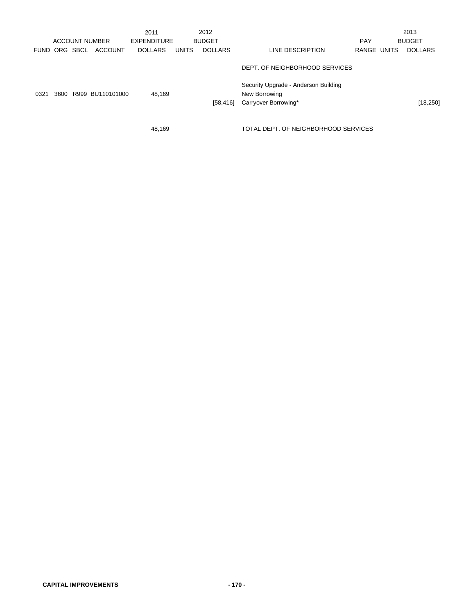|             |      |      | <b>ACCOUNT NUMBER</b> | 2011<br><b>EXPENDITURE</b> |              | 2012<br><b>BUDGET</b> |                                                                               | <b>PAY</b>  | 2013<br><b>BUDGET</b> |
|-------------|------|------|-----------------------|----------------------------|--------------|-----------------------|-------------------------------------------------------------------------------|-------------|-----------------------|
| <b>FUND</b> | ORG  | SBCL | <b>ACCOUNT</b>        | <b>DOLLARS</b>             | <b>UNITS</b> | <b>DOLLARS</b>        | LINE DESCRIPTION                                                              | RANGE UNITS | <b>DOLLARS</b>        |
|             |      |      |                       |                            |              |                       | DEPT. OF NEIGHBORHOOD SERVICES                                                |             |                       |
| 0321        | 3600 |      | R999 BU110101000      | 48.169                     |              | [58, 416]             | Security Upgrade - Anderson Building<br>New Borrowing<br>Carryover Borrowing* |             | [18, 250]             |
|             |      |      |                       | 48.169                     |              |                       | TOTAL DEPT. OF NEIGHBORHOOD SERVICES                                          |             |                       |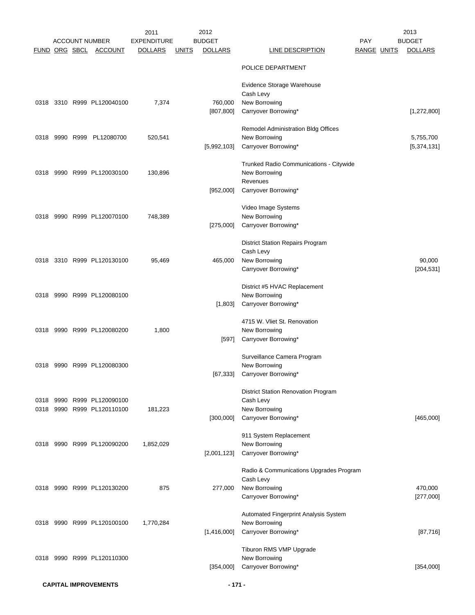| FUND ORG SBCL |  | <b>ACCOUNT NUMBER</b><br><b>ACCOUNT</b>        | 2011<br><b>EXPENDITURE</b><br><b>DOLLARS</b> | <u>UNITS</u> | 2012<br><b>BUDGET</b><br><b>DOLLARS</b> | LINE DESCRIPTION                                                                                 | <b>PAY</b><br>RANGE UNITS | 2013<br><b>BUDGET</b><br><b>DOLLARS</b> |
|---------------|--|------------------------------------------------|----------------------------------------------|--------------|-----------------------------------------|--------------------------------------------------------------------------------------------------|---------------------------|-----------------------------------------|
|               |  |                                                |                                              |              |                                         | POLICE DEPARTMENT                                                                                |                           |                                         |
|               |  | 0318 3310 R999 PL120040100                     | 7,374                                        |              | 760,000                                 | Evidence Storage Warehouse<br>Cash Levy<br>New Borrowing                                         |                           |                                         |
|               |  |                                                |                                              |              | [807, 800]                              | Carryover Borrowing*                                                                             |                           | [1, 272, 800]                           |
| 0318          |  | 9990 R999 PL12080700                           | 520,541                                      |              | [5,992,103]                             | Remodel Administration Bldg Offices<br>New Borrowing<br>Carryover Borrowing*                     |                           | 5,755,700<br>[5,374,131]                |
|               |  | 0318 9990 R999 PL120030100                     | 130,896                                      |              |                                         | Trunked Radio Communications - Citywide<br>New Borrowing<br>Revenues                             |                           |                                         |
|               |  |                                                |                                              |              | [952,000]                               | Carryover Borrowing*                                                                             |                           |                                         |
| 0318          |  | 9990 R999 PL120070100                          | 748,389                                      |              | [275,000]                               | Video Image Systems<br>New Borrowing<br>Carryover Borrowing*                                     |                           |                                         |
| 0318          |  | 3310 R999 PL120130100                          | 95,469                                       |              | 465,000                                 | <b>District Station Repairs Program</b><br>Cash Levy<br>New Borrowing                            |                           | 90,000                                  |
|               |  |                                                |                                              |              |                                         | Carryover Borrowing*                                                                             |                           | [204, 531]                              |
| 0318          |  | 9990 R999 PL120080100                          |                                              |              | [1,803]                                 | District #5 HVAC Replacement<br>New Borrowing<br>Carryover Borrowing*                            |                           |                                         |
| 0318          |  | 9990 R999 PL120080200                          | 1,800                                        |              | $[597]$                                 | 4715 W. Vliet St. Renovation<br>New Borrowing<br>Carryover Borrowing*                            |                           |                                         |
| 0318          |  | 9990 R999 PL120080300                          |                                              |              | [67, 333]                               | Surveillance Camera Program<br>New Borrowing<br>Carryover Borrowing*                             |                           |                                         |
| 0318<br>0318  |  | 9990 R999 PL120090100<br>9990 R999 PL120110100 | 181,223                                      |              | [300,000]                               | <b>District Station Renovation Program</b><br>Cash Levy<br>New Borrowing<br>Carryover Borrowing* |                           | [465,000]                               |
| 0318          |  | 9990 R999 PL120090200                          | 1,852,029                                    |              | [2,001,123]                             | 911 System Replacement<br>New Borrowing<br>Carryover Borrowing*                                  |                           |                                         |
|               |  | 0318 9990 R999 PL120130200                     | 875                                          |              | 277,000                                 | Radio & Communications Upgrades Program<br>Cash Levy<br>New Borrowing                            |                           | 470,000                                 |
|               |  |                                                |                                              |              |                                         | Carryover Borrowing*                                                                             |                           | [277,000]                               |
|               |  | 0318 9990 R999 PL120100100                     | 1,770,284                                    |              | [1,416,000]                             | Automated Fingerprint Analysis System<br>New Borrowing<br>Carryover Borrowing*                   |                           | [87,716]                                |
|               |  | 0318 9990 R999 PL120110300                     |                                              |              |                                         | Tiburon RMS VMP Upgrade<br>New Borrowing                                                         |                           |                                         |
|               |  |                                                |                                              |              | [354,000]                               | Carryover Borrowing*                                                                             |                           | [354,000]                               |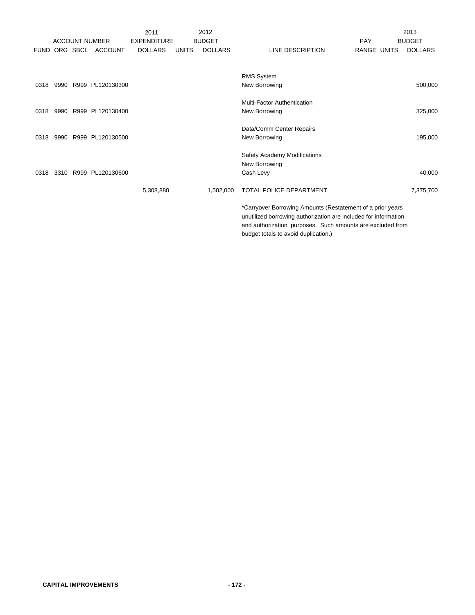|             |          | <b>ACCOUNT NUMBER</b> | 2011<br><b>EXPENDITURE</b> |              | 2012<br><b>BUDGET</b> |                                                                                                                                                                                                                                     | <b>PAY</b>  | 2013<br><b>BUDGET</b> |
|-------------|----------|-----------------------|----------------------------|--------------|-----------------------|-------------------------------------------------------------------------------------------------------------------------------------------------------------------------------------------------------------------------------------|-------------|-----------------------|
| <b>FUND</b> | ORG SBCL | <b>ACCOUNT</b>        | <b>DOLLARS</b>             | <b>UNITS</b> | <b>DOLLARS</b>        | <b>LINE DESCRIPTION</b>                                                                                                                                                                                                             | RANGE UNITS | <b>DOLLARS</b>        |
|             |          |                       |                            |              |                       |                                                                                                                                                                                                                                     |             |                       |
|             |          |                       |                            |              |                       | <b>RMS System</b>                                                                                                                                                                                                                   |             |                       |
| 0318        |          | 9990 R999 PL120130300 |                            |              |                       | New Borrowing                                                                                                                                                                                                                       |             | 500,000               |
|             |          |                       |                            |              |                       | Multi-Factor Authentication                                                                                                                                                                                                         |             |                       |
| 0318        |          | 9990 R999 PL120130400 |                            |              |                       | New Borrowing                                                                                                                                                                                                                       |             | 325,000               |
|             |          |                       |                            |              |                       | Data/Comm Center Repairs                                                                                                                                                                                                            |             |                       |
| 0318        |          | 9990 R999 PL120130500 |                            |              |                       | New Borrowing                                                                                                                                                                                                                       |             | 195,000               |
|             |          |                       |                            |              |                       | Safety Academy Modifications                                                                                                                                                                                                        |             |                       |
|             |          |                       |                            |              |                       | New Borrowing                                                                                                                                                                                                                       |             |                       |
| 0318        |          | 3310 R999 PL120130600 |                            |              |                       | Cash Levy                                                                                                                                                                                                                           |             | 40,000                |
|             |          |                       | 5,308,880                  |              | 1,502,000             | TOTAL POLICE DEPARTMENT                                                                                                                                                                                                             |             | 7,375,700             |
|             |          |                       |                            |              |                       | *Carryover Borrowing Amounts (Restatement of a prior years<br>unutilized borrowing authorization are included for information<br>and authorization purposes. Such amounts are excluded from<br>budget totals to avoid duplication.) |             |                       |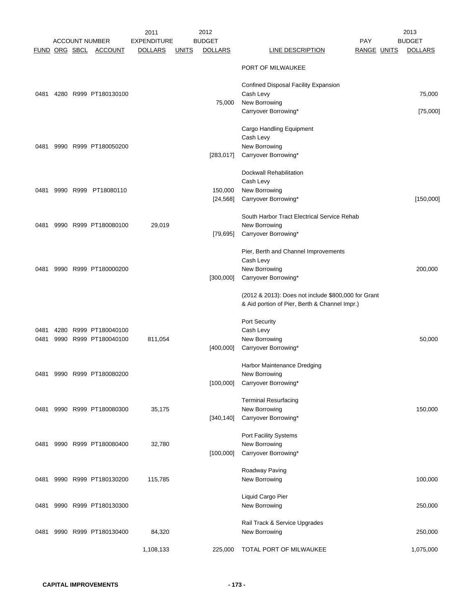| FUND ORG SBCL |      | <b>ACCOUNT NUMBER</b><br><b>ACCOUNT</b> | 2011<br><b>EXPENDITURE</b><br><u>DOLLARS</u> | <u>UNITS</u> | 2012<br><b>BUDGET</b><br><b>DOLLARS</b> | LINE DESCRIPTION                                                                     | <b>PAY</b><br>RANGE UNITS | 2013<br><b>BUDGET</b><br><b>DOLLARS</b> |
|---------------|------|-----------------------------------------|----------------------------------------------|--------------|-----------------------------------------|--------------------------------------------------------------------------------------|---------------------------|-----------------------------------------|
|               |      |                                         |                                              |              |                                         | PORT OF MILWAUKEE                                                                    |                           |                                         |
| 0481          |      | 4280 R999 PT180130100                   |                                              |              |                                         | Confined Disposal Facility Expansion<br>Cash Levy                                    |                           | 75,000                                  |
|               |      |                                         |                                              |              | 75,000                                  | New Borrowing<br>Carryover Borrowing*                                                |                           | [75,000]                                |
| 0481          |      | 9990 R999 PT180050200                   |                                              |              |                                         | Cargo Handling Equipment<br>Cash Levy<br>New Borrowing                               |                           |                                         |
|               |      |                                         |                                              |              | [283, 017]                              | Carryover Borrowing*                                                                 |                           |                                         |
| 0481          |      | 9990 R999 PT18080110                    |                                              |              | 150,000<br>[24, 568]                    | Dockwall Rehabilitation<br>Cash Levy<br>New Borrowing<br>Carryover Borrowing*        |                           | [150,000]                               |
|               |      |                                         |                                              |              |                                         |                                                                                      |                           |                                         |
| 0481          |      | 9990 R999 PT180080100                   | 29,019                                       |              | [79, 695]                               | South Harbor Tract Electrical Service Rehab<br>New Borrowing<br>Carryover Borrowing* |                           |                                         |
|               |      |                                         |                                              |              |                                         | Pier, Berth and Channel Improvements<br>Cash Levy                                    |                           |                                         |
| 0481          |      | 9990 R999 PT180000200                   |                                              |              |                                         | New Borrowing                                                                        |                           | 200,000                                 |
|               |      |                                         |                                              |              | [300,000]                               | Carryover Borrowing*<br>(2012 & 2013): Does not include \$800,000 for Grant          |                           |                                         |
|               |      |                                         |                                              |              |                                         | & Aid portion of Pier, Berth & Channel Impr.)                                        |                           |                                         |
| 0481          | 4280 | R999 PT180040100                        |                                              |              |                                         | Port Security<br>Cash Levy                                                           |                           |                                         |
| 0481          |      | 9990 R999 PT180040100                   | 811,054                                      |              | [400,000]                               | New Borrowing<br>Carryover Borrowing*                                                |                           | 50,000                                  |
|               |      | 0481 9990 R999 PT180080200              |                                              |              |                                         | Harbor Maintenance Dredging<br>New Borrowing                                         |                           |                                         |
|               |      |                                         |                                              |              | [100,000]                               | Carryover Borrowing*                                                                 |                           |                                         |
| 0481          |      | 9990 R999 PT180080300                   | 35,175                                       |              | [340, 140]                              | <b>Terminal Resurfacing</b><br>New Borrowing<br>Carryover Borrowing*                 |                           | 150,000                                 |
| 0481          |      | 9990 R999 PT180080400                   | 32,780                                       |              | [100,000]                               | Port Facility Systems<br>New Borrowing<br>Carryover Borrowing*                       |                           |                                         |
|               |      |                                         |                                              |              |                                         | Roadway Paving                                                                       |                           |                                         |
| 0481          |      | 9990 R999 PT180130200                   | 115,785                                      |              |                                         | New Borrowing                                                                        |                           | 100,000                                 |
| 0481          |      | 9990 R999 PT180130300                   |                                              |              |                                         | Liquid Cargo Pier<br>New Borrowing                                                   |                           | 250,000                                 |
| 0481          |      | 9990 R999 PT180130400                   | 84,320                                       |              |                                         | Rail Track & Service Upgrades<br>New Borrowing                                       |                           | 250,000                                 |
|               |      |                                         | 1,108,133                                    |              | 225,000                                 | TOTAL PORT OF MILWAUKEE                                                              |                           | 1,075,000                               |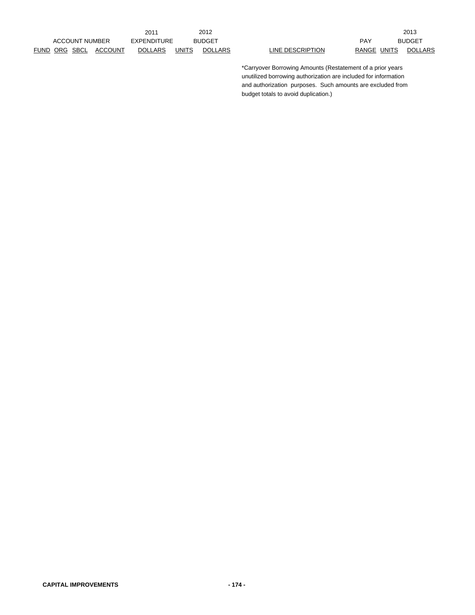|                       | 2011                      |              | 2012           |                  |       |       | 2013          |
|-----------------------|---------------------------|--------------|----------------|------------------|-------|-------|---------------|
| <b>ACCOUNT NUMBER</b> | EXPENDITURE               |              | <b>BUDGET</b>  |                  | PAY   |       | <b>BUDGET</b> |
| FUND ORG SBCL         | <b>DOLLARS</b><br>ACCOUNT | <b>UNITS</b> | <b>DOLLARS</b> | LINE DESCRIPTION | RANGE | UNITS | <b>DOLL</b>   |

|     |            | 2013           |
|-----|------------|----------------|
| PAY |            | <b>BUDGET</b>  |
|     | ANGE UNITS | <b>DOLLARS</b> |

\*Carryover Borrowing Amounts (Restatement of a prior years unutilized borrowing authorization are included for information and authorization purposes. Such amounts are excluded from budget totals to avoid duplication.)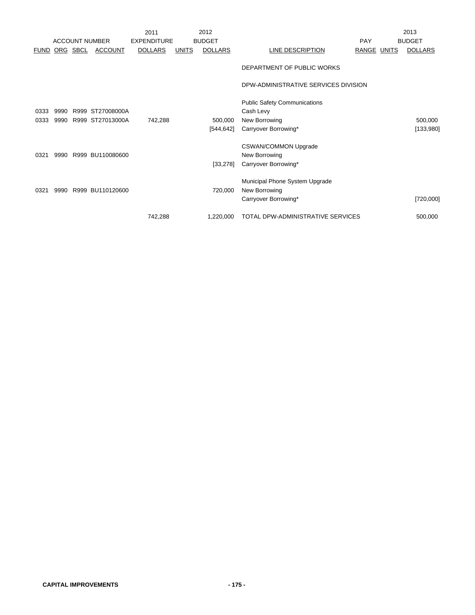|             |      |          |                       | 2011               |              | 2012           |                                                                         |             | 2013           |
|-------------|------|----------|-----------------------|--------------------|--------------|----------------|-------------------------------------------------------------------------|-------------|----------------|
|             |      |          | <b>ACCOUNT NUMBER</b> | <b>EXPENDITURE</b> |              | <b>BUDGET</b>  |                                                                         | PAY         | <b>BUDGET</b>  |
| <b>FUND</b> |      | ORG SBCL | <b>ACCOUNT</b>        | <b>DOLLARS</b>     | <b>UNITS</b> | <b>DOLLARS</b> | LINE DESCRIPTION                                                        | RANGE UNITS | <b>DOLLARS</b> |
|             |      |          |                       |                    |              |                | DEPARTMENT OF PUBLIC WORKS                                              |             |                |
|             |      |          |                       |                    |              |                | DPW-ADMINISTRATIVE SERVICES DIVISION                                    |             |                |
| 0333        | 9990 |          | R999 ST27008000A      |                    |              |                | <b>Public Safety Communications</b><br>Cash Levy                        |             |                |
| 0333        | 9990 |          | R999 ST27013000A      | 742,288            |              | 500,000        | New Borrowing                                                           |             | 500,000        |
|             |      |          |                       |                    |              | [544,642]      | Carryover Borrowing*                                                    |             | [133,980]      |
| 0321        | 9990 |          | R999 BU110080600      |                    |              | [33, 278]      | <b>CSWAN/COMMON Upgrade</b><br>New Borrowing<br>Carryover Borrowing*    |             |                |
| 0321        |      |          | 9990 R999 BU110120600 |                    |              | 720,000        | Municipal Phone System Upgrade<br>New Borrowing<br>Carryover Borrowing* |             | [720,000]      |
|             |      |          |                       |                    |              |                |                                                                         |             |                |
|             |      |          |                       | 742,288            |              | 1,220,000      | <b>TOTAL DPW-ADMINISTRATIVE SERVICES</b>                                |             | 500,000        |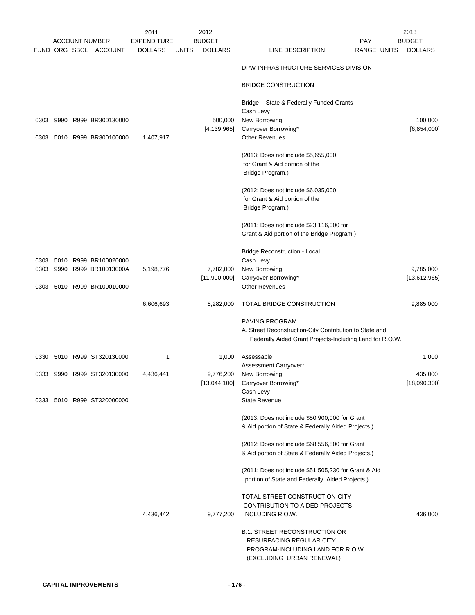|                      |  |                            | 2011               |              | 2012                     |                                                                | 2013                     |
|----------------------|--|----------------------------|--------------------|--------------|--------------------------|----------------------------------------------------------------|--------------------------|
|                      |  | <b>ACCOUNT NUMBER</b>      | <b>EXPENDITURE</b> |              | <b>BUDGET</b>            | PAY                                                            | <b>BUDGET</b>            |
| <u>FUND ORG SBCL</u> |  | <b>ACCOUNT</b>             | <b>DOLLARS</b>     | <u>UNITS</u> | <b>DOLLARS</b>           | LINE DESCRIPTION<br><b>RANGE UNITS</b>                         | <b>DOLLARS</b>           |
|                      |  |                            |                    |              |                          | DPW-INFRASTRUCTURE SERVICES DIVISION                           |                          |
|                      |  |                            |                    |              |                          | <b>BRIDGE CONSTRUCTION</b>                                     |                          |
|                      |  |                            |                    |              |                          | Bridge - State & Federally Funded Grants                       |                          |
|                      |  |                            |                    |              |                          | Cash Levy                                                      |                          |
| 0303                 |  | 9990 R999 BR300130000      |                    |              | 500,000<br>[4, 139, 965] | New Borrowing<br>Carryover Borrowing*                          | 100,000<br>[6, 854, 000] |
| 0303                 |  | 5010 R999 BR300100000      | 1,407,917          |              |                          | <b>Other Revenues</b>                                          |                          |
|                      |  |                            |                    |              |                          | (2013: Does not include \$5,655,000                            |                          |
|                      |  |                            |                    |              |                          | for Grant & Aid portion of the                                 |                          |
|                      |  |                            |                    |              |                          | Bridge Program.)                                               |                          |
|                      |  |                            |                    |              |                          | (2012: Does not include \$6,035,000                            |                          |
|                      |  |                            |                    |              |                          | for Grant & Aid portion of the                                 |                          |
|                      |  |                            |                    |              |                          | Bridge Program.)                                               |                          |
|                      |  |                            |                    |              |                          | (2011: Does not include \$23,116,000 for                       |                          |
|                      |  |                            |                    |              |                          | Grant & Aid portion of the Bridge Program.)                    |                          |
|                      |  |                            |                    |              |                          | <b>Bridge Reconstruction - Local</b>                           |                          |
| 0303                 |  | 5010 R999 BR100020000      |                    |              |                          | Cash Levy                                                      |                          |
| 0303                 |  | 9990 R999 BR10013000A      | 5,198,776          |              | 7,782,000                | New Borrowing                                                  | 9,785,000                |
| 0303                 |  | 5010 R999 BR100010000      |                    |              | [11,900,000]             | Carryover Borrowing*<br><b>Other Revenues</b>                  | [13,612,965]             |
|                      |  |                            |                    |              |                          |                                                                |                          |
|                      |  |                            | 6,606,693          |              | 8,282,000                | TOTAL BRIDGE CONSTRUCTION                                      | 9,885,000                |
|                      |  |                            |                    |              |                          | PAVING PROGRAM                                                 |                          |
|                      |  |                            |                    |              |                          | A. Street Reconstruction-City Contribution to State and        |                          |
|                      |  |                            |                    |              |                          | Federally Aided Grant Projects-Including Land for R.O.W.       |                          |
| 0330                 |  | 5010 R999 ST320130000      | 1                  |              | 1,000                    | Assessable                                                     | 1,000                    |
|                      |  |                            |                    |              |                          | Assessment Carryover*                                          |                          |
| 0333                 |  | 9990 R999 ST320130000      | 4,436,441          |              | 9,776,200                | New Borrowing                                                  | 435,000                  |
|                      |  |                            |                    |              | [13,044,100]             | Carryover Borrowing*<br>Cash Levy                              | [18,090,300]             |
|                      |  | 0333 5010 R999 ST320000000 |                    |              |                          | <b>State Revenue</b>                                           |                          |
|                      |  |                            |                    |              |                          | (2013: Does not include \$50,900,000 for Grant                 |                          |
|                      |  |                            |                    |              |                          | & Aid portion of State & Federally Aided Projects.)            |                          |
|                      |  |                            |                    |              |                          | (2012: Does not include \$68,556,800 for Grant                 |                          |
|                      |  |                            |                    |              |                          | & Aid portion of State & Federally Aided Projects.)            |                          |
|                      |  |                            |                    |              |                          | (2011: Does not include \$51,505,230 for Grant & Aid           |                          |
|                      |  |                            |                    |              |                          | portion of State and Federally Aided Projects.)                |                          |
|                      |  |                            |                    |              |                          | TOTAL STREET CONSTRUCTION-CITY                                 |                          |
|                      |  |                            |                    |              |                          | CONTRIBUTION TO AIDED PROJECTS                                 |                          |
|                      |  |                            | 4,436,442          |              | 9,777,200                | INCLUDING R.O.W.                                               | 436,000                  |
|                      |  |                            |                    |              |                          | <b>B.1. STREET RECONSTRUCTION OR</b>                           |                          |
|                      |  |                            |                    |              |                          | RESURFACING REGULAR CITY                                       |                          |
|                      |  |                            |                    |              |                          | PROGRAM-INCLUDING LAND FOR R.O.W.<br>(EXCLUDING URBAN RENEWAL) |                          |
|                      |  |                            |                    |              |                          |                                                                |                          |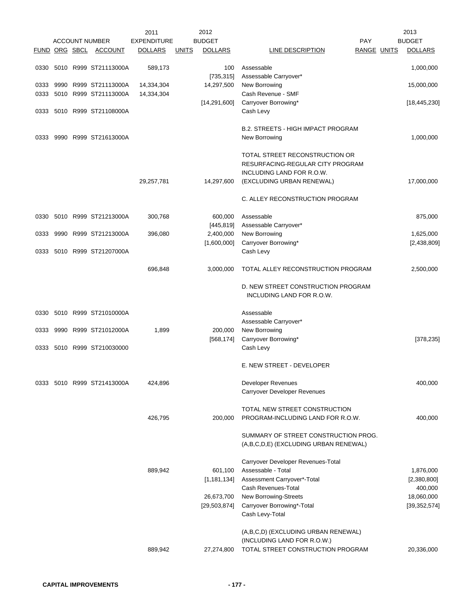|              |  | <b>ACCOUNT NUMBER</b>                          | 2011<br><b>EXPENDITURE</b> |              | 2012<br><b>BUDGET</b> |                                                                 | PAY         | 2013<br><b>BUDGET</b> |
|--------------|--|------------------------------------------------|----------------------------|--------------|-----------------------|-----------------------------------------------------------------|-------------|-----------------------|
|              |  | FUND ORG SBCL ACCOUNT                          | <b>DOLLARS</b>             | <u>UNITS</u> | <b>DOLLARS</b>        | LINE DESCRIPTION                                                | RANGE UNITS | <b>DOLLARS</b>        |
|              |  |                                                |                            |              |                       |                                                                 |             |                       |
|              |  | 0330 5010 R999 ST21113000A                     | 589,173                    |              | 100                   | Assessable                                                      |             | 1,000,000             |
|              |  |                                                |                            |              | [735, 315]            | Assessable Carryover*                                           |             |                       |
| 0333<br>0333 |  | 9990 R999 ST21113000A<br>5010 R999 ST21113000A | 14,334,304<br>14,334,304   |              | 14,297,500            | New Borrowing<br>Cash Revenue - SMF                             |             | 15,000,000            |
|              |  |                                                |                            |              | [14, 291, 600]        | Carryover Borrowing*                                            |             | [18, 445, 230]        |
| 0333         |  | 5010 R999 ST21108000A                          |                            |              |                       | Cash Levy                                                       |             |                       |
|              |  |                                                |                            |              |                       | <b>B.2. STREETS - HIGH IMPACT PROGRAM</b>                       |             |                       |
| 0333         |  | 9990 R999 ST21613000A                          |                            |              |                       | New Borrowing                                                   |             | 1,000,000             |
|              |  |                                                |                            |              |                       | TOTAL STREET RECONSTRUCTION OR                                  |             |                       |
|              |  |                                                |                            |              |                       | RESURFACING-REGULAR CITY PROGRAM                                |             |                       |
|              |  |                                                |                            |              |                       | INCLUDING LAND FOR R.O.W.                                       |             |                       |
|              |  |                                                | 29,257,781                 |              | 14,297,600            | (EXCLUDING URBAN RENEWAL)                                       |             | 17,000,000            |
|              |  |                                                |                            |              |                       | C. ALLEY RECONSTRUCTION PROGRAM                                 |             |                       |
| 0330         |  | 5010 R999 ST21213000A                          | 300,768                    |              | 600,000               | Assessable                                                      |             | 875,000               |
|              |  |                                                |                            |              | [445, 819]            | Assessable Carryover*                                           |             |                       |
| 0333         |  | 9990 R999 ST21213000A                          | 396,080                    |              | 2,400,000             | New Borrowing                                                   |             | 1,625,000             |
|              |  | 5010 R999 ST21207000A                          |                            |              | [1,600,000]           | Carryover Borrowing*<br>Cash Levy                               |             | [2,438,809]           |
| 0333         |  |                                                |                            |              |                       |                                                                 |             |                       |
|              |  |                                                | 696,848                    |              | 3,000,000             | TOTAL ALLEY RECONSTRUCTION PROGRAM                              |             | 2,500,000             |
|              |  |                                                |                            |              |                       | D. NEW STREET CONSTRUCTION PROGRAM<br>INCLUDING LAND FOR R.O.W. |             |                       |
| 0330         |  | 5010 R999 ST21010000A                          |                            |              |                       | Assessable                                                      |             |                       |
|              |  |                                                |                            |              |                       | Assessable Carryover*                                           |             |                       |
| 0333         |  | 9990 R999 ST21012000A                          | 1,899                      |              | 200,000               | New Borrowing                                                   |             |                       |
|              |  |                                                |                            |              | [568, 174]            | Carryover Borrowing*                                            |             | [378, 235]            |
|              |  | 0333 5010 R999 ST210030000                     |                            |              |                       | Cash Levy                                                       |             |                       |
|              |  |                                                |                            |              |                       | E. NEW STREET - DEVELOPER                                       |             |                       |
|              |  | 0333 5010 R999 ST21413000A                     | 424,896                    |              |                       | Developer Revenues                                              |             | 400,000               |
|              |  |                                                |                            |              |                       | Carryover Developer Revenues                                    |             |                       |
|              |  |                                                |                            |              |                       | TOTAL NEW STREET CONSTRUCTION                                   |             |                       |
|              |  |                                                | 426,795                    |              | 200,000               | PROGRAM-INCLUDING LAND FOR R.O.W.                               |             | 400,000               |
|              |  |                                                |                            |              |                       | SUMMARY OF STREET CONSTRUCTION PROG.                            |             |                       |
|              |  |                                                |                            |              |                       | (A,B,C,D,E) (EXCLUDING URBAN RENEWAL)                           |             |                       |
|              |  |                                                |                            |              |                       | Carryover Developer Revenues-Total                              |             |                       |
|              |  |                                                | 889,942                    |              | 601,100               | Assessable - Total                                              |             | 1,876,000             |
|              |  |                                                |                            |              | [1, 181, 134]         | Assessment Carryover*-Total                                     |             | [2,380,800]           |
|              |  |                                                |                            |              |                       | Cash Revenues-Total                                             |             | 400,000               |
|              |  |                                                |                            |              | 26,673,700            | New Borrowing-Streets                                           |             | 18,060,000            |
|              |  |                                                |                            |              | [29, 503, 874]        | Carryover Borrowing*-Total<br>Cash Levy-Total                   |             | [39, 352, 574]        |
|              |  |                                                |                            |              |                       | (A,B,C,D) (EXCLUDING URBAN RENEWAL)                             |             |                       |
|              |  |                                                |                            |              |                       | (INCLUDING LAND FOR R.O.W.)                                     |             |                       |
|              |  |                                                | 889,942                    |              | 27,274,800            | TOTAL STREET CONSTRUCTION PROGRAM                               |             | 20,336,000            |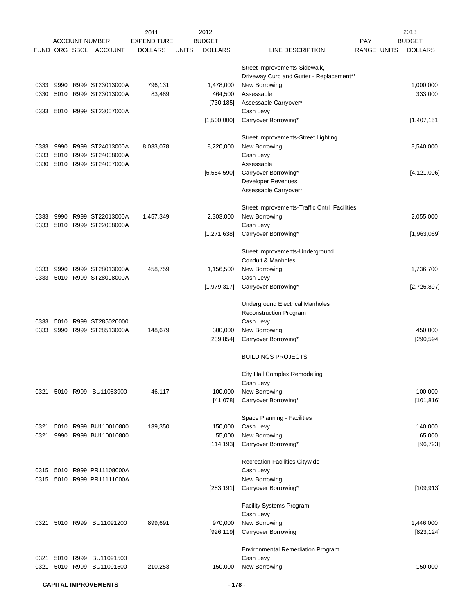|                      |           |                            | 2011               |              | 2012           |                                              |             | 2013           |
|----------------------|-----------|----------------------------|--------------------|--------------|----------------|----------------------------------------------|-------------|----------------|
|                      |           | <b>ACCOUNT NUMBER</b>      | <b>EXPENDITURE</b> |              | <b>BUDGET</b>  |                                              | <b>PAY</b>  | <b>BUDGET</b>  |
| <u>FUND ORG SBCL</u> |           | <b>ACCOUNT</b>             | <b>DOLLARS</b>     | <u>UNITS</u> | <b>DOLLARS</b> | LINE DESCRIPTION                             | RANGE UNITS | <b>DOLLARS</b> |
|                      |           |                            |                    |              |                | Street Improvements-Sidewalk,                |             |                |
|                      |           |                            |                    |              |                | Driveway Curb and Gutter - Replacement**     |             |                |
| 0333                 |           | 9990 R999 ST23013000A      | 796,131            |              | 1,478,000      | New Borrowing                                |             | 1,000,000      |
| 0330                 |           | 5010 R999 ST23013000A      | 83,489             |              | 464,500        | Assessable                                   |             | 333,000        |
|                      |           |                            |                    |              | [730, 185]     | Assessable Carryover*                        |             |                |
| 0333                 |           | 5010 R999 ST23007000A      |                    |              |                | Cash Levy                                    |             |                |
|                      |           |                            |                    |              | [1,500,000]    | Carryover Borrowing*                         |             | [1,407,151]    |
|                      |           |                            |                    |              |                | Street Improvements-Street Lighting          |             |                |
| 0333                 |           | 9990 R999 ST24013000A      | 8,033,078          |              | 8,220,000      | New Borrowing                                |             | 8,540,000      |
| 0333                 |           | 5010 R999 ST24008000A      |                    |              |                | Cash Levy                                    |             |                |
| 0330                 |           | 5010 R999 ST24007000A      |                    |              |                | Assessable                                   |             |                |
|                      |           |                            |                    |              | [6, 554, 590]  | Carryover Borrowing*                         |             | [4, 121, 006]  |
|                      |           |                            |                    |              |                | <b>Developer Revenues</b>                    |             |                |
|                      |           |                            |                    |              |                | Assessable Carryover*                        |             |                |
|                      |           |                            |                    |              |                | Street Improvements-Traffic Cntrl Facilities |             |                |
| 0333                 |           | 9990 R999 ST22013000A      | 1,457,349          |              | 2,303,000      | New Borrowing                                |             | 2,055,000      |
| 0333                 |           | 5010 R999 ST22008000A      |                    |              |                | Cash Levy                                    |             |                |
|                      |           |                            |                    |              | [1, 271, 638]  | Carryover Borrowing*                         |             | [1,963,069]    |
|                      |           |                            |                    |              |                |                                              |             |                |
|                      |           |                            |                    |              |                | Street Improvements-Underground              |             |                |
|                      |           |                            |                    |              |                | Conduit & Manholes                           |             |                |
| 0333                 |           | 9990 R999 ST28013000A      | 458,759            |              | 1,156,500      | New Borrowing                                |             | 1,736,700      |
| 0333                 |           | 5010 R999 ST28008000A      |                    |              | [1,979,317]    | Cash Levy<br>Carryover Borrowing*            |             | [2,726,897]    |
|                      |           |                            |                    |              |                |                                              |             |                |
|                      |           |                            |                    |              |                | Underground Electrical Manholes              |             |                |
|                      |           |                            |                    |              |                | Reconstruction Program                       |             |                |
| 0333                 |           | 5010 R999 ST285020000      |                    |              |                | Cash Levy                                    |             |                |
| 0333                 |           | 9990 R999 ST28513000A      | 148,679            |              | 300,000        | New Borrowing                                |             | 450,000        |
|                      |           |                            |                    |              | [239, 854]     | Carryover Borrowing*                         |             | [290, 594]     |
|                      |           |                            |                    |              |                | <b>BUILDINGS PROJECTS</b>                    |             |                |
|                      |           |                            |                    |              |                | City Hall Complex Remodeling                 |             |                |
|                      |           |                            |                    |              |                | Cash Levy                                    |             |                |
| 0321                 |           | 5010 R999 BU11083900       | 46,117             |              | 100,000        | New Borrowing                                |             | 100,000        |
|                      |           |                            |                    |              | [41,078]       | Carryover Borrowing*                         |             | [101, 816]     |
|                      |           |                            |                    |              |                | Space Planning - Facilities                  |             |                |
| 0321                 |           | 5010 R999 BU110010800      | 139,350            |              | 150,000        | Cash Levy                                    |             | 140,000        |
| 0321                 |           | 9990 R999 BU110010800      |                    |              | 55,000         | New Borrowing                                |             | 65,000         |
|                      |           |                            |                    |              | [114, 193]     | Carryover Borrowing*                         |             | [96, 723]      |
|                      |           |                            |                    |              |                | Recreation Facilities Citywide               |             |                |
|                      |           | 0315 5010 R999 PR11108000A |                    |              |                | Cash Levy                                    |             |                |
|                      |           | 0315 5010 R999 PR11111000A |                    |              |                | New Borrowing                                |             |                |
|                      |           |                            |                    |              | [283, 191]     | Carryover Borrowing*                         |             | [109, 913]     |
|                      |           |                            |                    |              |                | <b>Facility Systems Program</b>              |             |                |
|                      |           |                            |                    |              |                | Cash Levy                                    |             |                |
| 0321                 |           | 5010 R999 BU11091200       | 899,691            |              | 970,000        | New Borrowing                                |             | 1,446,000      |
|                      |           |                            |                    |              | [926, 119]     | <b>Carryover Borrowing</b>                   |             | [823, 124]     |
|                      |           |                            |                    |              |                | <b>Environmental Remediation Program</b>     |             |                |
| 0321                 | 5010 R999 | BU11091500                 |                    |              |                | Cash Levy                                    |             |                |
| 0321                 |           | 5010 R999 BU11091500       | 210,253            |              | 150,000        | New Borrowing                                |             | 150,000        |
|                      |           |                            |                    |              |                |                                              |             |                |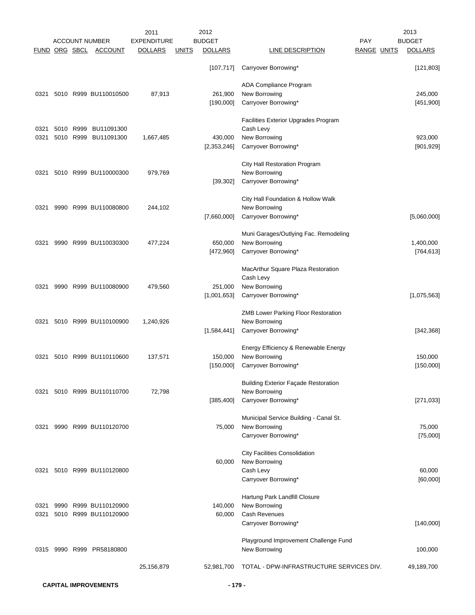|      |                      |           |                       | 2011               |              | 2012           |                                             |                           | 2013           |
|------|----------------------|-----------|-----------------------|--------------------|--------------|----------------|---------------------------------------------|---------------------------|----------------|
|      |                      |           | <b>ACCOUNT NUMBER</b> | <b>EXPENDITURE</b> |              | <b>BUDGET</b>  | LINE DESCRIPTION                            | PAY<br><b>RANGE UNITS</b> | <b>BUDGET</b>  |
|      | <b>FUND ORG SBCL</b> |           | <b>ACCOUNT</b>        | <b>DOLLARS</b>     | <u>UNITS</u> | <b>DOLLARS</b> |                                             |                           | <b>DOLLARS</b> |
|      |                      |           |                       |                    |              | [107, 717]     | Carryover Borrowing*                        |                           | [121, 803]     |
|      |                      |           |                       |                    |              |                | ADA Compliance Program                      |                           |                |
| 0321 |                      |           | 5010 R999 BU110010500 | 87,913             |              | 261,900        | New Borrowing                               |                           | 245,000        |
|      |                      |           |                       |                    |              | [190,000]      | Carryover Borrowing*                        |                           | [451,900]      |
|      |                      |           |                       |                    |              |                | Facilities Exterior Upgrades Program        |                           |                |
| 0321 |                      | 5010 R999 | BU11091300            |                    |              |                | Cash Levy                                   |                           |                |
| 0321 |                      | 5010 R999 | BU11091300            | 1,667,485          |              | 430,000        | New Borrowing                               |                           | 923,000        |
|      |                      |           |                       |                    |              | [2,353,246]    | Carryover Borrowing*                        |                           | [901, 929]     |
|      |                      |           |                       |                    |              |                | City Hall Restoration Program               |                           |                |
| 0321 |                      |           | 5010 R999 BU110000300 | 979,769            |              |                | New Borrowing                               |                           |                |
|      |                      |           |                       |                    |              | [39, 302]      | Carryover Borrowing*                        |                           |                |
|      |                      |           |                       |                    |              |                | City Hall Foundation & Hollow Walk          |                           |                |
| 0321 |                      |           | 9990 R999 BU110080800 | 244,102            |              |                | New Borrowing                               |                           |                |
|      |                      |           |                       |                    |              | [7,660,000]    | Carryover Borrowing*                        |                           | [5,060,000]    |
|      |                      |           |                       |                    |              |                | Muni Garages/Outlying Fac. Remodeling       |                           |                |
| 0321 | 9990                 |           | R999 BU110030300      | 477,224            |              | 650,000        | New Borrowing                               |                           | 1,400,000      |
|      |                      |           |                       |                    |              | [472,960]      | Carryover Borrowing*                        |                           | [764, 613]     |
|      |                      |           |                       |                    |              |                | MacArthur Square Plaza Restoration          |                           |                |
|      |                      |           |                       |                    |              |                | Cash Levy                                   |                           |                |
| 0321 |                      |           | 9990 R999 BU110080900 | 479,560            |              | 251,000        | New Borrowing                               |                           |                |
|      |                      |           |                       |                    |              | [1,001,653]    | Carryover Borrowing*                        |                           | [1,075,563]    |
|      |                      |           |                       |                    |              |                | ZMB Lower Parking Floor Restoration         |                           |                |
| 0321 |                      |           | 5010 R999 BU110100900 | 1,240,926          |              |                | New Borrowing                               |                           |                |
|      |                      |           |                       |                    |              | [1,584,441]    | Carryover Borrowing*                        |                           | [342, 368]     |
|      |                      |           |                       |                    |              |                | Energy Efficiency & Renewable Energy        |                           |                |
| 0321 |                      |           | 5010 R999 BU110110600 | 137,571            |              | 150,000        | New Borrowing                               |                           | 150,000        |
|      |                      |           |                       |                    |              | [150,000]      | Carryover Borrowing*                        |                           | [150,000]      |
|      |                      |           |                       |                    |              |                | <b>Building Exterior Façade Restoration</b> |                           |                |
| 0321 |                      |           | 5010 R999 BU110110700 | 72,798             |              |                | New Borrowing                               |                           |                |
|      |                      |           |                       |                    |              | [385, 400]     | Carryover Borrowing*                        |                           | [271, 033]     |
|      |                      |           |                       |                    |              |                | Municipal Service Building - Canal St.      |                           |                |
| 0321 |                      |           | 9990 R999 BU110120700 |                    |              | 75,000         | New Borrowing                               |                           | 75,000         |
|      |                      |           |                       |                    |              |                | Carryover Borrowing*                        |                           | [75,000]       |
|      |                      |           |                       |                    |              |                | <b>City Facilities Consolidation</b>        |                           |                |
|      |                      |           |                       |                    |              | 60,000         | New Borrowing                               |                           |                |
| 0321 |                      |           | 5010 R999 BU110120800 |                    |              |                | Cash Levy                                   |                           | 60,000         |
|      |                      |           |                       |                    |              |                | Carryover Borrowing*                        |                           | [60,000]       |
|      |                      |           |                       |                    |              |                | Hartung Park Landfill Closure               |                           |                |
| 0321 |                      |           | 9990 R999 BU110120900 |                    |              | 140,000        | New Borrowing                               |                           |                |
| 0321 |                      |           | 5010 R999 BU110120900 |                    |              | 60,000         | Cash Revenues                               |                           |                |
|      |                      |           |                       |                    |              |                | Carryover Borrowing*                        |                           | [140,000]      |
|      |                      |           |                       |                    |              |                | Playground Improvement Challenge Fund       |                           |                |
| 0315 |                      |           | 9990 R999 PR58180800  |                    |              |                | New Borrowing                               |                           | 100,000        |
|      |                      |           |                       | 25,156,879         |              | 52,981,700     | TOTAL - DPW-INFRASTRUCTURE SERVICES DIV.    |                           | 49,189,700     |
|      |                      |           |                       |                    |              |                |                                             |                           |                |

**CAPITAL IMPROVEMENTS - 179 -**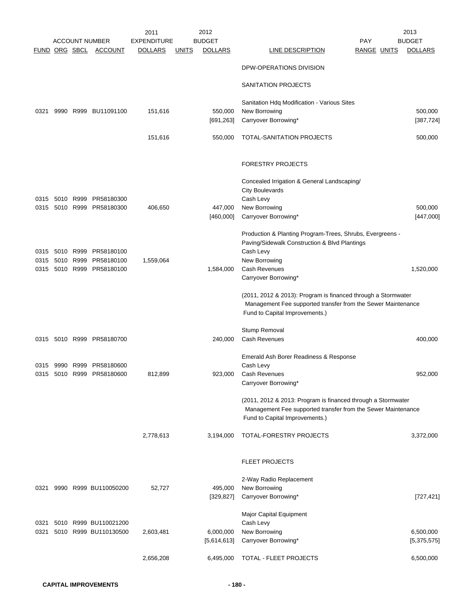|              |           | FUND ORG SBCL     | <b>ACCOUNT NUMBER</b><br><b>ACCOUNT</b> | 2011<br><b>EXPENDITURE</b><br><b>DOLLARS</b> | <u>UNITS</u> | 2012<br><b>BUDGET</b><br><b>DOLLARS</b> | LINE DESCRIPTION                                                                                                                                               | PAY<br>RANGE UNITS | 2013<br><b>BUDGET</b><br><b>DOLLARS</b> |
|--------------|-----------|-------------------|-----------------------------------------|----------------------------------------------|--------------|-----------------------------------------|----------------------------------------------------------------------------------------------------------------------------------------------------------------|--------------------|-----------------------------------------|
|              |           |                   |                                         |                                              |              |                                         | DPW-OPERATIONS DIVISION                                                                                                                                        |                    |                                         |
|              |           |                   |                                         |                                              |              |                                         |                                                                                                                                                                |                    |                                         |
|              |           |                   |                                         |                                              |              |                                         | SANITATION PROJECTS                                                                                                                                            |                    |                                         |
| 0321         |           |                   | 9990 R999 BU11091100                    | 151,616                                      |              | 550,000                                 | Sanitation Hdq Modification - Various Sites<br>New Borrowing                                                                                                   |                    | 500,000                                 |
|              |           |                   |                                         |                                              |              | [691, 263]                              | Carryover Borrowing*                                                                                                                                           |                    | [387, 724]                              |
|              |           |                   |                                         | 151,616                                      |              | 550,000                                 | TOTAL-SANITATION PROJECTS                                                                                                                                      |                    | 500,000                                 |
|              |           |                   |                                         |                                              |              |                                         | <b>FORESTRY PROJECTS</b>                                                                                                                                       |                    |                                         |
|              |           |                   |                                         |                                              |              |                                         | Concealed Irrigation & General Landscaping/                                                                                                                    |                    |                                         |
|              |           |                   |                                         |                                              |              |                                         | <b>City Boulevards</b>                                                                                                                                         |                    |                                         |
| 0315<br>0315 | 5010      | R999<br>5010 R999 | PR58180300<br>PR58180300                | 406,650                                      |              | 447,000                                 | Cash Levy<br>New Borrowing                                                                                                                                     |                    | 500,000                                 |
|              |           |                   |                                         |                                              |              | [460,000]                               | Carryover Borrowing*                                                                                                                                           |                    | [447,000]                               |
|              |           |                   |                                         |                                              |              |                                         | Production & Planting Program-Trees, Shrubs, Evergreens -                                                                                                      |                    |                                         |
| 0315         | 5010 R999 |                   | PR58180100                              |                                              |              |                                         | Paving/Sidewalk Construction & Blvd Plantings<br>Cash Levy                                                                                                     |                    |                                         |
| 0315         |           | 5010 R999         | PR58180100                              | 1,559,064                                    |              |                                         | New Borrowing                                                                                                                                                  |                    |                                         |
| 0315         |           | 5010 R999         | PR58180100                              |                                              |              | 1,584,000                               | Cash Revenues<br>Carryover Borrowing*                                                                                                                          |                    | 1,520,000                               |
|              |           |                   |                                         |                                              |              |                                         | (2011, 2012 & 2013): Program is financed through a Stormwater                                                                                                  |                    |                                         |
|              |           |                   |                                         |                                              |              |                                         | Management Fee supported transfer from the Sewer Maintenance<br>Fund to Capital Improvements.)                                                                 |                    |                                         |
|              |           |                   |                                         |                                              |              |                                         | Stump Removal                                                                                                                                                  |                    |                                         |
|              |           |                   | 0315 5010 R999 PR58180700               |                                              |              | 240,000                                 | Cash Revenues                                                                                                                                                  |                    | 400,000                                 |
|              |           |                   |                                         |                                              |              |                                         | Emerald Ash Borer Readiness & Response                                                                                                                         |                    |                                         |
|              |           |                   | 0315 9990 R999 PR58180600               |                                              |              |                                         | Cash Levy                                                                                                                                                      |                    |                                         |
|              |           |                   | 0315 5010 R999 PR58180600               | 812,899                                      |              | 923,000                                 | Cash Revenues<br>Carryover Borrowing*                                                                                                                          |                    | 952,000                                 |
|              |           |                   |                                         |                                              |              |                                         | (2011, 2012 & 2013: Program is financed through a Stormwater<br>Management Fee supported transfer from the Sewer Maintenance<br>Fund to Capital Improvements.) |                    |                                         |
|              |           |                   |                                         |                                              |              |                                         |                                                                                                                                                                |                    |                                         |
|              |           |                   |                                         | 2,778,613                                    |              | 3,194,000                               | TOTAL-FORESTRY PROJECTS                                                                                                                                        |                    | 3,372,000                               |
|              |           |                   |                                         |                                              |              |                                         | <b>FLEET PROJECTS</b>                                                                                                                                          |                    |                                         |
|              |           |                   |                                         |                                              |              |                                         | 2-Way Radio Replacement                                                                                                                                        |                    |                                         |
| 0321         |           |                   | 9990 R999 BU110050200                   | 52,727                                       |              | 495,000<br>[329, 827]                   | New Borrowing<br>Carryover Borrowing*                                                                                                                          |                    | [727, 421]                              |
|              |           |                   |                                         |                                              |              |                                         | Major Capital Equipment                                                                                                                                        |                    |                                         |
| 0321         |           |                   | 5010 R999 BU110021200                   |                                              |              |                                         | Cash Levy                                                                                                                                                      |                    |                                         |
| 0321         |           |                   | 5010 R999 BU110130500                   | 2,603,481                                    |              | 6,000,000                               | New Borrowing                                                                                                                                                  |                    | 6,500,000                               |
|              |           |                   |                                         |                                              |              | [5,614,613]                             | Carryover Borrowing*                                                                                                                                           |                    | [5,375,575]                             |
|              |           |                   |                                         | 2,656,208                                    |              | 6,495,000                               | TOTAL - FLEET PROJECTS                                                                                                                                         |                    | 6,500,000                               |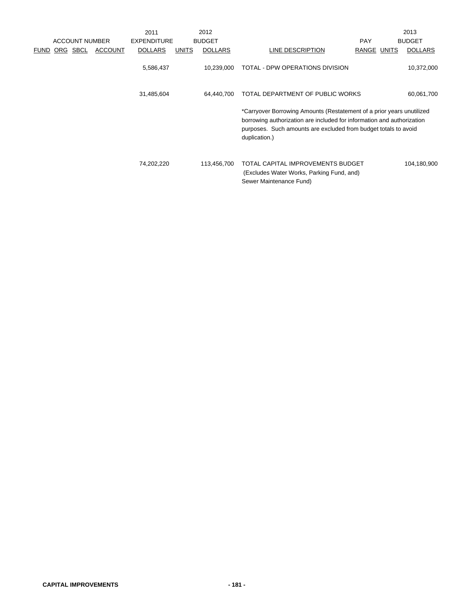|             |     |                       |                | 2011               |              | 2012           |                                                                                                                                                                                                                                     |             | 2013           |
|-------------|-----|-----------------------|----------------|--------------------|--------------|----------------|-------------------------------------------------------------------------------------------------------------------------------------------------------------------------------------------------------------------------------------|-------------|----------------|
|             |     | <b>ACCOUNT NUMBER</b> |                | <b>EXPENDITURE</b> |              | <b>BUDGET</b>  |                                                                                                                                                                                                                                     | <b>PAY</b>  | <b>BUDGET</b>  |
| <b>FUND</b> | ORG | SBCL                  | <b>ACCOUNT</b> | <b>DOLLARS</b>     | <b>UNITS</b> | <b>DOLLARS</b> | LINE DESCRIPTION                                                                                                                                                                                                                    | RANGE UNITS | <b>DOLLARS</b> |
|             |     |                       |                | 5,586,437          |              | 10,239,000     | TOTAL - DPW OPERATIONS DIVISION                                                                                                                                                                                                     |             | 10,372,000     |
|             |     |                       |                | 31,485,604         |              | 64.440.700     | TOTAL DEPARTMENT OF PUBLIC WORKS                                                                                                                                                                                                    |             | 60,061,700     |
|             |     |                       |                |                    |              |                | *Carryover Borrowing Amounts (Restatement of a prior years unutilized<br>borrowing authorization are included for information and authorization<br>purposes. Such amounts are excluded from budget totals to avoid<br>duplication.) |             |                |
|             |     |                       |                | 74,202,220         |              | 113,456,700    | TOTAL CAPITAL IMPROVEMENTS BUDGET<br>(Excludes Water Works, Parking Fund, and)<br>Sewer Maintenance Fund)                                                                                                                           |             | 104,180,900    |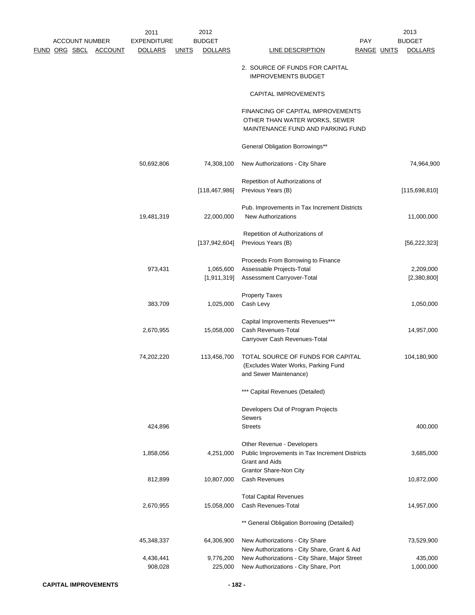|  |                       |                              | 2011<br><b>EXPENDITURE</b> |              | 2012<br><b>BUDGET</b> |                                                                                                         |                                  | 2013<br><b>BUDGET</b> |
|--|-----------------------|------------------------------|----------------------------|--------------|-----------------------|---------------------------------------------------------------------------------------------------------|----------------------------------|-----------------------|
|  | <b>ACCOUNT NUMBER</b> | <u>FUND ORG SBCL ACCOUNT</u> | <b>DOLLARS</b>             | <u>UNITS</u> | <b>DOLLARS</b>        | <b>LINE DESCRIPTION</b>                                                                                 | <b>PAY</b><br><b>RANGE UNITS</b> | <b>DOLLARS</b>        |
|  |                       |                              |                            |              |                       |                                                                                                         |                                  |                       |
|  |                       |                              |                            |              |                       | 2. SOURCE OF FUNDS FOR CAPITAL<br><b>IMPROVEMENTS BUDGET</b>                                            |                                  |                       |
|  |                       |                              |                            |              |                       | CAPITAL IMPROVEMENTS                                                                                    |                                  |                       |
|  |                       |                              |                            |              |                       | FINANCING OF CAPITAL IMPROVEMENTS<br>OTHER THAN WATER WORKS, SEWER<br>MAINTENANCE FUND AND PARKING FUND |                                  |                       |
|  |                       |                              |                            |              |                       | General Obligation Borrowings**                                                                         |                                  |                       |
|  |                       |                              | 50,692,806                 |              | 74,308,100            | New Authorizations - City Share                                                                         |                                  | 74,964,900            |
|  |                       |                              |                            |              |                       | Repetition of Authorizations of                                                                         |                                  |                       |
|  |                       |                              |                            |              | [118, 467, 986]       | Previous Years (B)                                                                                      |                                  | [115,698,810]         |
|  |                       |                              |                            |              |                       |                                                                                                         |                                  |                       |
|  |                       |                              |                            |              |                       | Pub. Improvements in Tax Increment Districts                                                            |                                  |                       |
|  |                       |                              | 19,481,319                 |              | 22,000,000            | <b>New Authorizations</b>                                                                               |                                  | 11,000,000            |
|  |                       |                              |                            |              |                       | Repetition of Authorizations of                                                                         |                                  |                       |
|  |                       |                              |                            |              | [137, 942, 604]       | Previous Years (B)                                                                                      |                                  | [56, 222, 323]        |
|  |                       |                              |                            |              |                       |                                                                                                         |                                  |                       |
|  |                       |                              |                            |              |                       | Proceeds From Borrowing to Finance                                                                      |                                  |                       |
|  |                       |                              | 973,431                    |              | 1,065,600             | Assessable Projects-Total                                                                               |                                  | 2,209,000             |
|  |                       |                              |                            |              | [1,911,319]           | Assessment Carryover-Total                                                                              |                                  | [2,380,800]           |
|  |                       |                              |                            |              |                       | <b>Property Taxes</b>                                                                                   |                                  |                       |
|  |                       |                              | 383,709                    |              | 1,025,000             | Cash Levy                                                                                               |                                  | 1,050,000             |
|  |                       |                              |                            |              |                       |                                                                                                         |                                  |                       |
|  |                       |                              |                            |              |                       | Capital Improvements Revenues***                                                                        |                                  |                       |
|  |                       |                              | 2,670,955                  |              | 15,058,000            | Cash Revenues-Total                                                                                     |                                  | 14,957,000            |
|  |                       |                              |                            |              |                       | Carryover Cash Revenues-Total                                                                           |                                  |                       |
|  |                       |                              | 74,202,220                 |              | 113,456,700           | TOTAL SOURCE OF FUNDS FOR CAPITAL                                                                       |                                  | 104,180,900           |
|  |                       |                              |                            |              |                       | (Excludes Water Works, Parking Fund                                                                     |                                  |                       |
|  |                       |                              |                            |              |                       | and Sewer Maintenance)                                                                                  |                                  |                       |
|  |                       |                              |                            |              |                       | *** Capital Revenues (Detailed)                                                                         |                                  |                       |
|  |                       |                              |                            |              |                       | Developers Out of Program Projects                                                                      |                                  |                       |
|  |                       |                              |                            |              |                       | <b>Sewers</b>                                                                                           |                                  |                       |
|  |                       |                              | 424,896                    |              |                       | <b>Streets</b>                                                                                          |                                  | 400,000               |
|  |                       |                              |                            |              |                       |                                                                                                         |                                  |                       |
|  |                       |                              |                            |              |                       | Other Revenue - Developers                                                                              |                                  |                       |
|  |                       |                              | 1,858,056                  |              | 4,251,000             | Public Improvements in Tax Increment Districts<br><b>Grant and Aids</b>                                 |                                  | 3,685,000             |
|  |                       |                              |                            |              |                       | <b>Grantor Share-Non City</b>                                                                           |                                  |                       |
|  |                       |                              | 812,899                    |              | 10,807,000            | <b>Cash Revenues</b>                                                                                    |                                  | 10,872,000            |
|  |                       |                              |                            |              |                       |                                                                                                         |                                  |                       |
|  |                       |                              |                            |              |                       | <b>Total Capital Revenues</b>                                                                           |                                  |                       |
|  |                       |                              | 2,670,955                  |              | 15,058,000            | Cash Revenues-Total                                                                                     |                                  | 14,957,000            |
|  |                       |                              |                            |              |                       | ** General Obligation Borrowing (Detailed)                                                              |                                  |                       |
|  |                       |                              | 45,348,337                 |              | 64,306,900            | New Authorizations - City Share                                                                         |                                  | 73,529,900            |
|  |                       |                              |                            |              |                       | New Authorizations - City Share, Grant & Aid                                                            |                                  |                       |
|  |                       |                              | 4,436,441                  |              | 9,776,200             | New Authorizations - City Share, Major Street                                                           |                                  | 435,000               |
|  |                       |                              | 908,028                    |              | 225,000               | New Authorizations - City Share, Port                                                                   |                                  | 1,000,000             |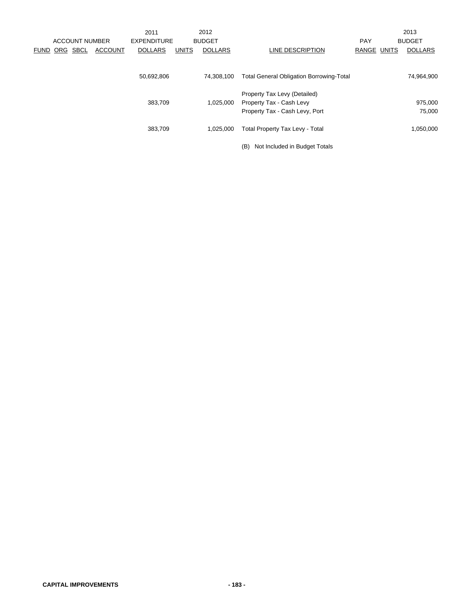|          | <b>ACCOUNT NUMBER</b> |                | 2011<br><b>EXPENDITURE</b> |              | 2012<br><b>BUDGET</b> |                                                            | <b>PAY</b>  | 2013<br><b>BUDGET</b> |
|----------|-----------------------|----------------|----------------------------|--------------|-----------------------|------------------------------------------------------------|-------------|-----------------------|
| FUND ORG | <b>SBCL</b>           | <b>ACCOUNT</b> | <b>DOLLARS</b>             | <b>UNITS</b> | <b>DOLLARS</b>        | LINE DESCRIPTION                                           | RANGE UNITS | <b>DOLLARS</b>        |
|          |                       |                | 50,692,806                 |              | 74,308,100            | <b>Total General Obligation Borrowing-Total</b>            |             | 74,964,900            |
|          |                       |                |                            |              |                       | Property Tax Levy (Detailed)                               |             |                       |
|          |                       |                | 383,709                    |              | 1,025,000             | Property Tax - Cash Levy<br>Property Tax - Cash Levy, Port |             | 975,000<br>75,000     |
|          |                       |                | 383,709                    |              | 1,025,000             | <b>Total Property Tax Levy - Total</b>                     |             | 1,050,000             |
|          |                       |                |                            |              |                       | Not Included in Budget Totals<br>(B)                       |             |                       |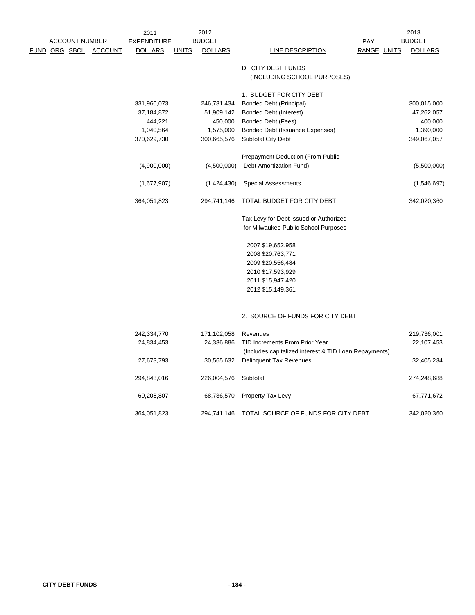| <b>ACCOUNT NUMBER</b> |  |                       | 2012<br>2011<br><b>BUDGET</b> |              |                | PAY                                                                                     |                    | 2013<br><b>BUDGET</b> |  |
|-----------------------|--|-----------------------|-------------------------------|--------------|----------------|-----------------------------------------------------------------------------------------|--------------------|-----------------------|--|
|                       |  |                       | <b>EXPENDITURE</b>            |              |                |                                                                                         |                    |                       |  |
|                       |  | FUND ORG SBCL ACCOUNT | <b>DOLLARS</b>                | <b>UNITS</b> | <b>DOLLARS</b> | <b>LINE DESCRIPTION</b>                                                                 | <b>RANGE UNITS</b> | <b>DOLLARS</b>        |  |
|                       |  |                       |                               |              |                | D. CITY DEBT FUNDS                                                                      |                    |                       |  |
|                       |  |                       |                               |              |                | (INCLUDING SCHOOL PURPOSES)                                                             |                    |                       |  |
|                       |  |                       |                               |              |                | 1. BUDGET FOR CITY DEBT                                                                 |                    |                       |  |
|                       |  |                       | 331,960,073                   |              | 246,731,434    | <b>Bonded Debt (Principal)</b>                                                          |                    | 300,015,000           |  |
|                       |  |                       | 37,184,872                    |              | 51,909,142     | <b>Bonded Debt (Interest)</b>                                                           |                    | 47,262,057            |  |
|                       |  |                       | 444,221                       |              | 450,000        | Bonded Debt (Fees)                                                                      |                    | 400,000               |  |
|                       |  |                       | 1,040,564                     |              | 1,575,000      | Bonded Debt (Issuance Expenses)                                                         |                    | 1,390,000             |  |
|                       |  |                       | 370,629,730                   |              | 300,665,576    | <b>Subtotal City Debt</b>                                                               |                    | 349,067,057           |  |
|                       |  |                       |                               |              |                | Prepayment Deduction (From Public                                                       |                    |                       |  |
|                       |  |                       | (4,900,000)                   |              | (4,500,000)    | Debt Amortization Fund)                                                                 |                    | (5,500,000)           |  |
|                       |  |                       | (1,677,907)                   |              | (1,424,430)    | <b>Special Assessments</b>                                                              |                    | (1,546,697)           |  |
|                       |  |                       | 364,051,823                   |              | 294,741,146    | TOTAL BUDGET FOR CITY DEBT                                                              |                    | 342,020,360           |  |
|                       |  |                       |                               |              |                | Tax Levy for Debt Issued or Authorized                                                  |                    |                       |  |
|                       |  |                       |                               |              |                | for Milwaukee Public School Purposes                                                    |                    |                       |  |
|                       |  |                       |                               |              |                | 2007 \$19,652,958                                                                       |                    |                       |  |
|                       |  |                       |                               |              |                | 2008 \$20,763,771                                                                       |                    |                       |  |
|                       |  |                       |                               |              |                | 2009 \$20,556,484                                                                       |                    |                       |  |
|                       |  |                       |                               |              |                | 2010 \$17,593,929                                                                       |                    |                       |  |
|                       |  |                       |                               |              |                | 2011 \$15,947,420                                                                       |                    |                       |  |
|                       |  |                       |                               |              |                | 2012 \$15,149,361                                                                       |                    |                       |  |
|                       |  |                       |                               |              |                |                                                                                         |                    |                       |  |
|                       |  |                       |                               |              |                | 2. SOURCE OF FUNDS FOR CITY DEBT                                                        |                    |                       |  |
|                       |  |                       | 242,334,770                   |              | 171,102,058    | Revenues                                                                                |                    | 219,736,001           |  |
|                       |  |                       | 24,834,453                    |              | 24,336,886     | TID Increments From Prior Year<br>(Includes capitalized interest & TID Loan Repayments) |                    | 22,107,453            |  |
|                       |  |                       | 27,673,793                    |              | 30,565,632     | <b>Delinquent Tax Revenues</b>                                                          |                    | 32,405,234            |  |
|                       |  |                       | 294,843,016                   |              | 226,004,576    | Subtotal                                                                                |                    | 274,248,688           |  |
|                       |  |                       | 69,208,807                    |              | 68,736,570     | Property Tax Levy                                                                       |                    | 67,771,672            |  |
|                       |  |                       | 364,051,823                   |              | 294,741,146    | TOTAL SOURCE OF FUNDS FOR CITY DEBT                                                     |                    | 342,020,360           |  |
|                       |  |                       |                               |              |                |                                                                                         |                    |                       |  |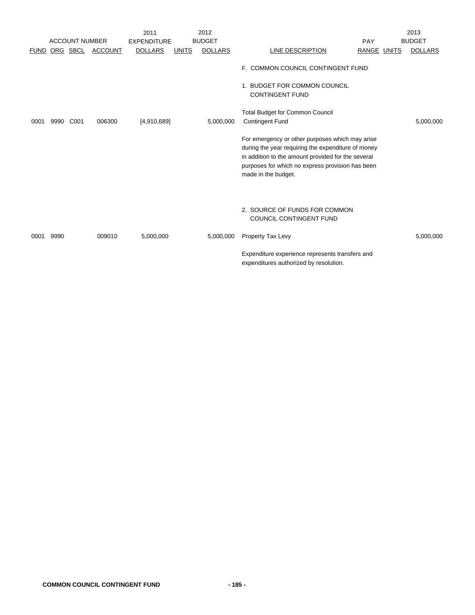|             |      |                       |                | 2011               |              | 2012           |                                                                                                                                                                                                                                        |                    | 2013           |
|-------------|------|-----------------------|----------------|--------------------|--------------|----------------|----------------------------------------------------------------------------------------------------------------------------------------------------------------------------------------------------------------------------------------|--------------------|----------------|
|             |      | <b>ACCOUNT NUMBER</b> |                | <b>EXPENDITURE</b> |              | <b>BUDGET</b>  |                                                                                                                                                                                                                                        | PAY                | <b>BUDGET</b>  |
| <b>FUND</b> |      | ORG SBCL              | <b>ACCOUNT</b> | <b>DOLLARS</b>     | <b>UNITS</b> | <b>DOLLARS</b> | LINE DESCRIPTION                                                                                                                                                                                                                       | <b>RANGE UNITS</b> | <b>DOLLARS</b> |
|             |      |                       |                |                    |              |                | F. COMMON COUNCIL CONTINGENT FUND<br>1. BUDGET FOR COMMON COUNCIL<br><b>CONTINGENT FUND</b>                                                                                                                                            |                    |                |
| 0001        | 9990 | C001                  | 006300         | [4,910,689]        |              | 5,000,000      | <b>Total Budget for Common Council</b><br><b>Contingent Fund</b>                                                                                                                                                                       |                    | 5,000,000      |
|             |      |                       |                |                    |              |                | For emergency or other purposes which may arise<br>during the year requiring the expenditure of money<br>in addition to the amount provided for the several<br>purposes for which no express provision has been<br>made in the budget. |                    |                |
|             |      |                       |                |                    |              |                | 2. SOURCE OF FUNDS FOR COMMON<br><b>COUNCIL CONTINGENT FUND</b>                                                                                                                                                                        |                    |                |
| 0001        | 9990 |                       | 009010         | 5,000,000          |              | 5,000,000      | Property Tax Levy                                                                                                                                                                                                                      |                    | 5,000,000      |
|             |      |                       |                |                    |              |                | Expenditure experience represents transfers and<br>expenditures authorized by resolution.                                                                                                                                              |                    |                |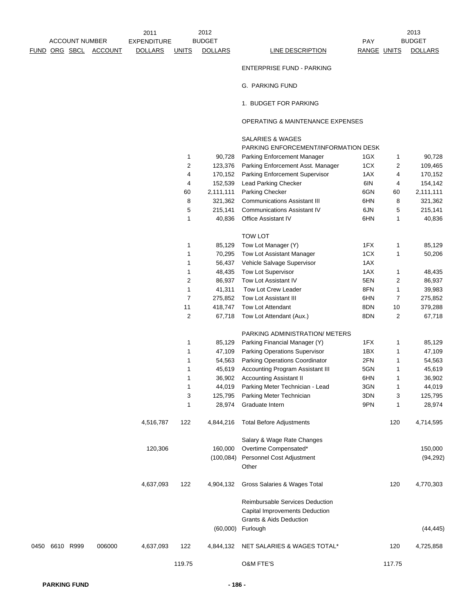2013

ENTERPRISE FUND - PARKING

G. PARKING FUND

1. BUDGET FOR PARKING

## OPERATING & MAINTENANCE EXPENSES

## SALARIES & WAGES

PARKING ENFORCEMENT/INFORMATION DESK

|              |        |           | 1                | 90,728     | Parking Enforcement Manager                                       | 1GX | 1              | 90,728    |  |
|--------------|--------|-----------|------------------|------------|-------------------------------------------------------------------|-----|----------------|-----------|--|
|              |        |           | $\boldsymbol{2}$ | 123,376    | Parking Enforcement Asst. Manager                                 | 1CX | 2              | 109,465   |  |
|              |        |           | 4                | 170,152    | Parking Enforcement Supervisor                                    | 1AX | 4              | 170,152   |  |
|              |        |           | 4                | 152,539    | Lead Parking Checker                                              | 6IN | 4              | 154,142   |  |
|              |        |           | 60               | 2,111,111  | Parking Checker                                                   | 6GN | 60             | 2,111,111 |  |
|              |        |           | 8                | 321,362    | <b>Communications Assistant III</b>                               | 6HN | 8              | 321,362   |  |
|              |        |           | 5                | 215,141    | <b>Communications Assistant IV</b>                                | 6JN | 5              | 215,141   |  |
|              |        |           | 1                | 40,836     | Office Assistant IV                                               | 6HN | 1              | 40,836    |  |
|              |        |           |                  |            | <b>TOW LOT</b>                                                    |     |                |           |  |
|              |        |           | 1                | 85,129     | Tow Lot Manager (Y)                                               | 1FX | 1              | 85,129    |  |
|              |        |           | $\mathbf{1}$     | 70,295     | Tow Lot Assistant Manager                                         | 1CX | $\mathbf{1}$   | 50,206    |  |
|              |        |           | $\mathbf{1}$     | 56,437     | Vehicle Salvage Supervisor                                        | 1AX |                |           |  |
|              |        |           | $\mathbf{1}$     | 48,435     | Tow Lot Supervisor                                                | 1AX | 1              | 48,435    |  |
|              |        |           | $\boldsymbol{2}$ | 86,937     | Tow Lot Assistant IV                                              | 5EN | $\overline{c}$ | 86,937    |  |
|              |        |           | 1                | 41,311     | Tow Lot Crew Leader                                               | 8FN | 1              | 39,983    |  |
|              |        |           | $\overline{7}$   | 275,852    | Tow Lot Assistant III                                             | 6HN | 7              | 275,852   |  |
|              |        |           | 11               | 418,747    | Tow Lot Attendant                                                 | 8DN | 10             | 379,288   |  |
|              |        |           | $\boldsymbol{2}$ | 67,718     | Tow Lot Attendant (Aux.)                                          | 8DN | 2              | 67,718    |  |
|              |        |           |                  |            | PARKING ADMINISTRATION/ METERS                                    |     |                |           |  |
|              |        |           | 1                | 85,129     | Parking Financial Manager (Y)                                     | 1FX | 1              | 85,129    |  |
|              |        |           | $\mathbf{1}$     | 47,109     | Parking Operations Supervisor                                     | 1BX | 1              | 47,109    |  |
|              |        |           | 1                | 54,563     | Parking Operations Coordinator                                    | 2FN | 1              | 54,563    |  |
|              |        |           | 1                | 45,619     | Accounting Program Assistant III                                  | 5GN | 1              | 45,619    |  |
|              |        |           | $\mathbf{1}$     | 36,902     | <b>Accounting Assistant II</b>                                    | 6HN | 1              | 36,902    |  |
|              |        |           | 1                | 44,019     | Parking Meter Technician - Lead                                   | 3GN | 1              | 44,019    |  |
|              |        |           | 3                | 125,795    | Parking Meter Technician                                          | 3DN | 3              | 125,795   |  |
|              |        |           | $\mathbf{1}$     | 28,974     | Graduate Intern                                                   | 9PN | 1              | 28,974    |  |
|              |        | 4,516,787 | 122              | 4,844,216  | <b>Total Before Adjustments</b>                                   |     | 120            | 4,714,595 |  |
|              |        |           |                  |            | Salary & Wage Rate Changes                                        |     |                |           |  |
|              |        | 120,306   |                  | 160,000    | Overtime Compensated*                                             |     |                | 150,000   |  |
|              |        |           |                  | (100, 084) | Personnel Cost Adjustment                                         |     |                | (94, 292) |  |
|              |        |           |                  |            | Other                                                             |     |                |           |  |
|              |        | 4,637,093 | 122              | 4,904,132  | Gross Salaries & Wages Total                                      |     | 120            | 4,770,303 |  |
|              |        |           |                  |            | Reimbursable Services Deduction<br>Capital Improvements Deduction |     |                |           |  |
|              |        |           |                  |            | <b>Grants &amp; Aids Deduction</b>                                |     |                |           |  |
|              |        |           |                  | (60,000)   | Furlough                                                          |     |                | (44, 445) |  |
| 50 6610 R999 | 006000 | 4,637,093 | 122              | 4,844,132  | NET SALARIES & WAGES TOTAL*                                       |     | 120            | 4,725,858 |  |
|              |        |           | 119.75           |            | <b>O&amp;M FTE'S</b>                                              |     | 117.75         |           |  |
|              |        |           |                  |            |                                                                   |     |                |           |  |

0450 6610 R999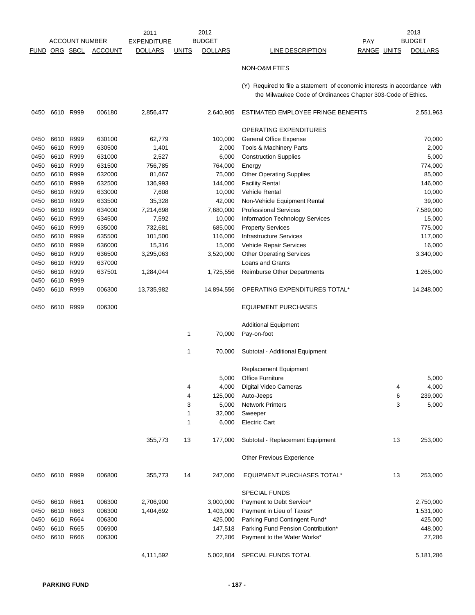2011 EXPENDITURE BUDGET PAY FUND ORG SBCL ACCOUNT DOLLARS UNITS DOLLARS LINE DESCRIPTION BANGE UNITS DOLLARS ACCOUNT NUMBER EXPENDITURE BUDGET AND RESERVE THE RAY BUDGET 2012 BUDGET

2013

## NON-O&M FTE'S

(Y) Required to file a statement of economic interests in accordance with the Milwaukee Code of Ordinances Chapter 303-Code of Ethics.

| 0450 | 6610 R999 |           | 006180 | 2,856,477  |              | 2,640,905  | ESTIMATED EMPLOYEE FRINGE BENEFITS     |    | 2,551,963  |
|------|-----------|-----------|--------|------------|--------------|------------|----------------------------------------|----|------------|
|      |           |           |        |            |              |            | OPERATING EXPENDITURES                 |    |            |
| 0450 | 6610      | R999      | 630100 | 62,779     |              | 100,000    | General Office Expense                 |    | 70,000     |
| 0450 | 6610      | R999      | 630500 | 1,401      |              | 2,000      | Tools & Machinery Parts                |    | 2,000      |
| 0450 | 6610      | R999      | 631000 | 2,527      |              | 6,000      | <b>Construction Supplies</b>           |    | 5,000      |
| 0450 |           | 6610 R999 | 631500 | 756,785    |              | 764,000    | Energy                                 |    | 774,000    |
| 0450 |           | 6610 R999 | 632000 | 81,667     |              | 75,000     | <b>Other Operating Supplies</b>        |    | 85,000     |
| 0450 | 6610      | R999      | 632500 | 136,993    |              | 144,000    | <b>Facility Rental</b>                 |    | 146,000    |
| 0450 | 6610      | R999      | 633000 | 7,608      |              | 10,000     | Vehicle Rental                         |    | 10,000     |
| 0450 |           | 6610 R999 | 633500 | 35,328     |              | 42,000     | Non-Vehicle Equipment Rental           |    | 39,000     |
| 0450 |           | 6610 R999 | 634000 | 7,214,698  |              | 7,680,000  | <b>Professional Services</b>           |    | 7,589,000  |
| 0450 |           | 6610 R999 | 634500 | 7,592      |              | 10,000     | <b>Information Technology Services</b> |    | 15,000     |
| 0450 | 6610      | R999      | 635000 | 732,681    |              | 685,000    | <b>Property Services</b>               |    | 775,000    |
| 0450 | 6610      | R999      | 635500 | 101,500    |              | 116,000    | <b>Infrastructure Services</b>         |    | 117,000    |
| 0450 | 6610      | R999      | 636000 | 15,316     |              | 15,000     | Vehicle Repair Services                |    | 16,000     |
| 0450 |           | 6610 R999 | 636500 | 3,295,063  |              | 3,520,000  | <b>Other Operating Services</b>        |    | 3,340,000  |
| 0450 |           | 6610 R999 | 637000 |            |              |            | Loans and Grants                       |    |            |
| 0450 | 6610      | R999      | 637501 | 1,284,044  |              | 1,725,556  | <b>Reimburse Other Departments</b>     |    | 1,265,000  |
| 0450 | 6610      | R999      |        |            |              |            |                                        |    |            |
| 0450 |           | 6610 R999 | 006300 | 13,735,982 |              | 14,894,556 | OPERATING EXPENDITURES TOTAL*          |    | 14,248,000 |
| 0450 |           | 6610 R999 | 006300 |            |              |            | <b>EQUIPMENT PURCHASES</b>             |    |            |
|      |           |           |        |            |              |            | <b>Additional Equipment</b>            |    |            |
|      |           |           |        |            | $\mathbf{1}$ | 70,000     | Pay-on-foot                            |    |            |
|      |           |           |        |            | 1            | 70,000     | Subtotal - Additional Equipment        |    |            |
|      |           |           |        |            |              |            | Replacement Equipment                  |    |            |
|      |           |           |        |            |              | 5,000      | <b>Office Furniture</b>                |    | 5,000      |
|      |           |           |        |            | 4            | 4,000      | Digital Video Cameras                  | 4  | 4,000      |
|      |           |           |        |            | 4            | 125,000    | Auto-Jeeps                             | 6  | 239,000    |
|      |           |           |        |            | 3            | 5,000      | <b>Network Printers</b>                | 3  | 5,000      |
|      |           |           |        |            | 1            | 32,000     | Sweeper                                |    |            |
|      |           |           |        |            | 1            | 6,000      | <b>Electric Cart</b>                   |    |            |
|      |           |           |        | 355,773    | 13           | 177,000    | Subtotal - Replacement Equipment       | 13 | 253,000    |
|      |           |           |        |            |              |            | <b>Other Previous Experience</b>       |    |            |
| 0450 | 6610 R999 |           | 006800 | 355,773    | 14           | 247,000    | <b>EQUIPMENT PURCHASES TOTAL*</b>      | 13 | 253,000    |
|      |           |           |        |            |              |            | <b>SPECIAL FUNDS</b>                   |    |            |
| 0450 | 6610      | R661      | 006300 | 2,706,900  |              | 3,000,000  | Payment to Debt Service*               |    | 2,750,000  |
| 0450 | 6610      | R663      | 006300 | 1,404,692  |              | 1,403,000  | Payment in Lieu of Taxes*              |    | 1,531,000  |
| 0450 |           | 6610 R664 | 006300 |            |              | 425,000    | Parking Fund Contingent Fund*          |    | 425,000    |
| 0450 |           | 6610 R665 | 006900 |            |              | 147,518    | Parking Fund Pension Contribution*     |    | 448,000    |
| 0450 |           | 6610 R666 | 006300 |            |              | 27,286     | Payment to the Water Works*            |    | 27,286     |
|      |           |           |        | 4,111,592  |              | 5,002,804  | SPECIAL FUNDS TOTAL                    |    | 5,181,286  |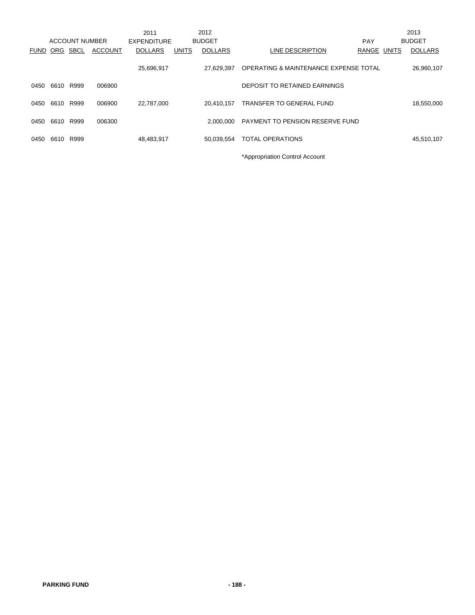|             |      |                |                | 2011               |              | 2012           |                                        |            |              | 2013           |
|-------------|------|----------------|----------------|--------------------|--------------|----------------|----------------------------------------|------------|--------------|----------------|
|             |      | ACCOUNT NUMBER |                | <b>EXPENDITURE</b> |              | <b>BUDGET</b>  |                                        | <b>PAY</b> |              | <b>BUDGET</b>  |
| <b>FUND</b> | ORG  | SBCL           | <b>ACCOUNT</b> | <b>DOLLARS</b>     | <b>UNITS</b> | <b>DOLLARS</b> | LINE DESCRIPTION                       | RANGE      | <b>UNITS</b> | <b>DOLLARS</b> |
|             |      |                |                | 25,696,917         |              | 27,629,397     | OPERATING & MAINTENANCE EXPENSE TOTAL  |            |              | 26,960,107     |
| 0450        | 6610 | R999           | 006900         |                    |              |                | DEPOSIT TO RETAINED EARNINGS           |            |              |                |
| 0450        | 6610 | R999           | 006900         | 22,787,000         |              | 20.410.157     | TRANSFER TO GENERAL FUND               |            |              | 18,550,000     |
| 0450        | 6610 | R999           | 006300         |                    |              | 2.000.000      | <b>PAYMENT TO PENSION RESERVE FUND</b> |            |              |                |
| 0450        | 6610 | R999           |                | 48,483,917         |              | 50.039.554     | <b>TOTAL OPERATIONS</b>                |            |              | 45,510,107     |
|             |      |                |                |                    |              |                | *Appropriation Control Account         |            |              |                |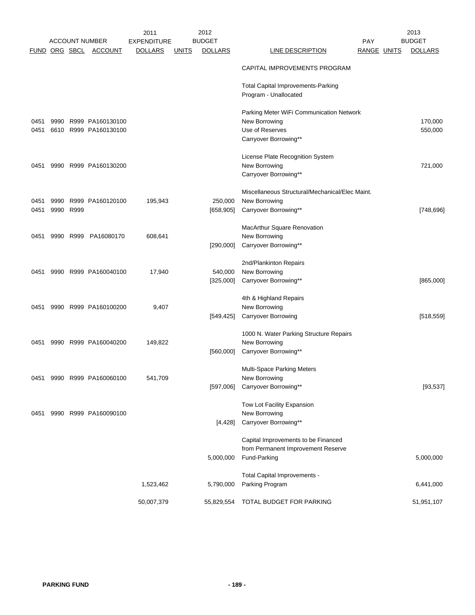|      |      |                      | <b>ACCOUNT NUMBER</b>      | 2011<br><b>EXPENDITURE</b> |              | 2012<br><b>BUDGET</b> |                                                 | <b>PAY</b>  | 2013<br><b>BUDGET</b> |
|------|------|----------------------|----------------------------|----------------------------|--------------|-----------------------|-------------------------------------------------|-------------|-----------------------|
|      |      | <u>FUND ORG SBCL</u> | <u>ACCOUNT</u>             | <b>DOLLARS</b>             | <u>UNITS</u> | <b>DOLLARS</b>        | <b>LINE DESCRIPTION</b>                         | RANGE UNITS | <b>DOLLARS</b>        |
|      |      |                      |                            |                            |              |                       | CAPITAL IMPROVEMENTS PROGRAM                    |             |                       |
|      |      |                      |                            |                            |              |                       | <b>Total Capital Improvements-Parking</b>       |             |                       |
|      |      |                      |                            |                            |              |                       | Program - Unallocated                           |             |                       |
|      |      |                      |                            |                            |              |                       | Parking Meter WiFi Communication Network        |             |                       |
| 0451 |      |                      | 9990 R999 PA160130100      |                            |              |                       | New Borrowing                                   |             | 170,000               |
| 0451 |      |                      | 6610 R999 PA160130100      |                            |              |                       | Use of Reserves                                 |             | 550,000               |
|      |      |                      |                            |                            |              |                       | Carryover Borrowing**                           |             |                       |
|      |      |                      |                            |                            |              |                       | License Plate Recognition System                |             |                       |
| 0451 |      |                      | 9990 R999 PA160130200      |                            |              |                       | New Borrowing                                   |             | 721,000               |
|      |      |                      |                            |                            |              |                       | Carryover Borrowing**                           |             |                       |
|      |      |                      |                            |                            |              |                       | Miscellaneous Structural/Mechanical/Elec Maint. |             |                       |
| 0451 | 9990 |                      | R999 PA160120100           | 195,943                    |              | 250,000               | New Borrowing                                   |             |                       |
| 0451 |      | 9990 R999            |                            |                            |              | [658, 905]            | Carryover Borrowing**                           |             | [748, 696]            |
|      |      |                      |                            |                            |              |                       | MacArthur Square Renovation                     |             |                       |
| 0451 |      |                      | 9990 R999 PA16080170       | 608,641                    |              |                       | New Borrowing                                   |             |                       |
|      |      |                      |                            |                            |              | [290,000]             | Carryover Borrowing**                           |             |                       |
|      |      |                      |                            |                            |              |                       | 2nd/Plankinton Repairs                          |             |                       |
| 0451 |      |                      | 9990 R999 PA160040100      | 17,940                     |              | 540,000               | New Borrowing                                   |             |                       |
|      |      |                      |                            |                            |              | [325,000]             | Carryover Borrowing**                           |             | [865,000]             |
|      |      |                      |                            |                            |              |                       | 4th & Highland Repairs                          |             |                       |
| 0451 |      |                      | 9990 R999 PA160100200      | 9,407                      |              |                       | New Borrowing                                   |             |                       |
|      |      |                      |                            |                            |              | [549, 425]            | <b>Carryover Borrowing</b>                      |             | [518, 559]            |
|      |      |                      |                            |                            |              |                       | 1000 N. Water Parking Structure Repairs         |             |                       |
| 0451 |      |                      | 9990 R999 PA160040200      | 149,822                    |              |                       | New Borrowing                                   |             |                       |
|      |      |                      |                            |                            |              | [560,000]             | Carryover Borrowing**                           |             |                       |
|      |      |                      |                            |                            |              |                       | Multi-Space Parking Meters                      |             |                       |
|      |      |                      | 0451 9990 R999 PA160060100 | 541,709                    |              |                       | New Borrowing                                   |             |                       |
|      |      |                      |                            |                            |              | [597,006]             | Carryover Borrowing**                           |             | [93, 537]             |
|      |      |                      |                            |                            |              |                       | Tow Lot Facility Expansion                      |             |                       |
| 0451 |      |                      | 9990 R999 PA160090100      |                            |              |                       | New Borrowing                                   |             |                       |
|      |      |                      |                            |                            |              | [4, 428]              | Carryover Borrowing**                           |             |                       |
|      |      |                      |                            |                            |              |                       | Capital Improvements to be Financed             |             |                       |
|      |      |                      |                            |                            |              |                       | from Permanent Improvement Reserve              |             |                       |
|      |      |                      |                            |                            |              | 5,000,000             | Fund-Parking                                    |             | 5,000,000             |
|      |      |                      |                            |                            |              |                       | Total Capital Improvements -                    |             |                       |
|      |      |                      |                            | 1,523,462                  |              | 5,790,000             | Parking Program                                 |             | 6,441,000             |
|      |      |                      |                            |                            |              |                       |                                                 |             |                       |
|      |      |                      |                            | 50,007,379                 |              | 55,829,554            | TOTAL BUDGET FOR PARKING                        |             | 51,951,107            |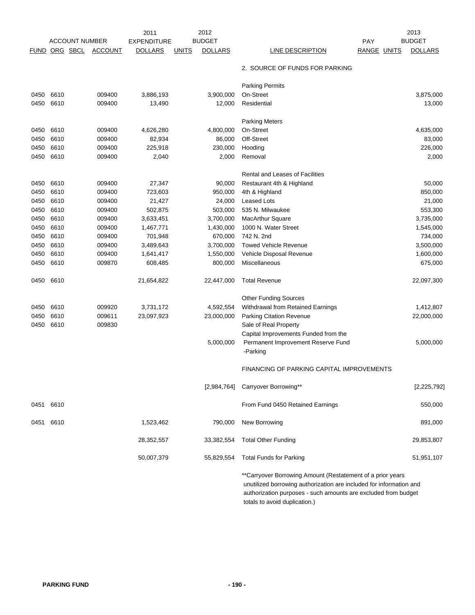|              |              |                       |                  | 2011               |              | 2012           |                                                            | 2013           |
|--------------|--------------|-----------------------|------------------|--------------------|--------------|----------------|------------------------------------------------------------|----------------|
|              |              | <b>ACCOUNT NUMBER</b> |                  | <b>EXPENDITURE</b> |              | <b>BUDGET</b>  | <b>PAY</b>                                                 | <b>BUDGET</b>  |
| FUND         | ORG SBCL     |                       | <b>ACCOUNT</b>   | <b>DOLLARS</b>     | <b>UNITS</b> | <b>DOLLARS</b> | LINE DESCRIPTION<br><b>RANGE UNITS</b>                     | <b>DOLLARS</b> |
|              |              |                       |                  |                    |              |                | 2. SOURCE OF FUNDS FOR PARKING                             |                |
|              |              |                       |                  |                    |              |                | <b>Parking Permits</b>                                     |                |
| 0450         | 6610         |                       | 009400           | 3,886,193          |              | 3,900,000      | On-Street                                                  | 3,875,000      |
| 0450         | 6610         |                       | 009400           | 13,490             |              | 12,000         | Residential                                                | 13,000         |
|              |              |                       |                  |                    |              |                | <b>Parking Meters</b>                                      |                |
| 0450         | 6610         |                       | 009400           | 4,626,280          |              | 4,800,000      | On-Street                                                  | 4,635,000      |
| 0450         | 6610         |                       | 009400           | 82,934             |              | 86,000         | Off-Street                                                 | 83,000         |
| 0450         | 6610         |                       | 009400           | 225,918            |              | 230,000        | Hooding                                                    | 226,000        |
| 0450         | 6610         |                       | 009400           | 2,040              |              | 2,000          | Removal                                                    | 2,000          |
|              |              |                       |                  |                    |              |                | <b>Rental and Leases of Facilities</b>                     |                |
| 0450         | 6610         |                       | 009400           | 27,347             |              | 90,000         | Restaurant 4th & Highland                                  | 50,000         |
| 0450         | 6610         |                       | 009400           | 723,603            |              | 950,000        | 4th & Highland                                             | 850,000        |
| 0450         | 6610         |                       | 009400           | 21,427             |              | 24,000         | <b>Leased Lots</b>                                         | 21,000         |
| 0450         | 6610         |                       | 009400           | 502,875            |              | 503,000        | 535 N. Milwaukee                                           | 553,300        |
| 0450         | 6610         |                       | 009400           | 3,633,451          |              | 3,700,000      | <b>MacArthur Square</b>                                    | 3,735,000      |
| 0450         | 6610         |                       | 009400           | 1,467,771          |              | 1,430,000      | 1000 N. Water Street                                       | 1,545,000      |
| 0450         | 6610         |                       | 009400           | 701,948            |              | 670,000        | 742 N. 2nd                                                 | 734,000        |
| 0450         | 6610         |                       | 009400           | 3,489,643          |              | 3,700,000      | <b>Towed Vehicle Revenue</b>                               | 3,500,000      |
| 0450         | 6610         |                       | 009400           | 1,641,417          |              | 1,550,000      | Vehicle Disposal Revenue                                   | 1,600,000      |
| 0450         | 6610         |                       | 009870           | 608,485            |              | 800,000        | Miscellaneous                                              | 675,000        |
| 0450         | 6610         |                       |                  | 21,654,822         |              | 22,447,000     | <b>Total Revenue</b>                                       | 22,097,300     |
|              |              |                       |                  |                    |              |                | <b>Other Funding Sources</b>                               |                |
| 0450         | 6610         |                       | 009920           | 3,731,172          |              | 4,592,554      | Withdrawal from Retained Earnings                          | 1,412,807      |
| 0450<br>0450 | 6610<br>6610 |                       | 009611<br>009830 | 23,097,923         |              | 23,000,000     | <b>Parking Citation Revenue</b><br>Sale of Real Property   | 22,000,000     |
|              |              |                       |                  |                    |              |                | Capital Improvements Funded from the                       |                |
|              |              |                       |                  |                    |              | 5,000,000      | Permanent Improvement Reserve Fund<br>-Parking             | 5,000,000      |
|              |              |                       |                  |                    |              |                | FINANCING OF PARKING CAPITAL IMPROVEMENTS                  |                |
|              |              |                       |                  |                    |              | [2,984,764]    | Carryover Borrowing**                                      | [2, 225, 792]  |
|              | 0451 6610    |                       |                  |                    |              |                | From Fund 0450 Retained Earnings                           | 550,000        |
| 0451         | 6610         |                       |                  | 1,523,462          |              | 790,000        | New Borrowing                                              | 891,000        |
|              |              |                       |                  | 28,352,557         |              | 33,382,554     | <b>Total Other Funding</b>                                 | 29,853,807     |
|              |              |                       |                  | 50,007,379         |              | 55,829,554     | <b>Total Funds for Parking</b>                             | 51,951,107     |
|              |              |                       |                  |                    |              |                | **Carryover Borrowing Amount (Restatement of a prior years |                |

 unutilized borrowing authorization are included for information and authorization purposes - such amounts are excluded from budget totals to avoid duplication.)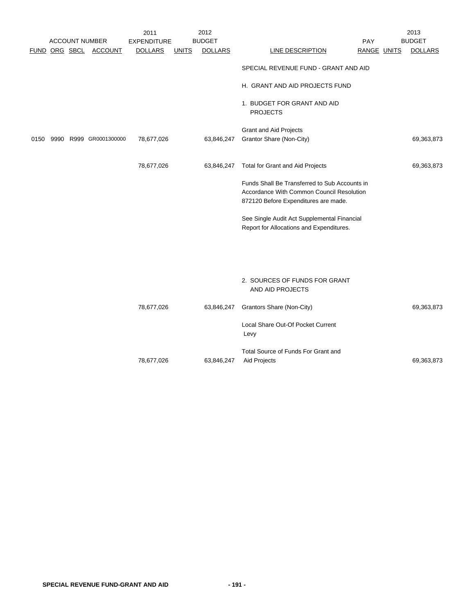|      |  |                        | 2011           |              | 2012           |                                                   |             | 2013           |
|------|--|------------------------|----------------|--------------|----------------|---------------------------------------------------|-------------|----------------|
|      |  | <b>ACCOUNT NUMBER</b>  | EXPENDITURE    |              | <b>BUDGET</b>  |                                                   | <b>PAY</b>  | <b>BUDGET</b>  |
|      |  | FUND ORG SBCL ACCOUNT  | <b>DOLLARS</b> | <u>UNITS</u> | <b>DOLLARS</b> | LINE DESCRIPTION                                  | RANGE UNITS | <b>DOLLARS</b> |
|      |  |                        |                |              |                | SPECIAL REVENUE FUND - GRANT AND AID              |             |                |
|      |  |                        |                |              |                | H. GRANT AND AID PROJECTS FUND                    |             |                |
|      |  |                        |                |              |                | 1. BUDGET FOR GRANT AND AID<br><b>PROJECTS</b>    |             |                |
|      |  |                        |                |              |                | <b>Grant and Aid Projects</b>                     |             |                |
| 0150 |  | 9990 R999 GR0001300000 | 78,677,026     |              | 63,846,247     | Grantor Share (Non-City)                          |             | 69,363,873     |
|      |  |                        | 78,677,026     |              | 63,846,247     | Total for Grant and Aid Projects                  |             | 69,363,873     |
|      |  |                        |                |              |                | Funds Shall Be Transferred to Sub Accounts in     |             |                |
|      |  |                        |                |              |                | Accordance With Common Council Resolution         |             |                |
|      |  |                        |                |              |                | 872120 Before Expenditures are made.              |             |                |
|      |  |                        |                |              |                | See Single Audit Act Supplemental Financial       |             |                |
|      |  |                        |                |              |                | Report for Allocations and Expenditures.          |             |                |
|      |  |                        |                |              |                |                                                   |             |                |
|      |  |                        |                |              |                |                                                   |             |                |
|      |  |                        |                |              |                | 2. SOURCES OF FUNDS FOR GRANT<br>AND AID PROJECTS |             |                |
|      |  |                        | 78,677,026     |              | 63,846,247     | Grantors Share (Non-City)                         |             | 69,363,873     |
|      |  |                        |                |              |                | Local Share Out-Of Pocket Current<br>Levy         |             |                |
|      |  |                        |                |              |                | Total Source of Funds For Grant and               |             |                |
|      |  |                        | 78,677,026     |              | 63,846,247     | Aid Projects                                      |             | 69,363,873     |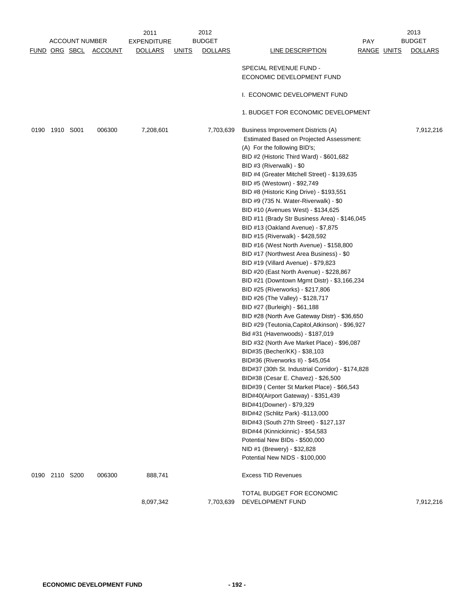|  |                                                |                           |        | 2012<br>2011                             |                                            |                                                                                                  | 2013                                                                                                 |             |                                 |
|--|------------------------------------------------|---------------------------|--------|------------------------------------------|--------------------------------------------|--------------------------------------------------------------------------------------------------|------------------------------------------------------------------------------------------------------|-------------|---------------------------------|
|  | <b>ACCOUNT NUMBER</b><br>FUND ORG SBCL ACCOUNT |                           |        | <b>EXPENDITURE</b><br><b>DOLLARS</b>     |                                            | <b>BUDGET</b><br><b>DOLLARS</b>                                                                  | <b>LINE DESCRIPTION</b>                                                                              | PAY         | <b>BUDGET</b><br><b>DOLLARS</b> |
|  |                                                |                           |        |                                          | <b>UNITS</b>                               |                                                                                                  |                                                                                                      | RANGE UNITS |                                 |
|  |                                                |                           |        |                                          |                                            |                                                                                                  | SPECIAL REVENUE FUND -                                                                               |             |                                 |
|  |                                                |                           |        |                                          |                                            |                                                                                                  | ECONOMIC DEVELOPMENT FUND                                                                            |             |                                 |
|  |                                                |                           |        |                                          |                                            |                                                                                                  |                                                                                                      |             |                                 |
|  |                                                |                           |        |                                          |                                            |                                                                                                  | I. ECONOMIC DEVELOPMENT FUND                                                                         |             |                                 |
|  |                                                |                           |        |                                          |                                            |                                                                                                  | 1. BUDGET FOR ECONOMIC DEVELOPMENT                                                                   |             |                                 |
|  |                                                |                           |        |                                          |                                            |                                                                                                  |                                                                                                      |             |                                 |
|  | 0190 1910 S001                                 |                           | 006300 | 7,208,601                                |                                            | 7,703,639                                                                                        | Business Improvement Districts (A)                                                                   |             | 7,912,216                       |
|  |                                                |                           |        | Estimated Based on Projected Assessment: |                                            |                                                                                                  |                                                                                                      |             |                                 |
|  |                                                |                           |        |                                          |                                            |                                                                                                  | (A) For the following BID's;<br>BID #2 (Historic Third Ward) - \$601,682<br>BID #3 (Riverwalk) - \$0 |             |                                 |
|  |                                                |                           |        |                                          |                                            |                                                                                                  |                                                                                                      |             |                                 |
|  |                                                |                           |        |                                          |                                            |                                                                                                  |                                                                                                      |             |                                 |
|  |                                                |                           |        |                                          |                                            |                                                                                                  | BID #4 (Greater Mitchell Street) - \$139,635                                                         |             |                                 |
|  |                                                |                           |        |                                          |                                            | BID #5 (Westown) - \$92,749                                                                      |                                                                                                      |             |                                 |
|  |                                                |                           |        |                                          |                                            | BID #8 (Historic King Drive) - \$193,551                                                         |                                                                                                      |             |                                 |
|  |                                                |                           |        |                                          |                                            | BID #9 (735 N. Water-Riverwalk) - \$0<br>BID #10 (Avenues West) - \$134,625                      |                                                                                                      |             |                                 |
|  |                                                |                           |        |                                          |                                            | BID #11 (Brady Str Business Area) - \$146,045                                                    |                                                                                                      |             |                                 |
|  |                                                |                           |        |                                          |                                            | BID #13 (Oakland Avenue) - \$7,875                                                               |                                                                                                      |             |                                 |
|  |                                                |                           |        |                                          |                                            |                                                                                                  | BID #15 (Riverwalk) - \$428,592                                                                      |             |                                 |
|  |                                                |                           |        |                                          |                                            | BID #16 (West North Avenue) - \$158,800                                                          |                                                                                                      |             |                                 |
|  |                                                |                           |        |                                          |                                            | BID #17 (Northwest Area Business) - \$0                                                          |                                                                                                      |             |                                 |
|  |                                                |                           |        |                                          |                                            | BID #19 (Villard Avenue) - \$79,823                                                              |                                                                                                      |             |                                 |
|  |                                                |                           |        |                                          |                                            | BID #20 (East North Avenue) - \$228,867                                                          |                                                                                                      |             |                                 |
|  |                                                |                           |        |                                          |                                            | BID #21 (Downtown Mgmt Distr) - \$3,166,234                                                      |                                                                                                      |             |                                 |
|  |                                                |                           |        |                                          |                                            | BID #25 (Riverworks) - \$217,806                                                                 |                                                                                                      |             |                                 |
|  |                                                |                           |        |                                          |                                            | BID #26 (The Valley) - \$128,717                                                                 |                                                                                                      |             |                                 |
|  |                                                |                           |        |                                          |                                            |                                                                                                  | BID #27 (Burleigh) - \$61,188                                                                        |             |                                 |
|  |                                                |                           |        |                                          |                                            | BID #28 (North Ave Gateway Distr) - \$36,650<br>BID #29 (Teutonia, Capitol, Atkinson) - \$96,927 |                                                                                                      |             |                                 |
|  |                                                |                           |        |                                          |                                            | Bid #31 (Havenwoods) - \$187,019                                                                 |                                                                                                      |             |                                 |
|  |                                                |                           |        |                                          |                                            | BID #32 (North Ave Market Place) - \$96,087                                                      |                                                                                                      |             |                                 |
|  |                                                |                           |        |                                          |                                            | BID#35 (Becher/KK) - \$38,103                                                                    |                                                                                                      |             |                                 |
|  |                                                |                           |        |                                          |                                            | BID#36 (Riverworks II) - \$45,054                                                                |                                                                                                      |             |                                 |
|  |                                                |                           |        |                                          |                                            | BID#37 (30th St. Industrial Corridor) - \$174,828                                                |                                                                                                      |             |                                 |
|  |                                                |                           |        |                                          |                                            | BID#38 (Cesar E. Chavez) - \$26,500                                                              |                                                                                                      |             |                                 |
|  |                                                |                           |        |                                          |                                            | BID#39 ( Center St Market Place) - \$66,543                                                      |                                                                                                      |             |                                 |
|  |                                                |                           |        |                                          |                                            | BID#40(Airport Gateway) - \$351,439                                                              |                                                                                                      |             |                                 |
|  | BID#41(Downer) - \$79,329                      |                           |        |                                          |                                            |                                                                                                  |                                                                                                      |             |                                 |
|  |                                                |                           |        |                                          |                                            |                                                                                                  | BID#42 (Schlitz Park) -\$113,000<br>BID#43 (South 27th Street) - \$127,137                           |             |                                 |
|  |                                                |                           |        |                                          |                                            |                                                                                                  | BID#44 (Kinnickinnic) - \$54,583                                                                     |             |                                 |
|  |                                                |                           |        |                                          |                                            |                                                                                                  | Potential New BIDs - \$500,000                                                                       |             |                                 |
|  |                                                |                           |        |                                          |                                            |                                                                                                  | NID #1 (Brewery) - \$32,828                                                                          |             |                                 |
|  |                                                |                           |        |                                          |                                            |                                                                                                  | Potential New NIDS - \$100,000                                                                       |             |                                 |
|  | 0190 2110 S200                                 |                           | 006300 | 888,741                                  |                                            |                                                                                                  | <b>Excess TID Revenues</b>                                                                           |             |                                 |
|  |                                                | TOTAL BUDGET FOR ECONOMIC |        |                                          |                                            |                                                                                                  |                                                                                                      |             |                                 |
|  |                                                |                           |        | 8,097,342                                | DEVELOPMENT FUND<br>7,703,639<br>7,912,216 |                                                                                                  |                                                                                                      |             |                                 |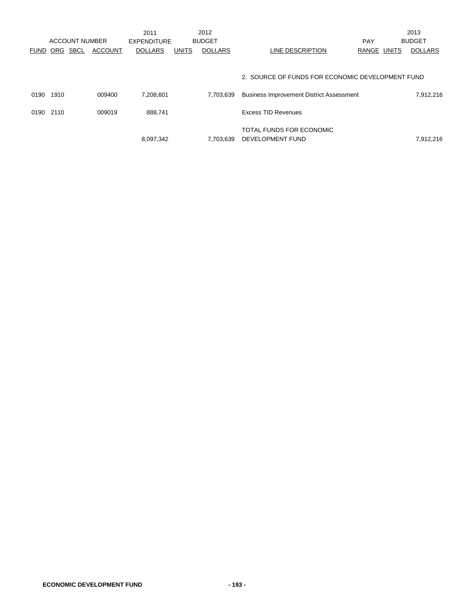|             |      |                       |                | 2011               |              | 2012           |                                                  |            |              | 2013           |
|-------------|------|-----------------------|----------------|--------------------|--------------|----------------|--------------------------------------------------|------------|--------------|----------------|
|             |      | <b>ACCOUNT NUMBER</b> |                | <b>EXPENDITURE</b> |              | <b>BUDGET</b>  |                                                  | <b>PAY</b> |              | <b>BUDGET</b>  |
| <b>FUND</b> | ORG  | <b>SBCL</b>           | <b>ACCOUNT</b> | <b>DOLLARS</b>     | <b>UNITS</b> | <b>DOLLARS</b> | LINE DESCRIPTION                                 | RANGE      | <b>UNITS</b> | <b>DOLLARS</b> |
|             |      |                       |                |                    |              |                |                                                  |            |              |                |
|             |      |                       |                |                    |              |                | 2. SOURCE OF FUNDS FOR ECONOMIC DEVELOPMENT FUND |            |              |                |
| 0190        | 1910 |                       | 009400         | 7,208,601          |              | 7.703.639      | <b>Business Improvement District Assessment</b>  |            |              | 7,912,216      |
| 0190        | 2110 |                       | 009019         | 888.741            |              |                | <b>Excess TID Revenues</b>                       |            |              |                |
|             |      |                       |                |                    |              |                | TOTAL FUNDS FOR ECONOMIC                         |            |              |                |
|             |      |                       |                | 8,097,342          |              | 7.703.639      | DEVELOPMENT FUND                                 |            |              | 7,912,216      |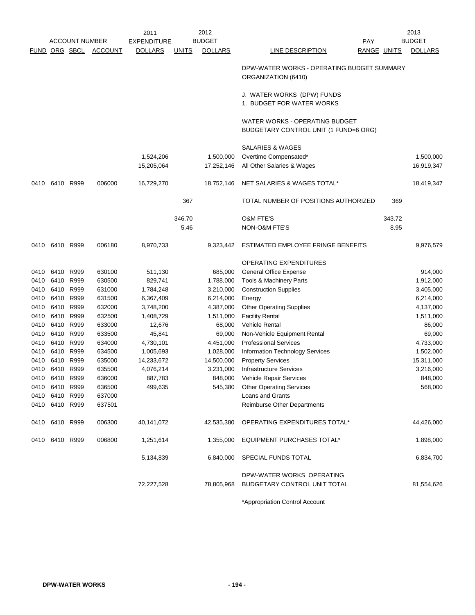|      |                |                       |         | 2011               |              | 2012           |                                                                         |             | 2013           |
|------|----------------|-----------------------|---------|--------------------|--------------|----------------|-------------------------------------------------------------------------|-------------|----------------|
|      |                | <b>ACCOUNT NUMBER</b> |         | <b>EXPENDITURE</b> |              | <b>BUDGET</b>  | <b>PAY</b>                                                              |             | <b>BUDGET</b>  |
|      |                | FUND ORG SBCL         | ACCOUNT | <b>DOLLARS</b>     | <b>UNITS</b> | <b>DOLLARS</b> | <b>LINE DESCRIPTION</b>                                                 | RANGE UNITS | <b>DOLLARS</b> |
|      |                |                       |         |                    |              |                | DPW-WATER WORKS - OPERATING BUDGET SUMMARY<br>ORGANIZATION (6410)       |             |                |
|      |                |                       |         |                    |              |                | J. WATER WORKS (DPW) FUNDS<br>1. BUDGET FOR WATER WORKS                 |             |                |
|      |                |                       |         |                    |              |                | WATER WORKS - OPERATING BUDGET<br>BUDGETARY CONTROL UNIT (1 FUND=6 ORG) |             |                |
|      |                |                       |         |                    |              |                | SALARIES & WAGES                                                        |             |                |
|      |                |                       |         | 1,524,206          |              | 1,500,000      | Overtime Compensated*                                                   |             | 1,500,000      |
|      |                |                       |         | 15,205,064         |              | 17,252,146     | All Other Salaries & Wages                                              |             | 16,919,347     |
| 0410 | 6410 R999      |                       | 006000  | 16,729,270         |              | 18,752,146     | NET SALARIES & WAGES TOTAL*                                             |             | 18,419,347     |
|      |                |                       |         |                    | 367          |                | TOTAL NUMBER OF POSITIONS AUTHORIZED                                    | 369         |                |
|      |                |                       |         |                    | 346.70       |                | <b>O&amp;M FTE'S</b>                                                    | 343.72      |                |
|      |                |                       |         |                    | 5.46         |                | NON-O&M FTE'S                                                           | 8.95        |                |
|      | 0410 6410 R999 |                       | 006180  | 8,970,733          |              | 9,323,442      | ESTIMATED EMPLOYEE FRINGE BENEFITS                                      |             | 9,976,579      |
|      |                |                       |         |                    |              |                | <b>OPERATING EXPENDITURES</b>                                           |             |                |
| 0410 | 6410           | R999                  | 630100  | 511,130            |              | 685,000        | <b>General Office Expense</b>                                           |             | 914,000        |
|      | 0410 6410 R999 |                       | 630500  | 829,741            |              | 1,788,000      | Tools & Machinery Parts                                                 |             | 1,912,000      |
| 0410 | 6410 R999      |                       | 631000  | 1,784,248          |              | 3,210,000      | <b>Construction Supplies</b>                                            |             | 3,405,000      |
| 0410 | 6410 R999      |                       | 631500  | 6,367,409          |              | 6,214,000      | Energy                                                                  |             | 6,214,000      |
| 0410 | 6410           | R999                  | 632000  | 3,748,200          |              | 4,387,000      | <b>Other Operating Supplies</b>                                         |             | 4,137,000      |
| 0410 | 6410 R999      |                       | 632500  | 1,408,729          |              | 1,511,000      | <b>Facility Rental</b>                                                  |             | 1,511,000      |
| 0410 | 6410           | R999                  | 633000  | 12,676             |              | 68,000         | <b>Vehicle Rental</b>                                                   |             | 86,000         |
| 0410 | 6410 R999      |                       | 633500  | 45,841             |              | 69,000         | Non-Vehicle Equipment Rental                                            |             | 69,000         |
| 0410 | 6410 R999      |                       | 634000  | 4,730,101          |              | 4,451,000      | <b>Professional Services</b>                                            |             | 4,733,000      |
| 0410 | 6410           | R999                  | 634500  | 1,005,693          |              | 1,028,000      | Information Technology Services                                         |             | 1,502,000      |
| 0410 | 6410 R999      |                       | 635000  | 14,233,672         |              | 14,500,000     | <b>Property Services</b>                                                |             | 15,311,000     |
|      | 0410 6410 R999 |                       | 635500  | 4,076,214          |              | 3,231,000      | <b>Infrastructure Services</b>                                          |             | 3,216,000      |
|      | 0410 6410 R999 |                       | 636000  | 887,783            |              |                | 848,000 Vehicle Repair Services                                         |             | 848,000        |
|      | 0410 6410 R999 |                       | 636500  | 499,635            |              | 545,380        | <b>Other Operating Services</b>                                         |             | 568,000        |
|      | 0410 6410 R999 |                       | 637000  |                    |              |                | <b>Loans and Grants</b>                                                 |             |                |
|      | 0410 6410 R999 |                       | 637501  |                    |              |                | Reimburse Other Departments                                             |             |                |
|      | 0410 6410 R999 |                       | 006300  | 40,141,072         |              | 42,535,380     | OPERATING EXPENDITURES TOTAL*                                           |             | 44,426,000     |
|      | 0410 6410 R999 |                       | 006800  | 1,251,614          |              | 1,355,000      | <b>EQUIPMENT PURCHASES TOTAL*</b>                                       |             | 1,898,000      |
|      |                |                       |         | 5,134,839          |              | 6,840,000      | SPECIAL FUNDS TOTAL                                                     |             | 6,834,700      |
|      |                |                       |         |                    |              |                | DPW-WATER WORKS OPERATING                                               |             |                |
|      |                |                       |         | 72,227,528         |              | 78,805,968     | BUDGETARY CONTROL UNIT TOTAL                                            |             | 81,554,626     |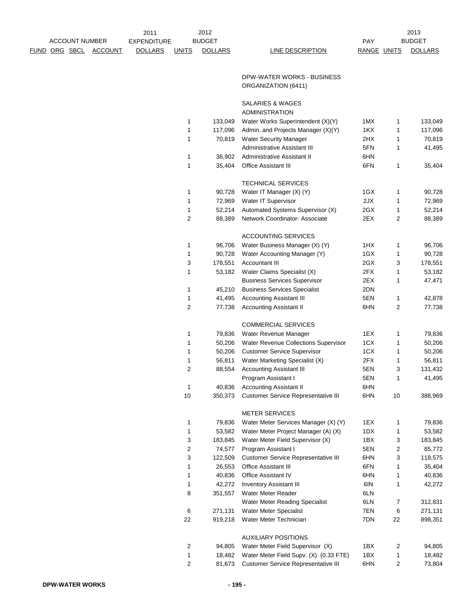|             |                       |         | 2011           |       | 2012           |                  |      |
|-------------|-----------------------|---------|----------------|-------|----------------|------------------|------|
|             | <b>ACCOUNT NUMBER</b> |         | EXPENDITURE    |       | <b>BUDGET</b>  |                  | PAY  |
| <b>FUND</b> | ORG SBCL              | ACCOUNT | <b>DOLLARS</b> | JNITS | <b>DOLLARS</b> | LINE DESCRIPTION | RANG |

LINE DESCRIPTION RANGE UNITS DOLLARS

2013 PAY BUDGET

### DPW-WATER WORKS - BUSINESS ORGANIZATION (6411)

### SALARIES & WAGES

|    |         | ADMINISTRATION                             |     |                |         |
|----|---------|--------------------------------------------|-----|----------------|---------|
| 1  | 133,049 | Water Works Superintendent (X)(Y)          | 1MX | 1              | 133,049 |
| 1  | 117,096 | Admin. and Projects Manager (X)(Y)         | 1KX | 1              | 117,096 |
| 1  | 70,819  | <b>Water Security Manager</b>              | 2HX | 1              | 70,819  |
|    |         | Administrative Assistant III               | 5FN | 1              | 41,495  |
| 1  | 36,902  | Administrative Assistant II                | 6HN |                |         |
| 1  | 35,404  | <b>Office Assistant III</b>                | 6FN | 1              | 35,404  |
|    |         | <b>TECHNICAL SERVICES</b>                  |     |                |         |
| 1  | 90,728  | Water IT Manager (X) (Y)                   | 1GX | 1              | 90,728  |
| 1  | 72,969  | Water IT Supervisor                        | 2JX | 1              | 72,969  |
| 1  | 52,214  | Automated Systems Supervisor (X)           | 2GX | 1              | 52,214  |
| 2  | 88,389  | Network Coordinator- Associate             | 2EX | $\overline{2}$ | 88,389  |
|    |         | <b>ACCOUNTING SERVICES</b>                 |     |                |         |
| 1  | 96,706  | Water Business Manager (X) (Y)             | 1HX | 1              | 96,706  |
| 1  | 90,728  | Water Accounting Manager (Y)               | 1GX | 1              | 90,728  |
| 3  | 178,551 | <b>Accountant III</b>                      | 2GX | 3              | 178,551 |
| 1  | 53,182  | Water Claims Specialist (X)                | 2FX | 1              | 53,182  |
|    |         | <b>Business Services Supervisor</b>        | 2EX | 1              | 47,471  |
| 1  | 45,210  | <b>Business Services Specialist</b>        | 2DN |                |         |
| 1  | 41,495  | <b>Accounting Assistant III</b>            | 5EN | 1              | 42,878  |
| 2  | 77,738  | <b>Accounting Assistant II</b>             | 6HN | $\overline{2}$ | 77,738  |
|    |         | <b>COMMERCIAL SERVICES</b>                 |     |                |         |
| 1  | 79,836  | Water Revenue Manager                      | 1EX | 1              | 79,836  |
| 1  | 50,206  | Water Revenue Collections Supervisor       | 1CX | 1              | 50,206  |
| 1  | 50,206  | <b>Customer Service Supervisor</b>         | 1CX | 1              | 50,206  |
| 1  | 56,811  | Water Marketing Specialist (X)             | 2FX | 1              | 56,811  |
| 2  | 88,554  | <b>Accounting Assistant III</b>            | 5EN | 3              | 131,432 |
|    |         | Program Assistant I                        | 5EN | 1              | 41,495  |
| 1  | 40,836  | <b>Accounting Assistant II</b>             | 6HN |                |         |
| 10 | 350,373 | <b>Customer Service Representative III</b> | 6HN | 10             | 388,969 |
|    |         | <b>METER SERVICES</b>                      |     |                |         |
| 1  | 79,836  | Water Meter Services Manager (X) (Y)       | 1EX | 1              | 79,836  |
| 1  | 53,582  | Water Meter Project Manager (A) (X)        | 1DX | 1              | 53,582  |
| 3  | 183,845 | Water Meter Field Supervisor (X)           | 1BX | 3              | 183,845 |
| 2  | 74,577  | Program Assistant I                        | 5EN | $\overline{2}$ | 85,772  |
| 3  | 122,509 | <b>Customer Service Representative III</b> | 6HN | 3              | 118,575 |
| 1  | 26,553  | Office Assistant III                       | 6FN | 1              | 35,404  |
| 1  | 40,836  | Office Assistant IV                        | 6HN | 1              | 40,836  |
| 1  | 42,272  | <b>Inventory Assistant III</b>             | 6IN | 1              | 42,272  |
| 8  | 351,557 | Water Meter Reader                         | 6LN |                |         |
|    |         | Water Meter Reading Specialist             | 6LN | 7              | 312,831 |
| 6  | 271,131 | Water Meter Specialist                     | 7EN | 6              | 271,131 |
| 22 | 919,218 | Water Meter Technician                     | 7DN | 22             | 898,351 |
|    |         | <b>AUXILIARY POSITIONS</b>                 |     |                |         |
| 2  | 94,805  | Water Meter Field Supervisor (X)           | 1BX | 2              | 94,805  |
| 1  | 18,482  | Water Meter Field Supv. (X) (0.33 FTE)     | 1BX | 1              | 18,482  |
| 2  | 81,673  | <b>Customer Service Representative III</b> | 6HN | 2              | 73,804  |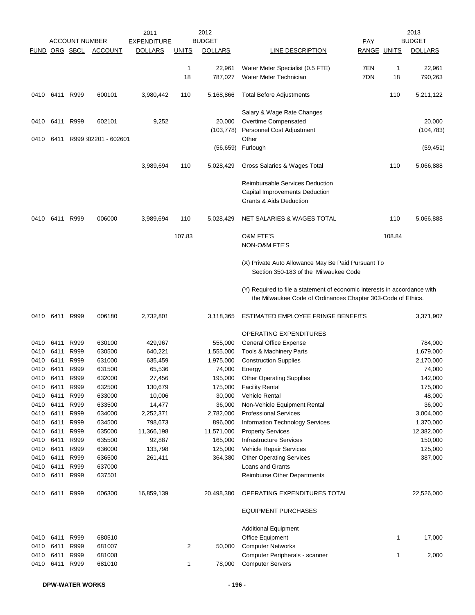| <u>FUND</u>  |              | <b>ACCOUNT NUMBER</b><br>ORG SBCL | <b>ACCOUNT</b>       | 2011<br><b>EXPENDITURE</b><br><b>DOLLARS</b> | <b>UNITS</b>       | 2012<br><b>BUDGET</b><br><b>DOLLARS</b> | LINE DESCRIPTION                                                                                                                          | <b>PAY</b><br>RANGE UNITS |         | 2013<br><b>BUDGET</b><br><b>DOLLARS</b> |
|--------------|--------------|-----------------------------------|----------------------|----------------------------------------------|--------------------|-----------------------------------------|-------------------------------------------------------------------------------------------------------------------------------------------|---------------------------|---------|-----------------------------------------|
|              |              |                                   |                      |                                              | $\mathbf{1}$<br>18 | 22,961<br>787,027                       | Water Meter Specialist (0.5 FTE)<br>Water Meter Technician                                                                                | 7EN<br>7DN                | 1<br>18 | 22,961<br>790,263                       |
| 0410         | 6411         | R999                              | 600101               | 3,980,442                                    | 110                | 5,168,866                               | <b>Total Before Adjustments</b>                                                                                                           |                           | 110     | 5,211,122                               |
| 0410         | 6411         | R999                              | 602101               | 9,252                                        |                    | 20,000<br>(103, 778)                    | Salary & Wage Rate Changes<br>Overtime Compensated<br>Personnel Cost Adjustment                                                           |                           |         | 20,000<br>(104, 783)                    |
| 0410         | 6411         |                                   | R999 602201 - 602601 |                                              |                    | (56, 659)                               | Other<br>Furlough                                                                                                                         |                           |         | (59, 451)                               |
|              |              |                                   |                      | 3,989,694                                    | 110                | 5,028,429                               | Gross Salaries & Wages Total                                                                                                              |                           | 110     | 5,066,888                               |
|              |              |                                   |                      |                                              |                    |                                         | <b>Reimbursable Services Deduction</b><br>Capital Improvements Deduction<br><b>Grants &amp; Aids Deduction</b>                            |                           |         |                                         |
| 0410         |              | 6411 R999                         | 006000               | 3,989,694                                    | 110                | 5,028,429                               | NET SALARIES & WAGES TOTAL                                                                                                                |                           | 110     | 5,066,888                               |
|              |              |                                   |                      |                                              | 107.83             |                                         | <b>O&amp;M FTE'S</b><br><b>NON-O&amp;M FTE'S</b>                                                                                          |                           | 108.84  |                                         |
|              |              |                                   |                      |                                              |                    |                                         | (X) Private Auto Allowance May Be Paid Pursuant To<br>Section 350-183 of the Milwaukee Code                                               |                           |         |                                         |
|              |              |                                   |                      |                                              |                    |                                         | (Y) Required to file a statement of economic interests in accordance with<br>the Milwaukee Code of Ordinances Chapter 303-Code of Ethics. |                           |         |                                         |
| 0410         | 6411 R999    |                                   | 006180               | 2,732,801                                    |                    | 3,118,365                               | ESTIMATED EMPLOYEE FRINGE BENEFITS                                                                                                        |                           |         | 3,371,907                               |
|              |              |                                   |                      |                                              |                    |                                         | OPERATING EXPENDITURES                                                                                                                    |                           |         |                                         |
| 0410         | 6411         | R999                              | 630100               | 429,967                                      |                    | 555,000                                 | <b>General Office Expense</b>                                                                                                             |                           |         | 784,000                                 |
| 0410         | 6411         | R999                              | 630500               | 640,221                                      |                    | 1,555,000                               | Tools & Machinery Parts                                                                                                                   |                           |         | 1,679,000                               |
| 0410         | 6411         | R999                              | 631000               | 635,459                                      |                    | 1,975,000                               | <b>Construction Supplies</b>                                                                                                              |                           |         | 2,170,000                               |
| 0410<br>0410 | 6411<br>6411 | R999<br>R999                      | 631500<br>632000     | 65,536<br>27,456                             |                    | 74,000<br>195,000                       | Energy<br><b>Other Operating Supplies</b>                                                                                                 |                           |         | 74,000<br>142,000                       |
| 0410         | 6411         | R999                              | 632500               | 130,679                                      |                    | 175,000                                 | <b>Facility Rental</b>                                                                                                                    |                           |         | 175,000                                 |
| 0410         | 6411         | R999                              | 633000               | 10,006                                       |                    | 30,000                                  | Vehicle Rental                                                                                                                            |                           |         | 48,000                                  |
| 0410         | 6411         | R999                              | 633500               | 14,477                                       |                    | 36,000                                  | Non-Vehicle Equipment Rental                                                                                                              |                           |         | 36,000                                  |
| 0410         | 6411         | R999                              | 634000               | 2,252,371                                    |                    | 2,782,000                               | <b>Professional Services</b>                                                                                                              |                           |         | 3,004,000                               |
| 0410         | 6411         | R999                              | 634500               | 798,673                                      |                    | 896,000                                 | <b>Information Technology Services</b>                                                                                                    |                           |         | 1,370,000                               |
| 0410         | 6411         | R999                              | 635000               | 11,366,198                                   |                    | 11,571,000                              | <b>Property Services</b>                                                                                                                  |                           |         | 12,382,000                              |
| 0410         | 6411         | R999                              | 635500               | 92,887                                       |                    | 165,000                                 | <b>Infrastructure Services</b>                                                                                                            |                           |         | 150,000                                 |
| 0410         | 6411         | R999                              | 636000               | 133,798                                      |                    | 125,000                                 | Vehicle Repair Services                                                                                                                   |                           |         | 125,000                                 |
| 0410         | 6411         | R999                              | 636500               | 261,411                                      |                    | 364,380                                 | <b>Other Operating Services</b>                                                                                                           |                           |         | 387,000                                 |
| 0410         | 6411         | R999                              | 637000               |                                              |                    |                                         | Loans and Grants                                                                                                                          |                           |         |                                         |
| 0410         | 6411         | R999                              | 637501               |                                              |                    |                                         | Reimburse Other Departments                                                                                                               |                           |         |                                         |
| 0410         | 6411 R999    |                                   | 006300               | 16,859,139                                   |                    | 20,498,380                              | OPERATING EXPENDITURES TOTAL                                                                                                              |                           |         | 22,526,000                              |
|              |              |                                   |                      |                                              |                    |                                         | <b>EQUIPMENT PURCHASES</b>                                                                                                                |                           |         |                                         |
| 0410         | 6411         | R999                              | 680510               |                                              |                    |                                         | <b>Additional Equipment</b><br>Office Equipment                                                                                           |                           | 1       | 17,000                                  |
| 0410         | 6411         | R999                              | 681007               |                                              | $\overline{2}$     | 50,000                                  | <b>Computer Networks</b>                                                                                                                  |                           |         |                                         |
| 0410         | 6411         | R999                              | 681008               |                                              |                    |                                         | Computer Peripherals - scanner                                                                                                            |                           | 1       | 2,000                                   |
| 0410         | 6411         | R999                              | 681010               |                                              | 1                  | 78,000                                  | <b>Computer Servers</b>                                                                                                                   |                           |         |                                         |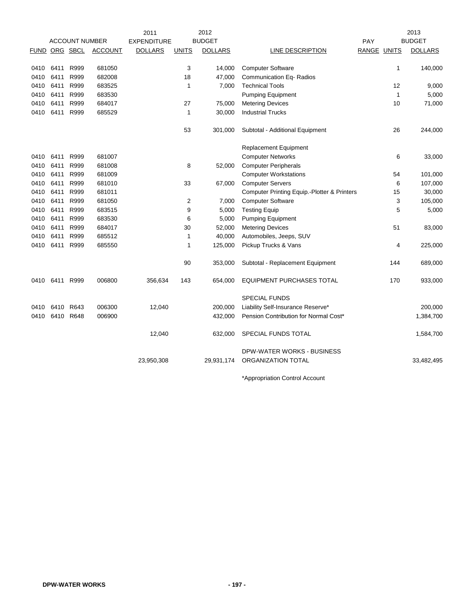|               |           |                       |                | 2011               |                | 2012           |                                             |             |              | 2013           |
|---------------|-----------|-----------------------|----------------|--------------------|----------------|----------------|---------------------------------------------|-------------|--------------|----------------|
|               |           | <b>ACCOUNT NUMBER</b> |                | <b>EXPENDITURE</b> |                | <b>BUDGET</b>  |                                             | PAY         |              | <b>BUDGET</b>  |
| FUND ORG SBCL |           |                       | <b>ACCOUNT</b> | <b>DOLLARS</b>     | <b>UNITS</b>   | <b>DOLLARS</b> | LINE DESCRIPTION                            | RANGE UNITS |              | <b>DOLLARS</b> |
|               |           |                       |                |                    |                |                |                                             |             |              |                |
| 0410          | 6411      | R999                  | 681050         |                    | 3              | 14,000         | <b>Computer Software</b>                    |             | 1            | 140,000        |
| 0410          | 6411      | R999                  | 682008         |                    | 18             | 47,000         | <b>Communication Eq- Radios</b>             |             |              |                |
| 0410          | 6411      | R999                  | 683525         |                    | 1              | 7,000          | <b>Technical Tools</b>                      |             | 12           | 9,000          |
| 0410          | 6411      | R999                  | 683530         |                    |                |                | <b>Pumping Equipment</b>                    |             | $\mathbf{1}$ | 5,000          |
| 0410          | 6411      | R999                  | 684017         |                    | 27             | 75,000         | <b>Metering Devices</b>                     |             | 10           | 71,000         |
| 0410          | 6411      | R999                  | 685529         |                    | 1              | 30,000         | <b>Industrial Trucks</b>                    |             |              |                |
|               |           |                       |                |                    | 53             | 301,000        | Subtotal - Additional Equipment             |             | 26           | 244,000        |
|               |           |                       |                |                    |                |                | <b>Replacement Equipment</b>                |             |              |                |
| 0410          | 6411      | R999                  | 681007         |                    |                |                | <b>Computer Networks</b>                    |             | 6            | 33,000         |
| 0410          | 6411      | R999                  | 681008         |                    | 8              | 52,000         | <b>Computer Peripherals</b>                 |             |              |                |
| 0410          | 6411      | R999                  | 681009         |                    |                |                | <b>Computer Workstations</b>                |             | 54           | 101,000        |
| 0410          | 6411      | R999                  | 681010         |                    | 33             | 67,000         | <b>Computer Servers</b>                     |             | 6            | 107,000        |
| 0410          | 6411      | R999                  | 681011         |                    |                |                | Computer Printing Equip.-Plotter & Printers |             | 15           | 30,000         |
| 0410          | 6411      | R999                  | 681050         |                    | $\overline{2}$ | 7,000          | <b>Computer Software</b>                    |             | 3            | 105,000        |
| 0410          | 6411      | R999                  | 683515         |                    | 9              | 5,000          | <b>Testing Equip</b>                        |             | 5            | 5,000          |
| 0410          | 6411      | R999                  | 683530         |                    | 6              | 5,000          | <b>Pumping Equipment</b>                    |             |              |                |
| 0410          | 6411      | R999                  | 684017         |                    | 30             | 52,000         | <b>Metering Devices</b>                     |             | 51           | 83,000         |
| 0410          | 6411      | R999                  | 685512         |                    | 1              | 40,000         | Automobiles, Jeeps, SUV                     |             |              |                |
| 0410          | 6411      | R999                  | 685550         |                    | 1              | 125,000        | Pickup Trucks & Vans                        |             | 4            | 225,000        |
|               |           |                       |                |                    | 90             | 353,000        | Subtotal - Replacement Equipment            |             | 144          | 689,000        |
|               | 0410 6411 | R999                  | 006800         | 356,634            | 143            | 654,000        | <b>EQUIPMENT PURCHASES TOTAL</b>            |             | 170          | 933,000        |
|               |           |                       |                |                    |                |                | <b>SPECIAL FUNDS</b>                        |             |              |                |
| 0410          | 6410      | R643                  | 006300         | 12,040             |                | 200,000        | Liability Self-Insurance Reserve*           |             |              | 200,000        |
| 0410          |           | 6410 R648             | 006900         |                    |                | 432,000        | Pension Contribution for Normal Cost*       |             |              | 1,384,700      |
|               |           |                       |                |                    |                |                |                                             |             |              |                |
|               |           |                       |                | 12,040             |                | 632,000        | SPECIAL FUNDS TOTAL                         |             |              | 1,584,700      |
|               |           |                       |                |                    |                |                | DPW-WATER WORKS - BUSINESS                  |             |              |                |
|               |           |                       |                | 23,950,308         |                | 29,931,174     | ORGANIZATION TOTAL                          |             |              | 33,482,495     |
|               |           |                       |                |                    |                |                |                                             |             |              |                |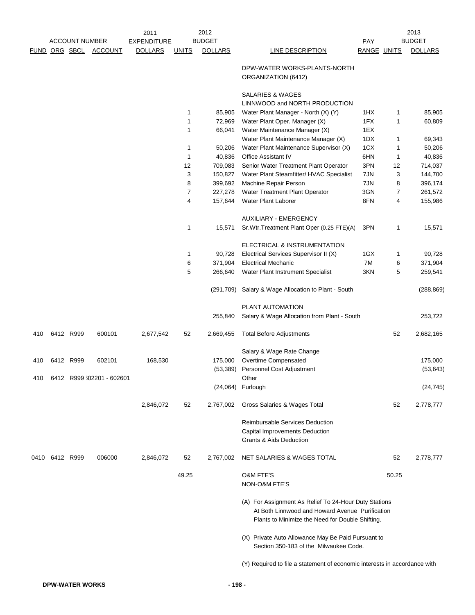|      |           |                       |                           | 2011               |              | 2012           |                                                                                                          |             |       | 2013           |
|------|-----------|-----------------------|---------------------------|--------------------|--------------|----------------|----------------------------------------------------------------------------------------------------------|-------------|-------|----------------|
|      |           | <b>ACCOUNT NUMBER</b> |                           | <b>EXPENDITURE</b> |              | <b>BUDGET</b>  |                                                                                                          | <b>PAY</b>  |       | <b>BUDGET</b>  |
|      |           |                       | FUND ORG SBCL ACCOUNT     | <b>DOLLARS</b>     | <b>UNITS</b> | <b>DOLLARS</b> | <b>LINE DESCRIPTION</b>                                                                                  | RANGE UNITS |       | <b>DOLLARS</b> |
|      |           |                       |                           |                    |              |                | DPW-WATER WORKS-PLANTS-NORTH<br>ORGANIZATION (6412)                                                      |             |       |                |
|      |           |                       |                           |                    |              |                | SALARIES & WAGES<br>LINNWOOD and NORTH PRODUCTION                                                        |             |       |                |
|      |           |                       |                           |                    | 1            | 85,905         | Water Plant Manager - North (X) (Y)                                                                      | 1HX         | 1     | 85,905         |
|      |           |                       |                           |                    | 1            | 72,969         | Water Plant Oper. Manager (X)                                                                            | 1FX         | 1     | 60,809         |
|      |           |                       |                           |                    | 1            | 66,041         | Water Maintenance Manager (X)                                                                            | 1EX         |       |                |
|      |           |                       |                           |                    |              |                | Water Plant Maintenance Manager (X)                                                                      | 1DX         | 1     | 69,343         |
|      |           |                       |                           |                    | 1            | 50,206         | Water Plant Maintenance Supervisor (X)                                                                   | 1CX         | 1     | 50,206         |
|      |           |                       |                           |                    | 1            | 40,836         | <b>Office Assistant IV</b>                                                                               | 6HN         | 1     | 40,836         |
|      |           |                       |                           |                    | 12           | 709,083        | Senior Water Treatment Plant Operator                                                                    | 3PN         | 12    | 714,037        |
|      |           |                       |                           |                    | 3            | 150,827        | Water Plant Steamfitter/ HVAC Specialist                                                                 | 7JN         | 3     | 144,700        |
|      |           |                       |                           |                    | 8            | 399,692        | Machine Repair Person                                                                                    | 7JN         | 8     | 396,174        |
|      |           |                       |                           |                    | 7            | 227,278        | Water Treatment Plant Operator                                                                           | 3GN         | 7     | 261,572        |
|      |           |                       |                           |                    | 4            | 157,644        | Water Plant Laborer                                                                                      | 8FN         | 4     | 155,986        |
|      |           |                       |                           |                    |              |                | AUXILIARY - EMERGENCY                                                                                    |             |       |                |
|      |           |                       |                           |                    | 1            | 15,571         | Sr. Wtr. Treatment Plant Oper (0.25 FTE)(A)                                                              | 3PN         | 1     | 15,571         |
|      |           |                       |                           |                    |              |                | ELECTRICAL & INSTRUMENTATION                                                                             |             |       |                |
|      |           |                       |                           |                    | 1            | 90,728         | Electrical Services Supervisor II (X)                                                                    | 1GX         | 1     | 90,728         |
|      |           |                       |                           |                    | 6            | 371,904        | <b>Electrical Mechanic</b>                                                                               | 7M          | 6     | 371,904        |
|      |           |                       |                           |                    | 5            | 266,640        | Water Plant Instrument Specialist                                                                        | 3KN         | 5     | 259,541        |
|      |           |                       |                           |                    |              | (291,709)      | Salary & Wage Allocation to Plant - South                                                                |             |       | (288, 869)     |
|      |           |                       |                           |                    |              | 255,840        | PLANT AUTOMATION<br>Salary & Wage Allocation from Plant - South                                          |             |       | 253,722        |
| 410  | 6412 R999 |                       | 600101                    | 2,677,542          | 52           | 2,669,455      | <b>Total Before Adjustments</b>                                                                          |             | 52    | 2,682,165      |
|      |           |                       |                           |                    |              |                | Salary & Wage Rate Change                                                                                |             |       |                |
| 410  | 6412 R999 |                       | 602101                    | 168,530            |              | 175,000        | Overtime Compensated                                                                                     |             |       | 175,000        |
|      |           |                       |                           |                    |              | (53, 389)      | Personnel Cost Adjustment                                                                                |             |       | (53, 643)      |
| 410  |           |                       | 6412 R999 302201 - 602601 |                    |              |                | Other                                                                                                    |             |       |                |
|      |           |                       |                           |                    |              |                | (24,064) Furlough                                                                                        |             |       | (24, 745)      |
|      |           |                       |                           | 2,846,072          | 52           | 2,767,002      | Gross Salaries & Wages Total                                                                             |             | 52    | 2,778,777      |
|      |           |                       |                           |                    |              |                | <b>Reimbursable Services Deduction</b>                                                                   |             |       |                |
|      |           |                       |                           |                    |              |                | Capital Improvements Deduction                                                                           |             |       |                |
|      |           |                       |                           |                    |              |                | Grants & Aids Deduction                                                                                  |             |       |                |
| 0410 | 6412 R999 |                       | 006000                    | 2,846,072          | 52           | 2,767,002      | NET SALARIES & WAGES TOTAL                                                                               |             | 52    | 2,778,777      |
|      |           |                       |                           |                    | 49.25        |                | <b>O&amp;M FTE'S</b>                                                                                     |             | 50.25 |                |
|      |           |                       |                           |                    |              |                | NON-O&M FTE'S                                                                                            |             |       |                |
|      |           |                       |                           |                    |              |                | (A) For Assignment As Relief To 24-Hour Duty Stations<br>At Both Linnwood and Howard Avenue Purification |             |       |                |
|      |           |                       |                           |                    |              |                | Plants to Minimize the Need for Double Shifting.                                                         |             |       |                |
|      |           |                       |                           |                    |              |                | (X) Private Auto Allowance May Be Paid Pursuant to                                                       |             |       |                |
|      |           |                       |                           |                    |              |                | Section 350-183 of the Milwaukee Code.                                                                   |             |       |                |
|      |           |                       |                           |                    |              |                | (Y) Required to file a statement of economic interests in accordance with                                |             |       |                |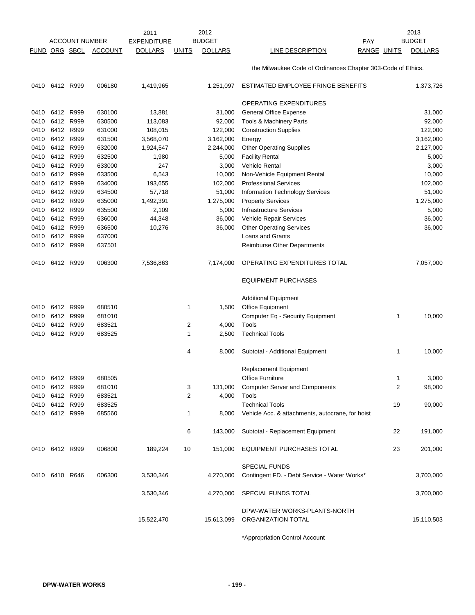|                      |                |                       |                  | 2011           |              | 2012           |                                                              |                    | 2013           |
|----------------------|----------------|-----------------------|------------------|----------------|--------------|----------------|--------------------------------------------------------------|--------------------|----------------|
|                      |                | <b>ACCOUNT NUMBER</b> |                  | EXPENDITURE    |              | <b>BUDGET</b>  | <b>PAY</b>                                                   |                    | <b>BUDGET</b>  |
| <b>FUND ORG SBCL</b> |                |                       | <b>ACCOUNT</b>   | <b>DOLLARS</b> | <u>UNITS</u> | <b>DOLLARS</b> | LINE DESCRIPTION                                             | <b>RANGE UNITS</b> | <b>DOLLARS</b> |
|                      |                |                       |                  |                |              |                | the Milwaukee Code of Ordinances Chapter 303-Code of Ethics. |                    |                |
|                      | 0410 6412 R999 |                       | 006180           | 1,419,965      |              | 1,251,097      | ESTIMATED EMPLOYEE FRINGE BENEFITS                           |                    | 1,373,726      |
|                      |                |                       |                  |                |              |                | OPERATING EXPENDITURES                                       |                    |                |
| 0410                 |                | 6412 R999             | 630100           | 13,881         |              | 31,000         | <b>General Office Expense</b>                                |                    | 31,000         |
|                      | 0410 6412 R999 |                       | 630500           | 113,083        |              | 92,000         | Tools & Machinery Parts                                      |                    | 92,000         |
| 0410                 |                | 6412 R999             | 631000           | 108,015        |              | 122,000        | <b>Construction Supplies</b>                                 |                    | 122,000        |
| 0410                 | 6412           | R999                  | 631500           | 3,568,070      |              | 3,162,000      | Energy                                                       |                    | 3,162,000      |
| 0410                 | 6412           | R999                  | 632000           | 1,924,547      |              | 2,244,000      | <b>Other Operating Supplies</b>                              |                    | 2,127,000      |
| 0410                 | 6412 R999      |                       | 632500           | 1,980          |              | 5,000          | <b>Facility Rental</b>                                       |                    | 5,000          |
|                      | 0410 6412 R999 |                       | 633000           | 247            |              | 3,000          | <b>Vehicle Rental</b>                                        |                    | 3,000          |
| 0410                 | 6412           | R999                  | 633500           | 6,543          |              | 10,000         | Non-Vehicle Equipment Rental                                 |                    | 10,000         |
| 0410                 | 6412           | R999                  | 634000           | 193,655        |              | 102,000        | <b>Professional Services</b>                                 |                    | 102,000        |
| 0410                 | 6412           | R999                  | 634500           | 57,718         |              | 51,000         | <b>Information Technology Services</b>                       |                    | 51,000         |
| 0410                 |                | 6412 R999             | 635000           | 1,492,391      |              | 1,275,000      | <b>Property Services</b>                                     |                    | 1,275,000      |
|                      | 0410 6412 R999 |                       | 635500           | 2,109          |              | 5,000          | <b>Infrastructure Services</b>                               |                    | 5,000          |
| 0410                 | 6412           | R999                  | 636000           | 44,348         |              | 36,000         | Vehicle Repair Services                                      |                    | 36,000         |
|                      |                |                       |                  |                |              |                |                                                              |                    |                |
| 0410                 | 6412<br>6412   | R999<br>R999          | 636500<br>637000 | 10,276         |              | 36,000         | <b>Other Operating Services</b><br>Loans and Grants          |                    | 36,000         |
| 0410                 |                |                       |                  |                |              |                |                                                              |                    |                |
|                      | 0410 6412 R999 |                       | 637501           |                |              |                | Reimburse Other Departments                                  |                    |                |
| 0410                 | 6412 R999      |                       | 006300           | 7,536,863      |              | 7,174,000      | OPERATING EXPENDITURES TOTAL                                 |                    | 7,057,000      |
|                      |                |                       |                  |                |              |                | <b>EQUIPMENT PURCHASES</b>                                   |                    |                |
|                      |                |                       |                  |                |              |                | <b>Additional Equipment</b>                                  |                    |                |
| 0410                 | 6412 R999      |                       | 680510           |                | 1            | 1,500          | Office Equipment                                             |                    |                |
| 0410                 | 6412           | R999                  | 681010           |                |              |                | Computer Eq - Security Equipment                             | 1                  | 10,000         |
| 0410                 | 6412           | R999                  | 683521           |                | 2            | 4,000          | Tools                                                        |                    |                |
| 0410                 |                | 6412 R999             | 683525           |                | 1            | 2,500          | <b>Technical Tools</b>                                       |                    |                |
|                      |                |                       |                  |                | 4            | 8,000          | Subtotal - Additional Equipment                              | 1                  | 10,000         |
|                      |                |                       |                  |                |              |                | Replacement Equipment                                        |                    |                |
|                      | 0410 6412 R999 |                       | 680505           |                |              |                | Office Furniture                                             | 1                  | 3,000          |
|                      | 0410 6412 R999 |                       | 681010           |                | 3            | 131,000        | <b>Computer Server and Components</b>                        | 2                  | 98,000         |
|                      | 0410 6412 R999 |                       | 683521           |                | 2            | 4,000          | Tools                                                        |                    |                |
|                      | 0410 6412 R999 |                       | 683525           |                |              |                | <b>Technical Tools</b>                                       | 19                 | 90,000         |
|                      | 0410 6412 R999 |                       | 685560           |                | 1            | 8,000          | Vehicle Acc. & attachments, autocrane, for hoist             |                    |                |
|                      |                |                       |                  |                | 6            | 143,000        | Subtotal - Replacement Equipment                             | 22                 | 191,000        |
|                      | 0410 6412 R999 |                       | 006800           | 189,224        | 10           | 151,000        | EQUIPMENT PURCHASES TOTAL                                    | 23                 | 201,000        |
|                      |                |                       |                  |                |              |                | <b>SPECIAL FUNDS</b>                                         |                    |                |
|                      | 0410 6410 R646 |                       | 006300           | 3,530,346      |              | 4,270,000      | Contingent FD. - Debt Service - Water Works*                 |                    | 3,700,000      |
|                      |                |                       |                  | 3,530,346      |              | 4,270,000      | SPECIAL FUNDS TOTAL                                          |                    | 3,700,000      |
|                      |                |                       |                  | 15,522,470     |              | 15,613,099     | DPW-WATER WORKS-PLANTS-NORTH<br>ORGANIZATION TOTAL           |                    | 15,110,503     |
|                      |                |                       |                  |                |              |                |                                                              |                    |                |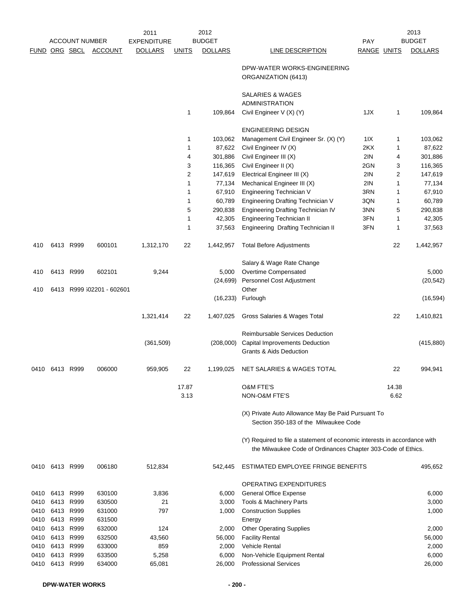|               | <b>ACCOUNT NUMBER</b> |           | 2012<br>2011<br><b>BUDGET</b><br><b>EXPENDITURE</b> |                |              |                |                                                                                                                                           | 2013<br><b>BUDGET</b><br>PAY |                |                |
|---------------|-----------------------|-----------|-----------------------------------------------------|----------------|--------------|----------------|-------------------------------------------------------------------------------------------------------------------------------------------|------------------------------|----------------|----------------|
| FUND ORG SBCL |                       |           | <b>ACCOUNT</b>                                      | <b>DOLLARS</b> | <u>UNITS</u> | <b>DOLLARS</b> | LINE DESCRIPTION                                                                                                                          | RANGE UNITS                  |                | <b>DOLLARS</b> |
|               |                       |           |                                                     |                |              |                | DPW-WATER WORKS-ENGINEERING<br>ORGANIZATION (6413)                                                                                        |                              |                |                |
|               |                       |           |                                                     |                |              |                | SALARIES & WAGES<br><b>ADMINISTRATION</b>                                                                                                 |                              |                |                |
|               |                       |           |                                                     |                | $\mathbf{1}$ | 109,864        | Civil Engineer V (X) (Y)                                                                                                                  | 1JX                          | 1              | 109,864        |
|               |                       |           |                                                     |                |              |                | <b>ENGINEERING DESIGN</b>                                                                                                                 |                              |                |                |
|               |                       |           |                                                     |                | 1            | 103,062        | Management Civil Engineer Sr. (X) (Y)                                                                                                     | 1IX                          | 1              | 103,062        |
|               |                       |           |                                                     |                | 1            | 87,622         | Civil Engineer IV (X)                                                                                                                     | 2KX                          | 1              | 87,622         |
|               |                       |           |                                                     |                | 4            | 301,886        | Civil Engineer III (X)                                                                                                                    | 2IN                          | 4              | 301,886        |
|               |                       |           |                                                     |                | 3            | 116,365        | Civil Engineer II (X)                                                                                                                     | 2GN                          | 3              | 116,365        |
|               |                       |           |                                                     |                | 2            | 147,619        | Electrical Engineer III (X)                                                                                                               | 2IN                          | $\overline{2}$ | 147,619        |
|               |                       |           |                                                     |                | 1            | 77,134         | Mechanical Engineer III (X)                                                                                                               | 2IN                          | 1              | 77,134         |
|               |                       |           |                                                     |                | 1            | 67,910         | Engineering Technician V                                                                                                                  | 3RN                          | 1              | 67,910         |
|               |                       |           |                                                     |                | 1            | 60,789         | <b>Engineering Drafting Technician V</b>                                                                                                  | 3QN                          | 1              | 60,789         |
|               |                       |           |                                                     |                | 5            | 290,838        | Engineering Drafting Technician IV                                                                                                        | 3NN                          | 5              | 290,838        |
|               |                       |           |                                                     |                | 1            | 42,305         | <b>Engineering Technician II</b>                                                                                                          | 3FN                          | 1              | 42,305         |
|               |                       |           |                                                     |                | 1            | 37,563         | Engineering Drafting Technician II                                                                                                        | 3FN                          | 1              | 37,563         |
| 410           |                       | 6413 R999 | 600101                                              | 1,312,170      | 22           | 1,442,957      | <b>Total Before Adjustments</b>                                                                                                           |                              | 22             | 1,442,957      |
|               |                       |           |                                                     |                |              |                | Salary & Wage Rate Change                                                                                                                 |                              |                |                |
| 410           |                       | 6413 R999 | 602101                                              | 9,244          |              | 5,000          | Overtime Compensated                                                                                                                      |                              |                | 5,000          |
|               |                       |           |                                                     |                |              | (24, 699)      | Personnel Cost Adjustment                                                                                                                 |                              |                | (20, 542)      |
| 410           |                       |           | 6413 R999 602201 - 602601                           |                |              | (16, 233)      | Other<br>Furlough                                                                                                                         |                              |                | (16, 594)      |
|               |                       |           |                                                     | 1,321,414      | 22           | 1,407,025      | Gross Salaries & Wages Total                                                                                                              |                              | 22             | 1,410,821      |
|               |                       |           |                                                     |                |              |                | <b>Reimbursable Services Deduction</b>                                                                                                    |                              |                |                |
|               |                       |           |                                                     | (361, 509)     |              | (208,000)      | Capital Improvements Deduction                                                                                                            |                              |                | (415, 880)     |
|               |                       |           |                                                     |                |              |                | <b>Grants &amp; Aids Deduction</b>                                                                                                        |                              |                |                |
| 0410          | 6413 R999             |           | 006000                                              | 959,905        | 22           | 1,199,025      | NET SALARIES & WAGES TOTAL                                                                                                                |                              | 22             | 994,941        |
|               |                       |           |                                                     |                | 17.87        |                | <b>O&amp;M FTE'S</b>                                                                                                                      |                              | 14.38          |                |
|               |                       |           |                                                     |                | 3.13         |                | NON-O&M FTE'S                                                                                                                             |                              | 6.62           |                |
|               |                       |           |                                                     |                |              |                | (X) Private Auto Allowance May Be Paid Pursuant To<br>Section 350-183 of the Milwaukee Code                                               |                              |                |                |
|               |                       |           |                                                     |                |              |                | (Y) Required to file a statement of economic interests in accordance with<br>the Milwaukee Code of Ordinances Chapter 303-Code of Ethics. |                              |                |                |
|               | 0410 6413 R999        |           | 006180                                              | 512,834        |              | 542,445        | ESTIMATED EMPLOYEE FRINGE BENEFITS                                                                                                        |                              |                | 495,652        |
|               |                       |           |                                                     |                |              |                | OPERATING EXPENDITURES                                                                                                                    |                              |                |                |
| 0410          | 6413 R999             |           | 630100                                              | 3,836          |              | 6,000          | <b>General Office Expense</b>                                                                                                             |                              |                | 6,000          |
| 0410          | 6413 R999             |           | 630500                                              | 21             |              | 3,000          | <b>Tools &amp; Machinery Parts</b>                                                                                                        |                              |                | 3,000          |
| 0410          | 6413 R999             |           | 631000                                              | 797            |              | 1,000          | <b>Construction Supplies</b>                                                                                                              |                              |                | 1,000          |
| 0410          | 6413 R999             |           | 631500                                              |                |              |                | Energy                                                                                                                                    |                              |                |                |
| 0410          | 6413 R999             |           | 632000                                              | 124            |              | 2,000          | <b>Other Operating Supplies</b>                                                                                                           |                              |                | 2,000          |
| 0410          | 6413 R999             |           | 632500                                              | 43,560         |              | 56,000         | <b>Facility Rental</b>                                                                                                                    |                              |                | 56,000         |
| 0410          | 6413 R999             |           | 633000                                              | 859            |              | 2,000          | <b>Vehicle Rental</b>                                                                                                                     |                              |                | 2,000          |
| 0410          | 6413 R999             |           | 633500                                              | 5,258          |              | 6,000          | Non-Vehicle Equipment Rental                                                                                                              |                              |                | 6,000          |
|               | 0410 6413 R999        |           | 634000                                              | 65,081         |              | 26,000         | <b>Professional Services</b>                                                                                                              |                              |                | 26,000         |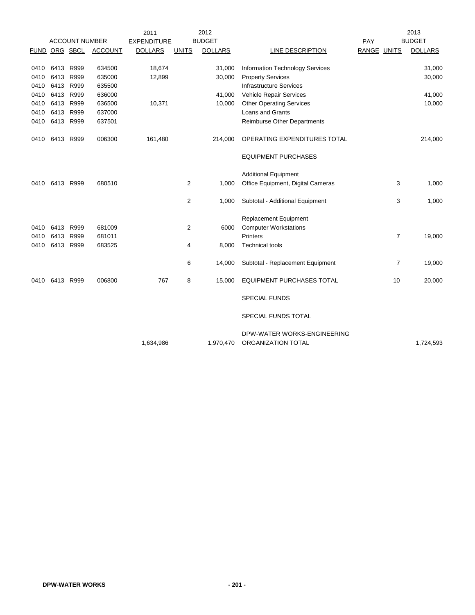|      |           |                       |                | 2011               |                | 2012           |                                                   |                | 2013           |
|------|-----------|-----------------------|----------------|--------------------|----------------|----------------|---------------------------------------------------|----------------|----------------|
|      |           | <b>ACCOUNT NUMBER</b> |                | <b>EXPENDITURE</b> |                | <b>BUDGET</b>  |                                                   | PAY            | <b>BUDGET</b>  |
|      |           | FUND ORG SBCL         | <b>ACCOUNT</b> | <b>DOLLARS</b>     | <b>UNITS</b>   | <b>DOLLARS</b> | <b>LINE DESCRIPTION</b>                           | RANGE UNITS    | <b>DOLLARS</b> |
|      |           |                       |                |                    |                |                |                                                   |                |                |
| 0410 |           | 6413 R999             | 634500         | 18,674             |                | 31,000         | <b>Information Technology Services</b>            |                | 31,000         |
| 0410 | 6413      | R999                  | 635000         | 12,899             |                | 30,000         | <b>Property Services</b>                          |                | 30,000         |
| 0410 | 6413      | R999                  | 635500         |                    |                |                | <b>Infrastructure Services</b>                    |                |                |
| 0410 | 6413      | R999                  | 636000         |                    |                | 41,000         | Vehicle Repair Services                           |                | 41,000         |
| 0410 | 6413      | R999                  | 636500         | 10,371             |                | 10,000         | <b>Other Operating Services</b>                   |                | 10,000         |
| 0410 | 6413 R999 |                       | 637000         |                    |                |                | Loans and Grants                                  |                |                |
| 0410 | 6413 R999 |                       | 637501         |                    |                |                | Reimburse Other Departments                       |                |                |
| 0410 | 6413 R999 |                       | 006300         | 161,480            |                | 214,000        | OPERATING EXPENDITURES TOTAL                      |                | 214,000        |
|      |           |                       |                |                    |                |                | <b>EQUIPMENT PURCHASES</b>                        |                |                |
|      |           |                       |                |                    |                |                | <b>Additional Equipment</b>                       |                |                |
| 0410 | 6413 R999 |                       | 680510         |                    | 2              | 1,000          | Office Equipment, Digital Cameras                 | 3              | 1,000          |
|      |           |                       |                |                    |                |                |                                                   |                |                |
|      |           |                       |                |                    | $\overline{2}$ | 1,000          | Subtotal - Additional Equipment                   | 3              | 1,000          |
|      |           |                       |                |                    |                |                | Replacement Equipment                             |                |                |
| 0410 | 6413      | R999                  | 681009         |                    | $\overline{2}$ | 6000           | <b>Computer Workstations</b>                      |                |                |
| 0410 | 6413      | R999                  | 681011         |                    |                |                | Printers                                          | $\overline{7}$ | 19,000         |
| 0410 |           | 6413 R999             | 683525         |                    | 4              | 8,000          | <b>Technical tools</b>                            |                |                |
|      |           |                       |                |                    |                |                |                                                   |                |                |
|      |           |                       |                |                    | 6              | 14,000         | Subtotal - Replacement Equipment                  | $\overline{7}$ | 19,000         |
| 0410 |           | 6413 R999             | 006800         | 767                | 8              | 15,000         | <b>EQUIPMENT PURCHASES TOTAL</b>                  | 10             | 20,000         |
|      |           |                       |                |                    |                |                | <b>SPECIAL FUNDS</b>                              |                |                |
|      |           |                       |                |                    |                |                | SPECIAL FUNDS TOTAL                               |                |                |
|      |           |                       |                | 1,634,986          |                | 1,970,470      | DPW-WATER WORKS-ENGINEERING<br>ORGANIZATION TOTAL |                | 1,724,593      |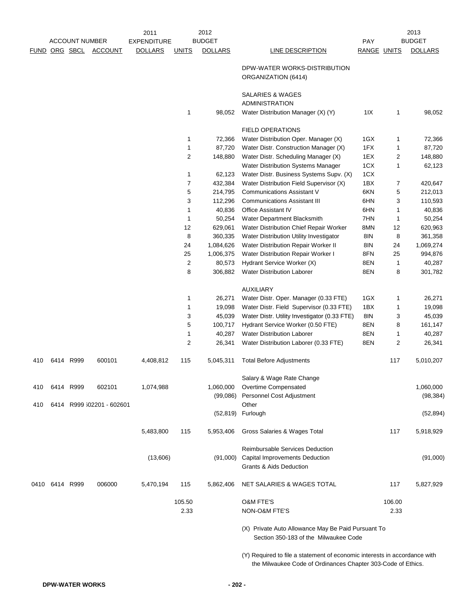|             |           | <b>ACCOUNT NUMBER</b> |                           | 2011<br><b>EXPENDITURE</b> |                | 2012<br><b>BUDGET</b> |                                                                                             | PAY         |        | 2013<br><b>BUDGET</b> |
|-------------|-----------|-----------------------|---------------------------|----------------------------|----------------|-----------------------|---------------------------------------------------------------------------------------------|-------------|--------|-----------------------|
| <u>FUND</u> |           | ORG SBCL              | <b>ACCOUNT</b>            | <b>DOLLARS</b>             | <b>UNITS</b>   | <b>DOLLARS</b>        | LINE DESCRIPTION                                                                            | RANGE UNITS |        | <b>DOLLARS</b>        |
|             |           |                       |                           |                            |                |                       | DPW-WATER WORKS-DISTRIBUTION<br>ORGANIZATION (6414)                                         |             |        |                       |
|             |           |                       |                           |                            |                |                       | SALARIES & WAGES<br><b>ADMINISTRATION</b>                                                   |             |        |                       |
|             |           |                       |                           |                            | $\mathbf{1}$   | 98,052                | Water Distribution Manager (X) (Y)                                                          | 11X         | 1      | 98,052                |
|             |           |                       |                           |                            |                |                       | <b>FIELD OPERATIONS</b>                                                                     |             |        |                       |
|             |           |                       |                           |                            | 1              | 72,366                | Water Distribution Oper. Manager (X)                                                        | 1GX         | 1      | 72,366                |
|             |           |                       |                           |                            | $\mathbf{1}$   | 87,720                | Water Distr. Construction Manager (X)                                                       | 1FX         | 1      | 87,720                |
|             |           |                       |                           |                            | $\overline{2}$ | 148,880               | Water Distr. Scheduling Manager (X)                                                         | 1EX         | 2      | 148,880               |
|             |           |                       |                           |                            |                |                       | <b>Water Distribution Systems Manager</b>                                                   | 1CX         | 1      | 62,123                |
|             |           |                       |                           |                            | 1              | 62,123                | Water Distr. Business Systems Supv. (X)                                                     | 1CX         |        |                       |
|             |           |                       |                           |                            | $\overline{7}$ | 432,384               | Water Distribution Field Supervisor (X)                                                     | 1BX         | 7      | 420,647               |
|             |           |                       |                           |                            | 5              | 214,795               | <b>Communications Assistant V</b>                                                           | 6KN         | 5      | 212,013               |
|             |           |                       |                           |                            | 3              | 112,296               | <b>Communications Assistant III</b>                                                         | 6HN         | 3      | 110,593               |
|             |           |                       |                           |                            | $\mathbf{1}$   | 40,836                | <b>Office Assistant IV</b>                                                                  | 6HN         | 1      | 40,836                |
|             |           |                       |                           |                            | $\mathbf{1}$   | 50,254                | Water Department Blacksmith                                                                 | 7HN         | 1      | 50,254                |
|             |           |                       |                           |                            | 12             | 629,061               | Water Distribution Chief Repair Worker                                                      | 8MN         | 12     | 620,963               |
|             |           |                       |                           |                            | 8              | 360,335               | Water Distribution Utility Investigator                                                     | 8IN         | 8      | 361,358               |
|             |           |                       |                           |                            | 24             | 1,084,626             | Water Distribution Repair Worker II                                                         | 8IN         | 24     | 1,069,274             |
|             |           |                       |                           |                            | 25             | 1,006,375             | Water Distribution Repair Worker I                                                          | 8FN         | 25     | 994,876               |
|             |           |                       |                           |                            | $\overline{2}$ | 80,573                | Hydrant Service Worker (X)                                                                  | 8EN         | 1      | 40,287                |
|             |           |                       |                           |                            | 8              | 306,882               | <b>Water Distribution Laborer</b>                                                           | 8EN         | 8      | 301,782               |
|             |           |                       |                           |                            |                |                       | <b>AUXILIARY</b>                                                                            |             |        |                       |
|             |           |                       |                           |                            | 1              | 26,271                | Water Distr. Oper. Manager (0.33 FTE)                                                       | 1GX         | 1      | 26,271                |
|             |           |                       |                           |                            | $\mathbf{1}$   | 19,098                | Water Distr. Field Supervisor (0.33 FTE)                                                    | 1BX         | 1      | 19,098                |
|             |           |                       |                           |                            | 3              | 45,039                | Water Distr. Utility Investigator (0.33 FTE)                                                | 8IN         | 3      | 45,039                |
|             |           |                       |                           |                            | 5              | 100,717               | Hydrant Service Worker (0.50 FTE)                                                           | 8EN         | 8      | 161,147               |
|             |           |                       |                           |                            | $\mathbf{1}$   | 40,287                | <b>Water Distribution Laborer</b>                                                           | 8EN         | 1      | 40,287                |
|             |           |                       |                           |                            | $\overline{2}$ | 26,341                | Water Distribution Laborer (0.33 FTE)                                                       | 8EN         | 2      | 26,341                |
| 410         |           | 6414 R999             | 600101                    | 4,408,812                  | 115            | 5,045,311             | <b>Total Before Adjustments</b>                                                             |             | 117    | 5,010,207             |
|             |           |                       |                           |                            |                |                       | Salary & Wage Rate Change                                                                   |             |        |                       |
| 410         |           | 6414 R999             | 602101                    | 1,074,988                  |                | 1,060,000             | Overtime Compensated                                                                        |             |        | 1,060,000             |
| 410         |           |                       | 6414 R999 302201 - 602601 |                            |                | (99,086)              | Personnel Cost Adjustment<br>Other                                                          |             |        | (98, 384)             |
|             |           |                       |                           |                            |                |                       | (52,819) Furlough                                                                           |             |        | (52, 894)             |
|             |           |                       |                           | 5,483,800                  | 115            | 5,953,406             | Gross Salaries & Wages Total                                                                |             | 117    | 5,918,929             |
|             |           |                       |                           |                            |                |                       | <b>Reimbursable Services Deduction</b>                                                      |             |        |                       |
|             |           |                       |                           | (13,606)                   |                | (91,000)              | Capital Improvements Deduction<br><b>Grants &amp; Aids Deduction</b>                        |             |        | (91,000)              |
| 0410        | 6414 R999 |                       | 006000                    | 5,470,194                  | 115            | 5,862,406             | NET SALARIES & WAGES TOTAL                                                                  |             | 117    | 5,827,929             |
|             |           |                       |                           |                            | 105.50         |                       | <b>O&amp;M FTE'S</b>                                                                        |             | 106.00 |                       |
|             |           |                       |                           |                            | 2.33           |                       | NON-O&M FTE'S                                                                               |             | 2.33   |                       |
|             |           |                       |                           |                            |                |                       | (X) Private Auto Allowance May Be Paid Pursuant To<br>Section 350-183 of the Milwaukee Code |             |        |                       |

(Y) Required to file a statement of economic interests in accordance with the Milwaukee Code of Ordinances Chapter 303-Code of Ethics.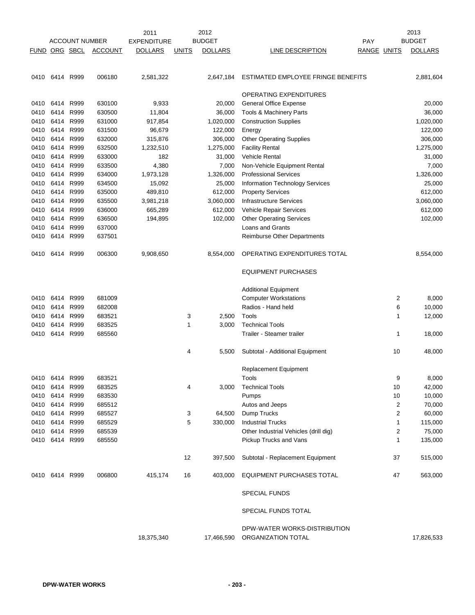|      |                |                       |                | 2011               |              | 2012           |                                                    |             |                | 2013           |
|------|----------------|-----------------------|----------------|--------------------|--------------|----------------|----------------------------------------------------|-------------|----------------|----------------|
|      |                | <b>ACCOUNT NUMBER</b> |                | <b>EXPENDITURE</b> |              | <b>BUDGET</b>  |                                                    | <b>PAY</b>  |                | <b>BUDGET</b>  |
| FUND | ORG SBCL       |                       | <b>ACCOUNT</b> | <b>DOLLARS</b>     | <u>UNITS</u> | <b>DOLLARS</b> | LINE DESCRIPTION                                   | RANGE UNITS |                | <b>DOLLARS</b> |
|      |                |                       |                |                    |              |                |                                                    |             |                |                |
|      | 0410 6414      | R999                  | 006180         | 2,581,322          |              | 2,647,184      | ESTIMATED EMPLOYEE FRINGE BENEFITS                 |             |                | 2,881,604      |
|      |                |                       |                |                    |              |                | OPERATING EXPENDITURES                             |             |                |                |
| 0410 | 6414           | R999                  | 630100         | 9,933              |              | 20,000         | General Office Expense                             |             |                | 20,000         |
| 0410 | 6414           | R999                  | 630500         | 11,804             |              | 36,000         | Tools & Machinery Parts                            |             |                | 36,000         |
| 0410 | 6414           | R999                  | 631000         | 917,854            |              | 1,020,000      | <b>Construction Supplies</b>                       |             |                | 1,020,000      |
| 0410 | 6414           | R999                  | 631500         | 96,679             |              | 122,000        | Energy                                             |             |                | 122,000        |
| 0410 | 6414           | R999                  | 632000         | 315,876            |              | 306,000        | <b>Other Operating Supplies</b>                    |             |                | 306,000        |
| 0410 | 6414           | R999                  | 632500         | 1,232,510          |              | 1,275,000      | <b>Facility Rental</b>                             |             |                | 1,275,000      |
| 0410 | 6414           | R999                  | 633000         | 182                |              | 31,000         | <b>Vehicle Rental</b>                              |             |                | 31,000         |
| 0410 | 6414           | R999                  | 633500         | 4,380              |              | 7,000          | Non-Vehicle Equipment Rental                       |             |                | 7,000          |
| 0410 | 6414           | R999                  | 634000         | 1,973,128          |              | 1,326,000      | <b>Professional Services</b>                       |             |                | 1,326,000      |
| 0410 | 6414           | R999                  | 634500         | 15,092             |              | 25,000         | Information Technology Services                    |             |                | 25,000         |
| 0410 | 6414           | R999                  | 635000         | 489,810            |              | 612,000        | <b>Property Services</b>                           |             |                | 612,000        |
| 0410 | 6414           | R999                  | 635500         | 3,981,218          |              | 3,060,000      | <b>Infrastructure Services</b>                     |             |                | 3,060,000      |
| 0410 | 6414           | R999                  | 636000         | 665,289            |              | 612,000        | Vehicle Repair Services                            |             |                | 612,000        |
| 0410 | 6414           | R999                  | 636500         | 194,895            |              | 102,000        | <b>Other Operating Services</b>                    |             |                | 102,000        |
| 0410 | 6414           | R999                  | 637000         |                    |              |                | <b>Loans and Grants</b>                            |             |                |                |
| 0410 | 6414           | R999                  | 637501         |                    |              |                | <b>Reimburse Other Departments</b>                 |             |                |                |
|      | 0410 6414      | R999                  | 006300         | 9,908,650          |              | 8,554,000      | OPERATING EXPENDITURES TOTAL                       |             |                | 8,554,000      |
|      |                |                       |                |                    |              |                | <b>EQUIPMENT PURCHASES</b>                         |             |                |                |
|      |                |                       |                |                    |              |                | <b>Additional Equipment</b>                        |             |                |                |
| 0410 | 6414           | R999                  | 681009         |                    |              |                | <b>Computer Workstations</b>                       |             | 2              | 8,000          |
| 0410 | 6414           | R999                  | 682008         |                    |              |                | Radios - Hand held                                 |             | 6              | 10,000         |
| 0410 | 6414           | R999                  | 683521         |                    | 3            | 2,500          | Tools                                              |             | 1              | 12,000         |
| 0410 | 6414           | R999                  | 683525         |                    | 1            | 3,000          | <b>Technical Tools</b>                             |             |                |                |
| 0410 | 6414           | R999                  | 685560         |                    |              |                | Trailer - Steamer trailer                          |             | 1              | 18,000         |
|      |                |                       |                |                    | 4            | 5,500          | Subtotal - Additional Equipment                    |             | 10             | 48,000         |
|      |                |                       |                |                    |              |                | <b>Replacement Equipment</b>                       |             |                |                |
| 0410 | 6414           | R999                  | 683521         |                    |              |                | Tools                                              |             | 9              | 8,000          |
|      | 0410 6414      | R999                  | 683525         |                    | 4            | 3,000          | <b>Technical Tools</b>                             |             | 10             | 42,000         |
|      | 0410 6414      | R999                  | 683530         |                    |              |                | Pumps                                              |             | 10             | 10,000         |
|      | 0410 6414      | R999                  | 685512         |                    |              |                | Autos and Jeeps                                    |             | 2              | 70,000         |
|      | 0410 6414 R999 |                       | 685527         |                    | 3            | 64,500         | Dump Trucks                                        |             | 2              | 60,000         |
|      | 0410 6414 R999 |                       | 685529         |                    | 5            | 330,000        | <b>Industrial Trucks</b>                           |             | 1              | 115,000        |
|      | 0410 6414 R999 |                       | 685539         |                    |              |                | Other Industrial Vehicles (drill dig)              |             | $\overline{c}$ | 75,000         |
|      | 0410 6414 R999 |                       | 685550         |                    |              |                | Pickup Trucks and Vans                             |             | 1              | 135,000        |
|      |                |                       |                |                    |              |                |                                                    |             |                |                |
|      |                |                       |                |                    | 12           | 397,500        | Subtotal - Replacement Equipment                   |             | 37             | 515,000        |
|      | 0410 6414      | R999                  | 006800         | 415,174            | 16           | 403,000        | EQUIPMENT PURCHASES TOTAL                          |             | 47             | 563,000        |
|      |                |                       |                |                    |              |                | <b>SPECIAL FUNDS</b>                               |             |                |                |
|      |                |                       |                |                    |              |                | SPECIAL FUNDS TOTAL                                |             |                |                |
|      |                |                       |                | 18,375,340         |              | 17,466,590     | DPW-WATER WORKS-DISTRIBUTION<br>ORGANIZATION TOTAL |             |                | 17,826,533     |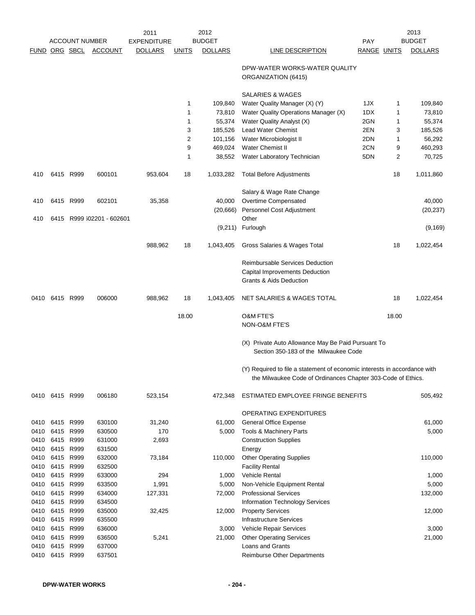|              |                |                        |                           | 2011               |                | 2012            |                                                                                                                                           |             |                | 2013             |
|--------------|----------------|------------------------|---------------------------|--------------------|----------------|-----------------|-------------------------------------------------------------------------------------------------------------------------------------------|-------------|----------------|------------------|
|              |                | <b>ACCOUNT NUMBER</b>  |                           | <b>EXPENDITURE</b> |                | <b>BUDGET</b>   |                                                                                                                                           | PAY         |                | <b>BUDGET</b>    |
|              |                | <b>FUND ORG SBCL</b>   | <b>ACCOUNT</b>            | <b>DOLLARS</b>     | <b>UNITS</b>   | <b>DOLLARS</b>  | LINE DESCRIPTION                                                                                                                          | RANGE UNITS |                | <b>DOLLARS</b>   |
|              |                |                        |                           |                    |                |                 | DPW-WATER WORKS-WATER QUALITY<br>ORGANIZATION (6415)                                                                                      |             |                |                  |
|              |                |                        |                           |                    |                |                 | <b>SALARIES &amp; WAGES</b>                                                                                                               |             |                |                  |
|              |                |                        |                           |                    | 1              | 109,840         | Water Quality Manager (X) (Y)                                                                                                             | 1JX         | 1              | 109,840          |
|              |                |                        |                           |                    | 1              | 73,810          | Water Quality Operations Manager (X)                                                                                                      | 1DX         | 1              | 73,810           |
|              |                |                        |                           |                    | 1              | 55,374          | Water Quality Analyst (X)                                                                                                                 | 2GN         | 1              | 55,374           |
|              |                |                        |                           |                    | 3              | 185,526         | <b>Lead Water Chemist</b>                                                                                                                 | 2EN         | 3              | 185,526          |
|              |                |                        |                           |                    | $\overline{2}$ | 101,156         | Water Microbiologist II                                                                                                                   | 2DN         | 1              | 56,292           |
|              |                |                        |                           |                    | 9              | 469,024         | <b>Water Chemist II</b>                                                                                                                   | 2CN         | 9              | 460,293          |
|              |                |                        |                           |                    | 1              | 38,552          | Water Laboratory Technician                                                                                                               | 5DN         | $\overline{2}$ | 70,725           |
| 410          |                | 6415 R999              | 600101                    | 953,604            | 18             | 1,033,282       | <b>Total Before Adjustments</b>                                                                                                           |             | 18             | 1,011,860        |
|              |                |                        |                           |                    |                |                 | Salary & Wage Rate Change                                                                                                                 |             |                |                  |
| 410          |                | 6415 R999              | 602101                    | 35,358             |                | 40,000          | Overtime Compensated                                                                                                                      |             |                | 40,000           |
|              |                |                        |                           |                    |                | (20, 666)       | Personnel Cost Adjustment                                                                                                                 |             |                | (20, 237)        |
| 410          |                |                        | 6415 R999 }02201 - 602601 |                    |                |                 | Other                                                                                                                                     |             |                |                  |
|              |                |                        |                           |                    |                |                 | $(9,211)$ Furlough                                                                                                                        |             |                | (9, 169)         |
|              |                |                        |                           | 988,962            | 18             | 1,043,405       | Gross Salaries & Wages Total                                                                                                              |             | 18             | 1,022,454        |
|              |                |                        |                           |                    |                |                 | Reimbursable Services Deduction                                                                                                           |             |                |                  |
|              |                |                        |                           |                    |                |                 | Capital Improvements Deduction                                                                                                            |             |                |                  |
|              |                |                        |                           |                    |                |                 | <b>Grants &amp; Aids Deduction</b>                                                                                                        |             |                |                  |
| 0410         | 6415 R999      |                        | 006000                    | 988,962            | 18             | 1,043,405       | NET SALARIES & WAGES TOTAL                                                                                                                |             | 18             | 1,022,454        |
|              |                |                        |                           |                    | 18.00          |                 | <b>O&amp;M FTE'S</b>                                                                                                                      |             | 18.00          |                  |
|              |                |                        |                           |                    |                |                 | <b>NON-O&amp;M FTE'S</b>                                                                                                                  |             |                |                  |
|              |                |                        |                           |                    |                |                 | (X) Private Auto Allowance May Be Paid Pursuant To<br>Section 350-183 of the Milwaukee Code                                               |             |                |                  |
|              |                |                        |                           |                    |                |                 |                                                                                                                                           |             |                |                  |
|              |                |                        |                           |                    |                |                 | (Y) Required to file a statement of economic interests in accordance with<br>the Milwaukee Code of Ordinances Chapter 303-Code of Ethics. |             |                |                  |
|              | 0410 6415 R999 |                        | 006180                    | 523,154            |                | 472,348         | ESTIMATED EMPLOYEE FRINGE BENEFITS                                                                                                        |             |                | 505,492          |
|              |                |                        |                           |                    |                |                 | OPERATING EXPENDITURES                                                                                                                    |             |                |                  |
| 0410         |                | 6415 R999              | 630100                    | 31,240             |                | 61,000          | <b>General Office Expense</b>                                                                                                             |             |                | 61,000           |
| 0410         | 6415           | R999                   | 630500                    | 170                |                | 5,000           | Tools & Machinery Parts                                                                                                                   |             |                | 5,000            |
| 0410         | 6415           | R999                   | 631000                    | 2,693              |                |                 | <b>Construction Supplies</b>                                                                                                              |             |                |                  |
| 0410         | 6415 R999      |                        | 631500                    |                    |                |                 | Energy                                                                                                                                    |             |                |                  |
| 0410         | 6415 R999      |                        | 632000                    | 73,184             |                | 110,000         | <b>Other Operating Supplies</b>                                                                                                           |             |                | 110,000          |
| 0410         |                | 6415 R999              | 632500                    |                    |                |                 | <b>Facility Rental</b>                                                                                                                    |             |                |                  |
| 0410         |                | 6415 R999<br>6415 R999 | 633000<br>633500          | 294<br>1,991       |                | 1,000           | Vehicle Rental                                                                                                                            |             |                | 1,000            |
| 0410<br>0410 | 6415           | R999                   | 634000                    | 127,331            |                | 5,000<br>72,000 | Non-Vehicle Equipment Rental<br><b>Professional Services</b>                                                                              |             |                | 5,000<br>132,000 |
| 0410         | 6415           | R999                   | 634500                    |                    |                |                 | Information Technology Services                                                                                                           |             |                |                  |
| 0410         | 6415           | R999                   | 635000                    | 32,425             |                | 12,000          | <b>Property Services</b>                                                                                                                  |             |                | 12,000           |
| 0410         | 6415           | R999                   | 635500                    |                    |                |                 | <b>Infrastructure Services</b>                                                                                                            |             |                |                  |
| 0410         | 6415           | R999                   | 636000                    |                    |                | 3,000           | Vehicle Repair Services                                                                                                                   |             |                | 3,000            |
| 0410         | 6415 R999      |                        | 636500                    | 5,241              |                | 21,000          | <b>Other Operating Services</b>                                                                                                           |             |                | 21,000           |
| 0410         | 6415 R999      |                        | 637000                    |                    |                |                 | Loans and Grants                                                                                                                          |             |                |                  |
| 0410         | 6415 R999      |                        | 637501                    |                    |                |                 | Reimburse Other Departments                                                                                                               |             |                |                  |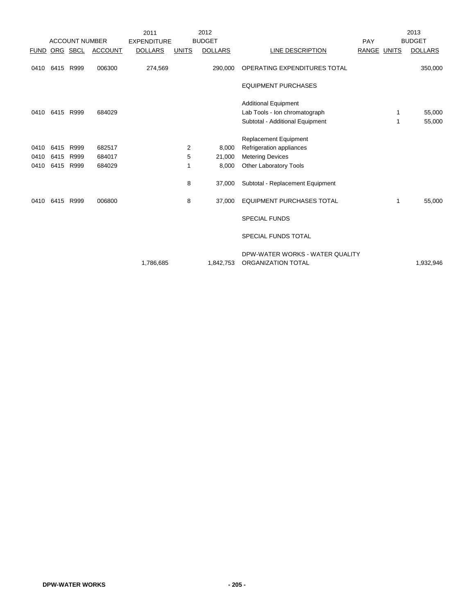|      |                |                       |                | 2011               |              | 2012           |                                                       |                    |   | 2013           |
|------|----------------|-----------------------|----------------|--------------------|--------------|----------------|-------------------------------------------------------|--------------------|---|----------------|
|      |                | <b>ACCOUNT NUMBER</b> |                | <b>EXPENDITURE</b> |              | <b>BUDGET</b>  |                                                       | PAY                |   | <b>BUDGET</b>  |
|      |                | <b>FUND ORG SBCL</b>  | <b>ACCOUNT</b> | <b>DOLLARS</b>     | <b>UNITS</b> | <b>DOLLARS</b> | LINE DESCRIPTION                                      | <b>RANGE UNITS</b> |   | <b>DOLLARS</b> |
|      | 0410 6415 R999 |                       | 006300         | 274,569            |              | 290,000        | OPERATING EXPENDITURES TOTAL                          |                    |   | 350,000        |
|      |                |                       |                |                    |              |                | <b>EQUIPMENT PURCHASES</b>                            |                    |   |                |
|      |                |                       |                |                    |              |                | <b>Additional Equipment</b>                           |                    |   |                |
|      | 0410 6415 R999 |                       | 684029         |                    |              |                | Lab Tools - Ion chromatograph                         |                    | 1 | 55,000         |
|      |                |                       |                |                    |              |                | Subtotal - Additional Equipment                       |                    | 1 | 55,000         |
|      |                |                       |                |                    |              |                | <b>Replacement Equipment</b>                          |                    |   |                |
|      | 0410 6415      | R999                  | 682517         |                    | 2            | 8,000          | Refrigeration appliances                              |                    |   |                |
| 0410 | 6415           | R999                  | 684017         |                    | 5            | 21,000         | <b>Metering Devices</b>                               |                    |   |                |
| 0410 | 6415 R999      |                       | 684029         |                    | 1            | 8,000          | Other Laboratory Tools                                |                    |   |                |
|      |                |                       |                |                    | 8            | 37,000         | Subtotal - Replacement Equipment                      |                    |   |                |
| 0410 | 6415           | R999                  | 006800         |                    | 8            | 37,000         | <b>EQUIPMENT PURCHASES TOTAL</b>                      |                    | 1 | 55,000         |
|      |                |                       |                |                    |              |                | <b>SPECIAL FUNDS</b>                                  |                    |   |                |
|      |                |                       |                |                    |              |                | SPECIAL FUNDS TOTAL                                   |                    |   |                |
|      |                |                       |                | 1,786,685          |              | 1,842,753      | DPW-WATER WORKS - WATER QUALITY<br>ORGANIZATION TOTAL |                    |   | 1,932,946      |
|      |                |                       |                |                    |              |                |                                                       |                    |   |                |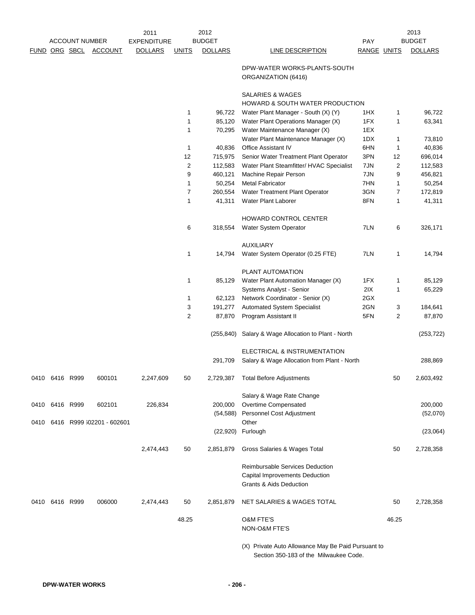|                |                       |                                | 2011               |                | 2012           |                                                                                              |             |                | 2013           |
|----------------|-----------------------|--------------------------------|--------------------|----------------|----------------|----------------------------------------------------------------------------------------------|-------------|----------------|----------------|
|                | <b>ACCOUNT NUMBER</b> |                                | <b>EXPENDITURE</b> |                | <b>BUDGET</b>  |                                                                                              | <b>PAY</b>  |                | <b>BUDGET</b>  |
|                |                       | FUND ORG SBCL ACCOUNT          | <b>DOLLARS</b>     | <b>UNITS</b>   | <b>DOLLARS</b> | <b>LINE DESCRIPTION</b>                                                                      | RANGE UNITS |                | <b>DOLLARS</b> |
|                |                       |                                |                    |                |                | DPW-WATER WORKS-PLANTS-SOUTH<br>ORGANIZATION (6416)                                          |             |                |                |
|                |                       |                                |                    |                |                | <b>SALARIES &amp; WAGES</b><br>HOWARD & SOUTH WATER PRODUCTION                               |             |                |                |
|                |                       |                                |                    | 1              | 96,722         | Water Plant Manager - South (X) (Y)                                                          | 1HX         | 1              | 96,722         |
|                |                       |                                |                    | $\mathbf{1}$   | 85,120         | Water Plant Operations Manager (X)                                                           | 1FX         | 1              | 63,341         |
|                |                       |                                |                    | 1              | 70,295         | Water Maintenance Manager (X)                                                                | 1EX         |                |                |
|                |                       |                                |                    |                |                | Water Plant Maintenance Manager (X)                                                          | 1DX         | 1              | 73,810         |
|                |                       |                                |                    | $\mathbf{1}$   | 40,836         | <b>Office Assistant IV</b>                                                                   | 6HN         | 1              | 40,836         |
|                |                       |                                |                    | 12             | 715,975        | Senior Water Treatment Plant Operator                                                        | 3PN         | 12             | 696,014        |
|                |                       |                                |                    | $\overline{2}$ | 112,583        | Water Plant Steamfitter/ HVAC Specialist                                                     | 7JN         | 2              | 112,583        |
|                |                       |                                |                    | 9              | 460,121        | Machine Repair Person                                                                        | 7JN         | 9              | 456,821        |
|                |                       |                                |                    | 1              | 50,254         | <b>Metal Fabricator</b>                                                                      | 7HN         | 1              | 50,254         |
|                |                       |                                |                    | $\overline{7}$ | 260,554        | Water Treatment Plant Operator                                                               | 3GN         | $\overline{7}$ | 172,819        |
|                |                       |                                |                    | $\mathbf{1}$   | 41,311         | Water Plant Laborer                                                                          | 8FN         | 1              | 41,311         |
|                |                       |                                |                    |                |                | HOWARD CONTROL CENTER                                                                        |             |                |                |
|                |                       |                                |                    | 6              | 318,554        | Water System Operator                                                                        | 7LN         | 6              | 326,171        |
|                |                       |                                |                    |                |                | <b>AUXILIARY</b>                                                                             |             |                |                |
|                |                       |                                |                    | $\mathbf{1}$   | 14,794         | Water System Operator (0.25 FTE)                                                             | 7LN         | 1              | 14,794         |
|                |                       |                                |                    |                |                | PLANT AUTOMATION                                                                             |             |                |                |
|                |                       |                                |                    | 1              | 85,129         | Water Plant Automation Manager (X)                                                           | 1FX         | 1              | 85,129         |
|                |                       |                                |                    |                |                | Systems Analyst - Senior                                                                     | 2IX         | 1              | 65,229         |
|                |                       |                                |                    | 1              | 62,123         | Network Coordinator - Senior (X)                                                             | 2GX         |                |                |
|                |                       |                                |                    | 3              | 191,277        | <b>Automated System Specialist</b>                                                           | 2GN         | 3              | 184,641        |
|                |                       |                                |                    | $\overline{c}$ | 87,870         | Program Assistant II                                                                         | 5FN         | $\overline{2}$ | 87,870         |
|                |                       |                                |                    |                |                |                                                                                              |             |                |                |
|                |                       |                                |                    |                |                | (255,840) Salary & Wage Allocation to Plant - North                                          |             |                | (253, 722)     |
|                |                       |                                |                    |                |                | ELECTRICAL & INSTRUMENTATION                                                                 |             |                |                |
|                |                       |                                |                    |                | 291,709        | Salary & Wage Allocation from Plant - North                                                  |             |                | 288,869        |
| 0410 6416 R999 |                       | 600101                         | 2,247,609          | 50             | 2,729,387      | <b>Total Before Adjustments</b>                                                              |             | 50             | 2,603,492      |
|                |                       |                                |                    |                |                | Salary & Wage Rate Change                                                                    |             |                |                |
| 0410 6416 R999 |                       | 602101                         | 226,834            |                | 200,000        | Overtime Compensated                                                                         |             |                | 200,000        |
|                |                       | 0410 6416 R999 }02201 - 602601 |                    |                | (54, 588)      | Personnel Cost Adjustment<br>Other                                                           |             |                | (52,070)       |
|                |                       |                                |                    |                |                | (22,920) Furlough                                                                            |             |                | (23,064)       |
|                |                       |                                | 2,474,443          | 50             | 2,851,879      | Gross Salaries & Wages Total                                                                 |             | 50             | 2,728,358      |
|                |                       |                                |                    |                |                | Reimbursable Services Deduction<br>Capital Improvements Deduction<br>Grants & Aids Deduction |             |                |                |
| 0410 6416 R999 |                       | 006000                         | 2,474,443          | 50             | 2,851,879      | NET SALARIES & WAGES TOTAL                                                                   |             | 50             | 2,728,358      |
|                |                       |                                |                    | 48.25          |                | <b>O&amp;M FTE'S</b><br>NON-O&M FTE'S                                                        |             | 46.25          |                |
|                |                       |                                |                    |                |                | (X) Private Auto Allowance May Be Paid Pursuant to                                           |             |                |                |

Section 350-183 of the Milwaukee Code.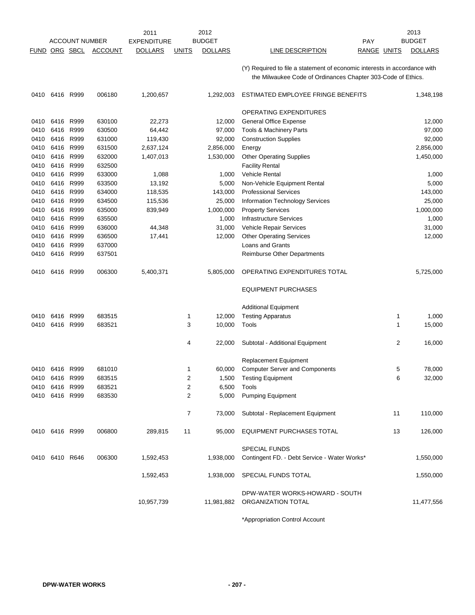|               |                   | <b>ACCOUNT NUMBER</b> |                  | 2011<br><b>EXPENDITURE</b> |                  | 2012<br><b>BUDGET</b> |                                                                           | PAY |                | 2013<br><b>BUDGET</b> |
|---------------|-------------------|-----------------------|------------------|----------------------------|------------------|-----------------------|---------------------------------------------------------------------------|-----|----------------|-----------------------|
| FUND ORG SBCL |                   |                       | <b>ACCOUNT</b>   | <b>DOLLARS</b>             | <b>UNITS</b>     | <b>DOLLARS</b>        | LINE DESCRIPTION                                                          |     | RANGE UNITS    | <b>DOLLARS</b>        |
|               |                   |                       |                  |                            |                  |                       |                                                                           |     |                |                       |
|               |                   |                       |                  |                            |                  |                       | (Y) Required to file a statement of economic interests in accordance with |     |                |                       |
|               |                   |                       |                  |                            |                  |                       | the Milwaukee Code of Ordinances Chapter 303-Code of Ethics.              |     |                |                       |
| 0410          | 6416 R999         |                       | 006180           | 1,200,657                  |                  | 1,292,003             | ESTIMATED EMPLOYEE FRINGE BENEFITS                                        |     |                | 1,348,198             |
|               |                   |                       |                  |                            |                  |                       | OPERATING EXPENDITURES                                                    |     |                |                       |
| 0410          | 6416              | R999                  | 630100           | 22,273                     |                  | 12,000                | <b>General Office Expense</b>                                             |     |                | 12,000                |
| 0410          | 6416              | R999                  | 630500           | 64,442                     |                  | 97,000                | Tools & Machinery Parts                                                   |     |                | 97,000                |
| 0410          | 6416 R999         |                       | 631000           | 119,430                    |                  | 92,000                | <b>Construction Supplies</b>                                              |     |                | 92,000                |
| 0410          | 6416              | R999                  | 631500           | 2,637,124                  |                  | 2,856,000             | Energy                                                                    |     |                | 2,856,000             |
| 0410          | 6416              | R999                  | 632000           | 1,407,013                  |                  | 1,530,000             | <b>Other Operating Supplies</b>                                           |     |                | 1,450,000             |
| 0410          | 6416              | R999                  | 632500           |                            |                  |                       | <b>Facility Rental</b>                                                    |     |                |                       |
| 0410          | 6416              | R999                  | 633000           | 1,088                      |                  | 1,000                 | <b>Vehicle Rental</b>                                                     |     |                | 1,000                 |
| 0410          | 6416              | R999                  | 633500           | 13,192                     |                  | 5,000                 | Non-Vehicle Equipment Rental                                              |     |                | 5,000                 |
| 0410          | 6416              | R999                  | 634000           | 118,535                    |                  | 143,000               | <b>Professional Services</b>                                              |     |                | 143,000               |
| 0410          | 6416              | R999                  | 634500           | 115,536                    |                  | 25,000                | Information Technology Services                                           |     |                | 25,000                |
| 0410          | 6416              | R999<br>R999          | 635000           | 839,949                    |                  | 1,000,000             | <b>Property Services</b><br><b>Infrastructure Services</b>                |     |                | 1,000,000             |
| 0410<br>0410  | 6416<br>6416 R999 |                       | 635500<br>636000 | 44,348                     |                  | 1,000<br>31,000       | Vehicle Repair Services                                                   |     |                | 1,000<br>31,000       |
| 0410          | 6416              | R999                  | 636500           | 17,441                     |                  | 12,000                | <b>Other Operating Services</b>                                           |     |                | 12,000                |
| 0410          | 6416              | R999                  | 637000           |                            |                  |                       | <b>Loans and Grants</b>                                                   |     |                |                       |
| 0410          | 6416              | R999                  | 637501           |                            |                  |                       | Reimburse Other Departments                                               |     |                |                       |
|               |                   |                       |                  |                            |                  |                       |                                                                           |     |                |                       |
| 0410          | 6416 R999         |                       | 006300           | 5,400,371                  |                  | 5,805,000             | OPERATING EXPENDITURES TOTAL                                              |     |                | 5,725,000             |
|               |                   |                       |                  |                            |                  |                       | <b>EQUIPMENT PURCHASES</b>                                                |     |                |                       |
|               |                   |                       |                  |                            |                  |                       | <b>Additional Equipment</b>                                               |     |                |                       |
| 0410          | 6416 R999         |                       | 683515           |                            | 1                | 12,000                | <b>Testing Apparatus</b>                                                  |     | $\mathbf 1$    | 1,000                 |
| 0410          | 6416              | R999                  | 683521           |                            | 3                | 10,000                | Tools                                                                     |     | $\mathbf{1}$   | 15,000                |
|               |                   |                       |                  |                            | 4                | 22,000                | Subtotal - Additional Equipment                                           |     | $\overline{2}$ | 16,000                |
|               |                   |                       |                  |                            |                  |                       | <b>Replacement Equipment</b>                                              |     |                |                       |
|               | 0410 6416 R999    |                       | 681010           |                            | 1                | 60,000                | <b>Computer Server and Components</b>                                     |     | 5              | 78,000                |
| 0410          | 6416 R999         |                       | 683515           |                            | 2                | 1,500                 | Testing Equipment                                                         |     | 6              | 32,000                |
| 0410          | 6416 R999         |                       | 683521           |                            | $\boldsymbol{2}$ | 6,500                 | Tools                                                                     |     |                |                       |
|               | 0410 6416 R999    |                       | 683530           |                            | $\overline{2}$   | 5,000                 | <b>Pumping Equipment</b>                                                  |     |                |                       |
|               |                   |                       |                  |                            | $\overline{7}$   | 73,000                | Subtotal - Replacement Equipment                                          |     | 11             | 110,000               |
|               | 0410 6416 R999    |                       | 006800           | 289,815                    | 11               | 95,000                | EQUIPMENT PURCHASES TOTAL                                                 |     | 13             | 126,000               |
|               |                   |                       |                  |                            |                  |                       | <b>SPECIAL FUNDS</b>                                                      |     |                |                       |
|               | 0410 6410 R646    |                       | 006300           | 1,592,453                  |                  | 1,938,000             | Contingent FD. - Debt Service - Water Works*                              |     |                | 1,550,000             |
|               |                   |                       |                  |                            |                  |                       |                                                                           |     |                |                       |
|               |                   |                       |                  | 1,592,453                  |                  | 1,938,000             | SPECIAL FUNDS TOTAL                                                       |     |                | 1,550,000             |
|               |                   |                       |                  | 10,957,739                 |                  |                       | DPW-WATER WORKS-HOWARD - SOUTH<br>11,981,882 ORGANIZATION TOTAL           |     |                | 11,477,556            |
|               |                   |                       |                  |                            |                  |                       |                                                                           |     |                |                       |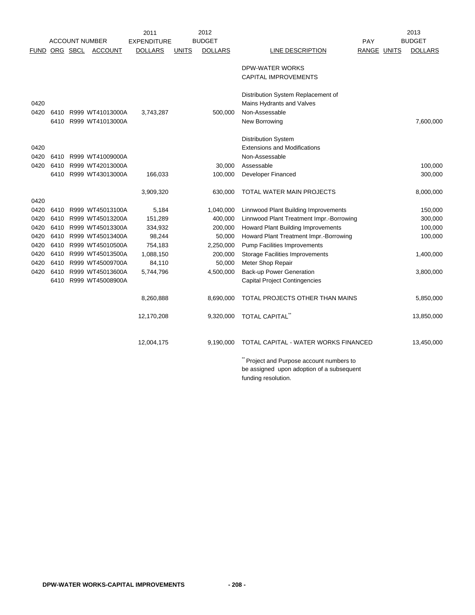|             |      |                       |                       | 2011               |              | 2012           |                                           |             | 2013           |
|-------------|------|-----------------------|-----------------------|--------------------|--------------|----------------|-------------------------------------------|-------------|----------------|
|             |      | <b>ACCOUNT NUMBER</b> |                       | <b>EXPENDITURE</b> |              | <b>BUDGET</b>  |                                           | <b>PAY</b>  | <b>BUDGET</b>  |
| <b>FUND</b> |      | ORG SBCL              | <b>ACCOUNT</b>        | <b>DOLLARS</b>     | <b>UNITS</b> | <b>DOLLARS</b> | LINE DESCRIPTION                          | RANGE UNITS | <b>DOLLARS</b> |
|             |      |                       |                       |                    |              |                | DPW-WATER WORKS                           |             |                |
|             |      |                       |                       |                    |              |                | <b>CAPITAL IMPROVEMENTS</b>               |             |                |
|             |      |                       |                       |                    |              |                | Distribution System Replacement of        |             |                |
| 0420        |      |                       |                       |                    |              |                | Mains Hydrants and Valves                 |             |                |
| 0420        | 6410 |                       | R999 WT41013000A      | 3,743,287          |              | 500,000        | Non-Assessable                            |             |                |
|             | 6410 |                       | R999 WT41013000A      |                    |              |                | New Borrowing                             |             | 7,600,000      |
|             |      |                       |                       |                    |              |                | <b>Distribution System</b>                |             |                |
| 0420        |      |                       |                       |                    |              |                | <b>Extensions and Modifications</b>       |             |                |
| 0420        | 6410 |                       | R999 WT41009000A      |                    |              |                | Non-Assessable                            |             |                |
| 0420        | 6410 |                       | R999 WT42013000A      |                    |              | 30,000         | Assessable                                |             | 100,000        |
|             |      |                       | 6410 R999 WT43013000A | 166,033            |              | 100,000        | <b>Developer Financed</b>                 |             | 300,000        |
|             |      |                       |                       | 3,909,320          |              | 630,000        | TOTAL WATER MAIN PROJECTS                 |             | 8,000,000      |
| 0420        |      |                       |                       |                    |              |                |                                           |             |                |
| 0420        | 6410 |                       | R999 WT45013100A      | 5,184              |              | 1,040,000      | Linnwood Plant Building Improvements      |             | 150,000        |
| 0420        | 6410 |                       | R999 WT45013200A      | 151,289            |              | 400,000        | Linnwood Plant Treatment Impr.-Borrowing  |             | 300,000        |
| 0420        | 6410 |                       | R999 WT45013300A      | 334,932            |              | 200,000        | Howard Plant Building Improvements        |             | 100,000        |
| 0420        | 6410 |                       | R999 WT45013400A      | 98,244             |              | 50,000         | Howard Plant Treatment Impr.-Borrowing    |             | 100,000        |
| 0420        | 6410 |                       | R999 WT45010500A      | 754,183            |              | 2,250,000      | <b>Pump Facilities Improvements</b>       |             |                |
| 0420        | 6410 |                       | R999 WT45013500A      | 1,088,150          |              | 200,000        | <b>Storage Facilities Improvements</b>    |             | 1,400,000      |
| 0420        | 6410 |                       | R999 WT45009700A      | 84,110             |              | 50,000         | Meter Shop Repair                         |             |                |
| 0420        | 6410 |                       | R999 WT45013600A      | 5,744,796          |              | 4,500,000      | <b>Back-up Power Generation</b>           |             | 3,800,000      |
|             | 6410 |                       | R999 WT45008900A      |                    |              |                | <b>Capital Project Contingencies</b>      |             |                |
|             |      |                       |                       | 8,260,888          |              | 8,690,000      | TOTAL PROJECTS OTHER THAN MAINS           |             | 5,850,000      |
|             |      |                       |                       | 12,170,208         |              | 9,320,000      | <b>TOTAL CAPITAL</b>                      |             | 13,850,000     |
|             |      |                       |                       | 12,004,175         |              | 9,190,000      | TOTAL CAPITAL - WATER WORKS FINANCED      |             | 13,450,000     |
|             |      |                       |                       |                    |              |                |                                           |             |                |
|             |      |                       |                       |                    |              |                | Project and Purpose account numbers to    |             |                |
|             |      |                       |                       |                    |              |                | be assigned upon adoption of a subsequent |             |                |
|             |      |                       |                       |                    |              |                | funding resolution.                       |             |                |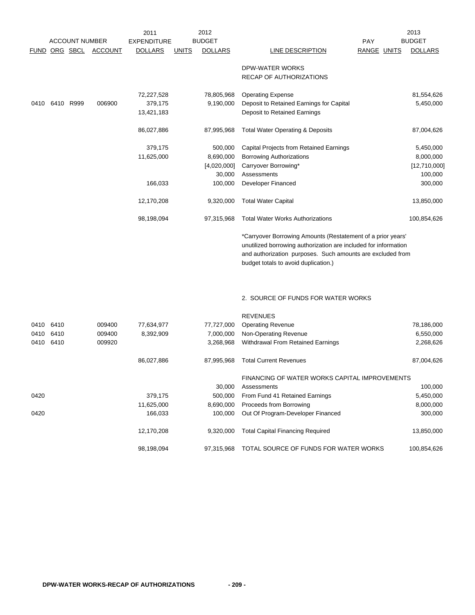|      | <b>ACCOUNT NUMBER</b> |                      |                | 2012<br>2011       |              |                |                                                                 |             | 2013 |                |
|------|-----------------------|----------------------|----------------|--------------------|--------------|----------------|-----------------------------------------------------------------|-------------|------|----------------|
|      |                       |                      |                | <b>EXPENDITURE</b> |              | <b>BUDGET</b>  |                                                                 | <b>PAY</b>  |      | <b>BUDGET</b>  |
|      |                       | <u>FUND ORG SBCL</u> | <b>ACCOUNT</b> | <b>DOLLARS</b>     | <b>UNITS</b> | <b>DOLLARS</b> | LINE DESCRIPTION                                                | RANGE UNITS |      | <b>DOLLARS</b> |
|      |                       |                      |                |                    |              |                | DPW-WATER WORKS                                                 |             |      |                |
|      |                       |                      |                |                    |              |                | RECAP OF AUTHORIZATIONS                                         |             |      |                |
|      |                       |                      |                | 72,227,528         |              | 78,805,968     | <b>Operating Expense</b>                                        |             |      | 81,554,626     |
|      | 0410 6410 R999        |                      | 006900         | 379,175            |              | 9,190,000      | Deposit to Retained Earnings for Capital                        |             |      | 5,450,000      |
|      |                       |                      |                | 13,421,183         |              |                | Deposit to Retained Earnings                                    |             |      |                |
|      |                       |                      |                | 86,027,886         |              | 87,995,968     | <b>Total Water Operating &amp; Deposits</b>                     |             |      | 87,004,626     |
|      |                       |                      |                | 379,175            |              | 500,000        | Capital Projects from Retained Earnings                         |             |      | 5,450,000      |
|      |                       |                      |                | 11,625,000         |              | 8,690,000      | <b>Borrowing Authorizations</b>                                 |             |      | 8,000,000      |
|      |                       |                      |                |                    |              | [4,020,000]    | Carryover Borrowing*                                            |             |      | [12,710,000]   |
|      |                       |                      |                |                    |              | 30,000         | Assessments                                                     |             |      | 100,000        |
|      |                       |                      |                | 166,033            |              | 100,000        | <b>Developer Financed</b>                                       |             |      | 300,000        |
|      |                       |                      |                | 12,170,208         |              | 9,320,000      | <b>Total Water Capital</b>                                      |             |      | 13,850,000     |
|      |                       |                      |                | 98,198,094         |              | 97,315,968     | <b>Total Water Works Authorizations</b>                         |             |      | 100,854,626    |
|      |                       |                      |                |                    |              |                | *Carryover Borrowing Amounts (Restatement of a prior years'     |             |      |                |
|      |                       |                      |                |                    |              |                | unutilized borrowing authorization are included for information |             |      |                |
|      |                       |                      |                |                    |              |                | and authorization purposes. Such amounts are excluded from      |             |      |                |
|      |                       |                      |                |                    |              |                | budget totals to avoid duplication.)                            |             |      |                |
|      |                       |                      |                |                    |              |                |                                                                 |             |      |                |
|      |                       |                      |                |                    |              |                | 2. SOURCE OF FUNDS FOR WATER WORKS                              |             |      |                |
|      |                       |                      |                |                    |              |                | <b>REVENUES</b>                                                 |             |      |                |
|      | 0410 6410             |                      | 009400         | 77,634,977         |              | 77,727,000     | <b>Operating Revenue</b>                                        |             |      | 78,186,000     |
| 0410 | 6410                  |                      | 009400         | 8,392,909          |              | 7,000,000      | Non-Operating Revenue                                           |             |      | 6,550,000      |
| 0410 | 6410                  |                      | 009920         |                    |              | 3,268,968      | Withdrawal From Retained Earnings                               |             |      | 2,268,626      |
|      |                       |                      |                | 86,027,886         |              | 87,995,968     | <b>Total Current Revenues</b>                                   |             |      | 87,004,626     |
|      |                       |                      |                |                    |              |                | FINANCING OF WATER WORKS CAPITAL IMPROVEMENTS                   |             |      |                |
|      |                       |                      |                |                    |              | 30,000         | Assessments                                                     |             |      | 100,000        |
| 0420 |                       |                      |                | 379,175            |              | 500,000        | From Fund 41 Retained Earnings                                  |             |      | 5,450,000      |
|      |                       |                      |                | 11,625,000         |              | 8,690,000      | Proceeds from Borrowing                                         |             |      | 8,000,000      |
| 0420 |                       |                      |                | 166,033            |              | 100,000        | Out Of Program-Developer Financed                               |             |      | 300,000        |
|      |                       |                      |                | 12,170,208         |              | 9,320,000      | <b>Total Capital Financing Required</b>                         |             |      | 13,850,000     |
|      |                       |                      |                | 98,198,094         |              | 97,315,968     | TOTAL SOURCE OF FUNDS FOR WATER WORKS                           |             |      | 100,854,626    |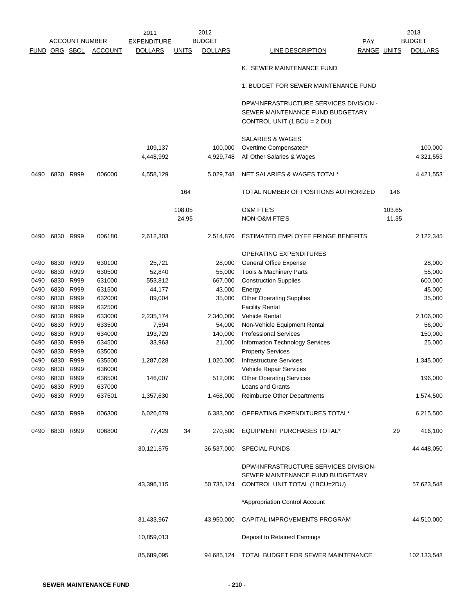|             |           |                       |                | 2011               |                 | 2012           |                                                                                                           |                 | 2013           |
|-------------|-----------|-----------------------|----------------|--------------------|-----------------|----------------|-----------------------------------------------------------------------------------------------------------|-----------------|----------------|
|             |           | <b>ACCOUNT NUMBER</b> |                | <b>EXPENDITURE</b> |                 | <b>BUDGET</b>  | <b>PAY</b>                                                                                                |                 | <b>BUDGET</b>  |
| <b>FUND</b> | ORG SBCL  |                       | <b>ACCOUNT</b> | <b>DOLLARS</b>     | <b>UNITS</b>    | <b>DOLLARS</b> | LINE DESCRIPTION                                                                                          | RANGE UNITS     | <b>DOLLARS</b> |
|             |           |                       |                |                    |                 |                | K. SEWER MAINTENANCE FUND                                                                                 |                 |                |
|             |           |                       |                |                    |                 |                | 1. BUDGET FOR SEWER MAINTENANCE FUND                                                                      |                 |                |
|             |           |                       |                |                    |                 |                | DPW-INFRASTRUCTURE SERVICES DIVISION -<br>SEWER MAINTENANCE FUND BUDGETARY<br>CONTROL UNIT (1 BCU = 2 DU) |                 |                |
|             |           |                       |                |                    |                 |                | <b>SALARIES &amp; WAGES</b>                                                                               |                 |                |
|             |           |                       |                | 109,137            |                 | 100,000        | Overtime Compensated*                                                                                     |                 | 100,000        |
|             |           |                       |                | 4,448,992          |                 | 4,929,748      | All Other Salaries & Wages                                                                                |                 | 4,321,553      |
| 0490        | 6830 R999 |                       | 006000         | 4,558,129          |                 | 5,029,748      | NET SALARIES & WAGES TOTAL*                                                                               |                 | 4,421,553      |
|             |           |                       |                |                    | 164             |                | TOTAL NUMBER OF POSITIONS AUTHORIZED                                                                      | 146             |                |
|             |           |                       |                |                    |                 |                |                                                                                                           |                 |                |
|             |           |                       |                |                    | 108.05<br>24.95 |                | <b>O&amp;M FTE'S</b><br><b>NON-O&amp;M FTE'S</b>                                                          | 103.65<br>11.35 |                |
|             |           |                       |                |                    |                 |                |                                                                                                           |                 |                |
| 0490        | 6830 R999 |                       | 006180         | 2,612,303          |                 | 2,514,876      | ESTIMATED EMPLOYEE FRINGE BENEFITS                                                                        |                 | 2,122,345      |
|             |           |                       |                |                    |                 |                | OPERATING EXPENDITURES                                                                                    |                 |                |
| 0490        |           | 6830 R999             | 630100         | 25,721             |                 | 28,000         | <b>General Office Expense</b>                                                                             |                 | 28,000         |
| 0490        |           | 6830 R999             | 630500         | 52,840             |                 | 55,000         | Tools & Machinery Parts                                                                                   |                 | 55,000         |
| 0490        |           | 6830 R999             | 631000         | 553,812            |                 | 667,000        | <b>Construction Supplies</b>                                                                              |                 | 600,000        |
| 0490        | 6830 R999 |                       | 631500         | 44,177             |                 | 43,000         | Energy                                                                                                    |                 | 45,000         |
| 0490        | 6830      | R999                  | 632000         | 89,004             |                 | 35,000         | <b>Other Operating Supplies</b>                                                                           |                 | 35,000         |
| 0490        |           | 6830 R999             | 632500         |                    |                 |                | <b>Facility Rental</b>                                                                                    |                 |                |
| 0490        | 6830      | R999                  | 633000         | 2,235,174          |                 | 2,340,000      | <b>Vehicle Rental</b>                                                                                     |                 | 2,106,000      |
| 0490        | 6830      | R999                  | 633500         | 7,594              |                 | 54,000         | Non-Vehicle Equipment Rental                                                                              |                 | 56,000         |
| 0490        |           | 6830 R999             | 634000         | 193,729            |                 | 140,000        | <b>Professional Services</b>                                                                              |                 | 150,000        |
| 0490        | 6830 R999 |                       | 634500         | 33,963             |                 | 21,000         | Information Technology Services                                                                           |                 | 25,000         |
| 0490        |           | 6830 R999             | 635000         |                    |                 |                | <b>Property Services</b>                                                                                  |                 |                |
| 0490        | 6830      | R999                  | 635500         | 1,287,028          |                 | 1,020,000      | <b>Infrastructure Services</b>                                                                            |                 | 1,345,000      |
| 0490        | 6830 R999 |                       | 636000         |                    |                 |                | Vehicle Repair Services                                                                                   |                 |                |
| 0490        |           | 6830 R999             | 636500         | 146,007            |                 | 512,000        | <b>Other Operating Services</b>                                                                           |                 | 196,000        |
| 0490        | 6830 R999 |                       | 637000         |                    |                 |                | Loans and Grants                                                                                          |                 |                |
| 0490        |           | 6830 R999             | 637501         | 1,357,630          |                 | 1,468,000      | <b>Reimburse Other Departments</b>                                                                        |                 | 1,574,500      |
|             |           |                       |                |                    |                 |                |                                                                                                           |                 |                |
| 0490        | 6830 R999 |                       | 006300         | 6,026,679          |                 | 6,383,000      | OPERATING EXPENDITURES TOTAL*                                                                             |                 | 6,215,500      |
| 0490        | 6830 R999 |                       | 006800         | 77,429             | 34              | 270,500        | <b>EQUIPMENT PURCHASES TOTAL*</b>                                                                         | 29              | 416,100        |
|             |           |                       |                | 30,121,575         |                 | 36,537,000     | <b>SPECIAL FUNDS</b>                                                                                      |                 | 44,448,050     |
|             |           |                       |                |                    |                 |                | DPW-INFRASTRUCTURE SERVICES DIVISION-                                                                     |                 |                |
|             |           |                       |                |                    |                 |                | SEWER MAINTENANCE FUND BUDGETARY                                                                          |                 |                |
|             |           |                       |                | 43,396,115         |                 |                | 50,735,124 CONTROL UNIT TOTAL (1BCU=2DU)                                                                  |                 | 57,623,548     |
|             |           |                       |                |                    |                 |                | *Appropriation Control Account                                                                            |                 |                |
|             |           |                       |                | 31,433,967         |                 | 43,950,000     | CAPITAL IMPROVEMENTS PROGRAM                                                                              |                 | 44,510,000     |
|             |           |                       |                | 10,859,013         |                 |                | Deposit to Retained Earnings                                                                              |                 |                |
|             |           |                       |                | 85,689,095         |                 | 94,685,124     | TOTAL BUDGET FOR SEWER MAINTENANCE                                                                        |                 | 102,133,548    |
|             |           |                       |                |                    |                 |                |                                                                                                           |                 |                |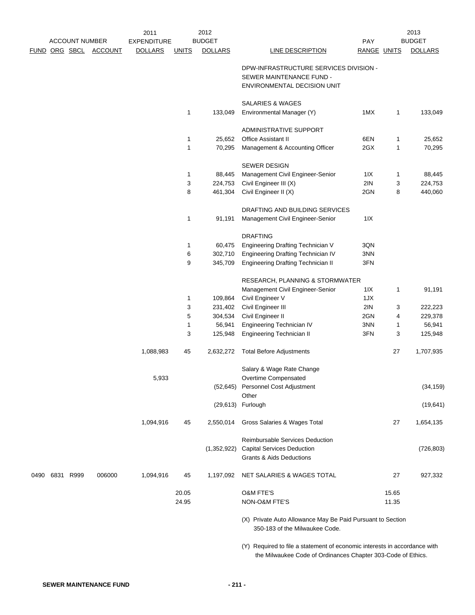|      |                       |                | 2011               |                | 2012           |                                                                                                                                           |                    |                | 2013           |
|------|-----------------------|----------------|--------------------|----------------|----------------|-------------------------------------------------------------------------------------------------------------------------------------------|--------------------|----------------|----------------|
|      | <b>ACCOUNT NUMBER</b> |                | <b>EXPENDITURE</b> |                | <b>BUDGET</b>  |                                                                                                                                           | <b>PAY</b>         |                | <b>BUDGET</b>  |
|      | FUND ORG SBCL         | <b>ACCOUNT</b> | <b>DOLLARS</b>     | <b>UNITS</b>   | <b>DOLLARS</b> | <b>LINE DESCRIPTION</b>                                                                                                                   | <b>RANGE UNITS</b> |                | <b>DOLLARS</b> |
|      |                       |                |                    |                |                | DPW-INFRASTRUCTURE SERVICES DIVISION -                                                                                                    |                    |                |                |
|      |                       |                |                    |                |                | SEWER MAINTENANCE FUND -                                                                                                                  |                    |                |                |
|      |                       |                |                    |                |                | ENVIRONMENTAL DECISION UNIT                                                                                                               |                    |                |                |
|      |                       |                |                    |                |                | SALARIES & WAGES                                                                                                                          |                    |                |                |
|      |                       |                |                    | 1              | 133,049        | Environmental Manager (Y)                                                                                                                 | 1MX                | $\mathbf{1}$   | 133,049        |
|      |                       |                |                    |                |                | ADMINISTRATIVE SUPPORT                                                                                                                    |                    |                |                |
|      |                       |                |                    | 1              | 25,652         | <b>Office Assistant II</b>                                                                                                                | 6EN                | $\mathbf{1}$   | 25,652         |
|      |                       |                |                    | 1              | 70,295         | Management & Accounting Officer                                                                                                           | 2GX                | $\mathbf{1}$   | 70,295         |
|      |                       |                |                    |                |                |                                                                                                                                           |                    |                |                |
|      |                       |                |                    |                |                | <b>SEWER DESIGN</b>                                                                                                                       |                    |                |                |
|      |                       |                |                    | 1              | 88,445         | Management Civil Engineer-Senior                                                                                                          | 1IX                | 1              | 88,445         |
|      |                       |                |                    | 3              | 224,753        | Civil Engineer III (X)                                                                                                                    | 2IN                | 3              | 224,753        |
|      |                       |                |                    | 8              | 461,304        | Civil Engineer II (X)                                                                                                                     | 2GN                | 8              | 440,060        |
|      |                       |                |                    |                |                | DRAFTING AND BUILDING SERVICES                                                                                                            |                    |                |                |
|      |                       |                |                    | 1              | 91,191         | Management Civil Engineer-Senior                                                                                                          | 11X                |                |                |
|      |                       |                |                    |                |                | <b>DRAFTING</b>                                                                                                                           |                    |                |                |
|      |                       |                |                    | 1              | 60,475         | <b>Engineering Drafting Technician V</b>                                                                                                  | 3QN                |                |                |
|      |                       |                |                    | 6              | 302,710        | Engineering Drafting Technician IV                                                                                                        | 3NN                |                |                |
|      |                       |                |                    | 9              | 345,709        | <b>Engineering Drafting Technician II</b>                                                                                                 | 3FN                |                |                |
|      |                       |                |                    |                |                | RESEARCH, PLANNING & STORMWATER                                                                                                           |                    |                |                |
|      |                       |                |                    |                |                | Management Civil Engineer-Senior                                                                                                          | 1 I X              | $\mathbf{1}$   | 91,191         |
|      |                       |                |                    | 1              | 109,864        | Civil Engineer V                                                                                                                          | 1JX                |                |                |
|      |                       |                |                    | 3              | 231,402        | Civil Engineer III                                                                                                                        | 2IN                | 3              | 222,223        |
|      |                       |                |                    | 5              | 304,534        | Civil Engineer II                                                                                                                         | 2GN                | 4              | 229,378        |
|      |                       |                |                    | 1              | 56,941         | Engineering Technician IV                                                                                                                 | 3NN                | 1              | 56,941         |
|      |                       |                |                    | 3              | 125,948        | Engineering Technician II                                                                                                                 | 3FN                | 3              | 125,948        |
|      |                       |                |                    |                |                |                                                                                                                                           |                    |                |                |
|      |                       |                | 1,088,983          | 45             | 2,632,272      | <b>Total Before Adjustments</b>                                                                                                           |                    | 27             | 1,707,935      |
|      |                       |                |                    |                |                | Salary & Wage Rate Change                                                                                                                 |                    |                |                |
|      |                       |                | 5,933              |                |                | Overtime Compensated                                                                                                                      |                    |                |                |
|      |                       |                |                    |                | (52, 645)      | Personnel Cost Adjustment                                                                                                                 |                    |                | (34, 159)      |
|      |                       |                |                    |                | (29, 613)      | Other<br>Furlough                                                                                                                         |                    |                | (19, 641)      |
|      |                       |                |                    |                |                |                                                                                                                                           |                    |                |                |
|      |                       |                | 1,094,916          | 45             | 2,550,014      | Gross Salaries & Wages Total                                                                                                              |                    | 27             | 1,654,135      |
|      |                       |                |                    |                |                | <b>Reimbursable Services Deduction</b>                                                                                                    |                    |                |                |
|      |                       |                |                    |                | (1,352,922)    | <b>Capital Services Deduction</b>                                                                                                         |                    |                | (726, 803)     |
|      |                       |                |                    |                |                | <b>Grants &amp; Aids Deductions</b>                                                                                                       |                    |                |                |
| 0490 | 6831 R999             | 006000         | 1,094,916          | 45             | 1,197,092      | NET SALARIES & WAGES TOTAL                                                                                                                |                    | 27             | 927,332        |
|      |                       |                |                    |                |                | O&M FTE'S                                                                                                                                 |                    |                |                |
|      |                       |                |                    | 20.05<br>24.95 |                | NON-O&M FTE'S                                                                                                                             |                    | 15.65<br>11.35 |                |
|      |                       |                |                    |                |                |                                                                                                                                           |                    |                |                |
|      |                       |                |                    |                |                | (X) Private Auto Allowance May Be Paid Pursuant to Section<br>350-183 of the Milwaukee Code.                                              |                    |                |                |
|      |                       |                |                    |                |                | (Y) Required to file a statement of economic interests in accordance with<br>the Milwaukee Code of Ordinances Chapter 303-Code of Ethics. |                    |                |                |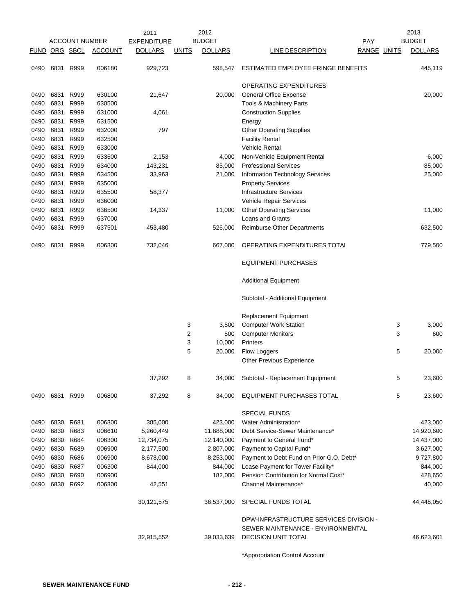|               |           |                       |                | 2011               |                | 2012           |                                          |                    | 2013           |
|---------------|-----------|-----------------------|----------------|--------------------|----------------|----------------|------------------------------------------|--------------------|----------------|
|               |           | <b>ACCOUNT NUMBER</b> |                | <b>EXPENDITURE</b> |                | <b>BUDGET</b>  | <b>PAY</b>                               |                    | <b>BUDGET</b>  |
| FUND ORG SBCL |           |                       | <b>ACCOUNT</b> | <b>DOLLARS</b>     | <b>UNITS</b>   | <b>DOLLARS</b> | LINE DESCRIPTION                         | <b>RANGE UNITS</b> | <b>DOLLARS</b> |
| 0490          | 6831      | R999                  | 006180         | 929,723            |                | 598,547        | ESTIMATED EMPLOYEE FRINGE BENEFITS       |                    | 445,119        |
|               |           |                       |                |                    |                |                | OPERATING EXPENDITURES                   |                    |                |
| 0490          | 6831      | R999                  | 630100         | 21,647             |                | 20,000         | General Office Expense                   |                    | 20,000         |
| 0490          | 6831      | R999                  | 630500         |                    |                |                | Tools & Machinery Parts                  |                    |                |
| 0490          | 6831      | R999                  | 631000         | 4,061              |                |                | <b>Construction Supplies</b>             |                    |                |
| 0490          | 6831      | R999                  | 631500         |                    |                |                | Energy                                   |                    |                |
| 0490          | 6831      | R999                  | 632000         | 797                |                |                | <b>Other Operating Supplies</b>          |                    |                |
| 0490          | 6831      | R999                  | 632500         |                    |                |                | <b>Facility Rental</b>                   |                    |                |
| 0490          | 6831      | R999                  | 633000         |                    |                |                | <b>Vehicle Rental</b>                    |                    |                |
| 0490          | 6831      | R999                  | 633500         | 2,153              |                | 4,000          | Non-Vehicle Equipment Rental             |                    | 6,000          |
| 0490          | 6831      | R999                  | 634000         | 143,231            |                | 85,000         | <b>Professional Services</b>             |                    | 85,000         |
| 0490          | 6831      | R999                  | 634500         | 33,963             |                | 21,000         | Information Technology Services          |                    | 25,000         |
| 0490          | 6831      | R999                  | 635000         |                    |                |                | <b>Property Services</b>                 |                    |                |
| 0490          | 6831      | R999                  | 635500         | 58,377             |                |                | <b>Infrastructure Services</b>           |                    |                |
| 0490          | 6831      | R999                  | 636000         |                    |                |                | Vehicle Repair Services                  |                    |                |
| 0490          | 6831      | R999                  | 636500         | 14,337             |                | 11,000         | <b>Other Operating Services</b>          |                    | 11,000         |
| 0490          | 6831      | R999                  | 637000         |                    |                |                | <b>Loans and Grants</b>                  |                    |                |
| 0490          | 6831      | R999                  | 637501         | 453,480            |                | 526,000        | <b>Reimburse Other Departments</b>       |                    | 632,500        |
| 0490          | 6831      | R999                  | 006300         | 732,046            |                | 667,000        | OPERATING EXPENDITURES TOTAL             |                    | 779,500        |
|               |           |                       |                |                    |                |                | <b>EQUIPMENT PURCHASES</b>               |                    |                |
|               |           |                       |                |                    |                |                | <b>Additional Equipment</b>              |                    |                |
|               |           |                       |                |                    |                |                | Subtotal - Additional Equipment          |                    |                |
|               |           |                       |                |                    |                |                | <b>Replacement Equipment</b>             |                    |                |
|               |           |                       |                |                    | 3              | 3,500          | <b>Computer Work Station</b>             | 3                  | 3,000          |
|               |           |                       |                |                    | $\overline{2}$ | 500            | <b>Computer Monitors</b>                 | 3                  | 600            |
|               |           |                       |                |                    | 3              | 10,000         | Printers                                 |                    |                |
|               |           |                       |                |                    | 5              | 20,000         | Flow Loggers                             | 5                  | 20,000         |
|               |           |                       |                |                    |                |                | <b>Other Previous Experience</b>         |                    |                |
|               |           |                       |                | 37,292             | 8              | 34,000         | Subtotal - Replacement Equipment         | 5                  | 23,600         |
| 0490          | 6831 R999 |                       | 006800         | 37,292             | 8              | 34,000         | EQUIPMENT PURCHASES TOTAL                | 5                  | 23,600         |
|               |           |                       |                |                    |                |                | <b>SPECIAL FUNDS</b>                     |                    |                |
| 0490          | 6830 R681 |                       | 006300         | 385,000            |                | 423,000        | Water Administration*                    |                    | 423,000        |
| 0490          |           | 6830 R683             | 006610         | 5,260,449          |                | 11,888,000     | Debt Service-Sewer Maintenance*          |                    | 14,920,600     |
| 0490          |           | 6830 R684             | 006300         | 12,734,075         |                | 12,140,000     | Payment to General Fund*                 |                    | 14,437,000     |
| 0490          |           | 6830 R689             | 006900         | 2,177,500          |                | 2,807,000      | Payment to Capital Fund*                 |                    | 3,627,000      |
| 0490          |           | 6830 R686             | 006900         | 8,678,000          |                | 8,253,000      | Payment to Debt Fund on Prior G.O. Debt* |                    | 9,727,800      |
| 0490          |           | 6830 R687             | 006300         | 844,000            |                | 844,000        | Lease Payment for Tower Facility*        |                    | 844,000        |
| 0490          |           | 6830 R690             | 006900         |                    |                | 182,000        | Pension Contribution for Normal Cost*    |                    | 428,650        |
| 0490          |           | 6830 R692             | 006300         | 42,551             |                |                | Channel Maintenance*                     |                    | 40,000         |
|               |           |                       |                | 30, 121, 575       |                | 36,537,000     | SPECIAL FUNDS TOTAL                      |                    | 44,448,050     |
|               |           |                       |                |                    |                |                | DPW-INFRASTRUCTURE SERVICES DIVISION -   |                    |                |
|               |           |                       |                |                    |                |                | SEWER MAINTENANCE - ENVIRONMENTAL        |                    |                |
|               |           |                       |                | 32,915,552         |                | 39,033,639     | <b>DECISION UNIT TOTAL</b>               |                    | 46,623,601     |
|               |           |                       |                |                    |                |                |                                          |                    |                |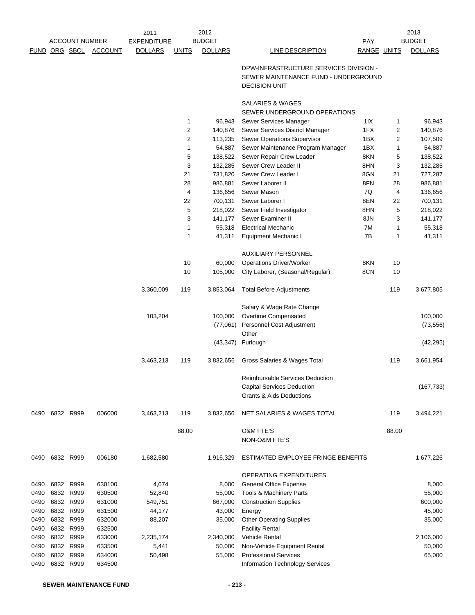|             |                       |                | 2011               |              | 2012           |                                                                                                        |                    |       | 2013           |
|-------------|-----------------------|----------------|--------------------|--------------|----------------|--------------------------------------------------------------------------------------------------------|--------------------|-------|----------------|
|             | <b>ACCOUNT NUMBER</b> |                | <b>EXPENDITURE</b> |              | <b>BUDGET</b>  |                                                                                                        | PAY                |       | <b>BUDGET</b>  |
| <b>FUND</b> | ORG SBCL              | <b>ACCOUNT</b> | <b>DOLLARS</b>     | <b>UNITS</b> | <b>DOLLARS</b> | <b>LINE DESCRIPTION</b>                                                                                | <b>RANGE UNITS</b> |       | <b>DOLLARS</b> |
|             |                       |                |                    |              |                | DPW-INFRASTRUCTURE SERVICES DIVISION -<br>SEWER MAINTENANCE FUND - UNDERGROUND<br><b>DECISION UNIT</b> |                    |       |                |
|             |                       |                |                    |              |                | SALARIES & WAGES<br>SEWER UNDERGROUND OPERATIONS                                                       |                    |       |                |
|             |                       |                |                    | 1            | 96,943         | Sewer Services Manager                                                                                 | 11X                | 1     | 96,943         |
|             |                       |                |                    | $\sqrt{2}$   | 140,876        | Sewer Services District Manager                                                                        | 1FX                | 2     | 140,876        |
|             |                       |                |                    | $\sqrt{2}$   | 113,235        | Sewer Operations Supervisor                                                                            | 1BX                | 2     | 107,509        |
|             |                       |                |                    | 1            | 54,887         | Sewer Maintenance Program Manager                                                                      | 1BX                | 1     | 54,887         |
|             |                       |                |                    | 5            | 138,522        | Sewer Repair Crew Leader                                                                               | 8KN                | 5     | 138,522        |
|             |                       |                |                    | 3            | 132,285        | Sewer Crew Leader II                                                                                   | 8HN                | 3     | 132,285        |
|             |                       |                |                    | 21           | 731,820        | Sewer Crew Leader I                                                                                    | 8GN                | 21    | 727,287        |
|             |                       |                |                    | 28           | 986,881        | Sewer Laborer II                                                                                       | 8FN                | 28    | 986,881        |
|             |                       |                |                    | 4            | 136,656        | Sewer Mason                                                                                            | 7Q                 | 4     | 136,656        |
|             |                       |                |                    | 22           | 700,131        | Sewer Laborer I                                                                                        | 8EN                | 22    | 700,131        |
|             |                       |                |                    | 5            | 218,022        | Sewer Field Investigator                                                                               | 8HN                | 5     | 218,022        |
|             |                       |                |                    | 3            | 141,177        | Sewer Examiner II                                                                                      | 8JN                | 3     | 141,177        |
|             |                       |                |                    | 1            | 55,318         | <b>Electrical Mechanic</b>                                                                             | 7M                 | 1     | 55,318         |
|             |                       |                |                    | $\mathbf{1}$ | 41,311         | Equipment Mechanic I                                                                                   | 7B                 | 1     | 41,311         |
|             |                       |                |                    |              |                | <b>AUXILIARY PERSONNEL</b>                                                                             |                    |       |                |
|             |                       |                |                    | 10           | 60,000         | <b>Operations Driver/Worker</b>                                                                        | 8KN                | 10    |                |
|             |                       |                |                    | 10           | 105,000        | City Laborer, (Seasonal/Regular)                                                                       | 8CN                | 10    |                |
|             |                       |                | 3,360,009          | 119          | 3,853,064      | <b>Total Before Adjustments</b>                                                                        |                    | 119   | 3,677,805      |
|             |                       |                |                    |              |                | Salary & Wage Rate Change                                                                              |                    |       |                |
|             |                       |                | 103,204            |              | 100,000        | Overtime Compensated                                                                                   |                    |       | 100,000        |
|             |                       |                |                    |              | (77,061)       | Personnel Cost Adjustment                                                                              |                    |       | (73, 556)      |
|             |                       |                |                    |              |                | Other                                                                                                  |                    |       |                |
|             |                       |                |                    |              | (43, 347)      | Furlough                                                                                               |                    |       | (42, 295)      |
|             |                       |                | 3,463,213          | 119          | 3,832,656      | Gross Salaries & Wages Total                                                                           |                    | 119   | 3,661,954      |
|             |                       |                |                    |              |                | <b>Reimbursable Services Deduction</b>                                                                 |                    |       |                |
|             |                       |                |                    |              |                | <b>Capital Services Deduction</b>                                                                      |                    |       | (167, 733)     |
|             |                       |                |                    |              |                | <b>Grants &amp; Aids Deductions</b>                                                                    |                    |       |                |
| 0490        | 6832 R999             | 006000         | 3,463,213          | 119          | 3,832,656      | <b>NET SALARIES &amp; WAGES TOTAL</b>                                                                  |                    | 119   | 3,494,221      |
|             |                       |                |                    | 88.00        |                | <b>O&amp;M FTE'S</b>                                                                                   |                    | 88.00 |                |
|             |                       |                |                    |              |                | NON-O&M FTE'S                                                                                          |                    |       |                |
| 0490        | 6832 R999             | 006180         | 1,682,580          |              | 1,916,329      | ESTIMATED EMPLOYEE FRINGE BENEFITS                                                                     |                    |       | 1,677,226      |
|             |                       |                |                    |              |                | OPERATING EXPENDITURES                                                                                 |                    |       |                |
| 0490        | 6832 R999             | 630100         | 4,074              |              | 8,000          | <b>General Office Expense</b>                                                                          |                    |       | 8,000          |
| 0490        | 6832 R999             | 630500         | 52,840             |              | 55,000         | Tools & Machinery Parts                                                                                |                    |       | 55,000         |
| 0490        | 6832 R999             | 631000         | 549,751            |              | 667,000        | <b>Construction Supplies</b>                                                                           |                    |       | 600,000        |
| 0490        | 6832 R999             | 631500         | 44,177             |              | 43,000         | Energy                                                                                                 |                    |       | 45,000         |
| 0490        | 6832 R999             | 632000         | 88,207             |              | 35,000         | <b>Other Operating Supplies</b>                                                                        |                    |       | 35,000         |
| 0490        | 6832 R999             | 632500         |                    |              |                | <b>Facility Rental</b>                                                                                 |                    |       |                |
| 0490        | 6832 R999             | 633000         | 2,235,174          |              | 2,340,000      | <b>Vehicle Rental</b>                                                                                  |                    |       | 2,106,000      |
| 0490        | 6832 R999             | 633500         | 5,441              |              | 50,000         | Non-Vehicle Equipment Rental                                                                           |                    |       | 50,000         |
| 0490        | 6832 R999             | 634000         | 50,498             |              | 55,000         | <b>Professional Services</b>                                                                           |                    |       | 65,000         |
| 0490        | 6832 R999             | 634500         |                    |              |                | Information Technology Services                                                                        |                    |       |                |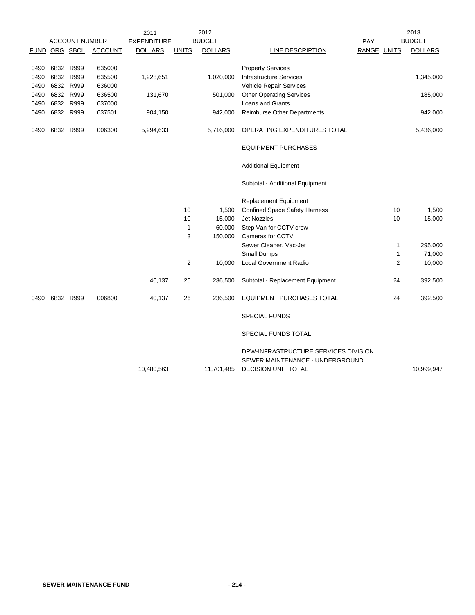|               |           |                       |                | 2011               |              | 2012           |                                      |             |                | 2013           |
|---------------|-----------|-----------------------|----------------|--------------------|--------------|----------------|--------------------------------------|-------------|----------------|----------------|
|               |           | <b>ACCOUNT NUMBER</b> |                | <b>EXPENDITURE</b> |              | <b>BUDGET</b>  |                                      | PAY         |                | <b>BUDGET</b>  |
| FUND ORG SBCL |           |                       | <b>ACCOUNT</b> | <b>DOLLARS</b>     | <b>UNITS</b> | <b>DOLLARS</b> | LINE DESCRIPTION                     | RANGE UNITS |                | <b>DOLLARS</b> |
|               |           |                       |                |                    |              |                |                                      |             |                |                |
| 0490          |           | 6832 R999             | 635000         |                    |              |                | <b>Property Services</b>             |             |                |                |
| 0490          |           | 6832 R999             | 635500         | 1,228,651          |              | 1,020,000      | <b>Infrastructure Services</b>       |             |                | 1,345,000      |
| 0490          |           | 6832 R999             | 636000         |                    |              |                | Vehicle Repair Services              |             |                |                |
| 0490          |           | 6832 R999             | 636500         | 131,670            |              | 501,000        | <b>Other Operating Services</b>      |             |                | 185,000        |
| 0490          |           | 6832 R999             | 637000         |                    |              |                | Loans and Grants                     |             |                |                |
| 0490          | 6832 R999 |                       | 637501         | 904,150            |              | 942,000        | <b>Reimburse Other Departments</b>   |             |                | 942,000        |
| 0490          |           | 6832 R999             | 006300         | 5,294,633          |              | 5,716,000      | OPERATING EXPENDITURES TOTAL         |             |                | 5,436,000      |
|               |           |                       |                |                    |              |                | <b>EQUIPMENT PURCHASES</b>           |             |                |                |
|               |           |                       |                |                    |              |                | <b>Additional Equipment</b>          |             |                |                |
|               |           |                       |                |                    |              |                | Subtotal - Additional Equipment      |             |                |                |
|               |           |                       |                |                    |              |                | <b>Replacement Equipment</b>         |             |                |                |
|               |           |                       |                |                    | 10           | 1,500          | <b>Confined Space Safety Harness</b> |             | 10             | 1,500          |
|               |           |                       |                |                    | 10           | 15,000         | <b>Jet Nozzles</b>                   |             | 10             | 15,000         |
|               |           |                       |                |                    | $\mathbf{1}$ | 60,000         | Step Van for CCTV crew               |             |                |                |
|               |           |                       |                |                    | 3            | 150,000        | Cameras for CCTV                     |             |                |                |
|               |           |                       |                |                    |              |                | Sewer Cleaner, Vac-Jet               |             | 1              | 295,000        |
|               |           |                       |                |                    |              |                | Small Dumps                          |             | $\mathbf{1}$   | 71,000         |
|               |           |                       |                |                    | 2            | 10,000         | <b>Local Government Radio</b>        |             | $\overline{2}$ | 10,000         |
|               |           |                       |                | 40,137             | 26           | 236,500        | Subtotal - Replacement Equipment     |             | 24             | 392,500        |
| 0490          |           | 6832 R999             | 006800         | 40,137             | 26           | 236,500        | <b>EQUIPMENT PURCHASES TOTAL</b>     |             | 24             | 392,500        |
|               |           |                       |                |                    |              |                | <b>SPECIAL FUNDS</b>                 |             |                |                |
|               |           |                       |                |                    |              |                | SPECIAL FUNDS TOTAL                  |             |                |                |
|               |           |                       |                |                    |              |                | DPW-INFRASTRUCTURE SERVICES DIVISION |             |                |                |
|               |           |                       |                |                    |              |                | SEWER MAINTENANCE - UNDERGROUND      |             |                |                |
|               |           |                       |                | 10,480,563         |              | 11,701,485     | <b>DECISION UNIT TOTAL</b>           |             |                | 10,999,947     |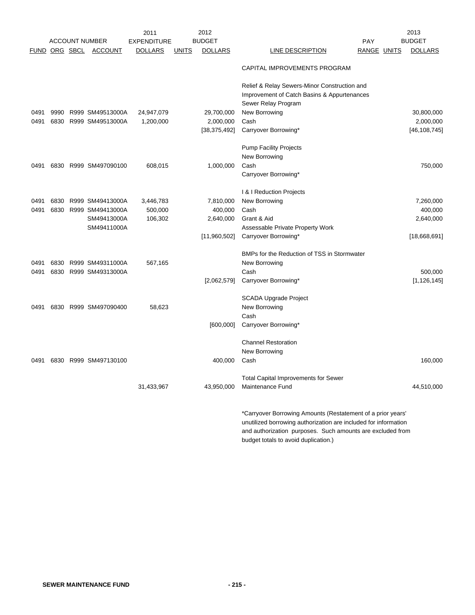|               |      | <b>ACCOUNT NUMBER</b> | 2011<br><b>EXPENDITURE</b> |              | 2012<br><b>BUDGET</b> | PAY                                                             | 2013<br><b>BUDGET</b> |
|---------------|------|-----------------------|----------------------------|--------------|-----------------------|-----------------------------------------------------------------|-----------------------|
| FUND ORG SBCL |      | <b>ACCOUNT</b>        | DOLLARS                    | <b>UNITS</b> | <b>DOLLARS</b>        | RANGE UNITS<br>LINE DESCRIPTION                                 | <b>DOLLARS</b>        |
|               |      |                       |                            |              |                       | CAPITAL IMPROVEMENTS PROGRAM                                    |                       |
|               |      |                       |                            |              |                       | Relief & Relay Sewers-Minor Construction and                    |                       |
|               |      |                       |                            |              |                       | Improvement of Catch Basins & Appurtenances                     |                       |
|               |      |                       |                            |              |                       | Sewer Relay Program                                             |                       |
| 0491          | 9990 | R999 SM49513000A      | 24,947,079                 |              | 29,700,000            | New Borrowing                                                   | 30,800,000            |
| 0491          | 6830 | R999 SM49513000A      | 1,200,000                  |              | 2,000,000             | Cash                                                            | 2,000,000             |
|               |      |                       |                            |              | [38, 375, 492]        | Carryover Borrowing*                                            | [46, 108, 745]        |
|               |      |                       |                            |              |                       | <b>Pump Facility Projects</b>                                   |                       |
|               |      |                       |                            |              |                       | New Borrowing                                                   |                       |
| 0491          |      | 6830 R999 SM497090100 | 608,015                    |              | 1,000,000             | Cash                                                            | 750,000               |
|               |      |                       |                            |              |                       | Carryover Borrowing*                                            |                       |
|               |      |                       |                            |              |                       | I & I Reduction Projects                                        |                       |
| 0491          | 6830 | R999 SM49413000A      | 3,446,783                  |              | 7,810,000             | New Borrowing                                                   | 7,260,000             |
| 0491          |      | 6830 R999 SM49413000A | 500,000                    |              | 400,000               | Cash                                                            | 400,000               |
|               |      | SM49413000A           | 106,302                    |              | 2,640,000             | Grant & Aid                                                     | 2,640,000             |
|               |      | SM49411000A           |                            |              |                       | Assessable Private Property Work                                |                       |
|               |      |                       |                            |              | [11,960,502]          | Carryover Borrowing*                                            | [18,668,691]          |
|               |      |                       |                            |              |                       | BMPs for the Reduction of TSS in Stormwater                     |                       |
| 0491          | 6830 | R999 SM49311000A      | 567,165                    |              |                       | New Borrowing                                                   |                       |
| 0491          | 6830 | R999 SM49313000A      |                            |              |                       | Cash                                                            | 500,000               |
|               |      |                       |                            |              | [2,062,579]           | Carryover Borrowing*                                            | [1, 126, 145]         |
|               |      |                       |                            |              |                       | <b>SCADA Upgrade Project</b>                                    |                       |
| 0491          |      | 6830 R999 SM497090400 | 58,623                     |              |                       | New Borrowing                                                   |                       |
|               |      |                       |                            |              |                       | Cash                                                            |                       |
|               |      |                       |                            |              | [600,000]             | Carryover Borrowing*                                            |                       |
|               |      |                       |                            |              |                       | <b>Channel Restoration</b>                                      |                       |
|               |      |                       |                            |              |                       | New Borrowing                                                   |                       |
| 0491          | 6830 | R999 SM497130100      |                            |              | 400,000               | Cash                                                            | 160,000               |
|               |      |                       |                            |              |                       | <b>Total Capital Improvements for Sewer</b>                     |                       |
|               |      |                       | 31,433,967                 |              | 43,950,000            | Maintenance Fund                                                | 44,510,000            |
|               |      |                       |                            |              |                       |                                                                 |                       |
|               |      |                       |                            |              |                       | *Carryover Borrowing Amounts (Restatement of a prior years'     |                       |
|               |      |                       |                            |              |                       | unutilized borrowing authorization are included for information |                       |

unutilized borrowing authorization are included for information and authorization purposes. Such amounts are excluded from budget totals to avoid duplication.)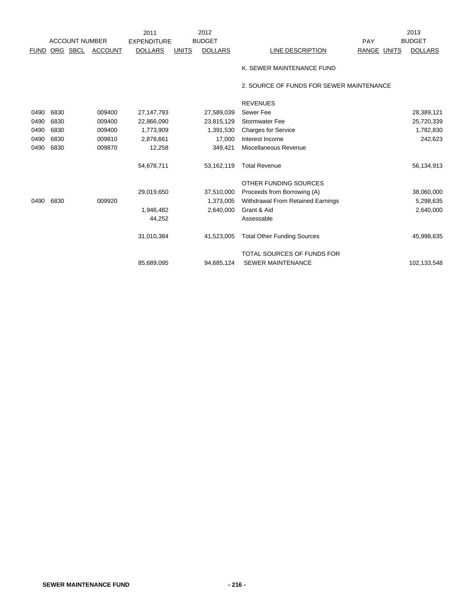|      |      |                       |                | 2011               |               | 2012           |                                          | PAY         | 2013           |
|------|------|-----------------------|----------------|--------------------|---------------|----------------|------------------------------------------|-------------|----------------|
|      |      | <b>ACCOUNT NUMBER</b> |                | <b>EXPENDITURE</b> | <b>BUDGET</b> |                |                                          |             | <b>BUDGET</b>  |
| FUND |      | ORG SBCL              | <b>ACCOUNT</b> | <b>DOLLARS</b>     | <b>UNITS</b>  | <b>DOLLARS</b> | LINE DESCRIPTION                         | RANGE UNITS | <b>DOLLARS</b> |
|      |      |                       |                |                    |               |                | K. SEWER MAINTENANCE FUND                |             |                |
|      |      |                       |                |                    |               |                | 2. SOURCE OF FUNDS FOR SEWER MAINTENANCE |             |                |
|      |      |                       |                |                    |               |                | <b>REVENUES</b>                          |             |                |
| 0490 | 6830 |                       | 009400         | 27, 147, 793       |               | 27,589,039     | Sewer Fee                                |             | 28,389,121     |
| 0490 | 6830 |                       | 009400         | 22,866,090         |               | 23,815,129     | <b>Stormwater Fee</b>                    |             | 25,720,339     |
| 0490 | 6830 |                       | 009400         | 1,773,909          |               | 1,391,530      | <b>Charges for Service</b>               |             | 1,782,830      |
| 0490 | 6830 |                       | 009810         | 2,878,661          |               | 17,000         | Interest Income                          |             | 242,623        |
| 0490 | 6830 |                       | 009870         | 12,258             |               | 349,421        | Miscellaneous Revenue                    |             |                |
|      |      |                       |                | 54,678,711         |               | 53,162,119     | <b>Total Revenue</b>                     |             | 56,134,913     |
|      |      |                       |                |                    |               |                | OTHER FUNDING SOURCES                    |             |                |
|      |      |                       |                | 29,019,650         |               | 37,510,000     | Proceeds from Borrowing (A)              |             | 38,060,000     |
| 0490 | 6830 |                       | 009920         |                    |               | 1,373,005      | Withdrawal From Retained Earnings        |             | 5,298,635      |
|      |      |                       |                | 1,946,482          |               | 2,640,000      | Grant & Aid                              |             | 2,640,000      |
|      |      |                       |                | 44,252             |               |                | Assessable                               |             |                |
|      |      |                       |                | 31,010,384         |               | 41,523,005     | <b>Total Other Funding Sources</b>       |             | 45,998,635     |
|      |      |                       |                |                    |               |                | TOTAL SOURCES OF FUNDS FOR               |             |                |
|      |      |                       |                | 85,689,095         |               | 94,685,124     | <b>SEWER MAINTENANCE</b>                 |             | 102,133,548    |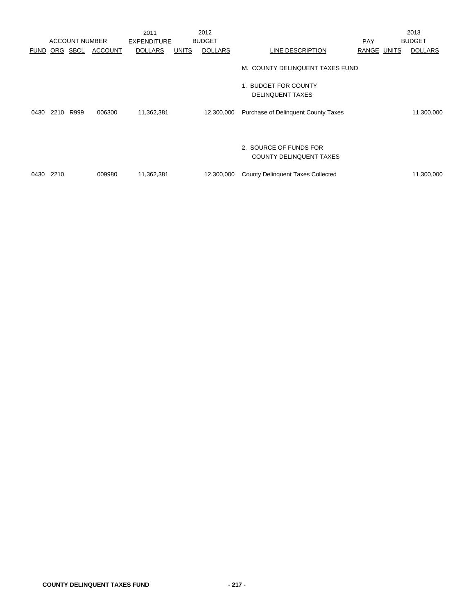|             |      |                       |                | 2011               |              | 2012           |                                                          |             | 2013           |
|-------------|------|-----------------------|----------------|--------------------|--------------|----------------|----------------------------------------------------------|-------------|----------------|
|             |      | <b>ACCOUNT NUMBER</b> |                | <b>EXPENDITURE</b> |              | <b>BUDGET</b>  |                                                          | <b>PAY</b>  | <b>BUDGET</b>  |
| <b>FUND</b> |      | ORG SBCL              | <b>ACCOUNT</b> | <b>DOLLARS</b>     | <b>UNITS</b> | <b>DOLLARS</b> | LINE DESCRIPTION                                         | RANGE UNITS | <b>DOLLARS</b> |
|             |      |                       |                |                    |              |                | M. COUNTY DELINQUENT TAXES FUND                          |             |                |
|             |      |                       |                |                    |              |                | 1. BUDGET FOR COUNTY<br><b>DELINQUENT TAXES</b>          |             |                |
| 0430        | 2210 | R999                  | 006300         | 11,362,381         |              | 12,300,000     | <b>Purchase of Delinquent County Taxes</b>               |             | 11,300,000     |
|             |      |                       |                |                    |              |                | 2. SOURCE OF FUNDS FOR<br><b>COUNTY DELINQUENT TAXES</b> |             |                |
| 0430        | 2210 |                       | 009980         | 11,362,381         |              | 12,300,000     | <b>County Delinquent Taxes Collected</b>                 |             | 11,300,000     |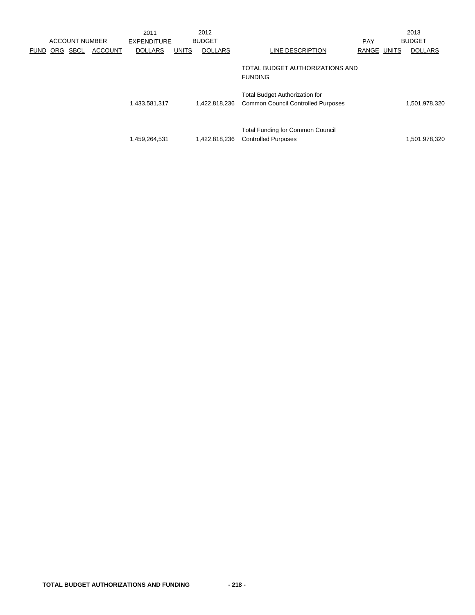|             |     | <b>ACCOUNT NUMBER</b> |                | 2011<br><b>EXPENDITURE</b> |              | 2012<br><b>BUDGET</b> |                                                                                    | <b>PAY</b>  | 2013<br><b>BUDGET</b> |
|-------------|-----|-----------------------|----------------|----------------------------|--------------|-----------------------|------------------------------------------------------------------------------------|-------------|-----------------------|
| <b>FUND</b> | ORG | SBCL                  | <b>ACCOUNT</b> | <b>DOLLARS</b>             | <b>UNITS</b> | <b>DOLLARS</b>        | LINE DESCRIPTION                                                                   | RANGE UNITS | <b>DOLLARS</b>        |
|             |     |                       |                |                            |              |                       | TOTAL BUDGET AUTHORIZATIONS AND<br><b>FUNDING</b>                                  |             |                       |
|             |     |                       |                | 1,433,581,317              |              | 1,422,818,236         | <b>Total Budget Authorization for</b><br><b>Common Council Controlled Purposes</b> |             | 1,501,978,320         |
|             |     |                       |                | 1,459,264,531              |              | 1,422,818,236         | <b>Total Funding for Common Council</b><br><b>Controlled Purposes</b>              |             | 1,501,978,320         |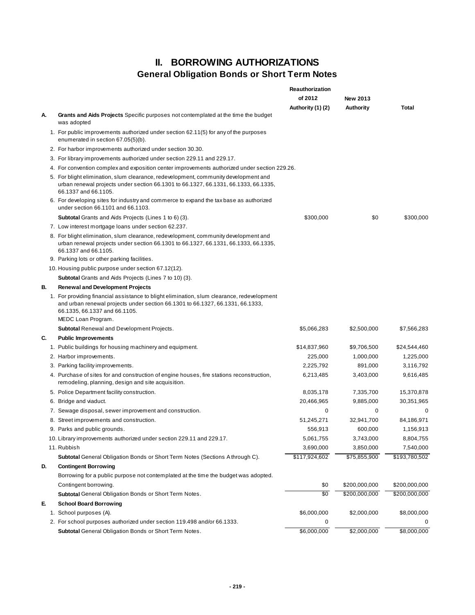## **II. BORROWING AUTHORIZATIONS General Obligation Bonds or Short Term Notes**

|    |                                                                                                                                                                                                               | <b>Reauthorization</b> |                 |               |
|----|---------------------------------------------------------------------------------------------------------------------------------------------------------------------------------------------------------------|------------------------|-----------------|---------------|
|    |                                                                                                                                                                                                               | of 2012                | <b>New 2013</b> |               |
|    |                                                                                                                                                                                                               | Authority (1) (2)      | Authority       | Total         |
| А. | Grants and Aids Projects Specific purposes not contemplated at the time the budget<br>was adopted                                                                                                             |                        |                 |               |
|    | 1. For public improvements authorized under section 62.11(5) for any of the purposes<br>enumerated in section 67.05(5)(b).                                                                                    |                        |                 |               |
|    | 2. For harbor improvements authorized under section 30.30.                                                                                                                                                    |                        |                 |               |
|    | 3. For library improvements authorized under section 229.11 and 229.17.                                                                                                                                       |                        |                 |               |
|    | 4. For convention complex and exposition center improvements authorized under section 229.26.                                                                                                                 |                        |                 |               |
|    | 5. For blight elimination, slum clearance, redevelopment, community development and<br>urban renewal projects under section 66.1301 to 66.1327, 66.1331, 66.1333, 66.1335,<br>66.1337 and 66.1105.            |                        |                 |               |
|    | 6. For developing sites for industry and commerce to expand the tax base as authorized<br>under section 66.1101 and 66.1103.                                                                                  |                        |                 |               |
|    | <b>Subtotal</b> Grants and Aids Projects (Lines 1 to 6) (3).                                                                                                                                                  | \$300,000              | \$0             | \$300,000     |
|    | 7. Low interest mortgage loans under section 62.237.                                                                                                                                                          |                        |                 |               |
|    | 8. For blight elimination, slum clearance, redevelopment, community development and<br>urban renewal projects under section 66.1301 to 66.1327, 66.1331, 66.1333, 66.1335,<br>66.1337 and 66.1105.            |                        |                 |               |
|    | 9. Parking lots or other parking facilities.                                                                                                                                                                  |                        |                 |               |
|    | 10. Housing public purpose under section 67.12(12).                                                                                                                                                           |                        |                 |               |
|    | <b>Subtotal</b> Grants and Aids Projects (Lines 7 to 10) (3).                                                                                                                                                 |                        |                 |               |
| В. | <b>Renewal and Development Projects</b>                                                                                                                                                                       |                        |                 |               |
|    | 1. For providing financial assistance to blight elimination, slum clearance, redevelopment<br>and urban renewal projects under section 66.1301 to 66.1327, 66.1331, 66.1333,<br>66.1335, 66.1337 and 66.1105. |                        |                 |               |
|    | MEDC Loan Program.                                                                                                                                                                                            |                        |                 |               |
|    | Subtotal Renewal and Development Projects.                                                                                                                                                                    | \$5,066,283            | \$2,500,000     | \$7,566,283   |
| C. | <b>Public Improvements</b>                                                                                                                                                                                    |                        |                 |               |
|    | 1. Public buildings for housing machinery and equipment.                                                                                                                                                      | \$14,837,960           | \$9,706,500     | \$24,544,460  |
|    | 2. Harbor improvements.                                                                                                                                                                                       | 225,000                | 1,000,000       | 1,225,000     |
|    | 3. Parking facility improvements.                                                                                                                                                                             | 2,225,792              | 891,000         | 3,116,792     |
|    | 4. Purchase of sites for and construction of engine houses, fire stations reconstruction,<br>remodeling, planning, design and site acquisition.                                                               | 6,213,485              | 3,403,000       | 9,616,485     |
|    | 5. Police Department facility construction.                                                                                                                                                                   | 8,035,178              | 7,335,700       | 15,370,878    |
|    | 6. Bridge and viaduct.                                                                                                                                                                                        | 20,466,965             | 9,885,000       | 30, 351, 965  |
|    | 7. Sewage disposal, sewer improvement and construction.                                                                                                                                                       | 0                      | 0               | 0             |
|    | 8. Street improvements and construction.                                                                                                                                                                      | 51,245,271             | 32,941,700      | 84,186,971    |
|    | 9. Parks and public grounds.                                                                                                                                                                                  | 556,913                | 600,000         | 1,156,913     |
|    | 10. Library improvements authorized under section 229.11 and 229.17.                                                                                                                                          | 5,061,755              | 3,743,000       | 8,804,755     |
|    | 11. Rubbish                                                                                                                                                                                                   | 3,690,000              | 3,850,000       | 7,540,000     |
|    | <b>Subtotal General Obligation Bonds or Short Term Notes (Sections Athrough C).</b>                                                                                                                           | \$117,924,602          | \$75,855,900    | \$193,780,502 |
| D. | <b>Contingent Borrowing</b>                                                                                                                                                                                   |                        |                 |               |
|    | Borrowing for a public purpose not contemplated at the time the budget was adopted.                                                                                                                           |                        |                 |               |
|    | Contingent borrowing.                                                                                                                                                                                         | \$0                    | \$200,000,000   | \$200,000,000 |
|    | Subtotal General Obligation Bonds or Short Term Notes.                                                                                                                                                        | \$0                    | \$200,000,000   | \$200,000,000 |
| Е. | <b>School Board Borrowing</b>                                                                                                                                                                                 |                        |                 |               |
|    | 1. School purposes (A).                                                                                                                                                                                       | \$6,000,000            | \$2,000,000     | \$8,000,000   |
|    | 2. For school purposes authorized under section 119.498 and/or 66.1333.                                                                                                                                       | 0                      |                 |               |
|    | Subtotal General Obligation Bonds or Short Term Notes.                                                                                                                                                        | \$6,000,000            | \$2,000,000     | \$8,000,000   |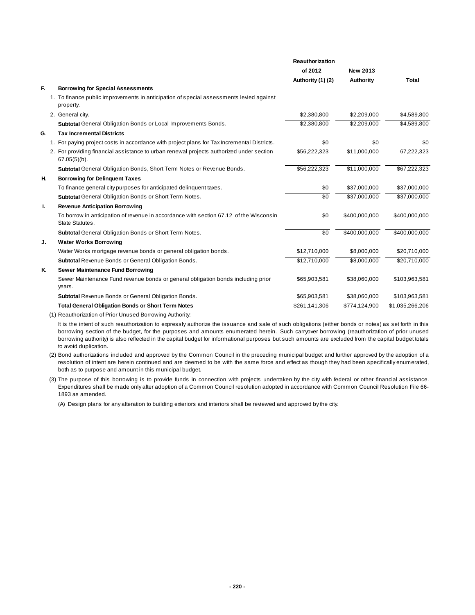|    |                                                                                                             | <b>Reauthorization</b> |                  |                 |
|----|-------------------------------------------------------------------------------------------------------------|------------------------|------------------|-----------------|
|    |                                                                                                             | of 2012                | <b>New 2013</b>  |                 |
|    |                                                                                                             | Authority (1) (2)      | <b>Authority</b> | Total           |
| E. | <b>Borrowing for Special Assessments</b>                                                                    |                        |                  |                 |
|    | 1. To finance public improvements in anticipation of special assessments levied against<br>property.        |                        |                  |                 |
|    | 2. General city.                                                                                            | \$2,380,800            | \$2,209,000      | \$4,589,800     |
|    | <b>Subtotal</b> General Obligation Bonds or Local Improvements Bonds.                                       | \$2,380,800            | \$2,209,000      | \$4,589,800     |
| G. | <b>Tax Incremental Districts</b>                                                                            |                        |                  |                 |
|    | 1. For paying project costs in accordance with project plans for Tax Incremental Districts.                 | \$0                    | \$0              | \$0             |
|    | 2. For providing financial assistance to urban renewal projects authorized under section<br>$67.05(5)(b)$ . | \$56,222,323           | \$11,000,000     | 67,222,323      |
|    | Subtotal General Obligation Bonds, Short Term Notes or Revenue Bonds.                                       | \$56,222,323           | \$11,000,000     | \$67,222,323    |
| н. | <b>Borrowing for Delinquent Taxes</b>                                                                       |                        |                  |                 |
|    | To finance general city purposes for anticipated delinquent taxes.                                          | \$0                    | \$37,000,000     | \$37,000,000    |
|    | Subtotal General Obligation Bonds or Short Term Notes.                                                      | $\overline{30}$        | \$37,000,000     | \$37,000,000    |
| Ι. | <b>Revenue Anticipation Borrowing</b>                                                                       |                        |                  |                 |
|    | To borrow in anticipation of revenue in accordance with section 67.12 of the Wisconsin<br>State Statutes.   | \$0                    | \$400,000,000    | \$400,000,000   |
|    | Subtotal General Obligation Bonds or Short Term Notes.                                                      | $\overline{50}$        | \$400,000,000    | \$400,000,000   |
| J. | <b>Water Works Borrowing</b>                                                                                |                        |                  |                 |
|    | Water Works mortgage revenue bonds or general obligation bonds.                                             | \$12,710,000           | \$8,000,000      | \$20,710,000    |
|    | Subtotal Revenue Bonds or General Obligation Bonds.                                                         | \$12,710,000           | \$8,000,000      | \$20,710,000    |
| Κ. | <b>Sewer Maintenance Fund Borrowing</b>                                                                     |                        |                  |                 |
|    | Sewer Maintenance Fund revenue bonds or general obligation bonds including prior<br>years.                  | \$65,903,581           | \$38,060,000     | \$103,963,581   |
|    | Subtotal Revenue Bonds or General Obligation Bonds.                                                         | \$65,903,581           | \$38,060,000     | \$103,963,581   |
|    | <b>Total General Obligation Bonds or Short Term Notes</b>                                                   | \$261,141,306          | \$774,124,900    | \$1,035,266,206 |
|    |                                                                                                             |                        |                  |                 |

(1) Reauthorization of Prior Unused Borrowing Authority:

It is the intent of such reauthorization to expressly authorize the issuance and sale of such obligations (either bonds or notes) as set forth in this borrowing section of the budget, for the purposes and amounts enumerated herein. Such carryover borrowing (reauthorization of prior unused borrowing authority) is also reflected in the capital budget for informational purposes but such amounts are excluded from the capital budget totals to avoid duplication.

- (2) Bond authorizations included and approved by the Common Council in the preceding municipal budget and further approved by the adoption of a resolution of intent are herein continued and are deemed to be with the same force and effect as though they had been specifically enumerated, both as to purpose and amount in this municipal budget.
- (3) The purpose of this borrowing is to provide funds in connection with projects undertaken by the city with federal or other financial assistance. Expenditures shall be made only after adoption of a Common Council resolution adopted in accordance with Common Council Resolution File 66- 1893 as amended.

(A) Design plans for any alteration to building exteriors and interiors shall be reviewed and approved by the city.